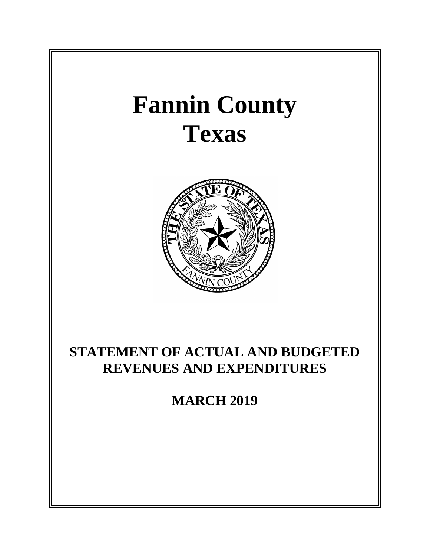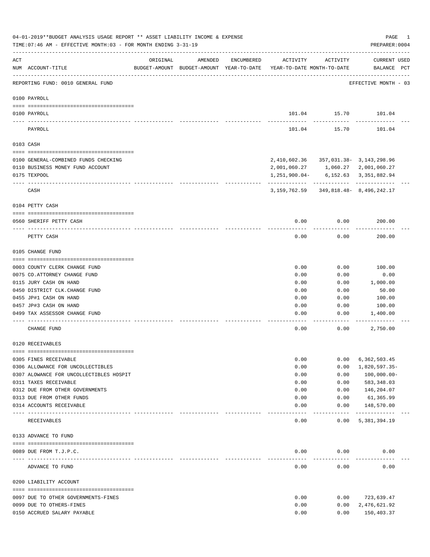|     | 04-01-2019**BUDGET ANALYSIS USAGE REPORT ** ASSET LIABILITY INCOME & EXPENSE<br>TIME: 07:46 AM - EFFECTIVE MONTH: 03 - FOR MONTH ENDING 3-31-19 |          |         |            |                                                                                 |                       | PAGE<br>1<br>PREPARER: 0004        |
|-----|-------------------------------------------------------------------------------------------------------------------------------------------------|----------|---------|------------|---------------------------------------------------------------------------------|-----------------------|------------------------------------|
| ACT | NUM ACCOUNT-TITLE                                                                                                                               | ORIGINAL | AMENDED | ENCUMBERED | ACTIVITY<br>BUDGET-AMOUNT BUDGET-AMOUNT YEAR-TO-DATE YEAR-TO-DATE MONTH-TO-DATE | ACTIVITY              | <b>CURRENT USED</b><br>BALANCE PCT |
|     | REPORTING FUND: 0010 GENERAL FUND                                                                                                               |          |         |            |                                                                                 |                       | EFFECTIVE MONTH - 03               |
|     | 0100 PAYROLL                                                                                                                                    |          |         |            |                                                                                 |                       |                                    |
|     | 0100 PAYROLL                                                                                                                                    |          |         |            |                                                                                 | ----------            | 101.04   15.70   101.04            |
|     | PAYROLL                                                                                                                                         |          |         |            | 101.04                                                                          | 15.70                 | 101.04                             |
|     | 0103 CASH                                                                                                                                       |          |         |            |                                                                                 |                       |                                    |
|     | 0100 GENERAL-COMBINED FUNDS CHECKING                                                                                                            |          |         |            | 2,410,602.36 357,031.38- 3,143,298.96                                           |                       |                                    |
|     | 0110 BUSINESS MONEY FUND ACCOUNT                                                                                                                |          |         |            | 2,001,060.27 1,060.27 2,001,060.27                                              |                       |                                    |
|     | 0175 TEXPOOL                                                                                                                                    |          |         |            | 1,251,900.04-                                                                   |                       | 6, 152. 63 3, 351, 882. 94         |
|     | CASH                                                                                                                                            |          |         |            | 3, 159, 762.59 349, 818.48 - 8, 496, 242.17                                     |                       |                                    |
|     | 0104 PETTY CASH                                                                                                                                 |          |         |            |                                                                                 |                       |                                    |
|     | 0560 SHERIFF PETTY CASH                                                                                                                         |          |         |            | 0.00                                                                            | 0.00                  | 200.00                             |
|     | PETTY CASH                                                                                                                                      |          |         |            | 0.00                                                                            | 0.00                  | 200.00                             |
|     | 0105 CHANGE FUND                                                                                                                                |          |         |            |                                                                                 |                       |                                    |
|     |                                                                                                                                                 |          |         |            |                                                                                 |                       |                                    |
|     | 0003 COUNTY CLERK CHANGE FUND                                                                                                                   |          |         |            | 0.00                                                                            | 0.00                  | 100.00                             |
|     | 0075 CO.ATTORNEY CHANGE FUND<br>0115 JURY CASH ON HAND                                                                                          |          |         |            | 0.00                                                                            | 0.00                  | 0.00<br>1,000.00                   |
|     | 0450 DISTRICT CLK. CHANGE FUND                                                                                                                  |          |         |            | 0.00<br>0.00                                                                    | 0.00<br>0.00          | 50.00                              |
|     | 0455 JP#1 CASH ON HAND                                                                                                                          |          |         |            | 0.00                                                                            | 0.00                  | 100.00                             |
|     | 0457 JP#3 CASH ON HAND                                                                                                                          |          |         |            | 0.00                                                                            | 0.00                  | 100.00                             |
|     | 0499 TAX ASSESSOR CHANGE FUND                                                                                                                   |          |         |            | 0.00                                                                            | 0.00                  | 1,400.00                           |
|     | CHANGE FUND                                                                                                                                     |          |         |            | 0.00                                                                            | 0.00                  | 2,750.00                           |
|     | 0120 RECEIVABLES                                                                                                                                |          |         |            |                                                                                 |                       |                                    |
|     | 0305 FINES RECEIVABLE                                                                                                                           |          |         |            | 0.00                                                                            | 0.00                  | 6,362,503.45                       |
|     | 0306 ALLOWANCE FOR UNCOLLECTIBLES                                                                                                               |          |         |            | 0.00                                                                            | 0.00                  | 1,820,597.35-                      |
|     | 0307 ALOWANCE FOR UNCOLLECTIBLES HOSPIT                                                                                                         |          |         |            | 0.00                                                                            | 0.00                  | $100,000.00 -$                     |
|     | 0311 TAXES RECEIVABLE                                                                                                                           |          |         |            | 0.00                                                                            | 0.00                  | 583,348.03                         |
|     | 0312 DUE FROM OTHER GOVERNMENTS                                                                                                                 |          |         |            | 0.00                                                                            | 0.00                  | 146,204.07                         |
|     | 0313 DUE FROM OTHER FUNDS                                                                                                                       |          |         |            | 0.00                                                                            | 0.00                  | 61,365.99                          |
|     | 0314 ACCOUNTS RECEIVABLE                                                                                                                        |          |         |            | 0.00                                                                            | 0.00<br>$- - - - -$   | 148,570.00<br>------------         |
|     | RECEIVABLES                                                                                                                                     |          |         |            | 0.00                                                                            | 0.00                  | 5, 381, 394.19                     |
|     | 0133 ADVANCE TO FUND                                                                                                                            |          |         |            |                                                                                 |                       |                                    |
|     |                                                                                                                                                 |          |         |            |                                                                                 |                       |                                    |
|     | 0089 DUE FROM T.J.P.C.                                                                                                                          |          |         |            | 0.00<br>-----                                                                   | 0.00<br>$- - - - - -$ | 0.00                               |
|     | ADVANCE TO FUND                                                                                                                                 |          |         |            | 0.00                                                                            | 0.00                  | 0.00                               |
|     | 0200 LIABILITY ACCOUNT                                                                                                                          |          |         |            |                                                                                 |                       |                                    |
|     |                                                                                                                                                 |          |         |            | 0.00                                                                            | 0.00                  | 723,639.47                         |
|     | 0097 DUE TO OTHER GOVERNMENTS-FINES<br>0099 DUE TO OTHERS-FINES                                                                                 |          |         |            | 0.00                                                                            | 0.00                  | 2,476,621.92                       |
|     | 0150 ACCRUED SALARY PAYABLE                                                                                                                     |          |         |            | 0.00                                                                            | 0.00                  | 150,403.37                         |
|     |                                                                                                                                                 |          |         |            |                                                                                 |                       |                                    |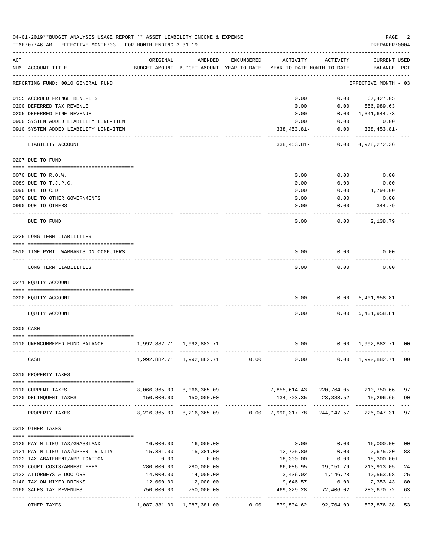|     | 04-01-2019**BUDGET ANALYSIS USAGE REPORT ** ASSET LIABILITY INCOME & EXPENSE<br>TIME: 07:46 AM - EFFECTIVE MONTH: 03 - FOR MONTH ENDING 3-31-19 |                                           |                                                     |            |                                        |                         | PAGE<br>PREPARER: 0004                     | 2              |
|-----|-------------------------------------------------------------------------------------------------------------------------------------------------|-------------------------------------------|-----------------------------------------------------|------------|----------------------------------------|-------------------------|--------------------------------------------|----------------|
| ACT | NUM ACCOUNT-TITLE                                                                                                                               | ORIGINAL                                  | AMENDED<br>BUDGET-AMOUNT BUDGET-AMOUNT YEAR-TO-DATE | ENCUMBERED | ACTIVITY<br>YEAR-TO-DATE MONTH-TO-DATE | ACTIVITY                | CURRENT USED<br>BALANCE PCT                |                |
|     | REPORTING FUND: 0010 GENERAL FUND                                                                                                               |                                           |                                                     |            |                                        |                         | EFFECTIVE MONTH - 03                       |                |
|     | 0155 ACCRUED FRINGE BENEFITS                                                                                                                    |                                           |                                                     |            | 0.00                                   |                         | $0.00$ 67,427.05                           |                |
|     | 0200 DEFERRED TAX REVENUE                                                                                                                       |                                           |                                                     |            | 0.00                                   | 0.00                    | 556,989.63                                 |                |
|     | 0205 DEFERRED FINE REVENUE                                                                                                                      |                                           |                                                     |            | 0.00                                   | 0.00                    | 1,341,644.73                               |                |
|     | 0900 SYSTEM ADDED LIABILITY LINE-ITEM                                                                                                           |                                           |                                                     |            | 0.00                                   | 0.00                    | 0.00                                       |                |
|     | 0910 SYSTEM ADDED LIABILITY LINE-ITEM                                                                                                           |                                           |                                                     |            | $338, 453.81 -$                        | 0.00                    | 338,453.81-                                |                |
|     | LIABILITY ACCOUNT                                                                                                                               |                                           |                                                     |            | $338,453.81-$                          | 0.00                    | 4,978,272.36                               |                |
|     | 0207 DUE TO FUND                                                                                                                                |                                           |                                                     |            |                                        |                         |                                            |                |
|     | 0070 DUE TO R.O.W.                                                                                                                              |                                           |                                                     |            | 0.00                                   | 0.00                    | 0.00                                       |                |
|     | 0089 DUE TO T.J.P.C.                                                                                                                            |                                           |                                                     |            | 0.00                                   | 0.00                    | 0.00                                       |                |
|     | 0090 DUE TO CJD                                                                                                                                 |                                           |                                                     |            | 0.00                                   | 0.00                    | 1,794.00                                   |                |
|     | 0970 DUE TO OTHER GOVERNMENTS                                                                                                                   |                                           |                                                     |            | 0.00                                   | 0.00                    | 0.00                                       |                |
|     | 0990 DUE TO OTHERS                                                                                                                              |                                           |                                                     |            | 0.00                                   | 0.00                    | 344.79                                     |                |
|     | DUE TO FUND                                                                                                                                     |                                           |                                                     |            | 0.00                                   | 0.00                    | 2,138.79                                   |                |
|     | 0225 LONG TERM LIABILITIES                                                                                                                      |                                           |                                                     |            |                                        |                         |                                            |                |
|     | 0510 TIME PYMT. WARRANTS ON COMPUTERS                                                                                                           |                                           |                                                     |            | 0.00                                   | 0.00                    | 0.00                                       |                |
|     | LONG TERM LIABILITIES                                                                                                                           |                                           |                                                     |            | 0.00                                   | 0.00                    | 0.00                                       |                |
|     | 0271 EQUITY ACCOUNT                                                                                                                             |                                           |                                                     |            |                                        |                         |                                            |                |
|     | 0200 EQUITY ACCOUNT                                                                                                                             |                                           |                                                     |            | 0.00                                   | 0.00                    | 5,401,958.81                               |                |
|     | EQUITY ACCOUNT                                                                                                                                  |                                           |                                                     |            | 0.00                                   |                         | 0.00 5,401,958.81                          |                |
|     | 0300 CASH                                                                                                                                       |                                           |                                                     |            |                                        |                         |                                            |                |
|     |                                                                                                                                                 |                                           |                                                     |            |                                        |                         |                                            |                |
|     | 0110 UNENCUMBERED FUND BALANCE                                                                                                                  | 1,992,882.71 1,992,882.71<br>------------ |                                                     |            | 0.00                                   |                         | $0.00 \quad 1,992,882.71$<br>------------- | 0 <sub>0</sub> |
|     | CASH                                                                                                                                            |                                           | 1,992,882.71 1,992,882.71                           | 0.00       | $0.00$ $0.00$ $1,992,882.71$           |                         |                                            | 0 <sub>0</sub> |
|     | 0310 PROPERTY TAXES                                                                                                                             |                                           |                                                     |            |                                        |                         |                                            |                |
|     |                                                                                                                                                 |                                           |                                                     |            |                                        |                         |                                            |                |
|     | 0110 CURRENT TAXES                                                                                                                              |                                           | 8,066,365.09 8,066,365.09                           |            | 7,855,614.43 220,764.05 210,750.66     |                         |                                            | 97             |
|     | 0120 DELINQUENT TAXES                                                                                                                           | 150,000.00                                | 150,000.00                                          |            |                                        |                         | 134,703.35 23,383.52 15,296.65             | 90             |
|     | PROPERTY TAXES                                                                                                                                  |                                           | 8, 216, 365.09 8, 216, 365.09 0.00 7, 990, 317.78   |            |                                        | 244,147.57              | 226,047.31                                 | 97             |
|     | 0318 OTHER TAXES                                                                                                                                |                                           |                                                     |            |                                        |                         |                                            |                |
|     | 0120 PAY N LIEU TAX/GRASSLAND                                                                                                                   | 16,000.00                                 | 16,000.00                                           |            | 0.00                                   | 0.00                    | 16,000.00                                  | 0 <sub>0</sub> |
|     | 0121 PAY N LIEU TAX/UPPER TRINITY                                                                                                               | 15,381.00                                 | 15,381.00                                           |            | 12,705.80                              | 0.00                    | 2,675.20                                   | 83             |
|     | 0122 TAX ABATEMENT/APPLICATION                                                                                                                  | 0.00                                      | 0.00                                                |            | 18,300.00                              | 0.00                    | 18,300.00+                                 |                |
|     | 0130 COURT COSTS/ARREST FEES                                                                                                                    | 280,000.00                                | 280,000.00                                          |            | 66,086.95                              | 19,151.79               | 213,913.05                                 | 24             |
|     | 0132 ATTORNEYS & DOCTORS                                                                                                                        | 14,000.00                                 | 14,000.00                                           |            | 3,436.02                               | 1,146.28                | 10,563.98                                  | 25             |
|     | 0140 TAX ON MIXED DRINKS                                                                                                                        | 12,000.00                                 | 12,000.00                                           |            | 9,646.57                               | 0.00                    | 2,353.43                                   | 80             |
|     | 0160 SALES TAX REVENUES                                                                                                                         | 750,000.00                                | 750,000.00                                          |            | 469,329.28                             | 72,406.02               | 280,670.72                                 | 63             |
|     | OTHER TAXES                                                                                                                                     |                                           | 1,087,381.00 1,087,381.00                           | 0.00       | 579,504.62                             | ----------<br>92,704.09 | ----------<br>507,876.38                   | 53             |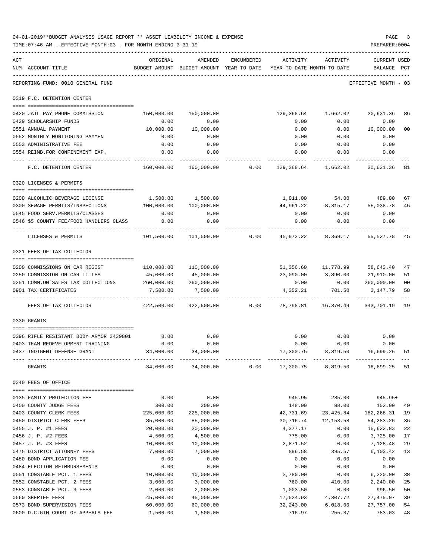|     | 04-01-2019**BUDGET ANALYSIS USAGE REPORT ** ASSET LIABILITY INCOME & EXPENSE<br>TIME: 07:46 AM - EFFECTIVE MONTH: 03 - FOR MONTH ENDING 3-31-19 |                       |                        |                    |                                                                                 |                               | PAGE<br>PREPARER: 0004                | 3        |
|-----|-------------------------------------------------------------------------------------------------------------------------------------------------|-----------------------|------------------------|--------------------|---------------------------------------------------------------------------------|-------------------------------|---------------------------------------|----------|
| ACT | NUM ACCOUNT-TITLE                                                                                                                               | ORIGINAL              |                        | AMENDED ENCUMBERED | ACTIVITY<br>BUDGET-AMOUNT BUDGET-AMOUNT YEAR-TO-DATE YEAR-TO-DATE MONTH-TO-DATE | ACTIVITY                      | <b>CURRENT USED</b><br><b>BALANCE</b> | PCT      |
|     | REPORTING FUND: 0010 GENERAL FUND                                                                                                               |                       |                        |                    |                                                                                 |                               | EFFECTIVE MONTH - 03                  |          |
|     | 0319 F.C. DETENTION CENTER                                                                                                                      |                       |                        |                    |                                                                                 |                               |                                       |          |
|     | 0420 JAIL PAY PHONE COMMISSION                                                                                                                  | 150,000.00            | 150,000.00             |                    |                                                                                 | 129,368.64 1,662.02 20,631.36 |                                       | 86       |
|     | 0429 SCHOLARSHIP FUNDS                                                                                                                          | 0.00                  | 0.00                   |                    | 0.00                                                                            | 0.00                          | 0.00                                  |          |
|     | 0551 ANNUAL PAYMENT                                                                                                                             |                       | 10,000.00    10,000.00 |                    | 0.00                                                                            | 0.00                          | 10,000.00                             | 00       |
|     | 0552 MONTHLY MONITORING PAYMEN                                                                                                                  | 0.00                  | 0.00                   |                    | 0.00                                                                            | 0.00                          | 0.00                                  |          |
|     | 0553 ADMINISTRATIVE FEE                                                                                                                         | 0.00                  | 0.00                   |                    | 0.00                                                                            | 0.00                          | 0.00                                  |          |
|     | 0554 REIMB.FOR CONFINEMENT EXP.                                                                                                                 | 0.00                  | 0.00                   |                    |                                                                                 | $0.00$ 0.00                   | 0.00                                  |          |
|     | F.C. DETENTION CENTER                                                                                                                           |                       |                        |                    | $160,000.00$ $160,000.00$ 0.00 $129,368.64$ $1,662.02$ 30,631.36                |                               |                                       | 81       |
|     | 0320 LICENSES & PERMITS                                                                                                                         |                       |                        |                    |                                                                                 |                               |                                       |          |
|     |                                                                                                                                                 |                       |                        |                    |                                                                                 |                               |                                       |          |
|     | 0200 ALCOHLIC BEVERAGE LICENSE                                                                                                                  |                       | 1,500.00 1,500.00      |                    |                                                                                 | 1,011.00 54.00 489.00         |                                       | 67       |
|     | 0300 SEWAGE PERMITS/INSPECTIONS<br>0545 FOOD SERV. PERMITS/CLASSES                                                                              | 100,000.00 100,000.00 |                        |                    |                                                                                 | 44,961.22 8,315.17 55,038.78  |                                       | 45       |
|     | 0546 \$5 COUNTY FEE/FOOD HANDLERS CLASS                                                                                                         | 0.00<br>0.00          | 0.00<br>0.00           |                    | 0.00<br>0.00                                                                    | 0.00<br>0.00                  | 0.00<br>0.00                          |          |
|     |                                                                                                                                                 |                       |                        |                    |                                                                                 |                               |                                       |          |
|     | LICENSES & PERMITS                                                                                                                              | 101,500.00            |                        |                    | 101,500.00        0.00        45,972.22       8,369.17       55,527.78          |                               |                                       | 45       |
|     | 0321 FEES OF TAX COLLECTOR                                                                                                                      |                       |                        |                    |                                                                                 |                               |                                       |          |
|     | 0200 COMMISSIONS ON CAR REGIST                                                                                                                  |                       | 110,000.00 110,000.00  |                    |                                                                                 | 51,356.60 11,778.99 58,643.40 |                                       | 47       |
|     | 0250 COMMISSION ON CAR TITLES                                                                                                                   |                       | 45,000.00 45,000.00    |                    |                                                                                 | 23,090.00 3,890.00 21,910.00  |                                       | 51       |
|     | 0251 COMM.ON SALES TAX COLLECTIONS 260,000.00 260,000.00                                                                                        |                       |                        |                    |                                                                                 | $0.00$ $0.00$                 | 260,000.00                            | 00       |
|     | 0901 TAX CERTIFICATES                                                                                                                           | 7,500.00              | 7,500.00               |                    |                                                                                 | 4, 352. 21 701. 50            | 3,147.79                              | 58       |
|     | FEES OF TAX COLLECTOR                                                                                                                           |                       | 422,500.00 422,500.00  |                    | 0.00 78,798.81 16,370.49 343,701.19 19                                          |                               |                                       |          |
|     | 0330 GRANTS                                                                                                                                     |                       |                        |                    |                                                                                 |                               |                                       |          |
|     | 0396 RIFLE RESISTANT BODY ARMOR 3439801                                                                                                         | 0.00                  | 0.00                   |                    | 0.00                                                                            | 0.00                          | 0.00                                  |          |
|     | 0403 TEAM REDEVELOPMENT TRAINING                                                                                                                | 0.00                  | 0.00                   |                    | 0.00                                                                            | 0.00                          | 0.00                                  |          |
|     | 0437 INDIGENT DEFENSE GRANT                                                                                                                     | 34,000.00             | 34,000.00              |                    | 17,300.75                                                                       | 8,819.50                      | 16,699.25                             | 51       |
|     | GRANTS                                                                                                                                          | 34,000.00             | 34,000.00              | 0.00               |                                                                                 | 17,300.75 8,819.50            | 16,699.25                             | 51       |
|     | 0340 FEES OF OFFICE                                                                                                                             |                       |                        |                    |                                                                                 |                               |                                       |          |
|     | 0135 FAMILY PROTECTION FEE                                                                                                                      | 0.00                  | 0.00                   |                    | 945.95                                                                          | 285.00                        | 945.95+                               |          |
|     | 0400 COUNTY JUDGE FEES                                                                                                                          | 300.00                | 300.00                 |                    | 148.00                                                                          | 98.00                         | 152.00                                | 49       |
|     | 0403 COUNTY CLERK FEES                                                                                                                          | 225,000.00            | 225,000.00             |                    | 42,731.69                                                                       | 23,425.84                     | 182,268.31                            | 19       |
|     | 0450 DISTRICT CLERK FEES                                                                                                                        | 85,000.00             | 85,000.00              |                    | 30,716.74                                                                       | 12, 153.58                    | 54, 283. 26                           | 36       |
|     | 0455 J. P. #1 FEES                                                                                                                              | 20,000.00             | 20,000.00              |                    | 4,377.17                                                                        | 0.00                          | 15,622.83                             | 22       |
|     | 0456 J. P. #2 FEES                                                                                                                              | 4,500.00              | 4,500.00               |                    | 775.00                                                                          | 0.00                          | 3,725.00                              | 17       |
|     | 0457 J. P. #3 FEES                                                                                                                              | 10,000.00             | 10,000.00              |                    | 2,871.52                                                                        | 0.00                          | 7,128.48                              | 29       |
|     | 0475 DISTRICT ATTORNEY FEES                                                                                                                     | 7,000.00              | 7,000.00               |                    | 896.58                                                                          | 395.57                        | 6,103.42                              | 13       |
|     | 0480 BOND APPLICATION FEE                                                                                                                       | 0.00                  | 0.00                   |                    | 0.00                                                                            | 0.00                          | 0.00                                  |          |
|     | 0484 ELECTION REIMBURSEMENTS                                                                                                                    | 0.00                  | 0.00                   |                    | 0.00                                                                            | 0.00                          | 0.00                                  |          |
|     | 0551 CONSTABLE PCT. 1 FEES<br>0552 CONSTABLE PCT. 2 FEES                                                                                        | 10,000.00<br>3,000.00 | 10,000.00<br>3,000.00  |                    | 3,780.00<br>760.00                                                              | 0.00<br>410.00                | 6,220.00<br>2,240.00                  | 38<br>25 |
|     | 0553 CONSTABLE PCT. 3 FEES                                                                                                                      | 2,000.00              | 2,000.00               |                    | 1,003.50                                                                        | 0.00                          | 996.50                                | 50       |
|     | 0560 SHERIFF FEES                                                                                                                               | 45,000.00             | 45,000.00              |                    | 17,524.93                                                                       | 4,307.72                      | 27,475.07                             | 39       |
|     | 0573 BOND SUPERVISION FEES                                                                                                                      | 60,000.00             | 60,000.00              |                    | 32,243.00                                                                       | 6,018.00                      | 27,757.00                             | 54       |
|     | 0600 D.C.6TH COURT OF APPEALS FEE                                                                                                               | 1,500.00              | 1,500.00               |                    | 716.97                                                                          | 255.37                        | 783.03                                | 48       |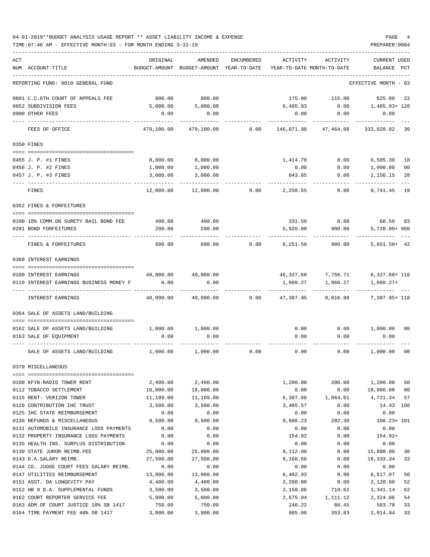TIME:07:46 AM - EFFECTIVE MONTH:03 - FOR MONTH ENDING 3-31-19 PREPARER:0004

| ACT                                     | ORIGINAL              | AMENDED                                  | ENCUMBERED | ACTIVITY         | ACTIVITY                   | CURRENT USED          |                |
|-----------------------------------------|-----------------------|------------------------------------------|------------|------------------|----------------------------|-----------------------|----------------|
| NUM ACCOUNT-TITLE                       |                       | BUDGET-AMOUNT BUDGET-AMOUNT YEAR-TO-DATE |            |                  | YEAR-TO-DATE MONTH-TO-DATE | BALANCE PCT           |                |
| REPORTING FUND: 0010 GENERAL FUND       |                       |                                          |            |                  |                            | EFFECTIVE MONTH - 03  |                |
| 0601 C.C.6TH COURT OF APPEALS FEE       | 800.00                | 800.00                                   |            | 175.00           | 115.00                     | 625.00                | 22             |
| 0652 SUBDIVISION FEES                   | 5,000.00              | 5,000.00                                 |            | 6,405.93         | 0.00                       | 1,405.93+ 128         |                |
| 0900 OTHER FEES                         | 0.00                  | 0.00                                     |            | 0.00             | 0.00                       | 0.00                  |                |
| FEES OF OFFICE                          | 479,100.00            | 479,100.00                               | 0.00       | 146,071.98       | 47,464.08                  | 333,028.02            | 30             |
| 0350 FINES                              |                       |                                          |            |                  |                            |                       |                |
| 0455 J. P. #1 FINES                     | 8,000.00              | 8,000.00                                 |            | 1,414.70         | 0.00                       | 6,585.30              | 18             |
| 0456 J. P. #2 FINES                     | 1,000.00              | 1,000.00                                 |            | 0.00             | 0.00                       | 1,000.00              | 0 <sub>0</sub> |
| 0457 J. P. #3 FINES                     | 3,000.00              | 3,000.00                                 |            | 843.85           | 0.00                       | 2,156.15              | 28             |
| FINES                                   | 12,000.00             | 12,000.00                                | 0.00       | 2,258.55         | 0.00                       | 9,741.45              | 19             |
| 0352 FINES & FORFEITURES                |                       |                                          |            |                  |                            |                       |                |
| 0100 10% COMM.ON SURETY BAIL BOND FEE   | 400.00                | 400.00                                   |            | 331.50           | 0.00                       | 68.50                 | -83            |
| 0201 BOND FORFEITURES                   | 200.00                | 200.00                                   |            | 5,920.00         | 900.00                     | 5,720.00+ 960         |                |
| FINES & FORFEITURES                     | 600.00                | 600.00                                   | 0.00       | 6,251.50         | 900.00                     | $5,651.50+42$         |                |
| 0360 INTEREST EARNINGS                  |                       |                                          |            |                  |                            |                       |                |
| 0100 INTEREST EARNINGS                  | 40,000.00             | 40,000.00                                |            | 46,327.68        | 7,756.71                   | $6,327.68 + 116$      |                |
| 0110 INTEREST EARNINGS BUSINESS MONEY F | 0.00                  | 0.00                                     |            | 1,060.27         | 1,060.27                   | $1,060.27+$           |                |
| INTEREST EARNINGS                       | 40,000.00             | 40,000.00                                | 0.00       | 47,387.95        | 8,816.98                   | 7,387.95+ 118         |                |
| 0364 SALE OF ASSETS LAND/BUILDING       |                       |                                          |            |                  |                            |                       |                |
| 0162 SALE OF ASSETS LAND/BUILDING       |                       | 1,000.00 1,000.00                        |            | 0.00             | 0.00                       | 1,000.00              | 00             |
| 0163 SALE OF EQUIPMENT                  | 0.00                  | 0.00                                     |            | 0.00             | 0.00                       | 0.00                  |                |
| SALE OF ASSETS LAND/BUILDING            | 1,000.00              | 1,000.00                                 | 0.00       | 0.00             | 0.00                       | 1,000.00              | 0 <sub>0</sub> |
| 0370 MISCELLANEOUS                      |                       |                                          |            |                  |                            |                       |                |
| 0100 KFYN-RADIO TOWER RENT              |                       |                                          |            |                  |                            |                       | 50             |
| 0112 TOBACCO SETTLEMENT                 | 2,400.00<br>18,000.00 | 2,400.00<br>18,000.00                    |            | 1,200.00<br>0.00 | 200.00<br>0.00             | 1,200.00<br>18,000.00 | 0 <sub>0</sub> |
| 0115 RENT- VERIZON TOWER                | 11,109.00             | 11,109.00                                |            | 6,387.66         | 1,064.61                   | 4,721.34              | 57             |
| 0120 CONTRIBUTION IHC TRUST             | 3,500.00              | 3,500.00                                 |            | 3,485.57         | 0.00                       | 14.43 100             |                |
| 0125 IHC STATE REIMBURSEMENT            | 0.00                  | 0.00                                     |            | 0.00             | 0.00                       | 0.00                  |                |
| 0130 REFUNDS & MISCELLANEOUS            | 9,500.00              | 9,500.00                                 |            | 9,608.23         | 282.30                     | $108.23 + 101$        |                |
| 0131 AUTOMOBILE INSURANCE LOSS PAYMENTS | 0.00                  | 0.00                                     |            | 0.00             | 0.00                       | 0.00                  |                |
| 0132 PROPERTY INSURANCE LOSS PAYMENTS   | 0.00                  | 0.00                                     |            | 154.82           | 0.00                       | $154.82+$             |                |
| 0135 HEALTH INS. SURPLUS DISTRIBUTION   | 0.00                  | 0.00                                     |            | 0.00             | 0.00                       | 0.00                  |                |
| 0139 STATE JUROR REIMB.FEE              | 25,000.00             | 25,000.00                                |            | 9,112.00         | 0.00                       | 15,888.00             | 36             |
| 0143 D.A.SALARY REIMB.                  | 27,500.00             | 27,500.00                                |            | 9,166.66         | 0.00                       | 18,333.34             | 33             |
| 0144 CO. JUDGE COURT FEES SALARY REIMB. | 0.00                  | 0.00                                     |            | 0.00             | 0.00                       | 0.00                  |                |
| 0147 UTILITIES REIMBURSEMENT            | 13,000.00             | 13,000.00                                |            | 6,482.93         | 0.00                       | 6,517.07              | 50             |
| 0151 ASST. DA LONGEVITY PAY             | 4,400.00              | 4,400.00                                 |            | 2,280.00         | 0.00                       | 2,120.00              | 52             |
| 0152 HB 9 D.A. SUPPLEMENTAL FUNDS       | 3,500.00              | 3,500.00                                 |            | 2,158.86         | 719.62                     | 1,341.14              | 62             |
| 0162 COURT REPORTER SERVICE FEE         | 5,000.00              | 5,000.00                                 |            | 2,675.94         | 1,111.12                   | 2,324.06              | 54             |
| 0163 ADM.OF COURT JUSTICE 10% SB 1417   | 750.00                | 750.00                                   |            | 246.22           | 88.45                      | 503.78                | 33             |

0164 TIME PAYMENT FEE 40% SB 1417 3,000.00 3,000.00 985.06 353.83 2,014.94 33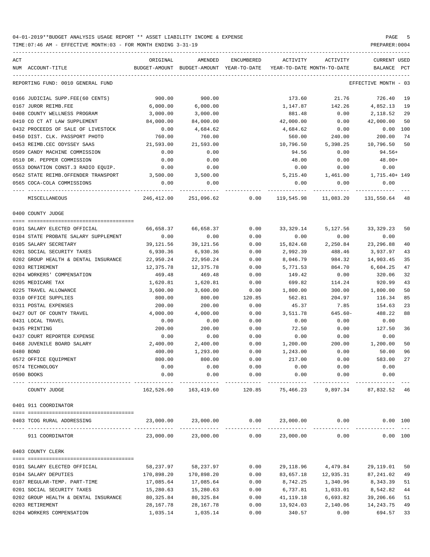| ACT               |                                              | ORIGINAL   | AMENDED                                  | ENCUMBERED            | ACTIVITY                   | ACTIVITY                                  | CURRENT USED          |     |
|-------------------|----------------------------------------------|------------|------------------------------------------|-----------------------|----------------------------|-------------------------------------------|-----------------------|-----|
| NUM ACCOUNT-TITLE |                                              |            | BUDGET-AMOUNT BUDGET-AMOUNT YEAR-TO-DATE |                       | YEAR-TO-DATE MONTH-TO-DATE |                                           | BALANCE               | PCT |
|                   | REPORTING FUND: 0010 GENERAL FUND            |            |                                          |                       |                            |                                           | EFFECTIVE MONTH - 03  |     |
|                   | 0166 JUDICIAL SUPP.FEE(60 CENTS)             | 900.00     | 900.00                                   |                       | 173.60                     | 21.76                                     | 726.40 19             |     |
|                   | 0167 JUROR REIMB.FEE                         | 6,000.00   | 6,000.00                                 |                       | 1,147.87                   | 142.26                                    | 4,852.13 19           |     |
|                   | 0408 COUNTY WELLNESS PROGRAM                 | 3,000.00   | 3,000.00                                 |                       | 881.48                     | 0.00                                      | 2,118.52              | 29  |
|                   | 0410 CO CT AT LAW SUPPLEMENT                 | 84,000.00  | 84,000.00                                |                       | 42,000.00                  | 0.00                                      | 42,000.00             | 50  |
|                   | 0432 PROCEEDS OF SALE OF LIVESTOCK           | 0.00       | 4,684.62                                 |                       | 4,684.62                   | 0.00                                      | $0.00$ 100            |     |
|                   | 0450 DIST. CLK. PASSPORT PHOTO               | 760.00     | 760.00                                   |                       | 560.00                     | 240.00                                    | 200.00                | 74  |
|                   | 0453 REIMB.CEC ODYSSEY SAAS                  | 21,593.00  | 21,593.00                                |                       | 10,796.50                  | 5,398.25                                  | 10,796.50             | 50  |
|                   | 0509 CANDY MACHINE COMMISSION                | 0.00       | 0.00                                     |                       | 94.56                      | 0.00                                      | 94.56+                |     |
|                   | 0510 DR. PEPPER COMMISSION                   | 0.00       | 0.00                                     |                       | 48.00                      | 0.00                                      | $48.00+$              |     |
|                   | 0553 DONATION CONST.3 RADIO EQUIP.           | 0.00       | 0.00                                     |                       | 0.00                       | 0.00                                      | 0.00                  |     |
|                   | 0562 STATE REIMB.OFFENDER TRANSPORT          | 3,500.00   | 3,500.00                                 |                       |                            | $5,215.40$ $1,461.00$ $1,715.40+149$      |                       |     |
|                   | 0565 COCA-COLA COMMISSIONS                   | 0.00       | 0.00                                     |                       | 0.00                       | 0.00                                      | 0.00                  |     |
|                   | ---- ----------------------<br>MISCELLANEOUS |            | 246,412.00 251,096.62                    |                       |                            | $0.00$ 119,545.98 11,083.20 131,550.64 48 |                       |     |
| 0400 COUNTY JUDGE |                                              |            |                                          |                       |                            |                                           |                       |     |
|                   |                                              |            |                                          |                       |                            |                                           |                       |     |
|                   | 0101 SALARY ELECTED OFFICIAL                 | 66,658.37  | 66,658.37                                | 0.00                  | 33,329.14                  | 5,127.56                                  | 33,329.23             | 50  |
|                   | 0104 STATE PROBATE SALARY SUPPLEMENT         | 0.00       | 0.00                                     | 0.00                  | 0.00                       | 0.00                                      | 0.00                  |     |
|                   | 0105 SALARY SECRETARY                        | 39,121.56  | 39,121.56                                | 0.00                  | 15,824.68                  | 2,250.84                                  | 23, 296.88            | 40  |
|                   | 0201 SOCIAL SECURITY TAXES                   | 6,930.36   | 6,930.36                                 | 0.00                  | 2,992.39                   | 488.46                                    | 3,937.97              | 43  |
|                   | 0202 GROUP HEALTH & DENTAL INSURANCE         | 22,950.24  | 22,950.24                                | 0.00                  | 8,046.79                   | 984.32                                    | 14,903.45             | 35  |
| 0203 RETIREMENT   |                                              | 12,375.78  | 12,375.78                                | 0.00                  | 5,771.53                   | 864.70                                    | 6,604.25              | 47  |
|                   | 0204 WORKERS' COMPENSATION                   | 469.48     | 469.48                                   | 0.00                  | 149.42                     | 0.00                                      | 320.06                | 32  |
| 0205 MEDICARE TAX |                                              | 1,620.81   | 1,620.81                                 | 0.00                  | 699.82                     | 114.24                                    | 920.99                | 43  |
|                   | 0225 TRAVEL ALLOWANCE                        | 3,600.00   | 3,600.00                                 | 0.00                  | 1,800.00                   | 300.00                                    | 1,800.00              | 50  |
|                   | 0310 OFFICE SUPPLIES                         | 800.00     | 800.00                                   | 120.85                | 562.81                     | 204.97                                    | 116.34                | 85  |
|                   | 0311 POSTAL EXPENSES                         | 200.00     | 200.00                                   | 0.00                  | 45.37                      | 7.85                                      | 154.63                | 23  |
|                   | 0427 OUT OF COUNTY TRAVEL                    | 4,000.00   | 4,000.00                                 | 0.00                  | 3,511.78                   | 645.60-                                   | 488.22                | 88  |
| 0431 LOCAL TRAVEL |                                              | 0.00       | 0.00                                     | 0.00                  | 0.00                       | 0.00                                      | 0.00                  |     |
| 0435 PRINTING     |                                              | 200.00     | 200.00                                   | 0.00                  | 72.50                      | 0.00                                      | 127.50                | 36  |
|                   | 0437 COURT REPORTER EXPENSE                  | 0.00       | 0.00                                     | 0.00                  | 0.00                       | 0.00                                      | 0.00                  |     |
|                   | 0468 JUVENILE BOARD SALARY                   | 2,400.00   | 2,400.00                                 | 0.00                  | 1,200.00                   | 200.00                                    | 1,200.00              | 50  |
| 0480 BOND         |                                              | 400.00     | 1,293.00                                 | 0.00                  | 1,243.00                   | 0.00                                      | 50.00                 | 96  |
|                   | 0572 OFFICE EQUIPMENT                        | 800.00     | 800.00                                   | 0.00                  | 217.00                     | 0.00                                      | 583.00                | 27  |
| 0574 TECHNOLOGY   |                                              | 0.00       | 0.00                                     | 0.00                  | 0.00                       | 0.00                                      | 0.00                  |     |
| 0590 BOOKS        |                                              | 0.00       | 0.00                                     | 0.00<br>------------- | 0.00                       | 0.00                                      | 0.00                  |     |
|                   | COUNTY JUDGE                                 |            | 162,526.60 163,419.60                    | 120.85                | 75,466.23                  |                                           | 9,897.34 87,832.52 46 |     |
|                   | 0401 911 COORDINATOR                         |            |                                          |                       |                            |                                           |                       |     |
|                   | 0403 TCOG RURAL ADDRESSING                   | 23,000.00  | 23,000.00                                | 0.00                  | 23,000.00                  | 0.00                                      | 0.00 100              |     |
|                   |                                              |            |                                          | ------------          |                            | __________________________                |                       |     |
|                   | 911 COORDINATOR                              | 23,000.00  | 23,000.00                                | 0.00                  | 23,000.00                  | 0.00                                      | 0.00 100              |     |
| 0403 COUNTY CLERK |                                              |            |                                          |                       |                            |                                           |                       |     |
|                   | 0101 SALARY ELECTED OFFICIAL                 | 58,237.97  | 58,237.97                                | 0.00                  | 29,118.96                  | 4,479.84                                  | 29,119.01             | 50  |
|                   | 0104 SALARY DEPUTIES                         | 170,898.20 | 170,898.20                               | 0.00                  | 83,657.18                  | 12,935.31                                 | 87,241.02             | 49  |
|                   | 0107 REGULAR-TEMP. PART-TIME                 | 17,085.64  | 17,085.64                                | 0.00                  | 8,742.25                   | 1,340.96                                  | 8,343.39              | 51  |
|                   | 0201 SOCIAL SECURITY TAXES                   | 15,280.63  | 15,280.63                                | 0.00                  | 6,737.81                   | 1,033.01                                  | 8,542.82              | 44  |
|                   | 0202 GROUP HEALTH & DENTAL INSURANCE         | 80,325.84  | 80, 325.84                               | 0.00                  | 41,119.18                  | 6,693.82                                  | 39,206.66             | 51  |
| 0203 RETIREMENT   |                                              | 28, 167.78 | 28, 167. 78                              | 0.00                  | 13,924.03                  | 2,140.06                                  | 14,243.75             | 49  |
|                   | 0204 WORKERS COMPENSATION                    | 1,035.14   | 1,035.14                                 | 0.00                  | 340.57                     | 0.00                                      | 694.57                | 33  |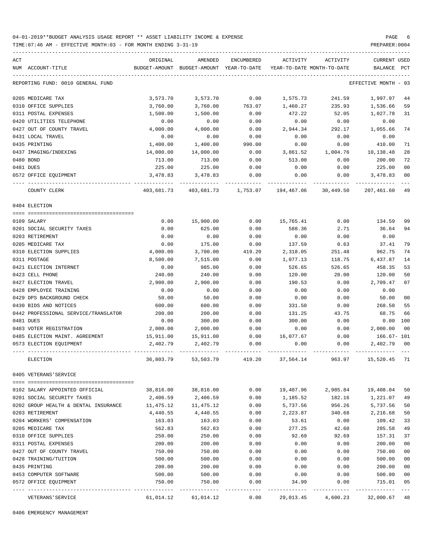TIME:07:46 AM - EFFECTIVE MONTH:03 - FOR MONTH ENDING 3-31-19 PREPARER:0004

| ACT |                                      | ORIGINAL              | AMENDED          | ENCUMBERED          | ACTIVITY                   | ACTIVITY         | <b>CURRENT USED</b>  |                |
|-----|--------------------------------------|-----------------------|------------------|---------------------|----------------------------|------------------|----------------------|----------------|
|     | NUM ACCOUNT-TITLE                    | BUDGET-AMOUNT         | BUDGET-AMOUNT    | YEAR-TO-DATE        | YEAR-TO-DATE MONTH-TO-DATE |                  | BALANCE              | PCT            |
|     | REPORTING FUND: 0010 GENERAL FUND    |                       |                  |                     |                            |                  | EFFECTIVE MONTH - 03 |                |
|     |                                      |                       |                  |                     |                            |                  |                      |                |
|     | 0205 MEDICARE TAX                    | 3,573.70              | 3,573.70         | 0.00                | 1,575.73                   | 241.59           | 1,997.97             | 44             |
|     | 0310 OFFICE SUPPLIES                 | 3,760.00              | 3,760.00         | 763.07              | 1,460.27                   | 235.93           | 1,536.66             | 59             |
|     | 0311 POSTAL EXPENSES                 | 1,500.00              | 1,500.00         | 0.00                | 472.22                     | 52.05            | 1,027.78             | 31             |
|     | 0420 UTILITIES TELEPHONE             | 0.00                  | 0.00             | 0.00                | 0.00                       | 0.00             | 0.00                 |                |
|     | 0427 OUT OF COUNTY TRAVEL            | 4,000.00              | 4,000.00         | 0.00                | 2,944.34                   | 292.17           | 1,055.66             | 74             |
|     | 0431 LOCAL TRAVEL<br>0435 PRINTING   | 0.00                  | 0.00<br>1,400.00 | 0.00                | 0.00                       | 0.00             | 0.00                 | 71             |
|     | 0437 IMAGING/INDEXING                | 1,400.00<br>14,000.00 | 14,000.00        | 990.00<br>0.00      | 0.00<br>3,861.52           | 0.00<br>1,004.76 | 410.00<br>10,138.48  | 28             |
|     | 0480 BOND                            | 713.00                | 713.00           | 0.00                | 513.00                     | 0.00             | 200.00               | 72             |
|     | 0481 DUES                            | 225.00                | 225.00           | 0.00                | 0.00                       | 0.00             | 225.00               | 0 <sub>0</sub> |
|     | 0572 OFFICE EQUIPMENT                | 3,478.83              | 3,478.83         | 0.00                | 0.00                       | 0.00             | 3,478.83             | 00             |
|     |                                      |                       |                  |                     |                            |                  |                      |                |
|     | COUNTY CLERK                         | 403,681.73            |                  | 403,681.73 1,753.07 | 194,467.06                 | 30,449.50        | 207,461.60           | 49             |
|     | 0404 ELECTION                        |                       |                  |                     |                            |                  |                      |                |
|     |                                      |                       |                  |                     |                            |                  |                      |                |
|     | 0109 SALARY                          | 0.00                  | 15,900.00        | 0.00                | 15,765.41                  | 0.00             | 134.59               | 99             |
|     | 0201 SOCIAL SECURITY TAXES           | 0.00                  | 625.00           | 0.00                | 588.36                     | 2.71             | 36.64                | 94             |
|     | 0203 RETIREMENT                      | 0.00                  | 0.00             | 0.00                | 0.00                       | 0.00             | 0.00                 |                |
|     | 0205 MEDICARE TAX                    | 0.00                  | 175.00           | 0.00                | 137.59                     | 0.63             | 37.41                | 79             |
|     | 0310 ELECTION SUPPLIES               | 4,000.00              | 3,700.00         | 419.20              | 2,318.05                   | 251.48           | 962.75               | 74             |
|     | 0311 POSTAGE                         | 8,500.00              | 7,515.00         | 0.00                | 1,077.13                   | 118.75           | 6,437.87             | 14             |
|     | 0421 ELECTION INTERNET               | 0.00                  | 985.00           | 0.00                | 526.65                     | 526.65           | 458.35               | 53             |
|     | 0423 CELL PHONE                      | 240.00                | 240.00           | 0.00                | 120.00                     | 20.00            | 120.00               | 50             |
|     | 0427 ELECTION TRAVEL                 | 2,900.00              | 2,900.00         | 0.00                | 190.53                     | 0.00             | 2,709.47             | 07             |
|     | 0428 EMPLOYEE TRAINING               | 0.00                  | 0.00             | 0.00                | 0.00                       | 0.00             | 0.00                 |                |
|     | 0429 DPS BACKGROUND CHECK            | 50.00                 | 50.00            | 0.00                | 0.00                       | 0.00             | 50.00                | 00             |
|     | 0430 BIDS AND NOTICES                | 600.00                | 600.00           | 0.00                | 331.50                     | 0.00             | 268.50               | 55             |
|     | 0442 PROFESSIONAL SERVICE/TRANSLATOR | 200.00                | 200.00           | 0.00                | 131.25                     | 43.75            | 68.75                | 66             |
|     | 0481 DUES                            | 0.00                  | 300.00           | 0.00                | 300.00                     | 0.00             | 0.00                 | 100            |
|     | 0483 VOTER REGISTRATION              | 2,000.00              | 2,000.00         | 0.00                | 0.00                       | 0.00             | 2,000.00             | 0 <sup>0</sup> |
|     | 0485 ELECTION MAINT. AGREEMENT       | 15,911.00             | 15,911.00        | 0.00                | 16,077.67                  | 0.00             | 166.67- 101          |                |
|     | 0573 ELECTION EQUIPMENT              | 2,402.79              | 2,402.79         | 0.00                | 0.00                       | 0.00             | 2,402.79             | 00             |
|     | ELECTION                             | 36,803.79             | 53,503.79        | 419.20              | 37,564.14                  | 963.97           | 15,520.45            | 71             |
|     | 0405 VETERANS'SERVICE                |                       |                  |                     |                            |                  |                      |                |
|     |                                      |                       |                  |                     |                            |                  |                      |                |
|     | 0102 SALARY APPOINTED OFFICIAL       | 38,816.00             | 38,816.00        | 0.00                | 19,407.96                  | 2,985.84         | 19,408.04            | 50             |
|     | 0201 SOCIAL SECURITY TAXES           | 2,406.59              | 2,406.59         | 0.00                | 1,185.52                   | 182.16           | 1,221.07             | 49             |
|     | 0202 GROUP HEALTH & DENTAL INSURANCE | 11,475.12             | 11,475.12        | 0.00                | 5,737.56                   | 956.26           | 5,737.56             | 50             |
|     | 0203 RETIREMENT                      | 4,440.55              | 4,440.55         | 0.00                | 2,223.87                   | 340.68           | 2,216.68             | 50             |
|     | 0204 WORKERS' COMPENSATION           | 163.03                | 163.03           | 0.00                | 53.61                      | 0.00             | 109.42               | 33             |
|     | 0205 MEDICARE TAX                    | 562.83                | 562.83           | 0.00                | 277.25                     | 42.60            | 285.58               | 49             |
|     | 0310 OFFICE SUPPLIES                 | 250.00                | 250.00           | 0.00                | 92.69                      | 92.69            | 157.31               | 37             |
|     | 0311 POSTAL EXPENSES                 | 200.00                | 200.00           | 0.00                | 0.00                       | 0.00             | 200.00               | 0 <sub>0</sub> |
|     | 0427 OUT OF COUNTY TRAVEL            | 750.00                | 750.00           | 0.00                | 0.00                       | 0.00             | 750.00               | 0 <sub>0</sub> |
|     | 0428 TRAINING/TUITION                | 500.00                | 500.00           | 0.00                | 0.00                       | 0.00             | 500.00               | 0 <sub>0</sub> |
|     | 0435 PRINTING                        | 200.00                | 200.00           | 0.00                | 0.00                       | 0.00             | 200.00               | 0 <sub>0</sub> |
|     | 0453 COMPUTER SOFTWARE               | 500.00                | 500.00           | 0.00                | 0.00                       | 0.00             | 500.00               | 0 <sub>0</sub> |
|     | 0572 OFFICE EQUIPMENT                | 750.00                | 750.00           | 0.00                | 34.99                      | 0.00             | 715.01               | 05<br>$---$    |
|     | VETERANS ' SERVICE                   | 61,014.12             | 61,014.12        | 0.00                | 29,013.45                  | 4,600.23         | 32,000.67            | 48             |

0406 EMERGENCY MANAGEMENT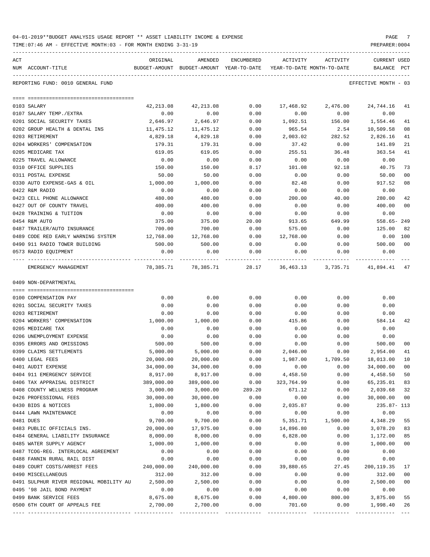| 04-01-2019**BUDGET ANALYSIS USAGE REPORT ** ASSET LIABILITY INCOME & EXPENSE |  |  | PAGE |  |
|------------------------------------------------------------------------------|--|--|------|--|
|                                                                              |  |  |      |  |

TIME:07:46 AM - EFFECTIVE MONTH:03 - FOR MONTH ENDING 3-31-19 PREPARER:0004

| ACT                                                             | ORIGINAL         | AMENDED                                                             | ENCUMBERED   | ACTIVITY         | ACTIVITY       | <b>CURRENT USED</b>  |                |
|-----------------------------------------------------------------|------------------|---------------------------------------------------------------------|--------------|------------------|----------------|----------------------|----------------|
| NUM ACCOUNT-TITLE                                               |                  | BUDGET-AMOUNT BUDGET-AMOUNT YEAR-TO-DATE YEAR-TO-DATE MONTH-TO-DATE |              |                  |                | BALANCE PCT          |                |
| REPORTING FUND: 0010 GENERAL FUND                               |                  |                                                                     |              |                  |                | EFFECTIVE MONTH - 03 |                |
|                                                                 |                  |                                                                     |              |                  |                |                      |                |
|                                                                 |                  |                                                                     |              |                  |                |                      |                |
| 0103 SALARY                                                     | 42, 213.08       | 42, 213.08                                                          | 0.00         | 17,468.92        | 2,476.00       | 24,744.16            | 41             |
| 0107 SALARY TEMP./EXTRA<br>0201 SOCIAL SECURITY TAXES           | 0.00<br>2,646.97 | 0.00<br>2,646.97                                                    | 0.00<br>0.00 | 0.00<br>1,092.51 | 0.00<br>156.00 | 0.00<br>1,554.46     | 41             |
| 0202 GROUP HEALTH & DENTAL INS                                  | 11,475.12        | 11,475.12                                                           | 0.00         | 965.54           | 2.54           | 10,509.58            | 08             |
| 0203 RETIREMENT                                                 | 4,829.18         | 4,829.18                                                            | 0.00         | 2,003.02         | 282.52         | 2,826.16             | 41             |
| 0204 WORKERS' COMPENSATION                                      | 179.31           | 179.31                                                              | 0.00         | 37.42            | 0.00           | 141.89               | 21             |
| 0205 MEDICARE TAX                                               | 619.05           | 619.05                                                              | 0.00         | 255.51           | 36.48          | 363.54               | 41             |
| 0225 TRAVEL ALLOWANCE                                           | 0.00             | 0.00                                                                | 0.00         | 0.00             | 0.00           | 0.00                 |                |
| 0310 OFFICE SUPPLIES                                            | 150.00           | 150.00                                                              | 8.17         | 101.08           | 92.18          | 40.75                | 73             |
| 0311 POSTAL EXPENSE                                             | 50.00            | 50.00                                                               | 0.00         | 0.00             | 0.00           | 50.00                | 0 <sub>0</sub> |
| 0330 AUTO EXPENSE-GAS & OIL                                     | 1,000.00         | 1,000.00                                                            | 0.00         | 82.48            | 0.00           | 917.52               | 08             |
| 0422 R&M RADIO                                                  | 0.00             | 0.00                                                                | 0.00         | 0.00             | 0.00           | 0.00                 |                |
| 0423 CELL PHONE ALLOWANCE                                       | 480.00           | 480.00                                                              | 0.00         | 200.00           | 40.00          | 280.00               | 42             |
| 0427 OUT OF COUNTY TRAVEL                                       | 400.00           | 400.00                                                              | 0.00         | 0.00             | 0.00           | 400.00               | 0 <sub>0</sub> |
| 0428 TRAINING & TUITION                                         | 0.00             | 0.00                                                                | 0.00         | 0.00             | 0.00           | 0.00                 |                |
| 0454 R&M AUTO                                                   | 375.00           | 375.00                                                              | 20.00        | 913.65           | 649.99         | $558.65 - 249$       |                |
| 0487 TRAILER/AUTO INSURANCE                                     | 700.00           | 700.00                                                              | 0.00         | 575.00           | 0.00           | 125.00               | 82             |
| 0489 CODE RED EARLY WARNING SYSTEM                              | 12,768.00        | 12,768.00                                                           | 0.00         | 12,768.00        | 0.00           | $0.00$ 100           |                |
| 0490 911 RADIO TOWER BUILDING                                   | 500.00           | 500.00                                                              | 0.00         | 0.00             | 0.00           | 500.00               | 0 <sub>0</sub> |
| 0573 RADIO EQUIPMENT                                            | 0.00             | 0.00                                                                | 0.00         | 0.00             | 0.00           | 0.00                 |                |
| EMERGENCY MANAGEMENT                                            |                  | 78,385.71 78,385.71 28.17 36,463.13 3,735.71 41,894.41              |              |                  |                |                      | 47             |
| 0409 NON-DEPARTMENTAL                                           |                  |                                                                     |              |                  |                |                      |                |
|                                                                 |                  |                                                                     |              |                  |                |                      |                |
| 0100 COMPENSATION PAY                                           | 0.00             | 0.00                                                                | 0.00         | 0.00             | 0.00           | 0.00                 |                |
| 0201 SOCIAL SECURITY TAXES                                      | 0.00             | 0.00                                                                | 0.00         | 0.00             | 0.00           | 0.00                 |                |
| 0203 RETIREMENT<br>0204 WORKERS' COMPENSATION                   | 0.00<br>1,000.00 | 0.00<br>1,000.00                                                    | 0.00<br>0.00 | 0.00<br>415.86   | 0.00<br>0.00   | 0.00<br>584.14       | 42             |
| 0205 MEDICARE TAX                                               | 0.00             | 0.00                                                                | 0.00         | 0.00             | 0.00           | 0.00                 |                |
| 0206 UNEMPLOYMENT EXPENSE                                       | 0.00             | 0.00                                                                | 0.00         | 0.00             | 0.00           | 0.00                 |                |
| 0395 ERRORS AND OMISSIONS                                       | 500.00           | 500.00                                                              | 0.00         | 0.00             | 0.00           | 500.00               | 0 <sub>0</sub> |
| 0399 CLAIMS SETTLEMENTS                                         | 5,000.00         | 5,000.00                                                            | 0.00         | 2,046.00         | 0.00           | 2,954.00             | 41             |
| 0400 LEGAL FEES                                                 | 20,000.00        | 20,000.00                                                           | 0.00         | 1,987.00         | 1,709.50       | 18,013.00            | 10             |
| 0401 AUDIT EXPENSE                                              | 34,000.00        | 34,000.00                                                           | 0.00         | 0.00             | 0.00           | 34,000.00            | 00             |
| 0404 911 EMERGENCY SERVICE                                      | 8,917.00         | 8,917.00                                                            | 0.00         | 4,458.50         | 0.00           | 4,458.50             | 50             |
| 0406 TAX APPRAISAL DISTRICT                                     | 389,000.00       | 389,000.00                                                          | 0.00         | 323,764.99       | 0.00           | 65,235.01            | 83             |
| 0408 COUNTY WELLNESS PROGRAM                                    | 3,000.00         | 3,000.00                                                            | 289.20       | 671.12           | 0.00           | 2,039.68             | 32             |
| 0426 PROFESSIONAL FEES                                          | 30,000.00        | 30,000.00                                                           | 0.00         | 0.00             | 0.00           | 30,000.00            | 0 <sub>0</sub> |
| 0430 BIDS & NOTICES                                             | 1,800.00         | 1,800.00                                                            | 0.00         | 2,035.87         | 0.00           | 235.87- 113          |                |
| 0444 LAWN MAINTENANCE                                           | 0.00             | 0.00                                                                | 0.00         | 0.00             | 0.00           | 0.00                 |                |
| 0481 DUES                                                       | 9,700.00         | 9,700.00                                                            | 0.00         | 5,351.71         | 1,500.00       | 4,348.29             | 55             |
| 0483 PUBLIC OFFICIALS INS.                                      | 20,000.00        | 17,975.00                                                           | 0.00         | 14,896.80        | 0.00           | 3,078.20             | 83             |
| 0484 GENERAL LIABILITY INSURANCE                                | 8,000.00         | 8,000.00                                                            | 0.00         | 6,828.00         | 0.00           | 1,172.00             | 85             |
| 0485 WATER SUPPLY AGENCY<br>0487 TCOG-REG. INTERLOCAL AGREEMENT | 1,000.00<br>0.00 | 1,000.00                                                            | 0.00         | 0.00             | 0.00           | 1,000.00             | 0 <sub>0</sub> |
| 0488 FANNIN RURAL RAIL DIST                                     | 0.00             | 0.00<br>0.00                                                        | 0.00<br>0.00 | 0.00<br>0.00     | 0.00<br>0.00   | 0.00<br>0.00         |                |
| 0489 COURT COSTS/ARREST FEES                                    | 240,000.00       | 240,000.00                                                          | 0.00         | 39,880.65        | 27.45          | 200, 119.35          | 17             |
| 0490 MISCELLANEOUS                                              | 312.00           | 312.00                                                              | 0.00         | 0.00             | 0.00           | 312.00               | 0 <sub>0</sub> |
| 0491 SULPHUR RIVER REGIONAL MOBILITY AU                         | 2,500.00         | 2,500.00                                                            | 0.00         | 0.00             | 0.00           | 2,500.00             | 0 <sub>0</sub> |
| 0495 '98 JAIL BOND PAYMENT                                      | 0.00             | 0.00                                                                | 0.00         | 0.00             | 0.00           | 0.00                 |                |
| 0499 BANK SERVICE FEES                                          | 8,675.00         | 8,675.00                                                            | 0.00         | 4,800.00         | 800.00         | 3,875.00             | 55             |
| 0500 6TH COURT OF APPEALS FEE                                   | 2,700.00         | 2,700.00                                                            | 0.00         | 701.60           | 0.00           | 1,998.40             | 26             |

---- ---------------------------------- ------------- ------------- ------------ ------------- ------------ ------------- ---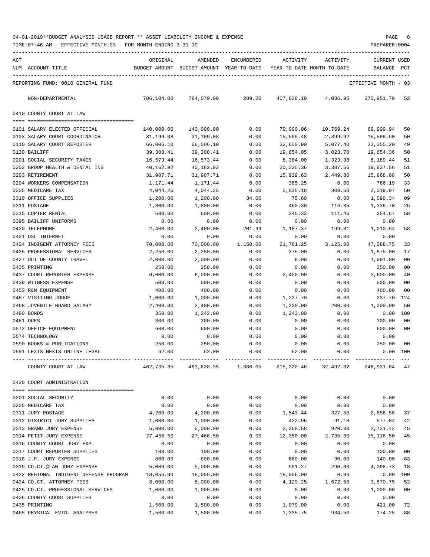| ACT | NUM ACCOUNT-TITLE                                           | ORIGINAL               | AMENDED<br>BUDGET-AMOUNT BUDGET-AMOUNT YEAR-TO-DATE | ENCUMBERED   | ACTIVITY               | <b>ACTIVITY</b><br>YEAR-TO-DATE MONTH-TO-DATE | <b>CURRENT USED</b><br><b>BALANCE</b> | PCT            |
|-----|-------------------------------------------------------------|------------------------|-----------------------------------------------------|--------------|------------------------|-----------------------------------------------|---------------------------------------|----------------|
|     | REPORTING FUND: 0010 GENERAL FUND                           |                        |                                                     |              |                        |                                               | EFFECTIVE MONTH - 03                  |                |
|     | NON-DEPARTMENTAL                                            | 786,104.00             | 784,079.00                                          | 289.20       | 407,838.10             | 4,036.95                                      | 375,951.70                            | 52             |
|     | 0410 COUNTY COURT AT LAW                                    |                        |                                                     |              |                        |                                               |                                       |                |
|     |                                                             |                        |                                                     |              |                        |                                               |                                       |                |
|     | 0101 SALARY ELECTED OFFICIAL                                | 140,000.00             | 140,000.00                                          | 0.00         | 70,000.06              | 10,769.24                                     | 69,999.94                             | 50             |
|     | 0103 SALARY COURT COORDINATOR<br>0110 SALARY COURT REPORTER | 31,199.08<br>66,006.10 | 31,199.08<br>66,006.10                              | 0.00<br>0.00 | 15,599.48<br>32,650.90 | 2,399.92<br>5,077.40                          | 15,599.60<br>33, 355. 20              | 50<br>49       |
|     | 0130 BAILIFF                                                | 39,308.41              | 39,308.41                                           | 0.00         | 19,654.05              | 3,023.70                                      | 19,654.36                             | 50             |
|     | 0201 SOCIAL SECURITY TAXES                                  | 16,573.44              | 16,573.44                                           | 0.00         | 8,384.00               | 1,323.38                                      | 8,189.44                              | 51             |
|     | 0202 GROUP HEALTH & DENTAL INS                              | 40,162.92              | 40,162.92                                           | 0.00         | 20,325.36              | 3,387.56                                      | 19,837.56                             | 51             |
|     | 0203 RETIREMENT                                             | 31,907.71              | 31,907.71                                           | 0.00         | 15,939.63              | 2,449.80                                      | 15,968.08                             | 50             |
|     | 0204 WORKERS COMPENSATION                                   | 1,171.44               | 1,171.44                                            | 0.00         | 385.25                 | 0.00                                          | 786.19                                | 33             |
|     | 0205 MEDICARE TAX                                           | 4,044.25               | 4,044.25                                            | 0.00         | 2,025.18               | 309.50                                        | 2,019.07                              | 50             |
|     | 0310 OFFICE SUPPLIES                                        | 1,200.00               | 1,200.00                                            | 34.06        | 75.60                  | 0.00                                          | 1,090.34                              | 09             |
|     | 0311 POSTAGE                                                | 1,800.00               | 1,800.00                                            | 0.00         | 460.30                 | 116.35                                        | 1,339.70                              | 26             |
|     | 0315 COPIER RENTAL                                          | 600.00                 | 600.00                                              | 0.00         | 345.33                 | 111.46                                        | 254.67                                | 58             |
|     | 0395 BAILIFF UNIFORMS                                       | 0.00                   | 0.00                                                | 0.00         | 0.00                   | 0.00                                          | 0.00                                  |                |
|     | 0420 TELEPHONE                                              | 2,400.00               | 2,400.00                                            | 201.99       | 1,187.37               | 199.01                                        | 1,010.64                              | 58             |
|     | 0421 DSL INTERNET                                           | 0.00                   | 0.00                                                | 0.00         | 0.00                   | 0.00                                          | 0.00                                  |                |
|     | 0424 INDIGENT ATTORNEY FEES                                 | 70,000.00              | 70,000.00                                           | 1,150.00     | 21,761.25              | 3,125.00                                      | 47,088.75                             | 33             |
|     | 0425 PROFESSIONAL SERVICES                                  | 2,250.00               | 2,250.00                                            | 0.00         | 375.00                 | 0.00                                          | 1,875.00                              | 17             |
|     | 0427 OUT OF COUNTY TRAVEL                                   | 2,000.00               | 2,000.00                                            | 0.00         | 9.00                   | 0.00                                          | 1,991.00                              | 0 <sub>0</sub> |
|     | 0435 PRINTING                                               | 250.00                 | 250.00                                              | 0.00         | 0.00                   | 0.00                                          | 250.00                                | 00             |
|     | 0437 COURT REPORTER EXPENSE                                 | 6,000.00               | 6,000.00                                            | 0.00         | 2,400.00               | 0.00                                          | 3,600.00                              | 40             |
|     | 0439 WITNESS EXPENSE                                        | 500.00                 | 500.00                                              | 0.00         | 0.00                   | 0.00                                          | 500.00                                | 00             |
|     | 0453 R&M EQUIPMENT                                          | 400.00                 | 400.00                                              | 0.00         | 0.00                   | 0.00                                          | 400.00                                | 00             |
|     | 0467 VISITING JUDGE                                         | 1,000.00               | 1,000.00                                            | 0.00         | 1,237.70               | 0.00                                          | 237.70- 124                           |                |
|     | 0468 JUVENILE BOARD SALARY                                  | 2,400.00               | 2,400.00                                            | 0.00         | 1,200.00               | 200.00                                        | 1,200.00                              | 50             |
|     | 0480 BONDS                                                  | 350.00                 | 1,243.00                                            | 0.00         | 1,243.00               | 0.00                                          | 0.00                                  | 100            |
|     | 0481 DUES                                                   | 300.00                 | 300.00                                              | 0.00         | 0.00                   | 0.00                                          | 300.00                                | 00             |
|     | 0572 OFFICE EQUIPMENT                                       | 600.00                 | 600.00                                              | 0.00         | 0.00                   | 0.00                                          | 600.00                                | 0 <sub>0</sub> |
|     | 0574 TECHNOLOGY                                             | 0.00                   | 0.00                                                | 0.00         | 0.00                   | 0.00                                          | 0.00                                  |                |
|     | 0590 BOOKS & PUBLICATIONS                                   | 250.00                 | 250.00                                              | 0.00         | 0.00                   | 0.00                                          | 250.00                                | 00             |
|     | 0591 LEXIS NEXIS ONLINE LEGAL                               | 62.00                  | 62.00                                               | 0.00         | 62.00                  | 0.00                                          | 0.00                                  | 100            |
|     | COUNTY COURT AT LAW                                         | 462,735.35             | 463,628.35                                          | 1,386.05     | 215,320.46             | 32,492.32                                     | 246,921.84                            | - 47           |
|     | 0425 COURT ADMINISTRATION                                   |                        |                                                     |              |                        |                                               |                                       |                |
|     |                                                             |                        |                                                     |              |                        |                                               |                                       |                |
|     | 0201 SOCIAL SECURITY                                        | 0.00                   | 0.00                                                | 0.00         | 0.00                   | 0.00                                          | 0.00                                  |                |
|     | 0205 MEDICARE TAX                                           | 0.00                   | 0.00                                                | 0.00         | 0.00                   | 0.00                                          | 0.00                                  |                |
|     | 0311 JURY POSTAGE                                           | 4,200.00               | 4,200.00                                            | 0.00         | 1,543.44               | 327.50                                        | 2,656.56                              | 37             |
|     | 0312 DISTRICT JURY SUPPLIES                                 | 1,000.00               | 1,000.00                                            | 0.00         | 422.96                 | 91.18                                         | 577.04                                | 42             |
|     | 0313 GRAND JURY EXPENSE                                     | 5,000.00               | 5,000.00                                            | 0.00         | 2,268.58               | 920.00                                        | 2,731.42                              | 45             |
|     | 0314 PETIT JURY EXPENSE                                     | 27,466.50              | 27,466.50                                           | 0.00         | 12,350.00              | 2,735.00                                      | 15, 116.50                            | 45             |
|     | 0316 COUNTY COURT JURY EXP.                                 | 0.00                   | 0.00                                                | 0.00         | 0.00                   | 0.00                                          | 0.00                                  |                |
|     | 0317 COURT REPORTER SUPPLIES                                | 100.00                 | 100.00                                              | 0.00         | 0.00                   | 0.00                                          | 100.00                                | 00             |
|     | 0318 J.P. JURY EXPENSE                                      | 800.00                 | 800.00                                              | 0.00         | 660.00                 | 90.00                                         | 140.00                                | 83             |
|     | 0319 CO.CT.@LAW JURY EXPENSE                                | 5,000.00               | 5,000.00                                            | 0.00         | 901.27                 | 290.00                                        | 4,098.73                              | 18             |
|     | 0422 REGIONAL INDIGENT DEFENSE PROGRAM                      | 18,056.00              | 18,056.00                                           | 0.00         | 18,056.00              | 0.00                                          | 0.00                                  | 100            |
|     | 0424 CO.CT. ATTORNEY FEES                                   | 8,000.00               | 8,000.00                                            | 0.00         | 4,129.25               | 1,672.50                                      | 3,870.75                              | 52             |
|     | 0425 CO.CT. PROFESSIONAL SERVICES                           | 1,000.00               | 1,000.00                                            | 0.00         | 0.00                   | 0.00                                          | 1,000.00                              | 00             |
|     | 0426 COUNTY COURT SUPPLIES                                  | 0.00                   | 0.00                                                | 0.00         | 0.00                   | 0.00                                          | 0.00                                  |                |
|     | 0435 PRINTING                                               | 1,500.00               | 1,500.00                                            | 0.00         | 1,079.00               | 0.00                                          | 421.00                                | 72             |
|     | 0465 PHYSICAL EVID. ANALYSES                                | 1,500.00               | 1,500.00                                            | 0.00         | 1,325.75               | $934.50 -$                                    | 174.25                                | 88             |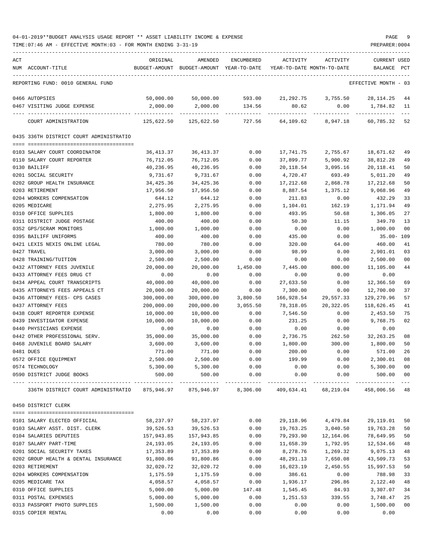TIME:07:46 AM - EFFECTIVE MONTH:03 - FOR MONTH ENDING 3-31-19 PREPARER:0004

| ACT | NUM ACCOUNT-TITLE                                                                                    | ORIGINAL<br>BUDGET-AMOUNT | AMENDED<br>BUDGET-AMOUNT YEAR-TO-DATE | ENCUMBERED | ACTIVITY<br>YEAR-TO-DATE MONTH-TO-DATE | ACTIVITY  | <b>CURRENT USED</b><br>BALANCE PCT |                |
|-----|------------------------------------------------------------------------------------------------------|---------------------------|---------------------------------------|------------|----------------------------------------|-----------|------------------------------------|----------------|
|     | REPORTING FUND: 0010 GENERAL FUND                                                                    |                           |                                       |            |                                        |           | EFFECTIVE MONTH - 03               |                |
|     | 0466 AUTOPSIES                                                                                       | 50,000.00                 | 50,000.00                             | 593.00     | 21,292.75                              | 3,755.50  | 28, 114. 25                        | 44             |
|     | 0467 VISITING JUDGE EXPENSE                                                                          | 2,000.00                  | 2,000.00                              | 134.56     | 80.62                                  | 0.00      | 1,784.82                           | 11             |
|     | COURT ADMINISTRATION                                                                                 | 125,622.50                | 125,622.50                            | 727.56     | 64,109.62                              | 8,947.18  | 60,785.32                          | 52             |
|     | 0435 336TH DISTRICT COURT ADMINISTRATIO                                                              |                           |                                       |            |                                        |           |                                    |                |
|     | 0103 SALARY COURT COORDINATOR                                                                        | 36,413.37                 | 36, 413.37                            | 0.00       | 17,741.75                              | 2,755.67  | 18,671.62                          | 49             |
|     | 0110 SALARY COURT REPORTER                                                                           | 76,712.05                 | 76,712.05                             | 0.00       | 37,899.77                              | 5,900.92  | 38,812.28                          | 49             |
|     | 0130 BAILIFF                                                                                         | 40,236.95                 | 40,236.95                             | 0.00       | 20,118.54                              | 3,095.16  | 20, 118.41                         | 50             |
|     | 0201 SOCIAL SECURITY                                                                                 | 9,731.67                  | 9,731.67                              | 0.00       | 4,720.47                               | 693.49    | 5,011.20                           | 49             |
|     | 0202 GROUP HEALTH INSURANCE                                                                          | 34,425.36                 | 34,425.36                             | 0.00       | 17,212.68                              | 2,868.78  | 17,212.68                          | 50             |
|     | 0203 RETIREMENT                                                                                      | 17,956.50                 | 17,956.50                             | 0.00       | 8,887.54                               | 1,375.12  | 9,068.96                           | 49             |
|     | 0204 WORKERS COMPENSATION                                                                            | 644.12                    | 644.12                                | 0.00       | 211.83                                 | 0.00      | 432.29                             | 33             |
|     | 0205 MEDICARE                                                                                        | 2,275.95                  | 2,275.95                              | 0.00       | 1,104.01                               | 162.19    | 1,171.94                           | 49             |
|     | 0310 OFFICE SUPPLIES                                                                                 | 1,800.00                  | 1,800.00                              | 0.00       | 493.95                                 | 50.68     | 1,306.05                           | 27             |
|     | 0311 DISTRICT JUDGE POSTAGE                                                                          | 400.00                    | 400.00                                | 0.00       | 50.30                                  | 11.15     | 349.70                             | 13             |
|     | 0352 GPS/SCRAM MONITORS                                                                              | 1,000.00                  | 1,000.00                              | 0.00       | 0.00                                   | 0.00      | 1,000.00                           | 0 <sub>0</sub> |
|     | 0395 BAILIFF UNIFORMS                                                                                | 400.00                    | 400.00                                | 0.00       | 435.00                                 | 0.00      | $35.00 - 109$                      |                |
|     | 0421 LEXIS NEXIS ONLINE LEGAL                                                                        | 780.00                    | 780.00                                | 0.00       | 320.00                                 | 64.00     | 460.00                             | 41             |
|     | 0427 TRAVEL                                                                                          | 3,000.00                  | 3,000.00                              | 0.00       | 98.99                                  | 0.00      | 2,901.01                           | 03             |
|     | 0428 TRAINING/TUITION                                                                                | 2,500.00                  | 2,500.00                              | 0.00       | 0.00                                   | 0.00      | 2,500.00                           | 0 <sub>0</sub> |
|     | 0432 ATTORNEY FEES JUVENILE                                                                          | 20,000.00                 | 20,000.00                             | 1,450.00   | 7,445.00                               | 800.00    | 11,105.00                          | 44             |
|     | 0433 ATTORNEY FEES DRUG CT                                                                           | 0.00                      | 0.00                                  | 0.00       | 0.00                                   | 0.00      | 0.00                               |                |
|     | 0434 APPEAL COURT TRANSCRIPTS                                                                        | 40,000.00                 | 40,000.00                             | 0.00       | 27,633.50                              | 0.00      | 12,366.50                          | 69             |
|     | 0435 ATTORNEYS FEES APPEALS CT                                                                       | 20,000.00                 | 20,000.00                             | 0.00       | 7,300.00                               | 0.00      | 12,700.00                          | 37             |
|     | 0436 ATTORNEY FEES- CPS CASES                                                                        | 300,000.00                | 300,000.00                            | 3,800.50   | 166,928.54                             | 29,557.33 | 129,270.96                         | 57             |
|     | 0437 ATTORNEY FEES                                                                                   | 200,000.00                | 200,000.00                            | 3,055.50   | 78,318.05                              | 20,322.05 | 118,626.45                         | 41             |
|     | 0438 COURT REPORTER EXPENSE                                                                          | 10,000.00                 | 10,000.00                             | 0.00       | 7,546.50                               | 0.00      | 2,453.50                           | 75             |
|     | 0439 INVESTIGATOR EXPENSE                                                                            | 10,000.00                 | 10,000.00                             | 0.00       | 231.25                                 | 0.00      | 9,768.75                           | 02             |
|     | 0440 PHYSICIANS EXPENSE                                                                              | 0.00                      | 0.00                                  | 0.00       | 0.00                                   | 0.00      | 0.00                               |                |
|     | 0442 OTHER PROFESSIONAL SERV.                                                                        | 35,000.00                 | 35,000.00                             | 0.00       | 2,736.75                               | 262.50    | 32, 263. 25                        | 08             |
|     | 0468 JUVENILE BOARD SALARY                                                                           | 3,600.00                  | 3,600.00                              | 0.00       | 1,800.00                               | 300.00    | 1,800.00                           | 50             |
|     | 0481 DUES                                                                                            | 771.00                    | 771.00                                | 0.00       | 200.00                                 | 0.00      | 571.00                             | 26             |
|     | 0572 OFFICE EQUIPMENT                                                                                | 2,500.00                  | 2,500.00                              | 0.00       | 199.99                                 | 0.00      | 2,300.01                           | 08             |
|     | 0574 TECHNOLOGY                                                                                      | 5,300.00                  | 5,300.00                              | 0.00       | 0.00                                   | 0.00      | 5,300.00                           | 0 <sub>0</sub> |
|     | 0590 DISTRICT JUDGE BOOKS                                                                            | 500.00                    | 500.00                                | 0.00       | 0.00                                   | 0.00      | 500.00                             | 00             |
|     | 336TH DISTRICT COURT ADMINISTRATIO 875,946.97 875,946.97 8,306.00 409,634.41 68,219.04 458,006.56 48 |                           |                                       |            |                                        |           |                                    |                |
|     | 0450 DISTRICT CLERK                                                                                  |                           |                                       |            |                                        |           |                                    |                |
|     | 0101 SALARY ELECTED OFFICIAL                                                                         | 58,237.97                 | 58,237.97                             | 0.00       | 29,118.96                              | 4,479.84  | 29,119.01                          | 50             |
|     | 0103 SALARY ASST. DIST. CLERK                                                                        | 39,526.53                 | 39,526.53                             | 0.00       | 19,763.25                              | 3,040.50  | 19,763.28                          | 50             |
|     | 0104 SALARIES DEPUTIES                                                                               | 157,943.85                | 157,943.85                            | 0.00       | 79,293.90                              | 12,164.06 | 78,649.95                          | 50             |
|     | 0107 SALARY PART-TIME                                                                                | 24,193.05                 | 24,193.05                             | 0.00       | 11,658.39                              | 1,792.95  | 12,534.66                          | 48             |
|     | 0201 SOCIAL SECURITY TAXES                                                                           | 17,353.89                 | 17,353.89                             | 0.00       | 8,278.76                               | 1,269.32  | 9,075.13                           | 48             |
|     | 0202 GROUP HEALTH & DENTAL INSURANCE                                                                 | 91,800.86                 | 91,800.86                             | 0.00       | 48,291.13                              | 7,650.08  | 43,509.73                          | 53             |
|     | 0203 RETIREMENT                                                                                      | 32,020.72                 | 32,020.72                             | 0.00       | 16,023.19                              | 2,450.55  | 15,997.53                          | 50             |
|     | 0204 WORKERS COMPENSATION                                                                            | 1,175.59                  | 1,175.59                              | 0.00       | 386.61                                 | 0.00      | 788.98                             | 33             |
|     | 0205 MEDICARE TAX                                                                                    | 4,058.57                  | 4,058.57                              | 0.00       | 1,936.17                               | 296.86    | 2,122.40                           | 48             |
|     | 0310 OFFICE SUPPLIES                                                                                 | 5,000.00                  | 5,000.00                              | 147.48     | 1,545.45                               | 84.93     | 3,307.07                           | 34             |
|     | 0311 POSTAL EXPENSES                                                                                 | 5,000.00                  | 5,000.00                              | 0.00       | 1,251.53                               | 339.55    | 3,748.47                           | 25             |
|     | 0313 PASSPORT PHOTO SUPPLIES                                                                         | 1,500.00                  | 1,500.00                              | 0.00       | 0.00                                   | 0.00      | 1,500.00                           | 0 <sub>0</sub> |

0315 COPIER RENTAL 0.00 0.00 0.00 0.00 0.00 0.00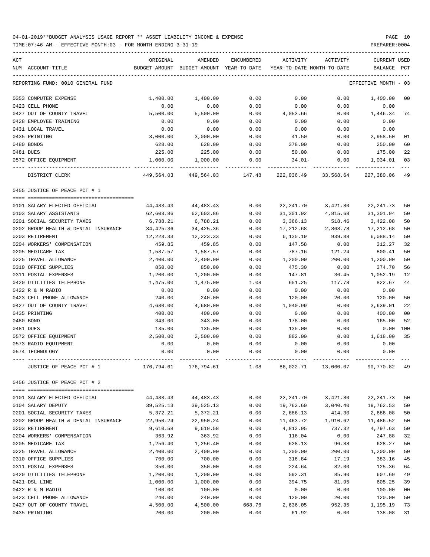| ACT | NUM ACCOUNT-TITLE                                                  | ORIGINAL<br>BUDGET-AMOUNT | AMENDED<br>BUDGET-AMOUNT YEAR-TO-DATE | ENCUMBERED        | ACTIVITY<br>YEAR-TO-DATE MONTH-TO-DATE | ACTIVITY             | <b>CURRENT USED</b><br>BALANCE | PCT            |
|-----|--------------------------------------------------------------------|---------------------------|---------------------------------------|-------------------|----------------------------------------|----------------------|--------------------------------|----------------|
|     | REPORTING FUND: 0010 GENERAL FUND                                  |                           |                                       |                   |                                        |                      | EFFECTIVE MONTH - 03           |                |
|     | 0353 COMPUTER EXPENSE                                              | 1,400.00                  | 1,400.00                              | 0.00              | 0.00                                   | 0.00                 | 1,400.00                       | 00             |
|     | 0423 CELL PHONE                                                    | 0.00                      | 0.00                                  | 0.00              | 0.00                                   | 0.00                 | 0.00                           |                |
|     | 0427 OUT OF COUNTY TRAVEL                                          | 5,500.00                  | 5,500.00                              | 0.00              | 4,053.66                               | 0.00                 | 1,446.34                       | 74             |
|     | 0428 EMPLOYEE TRAINING                                             | 0.00                      | 0.00                                  | 0.00              | 0.00                                   | 0.00                 | 0.00                           |                |
|     | 0431 LOCAL TRAVEL                                                  | 0.00                      | 0.00                                  | 0.00              | 0.00                                   | 0.00                 | 0.00                           |                |
|     | 0435 PRINTING                                                      | 3,000.00                  | 3,000.00                              | 0.00              | 41.50                                  | 0.00                 | 2,958.50                       | 01             |
|     | 0480 BONDS                                                         | 628.00                    | 628.00                                | 0.00              | 378.00                                 | 0.00                 | 250.00                         | 60             |
|     | 0481 DUES                                                          | 225.00                    | 225.00                                | 0.00              | 50.00                                  | 0.00                 | 175.00                         | 22             |
|     | 0572 OFFICE EQUIPMENT                                              | 1,000.00                  | 1,000.00                              | 0.00              | 34.01-                                 | 0.00                 | 1,034.01                       | 03             |
|     | DISTRICT CLERK                                                     | 449,564.03                |                                       | 449,564.03 147.48 |                                        | 222,036.49 33,568.64 | 227,380.06                     | 49             |
|     | 0455 JUSTICE OF PEACE PCT # 1                                      |                           |                                       |                   |                                        |                      |                                |                |
|     |                                                                    |                           |                                       |                   |                                        |                      |                                |                |
|     | 0101 SALARY ELECTED OFFICIAL                                       | 44,483.43                 | 44,483.43                             | 0.00              | 22,241.70                              | 3,421.80             | 22, 241.73                     | 50             |
|     | 0103 SALARY ASSISTANTS                                             | 62,603.86                 | 62,603.86                             | 0.00              | 31,301.92                              | 4,815.68<br>518.46   | 31,301.94                      | 50             |
|     | 0201 SOCIAL SECURITY TAXES<br>0202 GROUP HEALTH & DENTAL INSURANCE | 6,788.21                  | 6,788.21                              | 0.00              | 3,366.13                               |                      | 3,422.08                       | 50             |
|     | 0203 RETIREMENT                                                    | 34,425.36                 | 34,425.36                             | 0.00              | 17,212.68                              | 2,868.78             | 17,212.68<br>6,088.14          | 50             |
|     |                                                                    | 12,223.33<br>459.85       | 12,223.33<br>459.85                   | 0.00              | 6,135.19                               | 939.88<br>0.00       | 312.27                         | 50<br>32       |
|     | 0204 WORKERS' COMPENSATION                                         |                           |                                       | 0.00              | 147.58                                 |                      |                                |                |
|     | 0205 MEDICARE TAX                                                  | 1,587.57                  | 1,587.57                              | 0.00              | 787.16                                 | 121.24               | 800.41                         | 50             |
|     | 0225 TRAVEL ALLOWANCE                                              | 2,400.00                  | 2,400.00                              | 0.00              | 1,200.00                               | 200.00               | 1,200.00                       | 50             |
|     | 0310 OFFICE SUPPLIES                                               | 850.00                    | 850.00                                | 0.00              | 475.30                                 | 0.00                 | 374.70                         | 56<br>12       |
|     | 0311 POSTAL EXPENSES                                               | 1,200.00                  | 1,200.00                              | 0.00              | 147.81                                 | 36.45                | 1,052.19                       | 44             |
|     | 0420 UTILITIES TELEPHONE<br>0422 R & M RADIO                       | 1,475.00<br>0.00          | 1,475.00<br>0.00                      | 1.08<br>0.00      | 651.25<br>0.00                         | 117.78<br>0.00       | 822.67<br>0.00                 |                |
|     | 0423 CELL PHONE ALLOWANCE                                          | 240.00                    | 240.00                                | 0.00              |                                        |                      |                                | 50             |
|     | 0427 OUT OF COUNTY TRAVEL                                          |                           |                                       |                   | 120.00                                 | 20.00                | 120.00                         | 22             |
|     | 0435 PRINTING                                                      | 4,680.00<br>400.00        | 4,680.00<br>400.00                    | 0.00<br>0.00      | 1,040.99<br>0.00                       | 0.00<br>0.00         | 3,639.01<br>400.00             | 0 <sub>0</sub> |
|     | 0480 BOND                                                          | 343.00                    | 343.00                                | 0.00              | 178.00                                 | 0.00                 | 165.00                         | 52             |
|     | 0481 DUES                                                          | 135.00                    | 135.00                                | 0.00              | 135.00                                 | 0.00                 | $0.00$ 100                     |                |
|     | 0572 OFFICE EQUIPMENT                                              | 2,500.00                  | 2,500.00                              | 0.00              |                                        |                      | 1,618.00                       | 35             |
|     | 0573 RADIO EQUIPMENT                                               | 0.00                      |                                       |                   | 882.00                                 | 0.00                 |                                |                |
|     | 0574 TECHNOLOGY                                                    | 0.00                      | 0.00<br>0.00                          | 0.00<br>0.00      | 0.00<br>0.00                           | 0.00<br>0.00         | 0.00<br>0.00                   |                |
|     |                                                                    |                           |                                       |                   |                                        |                      |                                |                |
|     | JUSTICE OF PEACE PCT # 1                                           | 176,794.61                | 176,794.61                            | 1.08              | 86,022.71                              | 13,060.07            | 90,770.82                      |                |
|     | 0456 JUSTICE OF PEACE PCT # 2                                      |                           |                                       |                   |                                        |                      |                                |                |
|     | 0101 SALARY ELECTED OFFICIAL                                       | 44, 483. 43               | 44, 483. 43                           | 0.00              | 22, 241.70                             | 3,421.80             | 22, 241.73                     | 50             |
|     | 0104 SALARY DEPUTY                                                 | 39,525.13                 | 39,525.13                             | 0.00              | 19,762.60                              | 3,040.40             | 19,762.53                      | 50             |
|     | 0201 SOCIAL SECURITY TAXES                                         | 5,372.21                  | 5,372.21                              | 0.00              | 2,686.13                               | 414.30               | 2,686.08                       | 50             |
|     | 0202 GROUP HEALTH & DENTAL INSURANCE                               | 22,950.24                 | 22,950.24                             | 0.00              | 11,463.72                              | 1,910.62             | 11,486.52                      | 50             |
|     | 0203 RETIREMENT                                                    | 9,610.58                  | 9,610.58                              | 0.00              | 4,812.95                               | 737.32               | 4,797.63                       | 50             |
|     | 0204 WORKERS' COMPENSATION                                         | 363.92                    | 363.92                                | 0.00              | 116.04                                 | 0.00                 | 247.88                         | 32             |
|     | 0205 MEDICARE TAX                                                  | 1,256.40                  | 1,256.40                              | 0.00              | 628.13                                 | 96.88                | 628.27                         | 50             |
|     | 0225 TRAVEL ALLOWANCE                                              | 2,400.00                  | 2,400.00                              | 0.00              | 1,200.00                               | 200.00               | 1,200.00                       | 50             |
|     | 0310 OFFICE SUPPLIES                                               | 700.00                    | 700.00                                | 0.00              | 316.84                                 | 17.19                | 383.16                         | 45             |
|     | 0311 POSTAL EXPENSES                                               | 350.00                    | 350.00                                | 0.00              | 224.64                                 | 82.00                | 125.36                         | 64             |
|     | 0420 UTILITIES TELEPHONE                                           | 1,200.00                  | 1,200.00                              | 0.00              | 592.31                                 | 85.90                | 607.69                         | 49             |
|     | 0421 DSL LINE                                                      | 1,000.00                  | 1,000.00                              | 0.00              | 394.75                                 | 81.95                | 605.25                         | 39             |
|     | 0422 R & M RADIO                                                   | 100.00                    | 100.00                                | 0.00              | 0.00                                   | 0.00                 | 100.00                         | 0 <sub>0</sub> |
|     | 0423 CELL PHONE ALLOWANCE                                          | 240.00                    | 240.00                                | 0.00              | 120.00                                 | 20.00                | 120.00                         | 50             |
|     | 0427 OUT OF COUNTY TRAVEL                                          | 4,500.00                  | 4,500.00                              | 668.76            | 2,636.05                               | 952.35               | 1,195.19                       | 73             |
|     | 0435 PRINTING                                                      | 200.00                    | 200.00                                | 0.00              | 61.92                                  | 0.00                 | 138.08                         | 31             |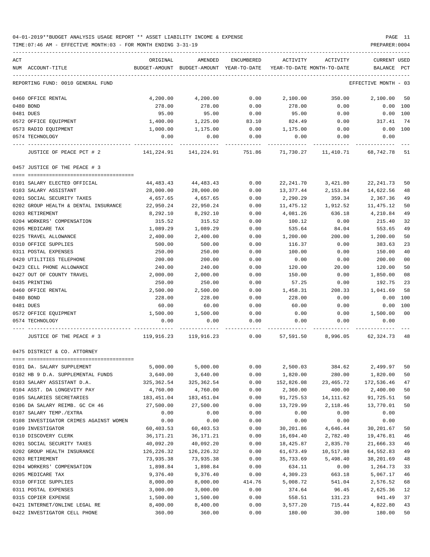TIME:07:46 AM - EFFECTIVE MONTH:03 - FOR MONTH ENDING 3-31-19 PREPARER:0004

| ACT                                                                                               | ORIGINAL                                                            | AMENDED             |        | ENCUMBERED ACTIVITY ACTIVITY          |                      | <b>CURRENT USED</b>  |                |
|---------------------------------------------------------------------------------------------------|---------------------------------------------------------------------|---------------------|--------|---------------------------------------|----------------------|----------------------|----------------|
| NUM ACCOUNT-TITLE                                                                                 | BUDGET-AMOUNT BUDGET-AMOUNT YEAR-TO-DATE YEAR-TO-DATE MONTH-TO-DATE |                     |        |                                       |                      | BALANCE PCT          |                |
| REPORTING FUND: 0010 GENERAL FUND                                                                 |                                                                     |                     |        |                                       |                      | EFFECTIVE MONTH - 03 |                |
| 0460 OFFICE RENTAL                                                                                | 4,200.00                                                            | 4,200.00            |        | $0.00$ $2,100.00$ $350.00$ $2,100.00$ |                      |                      | 50             |
| 0480 BOND                                                                                         | 278.00                                                              | 278.00              | 0.00   | 278.00                                | 0.00                 | $0.00$ 100           |                |
| 0481 DUES                                                                                         | 95.00                                                               | 95.00               | 0.00   | 95.00                                 | 0.00                 | $0.00$ 100           |                |
| 0572 OFFICE EQUIPMENT                                                                             | 1,400.00                                                            | 1,225.00            | 83.10  | 824.49                                | 0.00                 | 317.41               | 74             |
| 0573 RADIO EQUIPMENT                                                                              | 1,000.00                                                            | 1,175.00            | 0.00   | 1,175.00                              | 0.00                 | $0.00$ 100           |                |
| 0574 TECHNOLOGY                                                                                   | 0.00                                                                | 0.00                | 0.00   | 0.00                                  | 0.00                 | 0.00                 |                |
| JUSTICE OF PEACE PCT # 2 08,742.78 141,224.91 141,224.91 151.86 11,730.27 11,410.71 68,742.78     |                                                                     |                     |        |                                       |                      |                      | -51            |
| 0457 JUSTICE OF THE PEACE # 3                                                                     |                                                                     |                     |        |                                       |                      |                      |                |
| 0101 SALARY ELECTED OFFICIAL                                                                      |                                                                     | 44,483.43 44,483.43 | 0.00   | 22,241.70                             | 3,421.80             | 22, 241.73           | 50             |
| 0103 SALARY ASSISTANT                                                                             | 28,000.00                                                           | 28,000.00           | 0.00   | 13,377.44                             | 2, 153.84 14, 622.56 |                      | 48             |
| 0201 SOCIAL SECURITY TAXES                                                                        | 4,657.65                                                            | 4,657.65            | 0.00   | 2,290.29                              | 359.34               | 2,367.36             | 49             |
| 0202 GROUP HEALTH & DENTAL INSURANCE                                                              | 22,950.24                                                           | 22,950.24           | 0.00   | 11,475.12                             | 1,912.52             | 11,475.12            | 50             |
| 0203 RETIREMENT                                                                                   | 8,292.10                                                            | 8,292.10            | 0.00   | 4,081.26                              | 636.18               | 4,210.84             | 49             |
| 0204 WORKERS' COMPENSATION                                                                        | 315.52                                                              | 315.52              | 0.00   | 100.12                                | 0.00                 | 215.40               | 32             |
| 0205 MEDICARE TAX                                                                                 | 1,089.29                                                            | 1,089.29            | 0.00   | 535.64                                | 84.04                | 553.65               | 49             |
| 0225 TRAVEL ALLOWANCE                                                                             | 2,400.00                                                            | 2,400.00            | 0.00   | 1,200.00                              | 200.00               | 1,200.00             | 50             |
| 0310 OFFICE SUPPLIES                                                                              | 500.00                                                              | 500.00              | 0.00   | 116.37                                | 0.00                 | 383.63               | 23             |
| 0311 POSTAL EXPENSES                                                                              | 250.00                                                              | 250.00              | 0.00   | 100.00                                | 0.00                 | 150.00               | 40             |
| 0420 UTILITIES TELEPHONE                                                                          | 200.00                                                              | 200.00              | 0.00   | 0.00                                  | 0.00                 | 200.00               | 0 <sub>0</sub> |
| 0423 CELL PHONE ALLOWANCE                                                                         | 240.00                                                              | 240.00              | 0.00   | 120.00                                | 20.00                | 120.00               | 50             |
| 0427 OUT OF COUNTY TRAVEL                                                                         | 2,000.00                                                            | 2,000.00            | 0.00   | 150.00                                | 0.00                 | 1,850.00             | 08             |
| 0435 PRINTING                                                                                     | 250.00                                                              | 250.00              | 0.00   | 57.25                                 | 0.00                 | 192.75               | 23             |
| 0460 OFFICE RENTAL                                                                                | 2,500.00                                                            | 2,500.00            | 0.00   | 1,458.31                              | 208.33               | 1,041.69             | 58             |
| 0480 BOND                                                                                         | 228.00                                                              | 228.00              | 0.00   | 228.00                                | 0.00                 | 0.00                 | 100            |
| 0481 DUES                                                                                         | 60.00                                                               | 60.00               | 0.00   | 60.00                                 | 0.00                 | $0.00$ 100           |                |
| 0572 OFFICE EQUIPMENT                                                                             | 1,500.00                                                            | 1,500.00            | 0.00   | 0.00                                  | $0.00$ 1,500.00      |                      | 0 <sub>0</sub> |
| 0574 TECHNOLOGY                                                                                   | 0.00                                                                | 0.00                | 0.00   | 0.00                                  | 0.00                 | 0.00                 |                |
| JUSTICE OF THE PEACE # 3 $119,916.23$ $119,916.23$ $0.00$ $57,591.50$ $8,996.05$ $62,324.73$ $48$ |                                                                     |                     |        |                                       |                      |                      |                |
| 0475 DISTRICT & CO. ATTORNEY                                                                      |                                                                     |                     |        |                                       |                      |                      |                |
| 0101 DA. SALARY SUPPLEMENT                                                                        | 5,000.00                                                            | 5,000.00            | 0.00   | 2,500.03                              | 384.62               | 2,499.97             | 50             |
| 0102 HB 9 D.A. SUPPLEMENTAL FUNDS                                                                 | 3,640.00                                                            | 3,640.00            | 0.00   | 1,820.00                              | 280.00               | 1,820.00             | 50             |
| 0103 SALARY ASSISTANT D.A.                                                                        | 325,362.54                                                          | 325,362.54          | 0.00   | 152,826.08                            | 23, 465. 72          | 172,536.46           | 47             |
| 0104 ASST. DA LONGEVITY PAY                                                                       | 4,760.00                                                            | 4,760.00            | 0.00   | 2,360.00                              | 400.00               | 2,400.00             | 50             |
| 0105 SALARIES SECRETARIES                                                                         | 183,451.04                                                          | 183,451.04          | 0.00   | 91,725.53                             | 14,111.62            | 91,725.51            | 50             |
| 0106 DA SALARY REIMB. GC CH 46                                                                    | 27,500.00                                                           | 27,500.00           | 0.00   | 13,729.99                             | 2,118.46             | 13,770.01            | 50             |
| 0107 SALARY TEMP./EXTRA                                                                           | 0.00                                                                | 0.00                | 0.00   | 0.00                                  | 0.00                 | 0.00                 |                |
| 0108 INVESTIGATOR CRIMES AGAINST WOMEN                                                            | 0.00                                                                | 0.00                | 0.00   | 0.00                                  | 0.00                 | 0.00                 |                |
| 0109 INVESTIGATOR                                                                                 | 60,403.53                                                           | 60,403.53           | 0.00   | 30,201.86                             | 4,646.44             | 30,201.67            | 50             |
| 0110 DISCOVERY CLERK                                                                              | 36,171.21                                                           | 36,171.21           | 0.00   | 16,694.40                             | 2,782.40             | 19,476.81            | 46             |
| 0201 SOCIAL SECURITY TAXES                                                                        | 40,092.20                                                           | 40,092.20           | 0.00   | 18,425.87                             | 2,835.70             | 21,666.33            | 46             |
| 0202 GROUP HEALTH INSURANCE                                                                       | 126,226.32                                                          | 126, 226.32         | 0.00   | 61,673.49                             | 10,517.98            | 64,552.83            | 49             |
| 0203 RETIREMENT                                                                                   | 73,935.38                                                           | 73,935.38           | 0.00   | 35,733.69                             | 5,498.40             | 38,201.69            | 48             |
| 0204 WORKERS' COMPENSATION                                                                        | 1,898.84                                                            | 1,898.84            | 0.00   | 634.11                                | 0.00                 | 1,264.73             | 33             |
| 0205 MEDICARE TAX                                                                                 | 9,376.40                                                            | 9,376.40            | 0.00   | 4,309.23                              | 663.18               | 5,067.17             | 46             |
| 0310 OFFICE SUPPLIES                                                                              | 8,000.00                                                            | 8,000.00            | 414.76 | 5,008.72                              | 541.04               | 2,576.52             | 68             |
| 0311 POSTAL EXPENSES                                                                              | 3,000.00                                                            | 3,000.00            | 0.00   | 374.64                                | 96.45                | 2,625.36             | 12             |
| 0315 COPIER EXPENSE                                                                               | 1,500.00                                                            | 1,500.00            | 0.00   | 558.51                                | 131.23               | 941.49               | 37             |
| 0421 INTERNET/ONLINE LEGAL RE                                                                     | 8,400.00                                                            | 8,400.00            | 0.00   | 3,577.20                              | 715.44               | 4,822.80             | 43             |

0422 INVESTIGATOR CELL PHONE 360.00 360.00 360.00 0.00 180.00 30.00 180.00 30.00 30.00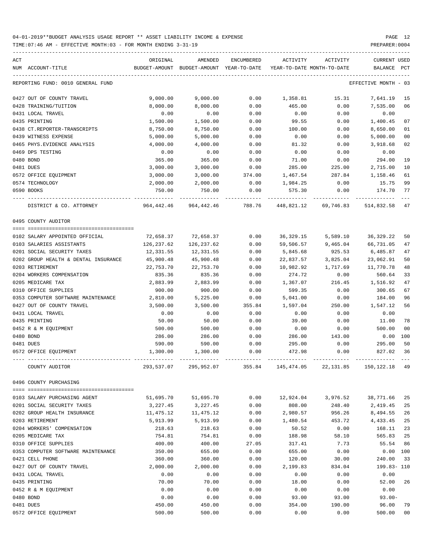TIME:07:46 AM - EFFECTIVE MONTH:03 - FOR MONTH ENDING 3-31-19 PREPARER:0004

| ACT                                  | ORIGINAL           | AMENDED                                  | ENCUMBERED   | ACTIVITY         | ACTIVITY                   | <b>CURRENT USED</b>  |                |
|--------------------------------------|--------------------|------------------------------------------|--------------|------------------|----------------------------|----------------------|----------------|
| NUM ACCOUNT-TITLE                    |                    | BUDGET-AMOUNT BUDGET-AMOUNT YEAR-TO-DATE |              |                  | YEAR-TO-DATE MONTH-TO-DATE | BALANCE              | PCT            |
| REPORTING FUND: 0010 GENERAL FUND    |                    |                                          |              |                  |                            | EFFECTIVE MONTH - 03 |                |
| 0427 OUT OF COUNTY TRAVEL            | 9,000.00           | 9,000.00                                 | 0.00         | 1,358.81         | 15.31                      | 7,641.19             | 15             |
| 0428 TRAINING/TUITION                | 8,000.00           | 8,000.00                                 | 0.00         | 465.00           | 0.00                       | 7,535.00             | 06             |
| 0431 LOCAL TRAVEL                    | 0.00               | 0.00                                     | 0.00         | 0.00             | 0.00                       | 0.00                 |                |
| 0435 PRINTING                        | 1,500.00           | 1,500.00                                 | 0.00         | 99.55            | 0.00                       | 1,400.45             | 07             |
| 0438 CT.REPORTER-TRANSCRIPTS         | 8,750.00           | 8,750.00                                 | 0.00         | 100.00           | 0.00                       | 8,650.00             | 01             |
| 0439 WITNESS EXPENSE                 | 5,000.00           | 5,000.00                                 | 0.00         | 0.00             | 0.00                       | 5,000.00             | 00             |
| 0465 PHYS. EVIDENCE ANALYSIS         | 4,000.00           | 4,000.00                                 | 0.00         | 81.32            | 0.00                       | 3,918.68             | 02             |
| 0469 DPS TESTING                     | 0.00               | 0.00                                     | 0.00         | 0.00             | 0.00                       | 0.00                 |                |
| 0480 BOND                            | 365.00             | 365.00                                   | 0.00         | 71.00            | 0.00                       | 294.00               | 19             |
| 0481 DUES                            | 3,000.00           | 3,000.00                                 | 0.00         | 285.00           | 225.00                     | 2,715.00             | 10             |
| 0572 OFFICE EQUIPMENT                | 3,000.00           | 3,000.00                                 | 374.00       | 1,467.54         | 287.84                     | 1,158.46             | 61             |
| 0574 TECHNOLOGY                      | 2,000.00           | 2,000.00                                 | 0.00         | 1,984.25         | 0.00                       | 15.75                | 99             |
| 0590 BOOKS                           | 750.00             | 750.00                                   | 0.00         | 575.30           | 0.00                       | 174.70               | 77             |
| DISTRICT & CO. ATTORNEY              | 964,442.46         | 964,442.46                               | 788.76       | 448,821.12       | 69,746.83                  | 514,832.58           | 47             |
| 0495 COUNTY AUDITOR                  |                    |                                          |              |                  |                            |                      |                |
| 0102 SALARY APPOINTED OFFICIAL       |                    |                                          | 0.00         |                  |                            |                      |                |
|                                      | 72,658.37          | 72,658.37                                |              | 36,329.15        | 5,589.10                   | 36, 329. 22          | 50             |
| 0103 SALARIES ASSISTANTS             | 126,237.62         | 126,237.62                               | 0.00         | 59,506.57        | 9,465.04                   | 66,731.05            | 47             |
| 0201 SOCIAL SECURITY TAXES           | 12,331.55          | 12,331.55                                | 0.00         | 5,845.68         | 925.53                     | 6,485.87             | 47             |
| 0202 GROUP HEALTH & DENTAL INSURANCE | 45,900.48          | 45,900.48                                | 0.00         | 22,837.57        | 3,825.04                   | 23,062.91            | 50             |
| 0203 RETIREMENT                      | 22,753.70          | 22,753.70                                | 0.00         | 10,982.92        | 1,717.69                   | 11,770.78            | 48             |
| 0204 WORKERS COMPENSATION            | 835.36             | 835.36                                   | 0.00         | 274.72           | 0.00                       | 560.64               | 33             |
| 0205 MEDICARE TAX                    | 2,883.99           | 2,883.99                                 | 0.00         | 1,367.07         | 216.45                     | 1,516.92             | 47             |
| 0310 OFFICE SUPPLIES                 | 900.00             | 900.00                                   | 0.00         | 599.35           | 0.00                       | 300.65               | 67             |
| 0353 COMPUTER SOFTWARE MAINTENANCE   | 2,810.00           | 5,225.00                                 | 0.00         | 5,041.00         | 0.00                       | 184.00               | 96             |
| 0427 OUT OF COUNTY TRAVEL            | 3,500.00           | 3,500.00                                 | 355.84       | 1,597.04         | 250.00                     | 1,547.12             | 56             |
| 0431 LOCAL TRAVEL                    | 0.00               | 0.00                                     | 0.00         | 0.00             | 0.00                       | 0.00                 |                |
| 0435 PRINTING                        | 50.00              | 50.00                                    | 0.00         | 39.00            | 0.00                       | 11.00                | 78             |
| 0452 R & M EOUIPMENT                 | 500.00             | 500.00                                   | 0.00         | 0.00             | 0.00                       | 500.00               | 0 <sub>0</sub> |
| 0480 BOND                            | 286.00             | 286.00                                   | 0.00         | 286.00           | 143.00                     | 0.00                 | 100            |
| 0481 DUES<br>0572 OFFICE EQUIPMENT   | 590.00<br>1,300.00 | 590.00<br>1,300.00                       | 0.00<br>0.00 | 295.00<br>472.98 | 0.00<br>0.00               | 295.00<br>827.02     | 50<br>36       |
|                                      |                    |                                          |              |                  |                            |                      |                |
| COUNTY AUDITOR                       | 293,537.07         | 295,952.07                               | 355.84       | 145,474.05       | 22, 131.85                 | 150,122.18           | 49             |
| 0496 COUNTY PURCHASING               |                    |                                          |              |                  |                            |                      |                |
| 0103 SALARY PURCHASING AGENT         | 51,695.70          | 51,695.70                                | 0.00         | 12,924.04        | 3,976.52                   | 38,771.66            | 25             |
| 0201 SOCIAL SECURITY TAXES           | 3,227.45           | 3,227.45                                 | 0.00         | 808.00           | 248.40                     | 2,419.45             | 25             |
| 0202 GROUP HEALTH INSURANCE          | 11,475.12          | 11,475.12                                | 0.00         | 2,980.57         | 956.26                     | 8,494.55             | 26             |
| 0203 RETIREMENT                      | 5,913.99           | 5,913.99                                 | 0.00         | 1,480.54         | 453.72                     | 4,433.45             | 25             |
| 0204 WORKERS' COMPENSATION           | 218.63             | 218.63                                   | 0.00         | 50.52            | 0.00                       | 168.11               | 23             |
| 0205 MEDICARE TAX                    | 754.81             | 754.81                                   | 0.00         | 188.98           | 58.10                      | 565.83               | 25             |
| 0310 OFFICE SUPPLIES                 | 400.00             | 400.00                                   | 27.05        | 317.41           | 7.73                       | 55.54                | 86             |
| 0353 COMPUTER SOFTWARE MAINTENANCE   | 350.00             | 655.00                                   | 0.00         | 655.00           | 0.00                       | 0.00                 | 100            |
| 0421 CELL PHONE                      | 360.00             | 360.00                                   | 0.00         | 120.00           | 30.00                      | 240.00               | 33             |
| 0427 OUT OF COUNTY TRAVEL            | 2,000.00           | 2,000.00                                 | 0.00         | 2,199.83         | 834.04                     | 199.83-110           |                |
| 0431 LOCAL TRAVEL                    | 0.00               | 0.00                                     | 0.00         | 0.00             | 0.00                       | 0.00                 |                |
| 0435 PRINTING                        | 70.00              | 70.00                                    | 0.00         | 18.00            | 0.00                       | 52.00                | 26             |
| 0452 R & M EQUIPMENT                 | 0.00               | 0.00                                     | 0.00         | 0.00             | 0.00                       | 0.00                 |                |
| 0480 BOND                            | 0.00               | 0.00                                     | 0.00         | 93.00            | 93.00                      | $93.00 -$            |                |
| 0481 DUES                            | 450.00             | 450.00                                   | 0.00         | 354.00           | 190.00                     | 96.00                | 79             |

0572 OFFICE EQUIPMENT 500.00 500.00 0.00 0.00 0.00 500.00 00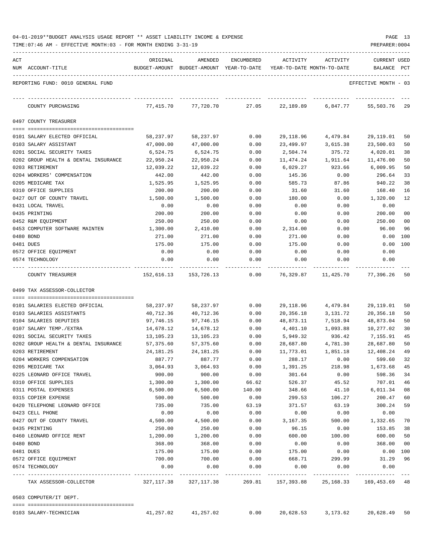| 04-01-2019**BUDGET ANALYSIS USAGE REPORT ** ASSET LIABILITY INCOME & EXPENSE |  |  |  |  | PAGE |  |
|------------------------------------------------------------------------------|--|--|--|--|------|--|
|                                                                              |  |  |  |  |      |  |

| ACT                                                                | ORIGINAL                 | AMENDED                     | ENCUMBERED   | ACTIVITY                   | <b>ACTIVITY</b>      | <b>CURRENT USED</b>       |          |
|--------------------------------------------------------------------|--------------------------|-----------------------------|--------------|----------------------------|----------------------|---------------------------|----------|
| NUM ACCOUNT-TITLE                                                  |                          | BUDGET-AMOUNT BUDGET-AMOUNT | YEAR-TO-DATE | YEAR-TO-DATE MONTH-TO-DATE |                      | <b>BALANCE</b>            | PCT      |
| REPORTING FUND: 0010 GENERAL FUND                                  |                          |                             |              |                            |                      | EFFECTIVE MONTH - 03      |          |
| COUNTY PURCHASING                                                  | 77,415.70                | 77,720.70                   | 27.05        | 22,189.89                  | 6,847.77             | 55,503.76                 | 29       |
| 0497 COUNTY TREASURER                                              |                          |                             |              |                            |                      |                           |          |
|                                                                    |                          |                             |              |                            |                      |                           |          |
| 0101 SALARY ELECTED OFFICIAL<br>0103 SALARY ASSISTANT              | 58,237.97<br>47,000.00   | 58,237.97<br>47,000.00      | 0.00<br>0.00 | 29,118.96<br>23,499.97     | 4,479.84<br>3,615.38 | 29,119.01<br>23,500.03    | 50<br>50 |
| 0201 SOCIAL SECURITY TAXES                                         | 6,524.75                 | 6,524.75                    | 0.00         | 2,504.74                   | 375.72               | 4,020.01                  | 38       |
| 0202 GROUP HEALTH & DENTAL INSURANCE                               | 22,950.24                | 22,950.24                   | 0.00         | 11,474.24                  | 1,911.64             | 11,476.00                 | 50       |
| 0203 RETIREMENT                                                    | 12,039.22                | 12,039.22                   | 0.00         | 6,029.27                   | 923.66               | 6,009.95                  | 50       |
| 0204 WORKERS' COMPENSATION                                         | 442.00                   | 442.00                      | 0.00         | 145.36                     | 0.00                 | 296.64                    | 33       |
| 0205 MEDICARE TAX                                                  | 1,525.95                 | 1,525.95                    | 0.00         | 585.73                     | 87.86                | 940.22                    | 38       |
| 0310 OFFICE SUPPLIES                                               | 200.00                   | 200.00                      | 0.00         | 31.60                      | 31.60                | 168.40                    | 16       |
| 0427 OUT OF COUNTY TRAVEL                                          | 1,500.00                 | 1,500.00                    | 0.00         | 180.00                     | 0.00                 | 1,320.00                  | 12       |
| 0431 LOCAL TRAVEL                                                  | 0.00                     | 0.00                        | 0.00         | 0.00                       | 0.00                 | 0.00                      |          |
| 0435 PRINTING                                                      | 200.00                   | 200.00                      | 0.00         | 0.00                       | 0.00                 | 200.00                    | 00       |
| 0452 R&M EQUIPMENT                                                 | 250.00                   | 250.00                      | 0.00         | 0.00                       | 0.00                 | 250.00                    | 00       |
| 0453 COMPUTER SOFTWARE MAINTEN                                     | 1,300.00                 | 2,410.00                    | 0.00         | 2,314.00                   | 0.00                 | 96.00                     | 96       |
| 0480 BOND                                                          | 271.00                   | 271.00                      | 0.00         | 271.00                     | 0.00                 | 0.00                      | 100      |
| 0481 DUES                                                          | 175.00                   | 175.00                      | 0.00         | 175.00                     | 0.00                 | 0.00                      | 100      |
| 0572 OFFICE EQUIPMENT                                              | 0.00                     | 0.00                        | 0.00         | 0.00                       | 0.00                 | 0.00                      |          |
| 0574 TECHNOLOGY                                                    | 0.00                     | 0.00                        | 0.00         | 0.00                       | 0.00                 | 0.00                      |          |
| COUNTY TREASURER                                                   | 152,616.13               | 153,726.13                  | 0.00         | 76,329.87                  | 11,425.70            | 77,396.26                 | 50       |
| 0499 TAX ASSESSOR-COLLECTOR                                        |                          |                             |              |                            |                      |                           |          |
|                                                                    |                          |                             |              |                            |                      |                           |          |
| 0101 SALARIES ELECTED OFFICIAL                                     | 58,237.97                | 58,237.97                   | 0.00         | 29,118.96                  | 4,479.84             | 29,119.01                 | 50       |
| 0103 SALARIES ASSISTANTS                                           | 40,712.36                | 40,712.36                   | 0.00         | 20,356.18                  | 3,131.72             | 20,356.18                 | 50       |
| 0104 SALARIES DEPUTIES                                             | 97,746.15                | 97,746.15                   | 0.00         | 48,873.11                  | 7,518.94             | 48,873.04                 | 50       |
| 0107 SALARY TEMP./EXTRA                                            | 14,678.12<br>13,105.23   | 14,678.12                   | 0.00         | 4,401.10<br>5,949.32       | 1,093.88             | 10,277.02                 | 30       |
| 0201 SOCIAL SECURITY TAXES<br>0202 GROUP HEALTH & DENTAL INSURANCE |                          | 13,105.23                   | 0.00         | 28,687.80                  | 936.42               | 7,155.91                  | 45<br>50 |
| 0203 RETIREMENT                                                    | 57,375.60<br>24, 181. 25 | 57,375.60<br>24, 181. 25    | 0.00<br>0.00 | 11,773.01                  | 4,781.30<br>1,851.18 | 28,687.80<br>12,408.24    | 49       |
| 0204 WORKERS COMPENSATION                                          | 887.77                   | 887.77                      | 0.00         | 288.17                     | 0.00                 | 599.60                    | 32       |
| 0205 MEDICARE TAX                                                  | 3,064.93                 | 3,064.93                    | 0.00         | 1,391.25                   | 218.98               | 1,673.68                  | 45       |
| 0225 LEONARD OFFICE TRAVEL                                         | 900.00                   | 900.00                      | 0.00         | 301.64                     | 0.00                 | 598.36                    | 34       |
| 0310 OFFICE SUPPLIES                                               | 1,300.00                 | 1,300.00                    | 66.62        | 526.37                     | 45.52                | 707.01                    | 46       |
| 0311 POSTAL EXPENSES                                               | 6,500.00                 | 6,500.00                    | 140.00       | 348.66                     | 41.10                | 6,011.34                  | 08       |
| 0315 COPIER EXPENSE                                                | 500.00                   | 500.00                      | 0.00         | 299.53                     | 106.27               | 200.47                    | 60       |
| 0420 TELEPHONE LEONARD OFFICE                                      | 735.00                   | 735.00                      | 63.19        | 371.57                     | 63.19                | 300.24                    | 59       |
| 0423 CELL PHONE                                                    | 0.00                     | 0.00                        | 0.00         | 0.00                       | 0.00                 | 0.00                      |          |
| 0427 OUT OF COUNTY TRAVEL                                          | 4,500.00                 | 4,500.00                    | 0.00         | 3,167.35                   | 500.00               | 1,332.65                  | 70       |
| 0435 PRINTING                                                      | 250.00                   | 250.00                      | 0.00         | 96.15                      | 0.00                 | 153.85                    | 38       |
| 0460 LEONARD OFFICE RENT                                           | 1,200.00                 | 1,200.00                    | 0.00         | 600.00                     | 100.00               | 600.00                    | 50       |
| 0480 BOND                                                          | 368.00                   | 368.00                      | 0.00         | 0.00                       | 0.00                 | 368.00                    | 00       |
| 0481 DUES                                                          | 175.00                   | 175.00                      | 0.00         | 175.00                     | 0.00                 | $0.00$ 100                |          |
| 0572 OFFICE EQUIPMENT                                              | 700.00                   | 700.00                      | 0.00         | 668.71                     | 299.99               | 31.29                     | 96       |
| 0574 TECHNOLOGY                                                    | 0.00                     | 0.00                        | 0.00         | 0.00                       | 0.00                 | 0.00                      |          |
| TAX ASSESSOR-COLLECTOR                                             |                          | 327, 117.38 327, 117.38     | 269.81       | 157,393.88                 |                      | 25, 168.33 169, 453.69 48 |          |
| 0503 COMPUTER/IT DEPT.                                             |                          |                             |              |                            |                      |                           |          |
| 0103 SALARY-TECHNICIAN                                             | 41,257.02                | 41,257.02                   | 0.00         |                            | 20,628.53 3,173.62   | 20,628.49 50              |          |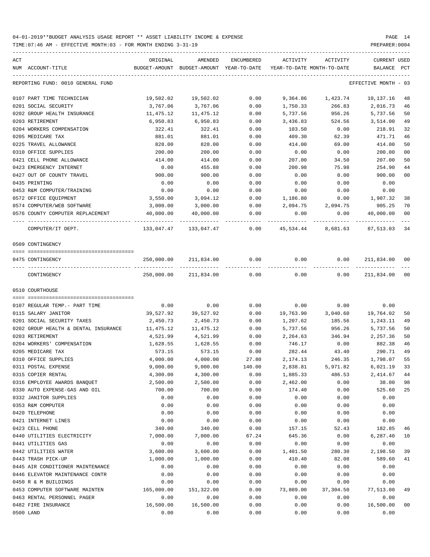TIME:07:46 AM - EFFECTIVE MONTH:03 - FOR MONTH ENDING 3-31-19 PREPARER:0004

| REPORTING FUND: 0010 GENERAL FUND<br>EFFECTIVE MONTH - 03<br>0.00<br>9,364.86 1,423.74 10,137.16<br>0107 PART TIME TECHNICIAN<br>19,502.02<br>19,502.02<br>3,767.06<br>0201 SOCIAL SECURITY<br>3,767.06<br>0.00<br>1,750.33<br>266.83<br>2,016.73<br>5,737.56<br>0202 GROUP HEALTH INSURANCE<br>11,475.12<br>11,475.12<br>0.00<br>5,737.56<br>956.26<br>6,950.83<br>6,950.83<br>524.56<br>3,514.00<br>0203 RETIREMENT<br>0.00<br>3,436.83<br>322.41<br>0204 WORKERS COMPENSATION<br>0.00<br>322.41<br>0.00<br>103.50<br>218.91<br>0205 MEDICARE TAX<br>881.01<br>881.01<br>0.00<br>409.30<br>62.39<br>471.71<br>0225 TRAVEL ALLOWANCE<br>0.00<br>414.00<br>828.00<br>828.00<br>414.00<br>69.00<br>0310 OFFICE SUPPLIES<br>0.00<br>200.00<br>200.00<br>200.00<br>0.00<br>0.00<br>0421 CELL PHONE ALLOWANCE<br>414.00<br>414.00<br>0.00<br>207.00<br>34.50<br>207.00<br>0.00<br>455.88<br>75.98<br>254.90<br>0423 EMERGENCY INTERNET<br>0.00<br>200.98<br>0427 OUT OF COUNTY TRAVEL<br>900.00<br>900.00<br>0.00<br>0.00<br>900.00<br>0.00<br>0.00<br>0.00<br>0435 PRINTING<br>0.00<br>0.00<br>0.00<br>0.00<br>0.00<br>0453 R&M COMPUTER/TRAINING<br>0.00<br>0.00<br>0.00<br>0.00<br>0.00<br>3,550.00<br>3,094.12<br>1,907.32<br>0572 OFFICE EQUIPMENT<br>0.00<br>1,186.80<br>0.00<br>2,094.75<br>905.25<br>0574 COMPUTER/WEB SOFTWARE<br>3,000.00<br>3,000.00<br>0.00<br>2,094.75<br>0.00<br>40,000.00<br>40,000.00<br>0.00<br>0.00<br>40,000.00<br>0576 COUNTY COMPUTER REPLACEMENT<br>-----------<br>COMPUTER/IT DEPT.<br>$133,047.47$ $133,047.47$ $0.00$ $45,534.44$ $8,681.63$ $87,513.03$<br>0509 CONTINGENCY<br>250,000.00 211,834.00 0.00<br>0.00<br>0.00<br>211,834.00<br>0475 CONTINGENCY<br>00<br>250,000.00 211,834.00<br>0.00<br>0.00<br>0.00<br>211,834.00<br>CONTINGENCY<br>0510 COURTHOUSE<br>$0.00$ 0.00<br>0.00<br>0107 REGULAR TEMP. - PART TIME<br>0.00<br>0.00<br>0.00<br>39,527.92<br>39,527.92<br>19,763.90 3,040.60<br>19,764.02<br>0115 SALARY JANITOR<br>0.00<br>2,450.73<br>2,450.73<br>0201 SOCIAL SECURITY TAXES<br>0.00<br>1,207.62<br>185.56<br>1,243.11<br>956.26<br>5,737.56<br>0202 GROUP HEALTH & DENTAL INSURANCE<br>11,475.12<br>11,475.12<br>0.00<br>5,737.56<br>4,521.99<br>4,521.99<br>2,264.63<br>346.94<br>2,257.36<br>0203 RETIREMENT<br>0.00<br>1,628.55<br>746.17<br>0204 WORKERS' COMPENSATION<br>1,628.55<br>0.00<br>0.00<br>882.38<br>573.15<br>282.44<br>290.71<br>573.15<br>43.40<br>0205 MEDICARE TAX<br>0.00<br>1,798.07<br>0310 OFFICE SUPPLIES<br>4,000.00<br>4,000.00<br>27.80<br>2, 174. 13<br>246.35<br>9,000.00<br>6,021.19 33<br>0311 POSTAL EXPENSE<br>9,000.00<br>140.00<br>2,838.81<br>5,971.82<br>0315 COPIER RENTAL<br>4,300.00<br>4,300.00<br>0.00<br>1,885.33<br>486.53<br>2,414.67<br>0.00<br>38.00<br>0316 EMPLOYEE AWARDS BANQUET<br>2,500.00<br>2,500.00<br>0.00<br>2,462.00<br>0330 AUTO EXPENSE-GAS AND OIL<br>700.00<br>700.00<br>0.00<br>0.00<br>525.60<br>174.40<br>0332 JANITOR SUPPLIES<br>0.00<br>0.00<br>0.00<br>0.00<br>0.00<br>0.00<br>0353 R&M COMPUTER<br>0.00<br>0.00<br>0.00<br>0.00<br>0.00<br>0.00<br>0.00<br>0420 TELEPHONE<br>0.00<br>0.00<br>0.00<br>0.00<br>0.00<br>0.00<br>0421 INTERNET LINES<br>0.00<br>0.00<br>0.00<br>0.00<br>0.00<br>0423 CELL PHONE<br>340.00<br>340.00<br>0.00<br>157.15<br>52.43<br>182.85<br>0440 UTILITIES ELECTRICITY<br>7,000.00<br>67.24<br>6,287.40<br>7,000.00<br>645.36<br>0.00<br>0441 UTILITIES GAS<br>0.00<br>0.00<br>0.00<br>0.00<br>0.00<br>0.00<br>0442 UTILITIES WATER<br>3,600.00<br>3,600.00<br>0.00<br>1,401.50<br>280.30<br>2,198.50<br>0443 TRASH PICK-UP<br>1,000.00<br>1,000.00<br>0.00<br>410.40<br>82.08<br>589.60<br>0.00<br>0.00<br>0.00<br>0.00<br>0.00<br>0.00<br>0445 AIR CONDITIONER MAINTENANCE<br>0.00<br>0446 ELEVATOR MAINTENANCE CONTR<br>0.00<br>0.00<br>0.00<br>0.00<br>0.00<br>0450 R & M BUILDINGS<br>0.00<br>0.00<br>0.00<br>0.00<br>0.00<br>0.00<br>165,000.00<br>151,322.00<br>0.00<br>73,809.00<br>37,304.50<br>77,513.00<br>0453 COMPUTER SOFTWARE MAINTEN<br>0.00<br>0463 RENTAL PERSONNEL PAGER<br>0.00<br>0.00<br>0.00<br>0.00<br>0.00<br>16,500.00<br>16,500.00<br>0482 FIRE INSURANCE<br>16,500.00<br>0.00<br>0.00<br>0.00 | ACT<br>NUM ACCOUNT-TITLE | ORIGINAL | AMENDED<br>BUDGET-AMOUNT BUDGET-AMOUNT YEAR-TO-DATE | ENCUMBERED | ACTIVITY | ACTIVITY<br>YEAR-TO-DATE MONTH-TO-DATE | CURRENT USED<br>BALANCE | PCT            |
|-----------------------------------------------------------------------------------------------------------------------------------------------------------------------------------------------------------------------------------------------------------------------------------------------------------------------------------------------------------------------------------------------------------------------------------------------------------------------------------------------------------------------------------------------------------------------------------------------------------------------------------------------------------------------------------------------------------------------------------------------------------------------------------------------------------------------------------------------------------------------------------------------------------------------------------------------------------------------------------------------------------------------------------------------------------------------------------------------------------------------------------------------------------------------------------------------------------------------------------------------------------------------------------------------------------------------------------------------------------------------------------------------------------------------------------------------------------------------------------------------------------------------------------------------------------------------------------------------------------------------------------------------------------------------------------------------------------------------------------------------------------------------------------------------------------------------------------------------------------------------------------------------------------------------------------------------------------------------------------------------------------------------------------------------------------------------------------------------------------------------------------------------------------------------------------------------------------------------------------------------------------------------------------------------------------------------------------------------------------------------------------------------------------------------------------------------------------------------------------------------------------------------------------------------------------------------------------------------------------------------------------------------------------------------------------------------------------------------------------------------------------------------------------------------------------------------------------------------------------------------------------------------------------------------------------------------------------------------------------------------------------------------------------------------------------------------------------------------------------------------------------------------------------------------------------------------------------------------------------------------------------------------------------------------------------------------------------------------------------------------------------------------------------------------------------------------------------------------------------------------------------------------------------------------------------------------------------------------------------------------------------------------------------------------------------------------------------------------------------------------------------------------------------------------------------------------------------------------------------------------------------------------------------------------------------------------------------------------------------------------------------------------------------------------------------------------------------------------------------------------------------------------------------------------------------------------|--------------------------|----------|-----------------------------------------------------|------------|----------|----------------------------------------|-------------------------|----------------|
|                                                                                                                                                                                                                                                                                                                                                                                                                                                                                                                                                                                                                                                                                                                                                                                                                                                                                                                                                                                                                                                                                                                                                                                                                                                                                                                                                                                                                                                                                                                                                                                                                                                                                                                                                                                                                                                                                                                                                                                                                                                                                                                                                                                                                                                                                                                                                                                                                                                                                                                                                                                                                                                                                                                                                                                                                                                                                                                                                                                                                                                                                                                                                                                                                                                                                                                                                                                                                                                                                                                                                                                                                                                                                                                                                                                                                                                                                                                                                                                                                                                                                                                                                                                               |                          |          |                                                     |            |          |                                        |                         |                |
|                                                                                                                                                                                                                                                                                                                                                                                                                                                                                                                                                                                                                                                                                                                                                                                                                                                                                                                                                                                                                                                                                                                                                                                                                                                                                                                                                                                                                                                                                                                                                                                                                                                                                                                                                                                                                                                                                                                                                                                                                                                                                                                                                                                                                                                                                                                                                                                                                                                                                                                                                                                                                                                                                                                                                                                                                                                                                                                                                                                                                                                                                                                                                                                                                                                                                                                                                                                                                                                                                                                                                                                                                                                                                                                                                                                                                                                                                                                                                                                                                                                                                                                                                                                               |                          |          |                                                     |            |          |                                        |                         | 48             |
|                                                                                                                                                                                                                                                                                                                                                                                                                                                                                                                                                                                                                                                                                                                                                                                                                                                                                                                                                                                                                                                                                                                                                                                                                                                                                                                                                                                                                                                                                                                                                                                                                                                                                                                                                                                                                                                                                                                                                                                                                                                                                                                                                                                                                                                                                                                                                                                                                                                                                                                                                                                                                                                                                                                                                                                                                                                                                                                                                                                                                                                                                                                                                                                                                                                                                                                                                                                                                                                                                                                                                                                                                                                                                                                                                                                                                                                                                                                                                                                                                                                                                                                                                                                               |                          |          |                                                     |            |          |                                        |                         | 46             |
|                                                                                                                                                                                                                                                                                                                                                                                                                                                                                                                                                                                                                                                                                                                                                                                                                                                                                                                                                                                                                                                                                                                                                                                                                                                                                                                                                                                                                                                                                                                                                                                                                                                                                                                                                                                                                                                                                                                                                                                                                                                                                                                                                                                                                                                                                                                                                                                                                                                                                                                                                                                                                                                                                                                                                                                                                                                                                                                                                                                                                                                                                                                                                                                                                                                                                                                                                                                                                                                                                                                                                                                                                                                                                                                                                                                                                                                                                                                                                                                                                                                                                                                                                                                               |                          |          |                                                     |            |          |                                        |                         | 50             |
|                                                                                                                                                                                                                                                                                                                                                                                                                                                                                                                                                                                                                                                                                                                                                                                                                                                                                                                                                                                                                                                                                                                                                                                                                                                                                                                                                                                                                                                                                                                                                                                                                                                                                                                                                                                                                                                                                                                                                                                                                                                                                                                                                                                                                                                                                                                                                                                                                                                                                                                                                                                                                                                                                                                                                                                                                                                                                                                                                                                                                                                                                                                                                                                                                                                                                                                                                                                                                                                                                                                                                                                                                                                                                                                                                                                                                                                                                                                                                                                                                                                                                                                                                                                               |                          |          |                                                     |            |          |                                        |                         | 49             |
|                                                                                                                                                                                                                                                                                                                                                                                                                                                                                                                                                                                                                                                                                                                                                                                                                                                                                                                                                                                                                                                                                                                                                                                                                                                                                                                                                                                                                                                                                                                                                                                                                                                                                                                                                                                                                                                                                                                                                                                                                                                                                                                                                                                                                                                                                                                                                                                                                                                                                                                                                                                                                                                                                                                                                                                                                                                                                                                                                                                                                                                                                                                                                                                                                                                                                                                                                                                                                                                                                                                                                                                                                                                                                                                                                                                                                                                                                                                                                                                                                                                                                                                                                                                               |                          |          |                                                     |            |          |                                        |                         | 32             |
|                                                                                                                                                                                                                                                                                                                                                                                                                                                                                                                                                                                                                                                                                                                                                                                                                                                                                                                                                                                                                                                                                                                                                                                                                                                                                                                                                                                                                                                                                                                                                                                                                                                                                                                                                                                                                                                                                                                                                                                                                                                                                                                                                                                                                                                                                                                                                                                                                                                                                                                                                                                                                                                                                                                                                                                                                                                                                                                                                                                                                                                                                                                                                                                                                                                                                                                                                                                                                                                                                                                                                                                                                                                                                                                                                                                                                                                                                                                                                                                                                                                                                                                                                                                               |                          |          |                                                     |            |          |                                        |                         | 46             |
|                                                                                                                                                                                                                                                                                                                                                                                                                                                                                                                                                                                                                                                                                                                                                                                                                                                                                                                                                                                                                                                                                                                                                                                                                                                                                                                                                                                                                                                                                                                                                                                                                                                                                                                                                                                                                                                                                                                                                                                                                                                                                                                                                                                                                                                                                                                                                                                                                                                                                                                                                                                                                                                                                                                                                                                                                                                                                                                                                                                                                                                                                                                                                                                                                                                                                                                                                                                                                                                                                                                                                                                                                                                                                                                                                                                                                                                                                                                                                                                                                                                                                                                                                                                               |                          |          |                                                     |            |          |                                        |                         | 50             |
|                                                                                                                                                                                                                                                                                                                                                                                                                                                                                                                                                                                                                                                                                                                                                                                                                                                                                                                                                                                                                                                                                                                                                                                                                                                                                                                                                                                                                                                                                                                                                                                                                                                                                                                                                                                                                                                                                                                                                                                                                                                                                                                                                                                                                                                                                                                                                                                                                                                                                                                                                                                                                                                                                                                                                                                                                                                                                                                                                                                                                                                                                                                                                                                                                                                                                                                                                                                                                                                                                                                                                                                                                                                                                                                                                                                                                                                                                                                                                                                                                                                                                                                                                                                               |                          |          |                                                     |            |          |                                        |                         | 0 <sub>0</sub> |
|                                                                                                                                                                                                                                                                                                                                                                                                                                                                                                                                                                                                                                                                                                                                                                                                                                                                                                                                                                                                                                                                                                                                                                                                                                                                                                                                                                                                                                                                                                                                                                                                                                                                                                                                                                                                                                                                                                                                                                                                                                                                                                                                                                                                                                                                                                                                                                                                                                                                                                                                                                                                                                                                                                                                                                                                                                                                                                                                                                                                                                                                                                                                                                                                                                                                                                                                                                                                                                                                                                                                                                                                                                                                                                                                                                                                                                                                                                                                                                                                                                                                                                                                                                                               |                          |          |                                                     |            |          |                                        |                         | 50             |
|                                                                                                                                                                                                                                                                                                                                                                                                                                                                                                                                                                                                                                                                                                                                                                                                                                                                                                                                                                                                                                                                                                                                                                                                                                                                                                                                                                                                                                                                                                                                                                                                                                                                                                                                                                                                                                                                                                                                                                                                                                                                                                                                                                                                                                                                                                                                                                                                                                                                                                                                                                                                                                                                                                                                                                                                                                                                                                                                                                                                                                                                                                                                                                                                                                                                                                                                                                                                                                                                                                                                                                                                                                                                                                                                                                                                                                                                                                                                                                                                                                                                                                                                                                                               |                          |          |                                                     |            |          |                                        |                         | 44             |
|                                                                                                                                                                                                                                                                                                                                                                                                                                                                                                                                                                                                                                                                                                                                                                                                                                                                                                                                                                                                                                                                                                                                                                                                                                                                                                                                                                                                                                                                                                                                                                                                                                                                                                                                                                                                                                                                                                                                                                                                                                                                                                                                                                                                                                                                                                                                                                                                                                                                                                                                                                                                                                                                                                                                                                                                                                                                                                                                                                                                                                                                                                                                                                                                                                                                                                                                                                                                                                                                                                                                                                                                                                                                                                                                                                                                                                                                                                                                                                                                                                                                                                                                                                                               |                          |          |                                                     |            |          |                                        |                         | 0 <sub>0</sub> |
|                                                                                                                                                                                                                                                                                                                                                                                                                                                                                                                                                                                                                                                                                                                                                                                                                                                                                                                                                                                                                                                                                                                                                                                                                                                                                                                                                                                                                                                                                                                                                                                                                                                                                                                                                                                                                                                                                                                                                                                                                                                                                                                                                                                                                                                                                                                                                                                                                                                                                                                                                                                                                                                                                                                                                                                                                                                                                                                                                                                                                                                                                                                                                                                                                                                                                                                                                                                                                                                                                                                                                                                                                                                                                                                                                                                                                                                                                                                                                                                                                                                                                                                                                                                               |                          |          |                                                     |            |          |                                        |                         |                |
|                                                                                                                                                                                                                                                                                                                                                                                                                                                                                                                                                                                                                                                                                                                                                                                                                                                                                                                                                                                                                                                                                                                                                                                                                                                                                                                                                                                                                                                                                                                                                                                                                                                                                                                                                                                                                                                                                                                                                                                                                                                                                                                                                                                                                                                                                                                                                                                                                                                                                                                                                                                                                                                                                                                                                                                                                                                                                                                                                                                                                                                                                                                                                                                                                                                                                                                                                                                                                                                                                                                                                                                                                                                                                                                                                                                                                                                                                                                                                                                                                                                                                                                                                                                               |                          |          |                                                     |            |          |                                        |                         |                |
|                                                                                                                                                                                                                                                                                                                                                                                                                                                                                                                                                                                                                                                                                                                                                                                                                                                                                                                                                                                                                                                                                                                                                                                                                                                                                                                                                                                                                                                                                                                                                                                                                                                                                                                                                                                                                                                                                                                                                                                                                                                                                                                                                                                                                                                                                                                                                                                                                                                                                                                                                                                                                                                                                                                                                                                                                                                                                                                                                                                                                                                                                                                                                                                                                                                                                                                                                                                                                                                                                                                                                                                                                                                                                                                                                                                                                                                                                                                                                                                                                                                                                                                                                                                               |                          |          |                                                     |            |          |                                        |                         | 38             |
|                                                                                                                                                                                                                                                                                                                                                                                                                                                                                                                                                                                                                                                                                                                                                                                                                                                                                                                                                                                                                                                                                                                                                                                                                                                                                                                                                                                                                                                                                                                                                                                                                                                                                                                                                                                                                                                                                                                                                                                                                                                                                                                                                                                                                                                                                                                                                                                                                                                                                                                                                                                                                                                                                                                                                                                                                                                                                                                                                                                                                                                                                                                                                                                                                                                                                                                                                                                                                                                                                                                                                                                                                                                                                                                                                                                                                                                                                                                                                                                                                                                                                                                                                                                               |                          |          |                                                     |            |          |                                        |                         | 70             |
|                                                                                                                                                                                                                                                                                                                                                                                                                                                                                                                                                                                                                                                                                                                                                                                                                                                                                                                                                                                                                                                                                                                                                                                                                                                                                                                                                                                                                                                                                                                                                                                                                                                                                                                                                                                                                                                                                                                                                                                                                                                                                                                                                                                                                                                                                                                                                                                                                                                                                                                                                                                                                                                                                                                                                                                                                                                                                                                                                                                                                                                                                                                                                                                                                                                                                                                                                                                                                                                                                                                                                                                                                                                                                                                                                                                                                                                                                                                                                                                                                                                                                                                                                                                               |                          |          |                                                     |            |          |                                        |                         | 00             |
|                                                                                                                                                                                                                                                                                                                                                                                                                                                                                                                                                                                                                                                                                                                                                                                                                                                                                                                                                                                                                                                                                                                                                                                                                                                                                                                                                                                                                                                                                                                                                                                                                                                                                                                                                                                                                                                                                                                                                                                                                                                                                                                                                                                                                                                                                                                                                                                                                                                                                                                                                                                                                                                                                                                                                                                                                                                                                                                                                                                                                                                                                                                                                                                                                                                                                                                                                                                                                                                                                                                                                                                                                                                                                                                                                                                                                                                                                                                                                                                                                                                                                                                                                                                               |                          |          |                                                     |            |          |                                        |                         | 34             |
|                                                                                                                                                                                                                                                                                                                                                                                                                                                                                                                                                                                                                                                                                                                                                                                                                                                                                                                                                                                                                                                                                                                                                                                                                                                                                                                                                                                                                                                                                                                                                                                                                                                                                                                                                                                                                                                                                                                                                                                                                                                                                                                                                                                                                                                                                                                                                                                                                                                                                                                                                                                                                                                                                                                                                                                                                                                                                                                                                                                                                                                                                                                                                                                                                                                                                                                                                                                                                                                                                                                                                                                                                                                                                                                                                                                                                                                                                                                                                                                                                                                                                                                                                                                               |                          |          |                                                     |            |          |                                        |                         |                |
|                                                                                                                                                                                                                                                                                                                                                                                                                                                                                                                                                                                                                                                                                                                                                                                                                                                                                                                                                                                                                                                                                                                                                                                                                                                                                                                                                                                                                                                                                                                                                                                                                                                                                                                                                                                                                                                                                                                                                                                                                                                                                                                                                                                                                                                                                                                                                                                                                                                                                                                                                                                                                                                                                                                                                                                                                                                                                                                                                                                                                                                                                                                                                                                                                                                                                                                                                                                                                                                                                                                                                                                                                                                                                                                                                                                                                                                                                                                                                                                                                                                                                                                                                                                               |                          |          |                                                     |            |          |                                        |                         | 00             |
|                                                                                                                                                                                                                                                                                                                                                                                                                                                                                                                                                                                                                                                                                                                                                                                                                                                                                                                                                                                                                                                                                                                                                                                                                                                                                                                                                                                                                                                                                                                                                                                                                                                                                                                                                                                                                                                                                                                                                                                                                                                                                                                                                                                                                                                                                                                                                                                                                                                                                                                                                                                                                                                                                                                                                                                                                                                                                                                                                                                                                                                                                                                                                                                                                                                                                                                                                                                                                                                                                                                                                                                                                                                                                                                                                                                                                                                                                                                                                                                                                                                                                                                                                                                               |                          |          |                                                     |            |          |                                        |                         |                |
|                                                                                                                                                                                                                                                                                                                                                                                                                                                                                                                                                                                                                                                                                                                                                                                                                                                                                                                                                                                                                                                                                                                                                                                                                                                                                                                                                                                                                                                                                                                                                                                                                                                                                                                                                                                                                                                                                                                                                                                                                                                                                                                                                                                                                                                                                                                                                                                                                                                                                                                                                                                                                                                                                                                                                                                                                                                                                                                                                                                                                                                                                                                                                                                                                                                                                                                                                                                                                                                                                                                                                                                                                                                                                                                                                                                                                                                                                                                                                                                                                                                                                                                                                                                               |                          |          |                                                     |            |          |                                        |                         |                |
|                                                                                                                                                                                                                                                                                                                                                                                                                                                                                                                                                                                                                                                                                                                                                                                                                                                                                                                                                                                                                                                                                                                                                                                                                                                                                                                                                                                                                                                                                                                                                                                                                                                                                                                                                                                                                                                                                                                                                                                                                                                                                                                                                                                                                                                                                                                                                                                                                                                                                                                                                                                                                                                                                                                                                                                                                                                                                                                                                                                                                                                                                                                                                                                                                                                                                                                                                                                                                                                                                                                                                                                                                                                                                                                                                                                                                                                                                                                                                                                                                                                                                                                                                                                               |                          |          |                                                     |            |          |                                        |                         |                |
|                                                                                                                                                                                                                                                                                                                                                                                                                                                                                                                                                                                                                                                                                                                                                                                                                                                                                                                                                                                                                                                                                                                                                                                                                                                                                                                                                                                                                                                                                                                                                                                                                                                                                                                                                                                                                                                                                                                                                                                                                                                                                                                                                                                                                                                                                                                                                                                                                                                                                                                                                                                                                                                                                                                                                                                                                                                                                                                                                                                                                                                                                                                                                                                                                                                                                                                                                                                                                                                                                                                                                                                                                                                                                                                                                                                                                                                                                                                                                                                                                                                                                                                                                                                               |                          |          |                                                     |            |          |                                        |                         |                |
|                                                                                                                                                                                                                                                                                                                                                                                                                                                                                                                                                                                                                                                                                                                                                                                                                                                                                                                                                                                                                                                                                                                                                                                                                                                                                                                                                                                                                                                                                                                                                                                                                                                                                                                                                                                                                                                                                                                                                                                                                                                                                                                                                                                                                                                                                                                                                                                                                                                                                                                                                                                                                                                                                                                                                                                                                                                                                                                                                                                                                                                                                                                                                                                                                                                                                                                                                                                                                                                                                                                                                                                                                                                                                                                                                                                                                                                                                                                                                                                                                                                                                                                                                                                               |                          |          |                                                     |            |          |                                        |                         | 50             |
|                                                                                                                                                                                                                                                                                                                                                                                                                                                                                                                                                                                                                                                                                                                                                                                                                                                                                                                                                                                                                                                                                                                                                                                                                                                                                                                                                                                                                                                                                                                                                                                                                                                                                                                                                                                                                                                                                                                                                                                                                                                                                                                                                                                                                                                                                                                                                                                                                                                                                                                                                                                                                                                                                                                                                                                                                                                                                                                                                                                                                                                                                                                                                                                                                                                                                                                                                                                                                                                                                                                                                                                                                                                                                                                                                                                                                                                                                                                                                                                                                                                                                                                                                                                               |                          |          |                                                     |            |          |                                        |                         | 49             |
|                                                                                                                                                                                                                                                                                                                                                                                                                                                                                                                                                                                                                                                                                                                                                                                                                                                                                                                                                                                                                                                                                                                                                                                                                                                                                                                                                                                                                                                                                                                                                                                                                                                                                                                                                                                                                                                                                                                                                                                                                                                                                                                                                                                                                                                                                                                                                                                                                                                                                                                                                                                                                                                                                                                                                                                                                                                                                                                                                                                                                                                                                                                                                                                                                                                                                                                                                                                                                                                                                                                                                                                                                                                                                                                                                                                                                                                                                                                                                                                                                                                                                                                                                                                               |                          |          |                                                     |            |          |                                        |                         | 50             |
|                                                                                                                                                                                                                                                                                                                                                                                                                                                                                                                                                                                                                                                                                                                                                                                                                                                                                                                                                                                                                                                                                                                                                                                                                                                                                                                                                                                                                                                                                                                                                                                                                                                                                                                                                                                                                                                                                                                                                                                                                                                                                                                                                                                                                                                                                                                                                                                                                                                                                                                                                                                                                                                                                                                                                                                                                                                                                                                                                                                                                                                                                                                                                                                                                                                                                                                                                                                                                                                                                                                                                                                                                                                                                                                                                                                                                                                                                                                                                                                                                                                                                                                                                                                               |                          |          |                                                     |            |          |                                        |                         | 50             |
|                                                                                                                                                                                                                                                                                                                                                                                                                                                                                                                                                                                                                                                                                                                                                                                                                                                                                                                                                                                                                                                                                                                                                                                                                                                                                                                                                                                                                                                                                                                                                                                                                                                                                                                                                                                                                                                                                                                                                                                                                                                                                                                                                                                                                                                                                                                                                                                                                                                                                                                                                                                                                                                                                                                                                                                                                                                                                                                                                                                                                                                                                                                                                                                                                                                                                                                                                                                                                                                                                                                                                                                                                                                                                                                                                                                                                                                                                                                                                                                                                                                                                                                                                                                               |                          |          |                                                     |            |          |                                        |                         | 46             |
|                                                                                                                                                                                                                                                                                                                                                                                                                                                                                                                                                                                                                                                                                                                                                                                                                                                                                                                                                                                                                                                                                                                                                                                                                                                                                                                                                                                                                                                                                                                                                                                                                                                                                                                                                                                                                                                                                                                                                                                                                                                                                                                                                                                                                                                                                                                                                                                                                                                                                                                                                                                                                                                                                                                                                                                                                                                                                                                                                                                                                                                                                                                                                                                                                                                                                                                                                                                                                                                                                                                                                                                                                                                                                                                                                                                                                                                                                                                                                                                                                                                                                                                                                                                               |                          |          |                                                     |            |          |                                        |                         | 49             |
|                                                                                                                                                                                                                                                                                                                                                                                                                                                                                                                                                                                                                                                                                                                                                                                                                                                                                                                                                                                                                                                                                                                                                                                                                                                                                                                                                                                                                                                                                                                                                                                                                                                                                                                                                                                                                                                                                                                                                                                                                                                                                                                                                                                                                                                                                                                                                                                                                                                                                                                                                                                                                                                                                                                                                                                                                                                                                                                                                                                                                                                                                                                                                                                                                                                                                                                                                                                                                                                                                                                                                                                                                                                                                                                                                                                                                                                                                                                                                                                                                                                                                                                                                                                               |                          |          |                                                     |            |          |                                        |                         | 55             |
|                                                                                                                                                                                                                                                                                                                                                                                                                                                                                                                                                                                                                                                                                                                                                                                                                                                                                                                                                                                                                                                                                                                                                                                                                                                                                                                                                                                                                                                                                                                                                                                                                                                                                                                                                                                                                                                                                                                                                                                                                                                                                                                                                                                                                                                                                                                                                                                                                                                                                                                                                                                                                                                                                                                                                                                                                                                                                                                                                                                                                                                                                                                                                                                                                                                                                                                                                                                                                                                                                                                                                                                                                                                                                                                                                                                                                                                                                                                                                                                                                                                                                                                                                                                               |                          |          |                                                     |            |          |                                        |                         |                |
|                                                                                                                                                                                                                                                                                                                                                                                                                                                                                                                                                                                                                                                                                                                                                                                                                                                                                                                                                                                                                                                                                                                                                                                                                                                                                                                                                                                                                                                                                                                                                                                                                                                                                                                                                                                                                                                                                                                                                                                                                                                                                                                                                                                                                                                                                                                                                                                                                                                                                                                                                                                                                                                                                                                                                                                                                                                                                                                                                                                                                                                                                                                                                                                                                                                                                                                                                                                                                                                                                                                                                                                                                                                                                                                                                                                                                                                                                                                                                                                                                                                                                                                                                                                               |                          |          |                                                     |            |          |                                        |                         | 44             |
|                                                                                                                                                                                                                                                                                                                                                                                                                                                                                                                                                                                                                                                                                                                                                                                                                                                                                                                                                                                                                                                                                                                                                                                                                                                                                                                                                                                                                                                                                                                                                                                                                                                                                                                                                                                                                                                                                                                                                                                                                                                                                                                                                                                                                                                                                                                                                                                                                                                                                                                                                                                                                                                                                                                                                                                                                                                                                                                                                                                                                                                                                                                                                                                                                                                                                                                                                                                                                                                                                                                                                                                                                                                                                                                                                                                                                                                                                                                                                                                                                                                                                                                                                                                               |                          |          |                                                     |            |          |                                        |                         | 98             |
|                                                                                                                                                                                                                                                                                                                                                                                                                                                                                                                                                                                                                                                                                                                                                                                                                                                                                                                                                                                                                                                                                                                                                                                                                                                                                                                                                                                                                                                                                                                                                                                                                                                                                                                                                                                                                                                                                                                                                                                                                                                                                                                                                                                                                                                                                                                                                                                                                                                                                                                                                                                                                                                                                                                                                                                                                                                                                                                                                                                                                                                                                                                                                                                                                                                                                                                                                                                                                                                                                                                                                                                                                                                                                                                                                                                                                                                                                                                                                                                                                                                                                                                                                                                               |                          |          |                                                     |            |          |                                        |                         | 25             |
|                                                                                                                                                                                                                                                                                                                                                                                                                                                                                                                                                                                                                                                                                                                                                                                                                                                                                                                                                                                                                                                                                                                                                                                                                                                                                                                                                                                                                                                                                                                                                                                                                                                                                                                                                                                                                                                                                                                                                                                                                                                                                                                                                                                                                                                                                                                                                                                                                                                                                                                                                                                                                                                                                                                                                                                                                                                                                                                                                                                                                                                                                                                                                                                                                                                                                                                                                                                                                                                                                                                                                                                                                                                                                                                                                                                                                                                                                                                                                                                                                                                                                                                                                                                               |                          |          |                                                     |            |          |                                        |                         |                |
|                                                                                                                                                                                                                                                                                                                                                                                                                                                                                                                                                                                                                                                                                                                                                                                                                                                                                                                                                                                                                                                                                                                                                                                                                                                                                                                                                                                                                                                                                                                                                                                                                                                                                                                                                                                                                                                                                                                                                                                                                                                                                                                                                                                                                                                                                                                                                                                                                                                                                                                                                                                                                                                                                                                                                                                                                                                                                                                                                                                                                                                                                                                                                                                                                                                                                                                                                                                                                                                                                                                                                                                                                                                                                                                                                                                                                                                                                                                                                                                                                                                                                                                                                                                               |                          |          |                                                     |            |          |                                        |                         |                |
|                                                                                                                                                                                                                                                                                                                                                                                                                                                                                                                                                                                                                                                                                                                                                                                                                                                                                                                                                                                                                                                                                                                                                                                                                                                                                                                                                                                                                                                                                                                                                                                                                                                                                                                                                                                                                                                                                                                                                                                                                                                                                                                                                                                                                                                                                                                                                                                                                                                                                                                                                                                                                                                                                                                                                                                                                                                                                                                                                                                                                                                                                                                                                                                                                                                                                                                                                                                                                                                                                                                                                                                                                                                                                                                                                                                                                                                                                                                                                                                                                                                                                                                                                                                               |                          |          |                                                     |            |          |                                        |                         |                |
|                                                                                                                                                                                                                                                                                                                                                                                                                                                                                                                                                                                                                                                                                                                                                                                                                                                                                                                                                                                                                                                                                                                                                                                                                                                                                                                                                                                                                                                                                                                                                                                                                                                                                                                                                                                                                                                                                                                                                                                                                                                                                                                                                                                                                                                                                                                                                                                                                                                                                                                                                                                                                                                                                                                                                                                                                                                                                                                                                                                                                                                                                                                                                                                                                                                                                                                                                                                                                                                                                                                                                                                                                                                                                                                                                                                                                                                                                                                                                                                                                                                                                                                                                                                               |                          |          |                                                     |            |          |                                        |                         |                |
|                                                                                                                                                                                                                                                                                                                                                                                                                                                                                                                                                                                                                                                                                                                                                                                                                                                                                                                                                                                                                                                                                                                                                                                                                                                                                                                                                                                                                                                                                                                                                                                                                                                                                                                                                                                                                                                                                                                                                                                                                                                                                                                                                                                                                                                                                                                                                                                                                                                                                                                                                                                                                                                                                                                                                                                                                                                                                                                                                                                                                                                                                                                                                                                                                                                                                                                                                                                                                                                                                                                                                                                                                                                                                                                                                                                                                                                                                                                                                                                                                                                                                                                                                                                               |                          |          |                                                     |            |          |                                        |                         | 46             |
|                                                                                                                                                                                                                                                                                                                                                                                                                                                                                                                                                                                                                                                                                                                                                                                                                                                                                                                                                                                                                                                                                                                                                                                                                                                                                                                                                                                                                                                                                                                                                                                                                                                                                                                                                                                                                                                                                                                                                                                                                                                                                                                                                                                                                                                                                                                                                                                                                                                                                                                                                                                                                                                                                                                                                                                                                                                                                                                                                                                                                                                                                                                                                                                                                                                                                                                                                                                                                                                                                                                                                                                                                                                                                                                                                                                                                                                                                                                                                                                                                                                                                                                                                                                               |                          |          |                                                     |            |          |                                        |                         | 10             |
|                                                                                                                                                                                                                                                                                                                                                                                                                                                                                                                                                                                                                                                                                                                                                                                                                                                                                                                                                                                                                                                                                                                                                                                                                                                                                                                                                                                                                                                                                                                                                                                                                                                                                                                                                                                                                                                                                                                                                                                                                                                                                                                                                                                                                                                                                                                                                                                                                                                                                                                                                                                                                                                                                                                                                                                                                                                                                                                                                                                                                                                                                                                                                                                                                                                                                                                                                                                                                                                                                                                                                                                                                                                                                                                                                                                                                                                                                                                                                                                                                                                                                                                                                                                               |                          |          |                                                     |            |          |                                        |                         |                |
|                                                                                                                                                                                                                                                                                                                                                                                                                                                                                                                                                                                                                                                                                                                                                                                                                                                                                                                                                                                                                                                                                                                                                                                                                                                                                                                                                                                                                                                                                                                                                                                                                                                                                                                                                                                                                                                                                                                                                                                                                                                                                                                                                                                                                                                                                                                                                                                                                                                                                                                                                                                                                                                                                                                                                                                                                                                                                                                                                                                                                                                                                                                                                                                                                                                                                                                                                                                                                                                                                                                                                                                                                                                                                                                                                                                                                                                                                                                                                                                                                                                                                                                                                                                               |                          |          |                                                     |            |          |                                        |                         | 39             |
|                                                                                                                                                                                                                                                                                                                                                                                                                                                                                                                                                                                                                                                                                                                                                                                                                                                                                                                                                                                                                                                                                                                                                                                                                                                                                                                                                                                                                                                                                                                                                                                                                                                                                                                                                                                                                                                                                                                                                                                                                                                                                                                                                                                                                                                                                                                                                                                                                                                                                                                                                                                                                                                                                                                                                                                                                                                                                                                                                                                                                                                                                                                                                                                                                                                                                                                                                                                                                                                                                                                                                                                                                                                                                                                                                                                                                                                                                                                                                                                                                                                                                                                                                                                               |                          |          |                                                     |            |          |                                        |                         | 41             |
|                                                                                                                                                                                                                                                                                                                                                                                                                                                                                                                                                                                                                                                                                                                                                                                                                                                                                                                                                                                                                                                                                                                                                                                                                                                                                                                                                                                                                                                                                                                                                                                                                                                                                                                                                                                                                                                                                                                                                                                                                                                                                                                                                                                                                                                                                                                                                                                                                                                                                                                                                                                                                                                                                                                                                                                                                                                                                                                                                                                                                                                                                                                                                                                                                                                                                                                                                                                                                                                                                                                                                                                                                                                                                                                                                                                                                                                                                                                                                                                                                                                                                                                                                                                               |                          |          |                                                     |            |          |                                        |                         |                |
|                                                                                                                                                                                                                                                                                                                                                                                                                                                                                                                                                                                                                                                                                                                                                                                                                                                                                                                                                                                                                                                                                                                                                                                                                                                                                                                                                                                                                                                                                                                                                                                                                                                                                                                                                                                                                                                                                                                                                                                                                                                                                                                                                                                                                                                                                                                                                                                                                                                                                                                                                                                                                                                                                                                                                                                                                                                                                                                                                                                                                                                                                                                                                                                                                                                                                                                                                                                                                                                                                                                                                                                                                                                                                                                                                                                                                                                                                                                                                                                                                                                                                                                                                                                               |                          |          |                                                     |            |          |                                        |                         |                |
|                                                                                                                                                                                                                                                                                                                                                                                                                                                                                                                                                                                                                                                                                                                                                                                                                                                                                                                                                                                                                                                                                                                                                                                                                                                                                                                                                                                                                                                                                                                                                                                                                                                                                                                                                                                                                                                                                                                                                                                                                                                                                                                                                                                                                                                                                                                                                                                                                                                                                                                                                                                                                                                                                                                                                                                                                                                                                                                                                                                                                                                                                                                                                                                                                                                                                                                                                                                                                                                                                                                                                                                                                                                                                                                                                                                                                                                                                                                                                                                                                                                                                                                                                                                               |                          |          |                                                     |            |          |                                        |                         |                |
|                                                                                                                                                                                                                                                                                                                                                                                                                                                                                                                                                                                                                                                                                                                                                                                                                                                                                                                                                                                                                                                                                                                                                                                                                                                                                                                                                                                                                                                                                                                                                                                                                                                                                                                                                                                                                                                                                                                                                                                                                                                                                                                                                                                                                                                                                                                                                                                                                                                                                                                                                                                                                                                                                                                                                                                                                                                                                                                                                                                                                                                                                                                                                                                                                                                                                                                                                                                                                                                                                                                                                                                                                                                                                                                                                                                                                                                                                                                                                                                                                                                                                                                                                                                               |                          |          |                                                     |            |          |                                        |                         | 49             |
|                                                                                                                                                                                                                                                                                                                                                                                                                                                                                                                                                                                                                                                                                                                                                                                                                                                                                                                                                                                                                                                                                                                                                                                                                                                                                                                                                                                                                                                                                                                                                                                                                                                                                                                                                                                                                                                                                                                                                                                                                                                                                                                                                                                                                                                                                                                                                                                                                                                                                                                                                                                                                                                                                                                                                                                                                                                                                                                                                                                                                                                                                                                                                                                                                                                                                                                                                                                                                                                                                                                                                                                                                                                                                                                                                                                                                                                                                                                                                                                                                                                                                                                                                                                               |                          |          |                                                     |            |          |                                        |                         |                |
|                                                                                                                                                                                                                                                                                                                                                                                                                                                                                                                                                                                                                                                                                                                                                                                                                                                                                                                                                                                                                                                                                                                                                                                                                                                                                                                                                                                                                                                                                                                                                                                                                                                                                                                                                                                                                                                                                                                                                                                                                                                                                                                                                                                                                                                                                                                                                                                                                                                                                                                                                                                                                                                                                                                                                                                                                                                                                                                                                                                                                                                                                                                                                                                                                                                                                                                                                                                                                                                                                                                                                                                                                                                                                                                                                                                                                                                                                                                                                                                                                                                                                                                                                                                               |                          |          |                                                     |            |          |                                        |                         | 00             |

0500 LAND 0.00 0.00 0.00 0.00 0.00 0.00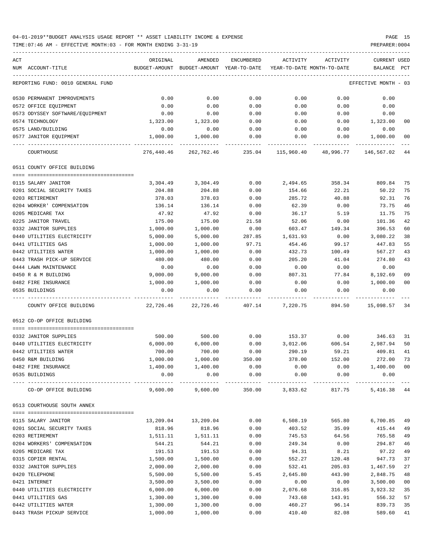04-01-2019\*\*BUDGET ANALYSIS USAGE REPORT \*\* ASSET LIABILITY INCOME & EXPENSE PAGE 15 TIME:07:46 AM - EFFECTIVE MONTH:03 - FOR MONTH ENDING 3-31-19 PREPARER:0004

| ACT |                                   | ORIGINAL   | AMENDED                                  | ENCUMBERED | ACTIVITY                     | ACTIVITY  | <b>CURRENT USED</b>  |                 |
|-----|-----------------------------------|------------|------------------------------------------|------------|------------------------------|-----------|----------------------|-----------------|
|     | NUM ACCOUNT-TITLE                 |            | BUDGET-AMOUNT BUDGET-AMOUNT YEAR-TO-DATE |            | YEAR-TO-DATE MONTH-TO-DATE   |           | BALANCE PCT          |                 |
|     | REPORTING FUND: 0010 GENERAL FUND |            |                                          |            |                              |           | EFFECTIVE MONTH - 03 |                 |
|     | 0530 PERMANENT IMPROVEMENTS       | 0.00       | 0.00                                     | 0.00       | 0.00                         | 0.00      | 0.00                 |                 |
|     | 0572 OFFICE EQUIPMENT             | 0.00       | 0.00                                     | 0.00       | 0.00                         | 0.00      | 0.00                 |                 |
|     | 0573 ODYSSEY SOFTWARE/EQUIPMENT   | 0.00       | 0.00                                     | 0.00       | 0.00                         | 0.00      | 0.00                 |                 |
|     | 0574 TECHNOLOGY                   | 1,323.00   | 1,323.00                                 | 0.00       | 0.00                         | 0.00      | 1,323.00             | 00              |
|     | 0575 LAND/BUILDING                | 0.00       | 0.00                                     | 0.00       | 0.00                         | 0.00      | 0.00                 |                 |
|     | 0577 JANITOR EQUIPMENT            | 1,000.00   | 1,000.00                                 | 0.00       | 0.00                         | 0.00      | 1,000.00             | 00              |
|     | COURTHOUSE                        | 276,440.46 |                                          |            | 262,762.46 235.04 115,960.40 | 48,996.77 | 146,567.02           | 44              |
|     | 0511 COUNTY OFFICE BUILDING       |            |                                          |            |                              |           |                      |                 |
|     | 0115 SALARY JANITOR               | 3,304.49   | 3,304.49                                 | 0.00       | 2,494.65                     | 358.34    | 809.84               | 75              |
|     | 0201 SOCIAL SECURITY TAXES        | 204.88     | 204.88                                   | 0.00       | 154.66                       | 22.21     | 50.22                | 75              |
|     | 0203 RETIREMENT                   | 378.03     | 378.03                                   | 0.00       | 285.72                       | 40.88     | 92.31                | 76              |
|     | 0204 WORKER' COMPENSATION         |            |                                          |            | 62.39                        |           |                      | 46              |
|     |                                   | 136.14     | 136.14                                   | 0.00       |                              | 0.00      | 73.75                |                 |
|     | 0205 MEDICARE TAX                 | 47.92      | 47.92                                    | 0.00       | 36.17                        | 5.19      | 11.75                | 75              |
|     | 0225 JANITOR TRAVEL               | 175.00     | 175.00                                   | 21.58      | 52.06                        | 0.00      | 101.36               | 42              |
|     | 0332 JANITOR SUPPLIES             | 1,000.00   | 1,000.00                                 | 0.00       | 603.47                       | 149.34    | 396.53               | 60              |
|     | 0440 UTILITIES ELECTRICITY        | 5,000.00   | 5,000.00                                 | 287.85     | 1,631.93                     | 0.00      | 3,080.22             | 38              |
|     | 0441 UTILITIES GAS                | 1,000.00   | 1,000.00                                 | 97.71      | 454.46                       | 99.17     | 447.83               | 55              |
|     | 0442 UTILITIES WATER              | 1,000.00   | 1,000.00                                 | 0.00       | 432.73                       | 100.49    | 567.27               | 43              |
|     | 0443 TRASH PICK-UP SERVICE        | 480.00     | 480.00                                   | 0.00       | 205.20                       | 41.04     | 274.80               | 43              |
|     | 0444 LAWN MAINTENANCE             | 0.00       | 0.00                                     | 0.00       | 0.00                         | 0.00      | 0.00                 |                 |
|     | 0450 R & M BUILDING               | 9,000.00   | 9,000.00                                 | 0.00       | 807.31                       | 77.84     | 8,192.69             | 09              |
|     | 0482 FIRE INSURANCE               | 1,000.00   | 1,000.00                                 | 0.00       | 0.00                         | 0.00      | 1,000.00             | 0 <sub>0</sub>  |
|     | 0535 BUILDINGS                    | 0.00       | 0.00                                     | 0.00       | 0.00                         | 0.00      | 0.00                 |                 |
|     | COUNTY OFFICE BUILDING            | 22,726.46  | 22,726.46                                | 407.14     | 7,220.75                     | 894.50    | 15,098.57            | 34              |
|     | 0512 CO-OP OFFICE BUILDING        |            |                                          |            |                              |           |                      |                 |
|     |                                   |            |                                          |            |                              |           |                      |                 |
|     | 0332 JANITOR SUPPLIES             | 500.00     | 500.00                                   | 0.00       | 153.37                       | 0.00      | 346.63               | 31              |
|     | 0440 UTILITIES ELECTRICITY        | 6,000.00   | 6,000.00                                 | 0.00       | 3,012.06                     | 606.54    | 2,987.94             | 50              |
|     | 0442 UTILITIES WATER              | 700.00     | 700.00                                   | 0.00       | 290.19                       | 59.21     | 409.81               | 41              |
|     | 0450 R&M BUILDING                 | 1,000.00   | 1,000.00                                 | 350.00     | 378.00                       | 152.00    | 272.00               | 73              |
|     | 0482 FIRE INSURANCE               | 1,400.00   | 1,400.00                                 | 0.00       | 0.00                         | 0.00      | 1,400.00             | $\overline{00}$ |
|     | 0535 BUILDINGS                    | 0.00       | 0.00                                     | 0.00       | 0.00                         | 0.00      | 0.00                 |                 |
|     | CO-OP OFFICE BUILDING             | 9,600.00   | 9,600.00                                 |            | 350.00 3,833.62 817.75       |           | 5,416.38 44          |                 |
|     | 0513 COURTHOUSE SOUTH ANNEX       |            |                                          |            |                              |           |                      |                 |
|     |                                   |            |                                          |            |                              |           |                      |                 |
|     | 0115 SALARY JANITOR               | 13,209.04  | 13,209.04                                | 0.00       | 6,508.19                     | 565.80    | 6,700.85             | 49              |
|     | 0201 SOCIAL SECURITY TAXES        | 818.96     | 818.96                                   | 0.00       | 403.52                       | 35.09     | 415.44               | 49              |
|     | 0203 RETIREMENT                   | 1,511.11   | 1,511.11                                 | 0.00       | 745.53                       | 64.56     | 765.58               | 49              |
|     | 0204 WORKERS' COMPENSATION        | 544.21     | 544.21                                   | 0.00       | 249.34                       | 0.00      | 294.87               | 46              |
|     | 0205 MEDICARE TAX                 | 191.53     | 191.53                                   | 0.00       | 94.31                        | 8.21      | 97.22                | 49              |
|     | 0315 COPIER RENTAL                | 1,500.00   | 1,500.00                                 | 0.00       | 552.27                       | 120.48    | 947.73               | 37              |
|     | 0332 JANITOR SUPPLIES             | 2,000.00   | 2,000.00                                 | 0.00       | 532.41                       | 205.03    | 1,467.59             | 27              |
|     | 0420 TELEPHONE                    | 5,500.00   | 5,500.00                                 | 5.45       | 2,645.80                     | 443.90    | 2,848.75             | 48              |
|     | 0421 INTERNET                     | 3,500.00   | 3,500.00                                 | 0.00       | 0.00                         | 0.00      | 3,500.00             | 0 <sub>0</sub>  |
|     | 0440 UTILITIES ELECTRICITY        | 6,000.00   | 6,000.00                                 | 0.00       | 2,076.68                     | 316.85    | 3,923.32             | 35              |
|     | 0441 UTILITIES GAS                | 1,300.00   | 1,300.00                                 | 0.00       | 743.68                       | 143.91    | 556.32               | 57              |
|     | 0442 UTILITIES WATER              | 1,300.00   | 1,300.00                                 | 0.00       | 460.27                       | 96.14     | 839.73               | 35              |
|     |                                   |            |                                          |            |                              |           |                      |                 |

0443 TRASH PICKUP SERVICE 1,000.00 1,000.00 0.00 410.40 82.08 589.60 41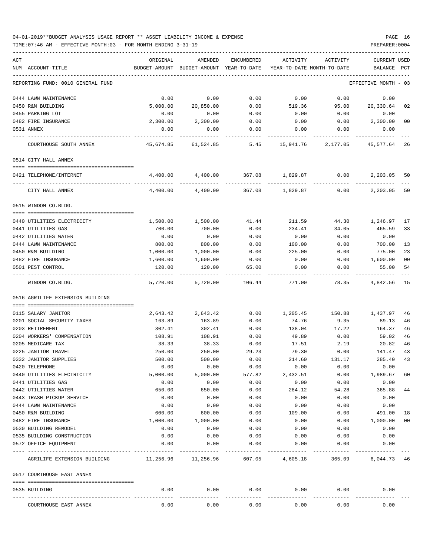### 04-01-2019\*\*BUDGET ANALYSIS USAGE REPORT \*\* ASSET LIABILITY INCOME & EXPENSE PAGE 16 TIME:07:46 AM - EFFECTIVE MONTH:03 - FOR MONTH ENDING 3-31-19 PREPARER:0004

| ACT<br>NUM ACCOUNT-TITLE          |                                        | ORIGINAL            | AMENDED<br>BUDGET-AMOUNT BUDGET-AMOUNT YEAR-TO-DATE | ENCUMBERED        |                                | ACTIVITY ACTIVITY<br>YEAR-TO-DATE MONTH-TO-DATE | CURRENT USED<br>BALANCE PCT |                |
|-----------------------------------|----------------------------------------|---------------------|-----------------------------------------------------|-------------------|--------------------------------|-------------------------------------------------|-----------------------------|----------------|
| REPORTING FUND: 0010 GENERAL FUND |                                        |                     |                                                     |                   |                                |                                                 | EFFECTIVE MONTH - 03        |                |
| 0444 LAWN MAINTENANCE             |                                        | 0.00                | 0.00                                                | 0.00              | 0.00                           | 0.00                                            | 0.00                        |                |
| 0450 R&M BUILDING                 |                                        | 5,000.00            | 20,850.00                                           | 0.00              | 519.36                         |                                                 | 95.00 20,330.64             | 02             |
| 0455 PARKING LOT                  |                                        | 0.00                | 0.00                                                | 0.00              | 0.00                           | 0.00                                            | 0.00                        |                |
| 0482 FIRE INSURANCE               |                                        | 2,300.00            | 2,300.00                                            | 0.00              | 0.00                           | 0.00                                            | 2,300.00                    | 0 <sub>0</sub> |
| 0531 ANNEX                        |                                        | 0.00                | 0.00                                                | 0.00              | 0.00                           | 0.00                                            | 0.00                        |                |
| COURTHOUSE SOUTH ANNEX            |                                        |                     | 45,674.85 61,524.85 5.45 15,941.76 2,177.05         |                   |                                |                                                 | 45,577.64                   | 26             |
| 0514 CITY HALL ANNEX              |                                        |                     |                                                     |                   |                                |                                                 |                             |                |
| 0421 TELEPHONE/INTERNET           |                                        |                     | 4,400.00 4,400.00                                   |                   |                                | 367.08 1,829.87 0.00                            | 2,203.05                    | 50             |
| CITY HALL ANNEX                   | ---- --------------------------------- |                     | 4,400.00 4,400.00                                   |                   | -----------<br>367.08 1,829.87 | 0.00                                            | 2,203.05                    | 50             |
| 0515 WINDOM CO.BLDG.              |                                        |                     |                                                     |                   |                                |                                                 |                             |                |
| 0440 UTILITIES ELECTRICITY        |                                        | 1,500.00            | 1,500.00                                            |                   | 41.44 211.59                   |                                                 | 44.30 1,246.97              | 17             |
| 0441 UTILITIES GAS                |                                        | 700.00              | 700.00                                              | 0.00              | 234.41                         | 34.05                                           | 465.59                      | 33             |
| 0442 UTILITIES WATER              |                                        | 0.00                | 0.00                                                | 0.00              | 0.00                           | 0.00                                            | 0.00                        |                |
| 0444 LAWN MAINTENANCE             |                                        | 800.00              | 800.00                                              | 0.00              | 100.00                         | 0.00                                            | 700.00                      | 13             |
| 0450 R&M BUILDING                 |                                        | 1,000.00            | 1,000.00                                            | 0.00              | 225.00                         | 0.00                                            | 775.00                      | 23             |
| 0482 FIRE INSURANCE               |                                        | 1,600.00            | 1,600.00                                            | 0.00              | 0.00                           | 0.00                                            | 1,600.00                    | 0 <sub>0</sub> |
| 0501 PEST CONTROL                 |                                        | 120.00              | 120.00                                              | 65.00             | 0.00                           | 0.00                                            | 55.00                       | 54             |
| WINDOM CO.BLDG.                   |                                        | 5,720.00            | 5,720.00                                            | 106.44            | 771.00                         | 78.35                                           | 4,842.56                    | <sup>15</sup>  |
| 0516 AGRILIFE EXTENSION BUILDING  |                                        |                     |                                                     |                   |                                |                                                 |                             |                |
| 0115 SALARY JANITOR               |                                        | 2,643.42            | 2,643.42                                            | 0.00              | 1,205.45                       |                                                 | 150.88 1,437.97             | 46             |
| 0201 SOCIAL SECURITY TAXES        |                                        | 163.89              | 163.89                                              | 0.00              | 74.76                          | 9.35                                            | 89.13                       | 46             |
| 0203 RETIREMENT                   |                                        | 302.41              | 302.41                                              | 0.00              | 138.04                         | 17.22                                           | 164.37                      | 46             |
| 0204 WORKERS' COMPENSATION        |                                        | 108.91              | 108.91                                              | 0.00              | 49.89                          | 0.00                                            | 59.02                       | 46             |
| 0205 MEDICARE TAX                 |                                        | 38.33               | 38.33                                               | 0.00              | 17.51                          | 2.19                                            | 20.82                       | 46             |
| 0225 JANITOR TRAVEL               |                                        | 250.00              | 250.00                                              | 29.23             | 79.30                          | 0.00                                            | 141.47                      | 43             |
| 0332 JANITOR SUPPLIES             |                                        | 500.00              | 500.00                                              | 0.00              | 214.60                         | 131.17                                          | 285.40                      | 43             |
| 0420 TELEPHONE                    |                                        | 0.00                | 0.00                                                | 0.00              | 0.00                           | 0.00                                            | 0.00                        |                |
| 0440 UTILITIES ELECTRICITY        |                                        | 5,000.00            | 5,000.00                                            | 577.82            | 2,432.51                       | 0.00                                            | 1,989.67                    | 60             |
| 0441 UTILITIES GAS                |                                        | 0.00                | 0.00                                                | 0.00              | 0.00                           | 0.00                                            | 0.00                        |                |
| 0442 UTILITIES WATER              |                                        | 650.00              | 650.00                                              | 0.00              | 284.12                         | 54.28                                           | 365.88                      | 44             |
| 0443 TRASH PICKUP SERVICE         |                                        | 0.00                | 0.00                                                | 0.00              | 0.00                           | 0.00                                            | 0.00                        |                |
| 0444 LAWN MAINTENANCE             |                                        | 0.00                | 0.00                                                | 0.00              | 0.00                           | 0.00                                            | 0.00                        |                |
| 0450 R&M BUILDING                 |                                        | 600.00              | 600.00                                              | 0.00              | 109.00                         | 0.00                                            | 491.00                      | 18             |
| 0482 FIRE INSURANCE               |                                        | 1,000.00            | 1,000.00                                            | 0.00              | 0.00                           | 0.00                                            | 1,000.00                    | 0 <sub>0</sub> |
| 0530 BUILDING REMODEL             |                                        | 0.00                | 0.00                                                | 0.00              | 0.00                           | 0.00                                            | 0.00                        |                |
| 0535 BUILDING CONSTRUCTION        |                                        | 0.00                | 0.00                                                | 0.00              | 0.00                           | 0.00                                            | 0.00                        |                |
| 0572 OFFICE EQUIPMENT             |                                        | 0.00                | 0.00                                                | 0.00              | 0.00<br>-------------          | 0.00                                            | 0.00                        |                |
|                                   | AGRILIFE EXTENSION BUILDING            | 11,256.96 11,256.96 |                                                     |                   | 607.05 4,605.18                |                                                 | 365.09 6,044.73 46          |                |
| 0517 COURTHOUSE EAST ANNEX        |                                        |                     |                                                     |                   |                                |                                                 |                             |                |
| 0535 BUILDING                     |                                        | 0.00                | 0.00                                                | 0.00              | 0.00                           | 0.00                                            | 0.00                        |                |
| COURTHOUSE EAST ANNEX             |                                        | 0.00                | 0.00                                                | ---------<br>0.00 | 0.00                           | 0.00                                            | 0.00                        |                |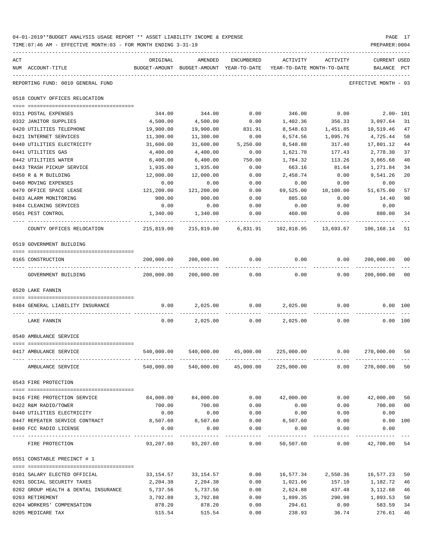| 04-01-2019**BUDGET ANALYSIS USAGE REPORT ** ASSET LIABILITY INCOME & EXPENSE | PAGE 17        |
|------------------------------------------------------------------------------|----------------|
| TIME:07:46 AM - EFFECTIVE MONTH:03 - FOR MONTH ENDING 3-31-19                | PREPARER: 0004 |

| ACT | NUM ACCOUNT-TITLE                       | ORIGINAL   | AMENDED<br>BUDGET-AMOUNT BUDGET-AMOUNT YEAR-TO-DATE | ENCUMBERED   | ACTIVITY<br>YEAR-TO-DATE MONTH-TO-DATE                     | ACTIVITY  | <b>CURRENT USED</b><br>BALANCE PCT |                |
|-----|-----------------------------------------|------------|-----------------------------------------------------|--------------|------------------------------------------------------------|-----------|------------------------------------|----------------|
|     | REPORTING FUND: 0010 GENERAL FUND       |            |                                                     |              |                                                            |           | EFFECTIVE MONTH - 03               |                |
|     | 0518 COUNTY OFFICES RELOCATION          |            |                                                     |              |                                                            |           |                                    |                |
|     | 0311 POSTAL EXPENSES                    | 344.00     | 344.00                                              | 0.00         | 346.00                                                     | 0.00      | $2.00 - 101$                       |                |
|     | 0332 JANITOR SUPPLIES                   | 4,500.00   | 4,500.00                                            | 0.00         | 1,402.36                                                   | 356.33    | 3,097.64                           | 31             |
|     | 0420 UTILITIES TELEPHONE                | 19,900.00  | 19,900.00                                           | 831.91       | 8,548.63                                                   | 1,451.85  | 10,519.46                          | 47             |
|     | 0421 INTERNET SERVICES                  | 11,300.00  | 11,300.00                                           | 0.00         | 6,574.56                                                   | 1,095.76  | 4,725.44                           | 58             |
|     | 0440 UTILITIES ELECTRICITY              | 31,600.00  | 31,600.00                                           | 5,250.00     | 8,548.88                                                   | 317.40    | 17,801.12                          | 44             |
|     | 0441 UTILITIES GAS                      | 4,400.00   | 4,400.00                                            | 0.00         | 1,621.70                                                   | 177.43    | 2,778.30                           | 37             |
|     | 0442 UTILITIES WATER                    | 6,400.00   | 6,400.00                                            | 750.00       | 1,784.32                                                   | 113.26    | 3,865.68                           | 40             |
|     | 0443 TRASH PICKUP SERVICE               | 1,935.00   | 1,935.00                                            | 0.00         | 663.16                                                     | 81.64     | 1,271.84                           | 34             |
|     | 0450 R & M BUILDING                     | 12,000.00  | 12,000.00                                           | 0.00         | 2,458.74                                                   | 0.00      | 9,541.26                           | 20             |
|     | 0460 MOVING EXPENSES                    | 0.00       | 0.00                                                | 0.00         | 0.00                                                       | 0.00      | 0.00                               |                |
|     | 0470 OFFICE SPACE LEASE                 | 121,200.00 | 121,200.00                                          | 0.00         | 69,525.00                                                  | 10,100.00 | 51,675.00                          | 57             |
|     | 0483 ALARM MONITORING                   | 900.00     | 900.00                                              | 0.00         | 885.60                                                     | 0.00      | 14.40                              | 98             |
|     | 0484 CLEANING SERVICES                  | 0.00       | 0.00                                                | 0.00         | 0.00                                                       | 0.00      | 0.00                               |                |
|     | 0501 PEST CONTROL                       | 1,340.00   | 1,340.00                                            | 0.00         | 460.00                                                     | 0.00      | 880.00                             | 34             |
|     | COUNTY OFFICES RELOCATION               | 215,819.00 | 215,819.00                                          | 6,831.91     | 102,818.95                                                 | 13,693.67 | 106,168.14                         | 51             |
|     | 0519 GOVERNMENT BUILDING                |            |                                                     |              |                                                            |           |                                    |                |
|     | 0165 CONSTRUCTION                       | 200,000.00 | 200,000.00                                          | 0.00         | 0.00                                                       | 0.00      | 200,000.00                         | 00             |
|     | GOVERNMENT BUILDING                     | 200,000.00 | 200,000.00                                          | 0.00         | 0.00                                                       | 0.00      | 200,000.00                         | 0 <sub>0</sub> |
|     | 0520 LAKE FANNIN                        |            |                                                     |              |                                                            |           |                                    |                |
|     |                                         |            |                                                     |              |                                                            |           |                                    |                |
|     | 0484 GENERAL LIABILITY INSURANCE        | 0.00       | 2,025.00                                            | 0.00         | 2,025.00                                                   | 0.00      | $0.00$ 100                         |                |
|     | LAKE FANNIN                             | 0.00       | 2,025.00                                            | 0.00         | 2,025.00                                                   | 0.00      |                                    | 0.00 100       |
|     | 0540 AMBULANCE SERVICE                  |            |                                                     |              |                                                            |           |                                    |                |
|     | 0417 AMBULANCE SERVICE                  | 540,000.00 | 540,000.00                                          | 45,000.00    | 225,000.00                                                 | 0.00      | 270,000.00                         | 50             |
|     |                                         |            |                                                     |              |                                                            |           |                                    |                |
|     | AMBULANCE SERVICE                       |            |                                                     |              | 540,000.00 540,000.00 45,000.00 225,000.00                 |           | $0.00$ 270,000.00 50               |                |
|     | 0543 FIRE PROTECTION                    |            |                                                     |              |                                                            |           |                                    |                |
|     | 0416 FIRE PROTECTION SERVICE            | 84,000.00  | 84,000.00                                           |              | $0.00$ $42,000.00$                                         |           | $0.00$ $42,000.00$                 | 50             |
|     | 0422 R&M RADIO/TOWER                    | 700.00     | 700.00                                              | 0.00         | 0.00                                                       | 0.00      | 700.00                             | 0 <sub>0</sub> |
|     | 0440 UTILITIES ELECTRICITY              | 0.00       | 0.00                                                | 0.00         | 0.00                                                       | 0.00      | 0.00                               |                |
|     | 0447 REPEATER SERVICE CONTRACT 8,507.60 |            | 8,507.60                                            |              | $0.00$ 8,507.60                                            | 0.00      | $0.00$ 100                         |                |
|     | 0490 FCC RADIO LICENSE                  | 0.00       | 0.00                                                | 0.00         | 0.00                                                       | 0.00      | 0.00                               |                |
|     | FIRE PROTECTION                         |            |                                                     | ------------ | 93,207.60  93,207.60  0.00  50,507.60  0.00  42,700.00  54 |           | -----------                        |                |
|     | 0551 CONSTABLE PRECINCT # 1             |            |                                                     |              |                                                            |           |                                    |                |
|     | 0101 SALARY ELECTED OFFICIAL            | 33,154.57  | 33,154.57                                           | 0.00         | 16,577.34                                                  | 2,550.36  | 16,577.23                          | 50             |
|     | 0201 SOCIAL SECURITY TAXES              | 2,204.38   | 2,204.38                                            | 0.00         | 1,021.66                                                   | 157.10    | 1,182.72                           | 46             |
|     | 0202 GROUP HEALTH & DENTAL INSURANCE    | 5,737.56   | 5,737.56                                            | 0.00         | 2,624.88                                                   | 437.48    | 3,112.68                           | 46             |
|     | 0203 RETIREMENT                         | 3,792.88   | 3,792.88                                            | 0.00         | 1,899.35                                                   | 290.98    | 1,893.53                           | 50             |
|     | 0204 WORKERS' COMPENSATION              | 878.20     | 878.20                                              | 0.00         | 294.61                                                     | 0.00      | 583.59                             | 34             |
|     | 0205 MEDICARE TAX                       | 515.54     | 515.54                                              | 0.00         | 238.93                                                     | 36.74     | 276.61                             | 46             |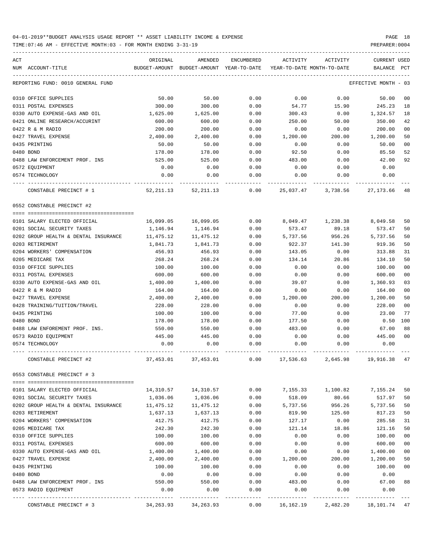| ACT | NUM ACCOUNT-TITLE                                              | ORIGINAL<br>BUDGET-AMOUNT | AMENDED<br>BUDGET-AMOUNT | ENCUMBERED<br>YEAR-TO-DATE | ACTIVITY<br>YEAR-TO-DATE MONTH-TO-DATE | ACTIVITY           | CURRENT USED<br>BALANCE             | PCT            |
|-----|----------------------------------------------------------------|---------------------------|--------------------------|----------------------------|----------------------------------------|--------------------|-------------------------------------|----------------|
|     | REPORTING FUND: 0010 GENERAL FUND                              |                           |                          |                            |                                        |                    | EFFECTIVE MONTH                     | - 03           |
|     |                                                                |                           |                          |                            |                                        |                    |                                     |                |
|     | 0310 OFFICE SUPPLIES                                           | 50.00                     | 50.00                    | 0.00                       | 0.00                                   | 0.00               | 50.00                               | 00             |
|     | 0311 POSTAL EXPENSES                                           | 300.00                    | 300.00                   | 0.00                       | 54.77                                  | 15.90              | 245.23                              | 18             |
|     | 0330 AUTO EXPENSE-GAS AND OIL<br>0421 ONLINE RESEARCH/ACCURINT | 1,625.00                  | 1,625.00<br>600.00       | 0.00                       | 300.43                                 | 0.00               | 1,324.57                            | 18             |
|     |                                                                | 600.00                    |                          | 0.00                       | 250.00                                 | 50.00              | 350.00                              | 42             |
|     | 0422 R & M RADIO<br>0427 TRAVEL EXPENSE                        | 200.00                    | 200.00<br>2,400.00       | 0.00                       | 0.00                                   | 0.00               | 200.00<br>1,200.00                  | 00<br>50       |
|     | 0435 PRINTING                                                  | 2,400.00<br>50.00         | 50.00                    | 0.00<br>0.00               | 1,200.00<br>0.00                       | 200.00<br>0.00     | 50.00                               | 0 <sub>0</sub> |
|     | 0480 BOND                                                      | 178.00                    | 178.00                   | 0.00                       | 92.50                                  | 0.00               | 85.50                               | 52             |
|     | 0488 LAW ENFORCEMENT PROF. INS                                 | 525.00                    | 525.00                   | 0.00                       | 483.00                                 | 0.00               | 42.00                               | 92             |
|     | 0572 EQUIPMENT                                                 | 0.00                      | 0.00                     | 0.00                       | 0.00                                   | 0.00               | 0.00                                |                |
|     | 0574 TECHNOLOGY                                                | 0.00                      | 0.00                     | 0.00                       | 0.00                                   | 0.00               | 0.00                                |                |
|     |                                                                |                           |                          |                            |                                        |                    |                                     |                |
|     | CONSTABLE PRECINCT # 1                                         | 52,211.13                 | 52, 211.13               | 0.00                       |                                        | 25,037.47 3,738.56 | 27,173.66                           | 48             |
|     | 0552 CONSTABLE PRECINCT #2                                     |                           |                          |                            |                                        |                    |                                     |                |
|     |                                                                |                           |                          |                            |                                        |                    |                                     |                |
|     | 0101 SALARY ELECTED OFFICIAL                                   | 16,099.05                 | 16,099.05                | 0.00                       |                                        | 8,049.47 1,238.38  | 8,049.58                            | 50             |
|     | 0201 SOCIAL SECURITY TAXES                                     | 1,146.94                  | 1,146.94                 | 0.00                       | 573.47                                 | 89.18              | 573.47                              | 50             |
|     | 0202 GROUP HEALTH & DENTAL INSURANCE                           | 11,475.12                 | 11,475.12                | 0.00                       | 5,737.56                               | 956.26             | 5,737.56                            | 50             |
|     | 0203 RETIREMENT                                                | 1,841.73                  | 1,841.73                 | 0.00                       | 922.37                                 | 141.30             | 919.36                              | 50             |
|     | 0204 WORKERS' COMPENSATION                                     | 456.93                    | 456.93                   | 0.00                       | 143.05                                 | 0.00               | 313.88                              | 31             |
|     | 0205 MEDICARE TAX                                              | 268.24                    | 268.24                   | 0.00                       | 134.14                                 | 20.86              | 134.10                              | 50             |
|     | 0310 OFFICE SUPPLIES                                           | 100.00                    | 100.00                   | 0.00                       | 0.00                                   | 0.00               | 100.00                              | 0 <sub>0</sub> |
|     | 0311 POSTAL EXPENSES                                           | 600.00                    | 600.00                   | 0.00                       | 0.00                                   | 0.00               | 600.00                              | 00             |
|     | 0330 AUTO EXPENSE-GAS AND OIL                                  | 1,400.00                  | 1,400.00                 | 0.00                       | 39.07                                  | 0.00               | 1,360.93                            | 03             |
|     | 0422 R & M RADIO                                               | 164.00                    | 164.00                   | 0.00                       | 0.00                                   | 0.00               | 164.00                              | 00             |
|     | 0427 TRAVEL EXPENSE                                            | 2,400.00                  | 2,400.00                 | 0.00                       | 1,200.00                               | 200.00             | 1,200.00                            | 50             |
|     | 0428 TRAINING/TUITION/TRAVEL                                   | 228.00                    | 228.00                   | 0.00                       | 0.00                                   | 0.00               | 228.00                              | 00<br>77       |
|     | 0435 PRINTING                                                  | 100.00                    | 100.00                   | 0.00                       | 77.00                                  | 0.00               | 23.00                               |                |
|     | 0480 BOND                                                      | 178.00                    | 178.00                   | 0.00                       | 177.50                                 | 0.00               | 0.50                                | 100            |
|     | 0488 LAW ENFOREMENT PROF. INS.                                 | 550.00                    | 550.00                   | 0.00                       | 483.00                                 | 0.00               | 67.00                               | 88             |
|     | 0573 RADIO EQUIPMENT<br>0574 TECHNOLOGY                        | 445.00<br>0.00            | 445.00<br>0.00           | 0.00<br>0.00               | 0.00<br>0.00                           | 0.00<br>0.00       | 445.00<br>0.00                      | 00             |
|     |                                                                |                           |                          |                            |                                        |                    |                                     |                |
|     | CONSTABLE PRECINCT #2                                          | 37,453.01                 | 37,453.01                | 0.00                       | 17,536.63                              | 2,645.98           | 19,916.38                           | 47             |
|     | 0553 CONSTABLE PRECINCT # 3                                    |                           |                          |                            |                                        |                    |                                     |                |
|     | 0101 SALARY ELECTED OFFICIAL                                   |                           |                          | 0.00                       |                                        | 7,155.33 1,100.82  | 7,155.24                            | 50             |
|     | 0201 SOCIAL SECURITY TAXES                                     | 1,036.06                  | 1,036.06                 | 0.00                       | 518.09                                 | 80.66              | 517.97                              | 50             |
|     | 0202 GROUP HEALTH & DENTAL INSURANCE                           | 11,475.12                 | 11,475.12                | 0.00                       | 5,737.56                               | 956.26             | 5,737.56                            | 50             |
|     | 0203 RETIREMENT                                                | 1,637.13                  | 1,637.13                 | 0.00                       | 819.90                                 | 125.60             | 817.23                              | 50             |
|     | 0204 WORKERS' COMPENSATION                                     | 412.75                    | 412.75                   | 0.00                       | 127.17                                 | 0.00               | 285.58                              | 31             |
|     | 0205 MEDICARE TAX                                              | 242.30                    | 242.30                   | 0.00                       | 121.14                                 | 18.86              | 121.16                              | 50             |
|     | 0310 OFFICE SUPPLIES                                           | 100.00                    | 100.00                   | 0.00                       | 0.00                                   | 0.00               | 100.00                              | 00             |
|     | 0311 POSTAL EXPENSES                                           | 600.00                    | 600.00                   | 0.00                       | 0.00                                   | 0.00               | 600.00                              | 00             |
|     | 0330 AUTO EXPENSE-GAS AND OIL                                  | 1,400.00                  | 1,400.00                 | 0.00                       | 0.00                                   | 0.00               | 1,400.00                            | 00             |
|     | 0427 TRAVEL EXPENSE                                            | 2,400.00                  | 2,400.00                 | 0.00                       | 1,200.00                               | 200.00             | 1,200.00                            | 50             |
|     | 0435 PRINTING                                                  | 100.00                    | 100.00                   | 0.00                       | 0.00                                   | 0.00               | 100.00                              | 00             |
|     | 0480 BOND                                                      | 0.00                      | 0.00                     | 0.00                       | 0.00                                   | 0.00               | 0.00                                |                |
|     | 0488 LAW ENFORCEMENT PROF. INS                                 | 550.00                    | 550.00                   | 0.00                       | 483.00                                 | 0.00               | 67.00                               | 88             |
|     | 0573 RADIO EQUIPMENT                                           | 0.00                      | 0.00                     | 0.00                       | 0.00                                   | 0.00               | 0.00                                |                |
|     | CONSTABLE PRECINCT # 3                                         |                           | 34, 263. 93 34, 263. 93  | $- - - - - -$<br>0.00      | 16,162.19                              |                    | ----------<br>2,482.20 18,101.74 47 |                |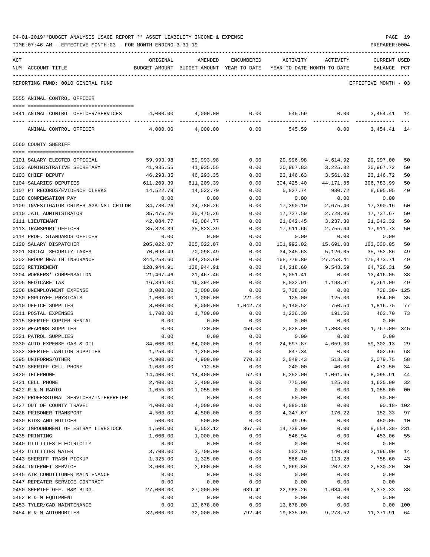|     | TIME: 07:46 AM - EFFECTIVE MONTH: 03 - FOR MONTH ENDING 3-31-19 |            |                                                                                |            |            |                | PREPARER: 0004                     |                |
|-----|-----------------------------------------------------------------|------------|--------------------------------------------------------------------------------|------------|------------|----------------|------------------------------------|----------------|
| ACT | NUM ACCOUNT-TITLE                                               | ORIGINAL   | AMENDED<br>BUDGET-AMOUNT BUDGET-AMOUNT YEAR-TO-DATE YEAR-TO-DATE MONTH-TO-DATE | ENCUMBERED | ACTIVITY   | ACTIVITY       | <b>CURRENT USED</b><br>BALANCE PCT |                |
|     | REPORTING FUND: 0010 GENERAL FUND                               |            |                                                                                |            |            |                | EFFECTIVE MONTH - 03               |                |
|     | 0555 ANIMAL CONTROL OFFICER                                     |            |                                                                                |            |            |                |                                    |                |
|     | 0441 ANIMAL CONTROL OFFICER/SERVICES                            | 4,000.00   | 4,000.00                                                                       | 0.00       |            | 0.00<br>545.59 | 3,454.41                           | 14             |
|     | ANIMAL CONTROL OFFICER                                          | 4,000.00   | 4,000.00                                                                       | 0.00       | 545.59     | 0.00           | 3, 454. 41 14                      |                |
|     | 0560 COUNTY SHERIFF                                             |            |                                                                                |            |            |                |                                    |                |
|     | 0101 SALARY ELECTED OFFICIAL                                    | 59,993.98  | 59,993.98                                                                      | 0.00       | 29,996.98  | 4,614.92       | 29,997.00                          | 50             |
|     | 0102 ADMINISTRATIVE SECRETARY                                   | 41,935.55  | 41,935.55                                                                      | 0.00       | 20,967.83  | 3,225.82       | 20,967.72                          | 50             |
|     | 0103 CHIEF DEPUTY                                               | 46,293.35  | 46,293.35                                                                      | 0.00       | 23,146.63  | 3,561.02       | 23, 146. 72                        | 50             |
|     | 0104 SALARIES DEPUTIES                                          | 611,209.39 | 611,209.39                                                                     | 0.00       | 304,425.40 | 44,171.85      | 306,783.99                         | 50             |
|     | 0107 PT RECORDS/EVIDENCE CLERKS                                 | 14,522.79  | 14,522.79                                                                      | 0.00       | 5,827.74   | 980.72         | 8,695.05                           | 40             |
|     | 0108 COMPENSATION PAY                                           | 0.00       | 0.00                                                                           | 0.00       | 0.00       | 0.00           | 0.00                               |                |
|     | 0109 INVESTIGATOR-CRIMES AGAINST CHILDR                         | 34,780.26  | 34,780.26                                                                      | 0.00       | 17,390.10  | 2,675.40       | 17,390.16                          | 50             |
|     | 0110 JAIL ADMINISTRATOR                                         | 35,475.26  | 35,475.26                                                                      | 0.00       | 17,737.59  | 2,728.86       | 17,737.67                          | 50             |
|     | 0111 LIEUTENANT                                                 | 42,084.77  | 42,084.77                                                                      | 0.00       | 21,042.45  | 3,237.30       | 21,042.32                          | 50             |
|     | 0113 TRANSPORT OFFICER                                          | 35,823.39  | 35,823.39                                                                      | 0.00       | 17,911.66  | 2,755.64       | 17,911.73                          | 50             |
|     | 0114 PROF. STANDARDS OFFICER                                    | 0.00       | 0.00                                                                           | 0.00       | 0.00       | 0.00           | 0.00                               |                |
|     | 0120 SALARY DISPATCHER                                          | 205,022.07 | 205,022.07                                                                     | 0.00       | 101,992.02 | 15,691.08      | 103,030.05                         | 50             |
|     | 0201 SOCIAL SECURITY TAXES                                      | 70,098.49  | 70,098.49                                                                      | 0.00       | 34,345.63  | 5,126.05       | 35,752.86                          | 49             |
|     | 0202 GROUP HEALTH INSURANCE                                     | 344,253.60 | 344,253.60                                                                     | 0.00       | 168,779.89 | 27, 253.41     | 175,473.71                         | 49             |
|     | 0203 RETIREMENT                                                 | 128,944.91 | 128,944.91                                                                     | 0.00       | 64,218.60  | 9,543.59       | 64,726.31                          | 50             |
|     | 0204 WORKERS' COMPENSATION                                      | 21,467.46  | 21,467.46                                                                      | 0.00       | 8,051.41   | 0.00           | 13,416.05                          | 38             |
|     | 0205 MEDICARE TAX                                               | 16,394.00  | 16,394.00                                                                      | 0.00       | 8,032.91   | 1,198.91       | 8,361.09                           | 49             |
|     | 0206 UNEMPLOYMENT EXPENSE                                       | 3,000.00   | 3,000.00                                                                       | 0.00       | 3,738.30   | 0.00           | 738.30- 125                        |                |
|     | 0250 EMPLOYEE PHYSICALS                                         | 1,000.00   | 1,000.00                                                                       | 221.00     | 125.00     | 125.00         | 654.00                             | 35             |
|     | 0310 OFFICE SUPPLIES                                            | 8,000.00   | 8,000.00                                                                       | 1,042.73   | 5,140.52   | 750.54         | 1,816.75                           | 77             |
|     | 0311 POSTAL EXPENSES                                            | 1,700.00   | 1,700.00                                                                       | 0.00       | 1,236.30   | 191.50         | 463.70                             | 73             |
|     | 0315 SHERIFF COPIER RENTAL                                      | 0.00       | 0.00                                                                           | 0.00       | 0.00       | 0.00           | 0.00                               |                |
|     | 0320 WEAPONS SUPPLIES                                           | 0.00       | 720.00                                                                         | 459.00     | 2,028.00   | 1,308.00       | 1,767.00- 345                      |                |
|     | 0321 PATROL SUPPLIES                                            | 0.00       | 0.00                                                                           | 0.00       | 0.00       | 0.00           | 0.00                               |                |
|     | 0330 AUTO EXPENSE GAS & OIL                                     | 84,000.00  | 84,000.00                                                                      | 0.00       | 24,697.87  | 4,659.30       | 59,302.13                          | 29             |
|     | 0332 SHERIFF JANITOR SUPPLIES                                   | 1,250.00   | 1,250.00                                                                       | 0.00       | 847.34     | 0.00           | 402.66                             | 68             |
|     | 0395 UNIFORMS/OTHER                                             | 4,900.00   | 4,900.00                                                                       | 770.82     | 2,049.43   | 513.68         | 2,079.75                           | 58             |
|     | 0419 SHERIFF CELL PHONE                                         | 1,080.00   | 712.50                                                                         | 0.00       | 240.00     | 40.00          | 472.50                             | 34             |
|     | 0420 TELEPHONE                                                  | 14,400.00  | 14,400.00                                                                      | 52.09      | 6, 252.00  | 1,061.65       | 8,095.91                           | 44             |
|     | 0421 CELL PHONE                                                 | 2,400.00   | 2,400.00                                                                       | 0.00       | 775.00     | 125.00         | 1,625.00                           | 32             |
|     | 0422 R & M RADIO                                                | 1,055.00   | 1,055.00                                                                       | 0.00       | 0.00       | 0.00           | 1,055.00                           | 0 <sub>0</sub> |
|     | 0425 PROFESSIONAL SERVICES/INTERPRETER                          | 0.00       | 0.00                                                                           | 0.00       | 50.00      | 0.00           | $50.00 -$                          |                |
|     | 0427 OUT OF COUNTY TRAVEL                                       | 4,000.00   | 4,000.00                                                                       | 0.00       | 4,090.18   | 0.00           | $90.18 - 102$                      |                |
|     | 0428 PRISONER TRANSPORT                                         | 4,500.00   | 4,500.00                                                                       | 0.00       | 4,347.67   | 176.22         | 152.33                             | 97             |
|     | 0430 BIDS AND NOTICES                                           | 500.00     | 500.00                                                                         | 0.00       | 49.95      | 0.00           | 450.05                             | 10             |
|     | 0432 IMPOUNDMENT OF ESTRAY LIVESTOCK                            | 1,500.00   | 6,552.12                                                                       | 367.50     | 14,739.00  | 0.00           | 8,554.38-231                       |                |
|     | 0435 PRINTING                                                   | 1,000.00   | 1,000.00                                                                       | 0.00       | 546.94     | 0.00           | 453.06                             | 55             |
|     | 0440 UTILITIES ELECTRICITY                                      | 0.00       | 0.00                                                                           | 0.00       | 0.00       | 0.00           | 0.00                               |                |
|     | 0442 UTILITIES WATER                                            | 3,700.00   | 3,700.00                                                                       | 0.00       | 503.10     | 140.90         | 3,196.90                           | 14             |
|     | 0443 SHERIFF TRASH PICKUP                                       | 1,325.00   | 1,325.00                                                                       | 0.00       | 566.40     | 113.28         | 758.60                             | 43             |
|     | 0444 INTERNET SERVICE                                           | 3,600.00   | 3,600.00                                                                       | 0.00       | 1,069.80   | 202.32         | 2,530.20                           | 30             |
|     | 0445 AIR CONDITIONER MAINTENANCE                                | 0.00       | 0.00                                                                           | 0.00       | 0.00       | 0.00           | 0.00                               |                |
|     | 0447 REPEATER SERVICE CONTRACT                                  | 0.00       | 0.00                                                                           | 0.00       | 0.00       | 0.00           | 0.00                               |                |
|     | 0450 SHERIFF OFF. R&M BLDG.                                     | 27,000.00  | 27,000.00                                                                      | 639.41     | 22,988.26  | 1,684.06       | 3,372.33                           | 88             |
|     | 0452 R & M EQUIPMENT                                            | 0.00       | 0.00                                                                           | 0.00       | 0.00       | 0.00           | 0.00                               |                |
|     | 0453 TYLER/CAD MAINTENANCE                                      | 0.00       | 13,678.00                                                                      | 0.00       | 13,678.00  | 0.00           | 0.00 100                           |                |
|     | 0454 R & M AUTOMOBILES                                          | 32,000.00  | 32,000.00                                                                      | 792.40     | 19,835.69  | 9,273.52       | 11,371.91                          | 64             |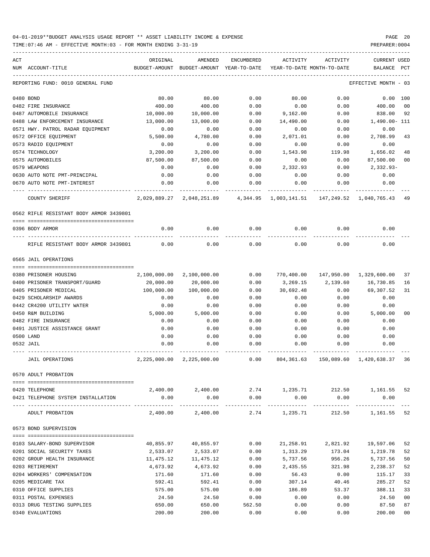| ACT | NUM ACCOUNT-TITLE                                         | ORIGINAL<br>BUDGET-AMOUNT | AMENDED<br>BUDGET-AMOUNT YEAR-TO-DATE | ENCUMBERED   | ACTIVITY                              | ACTIVITY<br>YEAR-TO-DATE MONTH-TO-DATE                 | <b>CURRENT USED</b><br>BALANCE | PCT            |
|-----|-----------------------------------------------------------|---------------------------|---------------------------------------|--------------|---------------------------------------|--------------------------------------------------------|--------------------------------|----------------|
|     | REPORTING FUND: 0010 GENERAL FUND                         |                           |                                       |              |                                       |                                                        | EFFECTIVE MONTH - 03           |                |
|     | 0480 BOND                                                 | 80.00                     | 80.00                                 | 0.00         | 80.00                                 | 0.00                                                   | 0.00 100                       |                |
|     | 0482 FIRE INSURANCE                                       | 400.00                    | 400.00                                | 0.00         | 0.00                                  | 0.00                                                   | 400.00                         | 00             |
|     | 0487 AUTOMOBILE INSURANCE                                 | 10,000.00                 | 10,000.00                             | 0.00         | 9,162.00                              | 0.00                                                   | 838.00                         | 92             |
|     | 0488 LAW ENFORCEMENT INSURANCE                            | 13,000.00                 | 13,000.00                             | 0.00         | 14,490.00                             | 0.00                                                   | 1,490.00- 111                  |                |
|     | 0571 HWY. PATROL RADAR EQUIPMENT                          | 0.00                      | 0.00                                  | 0.00         | 0.00                                  | 0.00                                                   | 0.00                           |                |
|     | 0572 OFFICE EQUIPMENT                                     | 5,500.00                  | 4,780.00                              | 0.00         | 2,071.01                              | 0.00                                                   | 2,708.99                       | 43             |
|     | 0573 RADIO EQUIPMENT                                      | 0.00                      | 0.00                                  | 0.00         | 0.00                                  | 0.00                                                   | 0.00                           |                |
|     | 0574 TECHNOLOGY                                           | 3,200.00                  | 3,200.00                              | 0.00         | 1,543.98                              | 119.98                                                 | 1,656.02                       | 48             |
|     | 0575 AUTOMOBILES                                          | 87,500.00                 | 87,500.00                             | 0.00         | 0.00                                  | 0.00                                                   | 87,500.00                      | 0 <sub>0</sub> |
|     | 0579 WEAPONS                                              | 0.00                      | 0.00                                  | 0.00         | 2,332.93                              | 0.00                                                   | 2,332.93-                      |                |
|     | 0630 AUTO NOTE PMT-PRINCIPAL                              | 0.00                      | 0.00                                  | 0.00         | 0.00                                  | 0.00                                                   | 0.00                           |                |
|     | 0670 AUTO NOTE PMT-INTEREST                               | 0.00                      | 0.00                                  | 0.00         | 0.00                                  | 0.00                                                   | 0.00                           |                |
|     | <b>COUNTY SHERIFF</b>                                     |                           | 2,029,889.27 2,048,251.89             |              |                                       | 4,344.95    1,003,141.51    147,249.52    1,040,765.43 |                                | 49             |
|     | 0562 RIFLE RESISTANT BODY ARMOR 3439801                   |                           |                                       |              |                                       |                                                        |                                |                |
|     | 0396 BODY ARMOR                                           | 0.00                      | 0.00                                  | 0.00         | 0.00                                  | 0.00                                                   | 0.00                           |                |
|     | RIFLE RESISTANT BODY ARMOR 3439801                        | 0.00                      | 0.00                                  | 0.00         | 0.00                                  | 0.00                                                   | 0.00                           |                |
|     | 0565 JAIL OPERATIONS                                      |                           |                                       |              |                                       |                                                        |                                |                |
|     |                                                           |                           |                                       |              |                                       |                                                        |                                |                |
|     | 0380 PRISONER HOUSING                                     | 2,100,000.00              | 2,100,000.00                          | 0.00         |                                       | 770,400.00 147,950.00 1,329,600.00                     |                                | 37             |
|     | 0400 PRISONER TRANSPORT/GUARD                             | 20,000.00                 | 20,000.00                             | 0.00         | 3,269.15                              | 2,139.60                                               | 16,730.85                      | 16             |
|     | 0405 PRISONER MEDICAL                                     | 100,000.00                | 100,000.00                            | 0.00         | 30,692.48                             | 0.00                                                   | 69,307.52                      | 31             |
|     | 0429 SCHOLARSHIP AWARDS                                   | 0.00                      | 0.00                                  | 0.00         | 0.00                                  | 0.00                                                   | 0.00                           |                |
|     | 0442 CR4200 UTILITY WATER                                 | 0.00                      | 0.00                                  | 0.00         | 0.00                                  | 0.00                                                   | 0.00                           |                |
|     | 0450 R&M BUILDING                                         | 5,000.00                  | 5,000.00                              | 0.00         | 0.00                                  | 0.00                                                   | 5,000.00                       | 0 <sup>0</sup> |
|     | 0482 FIRE INSURANCE                                       | 0.00                      | 0.00                                  | 0.00         | 0.00                                  | 0.00                                                   | 0.00                           |                |
|     | 0491 JUSTICE ASSISTANCE GRANT                             | 0.00                      | 0.00                                  | 0.00         | 0.00                                  | 0.00                                                   | 0.00                           |                |
|     | 0500 LAND                                                 | 0.00                      | 0.00                                  | 0.00         | 0.00                                  | 0.00                                                   | 0.00                           |                |
|     | 0532 JAIL                                                 | 0.00                      | 0.00                                  | 0.00         | 0.00                                  | 0.00                                                   | 0.00                           |                |
|     | <b>JAIL OPERATIONS</b>                                    |                           | 2, 225, 000.00 2, 225, 000.00         | 0.00         | 804,361.63                            |                                                        | 150,089.60 1,420,638.37        | 36             |
|     | 0570 ADULT PROBATION                                      |                           |                                       |              |                                       |                                                        |                                |                |
|     |                                                           |                           |                                       |              |                                       |                                                        |                                |                |
|     | 0420 TELEPHONE                                            |                           |                                       |              |                                       | 2,400.00 2,400.00 2.74 1,235.71 212.50 1,161.55        |                                | 52             |
|     | 0421 TELEPHONE SYSTEM INSTALLATION                        | 0.00                      | 0.00<br>-------------                 | 0.00         | 0.00<br>----------------------------- | 0.00<br>-------------                                  | 0.00<br>-------------          |                |
|     | ADULT PROBATION                                           |                           | 2,400.00 2,400.00                     |              |                                       | 2.74 1,235.71 212.50 1,161.55 52                       |                                |                |
|     | 0573 BOND SUPERVISION                                     |                           |                                       |              |                                       |                                                        |                                |                |
|     | 0103 SALARY-BOND SUPERVISOR                               | 40,855.97                 | 40,855.97                             | 0.00         |                                       | 21,258.91 2,821.92 19,597.06                           |                                | 52             |
|     |                                                           |                           |                                       |              |                                       |                                                        | 1,219.78                       |                |
|     | 0201 SOCIAL SECURITY TAXES<br>0202 GROUP HEALTH INSURANCE | 2,533.07                  | 2,533.07                              | 0.00<br>0.00 | 1,313.29<br>5,737.56                  | 173.04<br>956.26                                       | 5,737.56                       | 52<br>50       |
|     | 0203 RETIREMENT                                           | 11,475.12<br>4,673.92     | 11,475.12<br>4,673.92                 | 0.00         | 2,435.55                              | 321.98                                                 | 2,238.37                       | 52             |
|     | 0204 WORKERS' COMPENSATION                                | 171.60                    | 171.60                                | 0.00         | 56.43                                 | 0.00                                                   | 115.17                         | 33             |
|     | 0205 MEDICARE TAX                                         | 592.41                    | 592.41                                | 0.00         | 307.14                                | 40.46                                                  | 285.27                         | 52             |
|     | 0310 OFFICE SUPPLIES                                      | 575.00                    | 575.00                                | 0.00         | 186.89                                | 53.37                                                  | 388.11                         | 33             |
|     | 0311 POSTAL EXPENSES                                      | 24.50                     | 24.50                                 | 0.00         | 0.00                                  | 0.00                                                   | 24.50                          | 0 <sub>0</sub> |
|     | 0313 DRUG TESTING SUPPLIES                                | 650.00                    | 650.00                                | 562.50       | 0.00                                  | 0.00                                                   | 87.50                          | 87             |
|     | 0340 EVALUATIONS                                          | 200.00                    | 200.00                                | 0.00         | 0.00                                  | 0.00                                                   | 200.00                         | 0 <sub>0</sub> |
|     |                                                           |                           |                                       |              |                                       |                                                        |                                |                |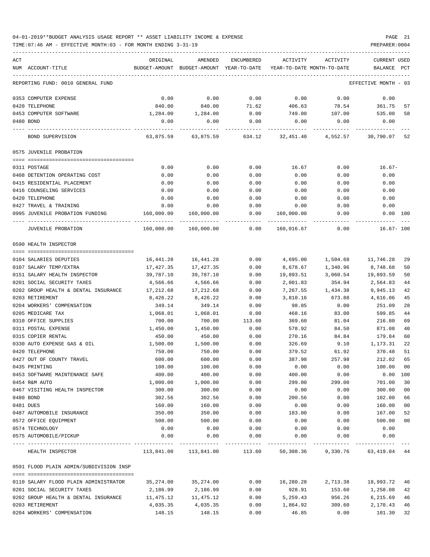| ACT<br>NUM ACCOUNT-TITLE                | ORIGINAL   | AMENDED<br>BUDGET-AMOUNT BUDGET-AMOUNT YEAR-TO-DATE YEAR-TO-DATE MONTH-TO-DATE | ENCUMBERED        | ACTIVITY   | ACTIVITY | <b>CURRENT USED</b><br>BALANCE PCT |                |
|-----------------------------------------|------------|--------------------------------------------------------------------------------|-------------------|------------|----------|------------------------------------|----------------|
|                                         |            |                                                                                |                   |            |          |                                    |                |
| REPORTING FUND: 0010 GENERAL FUND       |            |                                                                                |                   |            |          | EFFECTIVE MONTH - 03               |                |
| 0353 COMPUTER EXPENSE                   | 0.00       | 0.00                                                                           | 0.00              | 0.00       | 0.00     | 0.00                               |                |
| 0420 TELEPHONE                          | 840.00     | 840.00                                                                         | 71.62             | 406.63     | 78.54    | 361.75                             | 57             |
| 0453 COMPUTER SOFTWARE                  | 1,284.00   | 1,284.00                                                                       | 0.00              | 749.00     | 107.00   | 535.00                             | 58             |
| 0480 BOND                               | 0.00       | 0.00                                                                           | 0.00              | 0.00       | 0.00     | 0.00                               |                |
| BOND SUPERVISION                        | 63,875.59  | 63,875.59                                                                      | 634.12            | 32,451.40  | 4,552.57 | 30,790.07                          | 52             |
| 0575 JUVENILE PROBATION                 |            |                                                                                |                   |            |          |                                    |                |
|                                         |            |                                                                                |                   |            |          |                                    |                |
| 0311 POSTAGE                            | 0.00       | 0.00                                                                           | 0.00              | 16.67      | 0.00     | $16.67-$                           |                |
| 0408 DETENTION OPERATING COST           | 0.00       | 0.00                                                                           | 0.00              | 0.00       | 0.00     | 0.00                               |                |
| 0415 RESIDENTIAL PLACEMENT              | 0.00       | 0.00                                                                           | 0.00              | 0.00       | 0.00     | 0.00                               |                |
| 0416 COUNSELING SERVICES                | 0.00       | 0.00                                                                           | 0.00              | 0.00       | 0.00     | 0.00                               |                |
| 0420 TELEPHONE                          | 0.00       | 0.00                                                                           | 0.00              | 0.00       | 0.00     | 0.00                               |                |
| 0427 TRAVEL & TRAINING                  | 0.00       | 0.00                                                                           | 0.00              | 0.00       | 0.00     | 0.00                               |                |
| 0995 JUVENILE PROBATION FUNDING         | 160,000.00 | 160,000.00                                                                     | 0.00<br>--------- | 160,000.00 | 0.00     | $0.00$ 100                         |                |
| JUVENILE PROBATION                      | 160,000.00 | 160,000.00                                                                     | 0.00              | 160,016.67 | 0.00     | $16.67 - 100$                      |                |
| 0590 HEALTH INSPECTOR                   |            |                                                                                |                   |            |          |                                    |                |
| 0104 SALARIES DEPUTIES                  | 16,441.28  | 16,441.28                                                                      | 0.00              | 4,695.00   | 1,504.68 | 11,746.28                          | 29             |
| 0107 SALARY TEMP/EXTRA                  | 17,427.35  | 17,427.35                                                                      | 0.00              | 8,678.67   | 1,340.96 | 8,748.68                           | 50             |
| 0151 SALARY HEALTH INSPECTOR            | 39,787.10  | 39,787.10                                                                      | 0.00              | 19,893.51  | 3,060.54 | 19,893.59                          | 50             |
| 0201 SOCIAL SECURITY TAXES              | 4,566.66   | 4,566.66                                                                       | 0.00              | 2,001.83   | 354.94   | 2,564.83                           | 44             |
| 0202 GROUP HEALTH & DENTAL INSURANCE    | 17,212.68  | 17,212.68                                                                      | 0.00              | 7,267.55   | 1,434.38 | 9,945.13                           | 42             |
| 0203 RETIREMENT                         | 8,426.22   | 8,426.22                                                                       | 0.00              | 3,810.16   | 673.88   | 4,616.06                           | 45             |
| 0204 WORKERS' COMPENSATION              | 349.14     | 349.14                                                                         | 0.00              | 98.05      | 0.00     | 251.09                             | 28             |
| 0205 MEDICARE TAX                       | 1,068.01   | 1,068.01                                                                       | 0.00              | 468.16     | 83.00    | 599.85                             | 44             |
| 0310 OFFICE SUPPLIES                    | 700.00     | 700.00                                                                         | 113.60            | 369.60     | 81.04    | 216.80                             | 69             |
| 0311 POSTAL EXPENSE                     | 1,450.00   | 1,450.00                                                                       | 0.00              | 578.92     | 84.50    | 871.08                             | 40             |
| 0315 COPIER RENTAL                      | 450.00     | 450.00                                                                         | 0.00              | 270.16     | 84.84    | 179.84                             | 60             |
| 0330 AUTO EXPENSE GAS & OIL             | 1,500.00   | 1,500.00                                                                       | 0.00              | 326.69     | 9.10     | 1,173.31                           | 22             |
| 0420 TELEPHONE                          | 750.00     | 750.00                                                                         | 0.00              | 379.52     | 61.92    | 370.48                             | 51             |
| 0427 OUT OF COUNTY TRAVEL               | 600.00     | 600.00                                                                         | 0.00              | 387.98     | 257.98   | 212.02                             | 65             |
| 0435 PRINTING                           | 100.00     | 100.00                                                                         | 0.00              | 0.00       | 0.00     | 100.00                             | 00             |
| 0453 SOFTWARE MAINTENANCE SAFE          | 400.00     | 400.00                                                                         | 0.00              | 400.00     | 0.00     | 0.00 100                           |                |
| 0454 R&M AUTO                           | 1,000.00   | 1,000.00                                                                       | 0.00              | 299.00     | 299.00   | 701.00                             | 30             |
| 0467 VISITING HEALTH INSPECTOR          | 300.00     | 300.00                                                                         | 0.00              | 0.00       | 0.00     | 300.00                             | 0 <sub>0</sub> |
| 0480 BOND                               | 302.56     | 302.56                                                                         | 0.00              | 200.56     | 0.00     | 102.00                             | 66             |
| 0481 DUES                               | 160.00     | 160.00                                                                         | 0.00              | 0.00       | 0.00     | 160.00                             | 0 <sub>0</sub> |
| 0487 AUTOMOBILE INSURANCE               | 350.00     | 350.00                                                                         | 0.00              | 183.00     | 0.00     | 167.00                             | 52             |
| 0572 OFFICE EQUIPMENT                   | 500.00     | 500.00                                                                         | 0.00              | 0.00       | 0.00     | 500.00                             | 0 <sub>0</sub> |
| 0574 TECHNOLOGY                         | 0.00       | 0.00                                                                           | 0.00              | 0.00       | 0.00     | 0.00                               |                |
| 0575 AUTOMOBILE/PICKUP                  | 0.00       | 0.00                                                                           | 0.00              | 0.00       | 0.00     | 0.00                               |                |
|                                         |            |                                                                                |                   |            |          |                                    |                |
| HEALTH INSPECTOR                        |            | 113,841.00 113,841.00 113.60 50,308.36 9,330.76                                |                   |            |          | 63,419.04                          | 44             |
| 0591 FLOOD PLAIN ADMIN/SUBDIVISION INSP |            |                                                                                |                   |            |          |                                    |                |
| 0110 SALARY FLOOD PLAIN ADMINISTRATOR   | 35,274.00  | 35,274.00                                                                      | 0.00              | 16,280.28  | 2,713.38 | 18,993.72                          | 46             |
| 0201 SOCIAL SECURITY TAXES              | 2,186.99   | 2,186.99                                                                       | 0.00              | 928.91     | 153.60   | 1,258.08                           | 42             |
| 0202 GROUP HEALTH & DENTAL INSURANCE    | 11,475.12  | 11,475.12                                                                      | 0.00              | 5,259.43   | 956.26   | 6,215.69                           | 46             |
| 0203 RETIREMENT                         | 4,035.35   | 4,035.35                                                                       | 0.00              | 1,864.92   | 309.60   | 2,170.43                           | 46             |
| 0204 WORKERS' COMPENSATION              | 148.15     | 148.15                                                                         | 0.00              | 46.85      | 0.00     | 101.30                             | 32             |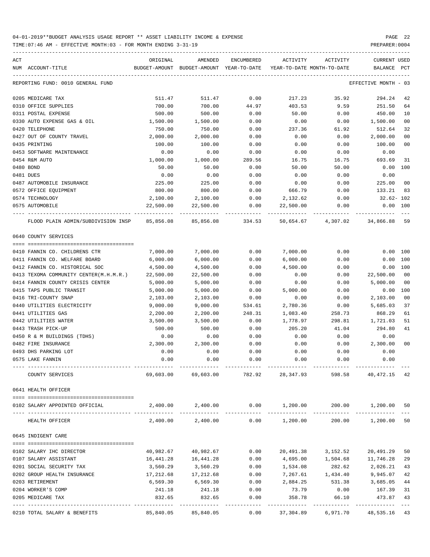| ACT |                                                                                  | ORIGINAL  | AMENDED                                                             | ENCUMBERED | ACTIVITY  | ACTIVITY                              | CURRENT USED         |                |
|-----|----------------------------------------------------------------------------------|-----------|---------------------------------------------------------------------|------------|-----------|---------------------------------------|----------------------|----------------|
|     | NUM ACCOUNT-TITLE                                                                |           | BUDGET-AMOUNT BUDGET-AMOUNT YEAR-TO-DATE YEAR-TO-DATE MONTH-TO-DATE |            |           |                                       | BALANCE              | PCT            |
|     | REPORTING FUND: 0010 GENERAL FUND                                                |           |                                                                     |            |           |                                       | EFFECTIVE MONTH - 03 |                |
|     | 0205 MEDICARE TAX                                                                | 511.47    | 511.47                                                              | 0.00       | 217.23    | 35.92                                 | 294.24               | 42             |
|     | 0310 OFFICE SUPPLIES                                                             | 700.00    | 700.00                                                              | 44.97      | 403.53    | 9.59                                  | 251.50               | 64             |
|     | 0311 POSTAL EXPENSE                                                              | 500.00    | 500.00                                                              | 0.00       | 50.00     | 0.00                                  | 450.00               | 10             |
|     | 0330 AUTO EXPENSE GAS & OIL                                                      | 1,500.00  | 1,500.00                                                            | 0.00       | 0.00      | 0.00                                  | 1,500.00             | 0 <sub>0</sub> |
|     | 0420 TELEPHONE                                                                   | 750.00    | 750.00                                                              | 0.00       | 237.36    | 61.92                                 | 512.64               | 32             |
|     | 0427 OUT OF COUNTY TRAVEL                                                        | 2,000.00  | 2,000.00                                                            | 0.00       | 0.00      | 0.00                                  | 2,000.00             | 0 <sub>0</sub> |
|     | 0435 PRINTING                                                                    | 100.00    | 100.00                                                              | 0.00       | 0.00      | 0.00                                  | 100.00               | 0 <sub>0</sub> |
|     | 0453 SOFTWARE MAINTENANCE                                                        | 0.00      | 0.00                                                                | 0.00       | 0.00      | 0.00                                  | 0.00                 |                |
|     | 0454 R&M AUTO                                                                    | 1,000.00  | 1,000.00                                                            | 289.56     | 16.75     | 16.75                                 | 693.69               | 31             |
|     | 0480 BOND                                                                        | 50.00     | 50.00                                                               | 0.00       | 50.00     | 50.00                                 | $0.00$ 100           |                |
|     | 0481 DUES                                                                        | 0.00      | 0.00                                                                | 0.00       | 0.00      | 0.00                                  | 0.00                 |                |
|     | 0487 AUTOMOBILE INSURANCE                                                        | 225.00    | 225.00                                                              | 0.00       | 0.00      | 0.00                                  | 225.00               | 0 <sub>0</sub> |
|     | 0572 OFFICE EQUIPMENT                                                            | 800.00    | 800.00                                                              | 0.00       | 666.79    | 0.00                                  | 133.21               | 83             |
|     | 0574 TECHNOLOGY                                                                  | 2,100.00  | 2,100.00                                                            | 0.00       | 2,132.62  | 0.00                                  | $32.62 - 102$        |                |
|     | 0575 AUTOMOBILE                                                                  | 22,500.00 | 22,500.00                                                           | 0.00       | 22,500.00 | 0.00                                  | $0.00$ $100$         |                |
|     | FLOOD PLAIN ADMIN/SUBDIVISION INSP 85,856.08 85,856.08 334.53 50,654.67 4,307.02 |           |                                                                     |            |           |                                       | 34,866.88            | 59             |
|     | 0640 COUNTY SERVICES                                                             |           |                                                                     |            |           |                                       |                      |                |
|     |                                                                                  |           |                                                                     |            |           |                                       |                      |                |
|     | 0410 FANNIN CO. CHILDRENS CTR                                                    | 7,000.00  | 7,000.00                                                            | 0.00       | 7,000.00  | 0.00                                  | $0.00$ 100           |                |
|     | 0411 FANNIN CO. WELFARE BOARD                                                    | 6,000.00  | 6,000.00                                                            | 0.00       | 6,000.00  | 0.00                                  | $0.00$ 100           |                |
|     | 0412 FANNIN CO. HISTORICAL SOC                                                   | 4,500.00  | 4,500.00                                                            | 0.00       | 4,500.00  | 0.00                                  | 0.00 100             |                |
|     | 0413 TEXOMA COMMUNITY CENTER(M.H.M.R.)                                           | 22,500.00 | 22,500.00                                                           | 0.00       | 0.00      | 0.00                                  | 22,500.00            | 0 <sub>0</sub> |
|     | 0414 FANNIN COUNTY CRISIS CENTER                                                 | 5,000.00  | 5,000.00                                                            | 0.00       | 0.00      | 0.00                                  | 5,000.00             | 0 <sub>0</sub> |
|     | 0415 TAPS PUBLIC TRANSIT                                                         | 5,000.00  | 5,000.00                                                            | 0.00       | 5,000.00  | 0.00                                  | 0.00 100             |                |
|     | 0416 TRI-COUNTY SNAP                                                             | 2,103.00  | 2,103.00                                                            | 0.00       | 0.00      | 0.00                                  | 2,103.00             | 0 <sub>0</sub> |
|     | 0440 UTILITIES ELECTRICITY                                                       | 9,000.00  | 9,000.00                                                            | 534.61     | 2,780.36  | 0.00                                  | 5,685.03             | 37             |
|     | 0441 UTILITIES GAS                                                               | 2,200.00  | 2,200.00                                                            | 248.31     | 1,083.40  | 258.73                                | 868.29               | 61             |
|     | 0442 UTILITIES WATER                                                             | 3,500.00  | 3,500.00                                                            | 0.00       | 1,778.97  | 298.81                                | 1,721.03             | 51             |
|     | 0443 TRASH PICK-UP                                                               | 500.00    | 500.00                                                              | 0.00       | 205.20    | 41.04                                 | 294.80               | 41             |
|     | 0450 R & M BUILDINGS (TDHS)                                                      | 0.00      | 0.00                                                                | 0.00       | 0.00      | 0.00                                  | 0.00                 |                |
|     | 0482 FIRE INSURANCE                                                              | 2,300.00  | 2,300.00                                                            | 0.00       | 0.00      | 0.00                                  | 2,300.00             | 0 <sub>0</sub> |
|     | 0493 DHS PARKING LOT                                                             | 0.00      | 0.00                                                                | 0.00       | 0.00      | 0.00                                  | 0.00                 |                |
|     | 0575 LAKE FANNIN                                                                 | 0.00      | 0.00                                                                | 0.00       | 0.00      | 0.00                                  | 0.00                 |                |
|     | COUNTY SERVICES                                                                  | 69,603.00 | 69,603.00                                                           | 782.92     | 28,347.93 | 598.58                                | 40,472.15            | 42             |
|     | 0641 HEALTH OFFICER                                                              |           |                                                                     |            |           |                                       |                      |                |
|     | 0102 SALARY APPOINTED OFFICIAL                                                   | 2,400.00  | 2,400.00                                                            |            |           | $0.00$ $1,200.00$ $200.00$ $1,200.00$ |                      | 50             |
|     | HEALTH OFFICER                                                                   | 2,400.00  | 2,400.00                                                            | 0.00       | 1,200.00  | 200.00                                | 1,200.00             | 50             |
|     | 0645 INDIGENT CARE                                                               |           |                                                                     |            |           |                                       |                      |                |
|     | 0102 SALARY IHC DIRECTOR                                                         | 40,982.67 | 40,982.67                                                           | 0.00       | 20,491.38 | 3,152.52                              | 20,491.29            | 50             |
|     | 0107 SALARY ASSISTANT                                                            | 16,441.28 | 16,441.28                                                           | 0.00       | 4,695.00  | 1,504.68                              | 11,746.28            | 29             |
|     | 0201 SOCIAL SECURITY TAX                                                         | 3,560.29  | 3,560.29                                                            | 0.00       | 1,534.08  | 282.62                                | 2,026.21             | 43             |
|     | 0202 GROUP HEALTH INSURANCE                                                      | 17,212.68 | 17,212.68                                                           | 0.00       | 7,267.61  | 1,434.40                              | 9,945.07             | 42             |
|     | 0203 RETIREMENT                                                                  | 6,569.30  | 6,569.30                                                            | 0.00       | 2,884.25  | 531.38                                | 3,685.05             | 44             |
|     | 0204 WORKER'S COMP                                                               | 241.18    | 241.18                                                              | 0.00       | 73.79     | 0.00                                  | 167.39               | 31             |
|     | 0205 MEDICARE TAX                                                                | 832.65    | 832.65                                                              | 0.00       | 358.78    | 66.10                                 | 473.87               | 43             |
|     | 0210 TOTAL SALARY & BENEFITS                                                     | 85,840.05 | 85,840.05                                                           | 0.00       | 37,304.89 | 6,971.70                              | 48,535.16            | 43             |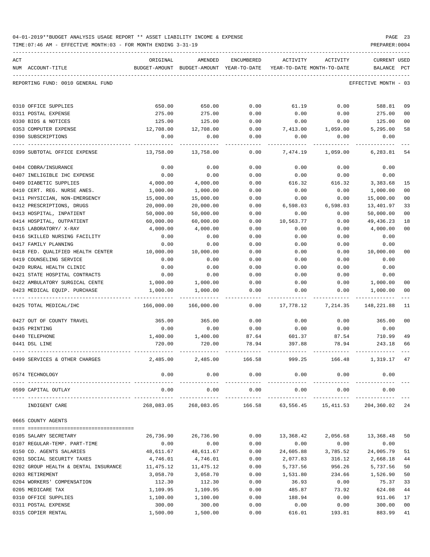| 04-01-2019**BUDGET ANALYSIS USAGE REPORT ** ASSET LIABILITY INCOME & EXPENSE |  |  |  | PAGE |  |
|------------------------------------------------------------------------------|--|--|--|------|--|
|                                                                              |  |  |  |      |  |

TIME:07:46 AM - EFFECTIVE MONTH:03 - FOR MONTH ENDING 3-31-19 PREPARER:0004

| ACT<br>NUM ACCOUNT-TITLE                                           | ORIGINAL               | AMENDED<br>BUDGET-AMOUNT BUDGET-AMOUNT YEAR-TO-DATE YEAR-TO-DATE MONTH-TO-DATE | ENCUMBERED   | ACTIVITY             | ACTIVITY                   | <b>CURRENT USED</b><br>BALANCE PCT |                |
|--------------------------------------------------------------------|------------------------|--------------------------------------------------------------------------------|--------------|----------------------|----------------------------|------------------------------------|----------------|
|                                                                    |                        |                                                                                |              |                      |                            |                                    |                |
| REPORTING FUND: 0010 GENERAL FUND                                  |                        |                                                                                |              |                      |                            | EFFECTIVE MONTH - 03               |                |
| 0310 OFFICE SUPPLIES                                               | 650.00                 | 650.00                                                                         | 0.00         | 61.19                | 0.00                       | 588.81                             | 09             |
| 0311 POSTAL EXPENSE                                                | 275.00                 | 275.00                                                                         | 0.00         | 0.00                 | 0.00                       | 275.00                             | 0 <sub>0</sub> |
| 0330 BIDS & NOTICES                                                | 125.00                 | 125.00                                                                         | 0.00         | 0.00                 | 0.00                       | 125.00                             | 00             |
| 0353 COMPUTER EXPENSE                                              | 12,708.00              | 12,708.00                                                                      | 0.00         | 7,413.00             | 1,059.00                   | 5,295.00                           | 58             |
| 0390 SUBSCRIPTIONS                                                 | 0.00                   | 0.00                                                                           | 0.00         | 0.00                 | 0.00                       | 0.00                               |                |
| 0399 SUBTOTAL OFFICE EXPENSE                                       | 13,758.00              | 13,758.00                                                                      | 0.00         | 7,474.19             | 1,059.00                   | 6,283.81                           | 54             |
| 0404 COBRA/INSURANCE                                               | 0.00                   | 0.00                                                                           | 0.00         | 0.00                 | 0.00                       | 0.00                               |                |
| 0407 INELIGIBLE IHC EXPENSE                                        | 0.00                   | 0.00                                                                           | 0.00         | 0.00                 | 0.00                       | 0.00                               |                |
| 0409 DIABETIC SUPPLIES                                             | 4,000.00               | 4,000.00                                                                       | 0.00         | 616.32               | 616.32                     | 3,383.68                           | 15             |
| 0410 CERT. REG. NURSE ANES.                                        | 1,000.00               | 1,000.00                                                                       | 0.00         | 0.00                 | 0.00                       | 1,000.00                           | 0 <sub>0</sub> |
| 0411 PHYSICIAN, NON-EMERGENCY                                      | 15,000.00              | 15,000.00                                                                      | 0.00         | 0.00                 | 0.00                       | 15,000.00                          | 00             |
| 0412 PRESCRIPTIONS, DRUGS<br>0413 HOSPITAL, INPATIENT              | 20,000.00<br>50,000.00 | 20,000.00<br>50,000.00                                                         | 0.00<br>0.00 | 6,598.03<br>0.00     | 6,598.03<br>0.00           | 13,401.97<br>50,000.00             | 33<br>00       |
| 0414 HOSPITAL, OUTPATIENT                                          | 60,000.00              | 60,000.00                                                                      | 0.00         | 10,563.77            | 0.00                       | 49, 436.23                         | 18             |
| 0415 LABORATORY/ X-RAY                                             | 4,000.00               | 4,000.00                                                                       | 0.00         | 0.00                 | 0.00                       | 4,000.00                           | 0 <sub>0</sub> |
| 0416 SKILLED NURSING FACILITY                                      | 0.00                   | 0.00                                                                           | 0.00         | 0.00                 | 0.00                       | 0.00                               |                |
| 0417 FAMILY PLANNING                                               | 0.00                   | 0.00                                                                           | 0.00         | 0.00                 | 0.00                       | 0.00                               |                |
| 0418 FED. QUALIFIED HEALTH CENTER                                  | 10,000.00              | 10,000.00                                                                      | 0.00         | 0.00                 | 0.00                       | 10,000.00                          | 00             |
| 0419 COUNSELING SERVICE                                            | 0.00                   | 0.00                                                                           | 0.00         | 0.00                 | 0.00                       | 0.00                               |                |
| 0420 RURAL HEALTH CLINIC                                           | 0.00                   | 0.00                                                                           | 0.00         | 0.00                 | 0.00                       | 0.00                               |                |
| 0421 STATE HOSPITAL CONTRACTS                                      | 0.00                   | 0.00                                                                           | 0.00         | 0.00                 | 0.00                       | 0.00                               |                |
| 0422 AMBULATORY SURGICAL CENTE                                     | 1,000.00               | 1,000.00                                                                       | 0.00         | 0.00                 | 0.00                       | 1,000.00                           | 00             |
| 0423 MEDICAL EQUIP. PURCHASE                                       | 1,000.00               | 1,000.00                                                                       | 0.00         | 0.00                 | 0.00                       | 1,000.00                           | 00             |
| 0425 TOTAL MEDICAL/IHC                                             | 166,000.00             | 166,000.00                                                                     | 0.00         | 17,778.12            | 7,214.35                   | 148,221.88                         | 11             |
| 0427 OUT OF COUNTY TRAVEL                                          | 365.00                 | 365.00                                                                         | 0.00         | 0.00                 | 0.00                       | 365.00                             | 0 <sup>0</sup> |
| 0435 PRINTING                                                      | 0.00                   | 0.00                                                                           | 0.00         | 0.00                 | 0.00                       | 0.00                               |                |
| 0440 TELEPHONE                                                     | 1,400.00               | 1,400.00                                                                       | 87.64        | 601.37               | 87.54                      | 710.99                             | 49             |
| 0441 DSL LINE                                                      | 720.00                 | 720.00                                                                         | 78.94        | 397.88               | 78.94                      | 243.18                             | 66             |
| 0499 SERVICES & OTHER CHARGES                                      | 2,485.00               | 2,485.00                                                                       | 166.58       | 999.25               | 166.48                     | 1,319.17                           | 47             |
| 0574 TECHNOLOGY                                                    | 0.00                   | 0.00                                                                           | 0.00         |                      | 0.00<br>0.00               | 0.00                               |                |
| 0599 CAPITAL OUTLAY                                                | 0.00                   | 0.00                                                                           | 0.00         | 0.00                 | 0.00<br>-------------      | 0.00                               |                |
| INDIGENT CARE                                                      | 268,083.05             | 268,083.05                                                                     |              |                      | 166.58 63,556.45 15,411.53 | 204,360.02 24                      |                |
| 0665 COUNTY AGENTS                                                 |                        |                                                                                |              |                      |                            |                                    |                |
|                                                                    |                        |                                                                                |              |                      |                            |                                    |                |
| 0105 SALARY SECRETARY                                              | 26,736.90              | 26,736.90                                                                      | 0.00         | 13,368.42            | 2,056.68                   | 13,368.48                          | 50             |
| 0107 REGULAR-TEMP. PART-TIME                                       | 0.00                   | 0.00                                                                           | 0.00         | 0.00                 | 0.00                       | 0.00                               |                |
| 0150 CO. AGENTS SALARIES                                           | 48,611.67              | 48,611.67                                                                      | 0.00         | 24,605.88            | 3,785.52<br>316.12         | 24,005.79                          | 51             |
| 0201 SOCIAL SECURITY TAXES<br>0202 GROUP HEALTH & DENTAL INSURANCE | 4,746.01<br>11,475.12  | 4,746.01<br>11,475.12                                                          | 0.00<br>0.00 | 2,077.83<br>5,737.56 | 956.26                     | 2,668.18<br>5,737.56               | 44<br>50       |
| 0203 RETIREMENT                                                    | 3,058.70               | 3,058.70                                                                       | 0.00         | 1,531.80             | 234.66                     | 1,526.90                           | 50             |
| 0204 WORKERS' COMPENSATION                                         | 112.30                 | 112.30                                                                         | 0.00         | 36.93                | 0.00                       | 75.37                              | 33             |
| 0205 MEDICARE TAX                                                  | 1,109.95               | 1,109.95                                                                       | 0.00         | 485.87               | 73.92                      | 624.08                             | 44             |
| 0310 OFFICE SUPPLIES                                               | 1,100.00               | 1,100.00                                                                       | 0.00         | 188.94               | 0.00                       | 911.06                             | 17             |
| 0311 POSTAL EXPENSE                                                | 300.00                 | 300.00                                                                         | 0.00         | 0.00                 | 0.00                       | 300.00                             | 0 <sub>0</sub> |

0315 COPIER RENTAL 683.99 41 (1,500.00 1,500.00 0.00 616.01 193.81 883.99 41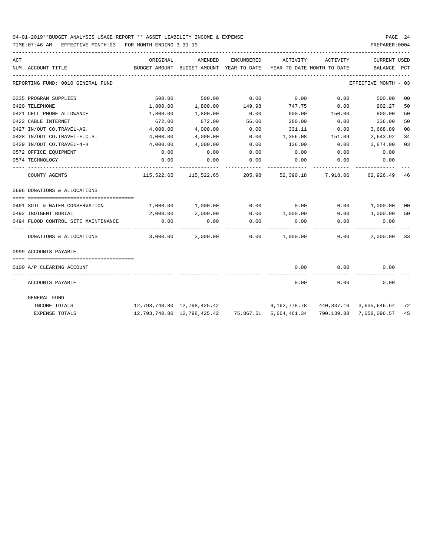| ACT |                                     | ORIGINAL                                         | AMENDED                                                      | <b>ENCUMBERED</b> | ACTIVITY                   | ACTIVITY      | <b>CURRENT USED</b>           |    |
|-----|-------------------------------------|--------------------------------------------------|--------------------------------------------------------------|-------------------|----------------------------|---------------|-------------------------------|----|
|     | NUM ACCOUNT-TITLE                   | BUDGET-AMOUNT BUDGET-AMOUNT YEAR-TO-DATE         |                                                              |                   | YEAR-TO-DATE MONTH-TO-DATE |               | BALANCE PCT                   |    |
|     | REPORTING FUND: 0010 GENERAL FUND   |                                                  |                                                              |                   |                            |               | EFFECTIVE MONTH - 03          |    |
|     | 0335 PROGRAM SUPPLIES               | 500.00                                           | 500.00                                                       | 0.00              | 0.00                       | 0.00          | 500.00                        | 00 |
|     | 0420 TELEPHONE                      | 1,800.00                                         | 1,800.00                                                     | 149.98            | 747.75                     | 0.00          | 902.27                        | 50 |
|     | 0421 CELL PHONE ALLOWANCE           | 1,800.00                                         | 1,800.00                                                     | 0.00              | 900.00                     | 150.00        | 900.00                        | 50 |
|     | 0422 CABLE INTERNET                 | 672.00                                           | 672.00                                                       | 56.00             | 280.00                     | 0.00          | 336.00                        | 50 |
|     | 0427 IN/OUT CO.TRAVEL-AG.           | 4,000.00                                         | 4,000.00                                                     | 0.00              | 331.11                     | 0.00          | 3,668.89                      | 08 |
|     | 0428 IN/OUT CO.TRAVEL-F.C.S.        | 4,000.00                                         | 4,000.00                                                     | 0.00              | 1,356.08                   | 151.09        | 2,643.92                      | 34 |
|     | 0429 IN/OUT CO.TRAVEL-4-H           | 4,000.00                                         | 4,000.00                                                     | 0.00              | 126.00                     | 0.00          | 3,874.00                      | 03 |
|     | 0572 OFFICE EQUIPMENT               | 0.00                                             | 0.00                                                         | 0.00              | 0.00                       | 0.00          | 0.00                          |    |
|     | 0574 TECHNOLOGY                     | 0.00                                             | 0.00                                                         | 0.00              | 0.00                       | 0.00          | 0.00                          |    |
|     | COUNTY AGENTS                       |                                                  | 115,522.65 115,522.65 205.98 52,390.18 7,918.06 62,926.49 46 |                   |                            |               |                               |    |
|     | 0696 DONATIONS & ALLOCATIONS        |                                                  |                                                              |                   |                            |               |                               |    |
|     | 0491 SOIL & WATER CONSERVATION      | 1,000.00                                         | 1,000.00                                                     | 0.00              | 0.00                       | 0.00 1,000.00 |                               | 00 |
|     | 0492 INDIGENT BURIAL                | 2,000.00                                         | 2,000.00                                                     | 0.00              | 1,000.00                   | 0.00          | 1,000.00                      | 50 |
|     | 0494 FLOOD CONTROL SITE MAINTENANCE | 0.00                                             | 0.00                                                         | 0.00              | 0.00                       | 0.00          | 0.00                          |    |
|     | DONATIONS & ALLOCATIONS             | 3,000.00                                         | 3,000.00                                                     | 0.00              | $1,000.00$ 0.00            |               | 2,000.00                      | 33 |
|     | 0999 ACCOUNTS PAYABLE               |                                                  |                                                              |                   |                            |               |                               |    |
|     | 0100 A/P CLEARING ACCOUNT           |                                                  |                                                              |                   | 0.00                       | 0.00          | 0.00                          |    |
|     | ACCOUNTS PAYABLE                    |                                                  |                                                              |                   | 0.00                       | 0.00          | 0.00                          |    |
|     | GENERAL FUND                        |                                                  |                                                              |                   |                            |               |                               |    |
|     | INCOME TOTALS                       | $12,793,740.80 \quad 12,798,425.42$ 9,162,778.78 |                                                              |                   |                            |               | 440, 337.10 3, 635, 646.64 72 |    |
|     | EXPENSE TOTALS                      |                                                  | 12,793,740.80  12,798,425.42  75,867.51  5,664,461.34        |                   |                            |               | 790,139.88 7,058,096.57       | 45 |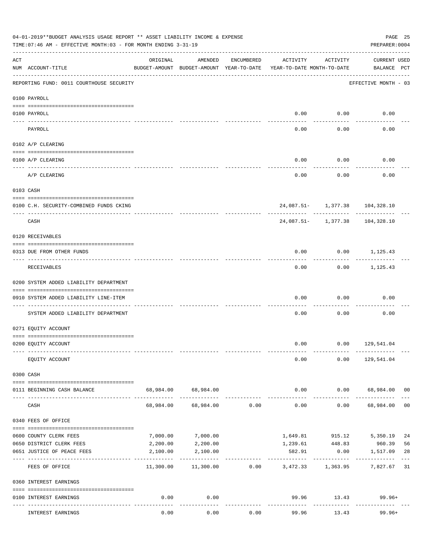|                    | 04-01-2019**BUDGET ANALYSIS USAGE REPORT ** ASSET LIABILITY INCOME & EXPENSE<br>TIME: 07:46 AM - EFFECTIVE MONTH: 03 - FOR MONTH ENDING 3-31-19 |           |                                                     |                |                                        |                    | PREPARER: 0004                                | PAGE 25        |
|--------------------|-------------------------------------------------------------------------------------------------------------------------------------------------|-----------|-----------------------------------------------------|----------------|----------------------------------------|--------------------|-----------------------------------------------|----------------|
| $\mathop{\rm ACT}$ | NUM ACCOUNT-TITLE                                                                                                                               | ORIGINAL  | AMENDED<br>BUDGET-AMOUNT BUDGET-AMOUNT YEAR-TO-DATE | ENCUMBERED     | ACTIVITY<br>YEAR-TO-DATE MONTH-TO-DATE | ACTIVITY           | CURRENT USED<br>BALANCE PCT                   |                |
|                    | REPORTING FUND: 0011 COURTHOUSE SECURITY                                                                                                        |           |                                                     |                |                                        |                    | EFFECTIVE MONTH - 03                          |                |
|                    | 0100 PAYROLL                                                                                                                                    |           |                                                     |                |                                        |                    |                                               |                |
|                    | 0100 PAYROLL                                                                                                                                    |           |                                                     |                |                                        | $0.00$ $0.00$      | 0.00                                          |                |
| ---- ----          | PAYROLL                                                                                                                                         |           |                                                     |                | 0.00                                   | 0.00               | 0.00                                          |                |
|                    | 0102 A/P CLEARING                                                                                                                               |           |                                                     |                |                                        |                    |                                               |                |
|                    | 0100 A/P CLEARING                                                                                                                               |           |                                                     |                | 0.00                                   | 0.00               | 0.00                                          |                |
|                    | A/P CLEARING                                                                                                                                    |           |                                                     |                | 0.00                                   | 0.00               | 0.00                                          |                |
|                    | 0103 CASH                                                                                                                                       |           |                                                     |                |                                        |                    |                                               |                |
|                    | 0100 C.H. SECURITY-COMBINED FUNDS CKING                                                                                                         |           |                                                     |                |                                        |                    | 24,087.51- 1,377.38 104,328.10                |                |
|                    | -----------------------------<br>CASH                                                                                                           |           |                                                     |                |                                        |                    | -----------<br>24,087.51- 1,377.38 104,328.10 |                |
|                    | 0120 RECEIVABLES                                                                                                                                |           |                                                     |                |                                        |                    |                                               |                |
|                    | 0313 DUE FROM OTHER FUNDS                                                                                                                       |           |                                                     |                | 0.00                                   |                    | $0.00$ 1,125.43                               |                |
|                    | RECEIVABLES                                                                                                                                     |           |                                                     |                | 0.00                                   |                    | $0.00$ 1,125.43                               |                |
|                    | 0200 SYSTEM ADDED LIABILITY DEPARTMENT                                                                                                          |           |                                                     |                |                                        |                    |                                               |                |
|                    | 0910 SYSTEM ADDED LIABILITY LINE-ITEM                                                                                                           |           |                                                     |                | 0.00                                   | 0.00               | 0.00                                          |                |
|                    | SYSTEM ADDED LIABILITY DEPARTMENT                                                                                                               |           |                                                     |                | 0.00                                   | 0.00               | 0.00                                          |                |
|                    | 0271 EQUITY ACCOUNT                                                                                                                             |           |                                                     |                |                                        |                    |                                               |                |
|                    | 0200 EQUITY ACCOUNT                                                                                                                             |           |                                                     |                |                                        |                    | $0.00$ $0.00$ $129,541.04$                    |                |
|                    | EQUITY ACCOUNT                                                                                                                                  |           |                                                     |                | 0.00                                   |                    | $0.00$ 129,541.04                             |                |
|                    | 0300 CASH                                                                                                                                       |           |                                                     |                |                                        |                    |                                               |                |
|                    | --------------------------------------<br>0111 BEGINNING CASH BALANCE                                                                           |           | 68,984.00 68,984.00                                 |                | 0.00                                   |                    | $0.00$ 68,984.00 00                           |                |
|                    | CASH                                                                                                                                            | 68,984.00 |                                                     | 68,984.00 0.00 | ------------<br>0.00                   | ----------<br>0.00 | 68,984.00                                     | 0 <sub>0</sub> |
|                    | 0340 FEES OF OFFICE                                                                                                                             |           |                                                     |                |                                        |                    |                                               |                |
|                    | 0600 COUNTY CLERK FEES                                                                                                                          | 7,000.00  | 7,000.00                                            |                | 1,649.81                               | 915.12             | 5,350.19                                      | 24             |
|                    | 0650 DISTRICT CLERK FEES                                                                                                                        | 2,200.00  | 2,200.00                                            |                | 1,239.61                               | 448.83             | 960.39                                        | 56             |
|                    | 0651 JUSTICE OF PEACE FEES                                                                                                                      | 2,100.00  | 2,100.00                                            |                | 582.91<br>---------                    | 0.00               | 1,517.09                                      | 28             |
|                    | FEES OF OFFICE                                                                                                                                  | 11,300.00 | 11,300.00                                           | 0.00           |                                        | 3,472.33 1,363.95  | 7,827.67 31                                   |                |
|                    | 0360 INTEREST EARNINGS                                                                                                                          |           |                                                     |                |                                        |                    |                                               |                |
|                    | 0100 INTEREST EARNINGS                                                                                                                          | 0.00      | 0.00                                                |                |                                        | -----------        | 99.96 13.43 99.96+                            |                |
|                    | INTEREST EARNINGS                                                                                                                               | 0.00      | 0.00                                                | 0.00           | 99.96                                  | 13.43              | $99.96+$                                      |                |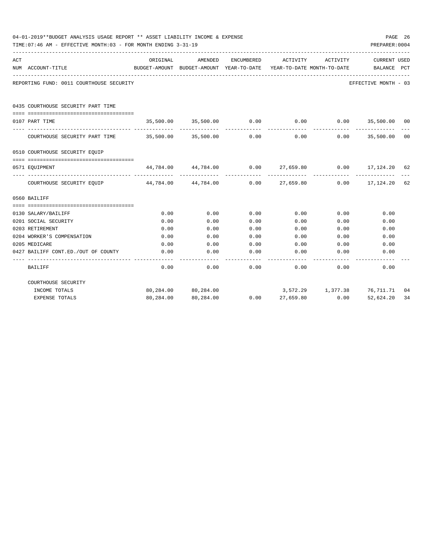|     | 04-01-2019**BUDGET ANALYSIS USAGE REPORT ** ASSET LIABILITY INCOME & EXPENSE<br>TIME: 07:46 AM - EFFECTIVE MONTH: 03 - FOR MONTH ENDING 3-31-19 |                                                                     |                                                                  |            |             |                              | PREPARER: 0004                       | PAGE 26 |
|-----|-------------------------------------------------------------------------------------------------------------------------------------------------|---------------------------------------------------------------------|------------------------------------------------------------------|------------|-------------|------------------------------|--------------------------------------|---------|
| ACT |                                                                                                                                                 | ORIGINAL                                                            | AMENDED                                                          | ENCUMBERED | ACTIVITY    | ACTIVITY                     | <b>CURRENT USED</b>                  |         |
|     | NUM ACCOUNT-TITLE                                                                                                                               | BUDGET-AMOUNT BUDGET-AMOUNT YEAR-TO-DATE YEAR-TO-DATE MONTH-TO-DATE |                                                                  |            |             |                              | BALANCE PCT                          |         |
|     | REPORTING FUND: 0011 COURTHOUSE SECURITY                                                                                                        |                                                                     |                                                                  |            |             |                              | EFFECTIVE MONTH - 03                 |         |
|     | 0435 COURTHOUSE SECURITY PART TIME                                                                                                              |                                                                     |                                                                  |            |             |                              |                                      |         |
|     | 0107 PART TIME                                                                                                                                  |                                                                     | $35,500.00$ $35,500.00$ $0.00$ 0.00 0.00 35,500.00 00            |            |             |                              |                                      |         |
|     | COURTHOUSE SECURITY PART TIME $35,500.00$ $35,500.00$ 0.00 0.00 0.00 0.00 35,500.00 00                                                          |                                                                     |                                                                  |            |             |                              | _____________                        |         |
|     | 0510 COURTHOUSE SECURITY EQUIP                                                                                                                  |                                                                     |                                                                  |            |             |                              |                                      |         |
|     | 0571 EQUIPMENT                                                                                                                                  |                                                                     | $44,784.00$ $44,784.00$ $0.00$ $27,659.80$ $0.00$ $17,124.20$ 62 |            |             |                              |                                      |         |
|     | COURTHOUSE SECURITY EQUIP 44,784.00 44,784.00 0.00 27,659.80 0.00 17,124.20 62                                                                  |                                                                     |                                                                  |            |             | -------------- ------------- | ______________                       |         |
|     | 0560 BAILIFF                                                                                                                                    |                                                                     |                                                                  |            |             |                              |                                      |         |
|     |                                                                                                                                                 |                                                                     |                                                                  |            |             |                              |                                      |         |
|     | 0130 SALARY/BAILIFF                                                                                                                             | 0.00                                                                | 0.00                                                             | 0.00       | 0.00        |                              | 0.00<br>0.00                         |         |
|     | 0201 SOCIAL SECURITY                                                                                                                            | 0.00                                                                | 0.00                                                             | 0.00       | 0.00        | 0.00                         | 0.00                                 |         |
|     | 0203 RETIREMENT                                                                                                                                 | 0.00                                                                | 0.00                                                             | 0.00       | 0.00        | 0.00                         | 0.00                                 |         |
|     | 0204 WORKER'S COMPENSATION                                                                                                                      | 0.00                                                                | 0.00                                                             | 0.00       | 0.00        | 0.00                         | 0.00                                 |         |
|     | 0205 MEDICARE                                                                                                                                   | 0.00                                                                | 0.00                                                             | 0.00       |             | $0.00$ 0.00                  | 0.00                                 |         |
|     | 0427 BAILIFF CONT.ED./OUT OF COUNTY                                                                                                             | 0.00                                                                | 0.00                                                             | 0.00       | 0.00        | 0.00                         | 0.00                                 |         |
|     | BAILIFF                                                                                                                                         | 0.00                                                                | 0.00                                                             |            | $0.00$ 0.00 | 0.00                         | 0.00                                 |         |
|     | COURTHOUSE SECURITY                                                                                                                             |                                                                     |                                                                  |            |             |                              |                                      |         |
|     | INCOME TOTALS                                                                                                                                   |                                                                     | 80,284.00 80,284.00                                              |            |             |                              | 3,572.29   1,377.38   76,711.71   04 |         |
|     | <b>EXPENSE TOTALS</b>                                                                                                                           | 80,284.00                                                           | 80,284.00                                                        | 0.00       | 27,659.80   | 0.00                         | 52,624.20                            | 34      |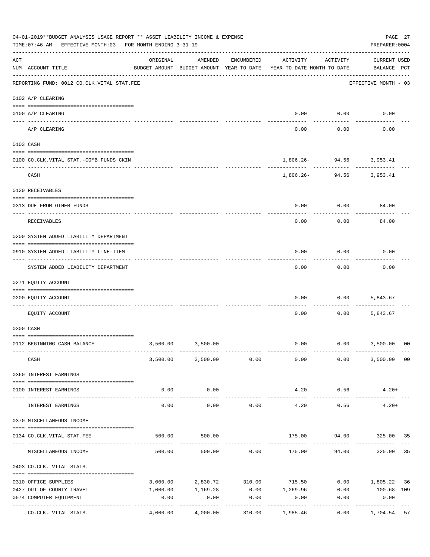|     | 04-01-2019**BUDGET ANALYSIS USAGE REPORT ** ASSET LIABILITY INCOME & EXPENSE<br>TIME: 07:46 AM - EFFECTIVE MONTH: 03 - FOR MONTH ENDING 3-31-19 |                     |                                                     |                 |                                        |                                        | PAGE 27<br>PREPARER: 0004          |                |
|-----|-------------------------------------------------------------------------------------------------------------------------------------------------|---------------------|-----------------------------------------------------|-----------------|----------------------------------------|----------------------------------------|------------------------------------|----------------|
| ACT | NUM ACCOUNT-TITLE                                                                                                                               | ORIGINAL            | AMENDED<br>BUDGET-AMOUNT BUDGET-AMOUNT YEAR-TO-DATE | ENCUMBERED      | ACTIVITY<br>YEAR-TO-DATE MONTH-TO-DATE | ACTIVITY                               | <b>CURRENT USED</b><br>BALANCE PCT |                |
|     | REPORTING FUND: 0012 CO.CLK.VITAL STAT.FEE                                                                                                      |                     |                                                     |                 |                                        |                                        | EFFECTIVE MONTH - 03               |                |
|     | 0102 A/P CLEARING                                                                                                                               |                     |                                                     |                 |                                        |                                        |                                    |                |
|     | 0100 A/P CLEARING                                                                                                                               |                     |                                                     |                 | 0.00                                   | 0.00                                   | 0.00                               |                |
|     | A/P CLEARING                                                                                                                                    |                     |                                                     |                 | 0.00                                   | 0.00                                   | 0.00                               |                |
|     | 0103 CASH                                                                                                                                       |                     |                                                     |                 |                                        |                                        |                                    |                |
|     | 0100 CO.CLK.VITAL STAT.-COMB.FUNDS CKIN                                                                                                         |                     |                                                     |                 |                                        | 1,806.26- 94.56 3,953.41               |                                    |                |
|     | CASH                                                                                                                                            |                     |                                                     |                 |                                        | . <u>.</u><br>1,806.26- 94.56 3,953.41 |                                    |                |
|     | 0120 RECEIVABLES                                                                                                                                |                     |                                                     |                 |                                        |                                        |                                    |                |
|     |                                                                                                                                                 |                     |                                                     |                 |                                        |                                        |                                    |                |
|     | 0313 DUE FROM OTHER FUNDS                                                                                                                       |                     |                                                     |                 | 0.00                                   | 0.00                                   | 84.00                              |                |
|     | RECEIVABLES                                                                                                                                     |                     |                                                     |                 | 0.00                                   | 0.00                                   | 84.00                              |                |
|     | 0200 SYSTEM ADDED LIABILITY DEPARTMENT                                                                                                          |                     |                                                     |                 |                                        |                                        |                                    |                |
|     | 0910 SYSTEM ADDED LIABILITY LINE-ITEM                                                                                                           |                     |                                                     |                 | 0.00                                   | 0.00<br>---------                      | 0.00                               |                |
|     | SYSTEM ADDED LIABILITY DEPARTMENT                                                                                                               |                     |                                                     |                 | 0.00                                   | 0.00                                   | 0.00                               |                |
|     | 0271 EQUITY ACCOUNT                                                                                                                             |                     |                                                     |                 |                                        |                                        |                                    |                |
|     | 0200 EQUITY ACCOUNT                                                                                                                             |                     |                                                     |                 | 0.00                                   | 0.00                                   | 5,843.67                           |                |
|     | EQUITY ACCOUNT                                                                                                                                  |                     |                                                     |                 | 0.00                                   | 0.00                                   | 5,843.67                           |                |
|     | 0300 CASH                                                                                                                                       |                     |                                                     |                 |                                        |                                        |                                    |                |
|     | 0112 BEGINNING CASH BALANCE                                                                                                                     | 3,500.00            | 3,500.00                                            |                 | 0.00                                   | $0.00$ 3,500.00                        |                                    | 0 <sup>0</sup> |
|     |                                                                                                                                                 |                     |                                                     |                 |                                        |                                        |                                    |                |
|     | CASH                                                                                                                                            |                     | 3,500.00 3,500.00 0.00                              |                 | 0.00                                   | 0.00                                   | 3,500.00 00                        |                |
|     | 0360 INTEREST EARNINGS                                                                                                                          |                     |                                                     |                 |                                        |                                        |                                    |                |
|     | 0100 INTEREST EARNINGS                                                                                                                          | 0.00                | 0.00                                                |                 | 4.20                                   | 0.56                                   | $4.20+$                            |                |
|     |                                                                                                                                                 | $- - - - -$<br>0.00 | ----------<br>0.00                                  | 0.00            | 4.20                                   | 0.56                                   | $4.20+$                            |                |
|     | INTEREST EARNINGS                                                                                                                               |                     |                                                     |                 |                                        |                                        |                                    |                |
|     | 0370 MISCELLANEOUS INCOME                                                                                                                       |                     |                                                     |                 |                                        |                                        |                                    |                |
|     | 0134 CO. CLK. VITAL STAT. FEE                                                                                                                   | 500.00              | 500.00                                              |                 | 175.00                                 |                                        | 94.00 325.00 35                    |                |
|     | MISCELLANEOUS INCOME                                                                                                                            |                     | 500.00<br>500.00                                    | 0.00            |                                        | 175.00 94.00                           | 325.00                             | 35             |
|     | 0403 CO.CLK. VITAL STATS.                                                                                                                       |                     |                                                     |                 |                                        |                                        |                                    |                |
|     | 0310 OFFICE SUPPLIES                                                                                                                            | 3,000.00            |                                                     | 2,830.72 310.00 | 715.50                                 |                                        | $0.00$ 1,805.22 36                 |                |
|     | 0427 OUT OF COUNTY TRAVEL                                                                                                                       | 1,000.00            | 1,169.28                                            |                 | $0.00$ 1,269.96                        | 0.00                                   | 100.68- 109                        |                |
|     | 0574 COMPUTER EQUIPMENT                                                                                                                         | 0.00                | 0.00                                                | 0.00            | 0.00                                   | 0.00                                   | 0.00                               |                |
|     | ---- -----------------<br>---------------- --------------<br>CO.CLK. VITAL STATS.                                                               | 4,000.00            | 4,000.00                                            | 310.00          | 1,985.46                               | 0.00                                   | 1,704.54                           | 57             |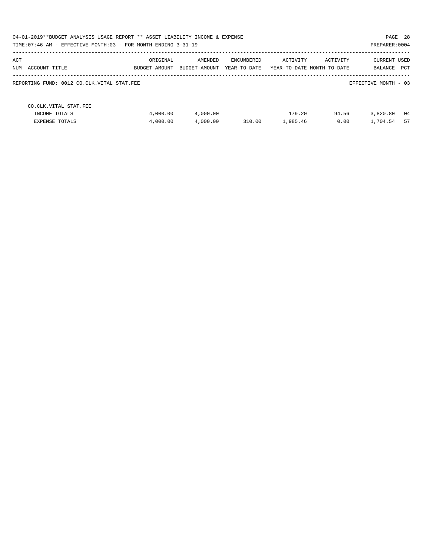| PAGE 28<br>04-01-2019**BUDGET ANALYSIS USAGE REPORT ** ASSET LIABILITY INCOME & EXPENSE<br>TIME: 07:46 AM - EFFECTIVE MONTH: 03 - FOR MONTH ENDING 3-31-19<br>PREPARER: 0004 |                           |                          |                            |                    |                                        |                                |            |  |  |
|------------------------------------------------------------------------------------------------------------------------------------------------------------------------------|---------------------------|--------------------------|----------------------------|--------------------|----------------------------------------|--------------------------------|------------|--|--|
| ACT<br>NUM ACCOUNT-TITLE                                                                                                                                                     | ORIGINAL<br>BUDGET-AMOUNT | AMENDED<br>BUDGET-AMOUNT | ENCUMBERED<br>YEAR-TO-DATE | ACTIVITY           | ACTIVITY<br>YEAR-TO-DATE MONTH-TO-DATE | <b>CURRENT USED</b><br>BALANCE | PCT        |  |  |
| REPORTING FUND: 0012 CO.CLK.VITAL STAT.FEE                                                                                                                                   |                           |                          |                            |                    |                                        | EFFECTIVE MONTH - 03           |            |  |  |
| CO. CLK. VITAL STAT. FEE<br>INCOME TOTALS<br>EXPENSE TOTALS                                                                                                                  | 4,000.00<br>4,000.00      | 4,000.00<br>4,000.00     | 310.00                     | 179.20<br>1,985.46 | 94.56<br>0.00                          | 3,820.80<br>1,704.54           | - 04<br>57 |  |  |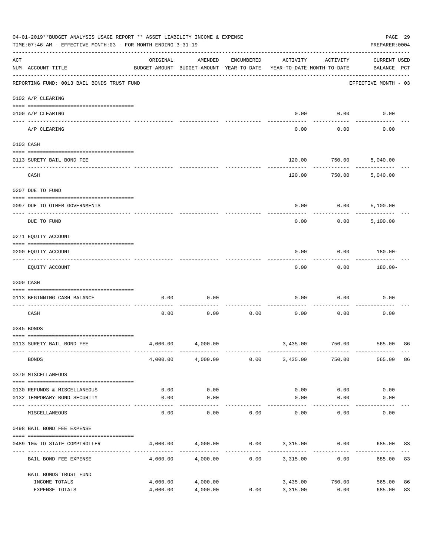|                    | 04-01-2019**BUDGET ANALYSIS USAGE REPORT ** ASSET LIABILITY INCOME & EXPENSE<br>TIME: 07:46 AM - EFFECTIVE MONTH: 03 - FOR MONTH ENDING 3-31-19 |                                                      |                   |            |                                        |           | PAGE 29<br>PREPARER: 0004          |
|--------------------|-------------------------------------------------------------------------------------------------------------------------------------------------|------------------------------------------------------|-------------------|------------|----------------------------------------|-----------|------------------------------------|
| $\mathop{\rm ACT}$ | NUM ACCOUNT-TITLE                                                                                                                               | ORIGINAL<br>BUDGET-AMOUNT BUDGET-AMOUNT YEAR-TO-DATE | AMENDED           | ENCUMBERED | ACTIVITY<br>YEAR-TO-DATE MONTH-TO-DATE | ACTIVITY  | <b>CURRENT USED</b><br>BALANCE PCT |
|                    | REPORTING FUND: 0013 BAIL BONDS TRUST FUND                                                                                                      |                                                      |                   |            |                                        |           | EFFECTIVE MONTH - 03               |
|                    | 0102 A/P CLEARING                                                                                                                               |                                                      |                   |            |                                        |           |                                    |
|                    | 0100 A/P CLEARING                                                                                                                               |                                                      |                   |            | 0.00                                   | 0.00      | 0.00                               |
|                    | ---- --------<br>A/P CLEARING                                                                                                                   |                                                      |                   |            | 0.00                                   | 0.00      | 0.00                               |
|                    | 0103 CASH                                                                                                                                       |                                                      |                   |            |                                        |           |                                    |
|                    |                                                                                                                                                 |                                                      |                   |            |                                        |           |                                    |
|                    | 0113 SURETY BAIL BOND FEE                                                                                                                       |                                                      |                   |            | 120.00                                 | 750.00    | 5,040.00                           |
|                    | CASH                                                                                                                                            |                                                      |                   |            | 120.00                                 | 750.00    | 5,040.00                           |
|                    | 0207 DUE TO FUND                                                                                                                                |                                                      |                   |            |                                        |           |                                    |
|                    | 0097 DUE TO OTHER GOVERNMENTS                                                                                                                   |                                                      |                   |            | 0.00                                   |           | 0.00<br>5,100.00                   |
|                    |                                                                                                                                                 |                                                      |                   |            |                                        |           |                                    |
|                    | DUE TO FUND                                                                                                                                     |                                                      |                   |            | 0.00                                   | 0.00      | 5,100.00                           |
|                    | 0271 EQUITY ACCOUNT                                                                                                                             |                                                      |                   |            |                                        |           |                                    |
|                    | 0200 EQUITY ACCOUNT                                                                                                                             |                                                      |                   |            | 0.00                                   | 0.00      | 180.00-                            |
|                    | EQUITY ACCOUNT                                                                                                                                  |                                                      |                   |            | 0.00                                   | 0.00      | 180.00-                            |
|                    | 0300 CASH                                                                                                                                       |                                                      |                   |            |                                        |           |                                    |
|                    | 0113 BEGINNING CASH BALANCE                                                                                                                     | 0.00                                                 | 0.00              |            | 0.00                                   | 0.00      | 0.00                               |
|                    | --------------------------- --<br>CASH                                                                                                          | 0.00                                                 | 0.00              | 0.00       | 0.00                                   | 0.00      | 0.00                               |
|                    | 0345 BONDS                                                                                                                                      |                                                      |                   |            |                                        |           |                                    |
|                    | 0113 SURETY BAIL BOND FEE                                                                                                                       | 4,000.00                                             | 4,000.00          |            |                                        |           | 3,435.00 750.00 565.00<br>86       |
|                    | <b>BONDS</b>                                                                                                                                    |                                                      | 4,000.00 4,000.00 | 0.00       | 3,435.00                               | 750.00    | 565.00<br>86                       |
|                    | 0370 MISCELLANEOUS                                                                                                                              |                                                      |                   |            |                                        |           |                                    |
|                    | 0130 REFUNDS & MISCELLANEOUS                                                                                                                    | 0.00                                                 | 0.00              |            | 0.00                                   | 0.00      | 0.00                               |
|                    | 0132 TEMPORARY BOND SECURITY                                                                                                                    | 0.00                                                 | 0.00              |            | 0.00                                   | 0.00      | 0.00                               |
|                    |                                                                                                                                                 |                                                      | .                 |            |                                        | --------- |                                    |
|                    | MISCELLANEOUS                                                                                                                                   | 0.00                                                 | 0.00              | 0.00       | 0.00                                   | 0.00      | 0.00                               |
|                    | 0498 BAIL BOND FEE EXPENSE                                                                                                                      |                                                      |                   |            |                                        |           |                                    |
|                    | 0489 10% TO STATE COMPTROLLER                                                                                                                   |                                                      | 4,000.00 4,000.00 |            | $0.00$ 3,315.00                        | 0.00      | 685.00<br>83                       |
|                    | BAIL BOND FEE EXPENSE                                                                                                                           | 4,000.00                                             | 4,000.00          | 0.00       | 3,315.00                               | 0.00      | 83<br>685.00                       |
|                    | BAIL BONDS TRUST FUND                                                                                                                           |                                                      |                   |            |                                        |           |                                    |
|                    | INCOME TOTALS                                                                                                                                   | 4,000.00                                             | 4,000.00          |            | 3,435.00                               | 750.00    | 565.00<br>86                       |
|                    | EXPENSE TOTALS                                                                                                                                  | 4,000.00                                             | 4,000.00          | 0.00       | 3,315.00                               | 0.00      | 685.00<br>83                       |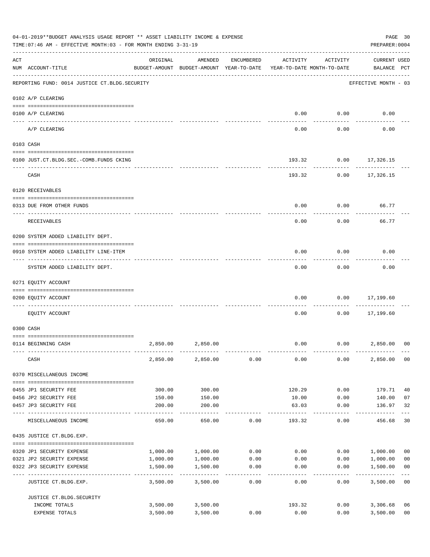|     | 04-01-2019**BUDGET ANALYSIS USAGE REPORT ** ASSET LIABILITY INCOME & EXPENSE<br>TIME: 07:46 AM - EFFECTIVE MONTH: 03 - FOR MONTH ENDING 3-31-19 |          |                                                     |                 |                                        |                     | PREPARER: 0004                     | PAGE 30                 |
|-----|-------------------------------------------------------------------------------------------------------------------------------------------------|----------|-----------------------------------------------------|-----------------|----------------------------------------|---------------------|------------------------------------|-------------------------|
| ACT | NUM ACCOUNT-TITLE                                                                                                                               | ORIGINAL | AMENDED<br>BUDGET-AMOUNT BUDGET-AMOUNT YEAR-TO-DATE | ENCUMBERED      | ACTIVITY<br>YEAR-TO-DATE MONTH-TO-DATE | ACTIVITY            | <b>CURRENT USED</b><br>BALANCE PCT |                         |
|     | REPORTING FUND: 0014 JUSTICE CT. BLDG. SECURITY                                                                                                 |          |                                                     |                 |                                        |                     | EFFECTIVE MONTH - 03               |                         |
|     | 0102 A/P CLEARING                                                                                                                               |          |                                                     |                 |                                        |                     |                                    |                         |
|     | 0100 A/P CLEARING                                                                                                                               |          |                                                     |                 | 0.00                                   | 0.00                | 0.00                               |                         |
|     | ---- ---------<br>A/P CLEARING                                                                                                                  |          |                                                     |                 | 0.00                                   | 0.00                | 0.00                               |                         |
|     | 0103 CASH                                                                                                                                       |          |                                                     |                 |                                        |                     |                                    |                         |
|     | 0100 JUST.CT.BLDG.SEC.-COMB.FUNDS CKING                                                                                                         |          |                                                     |                 | 193.32                                 |                     | $0.00$ 17,326.15                   |                         |
|     | CASH                                                                                                                                            |          |                                                     |                 |                                        | 193.32<br>0.00      | 17,326.15                          |                         |
|     | 0120 RECEIVABLES                                                                                                                                |          |                                                     |                 |                                        |                     |                                    |                         |
|     | 0313 DUE FROM OTHER FUNDS                                                                                                                       |          |                                                     |                 | 0.00                                   | 0.00                | 66.77                              |                         |
|     | RECEIVABLES                                                                                                                                     |          |                                                     |                 | 0.00                                   | 0.00                | 66.77                              |                         |
|     | 0200 SYSTEM ADDED LIABILITY DEPT.                                                                                                               |          |                                                     |                 |                                        |                     |                                    |                         |
|     | 0910 SYSTEM ADDED LIABILITY LINE-ITEM                                                                                                           |          |                                                     |                 | 0.00                                   | 0.00                | 0.00                               |                         |
|     | SYSTEM ADDED LIABILITY DEPT.                                                                                                                    |          |                                                     |                 | 0.00                                   | 0.00                | 0.00                               |                         |
|     | 0271 EQUITY ACCOUNT                                                                                                                             |          |                                                     |                 |                                        |                     |                                    |                         |
|     | 0200 EQUITY ACCOUNT                                                                                                                             |          |                                                     |                 | 0.00                                   | 0.00                | 17,199.60<br>--------              |                         |
|     | EQUITY ACCOUNT                                                                                                                                  |          |                                                     |                 | 0.00                                   | 0.00                | 17,199.60                          |                         |
|     | 0300 CASH                                                                                                                                       |          |                                                     |                 |                                        |                     |                                    |                         |
|     | 0114 BEGINNING CASH                                                                                                                             | 2,850.00 | 2,850.00                                            |                 | 0.00                                   |                     | 0.00<br>2,850.00                   | 0 <sup>0</sup>          |
|     | CASH                                                                                                                                            | 2,850.00 | 2,850.00                                            | 0.00            | 0.00                                   | 0.00                | 2,850.00 00                        |                         |
|     | 0370 MISCELLANEOUS INCOME                                                                                                                       |          |                                                     |                 |                                        |                     |                                    |                         |
|     | 0455 JP1 SECURITY FEE                                                                                                                           | 300.00   | 300.00                                              |                 | 120.29                                 | 0.00                | 179.71                             | 40                      |
|     | 0456 JP2 SECURITY FEE                                                                                                                           | 150.00   | 150.00                                              |                 | 10.00                                  | 0.00                | 140.00                             | 07                      |
|     | 0457 JP3 SECURITY FEE                                                                                                                           | 200.00   | 200.00<br>-----------                               |                 | 63.03<br>-----------                   | 0.00<br>$- - - - -$ | 136.97<br>-----------              | 32<br>$---$             |
|     | MISCELLANEOUS INCOME                                                                                                                            | 650.00   | 650.00                                              | 0.00            | 193.32                                 | 0.00                | 456.68                             | 30                      |
|     | 0435 JUSTICE CT.BLDG.EXP.                                                                                                                       |          |                                                     |                 |                                        |                     |                                    |                         |
|     | 0320 JP1 SECURITY EXPENSE                                                                                                                       |          | 1,000.00 1,000.00                                   | 0.00            | 0.00                                   |                     | 0.00 1,000.00                      | 0 <sub>0</sub>          |
|     | 0321 JP2 SECURITY EXPENSE                                                                                                                       | 1,000.00 | 1,000.00                                            | 0.00            | 0.00                                   | 0.00                | 1,000.00                           | 0 <sub>0</sub>          |
|     | 0322 JP3 SECURITY EXPENSE                                                                                                                       | 1,500.00 | 1,500.00<br>-----------                             | 0.00<br>------- | 0.00                                   | 0.00                | 1,500.00                           | 0 <sub>0</sub><br>$---$ |
|     | JUSTICE CT.BLDG.EXP.                                                                                                                            | 3,500.00 | 3,500.00                                            | 0.00            | 0.00                                   | 0.00                | 3,500.00 00                        |                         |
|     | JUSTICE CT. BLDG. SECURITY                                                                                                                      |          |                                                     |                 |                                        |                     |                                    |                         |
|     | INCOME TOTALS                                                                                                                                   |          | 3,500.00 3,500.00                                   |                 | 193.32                                 |                     | 0.00<br>3,306.68                   | 06                      |
|     | EXPENSE TOTALS                                                                                                                                  | 3,500.00 | 3,500.00                                            | 0.00            | 0.00                                   | 0.00                | 3,500.00                           | 0 <sub>0</sub>          |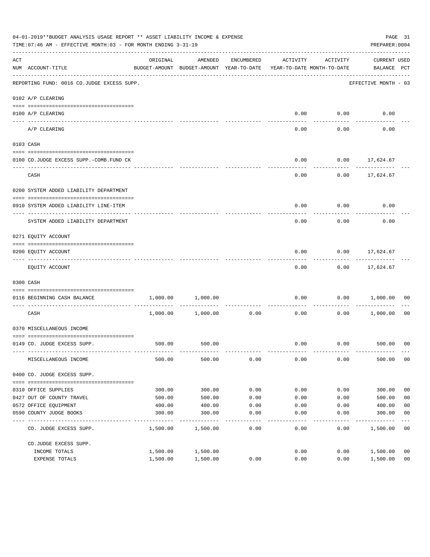|     | 04-01-2019**BUDGET ANALYSIS USAGE REPORT ** ASSET LIABILITY INCOME & EXPENSE<br>TIME: 07:46 AM - EFFECTIVE MONTH: 03 - FOR MONTH ENDING 3-31-19 |          |                                                     |            |                                        |                   | PREPARER: 0004                  | PAGE 31        |
|-----|-------------------------------------------------------------------------------------------------------------------------------------------------|----------|-----------------------------------------------------|------------|----------------------------------------|-------------------|---------------------------------|----------------|
| ACT | NUM ACCOUNT-TITLE                                                                                                                               | ORIGINAL | AMENDED<br>BUDGET-AMOUNT BUDGET-AMOUNT YEAR-TO-DATE | ENCUMBERED | ACTIVITY<br>YEAR-TO-DATE MONTH-TO-DATE | ACTIVITY          | CURRENT USED<br>BALANCE PCT     |                |
|     | REPORTING FUND: 0016 CO.JUDGE EXCESS SUPP.                                                                                                      |          |                                                     |            |                                        |                   | EFFECTIVE MONTH - 03            |                |
|     | 0102 A/P CLEARING                                                                                                                               |          |                                                     |            |                                        |                   |                                 |                |
|     | 0100 A/P CLEARING                                                                                                                               |          |                                                     |            | 0.00                                   | 0.00              | 0.00                            |                |
|     | A/P CLEARING                                                                                                                                    |          |                                                     |            | -----<br>0.00                          | ---------<br>0.00 | 0.00                            |                |
|     | 0103 CASH                                                                                                                                       |          |                                                     |            |                                        |                   |                                 |                |
|     | 0100 CO.JUDGE EXCESS SUPP.-COMB.FUND CK                                                                                                         |          |                                                     |            | 0.00                                   |                   | $0.00$ 17,624.67                |                |
|     | CASH                                                                                                                                            |          |                                                     |            | 0.00                                   |                   | $0.00$ 17,624.67                |                |
|     | 0200 SYSTEM ADDED LIABILITY DEPARTMENT                                                                                                          |          |                                                     |            |                                        |                   |                                 |                |
|     | 0910 SYSTEM ADDED LIABILITY LINE-ITEM                                                                                                           |          |                                                     |            | 0.00                                   | 0.00              | 0.00                            |                |
|     | SYSTEM ADDED LIABILITY DEPARTMENT                                                                                                               |          |                                                     |            | 0.00                                   | 0.00              | 0.00                            |                |
|     | 0271 EQUITY ACCOUNT                                                                                                                             |          |                                                     |            |                                        |                   |                                 |                |
|     | 0200 EQUITY ACCOUNT                                                                                                                             |          |                                                     |            | 0.00                                   | ---------         | $0.00$ 17,624.67<br>----------- |                |
|     | EQUITY ACCOUNT                                                                                                                                  |          |                                                     |            | 0.00                                   |                   | $0.00$ 17,624.67                |                |
|     | 0300 CASH                                                                                                                                       |          |                                                     |            |                                        |                   |                                 |                |
|     | 0116 BEGINNING CASH BALANCE<br>----------------------------                                                                                     | 1,000.00 | 1,000.00                                            |            | 0.00                                   |                   | 0.00 1,000.00                   | 00             |
|     | CASH                                                                                                                                            |          | 1,000.00 1,000.00                                   | 0.00       | 0.00                                   | 0.00              | 1,000.00 00                     |                |
|     | 0370 MISCELLANEOUS INCOME                                                                                                                       |          |                                                     |            |                                        |                   |                                 |                |
|     | 0149 CO. JUDGE EXCESS SUPP.                                                                                                                     | 500.00   | 500.00                                              |            | 0.00                                   |                   | $0.00$ 500.00 00                |                |
|     | MISCELLANEOUS INCOME                                                                                                                            | 500.00   | 500.00                                              | 0.00       | 0.00                                   | 0.00              | 500.00                          | 00             |
|     | 0400 CO. JUDGE EXCESS SUPP.                                                                                                                     |          |                                                     |            |                                        |                   |                                 |                |
|     | 0310 OFFICE SUPPLIES                                                                                                                            | 300.00   | 300.00                                              | 0.00       | 0.00                                   | 0.00              | 300.00                          | 0 <sub>0</sub> |
|     | 0427 OUT OF COUNTY TRAVEL                                                                                                                       | 500.00   | 500.00                                              | 0.00       | 0.00                                   | 0.00              | 500.00                          | 0 <sub>0</sub> |
|     | 0572 OFFICE EQUIPMENT                                                                                                                           | 400.00   | 400.00                                              | 0.00       | 0.00                                   | 0.00              | 400.00                          | 0 <sub>0</sub> |
|     | 0590 COUNTY JUDGE BOOKS                                                                                                                         | 300.00   | 300.00                                              | 0.00       | 0.00                                   | 0.00              | 300.00                          | 0 <sub>0</sub> |
|     | CO. JUDGE EXCESS SUPP.                                                                                                                          | 1,500.00 | 1,500.00                                            | 0.00       | 0.00                                   | 0.00              | 1,500.00                        | 0 <sub>0</sub> |
|     | CO.JUDGE EXCESS SUPP.                                                                                                                           |          |                                                     |            |                                        |                   |                                 |                |
|     | INCOME TOTALS                                                                                                                                   | 1,500.00 | 1,500.00                                            |            | 0.00                                   | 0.00              | 1,500.00                        | 0 <sub>0</sub> |
|     | EXPENSE TOTALS                                                                                                                                  | 1,500.00 | 1,500.00                                            | 0.00       | 0.00                                   | 0.00              | 1,500.00                        | 0 <sub>0</sub> |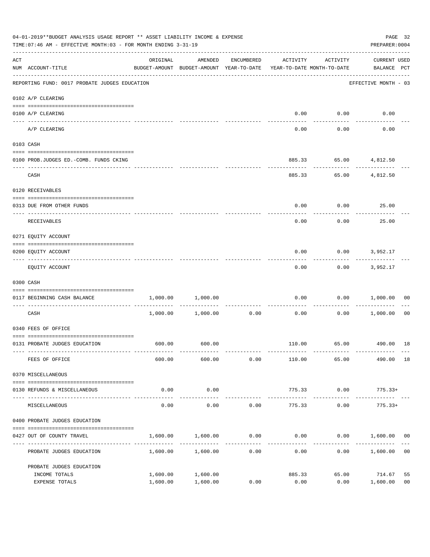|                    | 04-01-2019**BUDGET ANALYSIS USAGE REPORT ** ASSET LIABILITY INCOME & EXPENSE<br>TIME: 07:46 AM - EFFECTIVE MONTH: 03 - FOR MONTH ENDING 3-31-19 |                                                                                 |                      |            |                                    |                             |                                    |                      |  |
|--------------------|-------------------------------------------------------------------------------------------------------------------------------------------------|---------------------------------------------------------------------------------|----------------------|------------|------------------------------------|-----------------------------|------------------------------------|----------------------|--|
| $\mathop{\rm ACT}$ | NUM ACCOUNT-TITLE                                                                                                                               | ORIGINAL<br>BUDGET-AMOUNT BUDGET-AMOUNT YEAR-TO-DATE YEAR-TO-DATE MONTH-TO-DATE | AMENDED              | ENCUMBERED | ACTIVITY                           | ACTIVITY                    | <b>CURRENT USED</b><br>BALANCE PCT |                      |  |
|                    | REPORTING FUND: 0017 PROBATE JUDGES EDUCATION                                                                                                   |                                                                                 |                      |            |                                    |                             | EFFECTIVE MONTH - 03               |                      |  |
|                    | 0102 A/P CLEARING                                                                                                                               |                                                                                 |                      |            |                                    |                             |                                    |                      |  |
|                    | 0100 A/P CLEARING                                                                                                                               |                                                                                 |                      |            | 0.00                               | 0.00                        | 0.00                               |                      |  |
|                    | ---- -------<br>A/P CLEARING                                                                                                                    |                                                                                 |                      |            | 0.00                               | 0.00                        | 0.00                               |                      |  |
|                    | 0103 CASH                                                                                                                                       |                                                                                 |                      |            |                                    |                             |                                    |                      |  |
|                    | 0100 PROB.JUDGES ED.-COMB. FUNDS CKING                                                                                                          |                                                                                 |                      |            | 885.33                             |                             | 65.00 4,812.50                     |                      |  |
|                    | CASH                                                                                                                                            |                                                                                 |                      |            | 885.33                             | ---------<br>65.00          | ------------<br>4,812.50           |                      |  |
|                    | 0120 RECEIVABLES                                                                                                                                |                                                                                 |                      |            |                                    |                             |                                    |                      |  |
|                    | 0313 DUE FROM OTHER FUNDS                                                                                                                       |                                                                                 |                      |            | 0.00                               |                             | 0.00<br>25.00                      |                      |  |
|                    | RECEIVABLES                                                                                                                                     |                                                                                 |                      |            | 0.00                               | 0.00                        | 25.00                              |                      |  |
|                    | 0271 EQUITY ACCOUNT                                                                                                                             |                                                                                 |                      |            |                                    |                             |                                    |                      |  |
|                    | 0200 EQUITY ACCOUNT                                                                                                                             |                                                                                 |                      |            | 0.00                               |                             | $0.00$ 3,952.17                    |                      |  |
|                    | EQUITY ACCOUNT                                                                                                                                  |                                                                                 |                      |            | 0.00                               |                             | $0.00$ 3,952.17                    |                      |  |
|                    | 0300 CASH                                                                                                                                       |                                                                                 |                      |            |                                    |                             |                                    |                      |  |
|                    | 0117 BEGINNING CASH BALANCE                                                                                                                     | 1,000.00                                                                        | 1,000.00             |            | 0.00                               | 0.00                        | 1,000.00                           | 00                   |  |
|                    | CASH                                                                                                                                            |                                                                                 | 1,000.00 1,000.00    | 0.00       | ------------ -------------<br>0.00 | . _ _ _ _ _ _ _ _ _<br>0.00 | 1,000.00                           | 00                   |  |
|                    | 0340 FEES OF OFFICE                                                                                                                             |                                                                                 |                      |            |                                    |                             |                                    |                      |  |
|                    | 0131 PROBATE JUDGES EDUCATION                                                                                                                   |                                                                                 | 600.00 600.00        |            |                                    |                             | 110.00 65.00 490.00 18             |                      |  |
|                    | FEES OF OFFICE                                                                                                                                  | 600.00                                                                          | 600.00               | 0.00       | 110.00                             | 65.00                       | 490.00 18                          |                      |  |
|                    | 0370 MISCELLANEOUS                                                                                                                              |                                                                                 |                      |            |                                    |                             |                                    |                      |  |
|                    | 0130 REFUNDS & MISCELLANEOUS                                                                                                                    | 0.00                                                                            | 0.00                 |            | 775.33                             | 0.00                        | $775.33+$                          |                      |  |
|                    | MISCELLANEOUS                                                                                                                                   | 0.00                                                                            | -----------<br>0.00  | 0.00       | 775.33                             | 0.00                        | $775.33+$                          |                      |  |
|                    | 0400 PROBATE JUDGES EDUCATION                                                                                                                   |                                                                                 |                      |            |                                    |                             |                                    |                      |  |
|                    | 0427 OUT OF COUNTY TRAVEL                                                                                                                       | 1,600.00                                                                        | 1,600.00             | 0.00       | 0.00                               |                             | $0.00$ 1,600.00 00                 |                      |  |
|                    | PROBATE JUDGES EDUCATION                                                                                                                        |                                                                                 | 1,600.00 1,600.00    | 0.00       | 0.00                               |                             | 0.00<br>1,600.00                   | 0 <sub>0</sub>       |  |
|                    | PROBATE JUDGES EDUCATION                                                                                                                        |                                                                                 |                      |            |                                    |                             |                                    |                      |  |
|                    | INCOME TOTALS<br>EXPENSE TOTALS                                                                                                                 | 1,600.00<br>1,600.00                                                            | 1,600.00<br>1,600.00 | 0.00       | 885.33<br>0.00                     | 65.00<br>0.00               | 714.67<br>1,600.00                 | 55<br>0 <sub>0</sub> |  |
|                    |                                                                                                                                                 |                                                                                 |                      |            |                                    |                             |                                    |                      |  |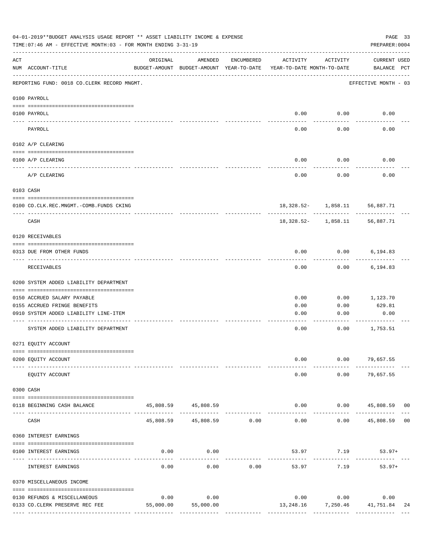| 04-01-2019**BUDGET ANALYSIS USAGE REPORT ** ASSET LIABILITY INCOME & EXPENSE<br>PAGE 33<br>TIME: 07:46 AM - EFFECTIVE MONTH: 03 - FOR MONTH ENDING 3-31-19<br>PREPARER: 0004 |                                             |           |                                                     |            |                                        |                               |                                    |  |  |
|------------------------------------------------------------------------------------------------------------------------------------------------------------------------------|---------------------------------------------|-----------|-----------------------------------------------------|------------|----------------------------------------|-------------------------------|------------------------------------|--|--|
| ACT                                                                                                                                                                          | NUM ACCOUNT-TITLE                           | ORIGINAL  | AMENDED<br>BUDGET-AMOUNT BUDGET-AMOUNT YEAR-TO-DATE | ENCUMBERED | ACTIVITY<br>YEAR-TO-DATE MONTH-TO-DATE | ACTIVITY                      | <b>CURRENT USED</b><br>BALANCE PCT |  |  |
|                                                                                                                                                                              | REPORTING FUND: 0018 CO.CLERK RECORD MNGMT. |           |                                                     |            |                                        |                               | EFFECTIVE MONTH - 03               |  |  |
|                                                                                                                                                                              | 0100 PAYROLL                                |           |                                                     |            |                                        |                               |                                    |  |  |
|                                                                                                                                                                              | 0100 PAYROLL                                |           |                                                     |            | 0.00                                   | 0.00                          | 0.00                               |  |  |
| ---- ---                                                                                                                                                                     | PAYROLL                                     |           |                                                     |            | 0.00                                   | 0.00                          | 0.00                               |  |  |
|                                                                                                                                                                              | 0102 A/P CLEARING                           |           |                                                     |            |                                        |                               |                                    |  |  |
|                                                                                                                                                                              | 0100 A/P CLEARING                           |           |                                                     |            | 0.00                                   | 0.00                          | 0.00                               |  |  |
|                                                                                                                                                                              | A/P CLEARING                                |           |                                                     |            | 0.00                                   | 0.00                          | 0.00                               |  |  |
|                                                                                                                                                                              | 0103 CASH                                   |           |                                                     |            |                                        |                               |                                    |  |  |
|                                                                                                                                                                              | 0100 CO.CLK.REC.MNGMT.-COMB.FUNDS CKING     |           |                                                     |            |                                        | 18,328.52- 1,858.11 56,887.71 |                                    |  |  |
|                                                                                                                                                                              | ---------------------------------<br>CASH   |           |                                                     |            |                                        | 18,328.52- 1,858.11           | ------------<br>56,887.71          |  |  |
|                                                                                                                                                                              | 0120 RECEIVABLES                            |           |                                                     |            |                                        |                               |                                    |  |  |
|                                                                                                                                                                              | 0313 DUE FROM OTHER FUNDS                   |           |                                                     |            | 0.00                                   | 0.00                          | 6,194.83                           |  |  |
|                                                                                                                                                                              | RECEIVABLES                                 |           |                                                     |            | 0.00                                   | 0.00                          | 6,194.83                           |  |  |
|                                                                                                                                                                              | 0200 SYSTEM ADDED LIABILITY DEPARTMENT      |           |                                                     |            |                                        |                               |                                    |  |  |
|                                                                                                                                                                              | 0150 ACCRUED SALARY PAYABLE                 |           |                                                     |            | 0.00                                   | 0.00                          | 1,123.70                           |  |  |
|                                                                                                                                                                              | 0155 ACCRUED FRINGE BENEFITS                |           |                                                     |            | 0.00                                   | 0.00                          | 629.81                             |  |  |
|                                                                                                                                                                              | 0910 SYSTEM ADDED LIABILITY LINE-ITEM       |           |                                                     |            | 0.00                                   | 0.00                          | 0.00                               |  |  |
|                                                                                                                                                                              | SYSTEM ADDED LIABILITY DEPARTMENT           |           |                                                     |            | 0.00                                   | 0.00                          | 1,753.51                           |  |  |
|                                                                                                                                                                              | 0271 EQUITY ACCOUNT                         |           |                                                     |            |                                        |                               |                                    |  |  |
|                                                                                                                                                                              | 0200 EQUITY ACCOUNT                         |           |                                                     |            | 0.00                                   |                               | $0.00$ 79,657.55                   |  |  |
|                                                                                                                                                                              | EQUITY ACCOUNT                              |           |                                                     |            | 0.00                                   | 0.00                          | 79,657.55                          |  |  |
|                                                                                                                                                                              | 0300 CASH                                   |           |                                                     |            |                                        |                               |                                    |  |  |
|                                                                                                                                                                              | 0118 BEGINNING CASH BALANCE                 |           | 45,808.59 45,808.59                                 |            | 0.00                                   |                               | $0.00$ 45,808.59 00                |  |  |
|                                                                                                                                                                              | CASH                                        | 45,808.59 | 45,808.59 0.00                                      |            | -----<br>0.00                          | 0.00                          | 45,808.59 00                       |  |  |
|                                                                                                                                                                              | 0360 INTEREST EARNINGS                      |           |                                                     |            |                                        |                               |                                    |  |  |
|                                                                                                                                                                              | 0100 INTEREST EARNINGS                      | 0.00      | 0.00                                                |            |                                        | 53.97 7.19                    | $53.97+$                           |  |  |
|                                                                                                                                                                              | INTEREST EARNINGS                           | 0.00      | 0.00                                                | 0.00       | 53.97                                  | 7.19                          | $53.97+$                           |  |  |
|                                                                                                                                                                              | 0370 MISCELLANEOUS INCOME                   |           |                                                     |            |                                        |                               |                                    |  |  |
|                                                                                                                                                                              | 0130 REFUNDS & MISCELLANEOUS                | 0.00      | 0.00                                                |            | 0.00                                   | 0.00                          | 0.00                               |  |  |
|                                                                                                                                                                              | 0133 CO. CLERK PRESERVE REC FEE             | 55,000.00 | 55,000.00                                           |            | 13,248.16                              |                               | 7,250.46 41,751.84<br>24           |  |  |
|                                                                                                                                                                              |                                             |           |                                                     |            |                                        |                               | --------------                     |  |  |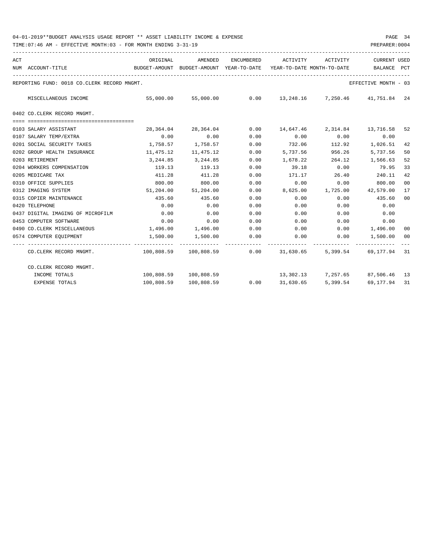| ACT |                                                                                     | ORIGINAL                                                            | AMENDED                                                  | ENCUMBERED | ACTIVITY | ACTIVITY                        | <b>CURRENT USED</b>  |                |
|-----|-------------------------------------------------------------------------------------|---------------------------------------------------------------------|----------------------------------------------------------|------------|----------|---------------------------------|----------------------|----------------|
|     | NUM ACCOUNT-TITLE                                                                   | BUDGET-AMOUNT BUDGET-AMOUNT YEAR-TO-DATE YEAR-TO-DATE MONTH-TO-DATE |                                                          |            |          |                                 | BALANCE PCT          |                |
|     | REPORTING FUND: 0018 CO.CLERK RECORD MNGMT.                                         |                                                                     |                                                          |            |          |                                 | EFFECTIVE MONTH - 03 |                |
|     | MISCELLANEOUS INCOME                                                                |                                                                     | 55,000.00 55,000.00 0.00 13,248.16 7,250.46 41,751.84 24 |            |          |                                 |                      |                |
|     | 0402 CO.CLERK RECORD MNGMT.                                                         |                                                                     |                                                          |            |          |                                 |                      |                |
|     |                                                                                     |                                                                     |                                                          |            |          |                                 |                      |                |
|     | 0103 SALARY ASSISTANT                                                               |                                                                     | 28,364.04 28,364.04 0.00 14,647.46 2,314.84 13,716.58    |            |          |                                 |                      | 52             |
|     | 0107 SALARY TEMP/EXTRA                                                              | 0.00                                                                | 0.00                                                     | 0.00       | 0.00     | 0.00                            | 0.00                 |                |
|     | 0201 SOCIAL SECURITY TAXES                                                          |                                                                     | 1,758.57 1,758.57                                        | 0.00       | 732.06   | 112.92                          | 1,026.51             | 42             |
|     | 0202 GROUP HEALTH INSURANCE                                                         | 11,475.12                                                           | 11,475.12                                                | 0.00       | 5,737.56 | 956.26                          | 5,737.56             | 50             |
|     | 0203 RETIREMENT                                                                     | 3,244.85                                                            | 3, 244, 85                                               | 0.00       |          | 1,678.22 264.12                 | 1,566.63             | 52             |
|     | 0204 WORKERS COMPENSATION                                                           | 119.13                                                              | 119.13                                                   | 0.00       |          | $39.18$ 0.00                    | 79.95                | 33             |
|     | 0205 MEDICARE TAX                                                                   | 411.28                                                              | 411.28                                                   | 0.00       | 171.17   | 26.40                           | 240.11               | 42             |
|     | 0310 OFFICE SUPPLIES                                                                | 800.00                                                              | 800.00                                                   | 0.00       | 0.00     | 0.00                            | 800.00               | 0 <sub>0</sub> |
|     | 0312 IMAGING SYSTEM                                                                 |                                                                     | 51,204.00 51,204.00                                      | 0.00       |          | 8,625.00 1,725.00               | 42,579.00            | 17             |
|     | 0315 COPIER MAINTENANCE                                                             | 435.60                                                              | 435.60                                                   | 0.00       | 0.00     | 0.00                            | 435.60               | 0 <sub>0</sub> |
|     | 0420 TELEPHONE                                                                      | 0.00                                                                | 0.00                                                     | 0.00       | 0.00     | 0.00                            | 0.00                 |                |
|     | 0437 DIGITAL IMAGING OF MICROFILM                                                   | 0.00                                                                | 0.00                                                     | 0.00       | 0.00     | 0.00                            | 0.00                 |                |
|     | 0453 COMPUTER SOFTWARE                                                              | 0.00                                                                | 0.00                                                     | 0.00       | 0.00     | 0.00                            | 0.00                 |                |
|     | 0490 CO.CLERK MISCELLANEOUS                                                         |                                                                     | $1,496.00$ $1,496.00$ $0.00$ $0.00$                      |            |          |                                 | $0.00$ 1,496.00      | 00             |
|     | 0574 COMPUTER EQUIPMENT                                                             |                                                                     | $1,500.00$ $1,500.00$ $0.00$ $0.00$ $0.00$ $1,500.00$    |            |          |                                 |                      | 00<br>$---$    |
|     | CO.CLERK RECORD MNGMT. 4 100,808.59 100,808.59 0.00 31,630.65 5,399.54 69,177.94 31 |                                                                     |                                                          |            |          |                                 |                      |                |
|     | CO.CLERK RECORD MNGMT.                                                              |                                                                     |                                                          |            |          |                                 |                      |                |
|     | INCOME TOTALS                                                                       |                                                                     | 100,808.59 100,808.59                                    |            |          | 13,302.13 7,257.65 87,506.46 13 |                      |                |
|     | <b>EXPENSE TOTALS</b>                                                               |                                                                     | $100,808.59$ $100,808.59$ 0.00 31,630.65                 |            |          | 5,399.54                        | 69,177.94            | 31             |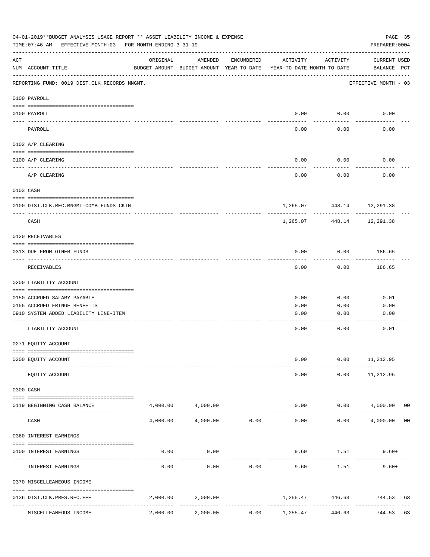| 04-01-2019**BUDGET ANALYSIS USAGE REPORT ** ASSET LIABILITY INCOME & EXPENSE<br>TIME: 07:46 AM - EFFECTIVE MONTH: 03 - FOR MONTH ENDING 3-31-19 |                                              |          |                                                     |            |                                        |                           | PAGE 35<br>PREPARER: 0004          |                |
|-------------------------------------------------------------------------------------------------------------------------------------------------|----------------------------------------------|----------|-----------------------------------------------------|------------|----------------------------------------|---------------------------|------------------------------------|----------------|
| ACT                                                                                                                                             | NUM ACCOUNT-TITLE                            | ORIGINAL | AMENDED<br>BUDGET-AMOUNT BUDGET-AMOUNT YEAR-TO-DATE | ENCUMBERED | ACTIVITY<br>YEAR-TO-DATE MONTH-TO-DATE | ACTIVITY                  | <b>CURRENT USED</b><br>BALANCE PCT |                |
|                                                                                                                                                 | REPORTING FUND: 0019 DIST.CLK.RECORDS MNGMT. |          |                                                     |            |                                        |                           | EFFECTIVE MONTH - 03               |                |
|                                                                                                                                                 | 0100 PAYROLL                                 |          |                                                     |            |                                        |                           |                                    |                |
|                                                                                                                                                 | 0100 PAYROLL                                 |          |                                                     |            | 0.00                                   | 0.00                      | 0.00                               |                |
|                                                                                                                                                 | PAYROLL                                      |          |                                                     |            | 0.00                                   | 0.00                      | 0.00                               |                |
|                                                                                                                                                 | 0102 A/P CLEARING                            |          |                                                     |            |                                        |                           |                                    |                |
|                                                                                                                                                 | 0100 A/P CLEARING                            |          |                                                     |            | 0.00                                   | 0.00                      | 0.00                               |                |
|                                                                                                                                                 | A/P CLEARING                                 |          |                                                     |            | 0.00                                   | 0.00                      | 0.00                               |                |
|                                                                                                                                                 | 0103 CASH                                    |          |                                                     |            |                                        |                           |                                    |                |
|                                                                                                                                                 | 0100 DIST.CLK.REC.MNGMT-COMB.FUNDS CKIN      |          |                                                     |            |                                        | 1,265.07 448.14 12,291.38 |                                    |                |
|                                                                                                                                                 | CASH                                         |          |                                                     |            | 1,265.07                               | . <u>.</u> .<br>448.14    | ----------<br>12,291.38            |                |
|                                                                                                                                                 | 0120 RECEIVABLES                             |          |                                                     |            |                                        |                           |                                    |                |
|                                                                                                                                                 | 0313 DUE FROM OTHER FUNDS                    |          |                                                     |            | 0.00                                   | 0.00                      | 186.65                             |                |
|                                                                                                                                                 | RECEIVABLES                                  |          |                                                     |            | 0.00                                   | 0.00                      | 186.65                             |                |
|                                                                                                                                                 | 0200 LIABILITY ACCOUNT                       |          |                                                     |            |                                        |                           |                                    |                |
|                                                                                                                                                 | 0150 ACCRUED SALARY PAYABLE                  |          |                                                     |            | 0.00                                   | 0.00                      | 0.01                               |                |
|                                                                                                                                                 | 0155 ACCRUED FRINGE BENEFITS                 |          |                                                     |            | 0.00                                   | 0.00                      | 0.00                               |                |
|                                                                                                                                                 | 0910 SYSTEM ADDED LIABILITY LINE-ITEM        |          |                                                     |            | 0.00                                   | 0.00                      | 0.00                               |                |
|                                                                                                                                                 | LIABILITY ACCOUNT                            |          |                                                     |            | 0.00                                   | 0.00                      | 0.01                               |                |
|                                                                                                                                                 | 0271 EQUITY ACCOUNT                          |          |                                                     |            |                                        |                           |                                    |                |
|                                                                                                                                                 | 0200 EQUITY ACCOUNT                          |          |                                                     |            | 0.00                                   | 0.00                      | 11,212.95                          |                |
|                                                                                                                                                 | EQUITY ACCOUNT                               |          |                                                     |            | 0.00                                   | 0.00                      | 11,212.95                          |                |
|                                                                                                                                                 | 0300 CASH                                    |          |                                                     |            |                                        |                           |                                    |                |
|                                                                                                                                                 | 0119 BEGINNING CASH BALANCE                  |          | 4,000.00 4,000.00                                   |            | 0.00                                   |                           | $0.00$ 4,000.00 00                 |                |
|                                                                                                                                                 | CASH                                         | 4,000.00 | 4,000.00                                            | 0.00       | 0.00                                   | 0.00                      | 4,000.00                           | 0 <sub>0</sub> |
|                                                                                                                                                 | 0360 INTEREST EARNINGS                       |          |                                                     |            |                                        |                           |                                    |                |
|                                                                                                                                                 | 0100 INTEREST EARNINGS                       | 0.00     | 0.00                                                |            |                                        | 9.60<br>1.51              | $9.60+$                            |                |
|                                                                                                                                                 | INTEREST EARNINGS                            | 0.00     | 0.00                                                | 0.00       | -------------<br>9.60                  | 1.51                      | $9.60+$                            |                |
|                                                                                                                                                 | 0370 MISCELLEANEOUS INCOME                   |          |                                                     |            |                                        |                           |                                    |                |
|                                                                                                                                                 | 0136 DIST.CLK.PRES.REC.FEE                   | 2,000.00 | 2,000.00                                            |            |                                        | 1,255.47 446.63           | 744.53                             | 63             |
|                                                                                                                                                 | MISCELLEANEOUS INCOME                        | 2,000.00 | 2,000.00                                            | 0.00       | 1,255.47                               | ------------<br>446.63    | 744.53                             | 63             |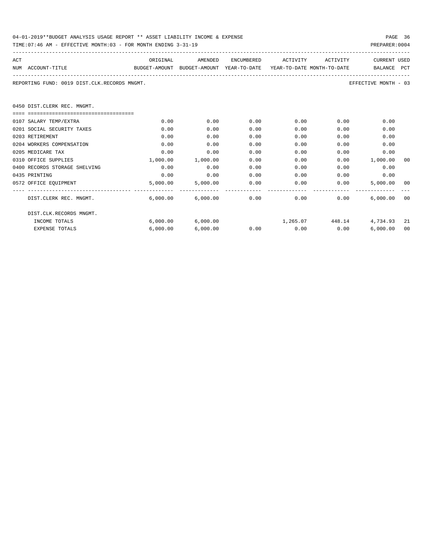| 04-01-2019**BUDGET ANALYSIS USAGE REPORT ** ASSET LIABILITY INCOME & EXPENSE |  |  |  |  |  | PAGE | 36 |
|------------------------------------------------------------------------------|--|--|--|--|--|------|----|
|                                                                              |  |  |  |  |  |      |    |

|               | TIME:07:46 AM - EFFECTIVE MONTH:03 - FOR MONTH ENDING 3-31-19                            |          |                       |      |                     |              | PREPARER: 0004       |             |
|---------------|------------------------------------------------------------------------------------------|----------|-----------------------|------|---------------------|--------------|----------------------|-------------|
| ACT           |                                                                                          |          | ORIGINAL AMENDED      |      | ENCUMBERED ACTIVITY | ACTIVITY     | <b>CURRENT USED</b>  |             |
|               | BUDGET-AMOUNT BUDGET-AMOUNT YEAR-TO-DATE YEAR-TO-DATE MONTH-TO-DATE<br>NUM ACCOUNT-TITLE |          |                       |      |                     |              | BALANCE PCT          |             |
|               | REPORTING FUND: 0019 DIST.CLK.RECORDS MNGMT.                                             |          |                       |      |                     |              | EFFECTIVE MONTH - 03 |             |
|               | 0450 DIST.CLERK REC. MNGMT.                                                              |          |                       |      |                     |              |                      |             |
|               | 0107 SALARY TEMP/EXTRA                                                                   | 0.00     | 0.00                  | 0.00 | 0.00                | 0.00         | 0.00                 |             |
|               | 0201 SOCIAL SECURITY TAXES                                                               | 0.00     | 0.00                  | 0.00 | 0.00                | 0.00         | 0.00                 |             |
|               | 0203 RETIREMENT                                                                          | 0.00     | 0.00                  | 0.00 | 0.00                | 0.00         | 0.00                 |             |
|               | 0204 WORKERS COMPENSATION                                                                | 0.00     | 0.00                  | 0.00 | 0.00                | 0.00         | 0.00                 |             |
|               | 0205 MEDICARE TAX                                                                        | 0.00     | 0.00                  | 0.00 | 0.00                | 0.00         | 0.00                 |             |
|               | 0310 OFFICE SUPPLIES                                                                     | 1,000.00 | 1,000.00              | 0.00 | 0.00                |              | $0.00$ 1,000.00      | 00          |
|               | 0400 RECORDS STORAGE SHELVING                                                            | 0.00     | 0.00                  | 0.00 | 0.00                | 0.00         | 0.00                 |             |
| 0435 PRINTING |                                                                                          | 0.00     | 0.00                  | 0.00 | 0.00                | 0.00         | 0.00                 |             |
|               | 0572 OFFICE EOUIPMENT                                                                    | 5,000.00 | 5,000.00              | 0.00 |                     | 0.00<br>0.00 | 5,000.00             | -00         |
|               | DIST.CLERK REC. MNGMT.                                                                   |          | $6,000.00$ $6,000.00$ | 0.00 | 0.00                | 0.00         | 6,000.00             | $---$<br>00 |
|               | DIST.CLK.RECORDS MNGMT.                                                                  |          |                       |      |                     |              |                      |             |

INCOME TOTALS 6,000.00 6,000.00 1,265.07 448.14 4,734.93 21 EXPENSE TOTALS 6,000.00 6,000.00 0.00 0.00 0.00 6,000.00 00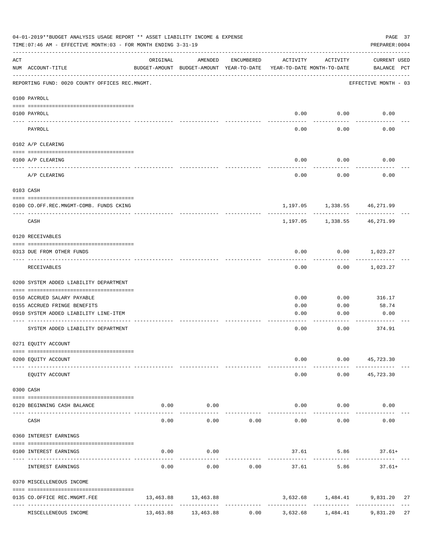| 04-01-2019**BUDGET ANALYSIS USAGE REPORT ** ASSET LIABILITY INCOME & EXPENSE<br>TIME: 07:46 AM - EFFECTIVE MONTH: 03 - FOR MONTH ENDING 3-31-19<br>PREPARER: 0004 |                                                           |           |                                                     |              |                                        |                                |                                  |  |  |  |
|-------------------------------------------------------------------------------------------------------------------------------------------------------------------|-----------------------------------------------------------|-----------|-----------------------------------------------------|--------------|----------------------------------------|--------------------------------|----------------------------------|--|--|--|
| ACT                                                                                                                                                               | NUM ACCOUNT-TITLE                                         | ORIGINAL  | AMENDED<br>BUDGET-AMOUNT BUDGET-AMOUNT YEAR-TO-DATE | ENCUMBERED   | ACTIVITY<br>YEAR-TO-DATE MONTH-TO-DATE | ACTIVITY                       | CURRENT USED<br>BALANCE PCT      |  |  |  |
|                                                                                                                                                                   | REPORTING FUND: 0020 COUNTY OFFICES REC.MNGMT.            |           |                                                     |              |                                        |                                | EFFECTIVE MONTH - 03             |  |  |  |
|                                                                                                                                                                   | 0100 PAYROLL                                              |           |                                                     |              |                                        |                                |                                  |  |  |  |
|                                                                                                                                                                   | 0100 PAYROLL                                              |           |                                                     |              | 0.00                                   | 0.00                           | 0.00                             |  |  |  |
|                                                                                                                                                                   | ----- -------<br>PAYROLL                                  |           |                                                     |              | ----<br>0.00                           | .<br>0.00                      | 0.00                             |  |  |  |
|                                                                                                                                                                   | 0102 A/P CLEARING                                         |           |                                                     |              |                                        |                                |                                  |  |  |  |
|                                                                                                                                                                   | 0100 A/P CLEARING                                         |           |                                                     |              | 0.00                                   | 0.00                           | 0.00                             |  |  |  |
|                                                                                                                                                                   | A/P CLEARING                                              |           |                                                     |              | 0.00                                   | 0.00                           | 0.00                             |  |  |  |
|                                                                                                                                                                   | 0103 CASH                                                 |           |                                                     |              |                                        |                                |                                  |  |  |  |
|                                                                                                                                                                   | 0100 CO.OFF.REC.MNGMT-COMB. FUNDS CKING                   |           |                                                     |              |                                        | 1, 197.05 1, 338.55 46, 271.99 |                                  |  |  |  |
|                                                                                                                                                                   | CASH                                                      |           |                                                     |              | 1,197.05                               | .                              | .<br>1,338.55 46,271.99          |  |  |  |
|                                                                                                                                                                   | 0120 RECEIVABLES                                          |           |                                                     |              |                                        |                                |                                  |  |  |  |
|                                                                                                                                                                   | 0313 DUE FROM OTHER FUNDS                                 |           |                                                     |              | 0.00                                   |                                | $0.00$ 1,023.27                  |  |  |  |
|                                                                                                                                                                   | RECEIVABLES                                               |           |                                                     |              | 0.00                                   | 0.00                           | 1,023.27                         |  |  |  |
|                                                                                                                                                                   | 0200 SYSTEM ADDED LIABILITY DEPARTMENT                    |           |                                                     |              |                                        |                                |                                  |  |  |  |
|                                                                                                                                                                   | 0150 ACCRUED SALARY PAYABLE                               |           |                                                     |              | 0.00                                   | 0.00                           | 316.17                           |  |  |  |
|                                                                                                                                                                   | 0155 ACCRUED FRINGE BENEFITS                              |           |                                                     |              | 0.00                                   | 0.00                           | 58.74                            |  |  |  |
|                                                                                                                                                                   | 0910 SYSTEM ADDED LIABILITY LINE-ITEM                     |           |                                                     |              | 0.00                                   | 0.00                           | 0.00                             |  |  |  |
|                                                                                                                                                                   | SYSTEM ADDED LIABILITY DEPARTMENT                         |           |                                                     |              | 0.00                                   | 0.00                           | --------<br>374.91               |  |  |  |
|                                                                                                                                                                   | 0271 EQUITY ACCOUNT                                       |           |                                                     |              |                                        |                                |                                  |  |  |  |
|                                                                                                                                                                   | 0200 EQUITY ACCOUNT                                       |           |                                                     |              | 0.00                                   |                                | $0.00$ 45,723.30                 |  |  |  |
|                                                                                                                                                                   | EQUITY ACCOUNT                                            |           |                                                     |              | 0.00                                   | 0.00                           | 45,723.30                        |  |  |  |
|                                                                                                                                                                   | 0300 CASH                                                 |           |                                                     |              |                                        |                                |                                  |  |  |  |
|                                                                                                                                                                   | 0120 BEGINNING CASH BALANCE<br>------------------ ------- | 0.00      | 0.00<br>-------                                     |              | 0.00                                   | 0.00                           | 0.00                             |  |  |  |
|                                                                                                                                                                   | CASH                                                      | 0.00      | 0.00                                                | 0.00         | 0.00                                   | 0.00                           | 0.00                             |  |  |  |
|                                                                                                                                                                   | 0360 INTEREST EARNINGS                                    |           |                                                     |              |                                        |                                |                                  |  |  |  |
|                                                                                                                                                                   | 0100 INTEREST EARNINGS                                    | 0.00      | 0.00                                                |              |                                        | 37.61 5.86                     | $37.61+$                         |  |  |  |
|                                                                                                                                                                   | INTEREST EARNINGS                                         | 0.00      | 0.00                                                | 0.00         | 37.61                                  | 5.86                           | $37.61+$                         |  |  |  |
|                                                                                                                                                                   | 0370 MISCELLENEOUS INCOME                                 |           |                                                     |              |                                        |                                |                                  |  |  |  |
|                                                                                                                                                                   | 0135 CO.OFFICE REC.MNGMT.FEE<br>----------------          |           | 13,463.88 13,463.88<br>-------------                | ------------ | --------------                         | ------------                   | 3,632.68 1,484.41 9,831.20<br>27 |  |  |  |
|                                                                                                                                                                   | MISCELLENEOUS INCOME                                      | 13,463.88 | 13,463.88                                           | 0.00         | 3,632.68                               | 1,484.41                       | 9,831.20<br>27                   |  |  |  |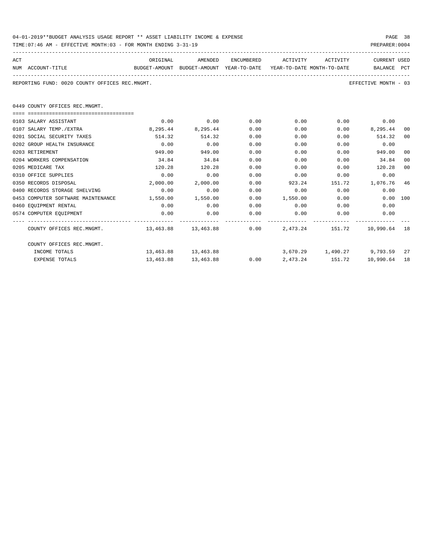| 04-01-2019**BUDGET ANALYSIS USAGE REPORT ** ASSET LIABILITY INCOME & EXPENSE |  |  |  |  |  | PAGE 38 |  |
|------------------------------------------------------------------------------|--|--|--|--|--|---------|--|
|                                                                              |  |  |  |  |  |         |  |

| ACT | NUM ACCOUNT-TITLE                                                                  | ORIGINAL<br>BUDGET-AMOUNT BUDGET-AMOUNT YEAR-TO-DATE YEAR-TO-DATE_MONTH-TO-DATE | AMENDED                                                       |      | ENCUMBERED ACTIVITY ACTIVITY |      | <b>CURRENT USED</b><br>BALANCE PCT          |    |
|-----|------------------------------------------------------------------------------------|---------------------------------------------------------------------------------|---------------------------------------------------------------|------|------------------------------|------|---------------------------------------------|----|
|     | REPORTING FUND: 0020 COUNTY OFFICES REC.MNGMT.                                     |                                                                                 |                                                               |      |                              |      | EFFECTIVE MONTH - 03                        |    |
|     | 0449 COUNTY OFFICES REC.MNGMT.                                                     |                                                                                 |                                                               |      |                              |      |                                             |    |
|     | 0103 SALARY ASSISTANT                                                              | 0.00                                                                            | 0.00                                                          | 0.00 | 0.00                         |      | $0.00$ 0.00                                 |    |
|     | 0107 SALARY TEMP./EXTRA                                                            |                                                                                 | 8,295.44 8,295.44                                             | 0.00 | 0.00                         |      | $0.00$ $8,295.44$                           | 00 |
|     | 0201 SOCIAL SECURITY TAXES                                                         | 514.32                                                                          | 514.32                                                        | 0.00 | 0.00                         |      | $0.00$ $514.32$                             | 00 |
|     | 0202 GROUP HEALTH INSURANCE                                                        | 0.00                                                                            | 0.00                                                          | 0.00 | 0.00                         | 0.00 | 0.00                                        |    |
|     | 0203 RETIREMENT                                                                    | 949.00                                                                          | 949.00                                                        | 0.00 | 0.00                         | 0.00 | 949.00                                      | 00 |
|     | 0204 WORKERS COMPENSATION                                                          | 34.84                                                                           | 34.84                                                         | 0.00 | 0.00                         | 0.00 | 34.84                                       | 00 |
|     | 0205 MEDICARE TAX                                                                  | 120.28                                                                          | 120.28                                                        | 0.00 | 0.00                         | 0.00 | 120.28                                      | 00 |
|     | 0310 OFFICE SUPPLIES                                                               | 0.00                                                                            | 0.00                                                          | 0.00 | 0.00                         | 0.00 | 0.00                                        |    |
|     | 0350 RECORDS DISPOSAL                                                              | 2,000.00                                                                        | 2,000.00                                                      | 0.00 | 923.24                       |      | 151.72 1,076.76                             | 46 |
|     | 0400 RECORDS STORAGE SHELVING                                                      | 0.00                                                                            | 0.00                                                          | 0.00 | 0.00                         |      | 0.00<br>0.00                                |    |
|     | 0453 COMPUTER SOFTWARE MAINTENANCE 1,550.00 1,550.00                               |                                                                                 |                                                               | 0.00 | 1,550.00 0.00                |      | 0.00 100                                    |    |
|     | 0460 EOUIPMENT RENTAL                                                              | 0.00                                                                            | 0.00                                                          | 0.00 | $0.00$ 0.00                  |      | 0.00                                        |    |
|     | 0574 COMPUTER EQUIPMENT                                                            | 0.00                                                                            | 0.00                                                          | 0.00 | $0.00$ 0.00                  |      | 0.00                                        |    |
|     | COUNTY OFFICES REC.MNGMT. 48 13,463.88 13,463.88 0.00 2,473.24 151.72 10,990.64 18 |                                                                                 |                                                               |      |                              |      |                                             |    |
|     | COUNTY OFFICES REC.MNGMT.                                                          |                                                                                 |                                                               |      |                              |      |                                             |    |
|     | INCOME TOTALS                                                                      |                                                                                 | $13,463.88$ $13,463.88$ $3,670.29$ $1,490.27$ $9,793.59$ $27$ |      |                              |      |                                             |    |
|     | <b>EXPENSE TOTALS</b>                                                              |                                                                                 | 13,463.88 13,463.88                                           |      |                              |      | $0.00$ $2.473.24$ $151.72$ $10.990.64$ $18$ |    |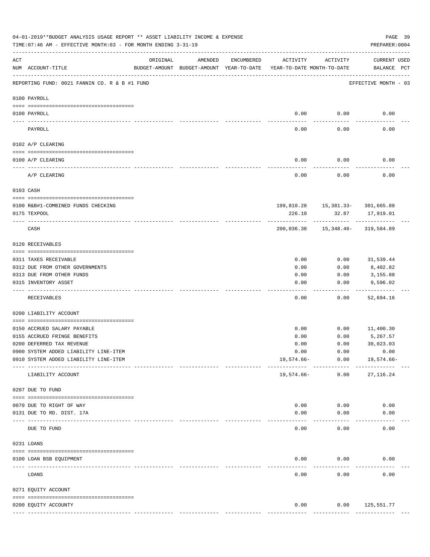|     | 04-01-2019**BUDGET ANALYSIS USAGE REPORT ** ASSET LIABILITY INCOME & EXPENSE<br>TIME: 07:46 AM - EFFECTIVE MONTH: 03 - FOR MONTH ENDING 3-31-19 |                                                                                 |         |            |               |                                                  | PAGE 39<br>PREPARER: 0004           |  |
|-----|-------------------------------------------------------------------------------------------------------------------------------------------------|---------------------------------------------------------------------------------|---------|------------|---------------|--------------------------------------------------|-------------------------------------|--|
| ACT | NUM ACCOUNT-TITLE                                                                                                                               | ORIGINAL<br>BUDGET-AMOUNT BUDGET-AMOUNT YEAR-TO-DATE YEAR-TO-DATE MONTH-TO-DATE | AMENDED | ENCUMBERED | ACTIVITY      | ACTIVITY                                         | CURRENT USED<br>BALANCE PCT         |  |
|     | REPORTING FUND: 0021 FANNIN CO. R & B #1 FUND                                                                                                   |                                                                                 |         |            |               |                                                  | EFFECTIVE MONTH - 03                |  |
|     | 0100 PAYROLL                                                                                                                                    |                                                                                 |         |            |               |                                                  |                                     |  |
|     | 0100 PAYROLL                                                                                                                                    |                                                                                 |         |            | 0.00          | 0.00                                             | 0.00                                |  |
|     | ---- ----<br>PAYROLL                                                                                                                            |                                                                                 |         |            | ----<br>0.00  | -------<br>0.00                                  | 0.00                                |  |
|     | 0102 A/P CLEARING                                                                                                                               |                                                                                 |         |            |               |                                                  |                                     |  |
|     | 0100 A/P CLEARING                                                                                                                               |                                                                                 |         |            | 0.00          | 0.00                                             | 0.00                                |  |
|     | A/P CLEARING                                                                                                                                    |                                                                                 |         |            | 0.00          | 0.00                                             | 0.00                                |  |
|     | 0103 CASH                                                                                                                                       |                                                                                 |         |            |               |                                                  |                                     |  |
|     | 0100 R&B#1-COMBINED FUNDS CHECKING                                                                                                              |                                                                                 |         |            |               | 199,810.28   15,381.33-   301,665.88             |                                     |  |
|     | 0175 TEXPOOL                                                                                                                                    |                                                                                 |         |            | 226.10        |                                                  | 32.87 17,919.01                     |  |
|     | CASH                                                                                                                                            |                                                                                 |         |            |               | ----------<br>200,036.38  15,348.46-  319,584.89 |                                     |  |
|     | 0120 RECEIVABLES                                                                                                                                |                                                                                 |         |            |               |                                                  |                                     |  |
|     | 0311 TAXES RECEIVABLE                                                                                                                           |                                                                                 |         |            | 0.00          | 0.00                                             | 31,539.44                           |  |
|     | 0312 DUE FROM OTHER GOVERNMENTS                                                                                                                 |                                                                                 |         |            | 0.00          | 0.00                                             | 8,402.82                            |  |
|     | 0313 DUE FROM OTHER FUNDS                                                                                                                       |                                                                                 |         |            | 0.00          | 0.00                                             | 3,155.88                            |  |
|     | 0315 INVENTORY ASSET                                                                                                                            |                                                                                 |         |            | 0.00<br>----  | 0.00<br>-----                                    | 9,596.02<br>----------              |  |
|     | RECEIVABLES                                                                                                                                     |                                                                                 |         |            | 0.00          | 0.00                                             | 52,694.16                           |  |
|     | 0200 LIABILITY ACCOUNT                                                                                                                          |                                                                                 |         |            |               |                                                  |                                     |  |
|     | 0150 ACCRUED SALARY PAYABLE                                                                                                                     |                                                                                 |         |            | 0.00          |                                                  | $0.00$ 11,400.30                    |  |
|     | 0155 ACCRUED FRINGE BENEFITS                                                                                                                    |                                                                                 |         |            | 0.00          | 0.00                                             | 5,267.57                            |  |
|     | 0200 DEFERRED TAX REVENUE                                                                                                                       |                                                                                 |         |            | 0.00          | 0.00                                             | 30,023.03                           |  |
|     | 0900 SYSTEM ADDED LIABILITY LINE-ITEM                                                                                                           |                                                                                 |         |            | 0.00          | 0.00                                             | 0.00                                |  |
|     | 0910 SYSTEM ADDED LIABILITY LINE-ITEM                                                                                                           |                                                                                 |         |            | 19,574.66-    | 0.00<br>------------                             | 19,574.66-                          |  |
|     | LIABILITY ACCOUNT                                                                                                                               |                                                                                 |         |            | 19,574.66-    | 0.00                                             | 27, 116.24                          |  |
|     | 0207 DUE TO FUND                                                                                                                                |                                                                                 |         |            |               |                                                  |                                     |  |
|     | 0070 DUE TO RIGHT OF WAY                                                                                                                        |                                                                                 |         |            | 0.00          | 0.00                                             | 0.00                                |  |
|     | 0131 DUE TO RD. DIST. 17A                                                                                                                       |                                                                                 |         |            | 0.00          | 0.00                                             | 0.00                                |  |
|     | DUE TO FUND                                                                                                                                     | ------------- --------------                                                    |         |            | 0.00          | 0.00                                             | 0.00                                |  |
|     | 0231 LOANS                                                                                                                                      |                                                                                 |         |            |               |                                                  |                                     |  |
|     | 0100 LOAN BSB EQUIPMENT                                                                                                                         |                                                                                 |         |            | 0.00          | 0.00                                             | 0.00                                |  |
|     | LOANS                                                                                                                                           |                                                                                 |         |            | 0.00          | 0.00                                             | 0.00                                |  |
|     | 0271 EQUITY ACCOUNT                                                                                                                             |                                                                                 |         |            |               |                                                  |                                     |  |
|     |                                                                                                                                                 |                                                                                 |         |            |               |                                                  |                                     |  |
|     | 0200 EQUITY ACCOUNTY                                                                                                                            |                                                                                 |         |            | 0.00          |                                                  | $0.00$ 125,551.77<br>-------------- |  |
|     |                                                                                                                                                 |                                                                                 |         |            | ------------- | -------------                                    |                                     |  |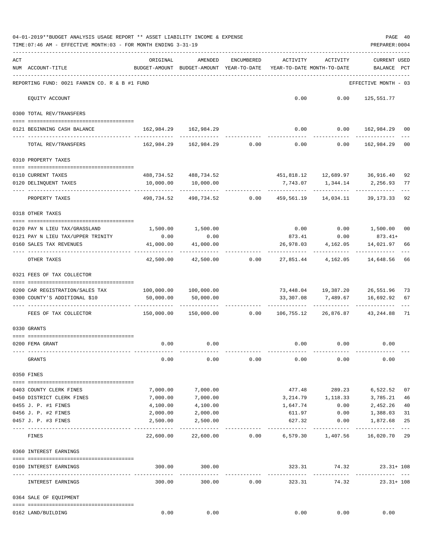|     | 04-01-2019**BUDGET ANALYSIS USAGE REPORT ** ASSET LIABILITY INCOME & EXPENSE<br>TIME: 07:46 AM - EFFECTIVE MONTH: 03 - FOR MONTH ENDING 3-31-19 |                                                      |                                                             |                  |                                        |                             | PREPARER: 0004                                    | PAGE 40     |
|-----|-------------------------------------------------------------------------------------------------------------------------------------------------|------------------------------------------------------|-------------------------------------------------------------|------------------|----------------------------------------|-----------------------------|---------------------------------------------------|-------------|
| ACT | NUM ACCOUNT-TITLE                                                                                                                               | ORIGINAL<br>BUDGET-AMOUNT BUDGET-AMOUNT YEAR-TO-DATE | AMENDED                                                     | ENCUMBERED       | ACTIVITY<br>YEAR-TO-DATE MONTH-TO-DATE | ACTIVITY                    | <b>CURRENT USED</b><br>BALANCE PCT                |             |
|     | REPORTING FUND: 0021 FANNIN CO. R & B #1 FUND                                                                                                   |                                                      |                                                             |                  |                                        |                             | EFFECTIVE MONTH - 03                              |             |
|     | EQUITY ACCOUNT                                                                                                                                  |                                                      |                                                             |                  |                                        | $0.00$ $0.00$ $125,551.77$  |                                                   |             |
|     | 0300 TOTAL REV/TRANSFERS                                                                                                                        |                                                      |                                                             |                  |                                        |                             |                                                   |             |
|     | 0121 BEGINNING CASH BALANCE                                                                                                                     | 162,984.29 162,984.29                                |                                                             |                  |                                        |                             | $0.00$ $0.00$ $162,984.29$ 00                     |             |
|     | TOTAL REV/TRANSFERS                                                                                                                             |                                                      | $162,984.29$ $162,984.29$ $0.00$ $0.00$ $0.00$ $162,984.29$ |                  |                                        |                             |                                                   | 00          |
|     | 0310 PROPERTY TAXES                                                                                                                             |                                                      |                                                             |                  |                                        |                             |                                                   |             |
|     |                                                                                                                                                 |                                                      |                                                             |                  |                                        |                             |                                                   |             |
|     | 0110 CURRENT TAXES<br>0120 DELINQUENT TAXES                                                                                                     | 10,000.00                                            | 488,734.52 488,734.52<br>10,000.00                          |                  |                                        |                             | 451,818.12  12,689.97  36,916.40                  | 92          |
|     | PROPERTY TAXES                                                                                                                                  |                                                      | -----------<br>498,734.52 498,734.52 0.00                   |                  | ------------                           | -------------               | 459,561.19  14,034.11  39,173.33                  | 92          |
|     | 0318 OTHER TAXES                                                                                                                                |                                                      |                                                             |                  |                                        |                             |                                                   |             |
|     |                                                                                                                                                 |                                                      |                                                             |                  |                                        |                             |                                                   |             |
|     | 0120 PAY N LIEU TAX/GRASSLAND<br>0121 PAY N LIEU TAX/UPPER TRINITY                                                                              | 0.00                                                 | 1,500.00 1,500.00<br>0.00                                   |                  |                                        |                             | $0.00$ $0.00$ $1,500.00$<br>$873.41$ 0.00 873.41+ | 00          |
|     | 0160 SALES TAX REVENUES                                                                                                                         | 41,000.00                                            | 41,000.00                                                   |                  |                                        | 26,978.03 4,162.05          | 14,021.97                                         | 66          |
|     | OTHER TAXES                                                                                                                                     | . <u>.</u> .<br>42,500.00                            |                                                             | $42,500.00$ 0.00 |                                        | -----------                 | ------------<br>27,851.44 4,162.05 14,648.56      | 66          |
|     | 0321 FEES OF TAX COLLECTOR                                                                                                                      |                                                      |                                                             |                  |                                        |                             |                                                   |             |
|     | 0200 CAR REGISTRATION/SALES TAX                                                                                                                 | 100,000.00    100,000.00                             |                                                             |                  |                                        |                             | 73,448.04  19,387.20  26,551.96  73               |             |
|     | 0300 COUNTY'S ADDITIONAL \$10                                                                                                                   | 50,000.00                                            | 50,000.00                                                   |                  |                                        | 33,307.08 7,489.67          | 16,692.92                                         | 67          |
|     |                                                                                                                                                 |                                                      |                                                             |                  |                                        |                             |                                                   |             |
|     | FEES OF TAX COLLECTOR                                                                                                                           | $150,000.00$ $150,000.00$ $0.00$                     |                                                             |                  |                                        |                             | 106,755.12 26,876.87 43,244.88 71                 |             |
|     | 0330 GRANTS                                                                                                                                     |                                                      |                                                             |                  |                                        |                             |                                                   |             |
|     |                                                                                                                                                 |                                                      |                                                             |                  |                                        |                             |                                                   |             |
|     | 0200 FEMA GRANT                                                                                                                                 | 0.00                                                 | 0.00                                                        |                  |                                        | $0.00$ $0.00$ $0.00$ $0.00$ |                                                   |             |
|     | GRANTS                                                                                                                                          | 0.00                                                 | 0.00                                                        | 0.00             | 0.00                                   | 0.00                        | 0.00                                              |             |
|     | 0350 FINES                                                                                                                                      |                                                      |                                                             |                  |                                        |                             |                                                   |             |
|     | 0403 COUNTY CLERK FINES                                                                                                                         | 7,000.00                                             | 7,000.00                                                    |                  |                                        | 477.48 289.23               | 6,522.52                                          | 07          |
|     | 0450 DISTRICT CLERK FINES                                                                                                                       | 7,000.00                                             | 7,000.00                                                    |                  |                                        | 3, 214.79 1, 118.33         | 3,785.21                                          | 46          |
|     | 0455 J. P. #1 FINES                                                                                                                             | 4,100.00                                             | 4,100.00                                                    |                  | 1,647.74                               | 0.00                        | 2,452.26                                          | 40          |
|     | 0456 J. P. #2 FINES                                                                                                                             | 2,000.00                                             | 2,000.00                                                    |                  | 611.97                                 | 0.00                        | 1,388.03                                          | 31          |
|     | 0457 J. P. #3 FINES                                                                                                                             | 2,500.00                                             | 2,500.00                                                    |                  | 627.32                                 | 0.00                        | 1,872.68                                          | 25<br>$---$ |
|     | FINES                                                                                                                                           | 22,600.00                                            | 22,600.00                                                   |                  | $0.00$ 6,579.30 1,407.56               |                             | 16,020.70 29                                      |             |
|     | 0360 INTEREST EARNINGS                                                                                                                          |                                                      |                                                             |                  |                                        |                             |                                                   |             |
|     | 0100 INTEREST EARNINGS<br>-------------------                                                                                                   | 300.00                                               | 300.00<br>-------------                                     |                  | 323.31<br>--------------               | 74.32<br>------------       | $23.31 + 108$<br>. <u>.</u>                       |             |
|     | INTEREST EARNINGS                                                                                                                               | 300.00                                               | 300.00                                                      | 0.00             | 323.31                                 | 74.32                       | $23.31 + 108$                                     |             |
|     | 0364 SALE OF EQUIPMENT                                                                                                                          |                                                      |                                                             |                  |                                        |                             |                                                   |             |
|     | 0162 LAND/BUILDING                                                                                                                              | 0.00                                                 | 0.00                                                        |                  | 0.00                                   | 0.00                        | 0.00                                              |             |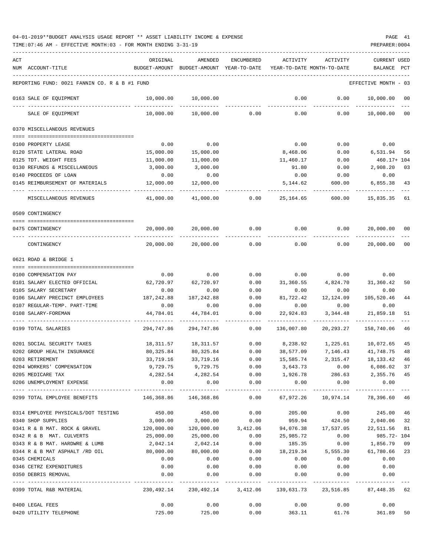| ACT |                                               | ORIGINAL   | AMENDED                                                             | ENCUMBERED            | ACTIVITY                                | ACTIVITY                  | CURRENT USED           |         |
|-----|-----------------------------------------------|------------|---------------------------------------------------------------------|-----------------------|-----------------------------------------|---------------------------|------------------------|---------|
|     | NUM ACCOUNT-TITLE                             |            | BUDGET-AMOUNT BUDGET-AMOUNT YEAR-TO-DATE YEAR-TO-DATE MONTH-TO-DATE |                       |                                         |                           | BALANCE                | PCT     |
|     |                                               |            |                                                                     |                       |                                         |                           |                        |         |
|     | REPORTING FUND: 0021 FANNIN CO. R & B #1 FUND |            |                                                                     |                       |                                         |                           | EFFECTIVE MONTH - 03   |         |
|     | 0163 SALE OF EQUIPMENT                        | 10,000.00  | 10,000.00                                                           |                       | 0.00                                    | 0.00                      | 10,000.00              | $_{00}$ |
|     | SALE OF EQUIPMENT                             | 10,000.00  | 10,000.00                                                           | 0.00                  | 0.00                                    | 0.00                      | 10,000.00 00           |         |
|     | 0370 MISCELLANEOUS REVENUES                   |            |                                                                     |                       |                                         |                           |                        |         |
|     |                                               |            |                                                                     |                       |                                         |                           |                        |         |
|     | 0100 PROPERTY LEASE                           | 0.00       | 0.00                                                                |                       | 0.00                                    | 0.00                      | 0.00                   |         |
|     | 0120 STATE LATERAL ROAD                       | 15,000.00  | 15,000.00                                                           |                       | 8,468.06                                | 0.00                      | 6,531.94               | 56      |
|     | 0125 TDT. WEIGHT FEES                         | 11,000.00  | 11,000.00                                                           |                       | 11,460.17                               | 0.00                      | 460.17+ 104            |         |
|     | 0130 REFUNDS & MISCELLANEOUS                  | 3,000.00   | 3,000.00                                                            |                       | 91.80                                   | 0.00                      | 2,908.20               | 03      |
|     | 0140 PROCEEDS OF LOAN                         | 0.00       | 0.00                                                                |                       | 0.00                                    | 0.00                      | 0.00                   |         |
|     | 0145 REIMBURSEMENT OF MATERIALS               | 12,000.00  | 12,000.00                                                           |                       | 5,144.62                                | 600.00                    | 6,855.38               | 43      |
|     | MISCELLANEOUS REVENUES                        | 41,000.00  | 41,000.00                                                           | 0.00                  | 25,164.65                               | 600.00                    | 15,835.35              | 61      |
|     | 0509 CONTINGENCY                              |            |                                                                     |                       |                                         |                           |                        |         |
|     | 0475 CONTINGENCY                              | 20,000.00  | 20,000.00                                                           | 0.00                  | $0.00$ 0.00                             |                           | 20,000.00              | 00      |
|     | CONTINGENCY                                   | 20,000.00  | 20,000.00                                                           | 0.00                  | 0.00                                    | 0.00                      | 20,000.00              | 00      |
|     | 0621 ROAD & BRIDGE 1                          |            |                                                                     |                       |                                         |                           |                        |         |
|     |                                               |            |                                                                     |                       |                                         |                           |                        |         |
|     | 0100 COMPENSATION PAY                         | 0.00       | 0.00                                                                | 0.00                  | 0.00                                    | 0.00                      | 0.00                   |         |
|     | 0101 SALARY ELECTED OFFICIAL                  | 62,720.97  | 62,720.97                                                           | 0.00                  | 31,360.55                               | 4,824.70                  | 31,360.42              | 50      |
|     | 0105 SALARY SECRETARY                         | 0.00       | 0.00                                                                | 0.00                  | 0.00                                    | 0.00                      | 0.00                   |         |
|     | 0106 SALARY PRECINCT EMPLOYEES                | 187,242.88 | 187,242.88                                                          | 0.00                  | 81,722.42                               | 12,124.09                 | 105,520.46             | 44      |
|     | 0107 REGULAR-TEMP. PART-TIME                  | 0.00       | 0.00                                                                | 0.00                  | 0.00                                    | 0.00                      | 0.00                   |         |
|     | 0108 SALARY-FOREMAN                           | 44,784.01  | 44,784.01                                                           | 0.00                  | 22,924.83                               | 3,344.48                  | 21,859.18              | 51      |
|     | 0199 TOTAL SALARIES                           | 294,747.86 | 294,747.86                                                          | 0.00                  | 136,007.80                              | 20,293.27                 | 158,740.06             | 46      |
|     | 0201 SOCIAL SECURITY TAXES                    | 18,311.57  | 18,311.57                                                           | 0.00                  | 8,238.92                                | 1,225.61                  | 10,072.65              | 45      |
|     | 0202 GROUP HEALTH INSURANCE                   | 80,325.84  | 80,325.84                                                           | 0.00                  | 38,577.09                               |                           | 7, 146. 43 41, 748. 75 | 48      |
|     | 0203 RETIREMENT                               | 33,719.16  | 33,719.16                                                           | 0.00                  | 15,585.74                               | 2,315.47                  | 18, 133. 42            | 46      |
|     | 0204 WORKERS' COMPENSATION                    |            | 9,729.75 9,729.75                                                   | 0.00                  | 3,643.73                                |                           | $0.00$ 6,086.02 37     |         |
|     | 0205 MEDICARE TAX                             |            | 4, 282.54 4, 282.54                                                 |                       | $0.00$ 1,926.78 286.63 2,355.76 45      |                           |                        |         |
|     | 0206 UNEMPLOYMENT EXPENSE                     | 0.00       |                                                                     | $0.00$ 0.00           | 0.00                                    | 0.00                      | 0.00                   |         |
|     | 0299 TOTAL EMPLOYEE BENEFITS                  |            | 146,368.86 146,368.86                                               | -------------<br>0.00 | 67,972.26  10,974.14  78,396.60  46     |                           |                        |         |
|     | 0314 EMPLOYEE PHYSICALS/DOT TESTING           | 450.00     | 450.00                                                              | 0.00                  | 205.00                                  |                           | $0.00$ 245.00 46       |         |
|     | 0340 SHOP SUPPLIES                            | 3,000.00   | 3,000.00                                                            | 0.00                  |                                         | 959.94 424.50 2,040.06 32 |                        |         |
|     | 0341 R & B MAT. ROCK & GRAVEL 120,000.00      |            |                                                                     |                       | 120,000.00 3,412.06 94,076.38 17,537.05 |                           | 22,511.56 81           |         |
|     | 0342 R & B MAT. CULVERTS                      | 25,000.00  | 25,000.00                                                           | 0.00                  | 25,985.72                               | 0.00                      | 985.72- 104            |         |
|     | 0343 R & B MAT. HARDWRE & LUMB                | 2,042.14   | 2,042.14                                                            | 0.00                  | 185.35                                  | 0.00                      | 1,856.79               | 09      |
|     | 0344 R & B MAT ASPHALT /RD OIL                | 80,000.00  | 80,000.00                                                           | 0.00                  | 18,219.34                               | 5,555.30                  | 61,780.66 23           |         |
|     | 0345 CHEMICALS                                | 0.00       | 0.00                                                                | 0.00                  | 0.00                                    | 0.00                      | 0.00                   |         |
|     | 0346 CETRZ EXPENDITURES                       | 0.00       | 0.00                                                                | 0.00                  | 0.00                                    | 0.00                      | 0.00                   |         |
|     | 0350 DEBRIS REMOVAL                           | 0.00       | 0.00                                                                | 0.00                  | 0.00                                    | 0.00                      | 0.00                   |         |
|     | 0399 TOTAL R&B MATERIAL                       |            | 230,492.14 230,492.14 3,412.06 139,631.73 23,516.85 87,448.35 62    |                       |                                         |                           |                        |         |
|     | 0400 LEGAL FEES                               | 0.00       | 0.00                                                                |                       | $0.00$ $0.00$ $0.00$ $0.00$             |                           | 0.00                   |         |
|     | 0420 UTILITY TELEPHONE                        | 725.00     | 725.00                                                              | 0.00                  | 363.11                                  |                           | 61.76<br>361.89 50     |         |
|     |                                               |            |                                                                     |                       |                                         |                           |                        |         |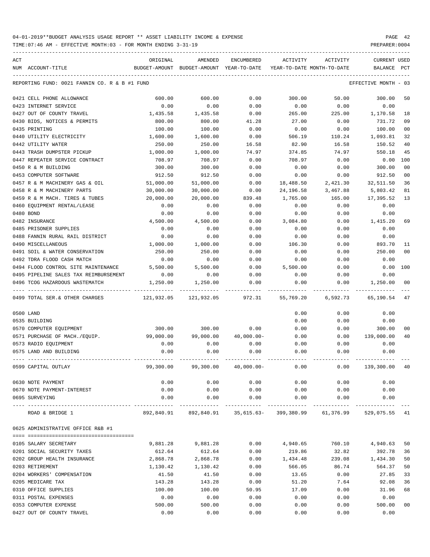TIME:07:46 AM - EFFECTIVE MONTH:03 - FOR MONTH ENDING 3-31-19 PREPARER:0004

| ACT                                                    | ORIGINAL   | AMENDED                                                                   | ENCUMBERED                         | ACTIVITY   | ACTIVITY                   | CURRENT USED         |                |
|--------------------------------------------------------|------------|---------------------------------------------------------------------------|------------------------------------|------------|----------------------------|----------------------|----------------|
| NUM ACCOUNT-TITLE                                      |            | BUDGET-AMOUNT BUDGET-AMOUNT YEAR-TO-DATE                                  |                                    |            | YEAR-TO-DATE MONTH-TO-DATE | BALANCE              | PCT            |
| REPORTING FUND: 0021 FANNIN CO. R & B #1 FUND          |            |                                                                           |                                    |            |                            | EFFECTIVE MONTH - 03 |                |
| 0421 CELL PHONE ALLOWANCE                              | 600.00     | 600.00                                                                    | 0.00                               | 300.00     | 50.00                      | 300.00               | 50             |
| 0423 INTERNET SERVICE                                  | 0.00       | 0.00                                                                      | 0.00                               | 0.00       | 0.00                       | 0.00                 |                |
| 0427 OUT OF COUNTY TRAVEL                              | 1,435.58   | 1,435.58                                                                  | 0.00                               | 265.00     | 225.00                     | 1,170.58             | 18             |
| 0430 BIDS, NOTICES & PERMITS                           | 800.00     | 800.00                                                                    | 41.28                              | 27.00      | 0.00                       | 731.72               | 09             |
| 0435 PRINTING                                          | 100.00     | 100.00                                                                    | 0.00                               | 0.00       | 0.00                       | 100.00               | 0 <sub>0</sub> |
| 0440 UTILITY ELECTRICITY                               | 1,600.00   | 1,600.00                                                                  | 0.00                               | 506.19     | 110.24                     | 1,093.81             | 32             |
| 0442 UTILITY WATER                                     | 250.00     | 250.00                                                                    | 16.58                              | 82.90      | 16.58                      | 150.52               | 40             |
| 0443 TRASH DUMPSTER PICKUP                             | 1,000.00   | 1,000.00                                                                  | 74.97                              | 374.85     | 74.97                      | 550.18               | 45             |
| 0447 REPEATER SERVICE CONTRACT                         | 708.97     | 708.97                                                                    | 0.00                               | 708.97     | 0.00                       | 0.00                 | 100            |
| 0450 R & M BUILDING                                    | 300.00     | 300.00                                                                    | 0.00                               | 0.00       | 0.00                       | 300.00               | 0 <sub>0</sub> |
| 0453 COMPUTER SOFTWARE                                 | 912.50     | 912.50                                                                    | 0.00                               | 0.00       | 0.00                       | 912.50               | 0 <sub>0</sub> |
| 0457 R & M MACHINERY GAS & OIL                         | 51,000.00  | 51,000.00                                                                 | 0.00                               | 18,488.50  | 2,421.30                   | 32,511.50            | 36             |
| 0458 R & M MACHINERY PARTS                             | 30,000.00  | 30,000.00                                                                 | 0.00                               | 24, 196.58 | 3,467.88                   | 5,803.42             | 81             |
| 0459 R & M MACH. TIRES & TUBES                         | 20,000.00  | 20,000.00                                                                 | 839.48                             | 1,765.00   | 165.00                     | 17,395.52            | 13             |
| 0460 EQUIPMENT RENTAL/LEASE                            | 0.00       | 0.00                                                                      | 0.00                               | 0.00       | 0.00                       | 0.00                 |                |
| 0480 BOND                                              | 0.00       | 0.00                                                                      | 0.00                               | 0.00       | 0.00                       | 0.00                 |                |
| 0482 INSURANCE                                         | 4,500.00   | 4,500.00                                                                  | 0.00                               | 3,084.80   | 0.00                       | 1,415.20             | 69             |
| 0485 PRISONER SUPPLIES                                 | 0.00       | 0.00                                                                      | 0.00                               | 0.00       | 0.00                       | 0.00                 |                |
| 0488 FANNIN RURAL RAIL DISTRICT                        | 0.00       | 0.00                                                                      | 0.00                               | 0.00       | 0.00                       | 0.00                 |                |
| 0490 MISCELLANEOUS                                     | 1,000.00   | 1,000.00                                                                  | 0.00                               | 106.30     | 0.00                       | 893.70               | 11             |
| 0491 SOIL & WATER CONSERVATION                         | 250.00     | 250.00                                                                    | 0.00                               | 0.00       | 0.00                       | 250.00               | 0 <sub>0</sub> |
| 0492 TDRA FLOOD CASH MATCH                             | 0.00       | 0.00                                                                      | 0.00                               | 0.00       | 0.00                       | 0.00                 |                |
| 0494 FLOOD CONTROL SITE MAINTENANCE                    | 5,500.00   | 5,500.00                                                                  | 0.00                               | 5,500.00   | 0.00                       | 0.00                 | 100            |
| 0495 PIPELINE SALES TAX REIMBURSEMENT                  | 0.00       | 0.00                                                                      | 0.00                               | 0.00       | 0.00                       | 0.00                 |                |
| 0496 TCOG HAZARDOUS WASTEMATCH                         | 1,250.00   | 1,250.00                                                                  | 0.00                               | 0.00       | 0.00                       | 1,250.00             | 00             |
| 0499 TOTAL SER.& OTHER CHARGES                         | 121,932.05 | 121,932.05                                                                | 972.31                             | 55,769.20  | 6,592.73                   | 65,190.54            | 47             |
| 0500 LAND                                              |            |                                                                           |                                    | 0.00       | 0.00                       | 0.00                 |                |
| 0535 BUILDING                                          |            |                                                                           |                                    | 0.00       | 0.00                       | 0.00                 |                |
| 0570 COMPUTER EQUIPMENT                                | 300.00     | 300.00                                                                    | 0.00                               | 0.00       | 0.00                       | 300.00               | 00             |
| 0571 PURCHASE OF MACH./EQUIP.                          | 99,000.00  | 99,000.00                                                                 | $40,000.00 -$                      | 0.00       | 0.00                       | 139,000.00           | 40             |
| 0573 RADIO EOUIPMENT                                   | 0.00       | 0.00                                                                      | 0.00                               | 0.00       | 0.00                       | 0.00                 |                |
| 0575 LAND AND BUILDING                                 | 0.00       | 0.00                                                                      | 0.00                               | 0.00       | 0.00                       | 0.00                 |                |
| 0599 CAPITAL OUTLAY                                    | 99,300.00  |                                                                           | 99,300.00 40,000.00-               | 0.00       | 0.00                       | 139,300.00           | -40            |
| 0630 NOTE PAYMENT                                      | 0.00       | 0.00                                                                      | 0.00                               | 0.00       | 0.00                       | 0.00                 |                |
| 0670 NOTE PAYMENT-INTEREST                             | 0.00       |                                                                           | $0.00$ $0.00$ $0.00$ $0.00$ $0.00$ |            |                            | 0.00                 |                |
| 0695 SURVEYING<br>---------------------- ------------- | 0.00       |                                                                           | $0.00$ $0.00$ $0.00$ $0.00$        |            | 0.00                       | 0.00                 |                |
| ROAD & BRIDGE 1                                        |            | 892,840.91  892,840.91  35,615.63-  399,380.99  61,376.99  529,075.55  41 |                                    |            |                            |                      |                |
| 0625 ADMINISTRATIVE OFFICE R&B #1                      |            |                                                                           |                                    |            |                            |                      |                |
|                                                        |            |                                                                           |                                    |            |                            |                      |                |
| 0105 SALARY SECRETARY                                  | 9,881.28   | 9,881.28                                                                  | 0.00                               | 4,940.65   | 760.10                     | 4,940.63             | 50             |
| 0201 SOCIAL SECURITY TAXES                             | 612.64     | 612.64                                                                    | 0.00                               | 219.86     | 32.82                      | 392.78               | 36             |
| 0202 GROUP HEALTH INSURANCE                            | 2,868.78   | 2,868.78                                                                  | 0.00                               | 1,434.48   | 239.08                     | 1,434.30             | 50             |
| 0203 RETIREMENT                                        | 1,130.42   | 1,130.42                                                                  | 0.00                               | 566.05     | 86.74                      | 564.37               | 50             |
| 0204 WORKERS' COMPENSATION                             | 41.50      | 41.50                                                                     | 0.00                               | 13.65      | 0.00                       | 27.85                | 33             |
| 0205 MEDICARE TAX                                      | 143.28     | 143.28                                                                    | 0.00                               | 51.20      | 7.64                       | 92.08                | 36             |
| 0310 OFFICE SUPPLIES                                   | 100.00     | 100.00                                                                    | 50.95                              | 17.09      | 0.00                       | 31.96                | 68             |
| 0311 POSTAL EXPENSES                                   | 0.00       | 0.00                                                                      | 0.00                               | 0.00       | 0.00                       | 0.00                 |                |
| 0353 COMPUTER EXPENSE                                  | 500.00     | 500.00                                                                    | 0.00                               | 0.00       | 0.00                       | 500.00               | 0 <sub>0</sub> |

0427 OUT OF COUNTY TRAVEL 0.00 0.00 0.00 0.00 0.00 0.00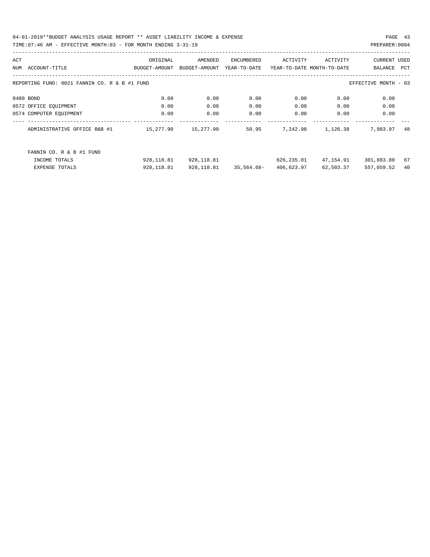04-01-2019\*\*BUDGET ANALYSIS USAGE REPORT \*\* ASSET LIABILITY INCOME & EXPENSE PAGE 43 TIME:07:46 AM - EFFECTIVE MONTH:03 - FOR MONTH ENDING 3-31-19 PREPARER:0004

| ACT |                                               | ORIGINAL      | AMENDED       | ENCUMBERED   | ACTIVITY   | ACTIVITY                   | CURRENT USED         |     |
|-----|-----------------------------------------------|---------------|---------------|--------------|------------|----------------------------|----------------------|-----|
| NUM | ACCOUNT-TITLE                                 | BUDGET-AMOUNT | BUDGET-AMOUNT | YEAR-TO-DATE |            | YEAR-TO-DATE MONTH-TO-DATE | BALANCE              | PCT |
|     |                                               |               |               |              |            |                            |                      |     |
|     | REPORTING FUND: 0021 FANNIN CO. R & B #1 FUND |               |               |              |            |                            | EFFECTIVE MONTH - 03 |     |
|     |                                               |               |               |              |            |                            |                      |     |
|     | 0480 BOND                                     | 0.00          | 0.00          | 0.00         | 0.00       | 0.00                       | 0.00                 |     |
|     | 0572 OFFICE EOUIPMENT                         | 0.00          | 0.00          | 0.00         | 0.00       | 0.00                       | 0.00                 |     |
|     | 0574 COMPUTER EQUIPMENT                       | 0.00          | 0.00          | 0.00         | 0.00       | 0.00                       | 0.00                 |     |
|     |                                               |               |               |              |            |                            |                      |     |
|     | ADMINISTRATIVE OFFICE R&B #1                  | 15,277.90     | 15,277.90     | 50.95        | 7,242.98   | 1,126.38                   | 7,983.97             | 48  |
|     |                                               |               |               |              |            |                            |                      |     |
|     |                                               |               |               |              |            |                            |                      |     |
|     | FANNIN CO. R & B #1 FUND                      |               |               |              |            |                            |                      |     |
|     | INCOME TOTALS                                 | 928,118.81    | 928,118.81    |              | 626,235.01 | 47,154.91                  | 301,883.80           | 67  |
|     | <b>EXPENSE TOTALS</b>                         | 928,118.81    | 928,118.81    | 35,564.68-   | 406,623.97 | 62,503.37                  | 557,059.52           | 40  |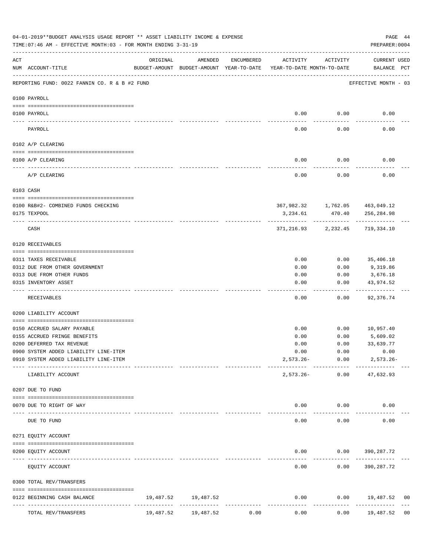|                                                                                                                                                                                                                                                                                                                                                                                              | 04-01-2019**BUDGET ANALYSIS USAGE REPORT ** ASSET LIABILITY INCOME & EXPENSE<br>TIME: 07:46 AM - EFFECTIVE MONTH: 03 - FOR MONTH ENDING 3-31-19 |           |                                                                                |            |                       |                                          | PAGE 44<br>PREPARER: 0004          |
|----------------------------------------------------------------------------------------------------------------------------------------------------------------------------------------------------------------------------------------------------------------------------------------------------------------------------------------------------------------------------------------------|-------------------------------------------------------------------------------------------------------------------------------------------------|-----------|--------------------------------------------------------------------------------|------------|-----------------------|------------------------------------------|------------------------------------|
| ACT                                                                                                                                                                                                                                                                                                                                                                                          | NUM ACCOUNT-TITLE                                                                                                                               | ORIGINAL  | AMENDED<br>BUDGET-AMOUNT BUDGET-AMOUNT YEAR-TO-DATE YEAR-TO-DATE MONTH-TO-DATE | ENCUMBERED | ACTIVITY              | ACTIVITY                                 | <b>CURRENT USED</b><br>BALANCE PCT |
|                                                                                                                                                                                                                                                                                                                                                                                              | --------------------------------------<br>REPORTING FUND: 0022 FANNIN CO. R & B #2 FUND                                                         |           |                                                                                |            |                       |                                          | EFFECTIVE MONTH - 03               |
|                                                                                                                                                                                                                                                                                                                                                                                              | 0100 PAYROLL                                                                                                                                    |           |                                                                                |            |                       |                                          |                                    |
|                                                                                                                                                                                                                                                                                                                                                                                              | 0100 PAYROLL                                                                                                                                    |           |                                                                                |            | 0.00                  | 0.00                                     | 0.00                               |
| $\frac{1}{2} \frac{1}{2} \frac{1}{2} \frac{1}{2} \frac{1}{2} \frac{1}{2} \frac{1}{2} \frac{1}{2} \frac{1}{2} \frac{1}{2} \frac{1}{2} \frac{1}{2} \frac{1}{2} \frac{1}{2} \frac{1}{2} \frac{1}{2} \frac{1}{2} \frac{1}{2} \frac{1}{2} \frac{1}{2} \frac{1}{2} \frac{1}{2} \frac{1}{2} \frac{1}{2} \frac{1}{2} \frac{1}{2} \frac{1}{2} \frac{1}{2} \frac{1}{2} \frac{1}{2} \frac{1}{2} \frac{$ | PAYROLL                                                                                                                                         |           |                                                                                |            | 0.00                  | 0.00                                     | 0.00                               |
|                                                                                                                                                                                                                                                                                                                                                                                              | 0102 A/P CLEARING                                                                                                                               |           |                                                                                |            |                       |                                          |                                    |
|                                                                                                                                                                                                                                                                                                                                                                                              | 0100 A/P CLEARING                                                                                                                               |           |                                                                                |            | 0.00                  | 0.00                                     | 0.00                               |
|                                                                                                                                                                                                                                                                                                                                                                                              | A/P CLEARING                                                                                                                                    |           |                                                                                |            | 0.00                  | 0.00                                     | 0.00                               |
|                                                                                                                                                                                                                                                                                                                                                                                              | 0103 CASH                                                                                                                                       |           |                                                                                |            |                       |                                          |                                    |
|                                                                                                                                                                                                                                                                                                                                                                                              |                                                                                                                                                 |           |                                                                                |            |                       |                                          |                                    |
|                                                                                                                                                                                                                                                                                                                                                                                              | 0100 R&B#2- COMBINED FUNDS CHECKING<br>0175 TEXPOOL                                                                                             |           |                                                                                |            | 3,234.61              | 367,982.32 1,762.05 463,049.12<br>470.40 | 256,284.98                         |
|                                                                                                                                                                                                                                                                                                                                                                                              | CASH                                                                                                                                            |           |                                                                                |            |                       | 371, 216.93 2, 232.45                    | 719,334.10                         |
|                                                                                                                                                                                                                                                                                                                                                                                              | 0120 RECEIVABLES                                                                                                                                |           |                                                                                |            |                       |                                          |                                    |
|                                                                                                                                                                                                                                                                                                                                                                                              | 0311 TAXES RECEIVABLE                                                                                                                           |           |                                                                                |            | 0.00                  | 0.00                                     | 35,406.18                          |
|                                                                                                                                                                                                                                                                                                                                                                                              | 0312 DUE FROM OTHER GOVERNMENT                                                                                                                  |           |                                                                                |            | 0.00                  | 0.00                                     | 9,319.86                           |
|                                                                                                                                                                                                                                                                                                                                                                                              | 0313 DUE FROM OTHER FUNDS                                                                                                                       |           |                                                                                |            | 0.00                  | 0.00                                     | 3,676.18                           |
|                                                                                                                                                                                                                                                                                                                                                                                              | 0315 INVENTORY ASSET                                                                                                                            |           |                                                                                |            | 0.00                  | 0.00<br>$- - - - - -$                    | 43,974.52<br>----------            |
|                                                                                                                                                                                                                                                                                                                                                                                              | RECEIVABLES                                                                                                                                     |           |                                                                                |            | 0.00                  | 0.00                                     | 92,376.74                          |
|                                                                                                                                                                                                                                                                                                                                                                                              | 0200 LIABILITY ACCOUNT                                                                                                                          |           |                                                                                |            |                       |                                          |                                    |
|                                                                                                                                                                                                                                                                                                                                                                                              | 0150 ACCRUED SALARY PAYABLE                                                                                                                     |           |                                                                                |            | 0.00                  |                                          | $0.00$ 10,957.40                   |
|                                                                                                                                                                                                                                                                                                                                                                                              | 0155 ACCRUED FRINGE BENEFITS                                                                                                                    |           |                                                                                |            | 0.00                  | 0.00                                     | 5,609.02                           |
|                                                                                                                                                                                                                                                                                                                                                                                              | 0200 DEFERRED TAX REVENUE                                                                                                                       |           |                                                                                |            | 0.00                  | 0.00                                     | 33,639.77                          |
|                                                                                                                                                                                                                                                                                                                                                                                              | 0900 SYSTEM ADDED LIABILITY LINE-ITEM                                                                                                           |           |                                                                                |            | 0.00                  | 0.00                                     | 0.00                               |
|                                                                                                                                                                                                                                                                                                                                                                                              | 0910 SYSTEM ADDED LIABILITY LINE-ITEM                                                                                                           |           |                                                                                |            |                       | $2,573.26 - 0.00$<br>------------        | $2,573.26-$<br>-----------         |
|                                                                                                                                                                                                                                                                                                                                                                                              | LIABILITY ACCOUNT                                                                                                                               |           |                                                                                |            |                       | 2,573.26- 0.00 47,632.93                 |                                    |
|                                                                                                                                                                                                                                                                                                                                                                                              | 0207 DUE TO FUND                                                                                                                                |           |                                                                                |            |                       |                                          |                                    |
|                                                                                                                                                                                                                                                                                                                                                                                              | 0070 DUE TO RIGHT OF WAY                                                                                                                        |           |                                                                                |            |                       | $0.00$ $0.00$                            | 0.00                               |
|                                                                                                                                                                                                                                                                                                                                                                                              | DUE TO FUND                                                                                                                                     |           | <b>Contractor Contractor</b>                                                   |            | 0.00                  | 0.00                                     | 0.00                               |
|                                                                                                                                                                                                                                                                                                                                                                                              | 0271 EQUITY ACCOUNT                                                                                                                             |           |                                                                                |            |                       |                                          |                                    |
|                                                                                                                                                                                                                                                                                                                                                                                              | 0200 EQUITY ACCOUNT                                                                                                                             |           |                                                                                |            | 0.00                  |                                          | $0.00$ 390, 287.72                 |
|                                                                                                                                                                                                                                                                                                                                                                                              | EQUITY ACCOUNT                                                                                                                                  |           |                                                                                |            | $- - - - - -$<br>0.00 |                                          | $0.00$ 390, 287.72                 |
|                                                                                                                                                                                                                                                                                                                                                                                              | 0300 TOTAL REV/TRANSFERS                                                                                                                        |           |                                                                                |            |                       |                                          |                                    |
|                                                                                                                                                                                                                                                                                                                                                                                              | 0122 BEGINNING CASH BALANCE                                                                                                                     |           | 19,487.52 19,487.52                                                            |            | 0.00                  |                                          | $0.00$ 19,487.52<br>0 <sub>0</sub> |
|                                                                                                                                                                                                                                                                                                                                                                                              | TOTAL REV/TRANSFERS                                                                                                                             | 19,487.52 | 19,487.52                                                                      | 0.00       | 0.00                  | 0.00                                     | 19,487.52<br>0 <sub>0</sub>        |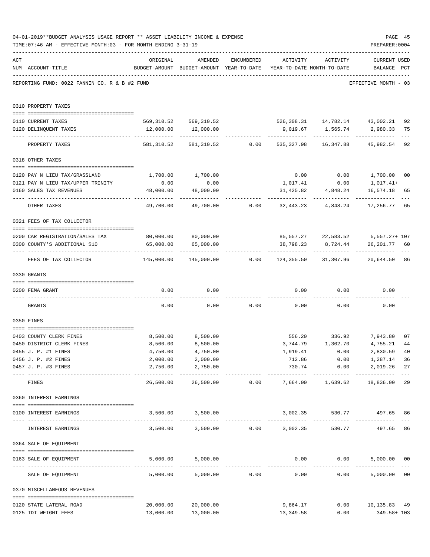|     | 04-01-2019**BUDGET ANALYSIS USAGE REPORT ** ASSET LIABILITY INCOME & EXPENSE<br>TIME: 07:46 AM - EFFECTIVE MONTH: 03 - FOR MONTH ENDING 3-31-19 |                                                |                                                                                |                                                 |                                    |                    | PAGE 45<br>PREPARER: 0004                                           |             |
|-----|-------------------------------------------------------------------------------------------------------------------------------------------------|------------------------------------------------|--------------------------------------------------------------------------------|-------------------------------------------------|------------------------------------|--------------------|---------------------------------------------------------------------|-------------|
| ACT | NUM ACCOUNT-TITLE                                                                                                                               | ORIGINAL                                       | AMENDED<br>BUDGET-AMOUNT BUDGET-AMOUNT YEAR-TO-DATE YEAR-TO-DATE MONTH-TO-DATE | ENCUMBERED                                      |                                    | ACTIVITY ACTIVITY  | <b>CURRENT USED</b><br>BALANCE PCT                                  |             |
|     | REPORTING FUND: 0022 FANNIN CO. R & B #2 FUND                                                                                                   |                                                |                                                                                |                                                 |                                    |                    | EFFECTIVE MONTH - 03                                                |             |
|     | 0310 PROPERTY TAXES                                                                                                                             |                                                |                                                                                |                                                 |                                    |                    |                                                                     |             |
|     | 0110 CURRENT TAXES                                                                                                                              |                                                |                                                                                |                                                 |                                    |                    | 569,310.52 569,310.52 526,308.31 14,782.14 43,002.21                | 92          |
|     | 0120 DELINQUENT TAXES                                                                                                                           |                                                | 12,000.00  12,000.00                                                           |                                                 |                                    |                    |                                                                     | 75          |
|     | PROPERTY TAXES                                                                                                                                  | 581,310.52                                     |                                                                                |                                                 |                                    |                    | 581,310.52 0.00 535,327.98 16,347.88 45,982.54                      | $---$<br>92 |
|     | 0318 OTHER TAXES                                                                                                                                |                                                |                                                                                |                                                 |                                    |                    |                                                                     |             |
|     |                                                                                                                                                 |                                                |                                                                                |                                                 |                                    |                    |                                                                     |             |
|     | 0120 PAY N LIEU TAX/GRASSLAND                                                                                                                   | 1,700.00                                       | 1,700.00                                                                       |                                                 |                                    |                    | $0.00$ $0.00$ $1,700.00$ $00$                                       |             |
|     | 0121 PAY N LIEU TAX/UPPER TRINITY                                                                                                               | 0.00                                           | 0.00                                                                           |                                                 | 1,017.41                           | 0.00               | 1,017.41+                                                           |             |
|     | 0160 SALES TAX REVENUES                                                                                                                         | 48,000.00<br>--------------------------------- | 48,000.00                                                                      |                                                 | 31,425.82                          | 4,848.24           | 16,574.18 65                                                        |             |
|     | OTHER TAXES                                                                                                                                     | 49,700.00                                      |                                                                                |                                                 |                                    |                    | 49,700.00        0.00       32,443.23       4,848.24      17,256.77 | 65          |
|     | 0321 FEES OF TAX COLLECTOR                                                                                                                      |                                                |                                                                                |                                                 |                                    |                    |                                                                     |             |
|     |                                                                                                                                                 | 80,000.00 80,000.00                            |                                                                                |                                                 |                                    |                    |                                                                     |             |
|     | 0200 CAR REGISTRATION/SALES TAX<br>0300 COUNTY'S ADDITIONAL \$10                                                                                | 65,000.00                                      | 65,000.00                                                                      |                                                 |                                    | 38,798.23 8,724.44 | 85,557.27 22,583.52 5,557.27+ 107<br>26,201.77 60                   |             |
|     | FEES OF TAX COLLECTOR                                                                                                                           |                                                | ----------------------------                                                   |                                                 |                                    |                    |                                                                     |             |
|     | 0330 GRANTS                                                                                                                                     |                                                |                                                                                |                                                 |                                    |                    |                                                                     |             |
|     |                                                                                                                                                 |                                                |                                                                                |                                                 |                                    |                    |                                                                     |             |
|     | 0200 FEMA GRANT                                                                                                                                 | 0.00                                           | 0.00                                                                           |                                                 |                                    | $0.00$ 0.00        | 0.00                                                                |             |
|     | GRANTS                                                                                                                                          | 0.00                                           |                                                                                |                                                 | $0.00$ $0.00$ $0.00$ $0.00$ $0.00$ |                    | 0.00                                                                |             |
|     | 0350 FINES                                                                                                                                      |                                                |                                                                                |                                                 |                                    |                    |                                                                     |             |
|     | 0403 COUNTY CLERK FINES                                                                                                                         |                                                | 8,500.00 8,500.00                                                              |                                                 |                                    |                    | 556.20 336.92 7,943.80                                              | 07          |
|     | 0450 DISTRICT CLERK FINES                                                                                                                       | 8,500.00                                       | 8,500.00                                                                       |                                                 |                                    | 3,744.79 1,302.70  | 4,755.21                                                            | 44          |
|     | 0455 J. P. #1 FINES                                                                                                                             | 4,750.00                                       | 4,750.00                                                                       |                                                 | 1,919.41                           | 0.00               | 2,830.59 40                                                         |             |
|     | 0456 J. P. #2 FINES                                                                                                                             | 2,000.00                                       | 2,000.00                                                                       |                                                 | 712.86                             | 0.00               | 1,287.14                                                            | 36          |
|     | 0457 J. P. #3 FINES                                                                                                                             | 2,750.00<br>----------------- -------------    | 2,750.00<br>------------                                                       |                                                 | 730.74<br>_____________            | ------------       | 0.00<br>2,019.26<br>_____________                                   | 27          |
|     | FINES                                                                                                                                           | 26,500.00                                      |                                                                                |                                                 |                                    |                    | 18,836.00                                                           | 29          |
|     | 0360 INTEREST EARNINGS                                                                                                                          |                                                |                                                                                |                                                 |                                    |                    |                                                                     |             |
|     | 0100 INTEREST EARNINGS                                                                                                                          |                                                | 3,500.00 3,500.00                                                              |                                                 |                                    |                    | 3,002.35 530.77 497.65                                              | 86          |
|     | INTEREST EARNINGS                                                                                                                               |                                                | 3,500.00 3,500.00 0.00 3,002.35                                                |                                                 |                                    |                    | -----------------------------<br>530.77 497.65                      | 86          |
|     | 0364 SALE OF EQUIPMENT                                                                                                                          |                                                |                                                                                |                                                 |                                    |                    |                                                                     |             |
|     | --------------------------------------<br>0163 SALE OF EQUIPMENT                                                                                |                                                | 5,000.00 5,000.00                                                              |                                                 |                                    | $0.00$ $0.00$      | 5,000.00 00                                                         |             |
|     | SALE OF EQUIPMENT                                                                                                                               | 5,000.00                                       |                                                                                | ------------------------------<br>5,000.00 0.00 | 0.00                               |                    | 5,000.00 00<br>0.00                                                 |             |
|     | 0370 MISCELLANEOUS REVENUES                                                                                                                     |                                                |                                                                                |                                                 |                                    |                    |                                                                     |             |
|     |                                                                                                                                                 |                                                |                                                                                |                                                 |                                    |                    |                                                                     |             |
|     | 0120 STATE LATERAL ROAD<br>0125 TDT WEIGHT FEES                                                                                                 | 20,000.00<br>13,000.00                         | 20,000.00<br>13,000.00                                                         |                                                 | 9,864.17<br>13,349.58              | 0.00               | $0.00$ 10,135.83 49<br>349.58+ 103                                  |             |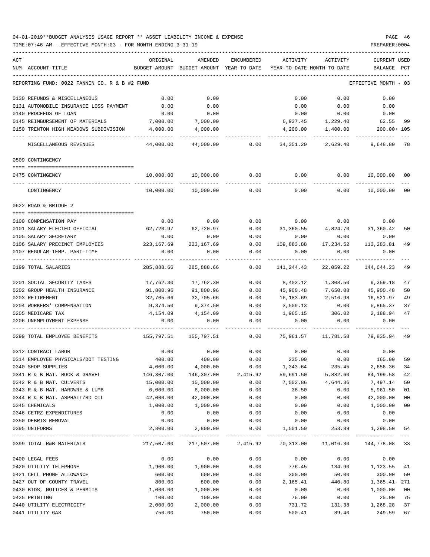| ACT |                                               | ORIGINAL              | AMENDED                                  | ENCUMBERED | ACTIVITY                                                         | ACTIVITY           | <b>CURRENT USED</b>  |        |
|-----|-----------------------------------------------|-----------------------|------------------------------------------|------------|------------------------------------------------------------------|--------------------|----------------------|--------|
|     | NUM ACCOUNT-TITLE                             |                       | BUDGET-AMOUNT BUDGET-AMOUNT YEAR-TO-DATE |            | YEAR-TO-DATE MONTH-TO-DATE                                       |                    | BALANCE              | PCT    |
|     | REPORTING FUND: 0022 FANNIN CO. R & B #2 FUND |                       |                                          |            |                                                                  |                    | EFFECTIVE MONTH - 03 |        |
|     | 0130 REFUNDS & MISCELLANEOUS                  | 0.00                  | 0.00                                     |            | 0.00                                                             | 0.00               | 0.00                 |        |
|     | 0131 AUTOMOBILE INSURANCE LOSS PAYMENT        | 0.00                  | 0.00                                     |            | 0.00                                                             | 0.00               | 0.00                 |        |
|     | 0140 PROCEEDS OF LOAN                         | 0.00                  | 0.00                                     |            | 0.00                                                             | 0.00               | 0.00                 |        |
|     | 0145 REIMBURSEMENT OF MATERIALS               | 7,000.00              | 7,000.00                                 |            | 6,937.45                                                         | 1,229.40           | 62.55                | 99     |
|     | 0150 TRENTON HIGH MEADOWS SUBDIVISION         | 4,000.00              | 4,000.00                                 |            | 4,200.00                                                         | 1,400.00           | 200.00+ 105          |        |
|     | MISCELLANEOUS REVENUES                        | 44,000.00             | 44,000.00                                | 0.00       | 34,351.20                                                        | 2,629.40           | 9,648.80             | 78     |
|     | 0509 CONTINGENCY                              |                       |                                          |            |                                                                  |                    |                      |        |
|     |                                               |                       |                                          |            |                                                                  |                    |                      |        |
|     | 0475 CONTINGENCY                              | 10,000.00             | 10,000.00                                | 0.00       | 0.00                                                             | 0.00               | 10,000.00            | 00     |
|     | CONTINGENCY                                   | 10,000.00             | 10,000.00                                | 0.00       | 0.00                                                             | 0.00               | 10,000.00            | 00     |
|     | 0622 ROAD & BRIDGE 2                          |                       |                                          |            |                                                                  |                    |                      |        |
|     | 0100 COMPENSATION PAY                         | 0.00                  | 0.00                                     | 0.00       | 0.00                                                             | 0.00               | 0.00                 |        |
|     | 0101 SALARY ELECTED OFFICIAL                  | 62,720.97             | 62,720.97                                | 0.00       | 31,360.55                                                        | 4,824.70 31,360.42 |                      | 50     |
|     | 0105 SALARY SECRETARY                         | 0.00                  | 0.00                                     | 0.00       | 0.00                                                             | 0.00               | 0.00                 |        |
|     | 0106 SALARY PRECINCT EMPLOYEES                | 223,167.69 223,167.69 |                                          | 0.00       | 109,883.88                                                       | 17,234.52          | 113,283.81           | 49     |
|     | 0107 REGULAR-TEMP. PART-TIME                  | 0.00                  | 0.00                                     | 0.00       | 0.00                                                             | 0.00               | 0.00                 |        |
|     | 0199 TOTAL SALARIES                           | 285,888.66            | 285,888.66                               | 0.00       | 141,244.43                                                       | 22,059.22          | 144,644.23           | 49     |
|     | 0201 SOCIAL SECURITY TAXES                    | 17,762.30             | 17,762.30                                | 0.00       | 8,403.12                                                         | 1,308.50           | 9,359.18             | 47     |
|     | 0202 GROUP HEALTH INSURANCE                   | 91,800.96             | 91,800.96                                | 0.00       | 45,900.48                                                        | 7,650.08           | 45,900.48            | 50     |
|     | 0203 RETIREMENT                               | 32,705.66             | 32,705.66                                | 0.00       | 16,183.69                                                        | 2,516.98           | 16,521.97            | 49     |
|     | 0204 WORKERS' COMPENSATION                    | 9,374.50              | 9,374.50                                 | 0.00       | 3,509.13                                                         | 0.00               | 5,865.37             | 37     |
|     | 0205 MEDICARE TAX                             | 4,154.09              | 4,154.09                                 | 0.00       | 1,965.15                                                         | 306.02             | 2,188.94             | 47     |
|     | 0206 UNEMPLOYMENT EXPENSE                     | 0.00                  | 0.00                                     | 0.00       | 0.00                                                             | 0.00               | 0.00                 |        |
|     | 0299 TOTAL EMPLOYEE BENEFITS                  |                       | 155,797.51 155,797.51                    | 0.00       | 75,961.57                                                        | 11,781.58          | 79,835.94            | - 49   |
|     | 0312 CONTRACT LABOR                           | 0.00                  | 0.00                                     | 0.00       | 0.00                                                             | 0.00               | 0.00                 |        |
|     | 0314 EMPLOYEE PHYSICALS/DOT TESTING           | 400.00                | 400.00                                   | 0.00       | 235.00                                                           | 0.00               | 165.00               | 59     |
|     | 0340 SHOP SUPPLIES                            | 4,000.00              | 4,000.00                                 | 0.00       | 1,343.64                                                         | 235.45             | 2,656.36             | 34     |
|     | 0341 R & B MAT. ROCK & GRAVEL                 | 146,307.00            | 146,307.00                               | 2,415.92   | 59,691.50                                                        | 5,882.60           | 84,199.58            | 42     |
|     | 0342 R & B MAT. CULVERTS                      | 15,000.00             | 15,000.00                                | 0.00       | 7,502.86                                                         | 4,644.36           | 7,497.14             | 50     |
|     | 0343 R & B MAT. HARDWRE & LUMB                | 6,000.00              | 6,000.00                                 | 0.00       | 38.50                                                            | 0.00               | 5,961.50             | 01     |
|     | 0344 R & B MAT. ASPHALT/RD OIL                | 42,000.00             | 42,000.00                                | 0.00       | 0.00                                                             | 0.00               | 42,000.00            | 00     |
|     | 0345 CHEMICALS                                | 1,000.00              | 1,000.00                                 | 0.00       | 0.00                                                             | 0.00               | 1,000.00             | $00\,$ |
|     | 0346 CETRZ EXPENDITURES                       | 0.00                  | 0.00                                     | 0.00       | 0.00                                                             | 0.00               | 0.00                 |        |
|     | 0350 DEBRIS REMOVAL                           | 0.00                  | 0.00                                     | 0.00       | 0.00                                                             | 0.00               | 0.00                 |        |
|     | 0395 UNIFORMS                                 | 2,800.00              | 2,800.00                                 | 0.00       | 1,501.50                                                         | 253.89             | 1,298.50             | - 54   |
|     | 0399 TOTAL R&B MATERIALS                      |                       |                                          |            | 217,507.00 217,507.00 2,415.92 70,313.00 11,016.30 144,778.08 33 |                    |                      |        |
|     | 0400 LEGAL FEES                               | 0.00                  | 0.00                                     | 0.00       | 0.00                                                             | 0.00               | 0.00                 |        |
|     | 0420 UTILITY TELEPHONE                        | 1,900.00              | 1,900.00                                 | 0.00       | 776.45                                                           | 134.90             | 1,123.55             | 41     |
|     | 0421 CELL PHONE ALLOWANCE                     | 600.00                | 600.00                                   | 0.00       | 300.00                                                           | 50.00              | 300.00               | 50     |
|     | 0427 OUT OF COUNTY TRAVEL                     | 800.00                | 800.00                                   | 0.00       | 2,165.41                                                         | 440.80             | $1,365.41 - 271$     |        |
|     | 0430 BIDS, NOTICES & PERMITS                  | 1,000.00              | 1,000.00                                 | 0.00       | 0.00                                                             | 0.00               | 1,000.00             | 00     |
|     | 0435 PRINTING                                 | 100.00                | 100.00                                   | 0.00       | 75.00                                                            | 0.00               | 25.00                | 75     |
|     | 0440 UTILITY ELECTRICITY                      | 2,000.00              | 2,000.00                                 | 0.00       | 731.72                                                           | 131.38             | 1,268.28             | 37     |
|     | 0441 UTILITY GAS                              | 750.00                | 750.00                                   | 0.00       | 500.41                                                           | 89.40              | 249.59               | 67     |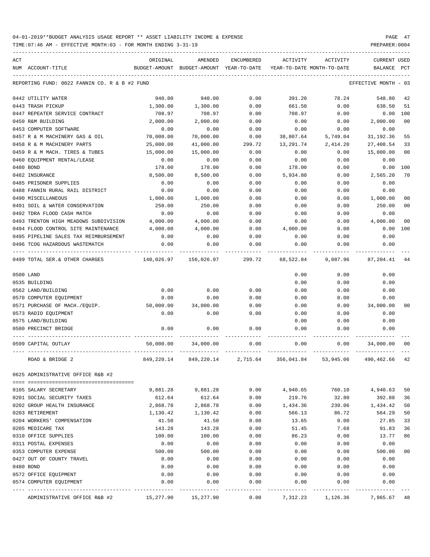TIME:07:46 AM - EFFECTIVE MONTH:03 - FOR MONTH ENDING 3-31-19 PREPARER:0004

----------------------------------------------------------------------------------------------------------------------------------- ACT ORIGINAL AMENDED ENCUMBERED ACTIVITY ACTIVITY CURRENT USED NUM ACCOUNT-TITLE BUDGET-AMOUNT BUDGET-AMOUNT YEAR-TO-DATE YEAR-TO-DATE MONTH-TO-DATE BALANCE PCT ----------------------------------------------------------------------------------------------------------------------------------- REPORTING FUND: 0022 FANNIN CO. R & B #2 FUND EFFECTIVE MONTH - 03 0442 UTILITY WATER 940.00 940.00 0.00 391.20 78.24 548.80 42 0443 TRASH PICKUP 1,300.00 1,300.00 0.00 661.50 0.00 638.50 51 0447 REPEATER SERVICE CONTRACT 708.97 708.97 0.00 708.97 0.00 0.00 100 0450 R&M BUILDING 2,000.00 2,000.00 0.00 0.00 0.00 2,000.00 00 0453 COMPUTER SOFTWARE  $\begin{array}{cccccccc} 0.00 & 0.00 & 0.00 & 0.00 & 0.00 & 0.00 & 0.00 & 0.00 & 0.00 & 0.00 & 0.00 & 0.00 & 0.00 & 0.00 & 0.00 & 0.00 & 0.00 & 0.00 & 0.00 & 0.00 & 0.00 & 0.00 & 0.00 & 0.00 & 0.00 & 0.00 & 0.00 & 0.00 & 0.00 & 0.00 & 0.00 & 0.0$ 0457 R & M MACHINERY GAS & OIL 70,000.00 70,000.00 0.00 38,807.64 5,749.04 31,192.36 55 0458 R & M MACHINERY PARTS 25,000.00 41,000.00 299.72 13,291.74 2,414.20 27,408.54 33 0459 R & M MACH. TIRES & TUBES  $15,000.00$   $15,000.00$   $0.00$  0.00 0.00 0.00 00 0460 EQUIPMENT RENTAL/LEASE 0.00 0.00 0.00 0.00 0.00 0.00 0480 BOND 178.00 178.00 0.00 178.00 0.00 0.00 100 0482 INSURANCE 8,500.00 8,500.00 0.00 5,934.80 0.00 2,565.20 70 0485 PRISONER SUPPLIES 0.00 0.00 0.00 0.00 0.00 0.00 0488 FANNIN RURAL RAIL DISTRICT 0.00 0.00 0.00 0.00 0.00 0.00 0490 MISCELLANEOUS 1,000.00 1,000.00 0.00 0.00 0.00 1,000.00 00 0491 SOIL & WATER CONSERVATION  $250.00$   $250.00$   $250.00$  0.00 0.00 0.00  $250.00$  00 0492 TDRA FLOOD CASH MATCH 0.00 0.00 0.00 0.00 0.00 0.00 0493 TRENTON HIGH MEADOWS SUBDIVISION 4,000.00 4,000.00 0.00 0.00 0.00 4,000.00 00 0494 FLOOD CONTROL SITE MAINTENANCE 4,000.00 4,000.00 0.00 4,000.00 0.00 0.00 100 0495 PIPELINE SALES TAX REIMBURSEMENT  $0.00$  0.00 0.00 0.00 0.00 0.00 0.00 0.00 0496 TCOG HAZARDOUS WASTEMATCH 0.00 0.00 0.00 0.00 0.00 0.00 ---- ---------------------------------- ------------- ------------- ------------ ------------- ------------ ------------- --- 0499 TOTAL SER.& OTHER CHARGES 140,026.97 156,026.97 299.72 68,522.84 9,087.96 87,204.41 44 0500 LAND 0.00 0.00 0.00 0535 BUILDING 0.00 0.00 0.00 0562 LAND/BUILDING 0.00 0.00 0.00 0.00 0.00 0.00 0570 COMPUTER EQUIPMENT 0.00 0.00 0.00 0.00 0.00 0.00 0571 PURCHASE OF MACH./EQUIP. 50,000.00 34,000.00 0.00 0.00 0.00 34,000.00 00 0573 RADIO EQUIPMENT 0.00 0.00 0.00 0.00 0.00 0.00 0575 LAND/BUILDING 0.00 0.00 0.00 0580 PRECINCT BRIDGE 0.00 0.00 0.00 0.00 0.00 0.00 ---- ---------------------------------- ------------- ------------- ------------ ------------- ------------ ------------- --- 0599 CAPITAL OUTLAY 50,000.00 34,000.00 0.00 0.00 0.00 34,000.00 00 ---- ---------------------------------- ------------- ------------- ------------ ------------- ------------ ------------- --- ROAD & BRIDGE 2 849,220.14 849,220.14 2,715.64 356,041.84 53,945.06 490,462.66 42 0625 ADMINISTRATIVE OFFICE R&B #2 ==== =================================== 0105 SALARY SECRETARY 9,881.28 9,881.28 0.00 4,940.65 760.10 4,940.63 50 0201 SOCIAL SECURITY TAXES 612.64 612.64 0.00 219.76 32.80 392.88 36 0202 GROUP HEALTH INSURANCE 2,868.78 2,868.78 0.00 1,434.36 239.06 1,434.42 50 0203 RETIREMENT 1,130.42 1,130.42 0.00 566.13 86.72 564.29 50 0204 WORKERS' COMPENSATION 41.50 41.50 0.00 13.65 0.00 27.85 33 0205 MEDICARE TAX 6 143.28 143.28 143.28 0.00 51.45 7.68 91.83 36 0310 OFFICE SUPPLIES 100.00 100.00 0.00 86.23 0.00 13.77 86 0311 POSTAL EXPENSES 0.00 0.00 0.00 0.00 0.00 0.00 0353 COMPUTER EXPENSE 500.00 500.00 0.00 0.00 0.00 500.00 00 0427 OUT OF COUNTY TRAVEL  $\begin{array}{cccc} 0.00 & 0.00 & 0.00 & 0.00 & 0.00 & 0.00 & 0.00 \end{array}$ 0480 BOND 0.00 0.00 0.00 0.00 0.00 0.00 0572 OFFICE EQUIPMENT 0.00 0.00 0.00 0.00 0.00 0.00 0574 COMPUTER EQUIPMENT 0.00 0.00 0.00 0.00 0.00 0.00 ---- ---------------------------------- ------------- ------------- ------------ ------------- ------------ ------------- ---

ADMINISTRATIVE OFFICE R&B #2 15,277.90 15,277.90 0.00 7,312.23 1,126.36 7,965.67 48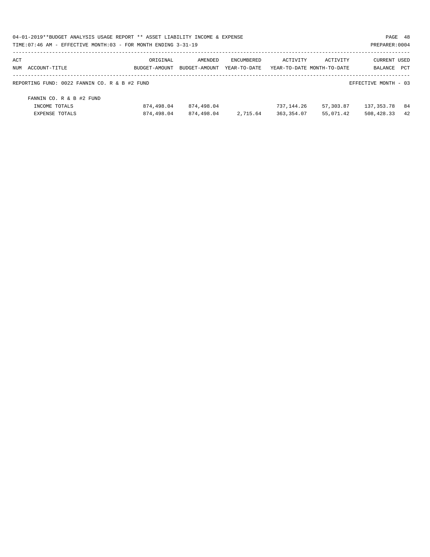| 04-01-2019**BUDGET ANALYSIS USAGE REPORT ** ASSET LIABILITY INCOME & EXPENSE |               |               |                   |                            |           | PAGE 48              |     |
|------------------------------------------------------------------------------|---------------|---------------|-------------------|----------------------------|-----------|----------------------|-----|
| TIME: 07:46 AM - EFFECTIVE MONTH: 03 - FOR MONTH ENDING 3-31-19              |               |               |                   |                            |           | PREPARER: 0004       |     |
| ACT                                                                          | ORIGINAL      | AMENDED       | <b>ENCUMBERED</b> | ACTIVITY                   | ACTIVITY  | <b>CURRENT USED</b>  |     |
| NUM ACCOUNT-TITLE                                                            | BUDGET-AMOUNT | BUDGET-AMOUNT | YEAR-TO-DATE      | YEAR-TO-DATE MONTH-TO-DATE |           | BALANCE              | PCT |
| REPORTING FUND: 0022 FANNIN CO. R & B #2 FUND                                |               |               |                   |                            |           | EFFECTIVE MONTH - 03 |     |
| FANNIN CO. R & B #2 FUND                                                     |               |               |                   |                            |           |                      |     |
| INCOME TOTALS                                                                | 874,498.04    | 874,498.04    |                   | 737,144.26                 | 57,303.87 | 137,353.78           | 84  |
| EXPENSE TOTALS                                                               | 874,498.04    | 874,498.04    | 2,715.64          | 363,354.07                 | 55,071.42 | 508,428.33           | 42  |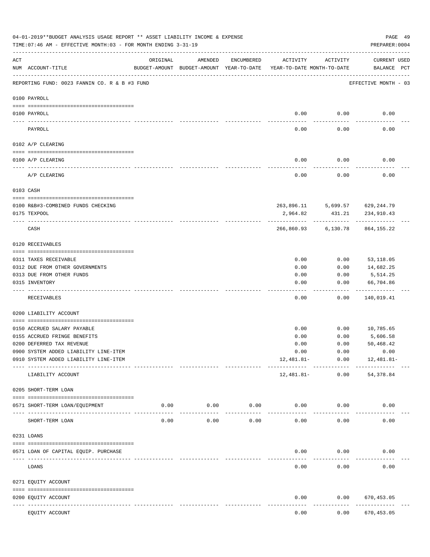|                     | 04-01-2019**BUDGET ANALYSIS USAGE REPORT ** ASSET LIABILITY INCOME & EXPENSE<br>TIME: 07:46 AM - EFFECTIVE MONTH: 03 - FOR MONTH ENDING 3-31-19 |                                                      |                     |               |                                        |                      | PREPARER: 0004                 | PAGE 49 |
|---------------------|-------------------------------------------------------------------------------------------------------------------------------------------------|------------------------------------------------------|---------------------|---------------|----------------------------------------|----------------------|--------------------------------|---------|
| ACT                 | NUM ACCOUNT-TITLE                                                                                                                               | ORIGINAL<br>BUDGET-AMOUNT BUDGET-AMOUNT YEAR-TO-DATE | AMENDED             | ENCUMBERED    | ACTIVITY<br>YEAR-TO-DATE MONTH-TO-DATE | ACTIVITY             | CURRENT USED<br>BALANCE PCT    |         |
|                     | REPORTING FUND: 0023 FANNIN CO. R & B #3 FUND                                                                                                   |                                                      |                     |               |                                        |                      | EFFECTIVE MONTH - 03           |         |
|                     | 0100 PAYROLL                                                                                                                                    |                                                      |                     |               |                                        |                      |                                |         |
| $- - - - - - - - -$ | 0100 PAYROLL                                                                                                                                    |                                                      |                     |               |                                        | $0.00$ 0.00          | 0.00                           |         |
|                     | PAYROLL                                                                                                                                         |                                                      |                     |               | 0.00                                   | 0.00                 | 0.00                           |         |
|                     | 0102 A/P CLEARING                                                                                                                               |                                                      |                     |               |                                        |                      |                                |         |
|                     | 0100 A/P CLEARING                                                                                                                               |                                                      |                     |               | 0.00                                   | 0.00                 | 0.00                           |         |
|                     | A/P CLEARING                                                                                                                                    |                                                      |                     |               | 0.00                                   | 0.00                 | 0.00                           |         |
|                     | 0103 CASH                                                                                                                                       |                                                      |                     |               |                                        |                      |                                |         |
|                     |                                                                                                                                                 |                                                      |                     |               |                                        |                      |                                |         |
|                     | 0100 R&B#3-COMBINED FUNDS CHECKING                                                                                                              |                                                      |                     |               |                                        |                      | 263,896.11 5,699.57 629,244.79 |         |
|                     | 0175 TEXPOOL                                                                                                                                    |                                                      |                     |               | 2,964.82                               | 431.21               | 234,910.43                     |         |
|                     | CASH                                                                                                                                            |                                                      |                     |               |                                        | 266,860.93 6,130.78  | 864,155.22                     |         |
|                     | 0120 RECEIVABLES                                                                                                                                |                                                      |                     |               |                                        |                      |                                |         |
|                     | 0311 TAXES RECEIVABLE                                                                                                                           |                                                      |                     |               | 0.00                                   | 0.00                 | 53,118.05                      |         |
|                     | 0312 DUE FROM OTHER GOVERNMENTS                                                                                                                 |                                                      |                     |               | 0.00                                   | 0.00                 | 14,682.25                      |         |
|                     | 0313 DUE FROM OTHER FUNDS                                                                                                                       |                                                      |                     |               | 0.00                                   | 0.00                 | 5,514.25                       |         |
|                     | 0315 INVENTORY                                                                                                                                  |                                                      |                     |               | 0.00                                   | 0.00                 | 66,704.86                      |         |
|                     |                                                                                                                                                 |                                                      |                     |               |                                        |                      | ----------                     |         |
|                     | RECEIVABLES                                                                                                                                     |                                                      |                     |               | 0.00                                   | 0.00                 | 140,019.41                     |         |
|                     | 0200 LIABILITY ACCOUNT                                                                                                                          |                                                      |                     |               |                                        |                      |                                |         |
|                     | 0150 ACCRUED SALARY PAYABLE                                                                                                                     |                                                      |                     |               | 0.00                                   |                      | $0.00$ 10,785.65               |         |
|                     | 0155 ACCRUED FRINGE BENEFITS                                                                                                                    |                                                      |                     |               | 0.00                                   | 0.00                 | 5,606.58                       |         |
|                     | 0200 DEFERRED TAX REVENUE                                                                                                                       |                                                      |                     |               | 0.00                                   | 0.00                 | 50,468.42                      |         |
|                     | 0900 SYSTEM ADDED LIABILITY LINE-ITEM                                                                                                           |                                                      |                     |               | 0.00                                   | 0.00                 | 0.00                           |         |
|                     | 0910 SYSTEM ADDED LIABILITY LINE-ITEM                                                                                                           |                                                      |                     |               | 12,481.81-                             | 0.00                 | 12,481.81-                     |         |
|                     | LIABILITY ACCOUNT                                                                                                                               |                                                      |                     |               | 12,481.81-                             | ------------<br>0.00 | 54, 378.84                     |         |
|                     | 0205 SHORT-TERM LOAN                                                                                                                            |                                                      |                     |               |                                        |                      |                                |         |
|                     | 0571 SHORT-TERM LOAN/EQUIPMENT                                                                                                                  | 0.00                                                 | 0.00                | 0.00          | 0.00                                   | 0.00                 | 0.00                           |         |
|                     | SHORT-TERM LOAN                                                                                                                                 | 0.00                                                 | $- - - - -$<br>0.00 | -----<br>0.00 | 0.00                                   | 0.00                 | 0.00                           |         |
|                     | 0231 LOANS                                                                                                                                      |                                                      |                     |               |                                        |                      |                                |         |
|                     |                                                                                                                                                 |                                                      |                     |               |                                        |                      |                                |         |
|                     | 0571 LOAN OF CAPITAL EQUIP. PURCHASE                                                                                                            |                                                      |                     |               | 0.00                                   | 0.00                 | 0.00                           |         |
|                     | LOANS                                                                                                                                           |                                                      |                     |               | 0.00                                   | 0.00                 | 0.00                           |         |
|                     | 0271 EQUITY ACCOUNT                                                                                                                             |                                                      |                     |               |                                        |                      |                                |         |
|                     | 0200 EQUITY ACCOUNT<br>---- -----------                                                                                                         |                                                      |                     |               | 0.00                                   | 0.00                 | 670,453.05<br>.                |         |
|                     | EQUITY ACCOUNT                                                                                                                                  |                                                      |                     |               | 0.00                                   | 0.00                 | 670, 453.05                    |         |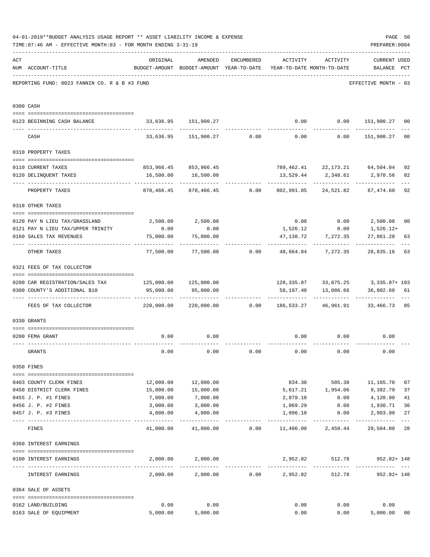|     | 04-01-2019**BUDGET ANALYSIS USAGE REPORT ** ASSET LIABILITY INCOME & EXPENSE<br>TIME: 07:46 AM - EFFECTIVE MONTH: 03 - FOR MONTH ENDING 3-31-19 |                                                                        |                                                                                |                                            |                                   |                        | PAGE 50<br>PREPARER: 0004                                                         |                |
|-----|-------------------------------------------------------------------------------------------------------------------------------------------------|------------------------------------------------------------------------|--------------------------------------------------------------------------------|--------------------------------------------|-----------------------------------|------------------------|-----------------------------------------------------------------------------------|----------------|
| ACT | NUM ACCOUNT-TITLE                                                                                                                               | ORIGINAL                                                               | AMENDED<br>BUDGET-AMOUNT BUDGET-AMOUNT YEAR-TO-DATE YEAR-TO-DATE MONTH-TO-DATE | ENCUMBERED                                 | ACTIVITY ACTIVITY                 |                        | <b>CURRENT USED</b><br>BALANCE PCT                                                |                |
|     | REPORTING FUND: 0023 FANNIN CO. R & B #3 FUND                                                                                                   |                                                                        |                                                                                |                                            |                                   |                        | EFFECTIVE MONTH - 03                                                              |                |
|     | 0300 CASH                                                                                                                                       |                                                                        |                                                                                |                                            |                                   |                        |                                                                                   |                |
|     | 0123 BEGINNING CASH BALANCE                                                                                                                     |                                                                        | 33,636.95 151,900.27                                                           |                                            |                                   |                        | $0.00$ $0.00$ $151,900.27$ 00                                                     |                |
|     | CASH                                                                                                                                            |                                                                        |                                                                                |                                            |                                   |                        | $33,636.95$ $151,900.27$ 0.00 0.00 0.00 0.00 151,900.27                           | 0 <sub>0</sub> |
|     | 0310 PROPERTY TAXES                                                                                                                             |                                                                        |                                                                                |                                            |                                   |                        |                                                                                   |                |
|     |                                                                                                                                                 |                                                                        |                                                                                |                                            |                                   |                        |                                                                                   |                |
|     | 0110 CURRENT TAXES                                                                                                                              |                                                                        | 853,966.45 853,966.45                                                          |                                            |                                   |                        | 789,462.41 22,173.21 64,504.04                                                    | 92             |
|     | 0120 DELINQUENT TAXES<br>--------------------- --------------                                                                                   |                                                                        | 16,500.00    16,500.00                                                         |                                            |                                   |                        | 13,529.44 2,348.61 2,970.56<br>-------------                                      | 82             |
|     | PROPERTY TAXES                                                                                                                                  | 870,466.45                                                             |                                                                                | 870,466.45   0.00   802,991.85   24,521.82 |                                   |                        | 67,474.60                                                                         | 92             |
|     | 0318 OTHER TAXES                                                                                                                                |                                                                        |                                                                                |                                            |                                   |                        |                                                                                   |                |
|     | 0120 PAY N LIEU TAX/GRASSLAND                                                                                                                   | 2,500.00                                                               | 2,500.00                                                                       |                                            |                                   |                        | $0.00$ $0.00$ $2,500.00$                                                          | 0 <sub>0</sub> |
|     | 0121 PAY N LIEU TAX/UPPER TRINITY                                                                                                               | 0.00                                                                   | 0.00                                                                           |                                            |                                   |                        | $1,526.12$ 0.00 1,526.12+                                                         |                |
|     | 0160 SALES TAX REVENUES                                                                                                                         | 75,000.00                                                              | 75,000.00                                                                      |                                            |                                   | 47,138.72 7,272.35     | 27,861.28                                                                         | 63             |
|     | OTHER TAXES                                                                                                                                     |                                                                        |                                                                                |                                            |                                   |                        | ------------<br>$77,500.00$ $77,500.00$ $0.00$ $48,664.84$ $7,272.35$ $28,835.16$ | 63             |
|     | 0321 FEES OF TAX COLLECTOR                                                                                                                      |                                                                        |                                                                                |                                            |                                   |                        |                                                                                   |                |
|     | 0200 CAR REGISTRATION/SALES TAX                                                                                                                 | 125,000.00  125,000.00                                                 |                                                                                |                                            |                                   |                        | 128, 335.87 33, 875.25 3, 335.87+ 103                                             |                |
|     | 0300 COUNTY'S ADDITIONAL \$10                                                                                                                   | 95,000.00                                                              | 95,000.00                                                                      |                                            |                                   | 58,197.40 13,086.66    | 36,802.60 61                                                                      |                |
|     | FEES OF TAX COLLECTOR                                                                                                                           | 220,000.00   220,000.00      0.00   186,533.27   46,961.91   33,466.73 |                                                                                |                                            |                                   |                        |                                                                                   | 85             |
|     | 0330 GRANTS                                                                                                                                     |                                                                        |                                                                                |                                            |                                   |                        |                                                                                   |                |
|     |                                                                                                                                                 |                                                                        |                                                                                |                                            |                                   |                        |                                                                                   |                |
|     | 0200 FEMA GRANT                                                                                                                                 | 0.00                                                                   | 0.00                                                                           |                                            |                                   | $0.00$ 0.00            | 0.00                                                                              |                |
|     | GRANTS                                                                                                                                          | 0.00                                                                   | 0.00                                                                           | 0.00                                       | 0.00                              | 0.00                   | 0.00                                                                              |                |
|     | 0350 FINES                                                                                                                                      |                                                                        |                                                                                |                                            |                                   |                        |                                                                                   |                |
|     | 0403 COUNTY CLERK FINES                                                                                                                         | 12,000.00                                                              | 12,000.00                                                                      |                                            |                                   |                        | 834.30 505.38 11,165.70                                                           | 07             |
|     | 0450 DISTRICT CLERK FINES                                                                                                                       | 15,000.00                                                              | 15,000.00                                                                      |                                            | 5,617.21                          | 1,954.06               | 9,382.79                                                                          | 37             |
|     | 0455 J. P. #1 FINES                                                                                                                             | 7,000.00                                                               | 7,000.00                                                                       |                                            | 2,879.10                          | 0.00                   | 4,120.90                                                                          | 41             |
|     | 0456 J. P. #2 FINES                                                                                                                             | 3,000.00                                                               | 3,000.00                                                                       |                                            | 1,069.29                          | 0.00                   | 1,930.71                                                                          | 36             |
|     | 0457 J. P. #3 FINES                                                                                                                             | 4,000.00                                                               | 4,000.00                                                                       |                                            | 1,096.10                          | 0.00                   | 2,903.90                                                                          | 27             |
|     | FINES                                                                                                                                           |                                                                        | $41,000.00$ $41,000.00$ $0.00$ $11,496.00$ $2,459.44$                          |                                            |                                   |                        | 29,504.00                                                                         | $---$<br>28    |
|     | 0360 INTEREST EARNINGS                                                                                                                          |                                                                        |                                                                                |                                            |                                   |                        |                                                                                   |                |
|     | 0100 INTEREST EARNINGS                                                                                                                          | 2,000.00                                                               | 2,000.00                                                                       |                                            | 2,952.02                          | 512.78                 | 952.02+ 148                                                                       |                |
|     | INTEREST EARNINGS                                                                                                                               | 2,000.00                                                               | 2,000.00                                                                       |                                            | --------------<br>$0.00$ 2,952.02 | ------------<br>512.78 | .<br>952.02+ 148                                                                  |                |
|     | 0364 SALE OF ASSETS                                                                                                                             |                                                                        |                                                                                |                                            |                                   |                        |                                                                                   |                |
|     | 0162 LAND/BUILDING                                                                                                                              | 0.00                                                                   | 0.00                                                                           |                                            | 0.00                              | 0.00                   | 0.00                                                                              |                |
|     | 0163 SALE OF EQUIPMENT                                                                                                                          | 5,000.00                                                               | 5,000.00                                                                       |                                            | 0.00                              |                        | 5,000.00<br>0.00                                                                  | 0 <sub>0</sub> |
|     |                                                                                                                                                 |                                                                        |                                                                                |                                            |                                   |                        |                                                                                   |                |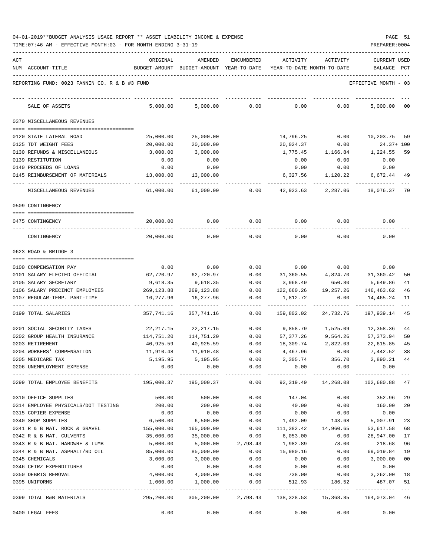| ACT |                                               | ORIGINAL                       | AMENDED                                  | ENCUMBERED                     | ACTIVITY   | ACTIVITY                   | CURRENT USED         |     |
|-----|-----------------------------------------------|--------------------------------|------------------------------------------|--------------------------------|------------|----------------------------|----------------------|-----|
|     | NUM ACCOUNT-TITLE                             |                                | BUDGET-AMOUNT BUDGET-AMOUNT YEAR-TO-DATE |                                |            | YEAR-TO-DATE MONTH-TO-DATE | BALANCE              | PCT |
|     |                                               |                                |                                          |                                |            |                            |                      |     |
|     | REPORTING FUND: 0023 FANNIN CO. R & B #3 FUND |                                |                                          |                                |            |                            | EFFECTIVE MONTH - 03 |     |
|     |                                               |                                |                                          |                                |            |                            |                      |     |
|     | SALE OF ASSETS                                | 5,000.00                       | 5,000.00                                 | 0.00                           | 0.00       | 0.00                       | 5,000.00             | 00  |
|     | 0370 MISCELLANEOUS REVENUES                   |                                |                                          |                                |            |                            |                      |     |
|     |                                               |                                |                                          |                                |            |                            |                      |     |
|     | 0120 STATE LATERAL ROAD                       | 25,000.00                      | 25,000.00                                |                                | 14,796.25  | 0.00                       | 10,203.75            | 59  |
|     | 0125 TDT WEIGHT FEES                          | 20,000.00                      | 20,000.00                                |                                | 20,024.37  | 0.00                       | $24.37 + 100$        |     |
|     | 0130 REFUNDS & MISCELLANEOUS                  | 3,000.00                       | 3,000.00                                 |                                | 1,775.45   | 1,166.84                   | 1,224.55             | 59  |
|     | 0139 RESTITUTION                              | 0.00                           | 0.00                                     |                                | 0.00       | 0.00                       | 0.00                 |     |
|     | 0140 PROCEEDS OF LOANS                        | 0.00                           | 0.00                                     |                                | 0.00       | 0.00                       | 0.00                 |     |
|     | 0145 REIMBURSEMENT OF MATERIALS               | 13,000.00                      | 13,000.00                                |                                | 6,327.56   | 1,120.22                   | 6,672.44             | 49  |
|     | MISCELLANEOUS REVENUES                        | 61,000.00                      | 61,000.00                                | 0.00                           | 42,923.63  | 2,287.06                   | 18,076.37            | 70  |
|     | 0509 CONTINGENCY                              |                                |                                          |                                |            |                            |                      |     |
|     | 0475 CONTINGENCY                              | 20,000.00                      | 0.00                                     | 0.00                           | 0.00       | 0.00                       | 0.00                 |     |
|     | CONTINGENCY                                   | 20,000.00                      | 0.00                                     | 0.00                           | 0.00       | 0.00                       | 0.00                 |     |
|     | 0623 ROAD & BRIDGE 3                          |                                |                                          |                                |            |                            |                      |     |
|     |                                               |                                |                                          |                                |            |                            |                      |     |
|     | 0100 COMPENSATION PAY                         | 0.00                           | 0.00                                     | 0.00                           | 0.00       | 0.00                       | 0.00                 |     |
|     | 0101 SALARY ELECTED OFFICIAL                  | 62,720.97                      | 62,720.97                                | 0.00                           | 31,360.55  | 4,824.70                   | 31,360.42            | 50  |
|     | 0105 SALARY SECRETARY                         | 9,618.35                       | 9,618.35                                 | 0.00                           | 3,968.49   | 650.80                     | 5,649.86             | 41  |
|     | 0106 SALARY PRECINCT EMPLOYEES                | 269,123.88                     | 269, 123.88                              | 0.00                           | 122,660.26 | 19,257.26                  | 146,463.62           | 46  |
|     | 0107 REGULAR-TEMP. PART-TIME                  | 16,277.96                      | 16,277.96                                | 0.00                           | 1,812.72   | 0.00                       | 14,465.24            | 11  |
|     | 0199 TOTAL SALARIES                           | 357,741.16                     | 357,741.16                               | 0.00                           | 159,802.02 | 24,732.76                  | 197,939.14           | 45  |
|     | 0201 SOCIAL SECURITY TAXES                    | 22,217.15                      | 22, 217.15                               | 0.00                           | 9,858.79   | 1,525.09                   | 12,358.36            | 44  |
|     | 0202 GROUP HEALTH INSURANCE                   | 114,751.20                     | 114,751.20                               | 0.00                           | 57,377.26  | 9,564.26                   | 57,373.94            | 50  |
|     | 0203 RETIREMENT                               | 40,925.59                      | 40,925.59                                | 0.00                           | 18,309.74  | 2,822.03                   | 22,615.85            | 45  |
|     | 0204 WORKERS' COMPENSATION                    | 11,910.48                      | 11,910.48                                | 0.00                           | 4,467.96   | 0.00                       | 7,442.52             | 38  |
|     | 0205 MEDICARE TAX                             | 5,195.95                       | 5,195.95                                 | 0.00                           | 2,305.74   | 356.70                     | 2,890.21             | 44  |
|     | 0206 UNEMPLOYMENT EXPENSE                     | 0.00                           | 0.00                                     | 0.00                           | 0.00       | 0.00                       | 0.00                 |     |
|     | 0299 TOTAL EMPLOYEE BENEFITS                  | $195,000.37$ $195,000.37$ 0.00 |                                          |                                | 92,319.49  | 14,268.08                  | 102,680.88           | 47  |
|     | 0310 OFFICE SUPPLIES                          | 500.00                         | 500.00                                   | 0.00                           | 147.04     | 0.00                       | 352.96               | 29  |
|     | 0314 EMPLOYEE PHYSICALS/DOT TESTING           | 200.00                         | 200.00                                   | 0.00                           | 40.00      | 0.00                       | 160.00               | 20  |
|     | 0315 COPIER EXPENSE                           | 0.00                           | 0.00                                     | 0.00                           | 0.00       | 0.00                       | 0.00                 |     |
|     | 0340 SHOP SUPPLIES                            | 6,500.00                       | 6,500.00                                 | 0.00                           | 1,492.09   | 143.68                     | 5,007.91             | 23  |
|     | 0341 R & B MAT. ROCK & GRAVEL                 | 155,000.00                     | 165,000.00                               | 0.00                           | 111,382.42 | 14,960.65                  | 53,617.58            | 68  |
|     | 0342 R & B MAT. CULVERTS                      | 35,000.00                      | 35,000.00                                | 0.00                           | 6,053.00   | 0.00                       | 28,947.00            | 17  |
|     | 0343 R & B MAT. HARDWRE & LUMB                | 5,000.00                       | 5,000.00                                 | 2,798.43                       | 1,982.89   | 78.00                      | 218.68               | 96  |
|     | 0344 R & B MAT. ASPHALT/RD OIL                | 85,000.00                      | 85,000.00                                | 0.00                           | 15,980.16  | 0.00                       | 69,019.84            | 19  |
|     | 0345 CHEMICALS                                | 3,000.00                       | 3,000.00                                 | 0.00                           | 0.00       | 0.00                       | 3,000.00             | 00  |
|     | 0346 CETRZ EXPENDITURES                       | 0.00                           | 0.00                                     | 0.00                           | 0.00       | 0.00                       | 0.00                 |     |
|     | 0350 DEBRIS REMOVAL                           | 4,000.00                       | 4,000.00                                 | 0.00                           | 738.00     | 0.00                       | 3,262.00             | 18  |
|     | 0395 UNIFORMS                                 | 1,000.00                       | 1,000.00                                 | 0.00                           | 512.93     | 186.52                     | 487.07               | 51  |
|     | 0399 TOTAL R&B MATERIALS                      | 295,200.00                     |                                          | 305,200.00 2,798.43 138,328.53 |            | 15,368.85                  | 164,073.04 46        |     |
|     | 0400 LEGAL FEES                               | 0.00                           | 0.00                                     | 0.00                           | 0.00       | 0.00                       | 0.00                 |     |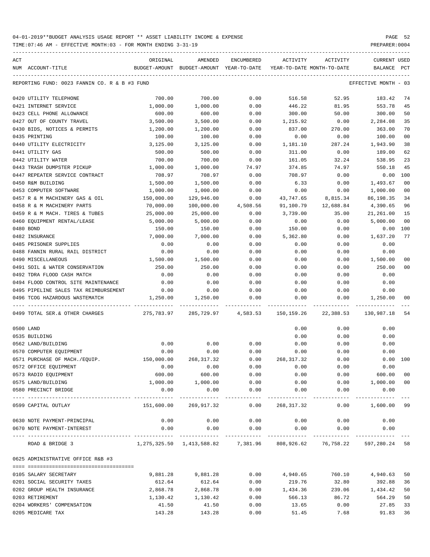| ACT | NUM ACCOUNT-TITLE                             | ORIGINAL<br>BUDGET-AMOUNT BUDGET-AMOUNT YEAR-TO-DATE                  | AMENDED     | ENCUMBERED                | ACTIVITY<br>YEAR-TO-DATE MONTH-TO-DATE | ACTIVITY  | CURRENT USED<br>BALANCE | PCT |
|-----|-----------------------------------------------|-----------------------------------------------------------------------|-------------|---------------------------|----------------------------------------|-----------|-------------------------|-----|
|     |                                               |                                                                       |             |                           |                                        |           |                         |     |
|     | REPORTING FUND: 0023 FANNIN CO. R & B #3 FUND |                                                                       |             |                           |                                        |           | EFFECTIVE MONTH - 03    |     |
|     | 0420 UTILITY TELEPHONE                        | 700.00                                                                | 700.00      | 0.00                      | 516.58                                 | 52.95     | 183.42                  | 74  |
|     | 0421 INTERNET SERVICE                         | 1,000.00                                                              | 1,000.00    | 0.00                      | 446.22                                 | 81.95     | 553.78                  | 45  |
|     | 0423 CELL PHONE ALLOWANCE                     | 600.00                                                                | 600.00      | 0.00                      | 300.00                                 | 50.00     | 300.00                  | 50  |
|     | 0427 OUT OF COUNTY TRAVEL                     | 3,500.00                                                              | 3,500.00    | 0.00                      | 1,215.92                               | 0.00      | 2,284.08                | 35  |
|     | 0430 BIDS, NOTICES & PERMITS                  | 1,200.00                                                              | 1,200.00    | 0.00                      | 837.00                                 | 270.00    | 363.00                  | 70  |
|     | 0435 PRINTING                                 | 100.00                                                                | 100.00      | 0.00                      | 0.00                                   | 0.00      | 100.00                  | 00  |
|     | 0440 UTILITY ELECTRICITY                      | 3,125.00                                                              | 3,125.00    | 0.00                      | 1,181.10                               | 287.24    | 1,943.90                | 38  |
|     | 0441 UTILITY GAS                              | 500.00                                                                | 500.00      | 0.00                      | 311.00                                 | 0.00      | 189.00                  | 62  |
|     | 0442 UTILITY WATER                            | 700.00                                                                | 700.00      | 0.00                      | 161.05                                 | 32.24     | 538.95                  | 23  |
|     | 0443 TRASH DUMPSTER PICKUP                    | 1,000.00                                                              | 1,000.00    | 74.97                     | 374.85                                 | 74.97     | 550.18                  | 45  |
|     | 0447 REPEATER SERVICE CONTRACT                | 708.97                                                                | 708.97      | 0.00                      | 708.97                                 | 0.00      | 0.00                    | 100 |
|     | 0450 R&M BUILDING                             | 1,500.00                                                              | 1,500.00    | 0.00                      | 6.33                                   | 0.00      | 1,493.67                | 00  |
|     | 0453 COMPUTER SOFTWARE                        | 1,000.00                                                              | 1,000.00    | 0.00                      | 0.00                                   | 0.00      | 1,000.00                | 00  |
|     | 0457 R & M MACHINERY GAS & OIL                | 150,000.00                                                            | 129,946.00  | 0.00                      | 43,747.65                              | 8,815.34  | 86,198.35               | 34  |
|     | 0458 R & M MACHINERY PARTS                    | 70,000.00                                                             | 100,000.00  | 4,508.56                  | 91,100.79                              | 12,688.84 | 4,390.65                | 96  |
|     | 0459 R & M MACH. TIRES & TUBES                | 25,000.00                                                             | 25,000.00   | 0.00                      | 3,739.00                               | 35.00     | 21,261.00               | 15  |
|     | 0460 EQUIPMENT RENTAL/LEASE                   | 5,000.00                                                              | 5,000.00    | 0.00                      | 0.00                                   | 0.00      | 5,000.00                | 00  |
|     | 0480 BOND                                     | 150.00                                                                | 150.00      | 0.00                      | 150.00                                 | 0.00      | 0.00                    | 100 |
|     | 0482 INSURANCE                                | 7,000.00                                                              | 7,000.00    | 0.00                      | 5,362.80                               | 0.00      | 1,637.20                | 77  |
|     | 0485 PRISONER SUPPLIES                        | 0.00                                                                  | 0.00        | 0.00                      | 0.00                                   | 0.00      | 0.00                    |     |
|     | 0488 FANNIN RURAL RAIL DISTRICT               | 0.00                                                                  | 0.00        | 0.00                      | 0.00                                   | 0.00      | 0.00                    |     |
|     | 0490 MISCELLANEOUS                            | 1,500.00                                                              | 1,500.00    | 0.00                      | 0.00                                   | 0.00      | 1,500.00                | 00  |
|     | 0491 SOIL & WATER CONSERVATION                | 250.00                                                                | 250.00      | 0.00                      | 0.00                                   | 0.00      | 250.00                  | 00  |
|     | 0492 TDRA FLOOD CASH MATCH                    | 0.00                                                                  | 0.00        | 0.00                      | 0.00                                   | 0.00      | 0.00                    |     |
|     | 0494 FLOOD CONTROL SITE MAINTENANCE           | 0.00                                                                  | 0.00        | 0.00                      | 0.00                                   | 0.00      | 0.00                    |     |
|     | 0495 PIPELINE SALES TAX REIMBURSEMENT         | 0.00                                                                  | 0.00        | 0.00                      | 0.00                                   | 0.00      | 0.00                    |     |
|     | 0496 TCOG HAZARDOUS WASTEMATCH                | 1,250.00                                                              | 1,250.00    | 0.00                      | 0.00                                   | 0.00      | 1,250.00                | 00  |
|     | 0499 TOTAL SER.& OTHER CHARGES                | 275,783.97                                                            | 285,729.97  | 4,583.53                  | 150,159.26                             | 22,388.53 | 130,987.18              | -54 |
|     | 0500 LAND                                     |                                                                       |             |                           | 0.00                                   | 0.00      | 0.00                    |     |
|     | 0535 BUILDING                                 |                                                                       |             |                           | 0.00                                   | 0.00      | 0.00                    |     |
|     | 0562 LAND/BUILDING                            | 0.00                                                                  | 0.00        | 0.00                      | 0.00                                   | 0.00      | 0.00                    |     |
|     | 0570 COMPUTER EQUIPMENT                       | 0.00                                                                  | 0.00        | 0.00                      | 0.00                                   | 0.00      | 0.00                    |     |
|     | 0571 PURCHASE OF MACH./EOUIP.                 | 150,000.00                                                            | 268, 317.32 | 0.00                      | 268, 317.32                            | 0.00      | 0.00 100                |     |
|     | 0572 OFFICE EQUIPMENT                         | 0.00                                                                  | 0.00        | 0.00                      | 0.00                                   | 0.00      | 0.00                    |     |
|     | 0573 RADIO EQUIPMENT                          | 600.00                                                                | 600.00      | 0.00                      | 0.00                                   | 0.00      | 600.00                  | 00  |
|     | 0575 LAND/BUILDING                            | 1,000.00                                                              | 1,000.00    | 0.00                      | 0.00                                   | 0.00      | 1,000.00                | 00  |
|     | 0580 PRECINCT BRIDGE                          | 0.00<br>----------                                                    | 0.00        | 0.00                      | 0.00                                   | 0.00      | 0.00                    |     |
|     | -----------<br>0599 CAPITAL OUTLAY            | 151,600.00                                                            | 269,917.32  | $--- - - - - - -$<br>0.00 | 268,317.32                             | 0.00      | ---------<br>1,600.00   | 99  |
|     | 0630 NOTE PAYMENT-PRINCIPAL                   | 0.00                                                                  | 0.00        | 0.00                      | 0.00                                   | 0.00      | 0.00                    |     |
|     | 0670 NOTE PAYMENT-INTEREST                    | 0.00                                                                  | 0.00        | 0.00                      | 0.00                                   | 0.00      | 0.00                    |     |
|     | ROAD & BRIDGE 3                               | 1,275,325.50 1,413,588.82 7,381.96 808,926.62 76,758.22 597,280.24 58 |             |                           |                                        |           |                         |     |
|     | 0625 ADMINISTRATIVE OFFICE R&B #3             |                                                                       |             |                           |                                        |           |                         |     |
|     | 0105 SALARY SECRETARY                         | 9,881.28                                                              | 9,881.28    | 0.00                      | 4,940.65                               | 760.10    | 4,940.63                | 50  |
|     | 0201 SOCIAL SECURITY TAXES                    | 612.64                                                                | 612.64      | 0.00                      | 219.76                                 | 32.80     | 392.88                  | 36  |
|     | 0202 GROUP HEALTH INSURANCE                   | 2,868.78                                                              | 2,868.78    | 0.00                      | 1,434.36                               | 239.06    | 1,434.42                | 50  |
|     | 0203 RETIREMENT                               | 1,130.42                                                              | 1,130.42    | 0.00                      | 566.13                                 | 86.72     | 564.29                  | 50  |
|     | 0204 WORKERS' COMPENSATION                    | 41.50                                                                 | 41.50       | 0.00                      | 13.65                                  | 0.00      | 27.85                   | 33  |
|     | 0205 MEDICARE TAX                             | 143.28                                                                | 143.28      | 0.00                      | 51.45                                  | 7.68      | 91.83                   | 36  |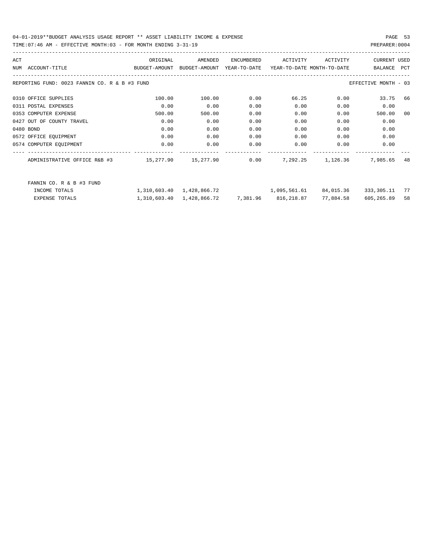| ACT                                           | ORIGINAL                                 | AMENDED      | ENCUMBERED | ACTIVITY                         | ACTIVITY          | <b>CURRENT USED</b>  |      |
|-----------------------------------------------|------------------------------------------|--------------|------------|----------------------------------|-------------------|----------------------|------|
| ACCOUNT-TITLE<br>NUM                          | BUDGET-AMOUNT BUDGET-AMOUNT YEAR-TO-DATE |              |            | YEAR-TO-DATE MONTH-TO-DATE       |                   | BALANCE              | PCT  |
| REPORTING FUND: 0023 FANNIN CO. R & B #3 FUND |                                          |              |            |                                  |                   | EFFECTIVE MONTH - 03 |      |
| 0310 OFFICE SUPPLIES                          | 100.00                                   | 100.00       | 0.00       | 66.25                            | 0.00              | 33.75                | 66   |
| 0311 POSTAL EXPENSES                          | 0.00                                     | 0.00         | 0.00       | 0.00                             | 0.00              | 0.00                 |      |
| 0353 COMPUTER EXPENSE                         | 500.00                                   | 500.00       | 0.00       | 0.00                             | 0.00              | 500.00               | 00   |
| 0427 OUT OF COUNTY TRAVEL                     | 0.00                                     | 0.00         | 0.00       | 0.00                             | 0.00              | 0.00                 |      |
| 0480 BOND                                     | 0.00                                     | 0.00         | 0.00       | 0.00                             | 0.00              | 0.00                 |      |
| 0572 OFFICE EQUIPMENT                         | 0.00                                     | 0.00         | 0.00       | 0.00                             | 0.00              | 0.00                 |      |
| 0574 COMPUTER EQUIPMENT                       | 0.00                                     | 0.00         | 0.00       | 0.00                             | 0.00              | 0.00                 |      |
| ADMINISTRATIVE OFFICE R&B #3                  | $15,277.90$ $15,277.90$ $0.00$           |              |            |                                  | 7,292.25 1,126.36 | 7,985.65             | 48   |
| FANNIN CO. R & B #3 FUND                      |                                          |              |            |                                  |                   |                      |      |
| INCOME TOTALS                                 | 1,310,603.40                             | 1,428,866.72 |            | 1,095,561.61                     | 84,015.36         | 333,305.11           | - 77 |
| <b>EXPENSE TOTALS</b>                         | 1,310,603.40                             |              |            | 1,428,866.72 7,381.96 816,218.87 | 77,884.58         | 605,265.89           | 58   |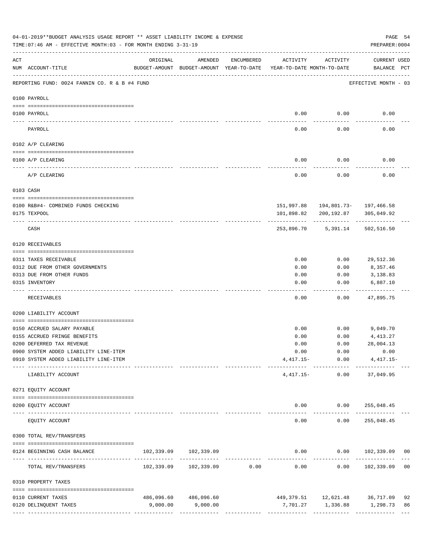|          | 04-01-2019**BUDGET ANALYSIS USAGE REPORT ** ASSET LIABILITY INCOME & EXPENSE<br>TIME:07:46 AM - EFFECTIVE MONTH:03 - FOR MONTH ENDING 3-31-19 |                                                      |                            |                                |                                        |                                            | PAGE 54<br>PREPARER: 0004          |    |
|----------|-----------------------------------------------------------------------------------------------------------------------------------------------|------------------------------------------------------|----------------------------|--------------------------------|----------------------------------------|--------------------------------------------|------------------------------------|----|
| ACT      | NUM ACCOUNT-TITLE                                                                                                                             | ORIGINAL<br>BUDGET-AMOUNT BUDGET-AMOUNT YEAR-TO-DATE | AMENDED                    | ENCUMBERED                     | ACTIVITY<br>YEAR-TO-DATE MONTH-TO-DATE | ACTIVITY                                   | <b>CURRENT USED</b><br>BALANCE PCT |    |
|          | REPORTING FUND: 0024 FANNIN CO. R & B #4 FUND                                                                                                 |                                                      |                            |                                |                                        |                                            | EFFECTIVE MONTH - 03               |    |
|          | 0100 PAYROLL                                                                                                                                  |                                                      |                            |                                |                                        |                                            |                                    |    |
|          | 0100 PAYROLL                                                                                                                                  |                                                      |                            |                                | 0.00                                   | 0.00                                       | 0.00                               |    |
| -------- | PAYROLL                                                                                                                                       |                                                      |                            |                                | 0.00                                   | 0.00                                       | 0.00                               |    |
|          | 0102 A/P CLEARING                                                                                                                             |                                                      |                            |                                |                                        |                                            |                                    |    |
|          | 0100 A/P CLEARING                                                                                                                             |                                                      |                            |                                | 0.00                                   | 0.00                                       | 0.00                               |    |
|          | A/P CLEARING                                                                                                                                  |                                                      |                            |                                | 0.00                                   | 0.00                                       | 0.00                               |    |
|          | 0103 CASH                                                                                                                                     |                                                      |                            |                                |                                        |                                            |                                    |    |
|          | 0100 R&B#4- COMBINED FUNDS CHECKING                                                                                                           |                                                      |                            |                                |                                        | 151,997.88  194,801.73-  197,466.58        |                                    |    |
|          | 0175 TEXPOOL                                                                                                                                  |                                                      |                            |                                | 101,898.82                             | 200,192.87                                 | 305,049.92                         |    |
|          | CASH                                                                                                                                          |                                                      |                            |                                |                                        | 253,896.70 5,391.14                        | 502,516.50                         |    |
|          | 0120 RECEIVABLES                                                                                                                              |                                                      |                            |                                |                                        |                                            |                                    |    |
|          | 0311 TAXES RECEIVABLE                                                                                                                         |                                                      |                            |                                | 0.00                                   | 0.00                                       | 29,512.36                          |    |
|          | 0312 DUE FROM OTHER GOVERNMENTS                                                                                                               |                                                      |                            |                                | 0.00                                   | 0.00                                       | 8,357.46                           |    |
|          | 0313 DUE FROM OTHER FUNDS                                                                                                                     |                                                      |                            |                                | 0.00                                   | 0.00                                       | 3,138.83                           |    |
|          | 0315 INVENTORY                                                                                                                                |                                                      |                            |                                | 0.00                                   | 0.00                                       | 6,887.10                           |    |
|          | RECEIVABLES                                                                                                                                   |                                                      |                            |                                | 0.00                                   | 0.00                                       | 47,895.75                          |    |
|          | 0200 LIABILITY ACCOUNT                                                                                                                        |                                                      |                            |                                |                                        |                                            |                                    |    |
|          | 0150 ACCRUED SALARY PAYABLE                                                                                                                   |                                                      |                            |                                | 0.00                                   |                                            | $0.00$ 9,049.70                    |    |
|          | 0155 ACCRUED FRINGE BENEFITS                                                                                                                  |                                                      |                            |                                | 0.00                                   | 0.00                                       | 4,413.27                           |    |
|          | 0200 DEFERRED TAX REVENUE                                                                                                                     |                                                      |                            |                                | 0.00                                   | 0.00                                       | 28,004.13                          |    |
|          | 0900 SYSTEM ADDED LIABILITY LINE-ITEM                                                                                                         |                                                      |                            |                                | 0.00                                   | 0.00                                       | 0.00                               |    |
|          | 0910 SYSTEM ADDED LIABILITY LINE-ITEM                                                                                                         |                                                      |                            |                                |                                        | $4,417.15 - 0.00$<br>-------- ------------ | $4,417.15-$                        |    |
|          | LIABILITY ACCOUNT                                                                                                                             |                                                      |                            |                                | $4,417.15-$                            | 0.00                                       | 37,049.95                          |    |
|          | 0271 EQUITY ACCOUNT                                                                                                                           |                                                      |                            |                                |                                        |                                            |                                    |    |
|          | 0200 EQUITY ACCOUNT<br>---- --------------<br>------------------- -------------                                                               |                                                      | -------------              |                                | -----                                  | $0.00$ $0.00$ $255,048.45$<br>----------   | . _ _ _ _ _ _ _ _ _ _ _ _          |    |
|          | EQUITY ACCOUNT                                                                                                                                |                                                      |                            |                                | 0.00                                   | 0.00                                       | 255,048.45                         |    |
|          | 0300 TOTAL REV/TRANSFERS                                                                                                                      |                                                      |                            |                                |                                        |                                            |                                    |    |
|          | 0124 BEGINNING CASH BALANCE                                                                                                                   |                                                      | 102,339.09 102,339.09      | ------------------------------ |                                        |                                            | $0.00$ $0.00$ $102,339.09$ 00      |    |
|          | TOTAL REV/TRANSFERS                                                                                                                           |                                                      | 102,339.09 102,339.09 0.00 |                                | 0.00                                   | 0.00                                       | 102,339.09 00                      |    |
|          | 0310 PROPERTY TAXES                                                                                                                           |                                                      |                            |                                |                                        |                                            |                                    |    |
|          | 0110 CURRENT TAXES                                                                                                                            |                                                      | 486,096.60 486,096.60      |                                |                                        |                                            | 449, 379.51 12, 621.48 36, 717.09  | 92 |
|          | 0120 DELINQUENT TAXES                                                                                                                         | 9,000.00                                             | 9,000.00                   |                                |                                        |                                            |                                    | 86 |
|          |                                                                                                                                               |                                                      |                            |                                |                                        |                                            |                                    |    |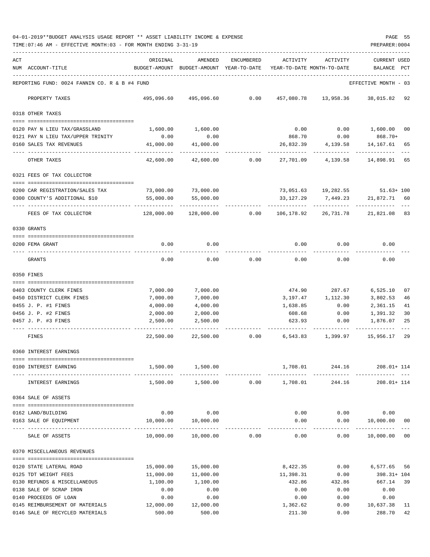|     | TIME: 07:46 AM - EFFECTIVE MONTH: 03 - FOR MONTH ENDING 3-31-19 |                                              |                                |                                             |                            |                                      | PREPARER: 0004                |      |
|-----|-----------------------------------------------------------------|----------------------------------------------|--------------------------------|---------------------------------------------|----------------------------|--------------------------------------|-------------------------------|------|
| ACT |                                                                 | ORIGINAL                                     | AMENDED                        | ENCUMBERED                                  | ACTIVITY                   | ACTIVITY                             | <b>CURRENT USED</b>           |      |
|     | NUM ACCOUNT-TITLE                                               | BUDGET-AMOUNT BUDGET-AMOUNT YEAR-TO-DATE     |                                |                                             | YEAR-TO-DATE MONTH-TO-DATE |                                      | BALANCE PCT                   |      |
|     | REPORTING FUND: 0024 FANNIN CO. R & B #4 FUND                   |                                              |                                |                                             |                            |                                      | EFFECTIVE MONTH - 03          |      |
|     | PROPERTY TAXES                                                  |                                              | 495,096.60 495,096.60          | 0.00                                        |                            | 457,080.78 13,958.36 38,015.82 92    |                               |      |
|     | 0318 OTHER TAXES                                                |                                              |                                |                                             |                            |                                      |                               |      |
|     | 0120 PAY N LIEU TAX/GRASSLAND                                   | 1,600.00                                     | 1,600.00                       |                                             | 0.00                       | 0.00                                 | 1,600.00 00                   |      |
|     | 0121 PAY N LIEU TAX/UPPER TRINITY                               | 0.00                                         | 0.00                           |                                             | 868.70                     | 0.00                                 | 868.70+                       |      |
|     | 0160 SALES TAX REVENUES                                         | 41,000.00                                    | 41,000.00                      |                                             |                            | 26,832.39  4,139.58  14,167.61  65   |                               |      |
|     | OTHER TAXES                                                     | 42,600.00                                    | 42,600.00                      | 0.00                                        |                            | . <u>.</u><br>27,701.09 4,139.58     | -------------<br>14,898.91 65 |      |
|     | 0321 FEES OF TAX COLLECTOR                                      |                                              |                                |                                             |                            |                                      |                               |      |
|     | 0200 CAR REGISTRATION/SALES TAX                                 | 73,000.00 73,000.00                          |                                |                                             |                            | 73,051.63  19,282.55  51.63+ 100     |                               |      |
|     | 0300 COUNTY'S ADDITIONAL \$10                                   | 55,000.00                                    | 55,000.00                      |                                             |                            | 33, 127. 29 7, 449. 23               | 21,872.71 60                  |      |
|     | FEES OF TAX COLLECTOR                                           | --------------- --------------<br>128,000.00 | -----------<br>128,000.00      | 0.00                                        | . <u>.</u> .               | ------------<br>106,178.92 26,731.78 | ------------<br>21,821.08 83  |      |
|     | 0330 GRANTS                                                     |                                              |                                |                                             |                            |                                      |                               |      |
|     | 0200 FEMA GRANT                                                 | 0.00                                         | 0.00                           |                                             | 0.00                       | 0.00                                 | 0.00                          |      |
|     | GRANTS                                                          | 0.00                                         | 0.00                           | 0.00                                        | 0.00                       | 0.00                                 | 0.00                          |      |
|     | 0350 FINES                                                      |                                              |                                |                                             |                            |                                      |                               |      |
|     | 0403 COUNTY CLERK FINES                                         | 7,000.00                                     | 7,000.00                       |                                             |                            | 474.90 287.67                        | 6,525.10                      | 07   |
|     | 0450 DISTRICT CLERK FINES                                       | 7,000.00                                     | 7,000.00                       |                                             |                            | 3,197.47 1,112.30                    | 3,802.53                      | 46   |
|     | 0455 J. P. #1 FINES                                             | 4,000.00                                     | 4,000.00                       |                                             | 1,638.85                   | 0.00                                 | 2,361.15                      | 41   |
|     | 0456 J. P. #2 FINES                                             | 2,000.00                                     | 2,000.00                       |                                             | 608.68                     | 0.00                                 | 1,391.32                      | 30   |
|     | 0457 J. P. #3 FINES                                             | 2,500.00                                     | 2,500.00                       |                                             |                            | 623.93 0.00                          | 1,876.07                      | 25   |
|     | FINES                                                           | 22,500.00                                    |                                | 22,500.00 0.00                              |                            | 6,543.83 1,399.97                    | 15,956.17                     | 29   |
|     | 0360 INTEREST EARNINGS                                          |                                              |                                |                                             |                            |                                      |                               |      |
|     | 0100 INTEREST EARNING                                           |                                              | 1,500.00 1,500.00              |                                             | 1,708.01<br>-------------  | --------------                       | 244.16 208.01+114             |      |
|     | INTEREST EARNINGS                                               | 1,500.00                                     |                                | -------------<br>$1,500.00$ 0.00 $1,708.01$ |                            | 244.16                               | 208.01+ 114                   |      |
|     | 0364 SALE OF ASSETS                                             |                                              |                                |                                             |                            |                                      |                               |      |
|     | 0162 LAND/BUILDING                                              |                                              | $0.00$ 0.00                    |                                             |                            | $0.00$ $0.00$ $0.00$                 |                               |      |
|     | 0163 SALE OF EQUIPMENT                                          |                                              | 10,000.00   10,000.00          |                                             | 0.00                       |                                      | $0.00$ $10,000.00$ 00         |      |
|     | SALE OF ASSETS                                                  |                                              | $10,000.00$ $10,000.00$ $0.00$ |                                             |                            | $0.00$ $0.00$ $10,000.00$ $00$       |                               |      |
|     | 0370 MISCELLANEOUS REVENUES                                     |                                              |                                |                                             |                            |                                      |                               |      |
|     | 0120 STATE LATERAL ROAD                                         | 15,000.00                                    | 15,000.00                      |                                             | 8,422.35                   | 0.00                                 | 6,577.65 56                   |      |
|     | 0125 TDT WEIGHT FEES                                            | 11,000.00                                    | 11,000.00                      |                                             | 11,398.31                  | 0.00                                 | 398.31+ 104                   |      |
|     | 0130 REFUNDS & MISCELLANEOUS                                    | 1,100.00                                     | 1,100.00                       |                                             | 432.86                     | 432.86                               | 667.14                        | 39   |
|     | 0138 SALE OF SCRAP IRON                                         | 0.00                                         | 0.00                           |                                             | 0.00                       | 0.00                                 | 0.00                          |      |
|     | 0140 PROCEEDS OF LOAN                                           | 0.00                                         | 0.00                           |                                             | 0.00                       | 0.00                                 | 0.00                          |      |
|     | 0145 REIMBURSEMENT OF MATERIALS                                 | 12,000.00                                    | 12,000.00                      |                                             | 1,362.62                   |                                      | $0.00$ 10,637.38              | - 11 |
|     | 0146 SALE OF RECYCLED MATERIALS                                 | 500.00                                       | 500.00                         |                                             | 211.30                     | 0.00                                 | 288.70 42                     |      |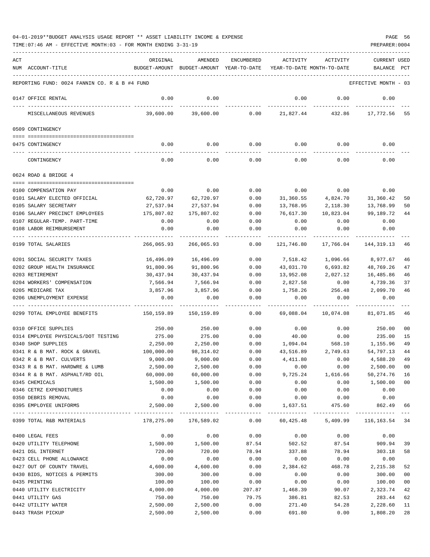| ACT |                                               | ORIGINAL      | AMENDED                    | <b>ENCUMBERED</b>    | ACTIVITY                   | ACTIVITY                           | <b>CURRENT USED</b>   |        |
|-----|-----------------------------------------------|---------------|----------------------------|----------------------|----------------------------|------------------------------------|-----------------------|--------|
|     | NUM ACCOUNT-TITLE                             | BUDGET-AMOUNT | BUDGET-AMOUNT YEAR-TO-DATE |                      | YEAR-TO-DATE MONTH-TO-DATE |                                    | BALANCE               | PCT    |
|     |                                               |               |                            |                      |                            |                                    |                       |        |
|     | REPORTING FUND: 0024 FANNIN CO. R & B #4 FUND |               |                            |                      |                            |                                    | EFFECTIVE MONTH - 03  |        |
|     | 0147 OFFICE RENTAL                            | 0.00          | 0.00                       |                      | 0.00                       | 0.00                               | 0.00                  |        |
|     |                                               |               |                            |                      |                            |                                    |                       |        |
|     | MISCELLANEOUS REVENUES                        | 39,600.00     | 39,600.00                  | 0.00                 | 21,827.44                  | 432.86                             | 17,772.56             | 55     |
|     |                                               |               |                            |                      |                            |                                    |                       |        |
|     | 0509 CONTINGENCY                              |               |                            |                      |                            |                                    |                       |        |
|     | 0475 CONTINGENCY                              | 0.00          | 0.00                       | 0.00                 | 0.00                       | 0.00                               | 0.00                  |        |
|     |                                               |               |                            |                      |                            |                                    |                       |        |
|     | CONTINGENCY                                   | 0.00          | 0.00                       | 0.00                 | 0.00                       | 0.00                               | 0.00                  |        |
|     |                                               |               |                            |                      |                            |                                    |                       |        |
|     | 0624 ROAD & BRIDGE 4                          |               |                            |                      |                            |                                    |                       |        |
|     | 0100 COMPENSATION PAY                         | 0.00          | 0.00                       | 0.00                 | 0.00                       | 0.00                               | 0.00                  |        |
|     | 0101 SALARY ELECTED OFFICIAL                  |               |                            | 0.00                 | 31,360.55                  | 4,824.70                           | 31,360.42             |        |
|     |                                               | 62,720.97     | 62,720.97                  |                      |                            |                                    |                       | 50     |
|     | 0105 SALARY SECRETARY                         | 27,537.94     | 27,537.94                  | 0.00                 | 13,768.95                  | 2,118.30                           | 13,768.99             | 50     |
|     | 0106 SALARY PRECINCT EMPLOYEES                | 175,807.02    | 175,807.02                 | 0.00                 | 76,617.30                  | 10,823.04                          | 99,189.72             | 44     |
|     | 0107 REGULAR-TEMP. PART-TIME                  | 0.00          | 0.00                       | 0.00                 | 0.00                       | 0.00                               | 0.00                  |        |
|     | 0108 LABOR REIMBURSEMENT                      | 0.00          | 0.00                       | 0.00                 | 0.00                       | 0.00                               | 0.00                  |        |
|     | 0199 TOTAL SALARIES                           | 266,065.93    | 266,065.93                 | 0.00                 | 121,746.80                 | 17,766.04                          | 144, 319.13           | 46     |
|     |                                               |               |                            |                      |                            |                                    |                       |        |
|     | 0201 SOCIAL SECURITY TAXES                    | 16,496.09     | 16,496.09                  | 0.00                 | 7,518.42                   | 1,096.66                           | 8,977.67              | 46     |
|     | 0202 GROUP HEALTH INSURANCE                   | 91,800.96     | 91,800.96                  | 0.00                 | 43,031.70                  | 6,693.82                           | 48,769.26             | 47     |
|     | 0203 RETIREMENT                               | 30,437.94     | 30,437.94                  | 0.00                 | 13,952.08                  | 2,027.12                           | 16,485.86             | 46     |
|     | 0204 WORKERS' COMPENSATION                    | 7,566.94      | 7,566.94                   | 0.00                 | 2,827.58                   | 0.00                               | 4,739.36              | 37     |
|     | 0205 MEDICARE TAX                             | 3,857.96      | 3,857.96                   | 0.00                 | 1,758.26                   | 256.48                             | 2,099.70              | 46     |
|     | 0206 UNEMPLOYMENT EXPENSE                     | 0.00          | 0.00                       | 0.00                 | 0.00                       | 0.00                               | 0.00                  |        |
|     |                                               |               |                            |                      |                            |                                    |                       |        |
|     | 0299 TOTAL EMPLOYEE BENEFITS                  | 150,159.89    | 150,159.89                 | 0.00                 | 69,088.04                  | 10,074.08                          | 81,071.85             | 46     |
|     | 0310 OFFICE SUPPLIES                          | 250.00        | 250.00                     | 0.00                 | 0.00                       | 0.00                               | 250.00                | 00     |
|     | 0314 EMPLOYEE PHYSICALS/DOT TESTING           | 275.00        | 275.00                     | 0.00                 | 40.00                      | 0.00                               | 235.00                | 15     |
|     | 0340 SHOP SUPPLIES                            | 2,250.00      | 2,250.00                   | 0.00                 | 1,094.04                   | 568.10                             | 1,155.96              | 49     |
|     | 0341 R & B MAT. ROCK & GRAVEL                 | 100,000.00    | 98,314.02                  | 0.00                 | 43,516.89                  | 2,749.63                           | 54,797.13             | 44     |
|     | 0342 R & B MAT. CULVERTS                      | 9,000.00      | 9,000.00                   | 0.00                 | 4,411.80                   | 0.00                               | 4,588.20              | 49     |
|     |                                               |               |                            |                      |                            |                                    |                       |        |
|     | 0343 R & B MAT. HARDWRE & LUMB                | 2,500.00      | 2,500.00                   | 0.00<br>0.00         | 0.00                       | 0.00                               | 2,500.00<br>50,274.76 | 00     |
|     | 0344 R & B MAT. ASPHALT/RD OIL                | 60,000.00     | 60,000.00                  |                      | 9,725.24                   | 1,616.66                           |                       | 16     |
|     | 0345 CHEMICALS                                | 1,500.00      | 1,500.00                   | 0.00                 | 0.00                       | 0.00                               | 1,500.00              | $00\,$ |
|     | 0346 CETRZ EXPENDITURES                       | 0.00          | 0.00                       | 0.00                 | 0.00                       | 0.00                               | 0.00                  |        |
|     | 0350 DEBRIS REMOVAL                           | 0.00          | 0.00                       | 0.00                 | 0.00                       | 0.00                               | 0.00                  |        |
|     | 0395 EMPLOYEE UNIFORMS                        | 2,500.00      | 2,500.00<br>_____________  | 0.00<br>------------ | 1,637.51                   | 475.60<br>------------------------ | 862.49<br>----------- | 66     |
|     | 0399 TOTAL R&B MATERIALS                      | 178,275.00    | 176,589.02                 | 0.00                 | 60,425.48                  | 5,409.99                           | 116, 163. 54 34       |        |
|     | 0400 LEGAL FEES                               | 0.00          | 0.00                       | 0.00                 | 0.00                       | 0.00                               | 0.00                  |        |
|     | 0420 UTILITY TELEPHONE                        | 1,500.00      | 1,500.00                   | 87.54                | 502.52                     | 87.54                              | 909.94                | 39     |
|     | 0421 DSL INTERNET                             | 720.00        | 720.00                     |                      |                            |                                    | 303.18                |        |
|     | 0423 CELL PHONE ALLOWANCE                     |               | 0.00                       | 78.94<br>0.00        | 337.88                     | 78.94                              |                       | 58     |
|     |                                               | 0.00          |                            |                      | 0.00                       | 0.00                               | 0.00                  |        |
|     | 0427 OUT OF COUNTY TRAVEL                     | 4,600.00      | 4,600.00                   | 0.00                 | 2,384.62                   | 468.78                             | 2,215.38              | 52     |
|     | 0430 BIDS, NOTICES & PERMITS                  | 300.00        | 300.00                     | 0.00                 | 0.00                       | 0.00                               | 300.00                | 00     |
|     | 0435 PRINTING                                 | 100.00        | 100.00                     | 0.00                 | 0.00                       | 0.00                               | 100.00                | 00     |
|     | 0440 UTILITY ELECTRICITY                      | 4,000.00      | 4,000.00                   | 207.87               | 1,468.39                   | 90.07                              | 2,323.74              | 42     |
|     | 0441 UTILITY GAS                              | 750.00        | 750.00                     | 79.75                | 386.81                     | 82.53                              | 283.44                | 62     |
|     | 0442 UTILITY WATER                            | 2,500.00      | 2,500.00                   | 0.00                 | 271.40                     | 54.28                              | 2,228.60              | 11     |
|     | 0443 TRASH PICKUP                             | 2,500.00      | 2,500.00                   | 0.00                 | 691.80                     | 0.00                               | 1,808.20              | 28     |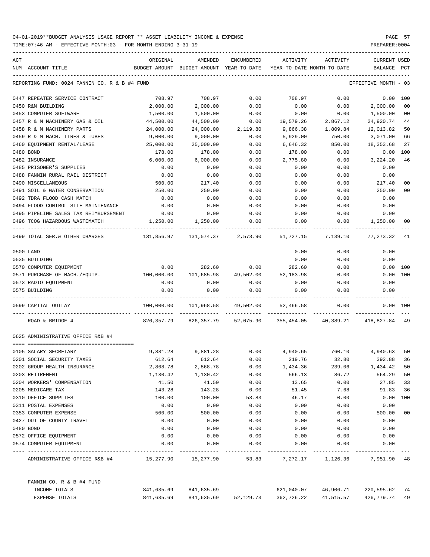| ACT |                                                  | ORIGINAL     | AMENDED                                  | ENCUMBERED | <b>ACTIVITY</b> | ACTIVITY                   | <b>CURRENT USED</b> |                |
|-----|--------------------------------------------------|--------------|------------------------------------------|------------|-----------------|----------------------------|---------------------|----------------|
|     | NUM ACCOUNT-TITLE                                |              | BUDGET-AMOUNT BUDGET-AMOUNT YEAR-TO-DATE |            |                 | YEAR-TO-DATE MONTH-TO-DATE | BALANCE             | PCT            |
|     | REPORTING FUND: 0024 FANNIN CO. R & B #4 FUND    |              |                                          |            |                 |                            | EFFECTIVE MONTH     | - 03           |
|     | 0447 REPEATER SERVICE CONTRACT                   | 708.97       | 708.97                                   | 0.00       | 708.97          | 0.00                       | 0.00                | 100            |
|     | 0450 R&M BUILDING                                | 2,000.00     | 2,000.00                                 | 0.00       | 0.00            | 0.00                       | 2,000.00            | 00             |
|     | 0453 COMPUTER SOFTWARE                           | 1,500.00     | 1,500.00                                 | 0.00       | 0.00            | 0.00                       | 1,500.00            | 00             |
|     | 0457 R & M MACHINERY GAS & OIL                   | 44,500.00    | 44,500.00                                | 0.00       | 19,579.26       | 2,867.12                   | 24,920.74           | 44             |
|     | 0458 R & M MACHINERY PARTS                       | 24,000.00    | 24,000.00                                | 2,119.80   | 9,866.38        | 1,809.84                   | 12,013.82           | 50             |
|     | 0459 R & M MACH. TIRES & TUBES                   | 9,000.00     | 9,000.00                                 | 0.00       | 5,929.00        | 750.00                     | 3,071.00            | 66             |
|     | 0460 EQUIPMENT RENTAL/LEASE                      | 25,000.00    | 25,000.00                                | 0.00       | 6,646.32        | 850.00                     | 18,353.68           | 27             |
|     | 0480 BOND                                        | 178.00       | 178.00                                   | 0.00       | 178.00          | 0.00                       | 0.00                | 100            |
|     | 0482 INSURANCE                                   | 6,000.00     | 6,000.00                                 | 0.00       | 2,775.80        | 0.00                       | 3,224.20            | 46             |
|     | 0485 PRISONER'S SUPPLIES                         | 0.00         | 0.00                                     | 0.00       | 0.00            | 0.00                       | 0.00                |                |
|     | 0488 FANNIN RURAL RAIL DISTRICT                  | 0.00         | 0.00                                     | 0.00       | 0.00            | 0.00                       | 0.00                |                |
|     | 0490 MISCELLANEOUS                               | 500.00       | 217.40                                   | 0.00       | 0.00            | 0.00                       | 217.40              | 0 <sub>0</sub> |
|     | 0491 SOIL & WATER CONSERVATION                   | 250.00       | 250.00                                   | 0.00       | 0.00            | 0.00                       | 250.00              | 0 <sub>0</sub> |
|     | 0492 TDRA FLOOD CASH MATCH                       | 0.00         | 0.00                                     | 0.00       | 0.00            | 0.00                       | 0.00                |                |
|     | 0494 FLOOD CONTROL SITE MAINTENANCE              | 0.00         | 0.00                                     | 0.00       | 0.00            | 0.00                       | 0.00                |                |
|     | 0495 PIPELINE SALES TAX REIMBURSEMENT            | 0.00         | 0.00                                     | 0.00       | 0.00            | 0.00                       | 0.00                |                |
|     | 0496 TCOG HAZARDOUS WASTEMATCH                   | 1,250.00     | 1,250.00                                 | 0.00       | 0.00            | 0.00                       | 1,250.00            | 00             |
|     | 0499 TOTAL SER. & OTHER CHARGES                  | 131,856.97   | 131,574.37                               | 2,573.90   | 51,727.15       | 7,139.10                   | 77,273.32           | 41             |
|     | 0500 LAND                                        |              |                                          |            | 0.00            | 0.00                       | 0.00                |                |
|     | 0535 BUILDING                                    |              |                                          |            | 0.00            | 0.00                       | 0.00                |                |
|     | 0570 COMPUTER EQUIPMENT                          | 0.00         | 282.60                                   | 0.00       | 282.60          | 0.00                       | 0.00                | 100            |
|     | 0571 PURCHASE OF MACH./EQUIP.                    | 100,000.00   | 101,685.98                               | 49,502.00  | 52,183.98       | 0.00                       | 0.00                | 100            |
|     | 0573 RADIO EQUIPMENT                             | 0.00         | 0.00                                     | 0.00       | 0.00            | 0.00                       | 0.00                |                |
|     | 0575 BUILDING                                    | 0.00         | 0.00                                     | 0.00       | 0.00            | 0.00                       | 0.00                |                |
|     | 0599 CAPITAL OUTLAY                              | 100,000.00   | 101,968.58                               | 49,502.00  | 52,466.58       | 0.00                       |                     | 0.00 100       |
|     | ROAD & BRIDGE 4                                  | 826, 357. 79 | 826,357.79                               | 52,075.90  | 355,454.05      | 40,389.21                  | 418,827.84          | -49            |
|     | 0625 ADMINISTRATIVE OFFICE R&B #4                |              |                                          |            |                 |                            |                     |                |
|     | ======================================           |              |                                          |            |                 |                            |                     |                |
|     | 0105 SALARY SECRETARY                            | 9,881.28     | 9,881.28                                 | 0.00       | 4,940.65        | 760.10                     | 4,940.63            | 50             |
|     | 0201 SOCIAL SECURITY TAXES                       | 612.64       | 612.64                                   | 0.00       | 219.76          | 32.80                      | 392.88              | 36             |
|     | 0202 GROUP HEALTH INSURANCE                      | 2,868.78     | 2,868.78                                 | 0.00       | 1,434.36        | 239.06                     | 1,434.42            | 50             |
|     | 0203 RETIREMENT                                  | 1,130.42     | 1,130.42                                 | 0.00       | 566.13          | 86.72                      | 564.29              | 50             |
|     | 0204 WORKERS' COMPENSATION                       | 41.50        | 41.50                                    | 0.00       | 13.65           | 0.00                       | 27.85               | 33             |
|     | 0205 MEDICARE TAX                                | 143.28       | 143.28                                   | 0.00       | 51.45           | 7.68                       | 91.83               | 36             |
|     | 0310 OFFICE SUPPLIES                             | 100.00       | 100.00                                   | 53.83      | 46.17           | 0.00                       | 0.00                | 100            |
|     | 0311 POSTAL EXPENSES                             | 0.00         | 0.00                                     | 0.00       | 0.00            | 0.00                       | 0.00                |                |
|     | 0353 COMPUTER EXPENSE                            | 500.00       | 500.00                                   | 0.00       | 0.00            | 0.00                       | 500.00              | 00             |
|     | 0427 OUT OF COUNTY TRAVEL                        | 0.00         | 0.00                                     | 0.00       | 0.00            | 0.00                       | 0.00                |                |
|     | 0480 BOND                                        | 0.00         | 0.00                                     | 0.00       | 0.00            | 0.00                       | 0.00                |                |
|     | 0572 OFFICE EQUIPMENT                            | 0.00         | 0.00                                     | 0.00       | 0.00            | 0.00                       | 0.00                |                |
|     | 0574 COMPUTER EOUIPMENT                          | 0.00         | 0.00                                     | 0.00       | 0.00            | 0.00                       | 0.00                |                |
|     | ADMINISTRATIVE OFFICE R&B #4 15,277.90 15,277.90 |              |                                          | 53.83      | 7,272.17        | 1,126.36                   | 7,951.90 48         |                |
|     | FANNIN CO. R & B #4 FUND                         |              |                                          |            |                 |                            |                     |                |
|     | INCOME TOTALS                                    | 841,635.69   | 841,635.69                               |            | 621,040.07      | 46,906.71                  | 220,595.62 74       |                |
|     | EXPENSE TOTALS                                   | 841,635.69   | 841,635.69                               | 52,129.73  | 362,726.22      | 41,515.57                  | 426,779.74 49       |                |
|     |                                                  |              |                                          |            |                 |                            |                     |                |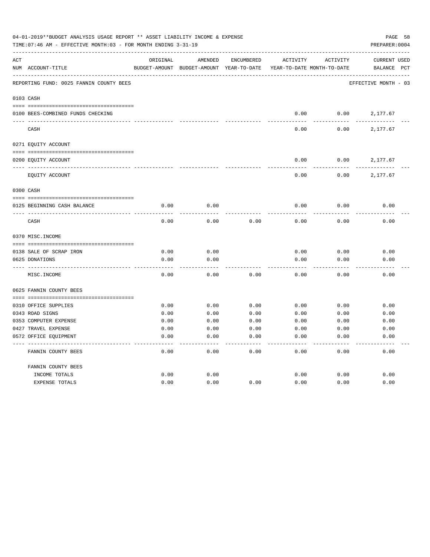|     | 04-01-2019**BUDGET ANALYSIS USAGE REPORT ** ASSET LIABILITY INCOME & EXPENSE<br>PAGE 58<br>PREPARER: 0004<br>TIME: 07:46 AM - EFFECTIVE MONTH: 03 - FOR MONTH ENDING 3-31-19 |               |               |              |                            |          |                      |              |  |
|-----|------------------------------------------------------------------------------------------------------------------------------------------------------------------------------|---------------|---------------|--------------|----------------------------|----------|----------------------|--------------|--|
| ACT |                                                                                                                                                                              | ORIGINAL      | AMENDED       | ENCUMBERED   | <b>ACTIVITY</b>            | ACTIVITY | <b>CURRENT USED</b>  |              |  |
|     | NUM ACCOUNT-TITLE                                                                                                                                                            | BUDGET-AMOUNT | BUDGET-AMOUNT | YEAR-TO-DATE | YEAR-TO-DATE MONTH-TO-DATE |          | BALANCE              | $_{\rm PCT}$ |  |
|     | REPORTING FUND: 0025 FANNIN COUNTY BEES                                                                                                                                      |               |               |              |                            |          | EFFECTIVE MONTH - 03 |              |  |
|     | 0103 CASH                                                                                                                                                                    |               |               |              |                            |          |                      |              |  |
|     | 0100 BEES-COMBINED FUNDS CHECKING                                                                                                                                            |               |               |              | 0.00                       | 0.00     | 2,177.67             |              |  |
|     | CASH                                                                                                                                                                         |               |               |              | 0.00                       | 0.00     | 2,177.67             |              |  |
|     | 0271 EQUITY ACCOUNT                                                                                                                                                          |               |               |              |                            |          |                      |              |  |
|     | 0200 EQUITY ACCOUNT                                                                                                                                                          |               |               |              | 0.00                       | 0.00     | 2,177.67             |              |  |
|     | EQUITY ACCOUNT                                                                                                                                                               |               |               |              | 0.00                       | 0.00     | 2,177.67             |              |  |
|     | 0300 CASH                                                                                                                                                                    |               |               |              |                            |          |                      |              |  |
|     | 0125 BEGINNING CASH BALANCE                                                                                                                                                  | 0.00          | 0.00          |              | 0.00                       | 0.00     | 0.00                 |              |  |
|     | CASH                                                                                                                                                                         | 0.00          | 0.00          | 0.00         | 0.00                       | 0.00     | 0.00                 |              |  |
|     | 0370 MISC. INCOME                                                                                                                                                            |               |               |              |                            |          |                      |              |  |
|     | 0138 SALE OF SCRAP IRON                                                                                                                                                      | 0.00          | 0.00          |              | 0.00                       | 0.00     | 0.00                 |              |  |
|     | 0625 DONATIONS                                                                                                                                                               | 0.00          | 0.00          |              | 0.00                       | 0.00     | 0.00                 |              |  |
|     | MISC. INCOME                                                                                                                                                                 | 0.00          | 0.00          | 0.00         | 0.00                       | 0.00     | 0.00                 |              |  |
|     | 0625 FANNIN COUNTY BEES                                                                                                                                                      |               |               |              |                            |          |                      |              |  |
|     | 0310 OFFICE SUPPLIES                                                                                                                                                         | 0.00          | 0.00          | 0.00         | 0.00                       | 0.00     | 0.00                 |              |  |
|     | 0343 ROAD SIGNS                                                                                                                                                              | 0.00          | 0.00          | 0.00         | 0.00                       | 0.00     | 0.00                 |              |  |
|     | 0353 COMPUTER EXPENSE                                                                                                                                                        | 0.00          | 0.00          | 0.00         | 0.00                       | 0.00     | 0.00                 |              |  |
|     | 0427 TRAVEL EXPENSE                                                                                                                                                          | 0.00          | 0.00          | 0.00         | 0.00                       | 0.00     | 0.00                 |              |  |
|     | 0572 OFFICE EQUIPMENT                                                                                                                                                        | 0.00          | 0.00          | 0.00         | 0.00                       | 0.00     | 0.00                 |              |  |
|     | FANNIN COUNTY BEES                                                                                                                                                           | 0.00          | 0.00          | 0.00         | 0.00                       | 0.00     | 0.00                 |              |  |
|     | FANNIN COUNTY BEES                                                                                                                                                           |               |               |              |                            |          |                      |              |  |
|     | INCOME TOTALS                                                                                                                                                                | 0.00          | 0.00          |              | 0.00                       | 0.00     | 0.00                 |              |  |
|     | <b>EXPENSE TOTALS</b>                                                                                                                                                        | 0.00          | 0.00          | 0.00         | 0.00                       | 0.00     | 0.00                 |              |  |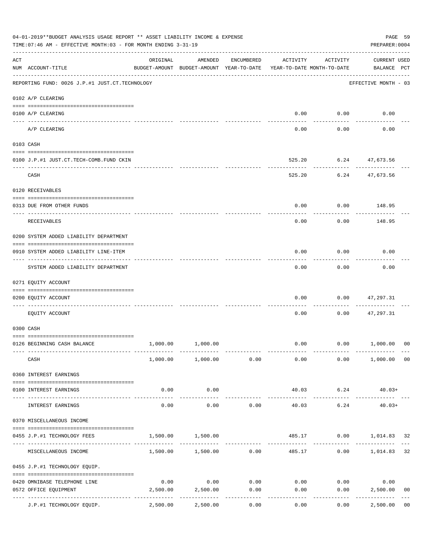|     | 04-01-2019**BUDGET ANALYSIS USAGE REPORT ** ASSET LIABILITY INCOME & EXPENSE<br>TIME: 07:46 AM - EFFECTIVE MONTH: 03 - FOR MONTH ENDING 3-31-19<br>PREPARER: 0004 |                                        |                                                                                |            |                        |                    |                             |                |  |  |
|-----|-------------------------------------------------------------------------------------------------------------------------------------------------------------------|----------------------------------------|--------------------------------------------------------------------------------|------------|------------------------|--------------------|-----------------------------|----------------|--|--|
| ACT | NUM ACCOUNT-TITLE                                                                                                                                                 | ORIGINAL                               | AMENDED<br>BUDGET-AMOUNT BUDGET-AMOUNT YEAR-TO-DATE YEAR-TO-DATE MONTH-TO-DATE | ENCUMBERED | ACTIVITY               | ACTIVITY           | CURRENT USED<br>BALANCE PCT |                |  |  |
|     | REPORTING FUND: 0026 J.P.#1 JUST.CT.TECHNOLOGY                                                                                                                    |                                        |                                                                                |            |                        |                    | EFFECTIVE MONTH - 03        |                |  |  |
|     | 0102 A/P CLEARING                                                                                                                                                 |                                        |                                                                                |            |                        |                    |                             |                |  |  |
|     | 0100 A/P CLEARING                                                                                                                                                 |                                        |                                                                                |            |                        | $0.00$ $0.00$      | 0.00                        |                |  |  |
|     | A/P CLEARING                                                                                                                                                      |                                        |                                                                                |            | 0.00                   | 0.00               | 0.00                        |                |  |  |
|     | 0103 CASH                                                                                                                                                         |                                        |                                                                                |            |                        |                    |                             |                |  |  |
|     | 0100 J.P.#1 JUST.CT.TECH-COMB.FUND CKIN                                                                                                                           |                                        |                                                                                |            | 525.20                 |                    | 6.24 47,673.56              |                |  |  |
|     | CASH                                                                                                                                                              |                                        |                                                                                |            | 525.20                 | ----------         | 6.24 47,673.56              |                |  |  |
|     | 0120 RECEIVABLES                                                                                                                                                  |                                        |                                                                                |            |                        |                    |                             |                |  |  |
|     | 0313 DUE FROM OTHER FUNDS                                                                                                                                         |                                        |                                                                                |            | 0.00                   |                    | $0.00$ 148.95               |                |  |  |
|     | RECEIVABLES                                                                                                                                                       |                                        |                                                                                |            | 0.00                   | 0.00               | 148.95                      |                |  |  |
|     | 0200 SYSTEM ADDED LIABILITY DEPARTMENT                                                                                                                            |                                        |                                                                                |            |                        |                    |                             |                |  |  |
|     | 0910 SYSTEM ADDED LIABILITY LINE-ITEM                                                                                                                             |                                        |                                                                                |            | 0.00                   | 0.00               | 0.00                        |                |  |  |
|     | SYSTEM ADDED LIABILITY DEPARTMENT                                                                                                                                 |                                        |                                                                                |            | 0.00                   | .<br>0.00          | 0.00                        |                |  |  |
|     | 0271 EQUITY ACCOUNT                                                                                                                                               |                                        |                                                                                |            |                        |                    |                             |                |  |  |
|     | 0200 EQUITY ACCOUNT                                                                                                                                               |                                        |                                                                                |            | 0.00                   | 0.00               | 47,297.31                   |                |  |  |
|     | EOUITY ACCOUNT                                                                                                                                                    |                                        |                                                                                |            | 0.00                   | 0.00               | 47,297.31                   |                |  |  |
|     | 0300 CASH                                                                                                                                                         |                                        |                                                                                |            |                        |                    |                             |                |  |  |
|     | 0126 BEGINNING CASH BALANCE                                                                                                                                       | 1,000.00                               | 1,000.00                                                                       |            |                        |                    | $0.00$ $0.00$ $1,000.00$    | 00             |  |  |
|     | CASH                                                                                                                                                              |                                        | 1,000.00 1,000.00 0.00                                                         |            | 0.00                   |                    | $0.00$ 1,000.00 00          |                |  |  |
|     | 0360 INTEREST EARNINGS                                                                                                                                            |                                        |                                                                                |            |                        |                    |                             |                |  |  |
|     | 0100 INTEREST EARNINGS                                                                                                                                            | 0.00                                   | 0.00                                                                           |            | 40.03                  | 6.24               | $40.03+$                    |                |  |  |
|     | INTEREST EARNINGS                                                                                                                                                 | ------------<br>0.00                   | -----------<br>0.00                                                            | 0.00       | -------------<br>40.03 | ----------<br>6.24 | $40.03+$                    |                |  |  |
|     | 0370 MISCELLANEOUS INCOME                                                                                                                                         |                                        |                                                                                |            |                        |                    |                             |                |  |  |
|     | 0455 J.P.#1 TECHNOLOGY FEES                                                                                                                                       | 1,500.00                               | 1,500.00                                                                       |            |                        |                    | 485.17 0.00 1,014.83 32     |                |  |  |
|     | MISCELLANEOUS INCOME                                                                                                                                              |                                        | 1,500.00 1,500.00 0.00                                                         |            |                        | 485.17             | $0.00$ 1,014.83             | 32             |  |  |
|     | 0455 J.P.#1 TECHNOLOGY EQUIP.                                                                                                                                     |                                        |                                                                                |            |                        |                    |                             |                |  |  |
|     | 0420 OMNIBASE TELEPHONE LINE                                                                                                                                      | 0.00                                   | 0.00                                                                           | 0.00       |                        | $0.00$ 0.00        | 0.00                        |                |  |  |
|     | 0572 OFFICE EQUIPMENT                                                                                                                                             | 2,500.00                               | 2,500.00                                                                       | 0.00       | 0.00                   | 0.00               | 2,500.00                    | 0 <sub>0</sub> |  |  |
|     | J.P.#1 TECHNOLOGY EQUIP.                                                                                                                                          | ------------ -------------<br>2,500.00 | 2,500.00                                                                       | 0.00       | 0.00                   | 0.00               | 2,500.00                    | 0 <sub>0</sub> |  |  |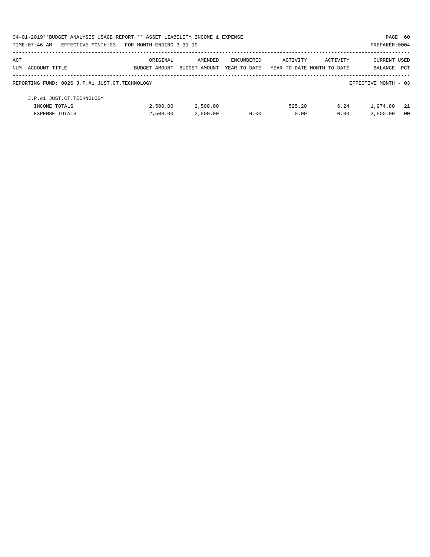|     | 04-01-2019**BUDGET ANALYSIS USAGE REPORT ** ASSET LIABILITY INCOME & EXPENSE |               |               |              |                            |          | PAGE 60              |            |
|-----|------------------------------------------------------------------------------|---------------|---------------|--------------|----------------------------|----------|----------------------|------------|
|     | TIME: 07:46 AM - EFFECTIVE MONTH: 03 - FOR MONTH ENDING 3-31-19              |               |               |              |                            |          | PREPARER: 0004       |            |
| ACT |                                                                              | ORIGINAL      | AMENDED       | ENCUMBERED   | ACTIVITY                   | ACTIVITY | <b>CURRENT USED</b>  |            |
|     | NUM ACCOUNT-TITLE                                                            | BUDGET-AMOUNT | BUDGET-AMOUNT | YEAR-TO-DATE | YEAR-TO-DATE MONTH-TO-DATE |          | <b>BALANCE</b>       | <b>PCT</b> |
|     | REPORTING FUND: 0026 J.P.#1 JUST.CT.TECHNOLOGY                               |               |               |              |                            |          | EFFECTIVE MONTH - 03 |            |
|     | J.P.#1 JUST.CT.TECHNOLOGY                                                    |               |               |              |                            |          |                      |            |
|     | INCOME TOTALS                                                                | 2,500.00      | 2,500.00      |              | 525.20                     | 6.24     | 1,974.80             | - 21       |
|     | <b>EXPENSE TOTALS</b>                                                        | 2.500.00      | 2,500.00      | 0.00         | 0.00                       | 0.00     | 2,500.00             | - 00       |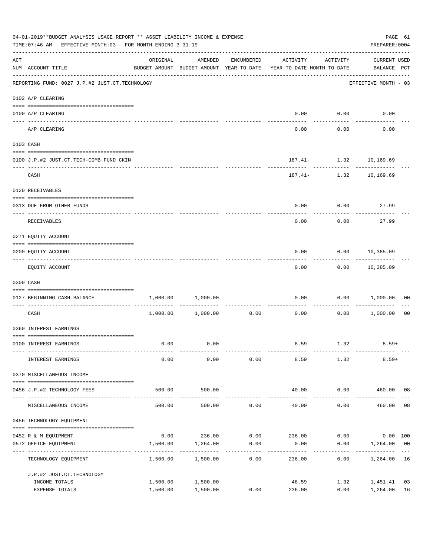|                    | 04-01-2019**BUDGET ANALYSIS USAGE REPORT ** ASSET LIABILITY INCOME & EXPENSE<br>TIME: 07:46 AM - EFFECTIVE MONTH: 03 - FOR MONTH ENDING 3-31-19 |                      |                      |                     |                                                                                 |                      |                                    |                |  |  |  |
|--------------------|-------------------------------------------------------------------------------------------------------------------------------------------------|----------------------|----------------------|---------------------|---------------------------------------------------------------------------------|----------------------|------------------------------------|----------------|--|--|--|
| $\mathop{\rm ACT}$ | NUM ACCOUNT-TITLE                                                                                                                               | ORIGINAL             | AMENDED              | ENCUMBERED          | ACTIVITY<br>BUDGET-AMOUNT BUDGET-AMOUNT YEAR-TO-DATE YEAR-TO-DATE MONTH-TO-DATE | ACTIVITY             | <b>CURRENT USED</b><br>BALANCE PCT |                |  |  |  |
|                    | -------------------------------------<br>REPORTING FUND: 0027 J.P.#2 JUST.CT.TECHNOLOGY                                                         |                      |                      |                     |                                                                                 |                      | EFFECTIVE MONTH - 03               |                |  |  |  |
|                    | 0102 A/P CLEARING                                                                                                                               |                      |                      |                     |                                                                                 |                      |                                    |                |  |  |  |
|                    | 0100 A/P CLEARING                                                                                                                               |                      |                      |                     | 0.00                                                                            | 0.00                 | 0.00                               |                |  |  |  |
|                    | ---- -------<br>A/P CLEARING                                                                                                                    |                      |                      |                     | 0.00                                                                            | 0.00                 | 0.00                               |                |  |  |  |
|                    | 0103 CASH                                                                                                                                       |                      |                      |                     |                                                                                 |                      |                                    |                |  |  |  |
|                    | 0100 J.P.#2 JUST.CT.TECH-COMB.FUND CKIN                                                                                                         |                      |                      |                     |                                                                                 |                      | 187.41- 1.32 10,169.69             |                |  |  |  |
|                    | CASH                                                                                                                                            |                      |                      |                     |                                                                                 | ------------         | 187.41- 1.32 10,169.69             |                |  |  |  |
|                    | 0120 RECEIVABLES                                                                                                                                |                      |                      |                     |                                                                                 |                      |                                    |                |  |  |  |
|                    | 0313 DUE FROM OTHER FUNDS                                                                                                                       |                      |                      |                     | 0.00                                                                            | 0.00                 | 27.99                              |                |  |  |  |
|                    | RECEIVABLES                                                                                                                                     |                      |                      |                     | 0.00                                                                            | 0.00                 | 27.99                              |                |  |  |  |
|                    | 0271 EQUITY ACCOUNT                                                                                                                             |                      |                      |                     |                                                                                 |                      |                                    |                |  |  |  |
|                    | 0200 EQUITY ACCOUNT                                                                                                                             |                      |                      |                     | 0.00                                                                            |                      | $0.00$ 10,385.09                   |                |  |  |  |
|                    | EQUITY ACCOUNT                                                                                                                                  |                      |                      |                     | 0.00                                                                            |                      | -----------<br>$0.00$ 10,385.09    |                |  |  |  |
|                    | 0300 CASH                                                                                                                                       |                      |                      |                     |                                                                                 |                      |                                    |                |  |  |  |
|                    | 0127 BEGINNING CASH BALANCE                                                                                                                     | 1,000.00             | 1,000.00             |                     | 0.00                                                                            | 0.00                 | 1,000.00                           | 00             |  |  |  |
|                    | CASH                                                                                                                                            |                      | 1,000.00 1,000.00    | 0.00                | ------------ -------------<br>0.00                                              | ----------<br>0.00   | 1,000.00                           | 0 <sub>0</sub> |  |  |  |
|                    | 0360 INTEREST EARNINGS                                                                                                                          |                      |                      |                     |                                                                                 |                      |                                    |                |  |  |  |
|                    | 0100 INTEREST EARNINGS                                                                                                                          | 0.00                 | 0.00                 |                     |                                                                                 | 8.59 1.32            | $8.59+$                            |                |  |  |  |
|                    | INTEREST EARNINGS                                                                                                                               | 0.00                 | 0.00                 | 0.00                | 8.59                                                                            | 1.32                 | $8.59+$                            |                |  |  |  |
|                    | 0370 MISCELLANEOUS INCOME                                                                                                                       |                      |                      |                     |                                                                                 |                      |                                    |                |  |  |  |
|                    | 0456 J.P.#2 TECHNOLOGY FEES                                                                                                                     | 500.00               | 500.00               |                     | 40.00                                                                           |                      | $0.00$ 460.00 08                   |                |  |  |  |
|                    | MISCELLANEOUS INCOME                                                                                                                            | 500.00               | 500.00               | 0.00                | ______________<br>40.00                                                         | ------------<br>0.00 | 460.00                             | 08             |  |  |  |
|                    | 0456 TECHNOLOGY EQUIPMENT                                                                                                                       |                      |                      |                     |                                                                                 |                      |                                    |                |  |  |  |
|                    | 0452 R & M EQUIPMENT                                                                                                                            |                      |                      |                     | $0.00$ 236.00 0.00 236.00                                                       |                      | $0.00$ $0.00$ $100$                |                |  |  |  |
|                    | 0572 OFFICE EQUIPMENT<br>---------------------                                                                                                  | 1,500.00             | 1,264.00             | 0.00<br>----------- | 0.00                                                                            | 0.00                 | 1,264.00 00                        |                |  |  |  |
|                    | TECHNOLOGY EQUIPMENT                                                                                                                            | 1,500.00             | 1,500.00             | 0.00                | 236.00                                                                          | 0.00                 | 1,264.00 16                        |                |  |  |  |
|                    | J.P.#2 JUST.CT.TECHNOLOGY                                                                                                                       |                      |                      |                     |                                                                                 |                      |                                    |                |  |  |  |
|                    | INCOME TOTALS<br>EXPENSE TOTALS                                                                                                                 | 1,500.00<br>1,500.00 | 1,500.00<br>1,500.00 | 0.00                | 48.59<br>236.00                                                                 | 1.32<br>0.00         | 1,451.41<br>1,264.00               | 03<br>16       |  |  |  |
|                    |                                                                                                                                                 |                      |                      |                     |                                                                                 |                      |                                    |                |  |  |  |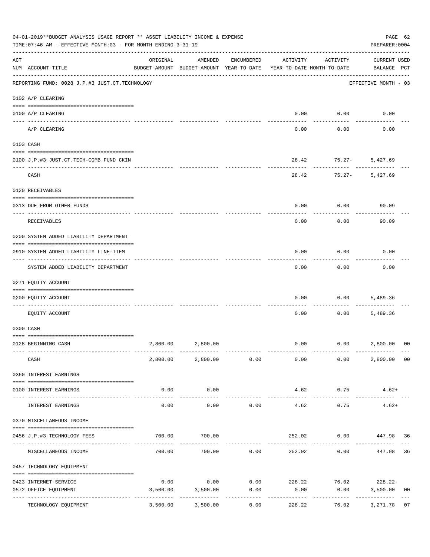|                    | 04-01-2019**BUDGET ANALYSIS USAGE REPORT ** ASSET LIABILITY INCOME & EXPENSE<br>TIME: 07:46 AM - EFFECTIVE MONTH: 03 - FOR MONTH ENDING 3-31-19 |                                                      |                        |                     |                                        |                     | PAGE 62<br>PREPARER: 0004                       |                |
|--------------------|-------------------------------------------------------------------------------------------------------------------------------------------------|------------------------------------------------------|------------------------|---------------------|----------------------------------------|---------------------|-------------------------------------------------|----------------|
| $\mathop{\rm ACT}$ | NUM ACCOUNT-TITLE                                                                                                                               | ORIGINAL<br>BUDGET-AMOUNT BUDGET-AMOUNT YEAR-TO-DATE | AMENDED                | ENCUMBERED          | ACTIVITY<br>YEAR-TO-DATE MONTH-TO-DATE | ACTIVITY            | <b>CURRENT USED</b><br>BALANCE PCT              |                |
|                    | REPORTING FUND: 0028 J.P.#3 JUST.CT.TECHNOLOGY                                                                                                  |                                                      |                        |                     |                                        |                     | EFFECTIVE MONTH - 03                            |                |
|                    | 0102 A/P CLEARING                                                                                                                               |                                                      |                        |                     |                                        |                     |                                                 |                |
|                    | 0100 A/P CLEARING<br>---- --------                                                                                                              |                                                      |                        |                     | 0.00                                   | 0.00                | 0.00                                            |                |
|                    | A/P CLEARING                                                                                                                                    |                                                      |                        |                     | 0.00                                   | 0.00                | 0.00                                            |                |
|                    | 0103 CASH                                                                                                                                       |                                                      |                        |                     |                                        |                     |                                                 |                |
|                    | 0100 J.P.#3 JUST.CT.TECH-COMB.FUND CKIN                                                                                                         |                                                      |                        |                     | 28.42                                  | $75.27 -$           | 5,427.69                                        |                |
|                    | CASH                                                                                                                                            |                                                      |                        |                     | 28.42                                  | $75.27 -$           | 5,427.69                                        |                |
|                    | 0120 RECEIVABLES                                                                                                                                |                                                      |                        |                     |                                        |                     |                                                 |                |
|                    | 0313 DUE FROM OTHER FUNDS                                                                                                                       |                                                      |                        |                     | 0.00                                   | 0.00                | 90.09                                           |                |
|                    | RECEIVABLES                                                                                                                                     |                                                      |                        |                     | 0.00                                   | 0.00                | 90.09                                           |                |
|                    | 0200 SYSTEM ADDED LIABILITY DEPARTMENT                                                                                                          |                                                      |                        |                     |                                        |                     |                                                 |                |
|                    | 0910 SYSTEM ADDED LIABILITY LINE-ITEM                                                                                                           |                                                      |                        |                     | 0.00                                   | 0.00                | 0.00                                            |                |
|                    | SYSTEM ADDED LIABILITY DEPARTMENT                                                                                                               |                                                      |                        |                     | 0.00                                   | 0.00                | 0.00                                            |                |
|                    | 0271 EQUITY ACCOUNT                                                                                                                             |                                                      |                        |                     |                                        |                     |                                                 |                |
|                    | 0200 EQUITY ACCOUNT                                                                                                                             |                                                      |                        |                     | 0.00                                   | 0.00                | 5,489.36                                        |                |
|                    | EQUITY ACCOUNT                                                                                                                                  |                                                      |                        |                     | 0.00                                   | 0.00                | 5,489.36                                        |                |
|                    | 0300 CASH                                                                                                                                       |                                                      |                        |                     |                                        |                     |                                                 |                |
|                    | 0128 BEGINNING CASH                                                                                                                             |                                                      | 2,800.00 2,800.00      |                     |                                        |                     | $0.00$ $0.00$ $2,800.00$                        | 00             |
|                    | CASH                                                                                                                                            |                                                      | 2,800.00 2,800.00 0.00 |                     | 0.00                                   |                     | 2,800.00 00<br>0.00                             |                |
|                    | 0360 INTEREST EARNINGS                                                                                                                          |                                                      |                        |                     |                                        |                     |                                                 |                |
|                    | 0100 INTEREST EARNINGS                                                                                                                          | 0.00                                                 | 0.00<br>-----------    |                     | 4.62<br>______________                 | 0.75<br>----------- | $4.62+$                                         |                |
|                    | INTEREST EARNINGS                                                                                                                               | 0.00                                                 | 0.00                   | 0.00                | 4.62                                   | 0.75                | $4.62+$                                         |                |
|                    | 0370 MISCELLANEOUS INCOME                                                                                                                       |                                                      |                        |                     |                                        |                     |                                                 |                |
|                    | 0456 J.P.#3 TECHNOLOGY FEES                                                                                                                     | 700.00                                               | 700.00                 |                     |                                        |                     | 252.02 0.00 447.98 36                           |                |
|                    | MISCELLANEOUS INCOME                                                                                                                            |                                                      | 700.00 700.00 0.00     |                     |                                        | 252.02<br>0.00      | 447.98                                          | 36             |
|                    | 0457 TECHNOLOGY EQUIPMENT                                                                                                                       |                                                      |                        |                     |                                        |                     |                                                 |                |
|                    | 0423 INTERNET SERVICE                                                                                                                           | 0.00                                                 |                        |                     |                                        |                     | $0.00$ $0.00$ $228.22$ $76.02$ $228.22$ $10.00$ |                |
|                    | 0572 OFFICE EQUIPMENT<br>----------------- -------------                                                                                        | 3,500.00                                             | 3,500.00               | 0.00<br>----------- | 0.00                                   | 0.00<br>----------  | 3,500.00                                        | 0 <sub>0</sub> |
|                    | TECHNOLOGY EQUIPMENT                                                                                                                            | 3,500.00                                             | 3,500.00               | 0.00                | 228.22                                 | 76.02               | 3,271.78                                        | 07             |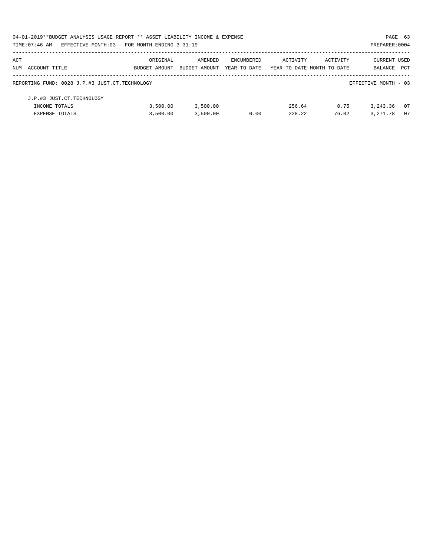| 04-01-2019**BUDGET ANALYSIS USAGE REPORT ** ASSET LIABILITY INCOME & EXPENSE |               |               |              |                            |          | PAGE 63              |            |
|------------------------------------------------------------------------------|---------------|---------------|--------------|----------------------------|----------|----------------------|------------|
| TIME: 07:46 AM - EFFECTIVE MONTH: 03 - FOR MONTH ENDING $3-31-19$            |               |               |              |                            |          | PREPARER: 0004       |            |
| ACT                                                                          | ORIGINAL      | AMENDED       | ENCUMBERED   | ACTIVITY                   | ACTIVITY | CURRENT USED         |            |
| NUM ACCOUNT-TITLE                                                            | BUDGET-AMOUNT | BUDGET-AMOUNT | YEAR-TO-DATE | YEAR-TO-DATE MONTH-TO-DATE |          | BALANCE              | <b>PCT</b> |
| REPORTING FUND: 0028 J.P.#3 JUST.CT.TECHNOLOGY                               |               |               |              |                            |          | EFFECTIVE MONTH - 03 |            |
| J.P.#3 JUST.CT.TECHNOLOGY                                                    |               |               |              |                            |          |                      |            |
| INCOME TOTALS                                                                | 3.500.00      | 3,500.00      |              | 256.64                     | 0.75     | 3, 243, 36           | - 07       |
| <b>EXPENSE TOTALS</b>                                                        | 3,500.00      | 3,500.00      | 0.00         | 2.28.22                    | 76.02    | 3, 271, 78           | 07         |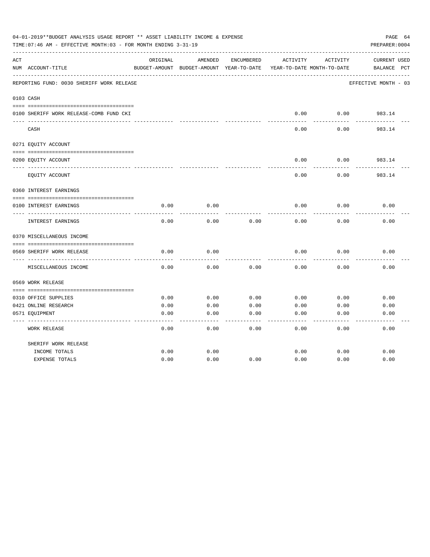|     | 04-01-2019**BUDGET ANALYSIS USAGE REPORT ** ASSET LIABILITY INCOME & EXPENSE<br>TIME:07:46 AM - EFFECTIVE MONTH:03 - FOR MONTH ENDING 3-31-19 |              |                                                     |              |              |                                        | PAGE 64<br>PREPARER: 0004   |
|-----|-----------------------------------------------------------------------------------------------------------------------------------------------|--------------|-----------------------------------------------------|--------------|--------------|----------------------------------------|-----------------------------|
| ACT | NUM ACCOUNT-TITLE                                                                                                                             | ORIGINAL     | AMENDED<br>BUDGET-AMOUNT BUDGET-AMOUNT YEAR-TO-DATE | ENCUMBERED   | ACTIVITY     | ACTIVITY<br>YEAR-TO-DATE MONTH-TO-DATE | CURRENT USED<br>BALANCE PCT |
|     | REPORTING FUND: 0030 SHERIFF WORK RELEASE                                                                                                     |              |                                                     |              |              |                                        | EFFECTIVE MONTH - 03        |
|     | 0103 CASH                                                                                                                                     |              |                                                     |              |              |                                        |                             |
|     | 0100 SHERIFF WORK RELEASE-COMB FUND CKI                                                                                                       |              |                                                     |              | 0.00         | 0.00                                   | 983.14<br>-------           |
|     | CASH                                                                                                                                          |              |                                                     |              | 0.00         | 0.00                                   | 983.14                      |
|     | 0271 EQUITY ACCOUNT                                                                                                                           |              |                                                     |              |              |                                        |                             |
|     | 0200 EQUITY ACCOUNT                                                                                                                           |              |                                                     |              | 0.00         | 0.00                                   | 983.14                      |
|     | EQUITY ACCOUNT                                                                                                                                |              |                                                     |              | 0.00         | 0.00                                   | 983.14                      |
|     | 0360 INTEREST EARNINGS                                                                                                                        |              |                                                     |              |              |                                        |                             |
|     | 0100 INTEREST EARNINGS                                                                                                                        | 0.00         | 0.00                                                |              | 0.00         | 0.00                                   | 0.00                        |
|     | INTEREST EARNINGS                                                                                                                             | 0.00         | 0.00                                                | 0.00         | 0.00         | 0.00                                   | 0.00                        |
|     | 0370 MISCELLANEOUS INCOME                                                                                                                     |              |                                                     |              |              |                                        |                             |
|     | 0569 SHERIFF WORK RELEASE                                                                                                                     | 0.00         | 0.00                                                |              | 0.00         | 0.00                                   | 0.00                        |
|     | MISCELLANEOUS INCOME                                                                                                                          | 0.00         | 0.00                                                | 0.00         | 0.00         | 0.00                                   | 0.00                        |
|     | 0569 WORK RELEASE                                                                                                                             |              |                                                     |              |              |                                        |                             |
|     |                                                                                                                                               |              |                                                     |              |              |                                        |                             |
|     | 0310 OFFICE SUPPLIES                                                                                                                          | 0.00         | 0.00                                                | 0.00         | 0.00         | 0.00                                   | 0.00                        |
|     | 0421 ONLINE RESEARCH<br>0571 EQUIPMENT                                                                                                        | 0.00<br>0.00 | 0.00<br>0.00                                        | 0.00<br>0.00 | 0.00<br>0.00 | 0.00<br>0.00                           | 0.00<br>0.00                |
|     | <b>WORK RELEASE</b>                                                                                                                           | 0.00         | 0.00                                                | 0.00         | 0.00         | 0.00                                   | 0.00                        |
|     | SHERIFF WORK RELEASE                                                                                                                          |              |                                                     |              |              |                                        |                             |
|     | INCOME TOTALS                                                                                                                                 | 0.00         | 0.00                                                |              | 0.00         | 0.00                                   | 0.00                        |
|     | <b>EXPENSE TOTALS</b>                                                                                                                         | 0.00         | 0.00                                                | 0.00         | 0.00         | 0.00                                   | 0.00                        |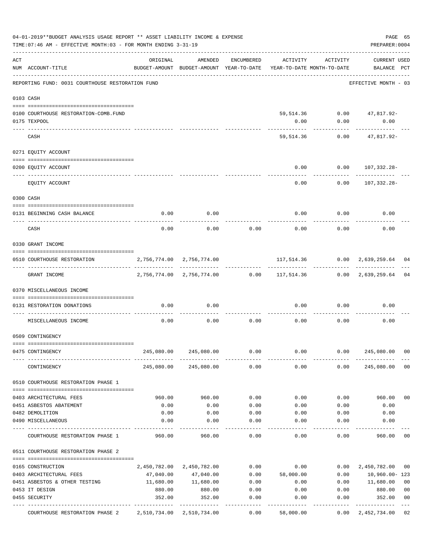|     | 04-01-2019**BUDGET ANALYSIS USAGE REPORT ** ASSET LIABILITY INCOME & EXPENSE<br>TIME: 07:46 AM - EFFECTIVE MONTH: 03 - FOR MONTH ENDING 3-31-19 |                                                                                 |                           |              |                                                             |              | PAGE 65<br>PREPARER: 0004    |                |
|-----|-------------------------------------------------------------------------------------------------------------------------------------------------|---------------------------------------------------------------------------------|---------------------------|--------------|-------------------------------------------------------------|--------------|------------------------------|----------------|
| ACT | NUM ACCOUNT-TITLE                                                                                                                               | ORIGINAL<br>BUDGET-AMOUNT BUDGET-AMOUNT YEAR-TO-DATE YEAR-TO-DATE MONTH-TO-DATE | AMENDED                   | ENCUMBERED   | ACTIVITY                                                    | ACTIVITY     | CURRENT USED<br>BALANCE PCT  |                |
|     | REPORTING FUND: 0031 COURTHOUSE RESTORATION FUND                                                                                                |                                                                                 |                           |              |                                                             |              | EFFECTIVE MONTH - 03         |                |
|     | 0103 CASH                                                                                                                                       |                                                                                 |                           |              |                                                             |              |                              |                |
|     | 0100 COURTHOUSE RESTORATION-COMB.FUND                                                                                                           |                                                                                 |                           |              |                                                             |              | 59,514.36 0.00 47,817.92-    |                |
|     | 0175 TEXPOOL                                                                                                                                    |                                                                                 |                           |              | 0.00                                                        | 0.00         | 0.00                         |                |
|     | CASH                                                                                                                                            |                                                                                 |                           |              | 59,514.36                                                   | 0.00         | 47,817.92-                   |                |
|     | 0271 EQUITY ACCOUNT                                                                                                                             |                                                                                 |                           |              |                                                             |              |                              |                |
|     | 0200 EQUITY ACCOUNT                                                                                                                             |                                                                                 |                           |              | 0.00                                                        |              | $0.00 107,332.28-$           |                |
|     | EQUITY ACCOUNT                                                                                                                                  |                                                                                 |                           |              | 0.00                                                        | 0.00         | 107,332.28-                  |                |
|     | 0300 CASH                                                                                                                                       |                                                                                 |                           |              |                                                             |              |                              |                |
|     |                                                                                                                                                 |                                                                                 |                           |              |                                                             |              |                              |                |
|     | 0131 BEGINNING CASH BALANCE<br>------------------------- --                                                                                     | 0.00                                                                            | 0.00                      |              | 0.00                                                        | 0.00         | 0.00                         |                |
|     | CASH                                                                                                                                            | 0.00                                                                            | 0.00                      | 0.00         | 0.00                                                        | 0.00         | 0.00                         |                |
|     | 0330 GRANT INCOME                                                                                                                               |                                                                                 |                           |              |                                                             |              |                              |                |
|     | 0510 COURTHOUSE RESTORATION                                                                                                                     | 2,756,774.00 2,756,774.00                                                       |                           |              |                                                             |              | 117,514.36 0.00 2,639,259.64 | 04             |
|     | GRANT INCOME                                                                                                                                    |                                                                                 |                           |              | 2,756,774.00 2,756,774.00 0.00 117,514.36 0.00 2,639,259.64 |              |                              | 04             |
|     | 0370 MISCELLANEOUS INCOME                                                                                                                       |                                                                                 |                           |              |                                                             |              |                              |                |
|     | 0131 RESTORATION DONATIONS                                                                                                                      | 0.00                                                                            | 0.00                      |              | 0.00                                                        | 0.00         | 0.00                         |                |
|     | MISCELLANEOUS INCOME                                                                                                                            | 0.00                                                                            | 0.00                      | 0.00         | 0.00                                                        | 0.00         | 0.00                         |                |
|     | 0509 CONTINGENCY                                                                                                                                |                                                                                 |                           |              |                                                             |              |                              |                |
|     | 0475 CONTINGENCY                                                                                                                                | 245,080.00                                                                      | 245,080.00                | 0.00         | 0.00                                                        | 0.00         | 245,080.00                   | 0 <sub>0</sub> |
|     | CONTINGENCY                                                                                                                                     |                                                                                 | 245,080.00 245,080.00     | 0.00         | 0.00                                                        | 0.00         | 245,080.00                   | 0 <sub>0</sub> |
|     | 0510 COURTHOUSE RESTORATION PHASE 1                                                                                                             |                                                                                 |                           |              |                                                             |              |                              |                |
|     |                                                                                                                                                 |                                                                                 |                           |              |                                                             |              |                              |                |
|     | 0403 ARCHITECTURAL FEES                                                                                                                         | 960.00                                                                          | 960.00                    | 0.00         | 0.00                                                        | 0.00         | 960.00                       | 0 <sub>0</sub> |
|     | 0451 ASBESTOS ABATEMENT<br>0482 DEMOLITION                                                                                                      | 0.00                                                                            | 0.00                      | 0.00         | 0.00                                                        | 0.00         | 0.00<br>0.00                 |                |
|     | 0490 MISCELLANEOUS                                                                                                                              | 0.00<br>0.00                                                                    | 0.00<br>0.00              | 0.00<br>0.00 | 0.00<br>0.00                                                | 0.00<br>0.00 | 0.00                         |                |
|     | COURTHOUSE RESTORATION PHASE 1                                                                                                                  | 960.00                                                                          | 960.00                    | 0.00         | 0.00                                                        | 0.00         | 960.00                       | 00             |
|     | 0511 COURTHOUSE RESTORATION PHASE 2                                                                                                             |                                                                                 |                           |              |                                                             |              |                              |                |
|     |                                                                                                                                                 |                                                                                 |                           |              |                                                             |              |                              |                |
|     | 0165 CONSTRUCTION                                                                                                                               |                                                                                 | 2,450,782.00 2,450,782.00 | 0.00         | 0.00                                                        | 0.00         | 2,450,782.00                 | 00             |
|     | 0403 ARCHITECTURAL FEES                                                                                                                         | 47,040.00<br>11,680.00                                                          | 47,040.00<br>11,680.00    | 0.00<br>0.00 | 58,000.00                                                   | 0.00         | 10,960.00-123                | 0 <sub>0</sub> |
|     | 0451 ASBESTOS & OTHER TESTING<br>0453 IT DESIGN                                                                                                 | 880.00                                                                          | 880.00                    | 0.00         | 0.00<br>0.00                                                | 0.00<br>0.00 | 11,680.00<br>880.00          | 0 <sub>0</sub> |
|     | 0455 SECURITY                                                                                                                                   | 352.00                                                                          | 352.00                    | 0.00         | 0.00                                                        | 0.00         | 352.00                       | 0 <sub>0</sub> |
|     | COURTHOUSE RESTORATION PHASE 2 2,510,734.00 2,510,734.00                                                                                        |                                                                                 |                           | 0.00         | 58,000.00                                                   | 0.00         | 2,452,734.00                 | 02             |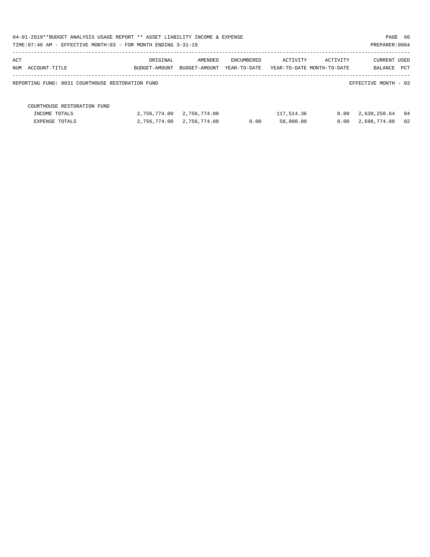| 04-01-2019**BUDGET ANALYSIS USAGE REPORT ** ASSET LIABILITY INCOME & EXPENSE |               |               |              |            |                            | PAGE 66              |    |
|------------------------------------------------------------------------------|---------------|---------------|--------------|------------|----------------------------|----------------------|----|
| TIME: 07:46 AM - EFFECTIVE MONTH: 03 - FOR MONTH ENDING 3-31-19              |               |               |              |            |                            | PREPARER: 0004       |    |
| ACT                                                                          | ORIGINAL      | AMENDED       | ENCUMBERED   | ACTIVITY   | ACTIVITY                   | CURRENT USED         |    |
| NUM ACCOUNT-TITLE                                                            | BUDGET-AMOUNT | BUDGET-AMOUNT | YEAR-TO-DATE |            | YEAR-TO-DATE MONTH-TO-DATE | BALANCE PCT          |    |
| REPORTING FUND: 0031 COURTHOUSE RESTORATION FUND                             |               |               |              |            |                            | EFFECTIVE MONTH - 03 |    |
| COURTHOUSE RESTORATION FUND                                                  |               |               |              |            |                            |                      |    |
| INCOME TOTALS                                                                | 2,756,774.00  | 2,756,774.00  |              | 117,514.36 | 0.00                       | 2,639,259.64         | 04 |
| <b>EXPENSE TOTALS</b>                                                        | 2,756,774.00  | 2,756,774.00  | 0.00         | 58,000.00  | 0.00                       | 2,698,774.00         | 02 |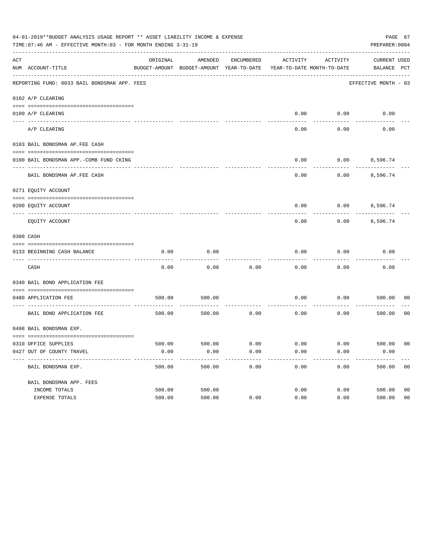|     | 04-01-2019**BUDGET ANALYSIS USAGE REPORT ** ASSET LIABILITY INCOME & EXPENSE<br>TIME: 07:46 AM - EFFECTIVE MONTH: 03 - FOR MONTH ENDING 3-31-19 |          |                                                     |            |                                        |          | PAGE 67<br>PREPARER: 0004          |                |
|-----|-------------------------------------------------------------------------------------------------------------------------------------------------|----------|-----------------------------------------------------|------------|----------------------------------------|----------|------------------------------------|----------------|
| ACT | NUM ACCOUNT-TITLE                                                                                                                               | ORIGINAL | AMENDED<br>BUDGET-AMOUNT BUDGET-AMOUNT YEAR-TO-DATE | ENCUMBERED | ACTIVITY<br>YEAR-TO-DATE MONTH-TO-DATE | ACTIVITY | <b>CURRENT USED</b><br>BALANCE PCT |                |
|     | REPORTING FUND: 0033 BAIL BONDSMAN APP. FEES                                                                                                    |          |                                                     |            |                                        |          | EFFECTIVE MONTH - 03               |                |
|     | 0102 A/P CLEARING                                                                                                                               |          |                                                     |            |                                        |          |                                    |                |
|     | 0100 A/P CLEARING                                                                                                                               |          |                                                     |            | 0.00                                   | 0.00     | 0.00                               |                |
|     | ---- --------<br>A/P CLEARING                                                                                                                   |          |                                                     |            | 0.00                                   | 0.00     | 0.00                               |                |
|     | 0103 BAIL BONDSMAN AP.FEE CASH                                                                                                                  |          |                                                     |            |                                        |          |                                    |                |
|     | 0100 BAIL BONDSMAN APP.-COMB FUND CKING                                                                                                         |          |                                                     |            | 0.00                                   | 0.00     | 8,596.74                           |                |
|     | BAIL BONDSMAN AP.FEE CASH                                                                                                                       |          |                                                     |            | 0.00                                   | 0.00     | 8,596.74                           |                |
|     | 0271 EQUITY ACCOUNT                                                                                                                             |          |                                                     |            |                                        |          |                                    |                |
|     | 0200 EQUITY ACCOUNT                                                                                                                             |          |                                                     |            | 0.00                                   |          | $0.00$ 8,596.74                    |                |
|     | EQUITY ACCOUNT                                                                                                                                  |          |                                                     |            | 0.00                                   | 0.00     | 8,596.74                           |                |
|     | 0300 CASH                                                                                                                                       |          |                                                     |            |                                        |          |                                    |                |
|     | 0133 BEGINNING CASH BALANCE                                                                                                                     | 0.00     | 0.00                                                |            | 0.00                                   | 0.00     | 0.00                               |                |
|     | CASH                                                                                                                                            | 0.00     | 0.00                                                | 0.00       | 0.00                                   | 0.00     | 0.00                               |                |
|     | 0340 BAIL BOND APPLICATION FEE                                                                                                                  |          |                                                     |            |                                        |          |                                    |                |
|     | 0480 APPLICATION FEE                                                                                                                            | 500.00   | 500.00                                              |            | 0.00                                   | 0.00     | 500.00                             | 00             |
|     | BAIL BOND APPLICATION FEE                                                                                                                       | 500.00   | 500.00                                              | 0.00       | 0.00                                   | 0.00     | 500.00                             | 0 <sub>0</sub> |
|     | 0498 BAIL BONDSMAN EXP.                                                                                                                         |          |                                                     |            |                                        |          |                                    |                |
|     | 0310 OFFICE SUPPLIES                                                                                                                            | 500.00   | 500.00 0.00                                         |            | $0.00$ $0.00$ $500.00$                 |          |                                    | 00             |
|     | 0427 OUT OF COUNTY TRAVEL                                                                                                                       | 0.00     | 0.00                                                | 0.00       | 0.00                                   | 0.00     | 0.00                               |                |
|     | BAIL BONDSMAN EXP.                                                                                                                              | 500.00   | 500.00                                              | 0.00       | 0.00                                   | 0.00     | 500.00                             | 0 <sub>0</sub> |
|     | BAIL BONDSMAN APP. FEES                                                                                                                         |          |                                                     |            |                                        |          |                                    |                |
|     | INCOME TOTALS                                                                                                                                   | 500.00   | 500.00                                              |            | 0.00                                   | 0.00     | 500.00                             | 0 <sub>0</sub> |
|     | EXPENSE TOTALS                                                                                                                                  | 500.00   | 500.00                                              | 0.00       | 0.00                                   | 0.00     | 500.00                             | 0 <sub>0</sub> |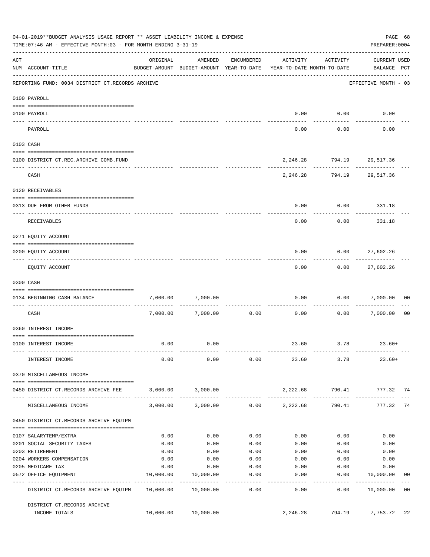|     | 04-01-2019**BUDGET ANALYSIS USAGE REPORT ** ASSET LIABILITY INCOME & EXPENSE<br>TIME: 07:46 AM - EFFECTIVE MONTH: 03 - FOR MONTH ENDING 3-31-19 |           |                                                                                |                    |                 |                                             | PAGE 68<br>PREPARER: 0004          |                |
|-----|-------------------------------------------------------------------------------------------------------------------------------------------------|-----------|--------------------------------------------------------------------------------|--------------------|-----------------|---------------------------------------------|------------------------------------|----------------|
| ACT | NUM ACCOUNT-TITLE                                                                                                                               | ORIGINAL  | AMENDED<br>BUDGET-AMOUNT BUDGET-AMOUNT YEAR-TO-DATE YEAR-TO-DATE MONTH-TO-DATE | ENCUMBERED         | ACTIVITY        | ACTIVITY                                    | <b>CURRENT USED</b><br>BALANCE PCT |                |
|     | REPORTING FUND: 0034 DISTRICT CT.RECORDS ARCHIVE                                                                                                |           |                                                                                |                    |                 |                                             | EFFECTIVE MONTH - 03               |                |
|     | 0100 PAYROLL                                                                                                                                    |           |                                                                                |                    |                 |                                             |                                    |                |
|     |                                                                                                                                                 |           |                                                                                |                    |                 |                                             |                                    |                |
|     | 0100 PAYROLL<br>---- -------                                                                                                                    |           |                                                                                |                    |                 | $0.00$ $0.00$                               | 0.00                               |                |
|     | PAYROLL                                                                                                                                         |           |                                                                                |                    | 0.00            | 0.00                                        | 0.00                               |                |
|     | 0103 CASH                                                                                                                                       |           |                                                                                |                    |                 |                                             |                                    |                |
|     | 0100 DISTRICT CT.REC.ARCHIVE COMB.FUND                                                                                                          |           |                                                                                |                    |                 | 2, 246.28 794.19 29, 517.36                 |                                    |                |
|     | CASH                                                                                                                                            |           |                                                                                |                    |                 | ------------<br>2, 246.28 794.19 29, 517.36 |                                    |                |
|     | 0120 RECEIVABLES                                                                                                                                |           |                                                                                |                    |                 |                                             |                                    |                |
|     | 0313 DUE FROM OTHER FUNDS                                                                                                                       |           |                                                                                |                    | 0.00            | $0.00$ 331.18                               |                                    |                |
|     | RECEIVABLES                                                                                                                                     |           |                                                                                |                    | 0.00            | 0.00                                        | 331.18                             |                |
|     | 0271 EQUITY ACCOUNT                                                                                                                             |           |                                                                                |                    |                 |                                             |                                    |                |
|     | 0200 EQUITY ACCOUNT                                                                                                                             |           |                                                                                |                    | 0.00            |                                             | $0.00$ 27,602.26                   |                |
|     | EQUITY ACCOUNT                                                                                                                                  |           |                                                                                |                    | 0.00            | ---------<br>0.00                           | -----------<br>27,602.26           |                |
|     | 0300 CASH                                                                                                                                       |           |                                                                                |                    |                 |                                             |                                    |                |
|     |                                                                                                                                                 |           |                                                                                |                    | 0.00            |                                             |                                    | 0 <sub>0</sub> |
|     | 0134 BEGINNING CASH BALANCE<br>----------------------------                                                                                     | 7,000.00  | 7,000.00                                                                       |                    |                 |                                             | 0.00 7,000.00                      |                |
|     | CASH                                                                                                                                            |           | 7,000.00 7,000.00                                                              | 0.00               | 0.00            |                                             | 0.00 7,000.00                      | 0 <sub>0</sub> |
|     | 0360 INTEREST INCOME                                                                                                                            |           |                                                                                |                    |                 |                                             |                                    |                |
|     | 0100 INTEREST INCOME                                                                                                                            | 0.00      | 0.00                                                                           |                    |                 | 23.60 3.78 23.60+                           |                                    |                |
|     | INTEREST INCOME                                                                                                                                 | 0.00      | 0.00                                                                           |                    |                 | $0.00$ 23.60 3.78                           | $23.60+$                           |                |
|     | 0370 MISCELLANEOUS INCOME                                                                                                                       |           |                                                                                |                    |                 |                                             |                                    |                |
|     | 0450 DISTRICT CT.RECORDS ARCHIVE FEE                                                                                                            |           | 3,000.00 3,000.00                                                              |                    |                 | 2,222.68 790.41 777.32 74                   |                                    |                |
|     | MISCELLANEOUS INCOME                                                                                                                            |           | $3,000.00$ $3,000.00$ $0.00$ $2,222.68$                                        |                    |                 | 790.41                                      | 777.32 74                          |                |
|     | 0450 DISTRICT CT.RECORDS ARCHIVE EQUIPM                                                                                                         |           |                                                                                |                    |                 |                                             |                                    |                |
|     | 0107 SALARYTEMP/EXTRA                                                                                                                           | 0.00      | 0.00                                                                           | 0.00               | 0.00            | 0.00                                        | 0.00                               |                |
|     | 0201 SOCIAL SECURITY TAXES                                                                                                                      | 0.00      | 0.00                                                                           | 0.00               | 0.00            | 0.00                                        | 0.00                               |                |
|     | 0203 RETIREMENT                                                                                                                                 | 0.00      | 0.00                                                                           | 0.00               | 0.00            | 0.00                                        | 0.00                               |                |
|     | 0204 WORKERS COMPENSATION                                                                                                                       | 0.00      | 0.00                                                                           | 0.00               | 0.00            | 0.00                                        | 0.00                               |                |
|     | 0205 MEDICARE TAX                                                                                                                               | 0.00      | 0.00                                                                           | 0.00               | 0.00            | 0.00                                        | 0.00                               |                |
|     | 0572 OFFICE EQUIPMENT                                                                                                                           | 10,000.00 | 10,000.00                                                                      | 0.00               | 0.00            | 0.00                                        | 10,000.00                          | 00             |
|     | -------------------- -------------<br>DISTRICT CT.RECORDS ARCHIVE EQUIPM 10,000.00 10,000.00                                                    |           | -------------                                                                  | . <u>.</u><br>0.00 | -------<br>0.00 | ---------<br>0.00                           | ------------<br>10,000.00          | 0 <sub>0</sub> |
|     | DISTRICT CT.RECORDS ARCHIVE                                                                                                                     |           |                                                                                |                    |                 |                                             |                                    |                |
|     | INCOME TOTALS                                                                                                                                   |           | 10,000.00 10,000.00                                                            |                    | 2,246.28        | 794.19                                      | 7,753.72                           | 22             |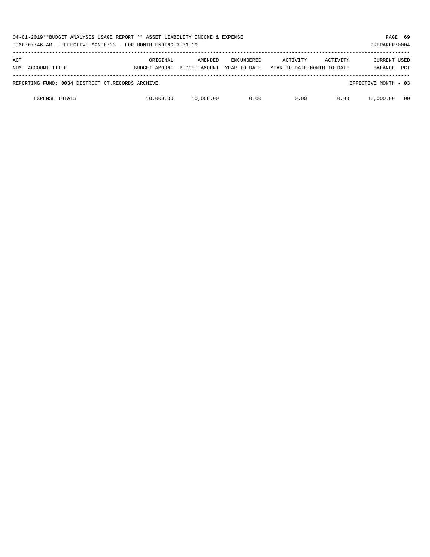| 04-01-2019**BUDGET ANALYSIS USAGE REPORT ** ASSET LIABILITY INCOME & EXPENSE<br>TIME: 07:46 AM - EFFECTIVE MONTH: 03 - FOR MONTH ENDING 3-31-19 |                           |                          |                                   |          |                                        |                                |            |  |
|-------------------------------------------------------------------------------------------------------------------------------------------------|---------------------------|--------------------------|-----------------------------------|----------|----------------------------------------|--------------------------------|------------|--|
| ACT<br>ACCOUNT-TITLE<br>NUM                                                                                                                     | ORIGINAL<br>BUDGET-AMOUNT | AMENDED<br>BUDGET-AMOUNT | <b>ENCUMBERED</b><br>YEAR-TO-DATE | ACTIVITY | ACTIVITY<br>YEAR-TO-DATE MONTH-TO-DATE | <b>CURRENT USED</b><br>BALANCE | <b>PCT</b> |  |
| REPORTING FUND: 0034 DISTRICT CT.RECORDS ARCHIVE                                                                                                |                           |                          |                                   |          |                                        | EFFECTIVE MONTH - 03           |            |  |
| <b>EXPENSE TOTALS</b>                                                                                                                           | 10,000.00                 | 10,000.00                | 0.00                              | 0.00     | 0.00                                   | 10,000.00                      | 00         |  |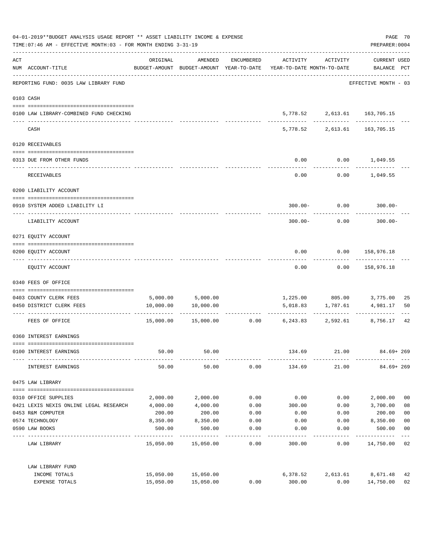|     | 04-01-2019**BUDGET ANALYSIS USAGE REPORT ** ASSET LIABILITY INCOME & EXPENSE<br>TIME: 07:46 AM - EFFECTIVE MONTH: 03 - FOR MONTH ENDING 3-31-19 |           |                      |            |                                                                                 |                                                            | PREPARER: 0004              | PAGE 70                 |
|-----|-------------------------------------------------------------------------------------------------------------------------------------------------|-----------|----------------------|------------|---------------------------------------------------------------------------------|------------------------------------------------------------|-----------------------------|-------------------------|
| ACT | NUM ACCOUNT-TITLE                                                                                                                               | ORIGINAL  | AMENDED              | ENCUMBERED | ACTIVITY<br>BUDGET-AMOUNT BUDGET-AMOUNT YEAR-TO-DATE YEAR-TO-DATE MONTH-TO-DATE | ACTIVITY                                                   | CURRENT USED<br>BALANCE PCT |                         |
|     | -----------------------------------<br>REPORTING FUND: 0035 LAW LIBRARY FUND                                                                    |           |                      |            |                                                                                 |                                                            | EFFECTIVE MONTH - 03        |                         |
|     | 0103 CASH                                                                                                                                       |           |                      |            |                                                                                 |                                                            |                             |                         |
|     | 0100 LAW LIBRARY-COMBINED FUND CHECKING                                                                                                         |           |                      |            |                                                                                 | 5,778.52 2,613.61 163,705.15                               |                             |                         |
|     | CASH                                                                                                                                            |           |                      |            |                                                                                 | ------------ -------------<br>5,778.52 2,613.61 163,705.15 |                             |                         |
|     | 0120 RECEIVABLES                                                                                                                                |           |                      |            |                                                                                 |                                                            |                             |                         |
|     | 0313 DUE FROM OTHER FUNDS                                                                                                                       |           |                      |            | 0.00                                                                            | $0.00$ 1,049.55                                            |                             |                         |
|     | RECEIVABLES                                                                                                                                     |           |                      |            | 0.00                                                                            |                                                            | $0.00$ 1,049.55             |                         |
|     | 0200 LIABILITY ACCOUNT                                                                                                                          |           |                      |            |                                                                                 |                                                            |                             |                         |
|     | 0910 SYSTEM ADDED LIABILITY LI                                                                                                                  |           |                      |            |                                                                                 | $300.00 - 0.00$                                            | $300.00 -$                  |                         |
|     | LIABILITY ACCOUNT                                                                                                                               |           |                      |            | $300.00 -$                                                                      | 0.00                                                       | $300.00 -$                  |                         |
|     | 0271 EQUITY ACCOUNT                                                                                                                             |           |                      |            |                                                                                 |                                                            |                             |                         |
|     | 0200 EQUITY ACCOUNT                                                                                                                             |           |                      |            | 0.00                                                                            | 0.00 158,976.18                                            |                             |                         |
|     | EQUITY ACCOUNT                                                                                                                                  |           |                      |            | 0.00                                                                            | 0.00                                                       | 158,976.18                  |                         |
|     | 0340 FEES OF OFFICE                                                                                                                             |           |                      |            |                                                                                 |                                                            |                             |                         |
|     | 0403 COUNTY CLERK FEES                                                                                                                          |           | 5,000.00 5,000.00    |            |                                                                                 |                                                            | 1,225.00 805.00 3,775.00    | 25                      |
|     | 0450 DISTRICT CLERK FEES                                                                                                                        | 10,000.00 | 10,000.00            |            |                                                                                 | 5,018.83 1,787.61                                          | 4,981.17                    | 50                      |
|     | FEES OF OFFICE                                                                                                                                  |           | 15,000.00  15,000.00 |            | $0.00$ 6,243.83 2,592.61                                                        | .                                                          | 8,756.17                    | 42                      |
|     | 0360 INTEREST EARNINGS                                                                                                                          |           |                      |            |                                                                                 |                                                            |                             |                         |
|     | 0100 INTEREST EARNINGS                                                                                                                          | 50.00     | 50.00                |            | 134.69                                                                          | 21.00                                                      | $84.69 + 269$               |                         |
|     | INTEREST EARNINGS                                                                                                                               | 50.00     | 50.00                | 0.00       | 134.69                                                                          | 21.00                                                      | $84.69 + 269$               |                         |
|     | 0475 LAW LIBRARY                                                                                                                                |           |                      |            |                                                                                 |                                                            |                             |                         |
|     | 0310 OFFICE SUPPLIES                                                                                                                            | 2,000.00  | 2,000.00             | 0.00       | 0.00                                                                            | 0.00                                                       | 2,000.00                    | 0 <sub>0</sub>          |
|     | 0421 LEXIS NEXIS ONLINE LEGAL RESEARCH                                                                                                          | 4,000.00  | 4,000.00             | 0.00       | 300.00                                                                          | 0.00                                                       | 3,700.00                    | 08                      |
|     | 0453 R&M COMPUTER                                                                                                                               | 200.00    | 200.00               | 0.00       | 0.00                                                                            | 0.00                                                       | 200.00                      | 0 <sub>0</sub>          |
|     | 0574 TECHNOLOGY                                                                                                                                 | 8,350.00  | 8,350.00             | 0.00       | 0.00                                                                            | 0.00                                                       | 8,350.00                    | 0 <sub>0</sub>          |
|     | 0590 LAW BOOKS                                                                                                                                  | 500.00    | 500.00               | 0.00       | 0.00                                                                            | 0.00                                                       | 500.00                      | 0 <sub>0</sub><br>$---$ |
|     | LAW LIBRARY                                                                                                                                     |           | 15,050.00 15,050.00  | 0.00       | 300.00                                                                          | 0.00                                                       | 14,750.00 02                |                         |
|     | LAW LIBRARY FUND                                                                                                                                |           |                      |            |                                                                                 |                                                            |                             |                         |
|     | INCOME TOTALS                                                                                                                                   |           | 15,050.00 15,050.00  |            | 6,378.52                                                                        | 2,613.61                                                   | 8,671.48                    | 42                      |
|     | EXPENSE TOTALS                                                                                                                                  | 15,050.00 | 15,050.00            | 0.00       | 300.00                                                                          | 0.00                                                       | 14,750.00                   | 02                      |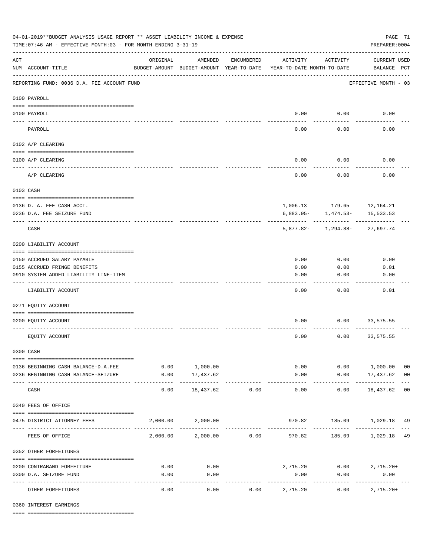| 04-01-2019**BUDGET ANALYSIS USAGE REPORT ** ASSET LIABILITY INCOME & EXPENSE<br>TIME: 07:46 AM - EFFECTIVE MONTH: 03 - FOR MONTH ENDING 3-31-19 |                                                         |                                                      |                            |               |                                        |                         | PAGE 71<br>PREPARER: 0004          |                |
|-------------------------------------------------------------------------------------------------------------------------------------------------|---------------------------------------------------------|------------------------------------------------------|----------------------------|---------------|----------------------------------------|-------------------------|------------------------------------|----------------|
| $\mathop{\rm ACT}$                                                                                                                              | NUM ACCOUNT-TITLE                                       | ORIGINAL<br>BUDGET-AMOUNT BUDGET-AMOUNT YEAR-TO-DATE | AMENDED                    | ENCUMBERED    | ACTIVITY<br>YEAR-TO-DATE MONTH-TO-DATE | ACTIVITY                | <b>CURRENT USED</b><br>BALANCE PCT |                |
|                                                                                                                                                 | REPORTING FUND: 0036 D.A. FEE ACCOUNT FUND              |                                                      |                            |               |                                        |                         | EFFECTIVE MONTH - 03               |                |
|                                                                                                                                                 | 0100 PAYROLL                                            |                                                      |                            |               |                                        |                         |                                    |                |
| ---- ---                                                                                                                                        | 0100 PAYROLL                                            |                                                      |                            |               |                                        | $0.00$ 0.00             | 0.00                               |                |
|                                                                                                                                                 | PAYROLL                                                 |                                                      |                            |               | 0.00                                   | 0.00                    | 0.00                               |                |
|                                                                                                                                                 | 0102 A/P CLEARING                                       |                                                      |                            |               |                                        |                         |                                    |                |
|                                                                                                                                                 | 0100 A/P CLEARING                                       |                                                      |                            |               | 0.00                                   | 0.00                    | 0.00                               |                |
|                                                                                                                                                 |                                                         |                                                      |                            |               |                                        |                         |                                    |                |
|                                                                                                                                                 | A/P CLEARING                                            |                                                      |                            |               | 0.00                                   | 0.00                    | 0.00                               |                |
|                                                                                                                                                 | 0103 CASH                                               |                                                      |                            |               |                                        |                         |                                    |                |
|                                                                                                                                                 |                                                         |                                                      |                            |               |                                        |                         | 1,006.13 179.65 12,164.21          |                |
|                                                                                                                                                 | 0136 D. A. FEE CASH ACCT.<br>0236 D.A. FEE SEIZURE FUND |                                                      |                            |               |                                        | $6,883.95 - 1,474.53 -$ | 15,533.53                          |                |
|                                                                                                                                                 | CASH                                                    |                                                      |                            |               |                                        |                         | 5,877.82- 1,294.88- 27,697.74      |                |
|                                                                                                                                                 |                                                         |                                                      |                            |               |                                        |                         |                                    |                |
|                                                                                                                                                 | 0200 LIABILITY ACCOUNT                                  |                                                      |                            |               |                                        |                         |                                    |                |
|                                                                                                                                                 | 0150 ACCRUED SALARY PAYABLE                             |                                                      |                            |               | 0.00                                   | 0.00                    | 0.00                               |                |
|                                                                                                                                                 | 0155 ACCRUED FRINGE BENEFITS                            |                                                      |                            |               | 0.00                                   | 0.00                    | 0.01                               |                |
|                                                                                                                                                 | 0910 SYSTEM ADDED LIABILITY LINE-ITEM                   |                                                      |                            |               | 0.00                                   | 0.00                    | 0.00                               |                |
|                                                                                                                                                 | LIABILITY ACCOUNT                                       |                                                      |                            |               | 0.00                                   | 0.00                    | 0.01                               |                |
|                                                                                                                                                 | 0271 EQUITY ACCOUNT                                     |                                                      |                            |               |                                        |                         |                                    |                |
|                                                                                                                                                 | 0200 EQUITY ACCOUNT                                     |                                                      |                            |               | 0.00                                   | 0.00                    | 33,575.55                          |                |
|                                                                                                                                                 |                                                         |                                                      |                            |               |                                        |                         |                                    |                |
|                                                                                                                                                 | EQUITY ACCOUNT                                          |                                                      |                            |               | 0.00                                   | 0.00                    | 33,575.55                          |                |
|                                                                                                                                                 | 0300 CASH                                               |                                                      |                            |               |                                        |                         |                                    |                |
|                                                                                                                                                 | 0136 BEGINNING CASH BALANCE-D.A.FEE                     |                                                      | 0.00 1,000.00              |               |                                        | 0.00                    | 0.00 1,000.00                      | 0 <sub>0</sub> |
|                                                                                                                                                 | 0236 BEGINNING CASH BALANCE-SEIZURE                     | 0.00                                                 | 17,437.62<br>------------- | ------------- | 0.00<br>-------------                  | -----------             | $0.00$ 17,437.62 00<br>.           |                |
|                                                                                                                                                 | CASH                                                    | 0.00                                                 | 18,437.62                  | 0.00          | 0.00                                   | 0.00                    | 18,437.62 00                       |                |
|                                                                                                                                                 | 0340 FEES OF OFFICE                                     |                                                      |                            |               |                                        |                         |                                    |                |
|                                                                                                                                                 | 0475 DISTRICT ATTORNEY FEES                             |                                                      | 2,000.00 2,000.00          |               |                                        |                         | 970.82 185.09 1,029.18 49          |                |
|                                                                                                                                                 | FEES OF OFFICE                                          |                                                      | 2,000.00 2,000.00 0.00     |               |                                        |                         | 970.82 185.09 1,029.18 49          |                |
|                                                                                                                                                 | 0352 OTHER FORFEITURES                                  |                                                      |                            |               |                                        |                         |                                    |                |
|                                                                                                                                                 |                                                         |                                                      |                            |               |                                        |                         |                                    |                |
|                                                                                                                                                 | 0200 CONTRABAND FORFEITURE<br>0300 D.A. SEIZURE FUND    | 0.00<br>0.00                                         | 0.00<br>0.00               |               | 0.00                                   | 0.00                    | 2,715.20 0.00 2,715.20+<br>0.00    |                |
|                                                                                                                                                 |                                                         |                                                      | ----------                 |               | .                                      |                         | -----------                        |                |
|                                                                                                                                                 | OTHER FORFEITURES                                       | 0.00                                                 | 0.00                       | 0.00          | 2,715.20                               | 0.00                    | $2,715.20+$                        |                |

0360 INTEREST EARNINGS

==== ===================================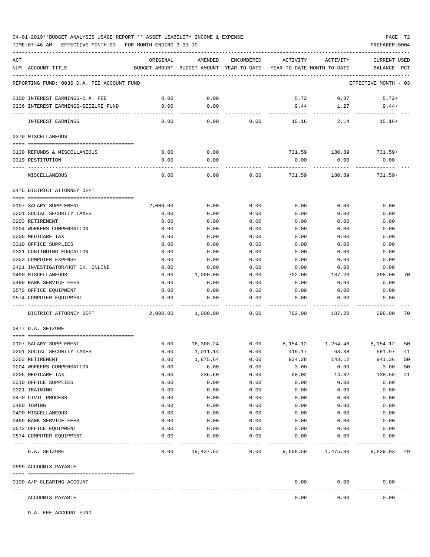TIME:07:46 AM - EFFECTIVE MONTH:03 - FOR MONTH ENDING 3-31-19 PREPARER:0004

| ACT<br>ORIGINAL<br>AMENDED<br>ACTIVITY<br>ACTIVITY<br>ENCUMBERED<br>CURRENT USED<br>NUM ACCOUNT-TITLE<br>BUDGET-AMOUNT BUDGET-AMOUNT YEAR-TO-DATE YEAR-TO-DATE MONTH-TO-DATE<br>BALANCE<br>$_{\rm PCT}$<br>REPORTING FUND: 0036 D.A. FEE ACCOUNT FUND<br>EFFECTIVE MONTH - 03<br>0.00<br>0.00<br>5.72<br>0.87<br>$5.72+$<br>0100 INTEREST EARNINGS-D.A. FEE<br>0.00<br>0.00<br>9.44<br>1.27<br>$9.44+$<br>0236 INTEREST EARNINGS-SEIZURE FUND<br>0.00<br>INTEREST EARNINGS<br>0.00<br>0.00<br>15.16<br>2.14<br>$15.16+$<br>0370 MISCELLANEOUS<br>0.00<br>0.00<br>731.59 180.89 731.59+<br>0130 REFUNDS & MISCELLANEOUS<br>0.00<br>0.00<br>0.00<br>0319 RESTITUTION<br>0.00<br>0.00<br>0.00<br>0.00<br>0.00<br>731.59<br>180.89<br>$731.59+$<br>MISCELLANEOUS<br>0475 DISTRICT ATTORNEY DEPT<br>0.00<br>0.00<br>0.00<br>0.00<br>0.00<br>2,000.00<br>0107 SALARY SUPPLEMENT<br>0201 SOCIAL SECURITY TAXES<br>0.00<br>0.00<br>0.00<br>0.00<br>0.00<br>0.00<br>0203 RETIREMENT<br>0.00<br>0.00<br>0.00<br>0.00<br>0.00<br>0.00<br>0.00<br>0.00<br>0204 WORKERS COMPENSATION<br>0.00<br>0.00<br>0.00<br>0.00<br>0205 MEDICARE TAX<br>0.00<br>0.00<br>0.00<br>0.00<br>0.00<br>0.00<br>0310 OFFICE SUPPLIES<br>0.00<br>0.00<br>0.00<br>0.00<br>0.00<br>0.00<br>0321 CONTINUING EDUCATION<br>0.00<br>0.00<br>0.00<br>0.00<br>0.00<br>0.00<br>0.00<br>0353 COMPUTER EXPENSE<br>0.00<br>0.00<br>0.00<br>0.00<br>0.00<br>0.00<br>0421 INVESTIGATOR/HOT CK. ONLINE<br>0.00<br>0.00<br>0.00<br>0.00<br>0.00<br>0.00<br>1,000.00<br>298.00<br>0490 MISCELLANEOUS<br>0.00<br>702.00<br>187.20<br>70<br>0.00<br>0499 BANK SERVICE FEES<br>0.00<br>0.00<br>0.00<br>0.00<br>0.00<br>0572 OFFICE EQUIPMENT<br>0.00<br>0.00<br>0.00<br>0.00<br>0.00<br>0.00<br>0.00<br>0.00<br>0.00<br>0.00<br>0.00<br>0.00<br>0574 COMPUTER EQUIPMENT<br>DISTRICT ATTORNEY DEPT<br>2,000.00<br>1,000.00<br>0.00<br>702.00<br>187.20<br>298.00<br>70<br>0477 D.A. SEIZURE<br>0.00<br>16,308.24<br>0.00<br>8, 154. 12 1, 254. 48<br>0107 SALARY SUPPLEMENT<br>8,154.12<br>50<br>0.00<br>0201 SOCIAL SECURITY TAXES<br>1,011.14<br>0.00<br>419.17<br>63.38<br>591.97<br>41<br>1,875.64<br>941.36<br>0203 RETIREMENT<br>0.00<br>0.00<br>934.28<br>143.12<br>50<br>0204 WORKERS COMPENSATION<br>0.00<br>6.00<br>3.00<br>0.00<br>0.00<br>3.00<br>50<br>0.00<br>236.60<br>0.00<br>98.02<br>14.82<br>138.58<br>41<br>0205 MEDICARE TAX<br>0310 OFFICE SUPPLIES<br>0.00<br>0.00<br>0.00<br>0.00<br>0.00<br>0.00<br>0.00<br>0.00<br>0.00<br>0321 TRAINING<br>0.00<br>0.00<br>0.00<br>0.00<br>0.00<br>0470 CIVIL PROCESS<br>0.00<br>0.00<br>0.00<br>0.00<br>0.00<br>0480 TOWING<br>0.00<br>0.00<br>0.00<br>0.00<br>0.00<br>0.00<br>0.00<br>0.00<br>0.00<br>0490 MISCELLANEOUS<br>0.00<br>0.00<br>0499 BANK SERVICE FEES<br>0.00<br>0.00<br>0.00<br>0.00<br>0.00<br>0.00<br>0572 OFFICE EQUIPMENT<br>0.00<br>0.00<br>0.00<br>0.00<br>0.00<br>0.00<br>0574 COMPUTER EQUIPMENT<br>0.00<br>0.00<br>0.00<br>0.00<br>0.00<br>0.00<br>9,829.03 49<br>D.A. SEIZURE<br>0.00<br>19,437.62<br>0.00<br>9,608.59 1,475.80<br>0999 ACCOUNTS PAYABLE<br>0.00<br>0.00<br>0100 A/P CLEARING ACCOUNT<br>0.00<br>---- ---------------<br>0.00<br>0.00<br>0.00<br>ACCOUNTS PAYABLE |  |  |  |  |
|------------------------------------------------------------------------------------------------------------------------------------------------------------------------------------------------------------------------------------------------------------------------------------------------------------------------------------------------------------------------------------------------------------------------------------------------------------------------------------------------------------------------------------------------------------------------------------------------------------------------------------------------------------------------------------------------------------------------------------------------------------------------------------------------------------------------------------------------------------------------------------------------------------------------------------------------------------------------------------------------------------------------------------------------------------------------------------------------------------------------------------------------------------------------------------------------------------------------------------------------------------------------------------------------------------------------------------------------------------------------------------------------------------------------------------------------------------------------------------------------------------------------------------------------------------------------------------------------------------------------------------------------------------------------------------------------------------------------------------------------------------------------------------------------------------------------------------------------------------------------------------------------------------------------------------------------------------------------------------------------------------------------------------------------------------------------------------------------------------------------------------------------------------------------------------------------------------------------------------------------------------------------------------------------------------------------------------------------------------------------------------------------------------------------------------------------------------------------------------------------------------------------------------------------------------------------------------------------------------------------------------------------------------------------------------------------------------------------------------------------------------------------------------------------------------------------------------------------------------------------------------------------------------------------------------------------------------------------------------------------------------------------------------------------------------------------------------------------------------------------------------------------------------------------------------------------------------------|--|--|--|--|
|                                                                                                                                                                                                                                                                                                                                                                                                                                                                                                                                                                                                                                                                                                                                                                                                                                                                                                                                                                                                                                                                                                                                                                                                                                                                                                                                                                                                                                                                                                                                                                                                                                                                                                                                                                                                                                                                                                                                                                                                                                                                                                                                                                                                                                                                                                                                                                                                                                                                                                                                                                                                                                                                                                                                                                                                                                                                                                                                                                                                                                                                                                                                                                                                                  |  |  |  |  |
|                                                                                                                                                                                                                                                                                                                                                                                                                                                                                                                                                                                                                                                                                                                                                                                                                                                                                                                                                                                                                                                                                                                                                                                                                                                                                                                                                                                                                                                                                                                                                                                                                                                                                                                                                                                                                                                                                                                                                                                                                                                                                                                                                                                                                                                                                                                                                                                                                                                                                                                                                                                                                                                                                                                                                                                                                                                                                                                                                                                                                                                                                                                                                                                                                  |  |  |  |  |
|                                                                                                                                                                                                                                                                                                                                                                                                                                                                                                                                                                                                                                                                                                                                                                                                                                                                                                                                                                                                                                                                                                                                                                                                                                                                                                                                                                                                                                                                                                                                                                                                                                                                                                                                                                                                                                                                                                                                                                                                                                                                                                                                                                                                                                                                                                                                                                                                                                                                                                                                                                                                                                                                                                                                                                                                                                                                                                                                                                                                                                                                                                                                                                                                                  |  |  |  |  |
|                                                                                                                                                                                                                                                                                                                                                                                                                                                                                                                                                                                                                                                                                                                                                                                                                                                                                                                                                                                                                                                                                                                                                                                                                                                                                                                                                                                                                                                                                                                                                                                                                                                                                                                                                                                                                                                                                                                                                                                                                                                                                                                                                                                                                                                                                                                                                                                                                                                                                                                                                                                                                                                                                                                                                                                                                                                                                                                                                                                                                                                                                                                                                                                                                  |  |  |  |  |
|                                                                                                                                                                                                                                                                                                                                                                                                                                                                                                                                                                                                                                                                                                                                                                                                                                                                                                                                                                                                                                                                                                                                                                                                                                                                                                                                                                                                                                                                                                                                                                                                                                                                                                                                                                                                                                                                                                                                                                                                                                                                                                                                                                                                                                                                                                                                                                                                                                                                                                                                                                                                                                                                                                                                                                                                                                                                                                                                                                                                                                                                                                                                                                                                                  |  |  |  |  |
|                                                                                                                                                                                                                                                                                                                                                                                                                                                                                                                                                                                                                                                                                                                                                                                                                                                                                                                                                                                                                                                                                                                                                                                                                                                                                                                                                                                                                                                                                                                                                                                                                                                                                                                                                                                                                                                                                                                                                                                                                                                                                                                                                                                                                                                                                                                                                                                                                                                                                                                                                                                                                                                                                                                                                                                                                                                                                                                                                                                                                                                                                                                                                                                                                  |  |  |  |  |
|                                                                                                                                                                                                                                                                                                                                                                                                                                                                                                                                                                                                                                                                                                                                                                                                                                                                                                                                                                                                                                                                                                                                                                                                                                                                                                                                                                                                                                                                                                                                                                                                                                                                                                                                                                                                                                                                                                                                                                                                                                                                                                                                                                                                                                                                                                                                                                                                                                                                                                                                                                                                                                                                                                                                                                                                                                                                                                                                                                                                                                                                                                                                                                                                                  |  |  |  |  |
|                                                                                                                                                                                                                                                                                                                                                                                                                                                                                                                                                                                                                                                                                                                                                                                                                                                                                                                                                                                                                                                                                                                                                                                                                                                                                                                                                                                                                                                                                                                                                                                                                                                                                                                                                                                                                                                                                                                                                                                                                                                                                                                                                                                                                                                                                                                                                                                                                                                                                                                                                                                                                                                                                                                                                                                                                                                                                                                                                                                                                                                                                                                                                                                                                  |  |  |  |  |
|                                                                                                                                                                                                                                                                                                                                                                                                                                                                                                                                                                                                                                                                                                                                                                                                                                                                                                                                                                                                                                                                                                                                                                                                                                                                                                                                                                                                                                                                                                                                                                                                                                                                                                                                                                                                                                                                                                                                                                                                                                                                                                                                                                                                                                                                                                                                                                                                                                                                                                                                                                                                                                                                                                                                                                                                                                                                                                                                                                                                                                                                                                                                                                                                                  |  |  |  |  |
|                                                                                                                                                                                                                                                                                                                                                                                                                                                                                                                                                                                                                                                                                                                                                                                                                                                                                                                                                                                                                                                                                                                                                                                                                                                                                                                                                                                                                                                                                                                                                                                                                                                                                                                                                                                                                                                                                                                                                                                                                                                                                                                                                                                                                                                                                                                                                                                                                                                                                                                                                                                                                                                                                                                                                                                                                                                                                                                                                                                                                                                                                                                                                                                                                  |  |  |  |  |
|                                                                                                                                                                                                                                                                                                                                                                                                                                                                                                                                                                                                                                                                                                                                                                                                                                                                                                                                                                                                                                                                                                                                                                                                                                                                                                                                                                                                                                                                                                                                                                                                                                                                                                                                                                                                                                                                                                                                                                                                                                                                                                                                                                                                                                                                                                                                                                                                                                                                                                                                                                                                                                                                                                                                                                                                                                                                                                                                                                                                                                                                                                                                                                                                                  |  |  |  |  |
|                                                                                                                                                                                                                                                                                                                                                                                                                                                                                                                                                                                                                                                                                                                                                                                                                                                                                                                                                                                                                                                                                                                                                                                                                                                                                                                                                                                                                                                                                                                                                                                                                                                                                                                                                                                                                                                                                                                                                                                                                                                                                                                                                                                                                                                                                                                                                                                                                                                                                                                                                                                                                                                                                                                                                                                                                                                                                                                                                                                                                                                                                                                                                                                                                  |  |  |  |  |
|                                                                                                                                                                                                                                                                                                                                                                                                                                                                                                                                                                                                                                                                                                                                                                                                                                                                                                                                                                                                                                                                                                                                                                                                                                                                                                                                                                                                                                                                                                                                                                                                                                                                                                                                                                                                                                                                                                                                                                                                                                                                                                                                                                                                                                                                                                                                                                                                                                                                                                                                                                                                                                                                                                                                                                                                                                                                                                                                                                                                                                                                                                                                                                                                                  |  |  |  |  |
|                                                                                                                                                                                                                                                                                                                                                                                                                                                                                                                                                                                                                                                                                                                                                                                                                                                                                                                                                                                                                                                                                                                                                                                                                                                                                                                                                                                                                                                                                                                                                                                                                                                                                                                                                                                                                                                                                                                                                                                                                                                                                                                                                                                                                                                                                                                                                                                                                                                                                                                                                                                                                                                                                                                                                                                                                                                                                                                                                                                                                                                                                                                                                                                                                  |  |  |  |  |
|                                                                                                                                                                                                                                                                                                                                                                                                                                                                                                                                                                                                                                                                                                                                                                                                                                                                                                                                                                                                                                                                                                                                                                                                                                                                                                                                                                                                                                                                                                                                                                                                                                                                                                                                                                                                                                                                                                                                                                                                                                                                                                                                                                                                                                                                                                                                                                                                                                                                                                                                                                                                                                                                                                                                                                                                                                                                                                                                                                                                                                                                                                                                                                                                                  |  |  |  |  |
|                                                                                                                                                                                                                                                                                                                                                                                                                                                                                                                                                                                                                                                                                                                                                                                                                                                                                                                                                                                                                                                                                                                                                                                                                                                                                                                                                                                                                                                                                                                                                                                                                                                                                                                                                                                                                                                                                                                                                                                                                                                                                                                                                                                                                                                                                                                                                                                                                                                                                                                                                                                                                                                                                                                                                                                                                                                                                                                                                                                                                                                                                                                                                                                                                  |  |  |  |  |
|                                                                                                                                                                                                                                                                                                                                                                                                                                                                                                                                                                                                                                                                                                                                                                                                                                                                                                                                                                                                                                                                                                                                                                                                                                                                                                                                                                                                                                                                                                                                                                                                                                                                                                                                                                                                                                                                                                                                                                                                                                                                                                                                                                                                                                                                                                                                                                                                                                                                                                                                                                                                                                                                                                                                                                                                                                                                                                                                                                                                                                                                                                                                                                                                                  |  |  |  |  |
|                                                                                                                                                                                                                                                                                                                                                                                                                                                                                                                                                                                                                                                                                                                                                                                                                                                                                                                                                                                                                                                                                                                                                                                                                                                                                                                                                                                                                                                                                                                                                                                                                                                                                                                                                                                                                                                                                                                                                                                                                                                                                                                                                                                                                                                                                                                                                                                                                                                                                                                                                                                                                                                                                                                                                                                                                                                                                                                                                                                                                                                                                                                                                                                                                  |  |  |  |  |
|                                                                                                                                                                                                                                                                                                                                                                                                                                                                                                                                                                                                                                                                                                                                                                                                                                                                                                                                                                                                                                                                                                                                                                                                                                                                                                                                                                                                                                                                                                                                                                                                                                                                                                                                                                                                                                                                                                                                                                                                                                                                                                                                                                                                                                                                                                                                                                                                                                                                                                                                                                                                                                                                                                                                                                                                                                                                                                                                                                                                                                                                                                                                                                                                                  |  |  |  |  |
|                                                                                                                                                                                                                                                                                                                                                                                                                                                                                                                                                                                                                                                                                                                                                                                                                                                                                                                                                                                                                                                                                                                                                                                                                                                                                                                                                                                                                                                                                                                                                                                                                                                                                                                                                                                                                                                                                                                                                                                                                                                                                                                                                                                                                                                                                                                                                                                                                                                                                                                                                                                                                                                                                                                                                                                                                                                                                                                                                                                                                                                                                                                                                                                                                  |  |  |  |  |
|                                                                                                                                                                                                                                                                                                                                                                                                                                                                                                                                                                                                                                                                                                                                                                                                                                                                                                                                                                                                                                                                                                                                                                                                                                                                                                                                                                                                                                                                                                                                                                                                                                                                                                                                                                                                                                                                                                                                                                                                                                                                                                                                                                                                                                                                                                                                                                                                                                                                                                                                                                                                                                                                                                                                                                                                                                                                                                                                                                                                                                                                                                                                                                                                                  |  |  |  |  |
|                                                                                                                                                                                                                                                                                                                                                                                                                                                                                                                                                                                                                                                                                                                                                                                                                                                                                                                                                                                                                                                                                                                                                                                                                                                                                                                                                                                                                                                                                                                                                                                                                                                                                                                                                                                                                                                                                                                                                                                                                                                                                                                                                                                                                                                                                                                                                                                                                                                                                                                                                                                                                                                                                                                                                                                                                                                                                                                                                                                                                                                                                                                                                                                                                  |  |  |  |  |
|                                                                                                                                                                                                                                                                                                                                                                                                                                                                                                                                                                                                                                                                                                                                                                                                                                                                                                                                                                                                                                                                                                                                                                                                                                                                                                                                                                                                                                                                                                                                                                                                                                                                                                                                                                                                                                                                                                                                                                                                                                                                                                                                                                                                                                                                                                                                                                                                                                                                                                                                                                                                                                                                                                                                                                                                                                                                                                                                                                                                                                                                                                                                                                                                                  |  |  |  |  |
|                                                                                                                                                                                                                                                                                                                                                                                                                                                                                                                                                                                                                                                                                                                                                                                                                                                                                                                                                                                                                                                                                                                                                                                                                                                                                                                                                                                                                                                                                                                                                                                                                                                                                                                                                                                                                                                                                                                                                                                                                                                                                                                                                                                                                                                                                                                                                                                                                                                                                                                                                                                                                                                                                                                                                                                                                                                                                                                                                                                                                                                                                                                                                                                                                  |  |  |  |  |
|                                                                                                                                                                                                                                                                                                                                                                                                                                                                                                                                                                                                                                                                                                                                                                                                                                                                                                                                                                                                                                                                                                                                                                                                                                                                                                                                                                                                                                                                                                                                                                                                                                                                                                                                                                                                                                                                                                                                                                                                                                                                                                                                                                                                                                                                                                                                                                                                                                                                                                                                                                                                                                                                                                                                                                                                                                                                                                                                                                                                                                                                                                                                                                                                                  |  |  |  |  |
|                                                                                                                                                                                                                                                                                                                                                                                                                                                                                                                                                                                                                                                                                                                                                                                                                                                                                                                                                                                                                                                                                                                                                                                                                                                                                                                                                                                                                                                                                                                                                                                                                                                                                                                                                                                                                                                                                                                                                                                                                                                                                                                                                                                                                                                                                                                                                                                                                                                                                                                                                                                                                                                                                                                                                                                                                                                                                                                                                                                                                                                                                                                                                                                                                  |  |  |  |  |
|                                                                                                                                                                                                                                                                                                                                                                                                                                                                                                                                                                                                                                                                                                                                                                                                                                                                                                                                                                                                                                                                                                                                                                                                                                                                                                                                                                                                                                                                                                                                                                                                                                                                                                                                                                                                                                                                                                                                                                                                                                                                                                                                                                                                                                                                                                                                                                                                                                                                                                                                                                                                                                                                                                                                                                                                                                                                                                                                                                                                                                                                                                                                                                                                                  |  |  |  |  |
|                                                                                                                                                                                                                                                                                                                                                                                                                                                                                                                                                                                                                                                                                                                                                                                                                                                                                                                                                                                                                                                                                                                                                                                                                                                                                                                                                                                                                                                                                                                                                                                                                                                                                                                                                                                                                                                                                                                                                                                                                                                                                                                                                                                                                                                                                                                                                                                                                                                                                                                                                                                                                                                                                                                                                                                                                                                                                                                                                                                                                                                                                                                                                                                                                  |  |  |  |  |
|                                                                                                                                                                                                                                                                                                                                                                                                                                                                                                                                                                                                                                                                                                                                                                                                                                                                                                                                                                                                                                                                                                                                                                                                                                                                                                                                                                                                                                                                                                                                                                                                                                                                                                                                                                                                                                                                                                                                                                                                                                                                                                                                                                                                                                                                                                                                                                                                                                                                                                                                                                                                                                                                                                                                                                                                                                                                                                                                                                                                                                                                                                                                                                                                                  |  |  |  |  |
|                                                                                                                                                                                                                                                                                                                                                                                                                                                                                                                                                                                                                                                                                                                                                                                                                                                                                                                                                                                                                                                                                                                                                                                                                                                                                                                                                                                                                                                                                                                                                                                                                                                                                                                                                                                                                                                                                                                                                                                                                                                                                                                                                                                                                                                                                                                                                                                                                                                                                                                                                                                                                                                                                                                                                                                                                                                                                                                                                                                                                                                                                                                                                                                                                  |  |  |  |  |
|                                                                                                                                                                                                                                                                                                                                                                                                                                                                                                                                                                                                                                                                                                                                                                                                                                                                                                                                                                                                                                                                                                                                                                                                                                                                                                                                                                                                                                                                                                                                                                                                                                                                                                                                                                                                                                                                                                                                                                                                                                                                                                                                                                                                                                                                                                                                                                                                                                                                                                                                                                                                                                                                                                                                                                                                                                                                                                                                                                                                                                                                                                                                                                                                                  |  |  |  |  |
|                                                                                                                                                                                                                                                                                                                                                                                                                                                                                                                                                                                                                                                                                                                                                                                                                                                                                                                                                                                                                                                                                                                                                                                                                                                                                                                                                                                                                                                                                                                                                                                                                                                                                                                                                                                                                                                                                                                                                                                                                                                                                                                                                                                                                                                                                                                                                                                                                                                                                                                                                                                                                                                                                                                                                                                                                                                                                                                                                                                                                                                                                                                                                                                                                  |  |  |  |  |
|                                                                                                                                                                                                                                                                                                                                                                                                                                                                                                                                                                                                                                                                                                                                                                                                                                                                                                                                                                                                                                                                                                                                                                                                                                                                                                                                                                                                                                                                                                                                                                                                                                                                                                                                                                                                                                                                                                                                                                                                                                                                                                                                                                                                                                                                                                                                                                                                                                                                                                                                                                                                                                                                                                                                                                                                                                                                                                                                                                                                                                                                                                                                                                                                                  |  |  |  |  |
|                                                                                                                                                                                                                                                                                                                                                                                                                                                                                                                                                                                                                                                                                                                                                                                                                                                                                                                                                                                                                                                                                                                                                                                                                                                                                                                                                                                                                                                                                                                                                                                                                                                                                                                                                                                                                                                                                                                                                                                                                                                                                                                                                                                                                                                                                                                                                                                                                                                                                                                                                                                                                                                                                                                                                                                                                                                                                                                                                                                                                                                                                                                                                                                                                  |  |  |  |  |
|                                                                                                                                                                                                                                                                                                                                                                                                                                                                                                                                                                                                                                                                                                                                                                                                                                                                                                                                                                                                                                                                                                                                                                                                                                                                                                                                                                                                                                                                                                                                                                                                                                                                                                                                                                                                                                                                                                                                                                                                                                                                                                                                                                                                                                                                                                                                                                                                                                                                                                                                                                                                                                                                                                                                                                                                                                                                                                                                                                                                                                                                                                                                                                                                                  |  |  |  |  |
|                                                                                                                                                                                                                                                                                                                                                                                                                                                                                                                                                                                                                                                                                                                                                                                                                                                                                                                                                                                                                                                                                                                                                                                                                                                                                                                                                                                                                                                                                                                                                                                                                                                                                                                                                                                                                                                                                                                                                                                                                                                                                                                                                                                                                                                                                                                                                                                                                                                                                                                                                                                                                                                                                                                                                                                                                                                                                                                                                                                                                                                                                                                                                                                                                  |  |  |  |  |
|                                                                                                                                                                                                                                                                                                                                                                                                                                                                                                                                                                                                                                                                                                                                                                                                                                                                                                                                                                                                                                                                                                                                                                                                                                                                                                                                                                                                                                                                                                                                                                                                                                                                                                                                                                                                                                                                                                                                                                                                                                                                                                                                                                                                                                                                                                                                                                                                                                                                                                                                                                                                                                                                                                                                                                                                                                                                                                                                                                                                                                                                                                                                                                                                                  |  |  |  |  |
|                                                                                                                                                                                                                                                                                                                                                                                                                                                                                                                                                                                                                                                                                                                                                                                                                                                                                                                                                                                                                                                                                                                                                                                                                                                                                                                                                                                                                                                                                                                                                                                                                                                                                                                                                                                                                                                                                                                                                                                                                                                                                                                                                                                                                                                                                                                                                                                                                                                                                                                                                                                                                                                                                                                                                                                                                                                                                                                                                                                                                                                                                                                                                                                                                  |  |  |  |  |
|                                                                                                                                                                                                                                                                                                                                                                                                                                                                                                                                                                                                                                                                                                                                                                                                                                                                                                                                                                                                                                                                                                                                                                                                                                                                                                                                                                                                                                                                                                                                                                                                                                                                                                                                                                                                                                                                                                                                                                                                                                                                                                                                                                                                                                                                                                                                                                                                                                                                                                                                                                                                                                                                                                                                                                                                                                                                                                                                                                                                                                                                                                                                                                                                                  |  |  |  |  |
|                                                                                                                                                                                                                                                                                                                                                                                                                                                                                                                                                                                                                                                                                                                                                                                                                                                                                                                                                                                                                                                                                                                                                                                                                                                                                                                                                                                                                                                                                                                                                                                                                                                                                                                                                                                                                                                                                                                                                                                                                                                                                                                                                                                                                                                                                                                                                                                                                                                                                                                                                                                                                                                                                                                                                                                                                                                                                                                                                                                                                                                                                                                                                                                                                  |  |  |  |  |
|                                                                                                                                                                                                                                                                                                                                                                                                                                                                                                                                                                                                                                                                                                                                                                                                                                                                                                                                                                                                                                                                                                                                                                                                                                                                                                                                                                                                                                                                                                                                                                                                                                                                                                                                                                                                                                                                                                                                                                                                                                                                                                                                                                                                                                                                                                                                                                                                                                                                                                                                                                                                                                                                                                                                                                                                                                                                                                                                                                                                                                                                                                                                                                                                                  |  |  |  |  |
|                                                                                                                                                                                                                                                                                                                                                                                                                                                                                                                                                                                                                                                                                                                                                                                                                                                                                                                                                                                                                                                                                                                                                                                                                                                                                                                                                                                                                                                                                                                                                                                                                                                                                                                                                                                                                                                                                                                                                                                                                                                                                                                                                                                                                                                                                                                                                                                                                                                                                                                                                                                                                                                                                                                                                                                                                                                                                                                                                                                                                                                                                                                                                                                                                  |  |  |  |  |
|                                                                                                                                                                                                                                                                                                                                                                                                                                                                                                                                                                                                                                                                                                                                                                                                                                                                                                                                                                                                                                                                                                                                                                                                                                                                                                                                                                                                                                                                                                                                                                                                                                                                                                                                                                                                                                                                                                                                                                                                                                                                                                                                                                                                                                                                                                                                                                                                                                                                                                                                                                                                                                                                                                                                                                                                                                                                                                                                                                                                                                                                                                                                                                                                                  |  |  |  |  |
|                                                                                                                                                                                                                                                                                                                                                                                                                                                                                                                                                                                                                                                                                                                                                                                                                                                                                                                                                                                                                                                                                                                                                                                                                                                                                                                                                                                                                                                                                                                                                                                                                                                                                                                                                                                                                                                                                                                                                                                                                                                                                                                                                                                                                                                                                                                                                                                                                                                                                                                                                                                                                                                                                                                                                                                                                                                                                                                                                                                                                                                                                                                                                                                                                  |  |  |  |  |
|                                                                                                                                                                                                                                                                                                                                                                                                                                                                                                                                                                                                                                                                                                                                                                                                                                                                                                                                                                                                                                                                                                                                                                                                                                                                                                                                                                                                                                                                                                                                                                                                                                                                                                                                                                                                                                                                                                                                                                                                                                                                                                                                                                                                                                                                                                                                                                                                                                                                                                                                                                                                                                                                                                                                                                                                                                                                                                                                                                                                                                                                                                                                                                                                                  |  |  |  |  |
|                                                                                                                                                                                                                                                                                                                                                                                                                                                                                                                                                                                                                                                                                                                                                                                                                                                                                                                                                                                                                                                                                                                                                                                                                                                                                                                                                                                                                                                                                                                                                                                                                                                                                                                                                                                                                                                                                                                                                                                                                                                                                                                                                                                                                                                                                                                                                                                                                                                                                                                                                                                                                                                                                                                                                                                                                                                                                                                                                                                                                                                                                                                                                                                                                  |  |  |  |  |
|                                                                                                                                                                                                                                                                                                                                                                                                                                                                                                                                                                                                                                                                                                                                                                                                                                                                                                                                                                                                                                                                                                                                                                                                                                                                                                                                                                                                                                                                                                                                                                                                                                                                                                                                                                                                                                                                                                                                                                                                                                                                                                                                                                                                                                                                                                                                                                                                                                                                                                                                                                                                                                                                                                                                                                                                                                                                                                                                                                                                                                                                                                                                                                                                                  |  |  |  |  |
|                                                                                                                                                                                                                                                                                                                                                                                                                                                                                                                                                                                                                                                                                                                                                                                                                                                                                                                                                                                                                                                                                                                                                                                                                                                                                                                                                                                                                                                                                                                                                                                                                                                                                                                                                                                                                                                                                                                                                                                                                                                                                                                                                                                                                                                                                                                                                                                                                                                                                                                                                                                                                                                                                                                                                                                                                                                                                                                                                                                                                                                                                                                                                                                                                  |  |  |  |  |

D.A. FEE ACCOUNT FUND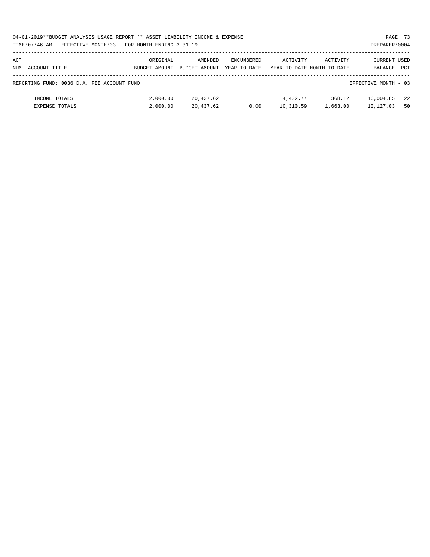| 04-01-2019**BUDGET ANALYSIS USAGE REPORT ** ASSET LIABILITY INCOME & EXPENSE | PAGE 73        |
|------------------------------------------------------------------------------|----------------|
| TIME: 07:46 AM - EFFECTIVE MONTH: 03 - FOR MONTH ENDING 3-31-19              | PREPARER: 0004 |

| ACT |                                            | ORIGINAL      | AMENDED       | ENCUMBERED   | ACTIVITY  | ACTIVITY                   | CURRENT USED         |            |
|-----|--------------------------------------------|---------------|---------------|--------------|-----------|----------------------------|----------------------|------------|
| NUM | ACCOUNT-TITLE                              | BUDGET-AMOUNT | BUDGET-AMOUNT | YEAR-TO-DATE |           | YEAR-TO-DATE MONTH-TO-DATE | BALANCE              | <b>PCT</b> |
|     |                                            |               |               |              |           |                            |                      |            |
|     | REPORTING FUND: 0036 D.A. FEE ACCOUNT FUND |               |               |              |           |                            | EFFECTIVE MONTH - 03 |            |
|     |                                            |               |               |              |           |                            |                      |            |
|     | INCOME TOTALS                              | 2,000.00      | 20,437.62     |              | 4,432.77  | 368.12                     | 16,004.85            | 22         |
|     | <b>EXPENSE TOTALS</b>                      | 2,000.00      | 20,437.62     | 0.00         | 10,310.59 | 1,663.00                   | 10,127.03            | 50         |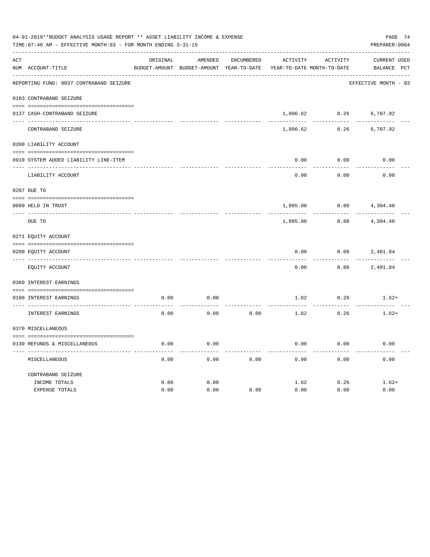|     | 04-01-2019**BUDGET ANALYSIS USAGE REPORT ** ASSET LIABILITY INCOME & EXPENSE<br>PAGE 74<br>TIME: 07:46 AM - EFFECTIVE MONTH: 03 - FOR MONTH ENDING 3-31-19<br>PREPARER: 0004 |          |                                          |                   |                            |          |                      |  |  |  |  |
|-----|------------------------------------------------------------------------------------------------------------------------------------------------------------------------------|----------|------------------------------------------|-------------------|----------------------------|----------|----------------------|--|--|--|--|
| ACT |                                                                                                                                                                              | ORIGINAL | AMENDED                                  | <b>ENCUMBERED</b> | ACTIVITY                   | ACTIVITY | CURRENT USED         |  |  |  |  |
|     | NUM ACCOUNT-TITLE                                                                                                                                                            |          | BUDGET-AMOUNT BUDGET-AMOUNT YEAR-TO-DATE |                   | YEAR-TO-DATE MONTH-TO-DATE |          | BALANCE PCT          |  |  |  |  |
|     | REPORTING FUND: 0037 CONTRABAND SEIZURE                                                                                                                                      |          |                                          |                   |                            |          | EFFECTIVE MONTH - 03 |  |  |  |  |
|     | 0103 CONTRABAND SEIZURE                                                                                                                                                      |          |                                          |                   |                            |          |                      |  |  |  |  |
|     | 0137 CASH-CONTRABAND SEIZURE                                                                                                                                                 |          |                                          |                   | 1,096.62                   | 0.26     | 6,707.92             |  |  |  |  |
|     | CONTRABAND SEIZURE                                                                                                                                                           |          |                                          |                   | 1,096.62                   | 0.26     | 6,707.92             |  |  |  |  |
|     | 0200 LIABILITY ACCOUNT                                                                                                                                                       |          |                                          |                   |                            |          |                      |  |  |  |  |
|     | 0910 SYSTEM ADDED LIABILITY LINE-ITEM                                                                                                                                        |          |                                          |                   | 0.00                       | 0.00     | 0.00                 |  |  |  |  |
|     | LIABILITY ACCOUNT                                                                                                                                                            |          |                                          |                   | 0.00                       | 0.00     | 0.00                 |  |  |  |  |
|     | 0207 DUE TO                                                                                                                                                                  |          |                                          |                   |                            |          |                      |  |  |  |  |
|     | 0099 HELD IN TRUST                                                                                                                                                           |          |                                          |                   | 1,095.00                   | 0.00     | 4,304.46             |  |  |  |  |
|     | DUE TO                                                                                                                                                                       |          |                                          |                   | 1,095.00                   | 0.00     | 4,304.46             |  |  |  |  |
|     | 0271 EQUITY ACCOUNT                                                                                                                                                          |          |                                          |                   |                            |          |                      |  |  |  |  |
|     | 0200 EQUITY ACCOUNT                                                                                                                                                          |          |                                          |                   | 0.00                       | 0.00     | 2,401.84             |  |  |  |  |
|     | EQUITY ACCOUNT                                                                                                                                                               |          |                                          |                   | 0.00                       | 0.00     | 2,401.84             |  |  |  |  |
|     | 0360 INTEREST EARNINGS                                                                                                                                                       |          |                                          |                   |                            |          |                      |  |  |  |  |
|     | 0100 INTEREST EARNINGS                                                                                                                                                       | 0.00     | 0.00                                     |                   | 1.62                       | 0.26     | $1.62+$              |  |  |  |  |
|     | INTEREST EARNINGS                                                                                                                                                            | 0.00     | 0.00                                     | 0.00              | 1.62                       | 0.26     | $1.62+$              |  |  |  |  |
|     | 0370 MISCELLANEOUS                                                                                                                                                           |          |                                          |                   |                            |          |                      |  |  |  |  |
|     | 0130 REFUNDS & MISCELLANEOUS                                                                                                                                                 | 0.00     | 0.00                                     |                   | 0.00                       | 0.00     | 0.00                 |  |  |  |  |
|     | MISCELLANEOUS                                                                                                                                                                | 0.00     | 0.00                                     | 0.00              | 0.00                       | 0.00     | 0.00                 |  |  |  |  |
|     | CONTRABAND SEIZURE                                                                                                                                                           |          |                                          |                   |                            |          |                      |  |  |  |  |
|     | INCOME TOTALS                                                                                                                                                                | 0.00     | 0.00                                     |                   | 1.62                       | 0.26     | $1.62+$              |  |  |  |  |
|     | <b>EXPENSE TOTALS</b>                                                                                                                                                        | 0.00     | 0.00                                     | 0.00              | 0.00                       | 0.00     | 0.00                 |  |  |  |  |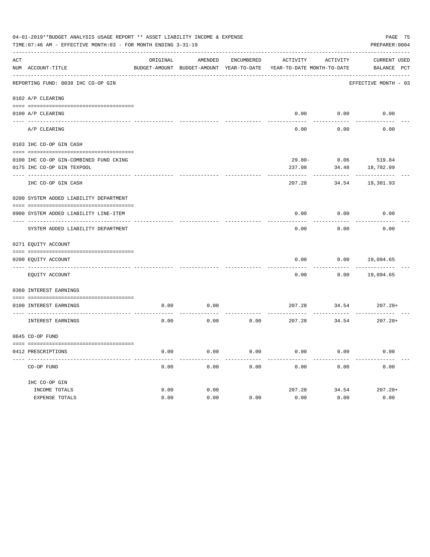|     | 04-01-2019**BUDGET ANALYSIS USAGE REPORT ** ASSET LIABILITY INCOME & EXPENSE<br>PREPARER: 0004<br>TIME: 07:46 AM - EFFECTIVE MONTH: 03 - FOR MONTH ENDING 3-31-19 |          |                                                     |                   |                                        |          |                                    |  |  |  |
|-----|-------------------------------------------------------------------------------------------------------------------------------------------------------------------|----------|-----------------------------------------------------|-------------------|----------------------------------------|----------|------------------------------------|--|--|--|
| ACT | NUM ACCOUNT-TITLE                                                                                                                                                 | ORIGINAL | AMENDED<br>BUDGET-AMOUNT BUDGET-AMOUNT YEAR-TO-DATE | <b>ENCUMBERED</b> | ACTIVITY<br>YEAR-TO-DATE MONTH-TO-DATE | ACTIVITY | <b>CURRENT USED</b><br>BALANCE PCT |  |  |  |
|     | REPORTING FUND: 0038 IHC CO-OP GIN                                                                                                                                |          |                                                     |                   |                                        |          | EFFECTIVE MONTH - 03               |  |  |  |
|     | 0102 A/P CLEARING                                                                                                                                                 |          |                                                     |                   |                                        |          |                                    |  |  |  |
|     | 0100 A/P CLEARING                                                                                                                                                 |          |                                                     |                   | 0.00                                   | 0.00     | 0.00                               |  |  |  |
|     | A/P CLEARING                                                                                                                                                      |          |                                                     |                   | 0.00                                   | 0.00     | 0.00                               |  |  |  |
|     | 0103 IHC CO-OP GIN CASH                                                                                                                                           |          |                                                     |                   |                                        |          |                                    |  |  |  |
|     | 0100 IHC CO-OP GIN-COMBINED FUND CKING                                                                                                                            |          |                                                     |                   | $29.80 -$                              | 0.06     | 519.84                             |  |  |  |
|     | 0175 IHC CO-OP GIN TEXPOOL                                                                                                                                        |          |                                                     |                   | 237.08                                 | 34.48    | 18,782.09                          |  |  |  |
|     | IHC CO-OP GIN CASH                                                                                                                                                |          |                                                     |                   | 207.28                                 | 34.54    | 19,301.93                          |  |  |  |
|     | 0200 SYSTEM ADDED LIABILITY DEPARTMENT                                                                                                                            |          |                                                     |                   |                                        |          |                                    |  |  |  |
|     |                                                                                                                                                                   |          |                                                     |                   |                                        |          |                                    |  |  |  |
|     | 0900 SYSTEM ADDED LIABILITY LINE-ITEM                                                                                                                             |          |                                                     |                   | 0.00                                   | 0.00     | 0.00                               |  |  |  |
|     | SYSTEM ADDED LIABILITY DEPARTMENT                                                                                                                                 |          |                                                     |                   | 0.00                                   | 0.00     | 0.00                               |  |  |  |
|     | 0271 EQUITY ACCOUNT                                                                                                                                               |          |                                                     |                   |                                        |          |                                    |  |  |  |
|     |                                                                                                                                                                   |          |                                                     |                   |                                        |          |                                    |  |  |  |
|     | 0200 EQUITY ACCOUNT<br>---- ------------                                                                                                                          |          |                                                     |                   | 0.00                                   | 0.00     | 19,094.65                          |  |  |  |
|     | EQUITY ACCOUNT                                                                                                                                                    |          |                                                     |                   | 0.00                                   | 0.00     | 19,094.65                          |  |  |  |
|     | 0360 INTEREST EARNINGS                                                                                                                                            |          |                                                     |                   |                                        |          |                                    |  |  |  |
|     | 0100 INTEREST EARNINGS                                                                                                                                            | 0.00     | 0.00                                                |                   | 207.28                                 | 34.54    | $207.28+$                          |  |  |  |
|     | <b>INTEREST EARNINGS</b>                                                                                                                                          | 0.00     | 0.00                                                | 0.00              | 207.28                                 | 34.54    | $207.28+$                          |  |  |  |
|     | 0645 CO-OP FUND                                                                                                                                                   |          |                                                     |                   |                                        |          |                                    |  |  |  |
|     |                                                                                                                                                                   |          |                                                     |                   |                                        |          |                                    |  |  |  |
|     | 0412 PRESCRIPTIONS                                                                                                                                                | 0.00     | 0.00                                                | 0.00              | 0.00                                   | 0.00     | 0.00                               |  |  |  |
|     | CO-OP FUND                                                                                                                                                        | 0.00     | 0.00                                                | 0.00              | 0.00                                   | 0.00     | 0.00                               |  |  |  |
|     | IHC CO-OP GIN                                                                                                                                                     |          |                                                     |                   |                                        |          |                                    |  |  |  |
|     | INCOME TOTALS                                                                                                                                                     | 0.00     | 0.00                                                |                   | 207.28                                 | 34.54    | $207.28+$                          |  |  |  |
|     | <b>EXPENSE TOTALS</b>                                                                                                                                             | 0.00     | 0.00                                                | 0.00              | 0.00                                   | 0.00     | 0.00                               |  |  |  |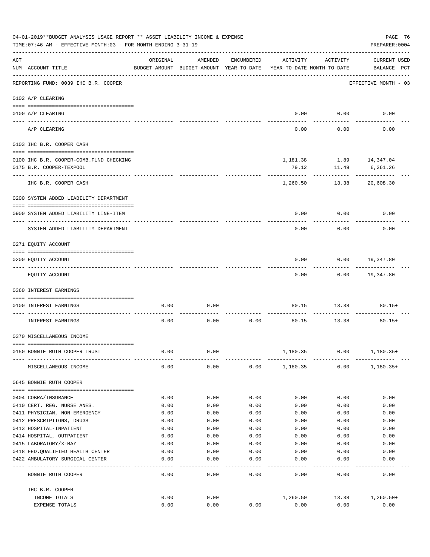|     | 04-01-2019**BUDGET ANALYSIS USAGE REPORT ** ASSET LIABILITY INCOME & EXPENSE<br>PAGE 76<br>TIME: 07:46 AM - EFFECTIVE MONTH: 03 - FOR MONTH ENDING 3-31-19<br>PREPARER: 0004 |              |                                                                                |                   |              |                         |                                    |  |  |  |
|-----|------------------------------------------------------------------------------------------------------------------------------------------------------------------------------|--------------|--------------------------------------------------------------------------------|-------------------|--------------|-------------------------|------------------------------------|--|--|--|
| ACT | NUM ACCOUNT-TITLE                                                                                                                                                            | ORIGINAL     | AMENDED<br>BUDGET-AMOUNT BUDGET-AMOUNT YEAR-TO-DATE YEAR-TO-DATE MONTH-TO-DATE | ENCUMBERED        | ACTIVITY     | ACTIVITY                | <b>CURRENT USED</b><br>BALANCE PCT |  |  |  |
|     | REPORTING FUND: 0039 IHC B.R. COOPER                                                                                                                                         |              |                                                                                |                   |              |                         | EFFECTIVE MONTH - 03               |  |  |  |
|     | 0102 A/P CLEARING                                                                                                                                                            |              |                                                                                |                   |              |                         |                                    |  |  |  |
|     | 0100 A/P CLEARING                                                                                                                                                            |              |                                                                                |                   |              | $0.00$ 0.00             | 0.00                               |  |  |  |
|     | ---- ---------<br>A/P CLEARING                                                                                                                                               |              |                                                                                |                   | 0.00         | 0.00                    | 0.00                               |  |  |  |
|     | 0103 IHC B.R. COOPER CASH                                                                                                                                                    |              |                                                                                |                   |              |                         |                                    |  |  |  |
|     |                                                                                                                                                                              |              |                                                                                |                   |              |                         |                                    |  |  |  |
|     | 0100 IHC B.R. COOPER-COMB.FUND CHECKING                                                                                                                                      |              |                                                                                |                   |              | 1,181.38 1.89 14,347.04 |                                    |  |  |  |
|     | 0175 B.R. COOPER-TEXPOOL                                                                                                                                                     |              |                                                                                |                   | 79.12        | 11.49                   | 6,261.26                           |  |  |  |
|     | IHC B.R. COOPER CASH                                                                                                                                                         |              |                                                                                |                   | 1,260.50     | 13.38                   | 20,608.30                          |  |  |  |
|     | 0200 SYSTEM ADDED LIABILITY DEPARTMENT                                                                                                                                       |              |                                                                                |                   |              |                         |                                    |  |  |  |
|     | 0900 SYSTEM ADDED LIABILITY LINE-ITEM                                                                                                                                        |              |                                                                                |                   | 0.00         | 0.00                    | 0.00                               |  |  |  |
|     | SYSTEM ADDED LIABILITY DEPARTMENT                                                                                                                                            |              |                                                                                |                   | 0.00         | 0.00                    | 0.00                               |  |  |  |
|     | 0271 EQUITY ACCOUNT                                                                                                                                                          |              |                                                                                |                   |              |                         |                                    |  |  |  |
|     |                                                                                                                                                                              |              |                                                                                |                   |              |                         |                                    |  |  |  |
|     | 0200 EQUITY ACCOUNT                                                                                                                                                          |              |                                                                                |                   | 0.00         | 0.00                    | 19,347.80                          |  |  |  |
|     | EQUITY ACCOUNT                                                                                                                                                               |              |                                                                                |                   | 0.00         |                         | $0.00$ 19,347.80                   |  |  |  |
|     | 0360 INTEREST EARNINGS                                                                                                                                                       |              |                                                                                |                   |              |                         |                                    |  |  |  |
|     | 0100 INTEREST EARNINGS                                                                                                                                                       | 0.00         | 0.00                                                                           |                   | 80.15        | 13.38                   | $80.15+$                           |  |  |  |
|     | INTEREST EARNINGS                                                                                                                                                            | 0.00         | 0.00                                                                           | 0.00              |              | 80.15 13.38             | $80.15+$                           |  |  |  |
|     |                                                                                                                                                                              |              |                                                                                |                   |              |                         |                                    |  |  |  |
|     | 0370 MISCELLANEOUS INCOME                                                                                                                                                    |              |                                                                                |                   |              |                         |                                    |  |  |  |
|     |                                                                                                                                                                              |              |                                                                                |                   |              |                         |                                    |  |  |  |
|     | 0150 BONNIE RUTH COOPER TRUST                                                                                                                                                | 0.00         | 0.00                                                                           |                   | 1,180.35     | 0.00                    | $1,180.35+$                        |  |  |  |
|     | MISCELLANEOUS INCOME                                                                                                                                                         | 0.00         | 0.00                                                                           | 0.00              | 1,180.35     | 0.00                    | $1,180.35+$                        |  |  |  |
|     | 0645 BONNIE RUTH COOPER                                                                                                                                                      |              |                                                                                |                   |              |                         |                                    |  |  |  |
|     |                                                                                                                                                                              |              |                                                                                |                   |              |                         |                                    |  |  |  |
|     | 0404 COBRA/INSURANCE                                                                                                                                                         | 0.00         | 0.00                                                                           | 0.00              | 0.00         | 0.00                    | 0.00                               |  |  |  |
|     | 0410 CERT. REG. NURSE ANES.                                                                                                                                                  | 0.00<br>0.00 | 0.00<br>0.00                                                                   | 0.00<br>0.00      | 0.00         | 0.00                    | 0.00<br>0.00                       |  |  |  |
|     | 0411 PHYSICIAN, NON-EMERGENCY<br>0412 PRESCRIPTIONS, DRUGS                                                                                                                   | 0.00         | 0.00                                                                           | 0.00              | 0.00<br>0.00 | 0.00<br>0.00            | 0.00                               |  |  |  |
|     | 0413 HOSPITAL-INPATIENT                                                                                                                                                      | 0.00         | 0.00                                                                           | 0.00              | 0.00         | 0.00                    | 0.00                               |  |  |  |
|     | 0414 HOSPITAL, OUTPATIENT                                                                                                                                                    | 0.00         | 0.00                                                                           | 0.00              | 0.00         | 0.00                    | 0.00                               |  |  |  |
|     | 0415 LABORATORY/X-RAY                                                                                                                                                        | 0.00         | 0.00                                                                           | 0.00              | 0.00         | 0.00                    | 0.00                               |  |  |  |
|     | 0418 FED. QUALIFIED HEALTH CENTER                                                                                                                                            | 0.00         | 0.00                                                                           | 0.00              | 0.00         | 0.00                    | 0.00                               |  |  |  |
|     | 0422 AMBULATORY SURGICAL CENTER                                                                                                                                              | 0.00         | 0.00                                                                           | 0.00              | 0.00         | 0.00                    | 0.00                               |  |  |  |
|     | --------------------------------<br>BONNIE RUTH COOPER                                                                                                                       | 0.00         | $- - - -$<br>0.00                                                              | $- - - -$<br>0.00 | 0.00         | 0.00                    | 0.00                               |  |  |  |
|     | IHC B.R. COOPER                                                                                                                                                              |              |                                                                                |                   |              |                         |                                    |  |  |  |
|     | INCOME TOTALS                                                                                                                                                                | 0.00         | 0.00                                                                           |                   | 1,260.50     | 13.38                   | $1,260.50+$                        |  |  |  |
|     | EXPENSE TOTALS                                                                                                                                                               | 0.00         | 0.00                                                                           | 0.00              | 0.00         | 0.00                    | 0.00                               |  |  |  |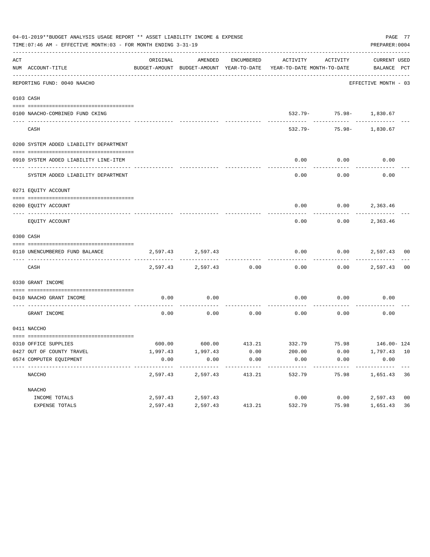|     | 04-01-2019**BUDGET ANALYSIS USAGE REPORT ** ASSET LIABILITY INCOME & EXPENSE<br>TIME: 07:46 AM - EFFECTIVE MONTH: 03 - FOR MONTH ENDING 3-31-19 |          |                   |               |                                                                                             |                                                 | PREPARER: 0004       | PAGE 77        |
|-----|-------------------------------------------------------------------------------------------------------------------------------------------------|----------|-------------------|---------------|---------------------------------------------------------------------------------------------|-------------------------------------------------|----------------------|----------------|
| ACT | NUM ACCOUNT-TITLE                                                                                                                               | ORIGINAL | AMENDED           | ENCUMBERED    | ACTIVITY<br>BUDGET-AMOUNT BUDGET-AMOUNT YEAR-TO-DATE YEAR-TO-DATE MONTH-TO-DATE BALANCE PCT | ACTIVITY                                        | CURRENT USED         |                |
|     | REPORTING FUND: 0040 NAACHO                                                                                                                     |          |                   |               |                                                                                             |                                                 | EFFECTIVE MONTH - 03 |                |
|     | 0103 CASH                                                                                                                                       |          |                   |               |                                                                                             |                                                 |                      |                |
|     | 0100 NAACHO-COMBINED FUND CKING                                                                                                                 |          |                   |               |                                                                                             | 532.79- 75.98- 1,830.67                         |                      |                |
|     | CASH                                                                                                                                            |          |                   |               |                                                                                             | ---------- ---------<br>532.79- 75.98- 1,830.67 |                      |                |
|     | 0200 SYSTEM ADDED LIABILITY DEPARTMENT                                                                                                          |          |                   |               |                                                                                             |                                                 |                      |                |
|     | 0910 SYSTEM ADDED LIABILITY LINE-ITEM                                                                                                           |          |                   |               | 0.00                                                                                        | 0.00                                            | 0.00                 |                |
|     | SYSTEM ADDED LIABILITY DEPARTMENT                                                                                                               |          |                   |               | 0.00                                                                                        | 0.00                                            | 0.00                 |                |
|     | 0271 EQUITY ACCOUNT                                                                                                                             |          |                   |               |                                                                                             |                                                 |                      |                |
|     | 0200 EOUITY ACCOUNT                                                                                                                             |          |                   |               | 0.00                                                                                        | $0.00$ 2,363.46                                 |                      |                |
|     | EQUITY ACCOUNT                                                                                                                                  |          |                   |               | 0.00                                                                                        | 0.00                                            | 2,363.46             |                |
|     | 0300 CASH                                                                                                                                       |          |                   |               |                                                                                             |                                                 |                      |                |
|     | 0110 UNENCUMBERED FUND BALANCE                                                                                                                  |          | 2,597.43 2,597.43 |               | 0.00                                                                                        |                                                 | $0.00$ 2,597.43 00   |                |
|     | CASH                                                                                                                                            | 2,597.43 |                   | 2,597.43 0.00 | 0.00                                                                                        |                                                 | $0.00$ 2,597.43 00   |                |
|     | 0330 GRANT INCOME                                                                                                                               |          |                   |               |                                                                                             |                                                 |                      |                |
|     | 0410 NAACHO GRANT INCOME                                                                                                                        | 0.00     | 0.00              |               | 0.00                                                                                        | 0.00                                            | 0.00                 |                |
|     | ---------------- ---<br>GRANT INCOME                                                                                                            | 0.00     | 0.00              | 0.00          | 0.00                                                                                        | 0.00                                            | 0.00                 |                |
|     | 0411 NACCHO                                                                                                                                     |          |                   |               |                                                                                             |                                                 |                      |                |
|     | 0310 OFFICE SUPPLIES                                                                                                                            |          |                   |               | 600.00 600.00 413.21 332.79 75.98 146.00-124                                                |                                                 |                      |                |
|     | 0427 OUT OF COUNTY TRAVEL                                                                                                                       | 1,997.43 | 1,997.43          | 0.00          | 200.00                                                                                      | 0.00                                            | 1,797.43 10          |                |
|     | 0574 COMPUTER EQUIPMENT                                                                                                                         | 0.00     | 0.00<br>-------   | 0.00          | 0.00                                                                                        | 0.00                                            | 0.00                 |                |
|     | NACCHO                                                                                                                                          | 2,597.43 | 2,597.43          | 413.21        | 532.79                                                                                      | 75.98                                           | 1,651.43             | 36             |
|     | NAACHO                                                                                                                                          |          |                   |               |                                                                                             |                                                 |                      |                |
|     | INCOME TOTALS                                                                                                                                   | 2,597.43 | 2,597.43          |               | 0.00                                                                                        | 0.00                                            | 2,597.43             | 0 <sub>0</sub> |
|     | EXPENSE TOTALS                                                                                                                                  | 2,597.43 | 2,597.43          | 413.21        | 532.79                                                                                      | 75.98                                           | 1,651.43             | 36             |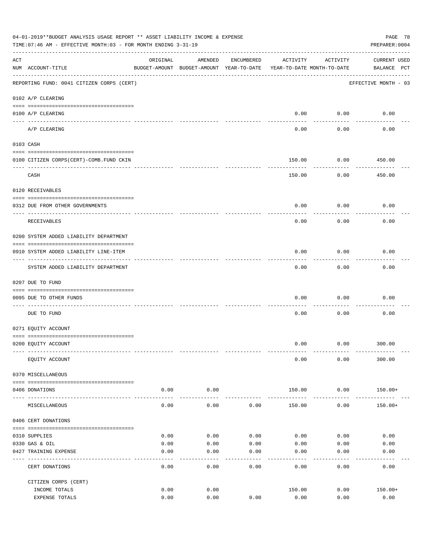|     | 04-01-2019**BUDGET ANALYSIS USAGE REPORT ** ASSET LIABILITY INCOME & EXPENSE<br>PAGE 78<br>PREPARER: 0004<br>TIME:07:46 AM - EFFECTIVE MONTH:03 - FOR MONTH ENDING 3-31-19 |              |                                                                                |            |                         |                        |                                    |  |  |  |
|-----|----------------------------------------------------------------------------------------------------------------------------------------------------------------------------|--------------|--------------------------------------------------------------------------------|------------|-------------------------|------------------------|------------------------------------|--|--|--|
| ACT | NUM ACCOUNT-TITLE                                                                                                                                                          | ORIGINAL     | AMENDED<br>BUDGET-AMOUNT BUDGET-AMOUNT YEAR-TO-DATE YEAR-TO-DATE MONTH-TO-DATE | ENCUMBERED | ACTIVITY                | ACTIVITY               | <b>CURRENT USED</b><br>BALANCE PCT |  |  |  |
|     | REPORTING FUND: 0041 CITIZEN CORPS (CERT)                                                                                                                                  |              |                                                                                |            |                         |                        | EFFECTIVE MONTH - 03               |  |  |  |
|     | 0102 A/P CLEARING                                                                                                                                                          |              |                                                                                |            |                         |                        |                                    |  |  |  |
|     | 0100 A/P CLEARING                                                                                                                                                          |              |                                                                                |            | 0.00                    | 0.00                   | 0.00                               |  |  |  |
|     | ---- --------<br>A/P CLEARING                                                                                                                                              |              |                                                                                |            | 0.00                    | 0.00                   | 0.00                               |  |  |  |
|     | 0103 CASH                                                                                                                                                                  |              |                                                                                |            |                         |                        |                                    |  |  |  |
|     |                                                                                                                                                                            |              |                                                                                |            |                         |                        |                                    |  |  |  |
|     | 0100 CITIZEN CORPS (CERT)-COMB. FUND CKIN                                                                                                                                  |              |                                                                                |            | 150.00                  | 0.00                   | 450.00<br>---------                |  |  |  |
|     | CASH                                                                                                                                                                       |              |                                                                                |            | 150.00                  | 0.00                   | 450.00                             |  |  |  |
|     | 0120 RECEIVABLES                                                                                                                                                           |              |                                                                                |            |                         |                        |                                    |  |  |  |
|     | 0312 DUE FROM OTHER GOVERNMENTS                                                                                                                                            |              |                                                                                |            | 0.00                    | 0.00                   | 0.00                               |  |  |  |
|     | RECEIVABLES                                                                                                                                                                |              |                                                                                |            | 0.00                    | 0.00                   | 0.00                               |  |  |  |
|     | 0200 SYSTEM ADDED LIABILITY DEPARTMENT                                                                                                                                     |              |                                                                                |            |                         |                        |                                    |  |  |  |
|     | 0910 SYSTEM ADDED LIABILITY LINE-ITEM                                                                                                                                      |              |                                                                                |            | 0.00                    | 0.00                   | 0.00                               |  |  |  |
|     | ------------------------<br>SYSTEM ADDED LIABILITY DEPARTMENT                                                                                                              |              |                                                                                |            | 0.00                    | --------<br>0.00       | 0.00                               |  |  |  |
|     | 0207 DUE TO FUND                                                                                                                                                           |              |                                                                                |            |                         |                        |                                    |  |  |  |
|     | 0095 DUE TO OTHER FUNDS                                                                                                                                                    |              |                                                                                |            | 0.00                    | 0.00                   | 0.00                               |  |  |  |
|     | DUE TO FUND                                                                                                                                                                |              |                                                                                |            | 0.00                    | 0.00                   | 0.00                               |  |  |  |
|     | 0271 EQUITY ACCOUNT                                                                                                                                                        |              |                                                                                |            |                         |                        |                                    |  |  |  |
|     | 0200 EQUITY ACCOUNT                                                                                                                                                        |              |                                                                                |            |                         | $0.00$ $0.00$ $300.00$ |                                    |  |  |  |
|     | EQUITY ACCOUNT                                                                                                                                                             |              |                                                                                |            | 0.00                    | 0.00                   | 300.00                             |  |  |  |
|     | 0370 MISCELLANEOUS                                                                                                                                                         |              |                                                                                |            |                         |                        |                                    |  |  |  |
|     | 0406 DONATIONS                                                                                                                                                             | 0.00         | 0.00                                                                           |            | 150.00                  | 0.00                   | 150.00+                            |  |  |  |
|     | MISCELLANEOUS                                                                                                                                                              | 0.00         | .<br>0.00                                                                      | 0.00       | -------------<br>150.00 | ------------<br>0.00   | $150.00+$                          |  |  |  |
|     | 0406 CERT DONATIONS                                                                                                                                                        |              |                                                                                |            |                         |                        |                                    |  |  |  |
|     |                                                                                                                                                                            |              |                                                                                |            |                         |                        |                                    |  |  |  |
|     | 0310 SUPPLIES                                                                                                                                                              | 0.00         | 0.00                                                                           | 0.00       | 0.00                    | 0.00                   | 0.00                               |  |  |  |
|     | 0330 GAS & OIL                                                                                                                                                             | 0.00         | 0.00                                                                           | 0.00       | 0.00                    | 0.00                   | 0.00                               |  |  |  |
|     | 0427 TRAINING EXPENSE                                                                                                                                                      | 0.00         | 0.00                                                                           | 0.00       | 0.00                    | 0.00                   | 0.00                               |  |  |  |
|     | CERT DONATIONS                                                                                                                                                             | 0.00         | 0.00                                                                           | 0.00       | 0.00                    | 0.00                   | 0.00                               |  |  |  |
|     | CITIZEN CORPS (CERT)                                                                                                                                                       |              |                                                                                |            |                         |                        |                                    |  |  |  |
|     | INCOME TOTALS<br>EXPENSE TOTALS                                                                                                                                            | 0.00<br>0.00 | 0.00<br>0.00                                                                   | 0.00       | 150.00<br>0.00          | 0.00<br>0.00           | $150.00+$<br>0.00                  |  |  |  |
|     |                                                                                                                                                                            |              |                                                                                |            |                         |                        |                                    |  |  |  |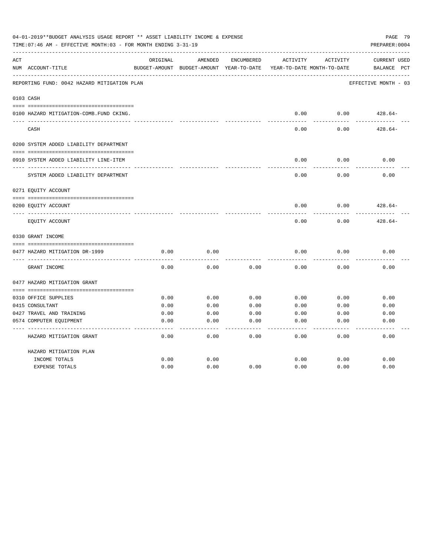|     | 04-01-2019**BUDGET ANALYSIS USAGE REPORT ** ASSET LIABILITY INCOME & EXPENSE<br>TIME: 07:46 AM - EFFECTIVE MONTH: 03 - FOR MONTH ENDING 3-31-19 |          |                                                     |            |          |                                        | PAGE 79<br>PREPARER: 0004             |
|-----|-------------------------------------------------------------------------------------------------------------------------------------------------|----------|-----------------------------------------------------|------------|----------|----------------------------------------|---------------------------------------|
| ACT | NUM ACCOUNT-TITLE                                                                                                                               | ORIGINAL | AMENDED<br>BUDGET-AMOUNT BUDGET-AMOUNT YEAR-TO-DATE | ENCUMBERED | ACTIVITY | ACTIVITY<br>YEAR-TO-DATE MONTH-TO-DATE | <b>CURRENT USED</b><br>PCT<br>BALANCE |
|     | REPORTING FUND: 0042 HAZARD MITIGATION PLAN                                                                                                     |          |                                                     |            |          |                                        | EFFECTIVE MONTH - 03                  |
|     | 0103 CASH                                                                                                                                       |          |                                                     |            |          |                                        |                                       |
|     | 0100 HAZARD MITIGATION-COMB.FUND CKING.                                                                                                         |          |                                                     |            | 0.00     | 0.00                                   | $428.64-$                             |
|     | CASH                                                                                                                                            |          |                                                     |            | 0.00     | 0.00                                   | $428.64-$                             |
|     | 0200 SYSTEM ADDED LIABILITY DEPARTMENT                                                                                                          |          |                                                     |            |          |                                        |                                       |
|     | 0910 SYSTEM ADDED LIABILITY LINE-ITEM                                                                                                           |          |                                                     |            | 0.00     | 0.00                                   | 0.00                                  |
|     | SYSTEM ADDED LIABILITY DEPARTMENT                                                                                                               |          |                                                     |            | 0.00     | 0.00                                   | 0.00                                  |
|     | 0271 EQUITY ACCOUNT                                                                                                                             |          |                                                     |            |          |                                        |                                       |
|     | 0200 EQUITY ACCOUNT                                                                                                                             |          |                                                     |            | 0.00     | 0.00                                   | $428.64-$                             |
|     | EQUITY ACCOUNT                                                                                                                                  |          |                                                     |            | 0.00     | 0.00                                   | $428.64-$                             |
|     | 0330 GRANT INCOME                                                                                                                               |          |                                                     |            |          |                                        |                                       |
|     | 0477 HAZARD MITIGATION DR-1999                                                                                                                  | 0.00     | 0.00                                                |            | 0.00     | 0.00                                   | 0.00                                  |
|     |                                                                                                                                                 |          |                                                     |            |          |                                        |                                       |
|     | GRANT INCOME                                                                                                                                    | 0.00     | 0.00                                                | 0.00       | 0.00     | 0.00                                   | 0.00                                  |
|     | 0477 HAZARD MITIGATION GRANT                                                                                                                    |          |                                                     |            |          |                                        |                                       |
|     | 0310 OFFICE SUPPLIES                                                                                                                            | 0.00     | 0.00                                                | 0.00       | 0.00     | 0.00                                   | 0.00                                  |
|     | 0415 CONSULTANT                                                                                                                                 | 0.00     | 0.00                                                | 0.00       | 0.00     | 0.00                                   | 0.00                                  |
|     | 0427 TRAVEL AND TRAINING                                                                                                                        | 0.00     | 0.00                                                | 0.00       | 0.00     | 0.00                                   | 0.00                                  |
|     | 0574 COMPUTER EOUIPMENT                                                                                                                         | 0.00     | 0.00                                                | 0.00       | 0.00     | 0.00                                   | 0.00                                  |
|     | HAZARD MITIGATION GRANT                                                                                                                         | 0.00     | 0.00                                                | 0.00       | 0.00     | 0.00                                   | 0.00                                  |
|     | HAZARD MITIGATION PLAN                                                                                                                          |          |                                                     |            |          |                                        |                                       |
|     | INCOME TOTALS                                                                                                                                   | 0.00     | 0.00                                                |            | 0.00     | 0.00                                   | 0.00                                  |
|     | <b>EXPENSE TOTALS</b>                                                                                                                           | 0.00     | 0.00                                                | 0.00       | 0.00     | 0.00                                   | 0.00                                  |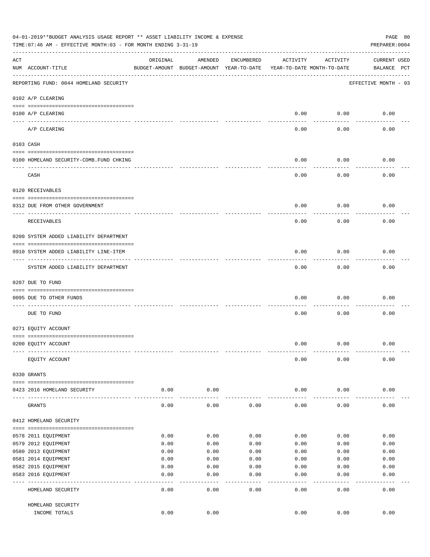|                    | 04-01-2019**BUDGET ANALYSIS USAGE REPORT ** ASSET LIABILITY INCOME & EXPENSE<br>TIME:07:46 AM - EFFECTIVE MONTH:03 - FOR MONTH ENDING 3-31-19 |          |                                                     |              |                                        |               | PAGE 80<br>PREPARER: 0004          |
|--------------------|-----------------------------------------------------------------------------------------------------------------------------------------------|----------|-----------------------------------------------------|--------------|----------------------------------------|---------------|------------------------------------|
| $\mathop{\rm ACT}$ | NUM ACCOUNT-TITLE                                                                                                                             | ORIGINAL | AMENDED<br>BUDGET-AMOUNT BUDGET-AMOUNT YEAR-TO-DATE | ENCUMBERED   | ACTIVITY<br>YEAR-TO-DATE MONTH-TO-DATE | ACTIVITY      | <b>CURRENT USED</b><br>BALANCE PCT |
|                    | REPORTING FUND: 0044 HOMELAND SECURITY                                                                                                        |          |                                                     |              |                                        |               | EFFECTIVE MONTH - 03               |
|                    | 0102 A/P CLEARING                                                                                                                             |          |                                                     |              |                                        |               |                                    |
|                    | 0100 A/P CLEARING                                                                                                                             |          |                                                     |              | 0.00                                   | 0.00          | 0.00                               |
|                    | ---- ---------<br>A/P CLEARING                                                                                                                |          |                                                     |              | 0.00                                   | 0.00          | 0.00                               |
|                    | 0103 CASH                                                                                                                                     |          |                                                     |              |                                        |               |                                    |
|                    | 0100 HOMELAND SECURITY-COMB.FUND CHKING                                                                                                       |          |                                                     |              | 0.00                                   | 0.00          | 0.00                               |
|                    | CASH                                                                                                                                          |          |                                                     |              | 0.00                                   | 0.00          | 0.00                               |
|                    | 0120 RECEIVABLES                                                                                                                              |          |                                                     |              |                                        |               |                                    |
|                    | 0312 DUE FROM OTHER GOVERNMENT                                                                                                                |          |                                                     |              | 0.00                                   | 0.00          | 0.00                               |
|                    | RECEIVABLES                                                                                                                                   |          |                                                     |              | 0.00                                   | 0.00          | 0.00                               |
|                    | 0200 SYSTEM ADDED LIABILITY DEPARTMENT                                                                                                        |          |                                                     |              |                                        |               |                                    |
|                    | 0910 SYSTEM ADDED LIABILITY LINE-ITEM                                                                                                         |          |                                                     |              | 0.00                                   | 0.00          | 0.00                               |
|                    | SYSTEM ADDED LIABILITY DEPARTMENT                                                                                                             |          |                                                     |              | 0.00                                   | 0.00          | 0.00                               |
|                    | 0207 DUE TO FUND                                                                                                                              |          |                                                     |              |                                        |               |                                    |
|                    | 0095 DUE TO OTHER FUNDS                                                                                                                       |          |                                                     |              | 0.00                                   | 0.00          | 0.00                               |
|                    | DUE TO FUND                                                                                                                                   |          |                                                     |              | 0.00                                   | 0.00          | 0.00                               |
|                    | 0271 EQUITY ACCOUNT                                                                                                                           |          |                                                     |              |                                        |               |                                    |
|                    | 0200 EQUITY ACCOUNT                                                                                                                           |          |                                                     |              | 0.00                                   | 0.00          | 0.00                               |
|                    | EQUITY ACCOUNT                                                                                                                                |          |                                                     |              | 0.00                                   | 0.00          | 0.00                               |
|                    | 0330 GRANTS                                                                                                                                   |          |                                                     |              |                                        |               |                                    |
|                    | 0423 2016 HOMELAND SECURITY                                                                                                                   | 0.00     | 0.00                                                |              | 0.00                                   | 0.00          | 0.00                               |
|                    | GRANTS                                                                                                                                        | 0.00     | 0.00                                                | 0.00         | 0.00                                   | 0.00          | 0.00                               |
|                    | 0412 HOMELAND SECURITY                                                                                                                        |          |                                                     |              |                                        |               |                                    |
|                    | 0578 2011 EQUIPMENT                                                                                                                           | 0.00     | 0.00                                                | 0.00         | 0.00                                   | 0.00          | 0.00                               |
|                    | 0579 2012 EQUIPMENT                                                                                                                           | 0.00     | 0.00                                                | 0.00         | 0.00                                   | 0.00          | 0.00                               |
|                    | 0580 2013 EQUIPMENT                                                                                                                           | 0.00     | 0.00                                                | 0.00         | 0.00                                   | 0.00          | 0.00                               |
|                    | 0581 2014 EQUIPMENT                                                                                                                           | 0.00     | 0.00                                                | 0.00         | 0.00                                   | 0.00          | 0.00                               |
|                    | 0582 2015 EQUIPMENT                                                                                                                           | 0.00     | 0.00                                                | 0.00         | 0.00                                   | 0.00          | 0.00                               |
|                    | 0583 2016 EQUIPMENT                                                                                                                           | 0.00     | 0.00                                                | 0.00         | 0.00                                   | 0.00          | 0.00                               |
|                    | HOMELAND SECURITY                                                                                                                             | 0.00     | ----<br>0.00                                        | ----<br>0.00 | $---$<br>0.00                          | $---$<br>0.00 | 0.00                               |
|                    | HOMELAND SECURITY                                                                                                                             |          |                                                     |              |                                        |               |                                    |
|                    | INCOME TOTALS                                                                                                                                 | 0.00     | 0.00                                                |              | 0.00                                   | 0.00          | 0.00                               |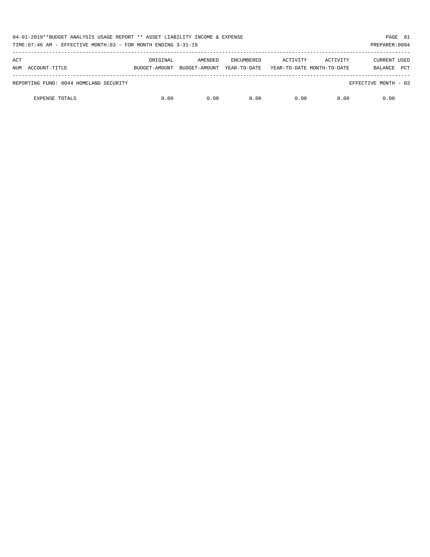| 04-01-2019**BUDGET ANALYSIS USAGE REPORT ** ASSET LIABILITY INCOME & EXPENSE<br>TIME: 07:46 AM - EFFECTIVE MONTH: 03 - FOR MONTH ENDING 3-31-19 |          |                                        |                                   |                                        |          | PAGE 81<br>PREPARER: 0004                    |  |
|-------------------------------------------------------------------------------------------------------------------------------------------------|----------|----------------------------------------|-----------------------------------|----------------------------------------|----------|----------------------------------------------|--|
| ACT<br>NUM ACCOUNT-TITLE                                                                                                                        | ORIGINAL | AMENDED<br>BUDGET-AMOUNT BUDGET-AMOUNT | <b>ENCUMBERED</b><br>YEAR-TO-DATE | ACTIVITY<br>YEAR-TO-DATE MONTH-TO-DATE | ACTIVITY | <b>CURRENT USED</b><br><b>PCT</b><br>BALANCE |  |
| REPORTING FUND: 0044 HOMELAND SECURITY                                                                                                          |          |                                        |                                   |                                        |          | EFFECTIVE MONTH - 03                         |  |
| <b>EXPENSE TOTALS</b>                                                                                                                           | 0.00     | 0.00                                   | 0.00                              | 0.00                                   | 0.00     | 0.00                                         |  |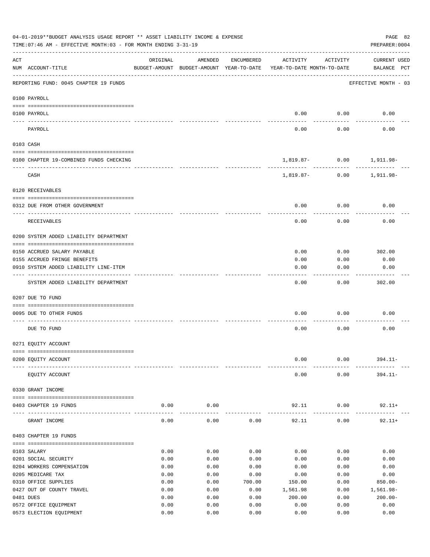| 04-01-2019**BUDGET ANALYSIS USAGE REPORT ** ASSET LIABILITY INCOME & EXPENSE<br>PAGE 82<br>TIME: 07:46 AM - EFFECTIVE MONTH: 03 - FOR MONTH ENDING 3-31-19<br>PREPARER: 0004 |                                         |          |                                                     |            |                                        |                      |                                    |  |  |
|------------------------------------------------------------------------------------------------------------------------------------------------------------------------------|-----------------------------------------|----------|-----------------------------------------------------|------------|----------------------------------------|----------------------|------------------------------------|--|--|
| ACT                                                                                                                                                                          | NUM ACCOUNT-TITLE                       | ORIGINAL | AMENDED<br>BUDGET-AMOUNT BUDGET-AMOUNT YEAR-TO-DATE | ENCUMBERED | ACTIVITY<br>YEAR-TO-DATE MONTH-TO-DATE | ACTIVITY             | <b>CURRENT USED</b><br>BALANCE PCT |  |  |
|                                                                                                                                                                              | REPORTING FUND: 0045 CHAPTER 19 FUNDS   |          |                                                     |            |                                        |                      | EFFECTIVE MONTH - 03               |  |  |
|                                                                                                                                                                              | 0100 PAYROLL                            |          |                                                     |            |                                        |                      |                                    |  |  |
|                                                                                                                                                                              | 0100 PAYROLL                            |          |                                                     |            | 0.00                                   | 0.00                 | 0.00                               |  |  |
|                                                                                                                                                                              | ---- ------<br>PAYROLL                  |          |                                                     |            | 0.00                                   | 0.00                 | 0.00                               |  |  |
|                                                                                                                                                                              | 0103 CASH                               |          |                                                     |            |                                        |                      |                                    |  |  |
|                                                                                                                                                                              | 0100 CHAPTER 19-COMBINED FUNDS CHECKING |          |                                                     |            | 1,819.87- 0.00 1,911.98-               |                      |                                    |  |  |
|                                                                                                                                                                              | CASH                                    |          |                                                     |            | 1,819.87- 0.00 1,911.98-               | ----------           |                                    |  |  |
|                                                                                                                                                                              | 0120 RECEIVABLES                        |          |                                                     |            |                                        |                      |                                    |  |  |
|                                                                                                                                                                              | 0312 DUE FROM OTHER GOVERNMENT          |          |                                                     |            | 0.00                                   | 0.00                 | 0.00                               |  |  |
|                                                                                                                                                                              | RECEIVABLES                             |          |                                                     |            | 0.00                                   | 0.00                 | 0.00                               |  |  |
|                                                                                                                                                                              | 0200 SYSTEM ADDED LIABILITY DEPARTMENT  |          |                                                     |            |                                        |                      |                                    |  |  |
|                                                                                                                                                                              | 0150 ACCRUED SALARY PAYABLE             |          |                                                     |            | 0.00                                   | 0.00                 | 302.00                             |  |  |
|                                                                                                                                                                              | 0155 ACCRUED FRINGE BENEFITS            |          |                                                     |            | 0.00                                   | 0.00                 | 0.00                               |  |  |
|                                                                                                                                                                              | 0910 SYSTEM ADDED LIABILITY LINE-ITEM   |          |                                                     |            | 0.00                                   | 0.00                 | 0.00                               |  |  |
|                                                                                                                                                                              | SYSTEM ADDED LIABILITY DEPARTMENT       |          |                                                     |            | 0.00                                   | 0.00                 | 302.00                             |  |  |
|                                                                                                                                                                              | 0207 DUE TO FUND                        |          |                                                     |            |                                        |                      |                                    |  |  |
|                                                                                                                                                                              | 0095 DUE TO OTHER FUNDS                 |          |                                                     |            | 0.00                                   | 0.00                 | 0.00                               |  |  |
|                                                                                                                                                                              | DUE TO FUND                             |          |                                                     |            | 0.00                                   | 0.00                 | 0.00                               |  |  |
|                                                                                                                                                                              | 0271 EQUITY ACCOUNT                     |          |                                                     |            |                                        |                      |                                    |  |  |
|                                                                                                                                                                              |                                         |          |                                                     |            |                                        |                      |                                    |  |  |
|                                                                                                                                                                              | 0200 EQUITY ACCOUNT                     |          |                                                     |            | 0.00                                   | 0.00                 | $394.11 -$                         |  |  |
|                                                                                                                                                                              | EQUITY ACCOUNT                          |          |                                                     |            | 0.00                                   | 0.00                 | $394.11 -$                         |  |  |
|                                                                                                                                                                              | 0330 GRANT INCOME                       |          |                                                     |            |                                        |                      |                                    |  |  |
|                                                                                                                                                                              | 0403 CHAPTER 19 FUNDS                   | 0.00     | 0.00<br>----------                                  |            | 92.11<br>------------                  | 0.00<br>------------ | $92.11+$                           |  |  |
|                                                                                                                                                                              | GRANT INCOME                            | 0.00     | 0.00                                                | 0.00       | 92.11                                  | 0.00                 | $92.11+$                           |  |  |
|                                                                                                                                                                              | 0403 CHAPTER 19 FUNDS                   |          |                                                     |            |                                        |                      |                                    |  |  |
|                                                                                                                                                                              | 0103 SALARY                             | 0.00     | 0.00                                                | 0.00       | 0.00                                   | 0.00                 | 0.00                               |  |  |
|                                                                                                                                                                              | 0201 SOCIAL SECURITY                    | 0.00     | 0.00                                                | 0.00       | 0.00                                   | 0.00                 | 0.00                               |  |  |
|                                                                                                                                                                              | 0204 WORKERS COMPENSATION               | 0.00     | 0.00                                                | 0.00       | 0.00                                   | 0.00                 | 0.00                               |  |  |
|                                                                                                                                                                              | 0205 MEDICARE TAX                       | 0.00     | 0.00                                                | 0.00       | 0.00                                   | 0.00                 | 0.00                               |  |  |
|                                                                                                                                                                              | 0310 OFFICE SUPPLIES                    | 0.00     | 0.00                                                | 700.00     | 150.00                                 | 0.00                 | $850.00 -$                         |  |  |
|                                                                                                                                                                              | 0427 OUT OF COUNTY TRAVEL               | 0.00     | 0.00                                                | 0.00       | 1,561.98                               | 0.00                 | 1,561.98-                          |  |  |
|                                                                                                                                                                              | 0481 DUES                               | 0.00     | 0.00                                                | 0.00       | 200.00                                 | 0.00                 | $200.00 -$                         |  |  |
|                                                                                                                                                                              | 0572 OFFICE EQUIPMENT                   | 0.00     | 0.00                                                | 0.00       | 0.00                                   | 0.00                 | 0.00                               |  |  |
|                                                                                                                                                                              | 0573 ELECTION EQUIPMENT                 | 0.00     | 0.00                                                | 0.00       | 0.00                                   | 0.00                 | 0.00                               |  |  |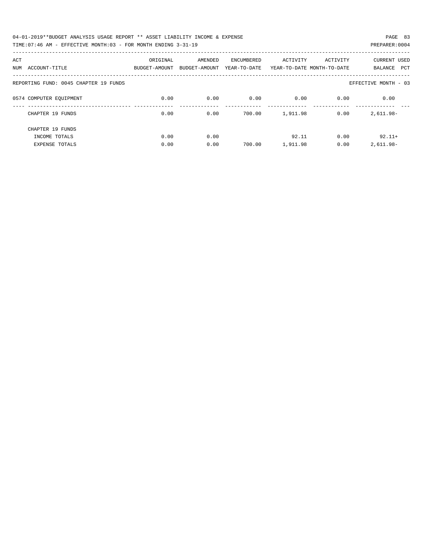| 04-01-2019**BUDGET ANALYSIS USAGE REPORT ** ASSET LIABILITY INCOME & EXPENSE | PAGE 83        |  |
|------------------------------------------------------------------------------|----------------|--|
| TIME:07:46 AM - EFFECTIVE MONTH:03 - FOR MONTH ENDING 3-31-19                | PREPARER: 0004 |  |

| ACT                                   | ORIGINAL      | AMENDED       | ENCUMBERED   | ACTIVITY | ACTIVITY                   | <b>CURRENT USED</b>   |
|---------------------------------------|---------------|---------------|--------------|----------|----------------------------|-----------------------|
| ACCOUNT-TITLE<br>NUM                  | BUDGET-AMOUNT | BUDGET-AMOUNT | YEAR-TO-DATE |          | YEAR-TO-DATE MONTH-TO-DATE | <b>PCT</b><br>BALANCE |
|                                       |               |               |              |          |                            |                       |
| REPORTING FUND: 0045 CHAPTER 19 FUNDS |               |               |              |          |                            | EFFECTIVE MONTH - 03  |
| 0574 COMPUTER EOUIPMENT               | 0.00          | 0.00          | 0.00         | 0.00     | 0.00                       | 0.00                  |
|                                       |               |               |              |          |                            |                       |
| CHAPTER 19 FUNDS                      | 0.00          | 0.00          | 700.00       | 1,911.98 | 0.00                       | $2,611.98-$           |
|                                       |               |               |              |          |                            |                       |
| CHAPTER 19 FUNDS                      |               |               |              |          |                            |                       |
| INCOME TOTALS                         | 0.00          | 0.00          |              | 92.11    | 0.00                       | $92.11+$              |
| <b>EXPENSE TOTALS</b>                 | 0.00          | 0.00          | 700.00       | 1,911.98 | 0.00                       | $2,611.98-$           |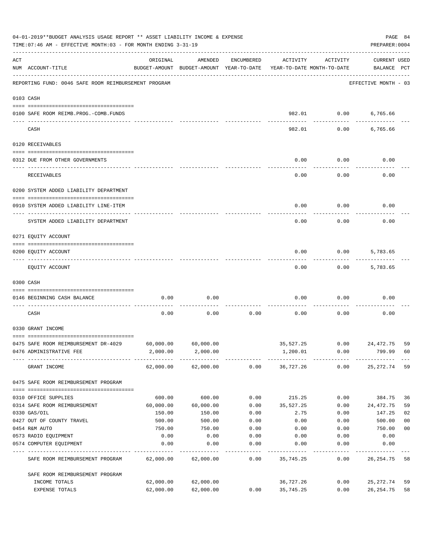|           | 04-01-2019**BUDGET ANALYSIS USAGE REPORT ** ASSET LIABILITY INCOME & EXPENSE<br>TIME: 07:46 AM - EFFECTIVE MONTH: 03 - FOR MONTH ENDING 3-31-19 |           |                                                     |            |                                        |          |                                    |                |  |  |
|-----------|-------------------------------------------------------------------------------------------------------------------------------------------------|-----------|-----------------------------------------------------|------------|----------------------------------------|----------|------------------------------------|----------------|--|--|
| ACT       | NUM ACCOUNT-TITLE                                                                                                                               | ORIGINAL  | AMENDED<br>BUDGET-AMOUNT BUDGET-AMOUNT YEAR-TO-DATE | ENCUMBERED | ACTIVITY<br>YEAR-TO-DATE MONTH-TO-DATE | ACTIVITY | <b>CURRENT USED</b><br>BALANCE PCT |                |  |  |
|           | REPORTING FUND: 0046 SAFE ROOM REIMBURSEMENT PROGRAM                                                                                            |           |                                                     |            |                                        |          | EFFECTIVE MONTH - 03               |                |  |  |
| 0103 CASH |                                                                                                                                                 |           |                                                     |            |                                        |          |                                    |                |  |  |
|           | 0100 SAFE ROOM REIMB.PROG.-COMB.FUNDS                                                                                                           |           |                                                     |            | 982.01                                 | 0.00     | 6,765.66                           |                |  |  |
|           | CASH                                                                                                                                            |           |                                                     |            | 982.01                                 | 0.00     | 6,765.66                           |                |  |  |
|           | 0120 RECEIVABLES                                                                                                                                |           |                                                     |            |                                        |          |                                    |                |  |  |
|           | 0312 DUE FROM OTHER GOVERNMENTS                                                                                                                 |           |                                                     |            | 0.00                                   | 0.00     | 0.00                               |                |  |  |
|           | RECEIVABLES                                                                                                                                     |           |                                                     |            | 0.00                                   | 0.00     | 0.00                               |                |  |  |
|           | 0200 SYSTEM ADDED LIABILITY DEPARTMENT                                                                                                          |           |                                                     |            |                                        |          |                                    |                |  |  |
|           | 0910 SYSTEM ADDED LIABILITY LINE-ITEM                                                                                                           |           |                                                     |            | 0.00                                   | 0.00     | 0.00                               |                |  |  |
|           | SYSTEM ADDED LIABILITY DEPARTMENT                                                                                                               |           |                                                     |            | 0.00                                   | 0.00     | 0.00                               |                |  |  |
|           | 0271 EQUITY ACCOUNT                                                                                                                             |           |                                                     |            |                                        |          |                                    |                |  |  |
|           | 0200 EQUITY ACCOUNT                                                                                                                             |           |                                                     |            | 0.00                                   | 0.00     | 5,783.65                           |                |  |  |
|           | EQUITY ACCOUNT                                                                                                                                  |           |                                                     |            | 0.00                                   | 0.00     | 5,783.65                           |                |  |  |
|           | 0300 CASH                                                                                                                                       |           |                                                     |            |                                        |          |                                    |                |  |  |
|           | 0146 BEGINNING CASH BALANCE                                                                                                                     | 0.00      | 0.00                                                |            | 0.00                                   | 0.00     | 0.00                               |                |  |  |
|           | __________________________________<br>CASH                                                                                                      | 0.00      | 0.00                                                | 0.00       | 0.00                                   | 0.00     | 0.00                               |                |  |  |
|           | 0330 GRANT INCOME                                                                                                                               |           |                                                     |            |                                        |          |                                    |                |  |  |
|           | 0475 SAFE ROOM REIMBURSEMENT DR-4029                                                                                                            | 60,000.00 | 60,000.00                                           |            | 35,527.25                              | 0.00     | 24,472.75                          | 59             |  |  |
|           | 0476 ADMINISTRATIVE FEE                                                                                                                         |           | 2,000.00 2,000.00                                   |            | 1,200.01                               | 0.00     | 799.99                             | 60             |  |  |
|           | GRANT INCOME                                                                                                                                    |           | 62,000.00 62,000.00                                 |            | $0.00$ 36,727.26 0.00                  |          | 25,272.74                          | 59             |  |  |
|           | 0475 SAFE ROOM REIMBURSEMENT PROGRAM                                                                                                            |           |                                                     |            |                                        |          |                                    |                |  |  |
|           | 0310 OFFICE SUPPLIES                                                                                                                            | 600.00    | 600.00                                              | 0.00       | 215.25                                 | 0.00     | 384.75                             | 36             |  |  |
|           | 0314 SAFE ROOM REIMBURSEMENT                                                                                                                    | 60,000.00 | 60,000.00                                           | 0.00       | 35,527.25                              | 0.00     | 24,472.75                          | 59             |  |  |
|           | 0330 GAS/OIL                                                                                                                                    | 150.00    | 150.00                                              | 0.00       | 2.75                                   | 0.00     | 147.25                             | 02             |  |  |
|           | 0427 OUT OF COUNTY TRAVEL                                                                                                                       | 500.00    | 500.00                                              | 0.00       | 0.00                                   | 0.00     | 500.00                             | 0 <sub>0</sub> |  |  |
|           | 0454 R&M AUTO                                                                                                                                   | 750.00    | 750.00                                              | 0.00       | 0.00                                   | 0.00     | 750.00                             | 0 <sub>0</sub> |  |  |
|           | 0573 RADIO EQUIPMENT                                                                                                                            | 0.00      | 0.00                                                | 0.00       | 0.00                                   | 0.00     | 0.00                               |                |  |  |
|           | 0574 COMPUTER EQUIPMENT                                                                                                                         | 0.00      | 0.00                                                | 0.00       | 0.00                                   | 0.00     | 0.00                               |                |  |  |
|           | SAFE ROOM REIMBURSEMENT PROGRAM                                                                                                                 | 62,000.00 | 62,000.00                                           | 0.00       | 35,745.25                              | 0.00     | 26, 254.75                         | 58             |  |  |
|           | SAFE ROOM REIMBURSEMENT PROGRAM                                                                                                                 |           |                                                     |            |                                        |          |                                    |                |  |  |
|           | INCOME TOTALS                                                                                                                                   | 62,000.00 | 62,000.00                                           |            | 36,727.26                              | 0.00     | 25,272.74                          | 59             |  |  |
|           | EXPENSE TOTALS                                                                                                                                  | 62,000.00 | 62,000.00                                           | 0.00       | 35,745.25                              | 0.00     | 26, 254.75                         | 58             |  |  |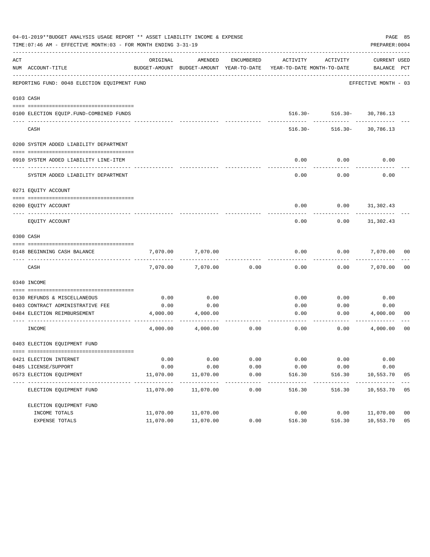|     | 04-01-2019**BUDGET ANALYSIS USAGE REPORT ** ASSET LIABILITY INCOME & EXPENSE<br>TIME: 07:46 AM - EFFECTIVE MONTH: 03 - FOR MONTH ENDING 3-31-19 |           |                          |                     |                                                                                 |                           | PAGE 85<br>PREPARER: 0004   |                |
|-----|-------------------------------------------------------------------------------------------------------------------------------------------------|-----------|--------------------------|---------------------|---------------------------------------------------------------------------------|---------------------------|-----------------------------|----------------|
| ACT | NUM ACCOUNT-TITLE                                                                                                                               | ORIGINAL  | AMENDED                  | ENCUMBERED          | ACTIVITY<br>BUDGET-AMOUNT BUDGET-AMOUNT YEAR-TO-DATE YEAR-TO-DATE MONTH-TO-DATE | ACTIVITY                  | CURRENT USED<br>BALANCE PCT |                |
|     | REPORTING FUND: 0048 ELECTION EQUIPMENT FUND                                                                                                    |           |                          |                     |                                                                                 |                           | EFFECTIVE MONTH - 03        |                |
|     | 0103 CASH                                                                                                                                       |           |                          |                     |                                                                                 |                           |                             |                |
|     |                                                                                                                                                 |           |                          |                     |                                                                                 |                           |                             |                |
|     | 0100 ELECTION EQUIP. FUND-COMBINED FUNDS<br>______________________                                                                              |           |                          |                     |                                                                                 | 516.30- 516.30- 30,786.13 | ------                      |                |
|     | CASH                                                                                                                                            |           |                          |                     | $516.30 -$                                                                      | 516.30-                   | 30,786.13                   |                |
|     | 0200 SYSTEM ADDED LIABILITY DEPARTMENT                                                                                                          |           |                          |                     |                                                                                 |                           |                             |                |
|     |                                                                                                                                                 |           |                          |                     |                                                                                 |                           |                             |                |
|     | 0910 SYSTEM ADDED LIABILITY LINE-ITEM                                                                                                           |           |                          |                     | 0.00                                                                            | 0.00                      | 0.00                        |                |
|     | SYSTEM ADDED LIABILITY DEPARTMENT                                                                                                               |           |                          |                     | 0.00                                                                            | 0.00                      | 0.00                        |                |
|     | 0271 EQUITY ACCOUNT                                                                                                                             |           |                          |                     |                                                                                 |                           |                             |                |
|     |                                                                                                                                                 |           |                          |                     |                                                                                 |                           |                             |                |
|     | 0200 EOUITY ACCOUNT                                                                                                                             |           |                          |                     | 0.00                                                                            | 0.00                      | 31,302.43                   |                |
|     | EQUITY ACCOUNT                                                                                                                                  |           |                          |                     | 0.00                                                                            | 0.00                      | 31,302.43                   |                |
|     | 0300 CASH                                                                                                                                       |           |                          |                     |                                                                                 |                           |                             |                |
|     | 0148 BEGINNING CASH BALANCE                                                                                                                     | 7,070.00  | 7,070.00                 |                     | 0.00                                                                            | 0.00                      | 7,070.00                    | 00             |
|     |                                                                                                                                                 |           |                          |                     |                                                                                 |                           |                             |                |
|     | CASH                                                                                                                                            | 7,070.00  | 7,070.00                 | 0.00                | 0.00                                                                            | 0.00                      | 7,070.00                    | 0 <sub>0</sub> |
|     | 0340 INCOME                                                                                                                                     |           |                          |                     |                                                                                 |                           |                             |                |
|     | 0130 REFUNDS & MISCELLANEOUS                                                                                                                    | 0.00      | 0.00                     |                     | 0.00                                                                            | 0.00                      | 0.00                        |                |
|     | 0403 CONTRACT ADMINISTRATIVE FEE                                                                                                                | 0.00      | 0.00                     |                     | 0.00                                                                            | 0.00                      | 0.00                        |                |
|     | 0484 ELECTION REIMBURSEMENT                                                                                                                     | 4,000.00  | 4,000.00                 |                     | 0.00                                                                            | 0.00                      | 4,000.00                    | 00             |
|     | INCOME                                                                                                                                          | 4,000.00  | 4,000.00                 | 0.00                | 0.00                                                                            | 0.00                      | 4,000.00                    | 00             |
|     | 0403 ELECTION EQUIPMENT FUND                                                                                                                    |           |                          |                     |                                                                                 |                           |                             |                |
|     |                                                                                                                                                 |           |                          |                     |                                                                                 |                           |                             |                |
|     | 0421 ELECTION INTERNET                                                                                                                          | 0.00      | 0.00                     | 0.00                | 0.00                                                                            | 0.00                      | 0.00                        |                |
|     | 0485 LICENSE/SUPPORT                                                                                                                            | 0.00      | 0.00                     | 0.00                | 0.00                                                                            | 0.00                      | 0.00                        |                |
|     | 0573 ELECTION EQUIPMENT                                                                                                                         | 11,070.00 | 11,070.00                | 0.00                | 516.30                                                                          | 516.30                    | 10,553.70<br>------------   | 05             |
|     | ELECTION EQUIPMENT FUND                                                                                                                         | 11,070.00 | -----------<br>11,070.00 | -----------<br>0.00 | ---------<br>516.30                                                             | ---------<br>516.30       | 10,553.70 05                |                |
|     | ELECTION EQUIPMENT FUND                                                                                                                         |           |                          |                     |                                                                                 |                           |                             |                |
|     | INCOME TOTALS                                                                                                                                   | 11,070.00 | 11,070.00                |                     | 0.00                                                                            | 0.00                      | 11,070.00                   | 0 <sub>0</sub> |
|     | EXPENSE TOTALS                                                                                                                                  | 11,070.00 | 11,070.00                | 0.00                | 516.30                                                                          | 516.30                    | 10,553.70                   | 05             |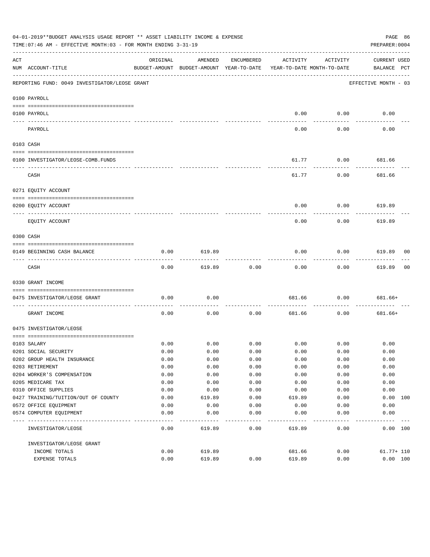|                                                                                                                                                                                                                                                                                                                                                                                                                                                                            | 04-01-2019**BUDGET ANALYSIS USAGE REPORT ** ASSET LIABILITY INCOME & EXPENSE<br>PAGE 86<br>TIME:07:46 AM - EFFECTIVE MONTH:03 - FOR MONTH ENDING 3-31-19<br>PREPARER: 0004 |          |                                                     |            |                                        |                  |                                    |    |  |  |  |
|----------------------------------------------------------------------------------------------------------------------------------------------------------------------------------------------------------------------------------------------------------------------------------------------------------------------------------------------------------------------------------------------------------------------------------------------------------------------------|----------------------------------------------------------------------------------------------------------------------------------------------------------------------------|----------|-----------------------------------------------------|------------|----------------------------------------|------------------|------------------------------------|----|--|--|--|
| ACT                                                                                                                                                                                                                                                                                                                                                                                                                                                                        | NUM ACCOUNT-TITLE                                                                                                                                                          | ORIGINAL | AMENDED<br>BUDGET-AMOUNT BUDGET-AMOUNT YEAR-TO-DATE | ENCUMBERED | ACTIVITY<br>YEAR-TO-DATE MONTH-TO-DATE | ACTIVITY         | <b>CURRENT USED</b><br>BALANCE PCT |    |  |  |  |
|                                                                                                                                                                                                                                                                                                                                                                                                                                                                            | REPORTING FUND: 0049 INVESTIGATOR/LEOSE GRANT                                                                                                                              |          |                                                     |            |                                        |                  | EFFECTIVE MONTH - 03               |    |  |  |  |
|                                                                                                                                                                                                                                                                                                                                                                                                                                                                            | 0100 PAYROLL                                                                                                                                                               |          |                                                     |            |                                        |                  |                                    |    |  |  |  |
|                                                                                                                                                                                                                                                                                                                                                                                                                                                                            | 0100 PAYROLL                                                                                                                                                               |          |                                                     |            | 0.00                                   | 0.00             | 0.00                               |    |  |  |  |
| $\frac{1}{2} \left( \frac{1}{2} \right) \left( \frac{1}{2} \right) \left( \frac{1}{2} \right) \left( \frac{1}{2} \right) \left( \frac{1}{2} \right) \left( \frac{1}{2} \right) \left( \frac{1}{2} \right) \left( \frac{1}{2} \right) \left( \frac{1}{2} \right) \left( \frac{1}{2} \right) \left( \frac{1}{2} \right) \left( \frac{1}{2} \right) \left( \frac{1}{2} \right) \left( \frac{1}{2} \right) \left( \frac{1}{2} \right) \left( \frac{1}{2} \right) \left( \frac$ | PAYROLL                                                                                                                                                                    |          |                                                     |            | 0.00                                   | 0.00             | 0.00                               |    |  |  |  |
| 0103 CASH                                                                                                                                                                                                                                                                                                                                                                                                                                                                  |                                                                                                                                                                            |          |                                                     |            |                                        |                  |                                    |    |  |  |  |
|                                                                                                                                                                                                                                                                                                                                                                                                                                                                            |                                                                                                                                                                            |          |                                                     |            |                                        |                  |                                    |    |  |  |  |
|                                                                                                                                                                                                                                                                                                                                                                                                                                                                            | 0100 INVESTIGATOR/LEOSE-COMB.FUNDS                                                                                                                                         |          |                                                     |            | 61.77                                  | 0.00             | 681.66                             |    |  |  |  |
|                                                                                                                                                                                                                                                                                                                                                                                                                                                                            | CASH                                                                                                                                                                       |          |                                                     |            | 61.77                                  | 0.00             | 681.66                             |    |  |  |  |
|                                                                                                                                                                                                                                                                                                                                                                                                                                                                            | 0271 EQUITY ACCOUNT                                                                                                                                                        |          |                                                     |            |                                        |                  |                                    |    |  |  |  |
|                                                                                                                                                                                                                                                                                                                                                                                                                                                                            | 0200 EQUITY ACCOUNT                                                                                                                                                        |          |                                                     |            | 0.00                                   | 0.00             | 619.89                             |    |  |  |  |
|                                                                                                                                                                                                                                                                                                                                                                                                                                                                            | ---- -----------<br>--------------------- --------                                                                                                                         |          |                                                     |            |                                        |                  |                                    |    |  |  |  |
|                                                                                                                                                                                                                                                                                                                                                                                                                                                                            | EQUITY ACCOUNT                                                                                                                                                             |          |                                                     |            | 0.00                                   | 0.00             | 619.89                             |    |  |  |  |
| 0300 CASH                                                                                                                                                                                                                                                                                                                                                                                                                                                                  |                                                                                                                                                                            |          |                                                     |            |                                        |                  |                                    |    |  |  |  |
|                                                                                                                                                                                                                                                                                                                                                                                                                                                                            | 0149 BEGINNING CASH BALANCE                                                                                                                                                | 0.00     | 619.89                                              |            | 0.00                                   | 0.00<br>-------- | 619.89 00<br>---------             |    |  |  |  |
|                                                                                                                                                                                                                                                                                                                                                                                                                                                                            | CASH                                                                                                                                                                       | 0.00     | 619.89                                              | 0.00       | 0.00                                   | 0.00             | 619.89                             | 00 |  |  |  |
|                                                                                                                                                                                                                                                                                                                                                                                                                                                                            | 0330 GRANT INCOME                                                                                                                                                          |          |                                                     |            |                                        |                  |                                    |    |  |  |  |
|                                                                                                                                                                                                                                                                                                                                                                                                                                                                            | 0475 INVESTIGATOR/LEOSE GRANT                                                                                                                                              | 0.00     | 0.00                                                |            | 681.66                                 | 0.00             | 681.66+                            |    |  |  |  |
|                                                                                                                                                                                                                                                                                                                                                                                                                                                                            | GRANT INCOME                                                                                                                                                               | 0.00     | 0.00                                                | 0.00       | 681.66                                 | 0.00             | 681.66+                            |    |  |  |  |
|                                                                                                                                                                                                                                                                                                                                                                                                                                                                            | 0475 INVESTIGATOR/LEOSE                                                                                                                                                    |          |                                                     |            |                                        |                  |                                    |    |  |  |  |
|                                                                                                                                                                                                                                                                                                                                                                                                                                                                            |                                                                                                                                                                            | 0.00     | 0.00                                                | 0.00       |                                        | $0.00$ 0.00      | 0.00                               |    |  |  |  |
|                                                                                                                                                                                                                                                                                                                                                                                                                                                                            | 0103 SALARY<br>0201 SOCIAL SECURITY                                                                                                                                        | 0.00     | 0.00                                                | 0.00       | 0.00                                   | 0.00             | 0.00                               |    |  |  |  |
|                                                                                                                                                                                                                                                                                                                                                                                                                                                                            | 0202 GROUP HEALTH INSURANCE                                                                                                                                                | 0.00     | 0.00                                                | 0.00       | 0.00                                   | 0.00             | 0.00                               |    |  |  |  |
|                                                                                                                                                                                                                                                                                                                                                                                                                                                                            | 0203 RETIREMENT                                                                                                                                                            | 0.00     | 0.00                                                | 0.00       | 0.00                                   | 0.00             | 0.00                               |    |  |  |  |
|                                                                                                                                                                                                                                                                                                                                                                                                                                                                            | 0204 WORKER'S COMPENSATION                                                                                                                                                 | 0.00     | 0.00                                                | 0.00       | 0.00                                   | 0.00             | 0.00                               |    |  |  |  |
|                                                                                                                                                                                                                                                                                                                                                                                                                                                                            | 0205 MEDICARE TAX                                                                                                                                                          | 0.00     | 0.00                                                | 0.00       | 0.00                                   | 0.00             | 0.00                               |    |  |  |  |
|                                                                                                                                                                                                                                                                                                                                                                                                                                                                            | 0310 OFFICE SUPPLIES                                                                                                                                                       | 0.00     | 0.00                                                | 0.00       | 0.00                                   | 0.00             | 0.00                               |    |  |  |  |
|                                                                                                                                                                                                                                                                                                                                                                                                                                                                            | 0427 TRAINING/TUITION/OUT OF COUNTY                                                                                                                                        | 0.00     | 619.89                                              | 0.00       | 619.89                                 | 0.00             | 0.00 100                           |    |  |  |  |
|                                                                                                                                                                                                                                                                                                                                                                                                                                                                            | 0572 OFFICE EQUIPMENT                                                                                                                                                      | 0.00     | 0.00                                                | 0.00       | 0.00                                   | 0.00             | 0.00                               |    |  |  |  |
|                                                                                                                                                                                                                                                                                                                                                                                                                                                                            | 0574 COMPUTER EQUIPMENT                                                                                                                                                    | 0.00     | 0.00                                                | 0.00       | 0.00                                   | 0.00             | 0.00                               |    |  |  |  |
| $---$                                                                                                                                                                                                                                                                                                                                                                                                                                                                      | --------------<br>INVESTIGATOR/LEOSE                                                                                                                                       | 0.00     | 619.89                                              | 0.00       | 619.89                                 | 0.00             | 0.00 100                           |    |  |  |  |
|                                                                                                                                                                                                                                                                                                                                                                                                                                                                            | INVESTIGATOR/LEOSE GRANT                                                                                                                                                   |          |                                                     |            |                                        |                  |                                    |    |  |  |  |
|                                                                                                                                                                                                                                                                                                                                                                                                                                                                            | INCOME TOTALS                                                                                                                                                              | 0.00     | 619.89                                              |            | 681.66                                 | 0.00             | $61.77 + 110$                      |    |  |  |  |
|                                                                                                                                                                                                                                                                                                                                                                                                                                                                            | EXPENSE TOTALS                                                                                                                                                             | 0.00     | 619.89                                              | 0.00       | 619.89                                 | 0.00             | 0.00 100                           |    |  |  |  |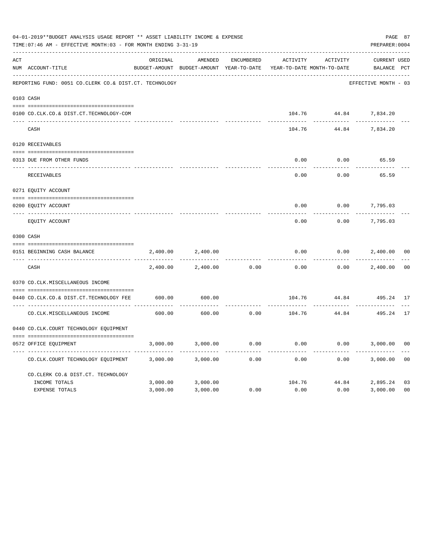|     | 04-01-2019**BUDGET ANALYSIS USAGE REPORT ** ASSET LIABILITY INCOME & EXPENSE<br>TIME: 07:46 AM - EFFECTIVE MONTH: 03 - FOR MONTH ENDING 3-31-19 |                         |                                                     |                   |                                        |                       |                                    |                |  |  |
|-----|-------------------------------------------------------------------------------------------------------------------------------------------------|-------------------------|-----------------------------------------------------|-------------------|----------------------------------------|-----------------------|------------------------------------|----------------|--|--|
| ACT | NUM ACCOUNT-TITLE                                                                                                                               | ORIGINAL                | AMENDED<br>BUDGET-AMOUNT BUDGET-AMOUNT YEAR-TO-DATE | <b>ENCUMBERED</b> | ACTIVITY<br>YEAR-TO-DATE MONTH-TO-DATE | ACTIVITY              | <b>CURRENT USED</b><br>BALANCE PCT |                |  |  |
|     | REPORTING FUND: 0051 CO.CLERK CO.& DIST.CT. TECHNOLOGY                                                                                          |                         |                                                     |                   |                                        |                       | EFFECTIVE MONTH - 03               |                |  |  |
|     | 0103 CASH                                                                                                                                       |                         |                                                     |                   |                                        |                       |                                    |                |  |  |
|     | 0100 CO.CLK.CO.& DIST.CT.TECHNOLOGY-COM                                                                                                         |                         |                                                     |                   |                                        | 104.76 44.84 7,834.20 |                                    |                |  |  |
|     | CASH                                                                                                                                            |                         |                                                     |                   | 104.76                                 | 44.84                 | 7,834.20                           |                |  |  |
|     | 0120 RECEIVABLES                                                                                                                                |                         |                                                     |                   |                                        |                       |                                    |                |  |  |
|     | 0313 DUE FROM OTHER FUNDS                                                                                                                       |                         |                                                     |                   | 0.00                                   | 0.00                  | 65.59                              |                |  |  |
|     | RECEIVABLES                                                                                                                                     |                         |                                                     |                   | 0.00                                   | 0.00                  | 65.59                              |                |  |  |
|     | 0271 EQUITY ACCOUNT                                                                                                                             |                         |                                                     |                   |                                        |                       |                                    |                |  |  |
|     | 0200 EQUITY ACCOUNT                                                                                                                             |                         |                                                     |                   | 0.00                                   | 0.00                  | 7,795.03                           |                |  |  |
|     | ---- ------------<br>EQUITY ACCOUNT                                                                                                             |                         |                                                     |                   | 0.00                                   | 0.00                  | 7,795.03                           |                |  |  |
|     | 0300 CASH                                                                                                                                       |                         |                                                     |                   |                                        |                       |                                    |                |  |  |
|     | 0151 BEGINNING CASH BALANCE                                                                                                                     | 2,400.00                | 2,400.00                                            |                   | 0.00                                   | 0.00                  | 2,400.00                           | 0 <sub>0</sub> |  |  |
|     | CASH                                                                                                                                            | -----------<br>2,400.00 | 2,400.00                                            | 0.00              | 0.00                                   | 0.00                  | 2,400.00                           | 0 <sup>0</sup> |  |  |
|     | 0370 CO.CLK.MISCELLANEOUS INCOME                                                                                                                |                         |                                                     |                   |                                        |                       |                                    |                |  |  |
|     | 0440 CO.CLK.CO.& DIST.CT.TECHNOLOGY FEE                                                                                                         | 600.00                  | 600.00                                              |                   | 104.76                                 | 44.84                 | 495.24 17                          |                |  |  |
|     | CO. CLK. MISCELLANEOUS INCOME                                                                                                                   | 600.00                  | 600.00                                              | 0.00              | 104.76                                 | .<br>44.84            | 495.24                             | 17             |  |  |
|     | 0440 CO.CLK.COURT TECHNOLOGY EQUIPMENT                                                                                                          |                         |                                                     |                   |                                        |                       |                                    |                |  |  |
|     | 0572 OFFICE EOUIPMENT                                                                                                                           | 3,000.00                | 3,000.00                                            | 0.00              | 0.00                                   | 0.00                  | 3,000.00                           | 0 <sub>0</sub> |  |  |
|     | CO.CLK.COURT TECHNOLOGY EQUIPMENT                                                                                                               | 3,000.00                | 3,000.00                                            | 0.00              | 0.00                                   | 0.00                  | 3,000.00                           | 0 <sub>0</sub> |  |  |
|     | CO.CLERK CO.& DIST.CT. TECHNOLOGY                                                                                                               |                         |                                                     |                   |                                        |                       |                                    |                |  |  |
|     | INCOME TOTALS                                                                                                                                   | 3,000.00                | 3,000.00                                            |                   | 104.76                                 | 44.84                 | 2,895.24                           | 03             |  |  |
|     | <b>EXPENSE TOTALS</b>                                                                                                                           | 3,000.00                | 3,000.00                                            | 0.00              | 0.00                                   | 0.00                  | 3,000.00                           | 0 <sub>0</sub> |  |  |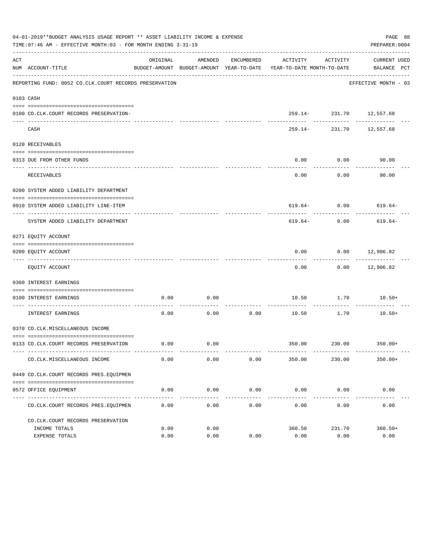|     | 04-01-2019**BUDGET ANALYSIS USAGE REPORT ** ASSET LIABILITY INCOME & EXPENSE<br>PAGE 88<br>TIME: 07:46 AM - EFFECTIVE MONTH: 03 - FOR MONTH ENDING 3-31-19<br>PREPARER: 0004 |          |         |                          |                                                                                 |                                          |                             |  |  |  |
|-----|------------------------------------------------------------------------------------------------------------------------------------------------------------------------------|----------|---------|--------------------------|---------------------------------------------------------------------------------|------------------------------------------|-----------------------------|--|--|--|
| ACT | NUM ACCOUNT-TITLE                                                                                                                                                            | ORIGINAL | AMENDED | ENCUMBERED               | ACTIVITY<br>BUDGET-AMOUNT BUDGET-AMOUNT YEAR-TO-DATE YEAR-TO-DATE MONTH-TO-DATE | ACTIVITY                                 | CURRENT USED<br>BALANCE PCT |  |  |  |
|     | REPORTING FUND: 0052 CO.CLK.COURT RECORDS PRESERVATION                                                                                                                       |          |         |                          |                                                                                 |                                          | EFFECTIVE MONTH - 03        |  |  |  |
|     | 0103 CASH                                                                                                                                                                    |          |         |                          |                                                                                 |                                          |                             |  |  |  |
|     | 0100 CO.CLK.COURT RECORDS PRESERVATION-                                                                                                                                      |          |         |                          |                                                                                 | 259.14- 231.70 12,557.68                 |                             |  |  |  |
|     | CASH                                                                                                                                                                         |          |         |                          |                                                                                 | ------------<br>259.14- 231.70 12,557.68 | .                           |  |  |  |
|     | 0120 RECEIVABLES                                                                                                                                                             |          |         |                          |                                                                                 |                                          |                             |  |  |  |
|     | 0313 DUE FROM OTHER FUNDS                                                                                                                                                    |          |         |                          | 0.00                                                                            | 0.00                                     | 90.00                       |  |  |  |
|     | <b>RECEIVABLES</b>                                                                                                                                                           |          |         |                          | 0.00                                                                            | ---------<br>0.00                        | 90.00                       |  |  |  |
|     | 0200 SYSTEM ADDED LIABILITY DEPARTMENT                                                                                                                                       |          |         |                          |                                                                                 |                                          |                             |  |  |  |
|     | 0910 SYSTEM ADDED LIABILITY LINE-ITEM                                                                                                                                        |          |         |                          |                                                                                 |                                          | $619.64 - 0.00$ 619.64-     |  |  |  |
|     | SYSTEM ADDED LIABILITY DEPARTMENT                                                                                                                                            |          |         |                          | 619.64-                                                                         | 0.00                                     | 619.64-                     |  |  |  |
|     | 0271 EQUITY ACCOUNT                                                                                                                                                          |          |         |                          |                                                                                 |                                          |                             |  |  |  |
|     | 0200 EQUITY ACCOUNT                                                                                                                                                          |          |         |                          | 0.00                                                                            |                                          | $0.00$ 12,906.82            |  |  |  |
|     | EQUITY ACCOUNT                                                                                                                                                               |          |         |                          | 0.00                                                                            |                                          | $0.00$ 12,906.82            |  |  |  |
|     | 0360 INTEREST EARNINGS                                                                                                                                                       |          |         |                          |                                                                                 |                                          |                             |  |  |  |
|     | 0100 INTEREST EARNINGS                                                                                                                                                       | 0.00     | 0.00    |                          | 10.50                                                                           | 1.70                                     | $10.50+$                    |  |  |  |
|     | ------------------ ---<br>INTEREST EARNINGS                                                                                                                                  | 0.00     | 0.00    | ----------- ----<br>0.00 | 10.50                                                                           | 1.70                                     | $10.50+$                    |  |  |  |
|     | 0370 CO.CLK.MISCELLANEOUS INCOME                                                                                                                                             |          |         |                          |                                                                                 |                                          |                             |  |  |  |
|     | 0133 CO.CLK.COURT RECORDS PRESERVATION                                                                                                                                       | 0.00     | 0.00    |                          |                                                                                 |                                          | 350.00 230.00 350.00+       |  |  |  |
|     | CO. CLK. MISCELLANEOUS INCOME                                                                                                                                                | 0.00     | 0.00    | 0.00                     | 350.00                                                                          | 230.00                                   | $350.00+$                   |  |  |  |
|     | 0449 CO.CLK.COURT RECORDS PRES.EQUIPMEN                                                                                                                                      |          |         |                          |                                                                                 |                                          |                             |  |  |  |
|     | 0572 OFFICE EQUIPMENT                                                                                                                                                        | 0.00     | 0.00    | 0.00                     | $0.00$ 0.00                                                                     |                                          | 0.00                        |  |  |  |
|     | CO. CLK. COURT RECORDS PRES. EQUIPMEN                                                                                                                                        | 0.00     | 0.00    | -------------<br>0.00    | 0.00                                                                            | 0.00                                     | 0.00                        |  |  |  |
|     | CO.CLK.COURT RECORDS PRESERVATION                                                                                                                                            |          |         |                          |                                                                                 |                                          |                             |  |  |  |
|     | INCOME TOTALS                                                                                                                                                                | 0.00     | 0.00    |                          | 360.50                                                                          | 231.70                                   | $360.50+$                   |  |  |  |
|     | EXPENSE TOTALS                                                                                                                                                               | 0.00     | 0.00    | 0.00                     | 0.00                                                                            | 0.00                                     | 0.00                        |  |  |  |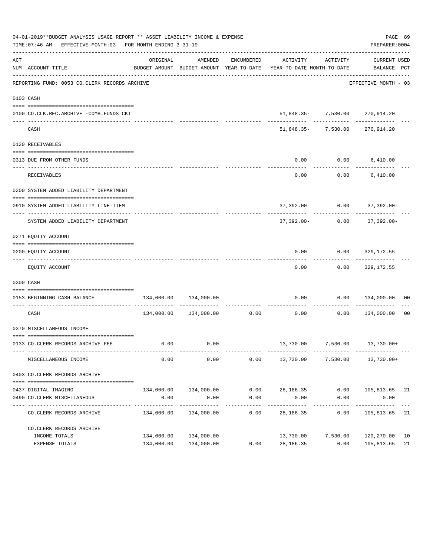|     | 04-01-2019**BUDGET ANALYSIS USAGE REPORT ** ASSET LIABILITY INCOME & EXPENSE<br>TIME: 07:46 AM - EFFECTIVE MONTH: 03 - FOR MONTH ENDING 3-31-19 |               |                               |              |                                                                                                                 |                       | PREPARER: 0004                                | PAGE 89 |
|-----|-------------------------------------------------------------------------------------------------------------------------------------------------|---------------|-------------------------------|--------------|-----------------------------------------------------------------------------------------------------------------|-----------------------|-----------------------------------------------|---------|
| ACT | NUM ACCOUNT-TITLE                                                                                                                               | ORIGINAL      | AMENDED                       |              | ENCUMBERED ACTIVITY ACTIVITY<br>BUDGET-AMOUNT BUDGET-AMOUNT YEAR-TO-DATE YEAR-TO-DATE MONTH-TO-DATE BALANCE PCT |                       | CURRENT USED                                  |         |
|     | -------------------------------------<br>REPORTING FUND: 0053 CO.CLERK RECORDS ARCHIVE                                                          |               |                               |              |                                                                                                                 |                       | EFFECTIVE MONTH - 03                          |         |
|     | 0103 CASH                                                                                                                                       |               |                               |              |                                                                                                                 |                       |                                               |         |
|     | 0100 CO.CLK.REC.ARCHIVE -COMB.FUNDS CKI                                                                                                         |               |                               |              |                                                                                                                 |                       | 51,848.35- 7,530.00 270,914.20                |         |
|     | CASH                                                                                                                                            |               |                               |              |                                                                                                                 | -------- ------------ | -----------<br>51,848.35- 7,530.00 270,914.20 |         |
|     | 0120 RECEIVABLES                                                                                                                                |               |                               |              |                                                                                                                 |                       |                                               |         |
|     |                                                                                                                                                 |               |                               |              |                                                                                                                 |                       |                                               |         |
|     | 0313 DUE FROM OTHER FUNDS                                                                                                                       |               |                               |              | 0.00<br>----------                                                                                              | .                     | $0.00$ 6,410.00                               |         |
|     | RECEIVABLES                                                                                                                                     |               |                               |              | 0.00                                                                                                            |                       | $0.00$ 6,410.00                               |         |
|     | 0200 SYSTEM ADDED LIABILITY DEPARTMENT                                                                                                          |               |                               |              |                                                                                                                 |                       |                                               |         |
|     |                                                                                                                                                 |               |                               |              |                                                                                                                 |                       |                                               |         |
|     | 0910 SYSTEM ADDED LIABILITY LINE-ITEM                                                                                                           |               |                               |              |                                                                                                                 |                       | $37,392.00 - 0.00$ $37,392.00 -$              |         |
|     | SYSTEM ADDED LIABILITY DEPARTMENT                                                                                                               |               |                               |              | 37,392.00-                                                                                                      | 0.00                  | 37,392.00-                                    |         |
|     | 0271 EQUITY ACCOUNT                                                                                                                             |               |                               |              |                                                                                                                 |                       |                                               |         |
|     |                                                                                                                                                 |               |                               |              |                                                                                                                 |                       |                                               |         |
|     | 0200 EQUITY ACCOUNT                                                                                                                             |               |                               |              | 0.00                                                                                                            |                       | $0.00$ 329,172.55                             |         |
|     | EQUITY ACCOUNT                                                                                                                                  |               |                               |              | 0.00                                                                                                            |                       | $0.00$ 329,172.55                             |         |
|     | 0300 CASH                                                                                                                                       |               |                               |              |                                                                                                                 |                       |                                               |         |
|     | 0153 BEGINNING CASH BALANCE                                                                                                                     | 134,000.00    | 134,000.00                    |              | 0.00                                                                                                            |                       | $0.00$ $134,000.00$ 00                        |         |
|     | CASH                                                                                                                                            |               |                               |              | -----------------------------<br>$134,000.00$ $134,000.00$ 0.00 0.00 0.00 0.00 134,000.00                       |                       |                                               | 00      |
|     | 0370 MISCELLANEOUS INCOME                                                                                                                       |               |                               |              |                                                                                                                 |                       |                                               |         |
|     | 0133 CO.CLERK RECORDS ARCHIVE FEE                                                                                                               |               | $0.00$ 0.00                   |              |                                                                                                                 |                       | 13,730.00 7,530.00 13,730.00+                 |         |
|     | MISCELLANEOUS INCOME                                                                                                                            | 0.00          | 0.00                          | 0.00         | 13,730.00                                                                                                       | 7,530.00              | 13,730.00+                                    |         |
|     |                                                                                                                                                 |               |                               |              |                                                                                                                 |                       |                                               |         |
|     | 0403 CO.CLERK RECORDS ARCHIVE                                                                                                                   |               |                               |              |                                                                                                                 |                       |                                               |         |
|     |                                                                                                                                                 |               |                               |              |                                                                                                                 |                       |                                               |         |
|     | 0437 DIGITAL IMAGING<br>0490 CO. CLERK MISCELLANEOUS                                                                                            | 0.00          | 134,000.00 134,000.00<br>0.00 | 0.00<br>0.00 | 28,186.35<br>0.00                                                                                               | 0.00<br>0.00          | 105,813.65 21<br>0.00                         |         |
|     | -------------                                                                                                                                   | ------------- | -------------                 | -----------  | -----------                                                                                                     | ------------          | -----------                                   |         |
|     | CO. CLERK RECORDS ARCHIVE                                                                                                                       | 134,000.00    | 134,000.00                    | 0.00         | 28,186.35                                                                                                       | 0.00                  | 105,813.65                                    | 21      |
|     | CO. CLERK RECORDS ARCHIVE                                                                                                                       |               |                               |              |                                                                                                                 |                       |                                               |         |
|     | INCOME TOTALS                                                                                                                                   | 134,000.00    | 134,000.00                    |              |                                                                                                                 | 13,730.00 7,530.00    | 120,270.00                                    | 10      |
|     | EXPENSE TOTALS                                                                                                                                  | 134,000.00    | 134,000.00                    | 0.00         | 28,186.35                                                                                                       | 0.00                  | 105,813.65                                    | 21      |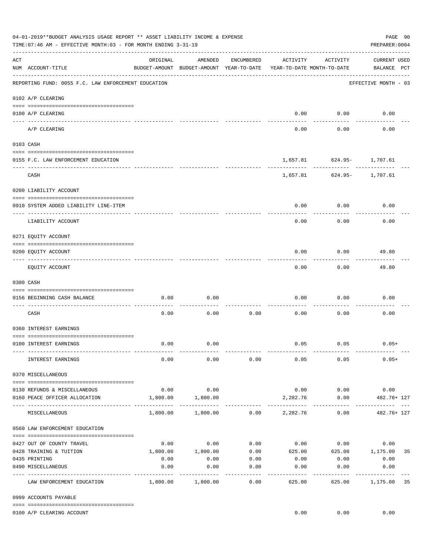|     | 04-01-2019**BUDGET ANALYSIS USAGE REPORT ** ASSET LIABILITY INCOME & EXPENSE<br>TIME: 07:46 AM - EFFECTIVE MONTH: 03 - FOR MONTH ENDING 3-31-19 |                                   |                                                     |                     |                                        |             | PAGE 90<br>PREPARER: 0004          |
|-----|-------------------------------------------------------------------------------------------------------------------------------------------------|-----------------------------------|-----------------------------------------------------|---------------------|----------------------------------------|-------------|------------------------------------|
| ACT | NUM ACCOUNT-TITLE                                                                                                                               | ORIGINAL                          | AMENDED<br>BUDGET-AMOUNT BUDGET-AMOUNT YEAR-TO-DATE | ENCUMBERED          | ACTIVITY<br>YEAR-TO-DATE MONTH-TO-DATE | ACTIVITY    | <b>CURRENT USED</b><br>BALANCE PCT |
|     | REPORTING FUND: 0055 F.C. LAW ENFORCEMENT EDUCATION                                                                                             |                                   |                                                     |                     |                                        |             | EFFECTIVE MONTH - 03               |
|     | 0102 A/P CLEARING                                                                                                                               |                                   |                                                     |                     |                                        |             |                                    |
|     | 0100 A/P CLEARING<br>--- ----------<br>------------------------ --------                                                                        |                                   |                                                     |                     | 0.00                                   | 0.00        | 0.00                               |
|     | A/P CLEARING                                                                                                                                    |                                   |                                                     |                     | 0.00                                   | 0.00        | 0.00                               |
|     | 0103 CASH                                                                                                                                       |                                   |                                                     |                     |                                        |             |                                    |
|     | 0155 F.C. LAW ENFORCEMENT EDUCATION                                                                                                             |                                   |                                                     |                     |                                        | --------    | 1,657.81 624.95- 1,707.61          |
|     | CASH                                                                                                                                            |                                   |                                                     |                     |                                        |             | 1,657.81 624.95- 1,707.61          |
|     | 0200 LIABILITY ACCOUNT                                                                                                                          |                                   |                                                     |                     |                                        |             |                                    |
|     | 0910 SYSTEM ADDED LIABILITY LINE-ITEM                                                                                                           |                                   |                                                     |                     | 0.00                                   | 0.00        | 0.00                               |
|     | LIABILITY ACCOUNT                                                                                                                               |                                   |                                                     |                     | 0.00                                   | 0.00        | 0.00                               |
|     | 0271 EQUITY ACCOUNT                                                                                                                             |                                   |                                                     |                     |                                        |             |                                    |
|     | 0200 EQUITY ACCOUNT                                                                                                                             |                                   |                                                     |                     | 0.00                                   | 0.00        | 49.80                              |
|     | EQUITY ACCOUNT                                                                                                                                  |                                   |                                                     |                     | 0.00                                   | 0.00        | 49.80                              |
|     | 0300 CASH                                                                                                                                       |                                   |                                                     |                     |                                        |             |                                    |
|     | 0156 BEGINNING CASH BALANCE                                                                                                                     | 0.00                              | 0.00                                                |                     | 0.00                                   | 0.00        | 0.00                               |
|     | CASH                                                                                                                                            | 0.00                              | 0.00                                                | 0.00                | 0.00                                   | 0.00        | 0.00                               |
|     | 0360 INTEREST EARNINGS                                                                                                                          |                                   |                                                     |                     |                                        |             |                                    |
|     | 0100 INTEREST EARNINGS                                                                                                                          | 0.00                              | 0.00                                                |                     |                                        | $0.05$ 0.05 | $0.05+$                            |
|     | INTEREST EARNINGS                                                                                                                               | 0.00                              | 0.00                                                | 0.00                | 0.05                                   | 0.05        | $0.05+$                            |
|     | 0370 MISCELLANEOUS                                                                                                                              |                                   |                                                     |                     |                                        |             |                                    |
|     | 0130 REFUNDS & MISCELLANEOUS                                                                                                                    | 0.00                              | 0.00                                                |                     | 0.00                                   | 0.00        | 0.00                               |
|     | 0160 PEACE OFFICER ALLOCATION                                                                                                                   | 1,800.00<br>------- ------------- | 1,800.00<br>-----------                             |                     | 2,282.76<br>.                          | 0.00        | 482.76+ 127                        |
|     | MISCELLANEOUS                                                                                                                                   | 1,800.00                          | 1,800.00                                            | 0.00                | 2,282.76                               | 0.00        | 482.76+ 127                        |
|     | 0560 LAW ENFORCEMENT EDUCATION                                                                                                                  |                                   |                                                     |                     |                                        |             |                                    |
|     | 0427 OUT OF COUNTY TRAVEL                                                                                                                       | 0.00                              | 0.00                                                | 0.00                |                                        | $0.00$ 0.00 | 0.00                               |
|     | 0428 TRAINING & TUITION                                                                                                                         | 1,800.00                          | 1,800.00                                            | 0.00                |                                        |             | 625.00 625.00 1,175.00<br>35       |
|     | 0435 PRINTING                                                                                                                                   | 0.00                              | 0.00                                                | 0.00                | 0.00                                   | 0.00        | 0.00                               |
|     | 0490 MISCELLANEOUS                                                                                                                              | 0.00                              | 0.00                                                | 0.00<br>$- - - - -$ | 0.00                                   | 0.00        | 0.00<br>---------                  |
|     | LAW ENFORCEMENT EDUCATION                                                                                                                       | 1,800.00                          | 1,800.00                                            | 0.00                | 625.00                                 | 625.00      | 1,175.00<br>35                     |
|     | 0999 ACCOUNTS PAYABLE                                                                                                                           |                                   |                                                     |                     |                                        |             |                                    |
|     | 0100 A/P CLEARING ACCOUNT                                                                                                                       |                                   |                                                     |                     | 0.00                                   | 0.00        | 0.00                               |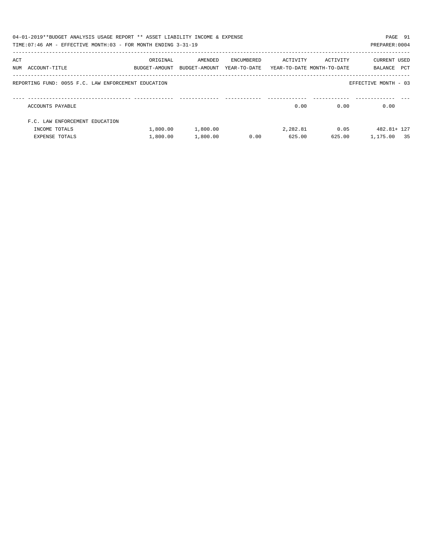|     | 04-01-2019**BUDGET ANALYSIS USAGE REPORT ** ASSET LIABILITY INCOME & EXPENSE<br>TIME: 07:46 AM - EFFECTIVE MONTH: 03 - FOR MONTH ENDING 3-31-19 |                                                                                 |          |            |          |          | PAGE 91<br>PREPARER: 0004   |
|-----|-------------------------------------------------------------------------------------------------------------------------------------------------|---------------------------------------------------------------------------------|----------|------------|----------|----------|-----------------------------|
| ACT | NUM ACCOUNT-TITLE                                                                                                                               | ORIGINAL<br>BUDGET-AMOUNT BUDGET-AMOUNT YEAR-TO-DATE YEAR-TO-DATE_MONTH-TO-DATE | AMENDED  | ENCUMBERED | ACTIVITY | ACTIVITY | CURRENT USED<br>BALANCE PCT |
|     | REPORTING FUND: 0055 F.C. LAW ENFORCEMENT EDUCATION                                                                                             |                                                                                 |          |            |          |          | EFFECTIVE MONTH - 03        |
|     | ACCOUNTS PAYABLE                                                                                                                                |                                                                                 |          |            | 0.00     | 0.00     | 0.00                        |
|     | F.C. LAW ENFORCEMENT EDUCATION                                                                                                                  |                                                                                 |          |            |          |          |                             |
|     | INCOME TOTALS                                                                                                                                   | 1,800.00                                                                        | 1,800.00 |            | 2,282.81 | 0.05     | 482.81+ 127                 |
|     | EXPENSE TOTALS                                                                                                                                  | 1,800.00                                                                        | 1,800.00 | 0.00       | 625.00   | 625.00   | 1,175.00 35                 |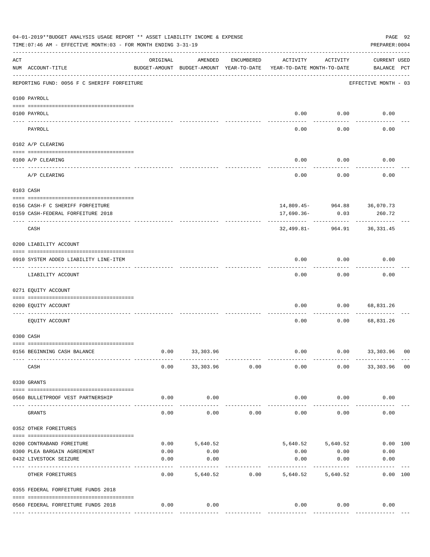|     | 04-01-2019**BUDGET ANALYSIS USAGE REPORT ** ASSET LIABILITY INCOME & EXPENSE<br>PAGE 92<br>TIME: 07:46 AM - EFFECTIVE MONTH: 03 - FOR MONTH ENDING 3-31-19<br>PREPARER: 0004 |                                                      |                       |                |                                        |                             |                                    |  |  |  |  |  |
|-----|------------------------------------------------------------------------------------------------------------------------------------------------------------------------------|------------------------------------------------------|-----------------------|----------------|----------------------------------------|-----------------------------|------------------------------------|--|--|--|--|--|
| ACT | NUM ACCOUNT-TITLE                                                                                                                                                            | ORIGINAL<br>BUDGET-AMOUNT BUDGET-AMOUNT YEAR-TO-DATE | AMENDED               | ENCUMBERED     | ACTIVITY<br>YEAR-TO-DATE MONTH-TO-DATE | ACTIVITY                    | <b>CURRENT USED</b><br>BALANCE PCT |  |  |  |  |  |
|     | REPORTING FUND: 0056 F C SHERIFF FORFEITURE                                                                                                                                  |                                                      |                       |                |                                        |                             | EFFECTIVE MONTH - 03               |  |  |  |  |  |
|     | 0100 PAYROLL                                                                                                                                                                 |                                                      |                       |                |                                        |                             |                                    |  |  |  |  |  |
|     | 0100 PAYROLL                                                                                                                                                                 |                                                      |                       |                |                                        | $0.00$ 0.00                 | 0.00                               |  |  |  |  |  |
|     | PAYROLL                                                                                                                                                                      |                                                      |                       |                | 0.00                                   | 0.00                        | 0.00                               |  |  |  |  |  |
|     | 0102 A/P CLEARING                                                                                                                                                            |                                                      |                       |                |                                        |                             |                                    |  |  |  |  |  |
|     | 0100 A/P CLEARING                                                                                                                                                            |                                                      |                       |                | 0.00                                   | 0.00                        | 0.00                               |  |  |  |  |  |
|     | A/P CLEARING                                                                                                                                                                 |                                                      |                       |                | 0.00                                   | 0.00                        | 0.00                               |  |  |  |  |  |
|     | 0103 CASH                                                                                                                                                                    |                                                      |                       |                |                                        |                             |                                    |  |  |  |  |  |
|     | 0156 CASH-F C SHERIFF FORFEITURE                                                                                                                                             |                                                      |                       |                |                                        | 14,809.45- 964.88 36,070.73 |                                    |  |  |  |  |  |
|     | 0159 CASH-FEDERAL FORFEITURE 2018                                                                                                                                            |                                                      |                       |                | 17,690.36-                             | 0.03                        | 260.72                             |  |  |  |  |  |
|     | CASH                                                                                                                                                                         |                                                      |                       |                | 32,499.81-                             | 964.91                      | 36,331.45                          |  |  |  |  |  |
|     | 0200 LIABILITY ACCOUNT                                                                                                                                                       |                                                      |                       |                |                                        |                             |                                    |  |  |  |  |  |
|     | 0910 SYSTEM ADDED LIABILITY LINE-ITEM                                                                                                                                        |                                                      |                       |                | 0.00                                   | 0.00                        | 0.00                               |  |  |  |  |  |
|     | LIABILITY ACCOUNT                                                                                                                                                            |                                                      |                       |                | 0.00                                   | 0.00                        | 0.00                               |  |  |  |  |  |
|     | 0271 EQUITY ACCOUNT                                                                                                                                                          |                                                      |                       |                |                                        |                             |                                    |  |  |  |  |  |
|     | 0200 EQUITY ACCOUNT                                                                                                                                                          |                                                      |                       |                | 0.00                                   | 0.00                        | 68,831.26                          |  |  |  |  |  |
|     | EQUITY ACCOUNT                                                                                                                                                               |                                                      |                       |                | 0.00                                   | 0.00                        | 68,831.26                          |  |  |  |  |  |
|     | 0300 CASH                                                                                                                                                                    |                                                      |                       |                |                                        |                             |                                    |  |  |  |  |  |
|     | 0156 BEGINNING CASH BALANCE                                                                                                                                                  | 0.00                                                 | 33,303.96             |                | 0.00                                   | 0.00                        | 33,303.96 00                       |  |  |  |  |  |
|     | CASH                                                                                                                                                                         | 0.00                                                 |                       | 33,303.96 0.00 | 0.00                                   |                             | $0.00$ 33,303.96 00                |  |  |  |  |  |
|     | 0330 GRANTS                                                                                                                                                                  |                                                      |                       |                |                                        |                             |                                    |  |  |  |  |  |
|     | 0560 BULLETPROOF VEST PARTNERSHIP                                                                                                                                            | 0.00                                                 | 0.00                  |                | 0.00                                   | 0.00                        | 0.00                               |  |  |  |  |  |
|     | GRANTS                                                                                                                                                                       | 0.00                                                 | 0.00                  | 0.00           | 0.00                                   | 0.00                        | 0.00                               |  |  |  |  |  |
|     | 0352 OTHER FOREITURES                                                                                                                                                        |                                                      |                       |                |                                        |                             |                                    |  |  |  |  |  |
|     | 0200 CONTRABAND FOREITURE                                                                                                                                                    | 0.00                                                 | 5,640.52              |                |                                        | 5,640.52 5,640.52           | 0.00 100                           |  |  |  |  |  |
|     | 0300 PLEA BARGAIN AGREEMENT                                                                                                                                                  | 0.00                                                 | 0.00                  |                | 0.00                                   | 0.00                        | 0.00                               |  |  |  |  |  |
|     | 0432 LIVESTOCK SEIZURE                                                                                                                                                       | 0.00                                                 | 0.00                  |                | 0.00                                   | 0.00                        | 0.00                               |  |  |  |  |  |
|     | OTHER FOREITURES                                                                                                                                                             | 0.00                                                 | ---------<br>5,640.52 | 0.00           | -----------<br>5,640.52                | ---------<br>5,640.52       | ----------<br>0.00 100             |  |  |  |  |  |
|     | 0355 FEDERAL FORFEITURE FUNDS 2018                                                                                                                                           |                                                      |                       |                |                                        |                             |                                    |  |  |  |  |  |
|     | 0560 FEDERAL FORFEITURE FUNDS 2018                                                                                                                                           | 0.00                                                 | 0.00                  |                | 0.00                                   | 0.00                        | 0.00                               |  |  |  |  |  |
|     |                                                                                                                                                                              |                                                      |                       |                |                                        | -------------               | --------------                     |  |  |  |  |  |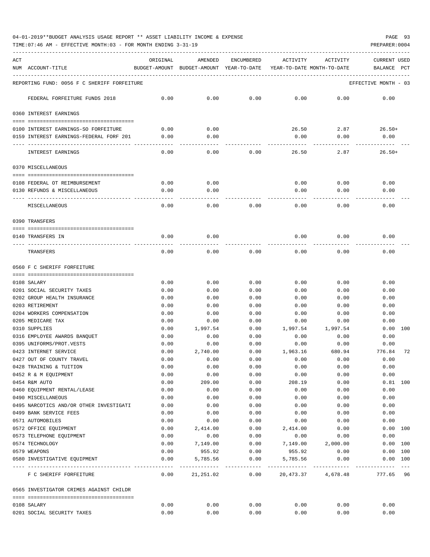TIME:07:46 AM - EFFECTIVE MONTH:03 - FOR MONTH ENDING 3-31-19 PREPARER:0004

| ACT | NUM ACCOUNT-TITLE                                             | ORIGINAL     | AMENDED<br>BUDGET-AMOUNT BUDGET-AMOUNT YEAR-TO-DATE | ENCUMBERED                        | ACTIVITY<br>YEAR-TO-DATE MONTH-TO-DATE | ACTIVITY           | CURRENT USED<br>BALANCE<br>PCT     |
|-----|---------------------------------------------------------------|--------------|-----------------------------------------------------|-----------------------------------|----------------------------------------|--------------------|------------------------------------|
|     | REPORTING FUND: 0056 F C SHERIFF FORFEITURE                   |              |                                                     |                                   |                                        |                    | EFFECTIVE MONTH - 03               |
|     | FEDERAL FORFEITURE FUNDS 2018                                 | 0.00         | 0.00                                                | 0.00                              | 0.00                                   | 0.00               | 0.00                               |
|     | 0360 INTEREST EARNINGS                                        |              |                                                     |                                   |                                        |                    |                                    |
|     | 0100 INTEREST EARNINGS-SO FORFEITURE                          | 0.00         | 0.00                                                |                                   | 26.50                                  | 2.87               | $26.50+$                           |
|     | 0159 INTEREST EARNINGS-FEDERAL FORF 201                       | 0.00         | 0.00                                                |                                   | 0.00                                   | 0.00               | 0.00                               |
|     | INTEREST EARNINGS                                             | 0.00         | 0.00                                                | 0.00                              | 26.50                                  | 2.87               | $26.50+$                           |
|     | 0370 MISCELLANEOUS                                            |              |                                                     |                                   |                                        |                    |                                    |
|     |                                                               |              |                                                     |                                   |                                        |                    |                                    |
|     | 0108 FEDERAL OT REIMBURSEMENT<br>0130 REFUNDS & MISCELLANEOUS | 0.00<br>0.00 | 0.00<br>0.00                                        |                                   | 0.00<br>0.00                           | 0.00<br>0.00       | 0.00<br>0.00                       |
|     |                                                               |              |                                                     |                                   |                                        |                    |                                    |
|     | MISCELLANEOUS                                                 | 0.00         | 0.00                                                | 0.00                              | 0.00                                   | 0.00               | 0.00                               |
|     | 0390 TRANSFERS                                                |              |                                                     |                                   |                                        |                    |                                    |
|     | 0140 TRANSFERS IN                                             | 0.00         | 0.00                                                |                                   | 0.00                                   | 0.00               | 0.00                               |
|     | TRANSFERS                                                     | 0.00         | 0.00                                                | 0.00                              | 0.00                                   | 0.00               | 0.00                               |
|     | 0560 F C SHERIFF FORFEITURE                                   |              |                                                     |                                   |                                        |                    |                                    |
|     | 0108 SALARY                                                   | 0.00         | 0.00                                                | 0.00                              | 0.00                                   | 0.00               | 0.00                               |
|     | 0201 SOCIAL SECURITY TAXES                                    | 0.00         | 0.00                                                | 0.00                              | 0.00                                   | 0.00               | 0.00                               |
|     | 0202 GROUP HEALTH INSURANCE                                   | 0.00         | 0.00                                                | 0.00                              | 0.00                                   | 0.00               | 0.00                               |
|     | 0203 RETIREMENT                                               | 0.00         | 0.00                                                | 0.00                              | 0.00                                   | 0.00               | 0.00                               |
|     | 0204 WORKERS COMPENSATION                                     | 0.00         | 0.00                                                | 0.00                              | 0.00                                   | 0.00               | 0.00                               |
|     | 0205 MEDICARE TAX                                             | 0.00         | 0.00                                                | 0.00                              | 0.00                                   | 0.00               | 0.00                               |
|     | 0310 SUPPLIES                                                 | 0.00         | 1,997.54                                            | 0.00                              | 1,997.54                               | 1,997.54           | $0.00$ 100                         |
|     | 0316 EMPLOYEE AWARDS BANQUET                                  | 0.00         | 0.00                                                | 0.00                              | 0.00                                   | 0.00               | 0.00                               |
|     | 0395 UNIFORMS/PROT.VESTS                                      | 0.00         | 0.00                                                | 0.00                              | 0.00                                   | 0.00               | 0.00                               |
|     | 0423 INTERNET SERVICE                                         | 0.00         | 2,740.00                                            | 0.00                              | 1,963.16                               | 680.94             | 776.84<br>72                       |
|     | 0427 OUT OF COUNTY TRAVEL                                     | 0.00         | 0.00                                                | 0.00                              | 0.00                                   | 0.00               | 0.00                               |
|     | 0428 TRAINING & TUITION                                       | 0.00         | 0.00                                                | 0.00                              | 0.00                                   | 0.00               | 0.00                               |
|     | 0452 R & M EQUIPMENT<br>0454 R&M AUTO                         | 0.00<br>0.00 | 0.00<br>209.00                                      | 0.00<br>0.00                      | 0.00<br>208.19                         | 0.00<br>0.00       | 0.00<br>$0.81$ 100                 |
|     | 0460 EQUIPMENT RENTAL/LEASE                                   | 0.00         | 0.00                                                | 0.00                              | 0.00                                   | 0.00               | 0.00                               |
|     | 0490 MISCELLANEOUS                                            | 0.00         | 0.00                                                | 0.00                              | 0.00                                   | 0.00               | 0.00                               |
|     | 0495 NARCOTICS AND/OR OTHER INVESTIGATI                       | 0.00         | 0.00                                                | 0.00                              | 0.00                                   | 0.00               | 0.00                               |
|     | 0499 BANK SERVICE FEES                                        | 0.00         | 0.00                                                | 0.00                              | 0.00                                   | 0.00               | 0.00                               |
|     | 0571 AUTOMOBILES                                              | 0.00         | 0.00                                                | 0.00                              | 0.00                                   | 0.00               | 0.00                               |
|     | 0572 OFFICE EQUIPMENT                                         | 0.00         | 2,414.00                                            | 0.00                              | 2,414.00                               | 0.00               | 0.00 100                           |
|     | 0573 TELEPHONE EQUIPMENT                                      | 0.00         | 0.00                                                | 0.00                              | 0.00                                   | 0.00               | 0.00                               |
|     | 0574 TECHNOLOGY                                               | 0.00         | 7,149.00                                            | 0.00                              | 7,149.00                               | 2,000.00           | 0.00 100                           |
|     | 0579 WEAPONS                                                  | 0.00         | 955.92                                              | 0.00                              | 955.92                                 | 0.00               | 0.00 100                           |
|     | 0580 INVESTIGATIVE EQUIPMENT                                  | 0.00         | 5,785.56                                            | 0.00<br>------------------------- | 5,785.56                               | 0.00               | 0.00 100<br>-------------<br>$---$ |
|     | F C SHERIFF FORFEITURE                                        | 0.00         | 21,251.02                                           | 0.00                              |                                        | 20,473.37 4,678.48 | 777.65 96                          |
|     | 0565 INVESTIGATOR CRIMES AGAINST CHILDR                       |              |                                                     |                                   |                                        |                    |                                    |
|     | 0108 SALARY                                                   | 0.00         | 0.00                                                | 0.00                              | 0.00                                   | 0.00               | 0.00                               |
|     | 0201 SOCIAL SECURITY TAXES                                    | 0.00         | 0.00                                                | 0.00                              | 0.00                                   | 0.00               | 0.00                               |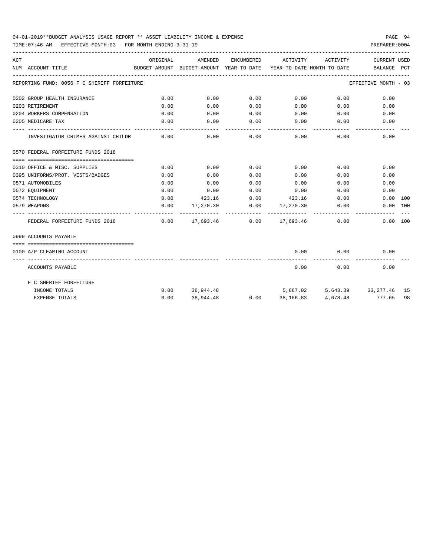TIME:07:46 AM - EFFECTIVE MONTH:03 - FOR MONTH ENDING 3-31-19 PREPARER:0004

| ACT |                                             | ORIGINAL | AMENDED          |                         | ENCUMBERED ACTIVITY                          | ACTIVITY                   | <b>CURRENT USED</b>                                                             |    |
|-----|---------------------------------------------|----------|------------------|-------------------------|----------------------------------------------|----------------------------|---------------------------------------------------------------------------------|----|
|     | NUM ACCOUNT-TITLE                           |          |                  |                         |                                              |                            | BUDGET-AMOUNT BUDGET-AMOUNT YEAR-TO-DATE YEAR-TO-DATE MONTH-TO-DATE BALANCE PCT |    |
|     | REPORTING FUND: 0056 F C SHERIFF FORFEITURE |          |                  |                         |                                              |                            | EFFECTIVE MONTH - 03                                                            |    |
|     | 0202 GROUP HEALTH INSURANCE                 | 0.00     | 0.00             | 0.00                    | $0.00$ 0.00                                  |                            | 0.00                                                                            |    |
|     | 0203 RETIREMENT                             | 0.00     | 0.00             | 0.00                    | $0.00$ 0.00                                  |                            | 0.00                                                                            |    |
|     | 0204 WORKERS COMPENSATION                   | 0.00     | 0.00             | 0.00                    | 0.00                                         | 0.00                       | 0.00                                                                            |    |
|     | 0205 MEDICARE TAX                           | 0.00     | 0.00             | 0.00                    | $0.00$ 0.00                                  |                            | 0.00                                                                            |    |
|     | INVESTIGATOR CRIMES AGAINST CHILDR          | 0.00     | 0.00             | .<br>0.00               | -----------                                  | -----------<br>$0.00$ 0.00 | 0.00                                                                            |    |
|     | 0570 FEDERAL FORFEITURE FUNDS 2018          |          |                  |                         |                                              |                            |                                                                                 |    |
|     |                                             |          |                  |                         |                                              |                            |                                                                                 |    |
|     | 0310 OFFICE & MISC. SUPPLIES                | 0.00     | 0.00             | 0.00                    | 0.00                                         | 0.00                       | 0.00                                                                            |    |
|     | 0395 UNIFORMS/PROT. VESTS/BADGES            | 0.00     | 0.00             | 0.00                    | 0.00                                         | 0.00                       | 0.00                                                                            |    |
|     | 0571 AUTOMOBILES                            | 0.00     | 0.00             | 0.00                    | 0.00                                         |                            | 0.00<br>0.00                                                                    |    |
|     | 0572 EOUIPMENT                              | 0.00     | 0.00             | 0.00                    | 0.00                                         | 0.00                       | 0.00                                                                            |    |
|     | 0574 TECHNOLOGY                             | 0.00     |                  |                         | 423.16 0.00 423.16                           | 0.00                       | $0.00$ 100                                                                      |    |
|     | 0579 WEAPONS                                | 0.00     |                  |                         | $17,270.30$ $0.00$ $17,270.30$ $0.00$        |                            | 0.00 100                                                                        |    |
|     | FEDERAL FORFEITURE FUNDS 2018               |          |                  | ----------------------- | $0.00$ $17.693.46$ $0.00$ $17.693.46$ $0.00$ |                            | 0.00 100                                                                        |    |
|     | 0999 ACCOUNTS PAYABLE                       |          |                  |                         |                                              |                            |                                                                                 |    |
|     |                                             |          |                  |                         |                                              |                            |                                                                                 |    |
|     | 0100 A/P CLEARING ACCOUNT                   |          |                  |                         | 0.00                                         | 0.00<br>----------         | 0.00                                                                            |    |
|     | ACCOUNTS PAYABLE                            |          |                  |                         | 0.00                                         | 0.00                       | 0.00                                                                            |    |
|     | F C SHERIFF FORFEITURE                      |          |                  |                         |                                              |                            |                                                                                 |    |
|     | INCOME TOTALS                               |          | $0.00$ 38,944.48 |                         |                                              |                            | 5,667.02 5,643.39 33,277.46 15                                                  |    |
|     | <b>EXPENSE TOTALS</b>                       | 0.00     |                  |                         |                                              |                            | 38,944.48 0.00 38,166.83 4,678.48 777.65                                        | 98 |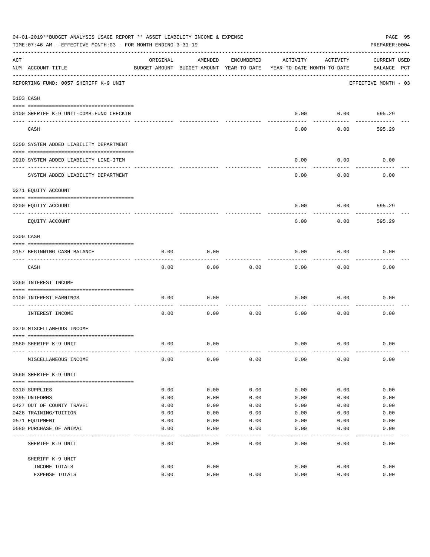|     | 04-01-2019**BUDGET ANALYSIS USAGE REPORT ** ASSET LIABILITY INCOME & EXPENSE<br>TIME:07:46 AM - EFFECTIVE MONTH:03 - FOR MONTH ENDING 3-31-19 |          |                                                     |            |          |                                        | PAGE 95<br>PREPARER: 0004          |
|-----|-----------------------------------------------------------------------------------------------------------------------------------------------|----------|-----------------------------------------------------|------------|----------|----------------------------------------|------------------------------------|
| ACT | NUM ACCOUNT-TITLE                                                                                                                             | ORIGINAL | AMENDED<br>BUDGET-AMOUNT BUDGET-AMOUNT YEAR-TO-DATE | ENCUMBERED | ACTIVITY | ACTIVITY<br>YEAR-TO-DATE MONTH-TO-DATE | <b>CURRENT USED</b><br>BALANCE PCT |
|     | REPORTING FUND: 0057 SHERIFF K-9 UNIT                                                                                                         |          |                                                     |            |          |                                        | EFFECTIVE MONTH - 03               |
|     | 0103 CASH                                                                                                                                     |          |                                                     |            |          |                                        |                                    |
|     | 0100 SHERIFF K-9 UNIT-COMB. FUND CHECKIN                                                                                                      |          |                                                     |            | 0.00     | 0.00                                   | 595.29                             |
|     | CASH                                                                                                                                          |          |                                                     |            | 0.00     | 0.00                                   | 595.29                             |
|     | 0200 SYSTEM ADDED LIABILITY DEPARTMENT                                                                                                        |          |                                                     |            |          |                                        |                                    |
|     | 0910 SYSTEM ADDED LIABILITY LINE-ITEM                                                                                                         |          |                                                     |            | 0.00     | 0.00                                   | 0.00                               |
|     | SYSTEM ADDED LIABILITY DEPARTMENT                                                                                                             |          |                                                     |            | 0.00     | 0.00                                   | 0.00                               |
|     | 0271 EQUITY ACCOUNT                                                                                                                           |          |                                                     |            |          |                                        |                                    |
|     | 0200 EQUITY ACCOUNT                                                                                                                           |          |                                                     |            | 0.00     | 0.00                                   | 595.29                             |
|     | ---- -----------<br>EQUITY ACCOUNT                                                                                                            |          |                                                     |            | 0.00     | 0.00                                   | 595.29                             |
|     | 0300 CASH                                                                                                                                     |          |                                                     |            |          |                                        |                                    |
|     | 0157 BEGINNING CASH BALANCE                                                                                                                   | 0.00     | 0.00                                                |            | 0.00     | 0.00                                   | 0.00                               |
|     | CASH                                                                                                                                          | 0.00     | 0.00                                                | 0.00       | 0.00     | 0.00                                   | 0.00                               |
|     | 0360 INTEREST INCOME                                                                                                                          |          |                                                     |            |          |                                        |                                    |
|     | 0100 INTEREST EARNINGS                                                                                                                        | 0.00     | 0.00                                                |            | 0.00     | 0.00                                   | 0.00                               |
|     | INTEREST INCOME                                                                                                                               | 0.00     | 0.00                                                | 0.00       | 0.00     | 0.00                                   | 0.00                               |
|     | 0370 MISCELLANEOUS INCOME                                                                                                                     |          |                                                     |            |          |                                        |                                    |
|     | 0560 SHERIFF K-9 UNIT                                                                                                                         | 0.00     | 0.00                                                |            | 0.00     | 0.00                                   | 0.00                               |
|     | MISCELLANEOUS INCOME                                                                                                                          | 0.00     | 0.00                                                | 0.00       | 0.00     | 0.00                                   | 0.00                               |
|     | 0560 SHERIFF K-9 UNIT                                                                                                                         |          |                                                     |            |          |                                        |                                    |
|     | 0310 SUPPLIES                                                                                                                                 | 0.00     | 0.00                                                | 0.00       | 0.00     | 0.00                                   | 0.00                               |
|     | 0395 UNIFORMS                                                                                                                                 | 0.00     | 0.00                                                | 0.00       | 0.00     | 0.00                                   | 0.00                               |
|     | 0427 OUT OF COUNTY TRAVEL                                                                                                                     | 0.00     | 0.00                                                | 0.00       | 0.00     | 0.00                                   | 0.00                               |
|     | 0428 TRAINING/TUITION                                                                                                                         | 0.00     | 0.00                                                | 0.00       | 0.00     | 0.00                                   | 0.00                               |
|     | 0571 EQUIPMENT                                                                                                                                | 0.00     | 0.00                                                | 0.00       | 0.00     | 0.00                                   | 0.00                               |
|     | 0580 PURCHASE OF ANIMAL                                                                                                                       | 0.00     | 0.00                                                | 0.00       | 0.00     | 0.00                                   | 0.00                               |
|     | SHERIFF K-9 UNIT                                                                                                                              | 0.00     | 0.00                                                | 0.00       | 0.00     | 0.00                                   | 0.00                               |
|     | SHERIFF K-9 UNIT                                                                                                                              |          |                                                     |            |          |                                        |                                    |
|     | INCOME TOTALS                                                                                                                                 | 0.00     | 0.00                                                |            | 0.00     | 0.00                                   | 0.00                               |
|     | EXPENSE TOTALS                                                                                                                                | 0.00     | 0.00                                                | 0.00       | 0.00     | 0.00                                   | 0.00                               |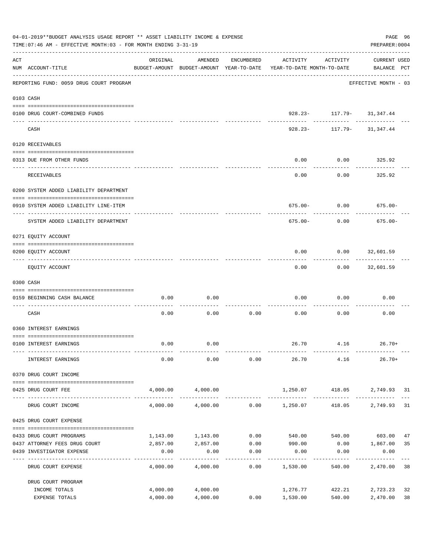|     | 04-01-2019**BUDGET ANALYSIS USAGE REPORT ** ASSET LIABILITY INCOME & EXPENSE<br>TIME: 07:46 AM - EFFECTIVE MONTH: 03 - FOR MONTH ENDING 3-31-19 |                      |                      |              |                                                                                 |                                                       | PAGE 96<br>PREPARER: 0004          |          |
|-----|-------------------------------------------------------------------------------------------------------------------------------------------------|----------------------|----------------------|--------------|---------------------------------------------------------------------------------|-------------------------------------------------------|------------------------------------|----------|
| ACT | NUM ACCOUNT-TITLE<br>----------------------------------                                                                                         | ORIGINAL             | AMENDED              | ENCUMBERED   | ACTIVITY<br>BUDGET-AMOUNT BUDGET-AMOUNT YEAR-TO-DATE YEAR-TO-DATE MONTH-TO-DATE | ACTIVITY                                              | <b>CURRENT USED</b><br>BALANCE PCT |          |
|     | REPORTING FUND: 0059 DRUG COURT PROGRAM                                                                                                         |                      |                      |              |                                                                                 |                                                       | EFFECTIVE MONTH - 03               |          |
|     | 0103 CASH                                                                                                                                       |                      |                      |              |                                                                                 |                                                       |                                    |          |
|     | 0100 DRUG COURT-COMBINED FUNDS                                                                                                                  |                      |                      |              |                                                                                 | 928.23- 117.79- 31,347.44                             |                                    |          |
|     | CASH                                                                                                                                            |                      |                      |              |                                                                                 | ------------- ----------<br>928.23- 117.79- 31,347.44 |                                    |          |
|     | 0120 RECEIVABLES                                                                                                                                |                      |                      |              |                                                                                 |                                                       |                                    |          |
|     | 0313 DUE FROM OTHER FUNDS                                                                                                                       |                      |                      |              | 0.00                                                                            | $0.00$ 325.92                                         |                                    |          |
|     | RECEIVABLES                                                                                                                                     |                      |                      |              | 0.00                                                                            | .<br>0.00                                             | ----------<br>325.92               |          |
|     | 0200 SYSTEM ADDED LIABILITY DEPARTMENT                                                                                                          |                      |                      |              |                                                                                 |                                                       |                                    |          |
|     | 0910 SYSTEM ADDED LIABILITY LINE-ITEM                                                                                                           |                      |                      |              |                                                                                 | $675.00 - 0.00$ 675.00-                               |                                    |          |
|     | SYSTEM ADDED LIABILITY DEPARTMENT                                                                                                               |                      |                      |              | 675.00-                                                                         | 0.00                                                  | $675.00 -$                         |          |
|     | 0271 EQUITY ACCOUNT                                                                                                                             |                      |                      |              |                                                                                 |                                                       |                                    |          |
|     | 0200 EQUITY ACCOUNT                                                                                                                             |                      |                      |              | 0.00                                                                            | $0.00$ 32,601.59                                      |                                    |          |
|     | EQUITY ACCOUNT                                                                                                                                  |                      |                      |              | 0.00                                                                            |                                                       | $0.00$ 32,601.59                   |          |
|     | 0300 CASH                                                                                                                                       |                      |                      |              |                                                                                 |                                                       |                                    |          |
|     | 0159 BEGINNING CASH BALANCE                                                                                                                     | 0.00                 | 0.00                 |              | 0.00<br>---------- -------------                                                | 0.00                                                  | 0.00                               |          |
|     | CASH                                                                                                                                            | 0.00                 | 0.00                 | 0.00         | 0.00                                                                            | 0.00                                                  | 0.00                               |          |
|     | 0360 INTEREST EARNINGS                                                                                                                          |                      |                      |              |                                                                                 |                                                       |                                    |          |
|     | 0100 INTEREST EARNINGS                                                                                                                          | 0.00                 | 0.00                 |              |                                                                                 | $26.70$ $4.16$ $26.70+$                               |                                    |          |
|     | INTEREST EARNINGS                                                                                                                               | 0.00                 | 0.00                 | 0.00         | 26.70                                                                           | 4.16                                                  | $26.70+$                           |          |
|     | 0370 DRUG COURT INCOME                                                                                                                          |                      |                      |              |                                                                                 |                                                       |                                    |          |
|     | 0425 DRUG COURT FEE                                                                                                                             | 4,000.00             | 4,000.00             |              | 1,250.07                                                                        | 418.05                                                | 2,749.93 31                        |          |
|     | DRUG COURT INCOME                                                                                                                               | 4,000.00             | 4,000.00             |              | $0.00$ 1,250.07                                                                 | 418.05                                                | 2,749.93                           | 31       |
|     | 0425 DRUG COURT EXPENSE                                                                                                                         |                      |                      |              |                                                                                 |                                                       |                                    |          |
|     |                                                                                                                                                 |                      |                      |              |                                                                                 |                                                       |                                    |          |
|     | 0433 DRUG COURT PROGRAMS<br>0437 ATTORNEY FEES DRUG COURT                                                                                       | 1,143.00<br>2,857.00 | 1,143.00<br>2,857.00 | 0.00<br>0.00 | 540.00<br>990.00                                                                |                                                       | 540.00 603.00<br>$0.00$ 1,867.00   | 47<br>35 |
|     | 0439 INVESTIGATOR EXPENSE                                                                                                                       | 0.00                 | 0.00                 | 0.00         | 0.00                                                                            | 0.00                                                  | 0.00                               |          |
|     | DRUG COURT EXPENSE                                                                                                                              | 4,000.00             | 4,000.00             | 0.00         | 1,530.00                                                                        | 540.00                                                | 2,470.00 38                        |          |
|     | DRUG COURT PROGRAM                                                                                                                              |                      |                      |              |                                                                                 |                                                       |                                    |          |
|     | INCOME TOTALS                                                                                                                                   | 4,000.00             | 4,000.00             |              | 1,276.77                                                                        | 422.21                                                | 2,723.23                           | 32       |
|     | EXPENSE TOTALS                                                                                                                                  | 4,000.00             | 4,000.00             | 0.00         | 1,530.00                                                                        | 540.00                                                | 2,470.00                           | 38       |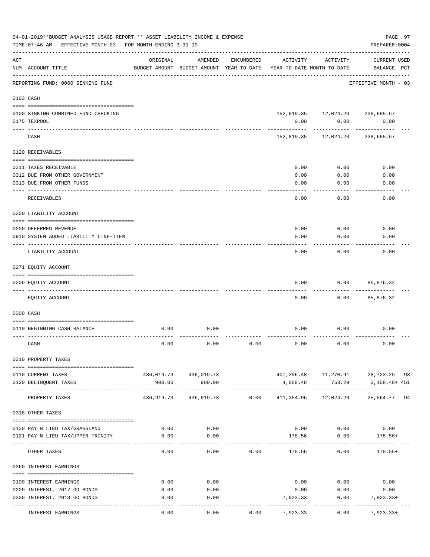|     | 04-01-2019**BUDGET ANALYSIS USAGE REPORT ** ASSET LIABILITY INCOME & EXPENSE<br>TIME: 07:46 AM - EFFECTIVE MONTH: 03 - FOR MONTH ENDING 3-31-19 |              |                                                     |            |            |                                        | PAGE 97<br>PREPARER: 0004            |  |
|-----|-------------------------------------------------------------------------------------------------------------------------------------------------|--------------|-----------------------------------------------------|------------|------------|----------------------------------------|--------------------------------------|--|
| ACT | NUM ACCOUNT-TITLE                                                                                                                               | ORIGINAL     | AMENDED<br>BUDGET-AMOUNT BUDGET-AMOUNT YEAR-TO-DATE | ENCUMBERED | ACTIVITY   | ACTIVITY<br>YEAR-TO-DATE MONTH-TO-DATE | <b>CURRENT USED</b><br>BALANCE PCT   |  |
|     | REPORTING FUND: 0060 SINKING FUND                                                                                                               |              |                                                     |            |            |                                        | EFFECTIVE MONTH - 03                 |  |
|     | 0103 CASH                                                                                                                                       |              |                                                     |            |            |                                        |                                      |  |
|     | 0100 SINKING-COMBINED FUND CHECKING                                                                                                             |              |                                                     |            |            | 152,819.35    12,024.20    238,695.67  |                                      |  |
|     | 0175 TEXPOOL                                                                                                                                    |              |                                                     |            | 0.00       | 0.00                                   | 0.00                                 |  |
|     | CASH                                                                                                                                            |              |                                                     |            | 152,819.35 | 12,024.20                              | 238,695.67                           |  |
|     | 0120 RECEIVABLES                                                                                                                                |              |                                                     |            |            |                                        |                                      |  |
|     | 0311 TAXES RECEIVABLE                                                                                                                           |              |                                                     |            | 0.00       | 0.00                                   | 0.00                                 |  |
|     | 0312 DUE FROM OTHER GOVERNMENT                                                                                                                  |              |                                                     |            | 0.00       | 0.00                                   | 0.00                                 |  |
|     | 0313 DUE FROM OTHER FUNDS                                                                                                                       |              |                                                     |            | 0.00       | 0.00                                   | 0.00                                 |  |
|     | RECEIVABLES                                                                                                                                     |              |                                                     |            | 0.00       | 0.00                                   | 0.00                                 |  |
|     | 0200 LIABILITY ACCOUNT                                                                                                                          |              |                                                     |            |            |                                        |                                      |  |
|     | 0200 DEFERRED REVENUE                                                                                                                           |              |                                                     |            | 0.00       | 0.00                                   | 0.00                                 |  |
|     | 0910 SYSTEM ADDED LIABILITY LINE-ITEM                                                                                                           |              |                                                     |            | 0.00       | 0.00                                   | 0.00                                 |  |
|     | LIABILITY ACCOUNT                                                                                                                               |              |                                                     |            | 0.00       | 0.00                                   | 0.00                                 |  |
|     | 0271 EQUITY ACCOUNT                                                                                                                             |              |                                                     |            |            |                                        |                                      |  |
|     | 0200 EQUITY ACCOUNT                                                                                                                             |              |                                                     |            | 0.00       | 0.00                                   | 85,876.32                            |  |
|     | EQUITY ACCOUNT                                                                                                                                  |              |                                                     |            | 0.00       | 0.00                                   | --------<br>85,876.32                |  |
|     | 0300 CASH                                                                                                                                       |              |                                                     |            |            |                                        |                                      |  |
|     |                                                                                                                                                 |              |                                                     |            |            |                                        |                                      |  |
|     | 0110 BEGINNING CASH BALANCE                                                                                                                     | 0.00         | 0.00                                                |            | 0.00       | 0.00                                   | 0.00                                 |  |
|     | CASH                                                                                                                                            | 0.00         | 0.00                                                | 0.00       | 0.00       | 0.00                                   | 0.00                                 |  |
|     | 0310 PROPERTY TAXES                                                                                                                             |              |                                                     |            |            |                                        |                                      |  |
|     | 0110 CURRENT TAXES                                                                                                                              |              | 436,019.73 436,019.73                               |            |            |                                        | 407,296.48  11,270.91  28,723.25  93 |  |
|     | 0120 DELINQUENT TAXES                                                                                                                           | 900.00       | 900.00                                              |            | 4,058.48   | 753.29                                 | 3,158.48+ 451                        |  |
|     | PROPERTY TAXES                                                                                                                                  | 436,919.73   | 436,919.73                                          | 0.00       | 411,354.96 | 12,024.20                              | 25,564.77 94                         |  |
|     | 0318 OTHER TAXES                                                                                                                                |              |                                                     |            |            |                                        |                                      |  |
|     |                                                                                                                                                 |              |                                                     |            |            |                                        |                                      |  |
|     | 0120 PAY N LIEU TAX/GRASSLAND<br>0121 PAY N LIEU TAX/UPPER TRINITY                                                                              | 0.00<br>0.00 | 0.00<br>0.00                                        |            | 178.56     | $0.00$ $0.00$ $0.00$<br>0.00           | 178.56+                              |  |
|     |                                                                                                                                                 |              |                                                     |            |            |                                        |                                      |  |
|     | OTHER TAXES                                                                                                                                     | 0.00         | 0.00                                                | 0.00       | 178.56     | 0.00                                   | $178.56+$                            |  |
|     | 0360 INTEREST EARNINGS                                                                                                                          |              |                                                     |            |            |                                        |                                      |  |
|     | 0100 INTEREST EARNINGS                                                                                                                          | 0.00         | 0.00                                                |            |            | $0.00$ 0.00                            | 0.00                                 |  |
|     | 0200 INTEREST, 2017 GO BONDS                                                                                                                    | 0.00         | 0.00                                                |            | 0.00       | 0.00                                   | 0.00                                 |  |
|     | 0300 INTEREST, 2018 GO BONDS                                                                                                                    | 0.00         | 0.00                                                |            | 7,923.33   | 0.00                                   | 7,923.33+                            |  |
|     | INTEREST EARNINGS                                                                                                                               | 0.00         | ----<br>0.00                                        | 0.00       | 7,923.33   | 0.00                                   | $7,923.33+$                          |  |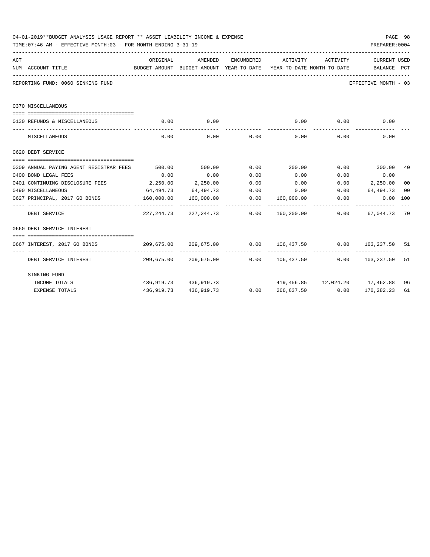|     | 04-01-2019**BUDGET ANALYSIS USAGE REPORT ** ASSET LIABILITY INCOME & EXPENSE<br>TIME: 07:46 AM - EFFECTIVE MONTH: 03 - FOR MONTH ENDING 3-31-19 |            |                                                                                     |             |                   |             | PREPARER: 0004                   | PAGE 98        |
|-----|-------------------------------------------------------------------------------------------------------------------------------------------------|------------|-------------------------------------------------------------------------------------|-------------|-------------------|-------------|----------------------------------|----------------|
| ACT |                                                                                                                                                 | ORIGINAL   | AMENDED                                                                             | ENCUMBERED  | ACTIVITY ACTIVITY |             | <b>CURRENT USED</b>              |                |
|     | NUM ACCOUNT-TITLE                                                                                                                               |            | BUDGET-AMOUNT BUDGET-AMOUNT YEAR-TO-DATE YEAR-TO-DATE MONTH-TO-DATE     BALANCE PCT |             |                   |             |                                  |                |
|     | REPORTING FUND: 0060 SINKING FUND                                                                                                               |            |                                                                                     |             |                   |             | EFFECTIVE MONTH - 03             |                |
|     | 0370 MISCELLANEOUS                                                                                                                              |            |                                                                                     |             |                   |             |                                  |                |
|     |                                                                                                                                                 |            |                                                                                     |             |                   |             |                                  |                |
|     | 0130 REFUNDS & MISCELLANEOUS                                                                                                                    | 0.00       | 0.00<br>-----------                                                                 |             | ______________    | $0.00$ 0.00 | 0.00                             |                |
|     | MISCELLANEOUS                                                                                                                                   | 0.00       |                                                                                     | $0.00$ 0.00 |                   | $0.00$ 0.00 | 0.00                             |                |
|     | 0620 DEBT SERVICE                                                                                                                               |            |                                                                                     |             |                   |             |                                  |                |
|     |                                                                                                                                                 |            |                                                                                     |             |                   |             |                                  |                |
|     |                                                                                                                                                 |            |                                                                                     |             |                   |             |                                  | 40             |
|     | 0400 BOND LEGAL FEES                                                                                                                            | 0.00       | 0.00                                                                                | 0.00        | 0.00              | 0.00        | 0.00                             |                |
|     | 0401 CONTINUING DISCLOSURE FEES 2,250.00 2,250.00 0.00                                                                                          |            |                                                                                     |             | 0.00              |             | $0.00$ 2,250.00                  | 0 <sub>0</sub> |
|     | 0490 MISCELLANEOUS                                                                                                                              |            | $64,494.73$ $64,494.73$ $0.00$ $0.00$ $0.00$ $64,494.73$                            |             |                   |             |                                  | 0 <sub>0</sub> |
|     | 0627 PRINCIPAL, 2017 GO BONDS 6.00 160,000.00 160,000.00 160,000.00 160,000.00 0.00                                                             |            |                                                                                     |             |                   |             | $0.00$ 100                       |                |
|     | DEBT SERVICE                                                                                                                                    |            | 227, 244.73 227, 244.73 0.00 160, 200.00 0.00 67, 044.73 70                         |             |                   |             |                                  |                |
|     | 0660 DEBT SERVICE INTEREST                                                                                                                      |            |                                                                                     |             |                   |             |                                  |                |
|     |                                                                                                                                                 |            |                                                                                     |             |                   |             |                                  |                |
|     | 0667 INTEREST, 2017 GO BONDS                                                                                                                    |            | $209.675.00$ $209.675.00$ $0.00$ $106.437.50$ $0.00$ $103.237.50$ $51$              |             |                   |             |                                  |                |
|     | DEBT SERVICE INTEREST $209,675.00$ $209,675.00$ $0.00$ $106,437.50$ $0.00$ $103,237.50$ 51                                                      |            |                                                                                     |             |                   |             |                                  |                |
|     | SINKING FUND                                                                                                                                    |            |                                                                                     |             |                   |             |                                  |                |
|     | INCOME TOTALS                                                                                                                                   |            | 436,919.73 436,919.73                                                               |             |                   |             | 419,456.85  12,024.20  17,462.88 | 96             |
|     | <b>EXPENSE TOTALS</b>                                                                                                                           | 436,919.73 | 436,919.73                                                                          | 0.00        | 266,637.50        | 0.00        | 170,282.23                       | 61             |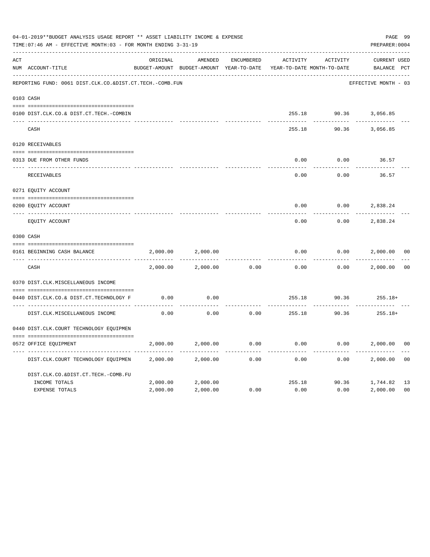|     | 04-01-2019**BUDGET ANALYSIS USAGE REPORT ** ASSET LIABILITY INCOME & EXPENSE<br>TIME: 07:46 AM - EFFECTIVE MONTH: 03 - FOR MONTH ENDING 3-31-19 |          |                                                     |            |          |                                        | PAGE 99<br>PREPARER: 0004          |                |
|-----|-------------------------------------------------------------------------------------------------------------------------------------------------|----------|-----------------------------------------------------|------------|----------|----------------------------------------|------------------------------------|----------------|
| ACT | NUM ACCOUNT-TITLE                                                                                                                               | ORIGINAL | AMENDED<br>BUDGET-AMOUNT BUDGET-AMOUNT YEAR-TO-DATE | ENCUMBERED | ACTIVITY | ACTIVITY<br>YEAR-TO-DATE MONTH-TO-DATE | <b>CURRENT USED</b><br>BALANCE PCT |                |
|     | REPORTING FUND: 0061 DIST.CLK.CO.&DIST.CT.TECH.-COMB.FUN                                                                                        |          |                                                     |            |          |                                        | EFFECTIVE MONTH - 03               |                |
|     | 0103 CASH                                                                                                                                       |          |                                                     |            |          |                                        |                                    |                |
|     | 0100 DIST.CLK.CO.& DIST.CT.TECH.-COMBIN                                                                                                         |          |                                                     |            |          |                                        | 255.18 90.36 3,056.85              |                |
|     | CASH                                                                                                                                            |          |                                                     |            | 255.18   | 90.36                                  | 3,056.85                           |                |
|     | 0120 RECEIVABLES                                                                                                                                |          |                                                     |            |          |                                        |                                    |                |
|     | 0313 DUE FROM OTHER FUNDS                                                                                                                       |          |                                                     |            | 0.00     | 0.00                                   | 36.57                              |                |
|     | RECEIVABLES                                                                                                                                     |          |                                                     |            | 0.00     | 0.00                                   | 36.57                              |                |
|     | 0271 EQUITY ACCOUNT                                                                                                                             |          |                                                     |            |          |                                        |                                    |                |
|     | 0200 EQUITY ACCOUNT                                                                                                                             |          |                                                     |            | 0.00     | 0.00                                   | 2,838.24                           |                |
|     | _____ ______________<br>EQUITY ACCOUNT                                                                                                          |          |                                                     |            | 0.00     | 0.00                                   | 2,838.24                           |                |
|     | 0300 CASH                                                                                                                                       |          |                                                     |            |          |                                        |                                    |                |
|     | 0161 BEGINNING CASH BALANCE                                                                                                                     | 2,000.00 | 2,000.00                                            |            | 0.00     | 0.00                                   | 2,000.00                           | 0 <sup>0</sup> |
|     | CASH                                                                                                                                            | 2,000.00 | 2,000.00                                            | 0.00       | 0.00     | 0.00                                   | 2,000.00                           | 0 <sub>0</sub> |
|     | 0370 DIST.CLK.MISCELLANEOUS INCOME                                                                                                              |          |                                                     |            |          |                                        |                                    |                |
|     | 0440 DIST.CLK.CO.& DIST.CT.TECHNOLOGY F                                                                                                         | 0.00     | 0.00                                                |            | 255.18   | 90.36                                  | $255.18+$                          |                |
|     | DIST.CLK.MISCELLANEOUS INCOME                                                                                                                   | 0.00     | 0.00                                                | 0.00       | 255.18   | 90.36                                  | $255.18+$                          |                |
|     | 0440 DIST.CLK.COURT TECHNOLOGY EQUIPMEN                                                                                                         |          |                                                     |            |          |                                        |                                    |                |
|     | 0572 OFFICE EQUIPMENT                                                                                                                           | 2,000.00 | 2,000.00                                            | 0.00       | 0.00     |                                        | 0.00<br>2,000.00                   | 0 <sub>0</sub> |
|     | DIST.CLK.COURT TECHNOLOGY EQUIPMEN                                                                                                              | 2,000.00 | 2,000.00                                            | 0.00       | 0.00     | 0.00                                   | 2,000.00                           | 0 <sub>0</sub> |
|     | DIST.CLK.CO.&DIST.CT.TECH.-COMB.FU                                                                                                              |          |                                                     |            |          |                                        |                                    |                |
|     | INCOME TOTALS                                                                                                                                   | 2,000.00 | 2,000.00                                            |            | 255.18   |                                        | 90.36 1,744.82                     | 13             |
|     | <b>EXPENSE TOTALS</b>                                                                                                                           | 2,000.00 | 2,000.00                                            | 0.00       | 0.00     | 0.00                                   | 2,000.00                           | 0 <sub>0</sub> |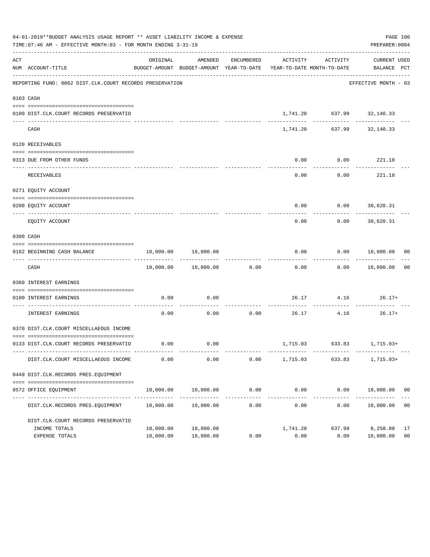|     | 04-01-2019**BUDGET ANALYSIS USAGE REPORT ** ASSET LIABILITY INCOME & EXPENSE<br>TIME: 07:46 AM - EFFECTIVE MONTH: 03 - FOR MONTH ENDING 3-31-19 |                        |                            |            |                                                                                 |                                           | PAGE 100<br>PREPARER: 0004  |                      |
|-----|-------------------------------------------------------------------------------------------------------------------------------------------------|------------------------|----------------------------|------------|---------------------------------------------------------------------------------|-------------------------------------------|-----------------------------|----------------------|
| ACT | NUM ACCOUNT-TITLE                                                                                                                               | ORIGINAL               | AMENDED                    | ENCUMBERED | ACTIVITY<br>BUDGET-AMOUNT BUDGET-AMOUNT YEAR-TO-DATE YEAR-TO-DATE MONTH-TO-DATE | ACTIVITY                                  | CURRENT USED<br>BALANCE PCT |                      |
|     | REPORTING FUND: 0062 DIST.CLK.COURT RECORDS PRESERVATION                                                                                        |                        |                            |            |                                                                                 |                                           | EFFECTIVE MONTH - 03        |                      |
|     | 0103 CASH                                                                                                                                       |                        |                            |            |                                                                                 |                                           |                             |                      |
|     | 0100 DIST.CLK.COURT RECORDS PRESERVATIO                                                                                                         |                        |                            |            |                                                                                 | 1,741.20 637.99 32,140.33                 |                             |                      |
|     | CASH                                                                                                                                            |                        | -------------              |            |                                                                                 | ------------<br>1,741.20 637.99 32,140.33 | . _ _ _ _ _ _ _ _ _         |                      |
|     | 0120 RECEIVABLES                                                                                                                                |                        |                            |            |                                                                                 |                                           |                             |                      |
|     | 0313 DUE FROM OTHER FUNDS                                                                                                                       |                        |                            |            | 0.00                                                                            | 0.00                                      | 221.18                      |                      |
|     | <b>RECEIVABLES</b>                                                                                                                              |                        |                            |            | 0.00                                                                            | ---------<br>0.00                         | ----------<br>221.18        |                      |
|     | 0271 EQUITY ACCOUNT                                                                                                                             |                        |                            |            |                                                                                 |                                           |                             |                      |
|     | 0200 EQUITY ACCOUNT                                                                                                                             |                        |                            |            | 0.00                                                                            | $0.00$ 30,620.31                          |                             |                      |
|     | -------------------- ---------<br>EQUITY ACCOUNT                                                                                                |                        |                            |            | 0.00                                                                            | 0.00                                      | 30,620.31                   |                      |
|     | 0300 CASH                                                                                                                                       |                        |                            |            |                                                                                 |                                           |                             |                      |
|     | 0162 BEGINNING CASH BALANCE                                                                                                                     |                        | 10,000.00    10,000.00     |            | 0.00                                                                            |                                           | $0.00$ $10,000.00$ 00       |                      |
|     | CASH                                                                                                                                            |                        | 10,000.00  10,000.00  0.00 |            | 0.00                                                                            |                                           | $0.00$ $10,000.00$ 00       |                      |
|     | 0360 INTEREST EARNINGS                                                                                                                          |                        |                            |            |                                                                                 |                                           |                             |                      |
|     | 0100 INTEREST EARNINGS                                                                                                                          | 0.00                   | 0.00                       |            |                                                                                 |                                           | 26.17 4.16 26.17+           |                      |
|     | ------------------ -----<br>INTEREST EARNINGS                                                                                                   | 0.00                   | 0.00                       | 0.00       | ----------- -------------<br>26.17                                              | 4.16                                      | $26.17+$                    |                      |
|     | 0370 DIST.CLK.COURT MISCELLAEOUS INCOME                                                                                                         |                        |                            |            |                                                                                 |                                           |                             |                      |
|     | 0133 DIST.CLK.COURT RECORDS PRESERVATIO                                                                                                         | 0.00                   | 0.00                       |            |                                                                                 |                                           | 1,715.03 633.83 1,715.03+   |                      |
|     | DIST.CLK.COURT MISCELLAEOUS INCOME                                                                                                              | 0.00                   | 0.00                       | 0.00       | 1,715.03                                                                        | 633.83                                    | $1,715.03+$                 |                      |
|     | 0449 DIST.CLK.RECORDS PRES.EQUIPMENT                                                                                                            |                        |                            |            |                                                                                 |                                           |                             |                      |
|     | 0572 OFFICE EQUIPMENT                                                                                                                           | 10,000.00              | 10,000.00                  | 0.00       | 0.00                                                                            |                                           | $0.00$ 10,000.00 00         |                      |
|     | DIST.CLK.RECORDS PRES.EQUIPMENT                                                                                                                 | 10,000.00              | 10,000.00                  | 0.00       | -------------<br>0.00                                                           | 0.00                                      | 10,000.00                   | 0 <sub>0</sub>       |
|     | DIST.CLK.COURT RECORDS PRESERVATIO                                                                                                              |                        |                            |            |                                                                                 |                                           |                             |                      |
|     | INCOME TOTALS<br>EXPENSE TOTALS                                                                                                                 | 10,000.00<br>10,000.00 | 10,000.00<br>10,000.00     | 0.00       | 1,741.20<br>0.00                                                                | 637.99<br>0.00                            | 8,258.80<br>10,000.00       | 17<br>0 <sub>0</sub> |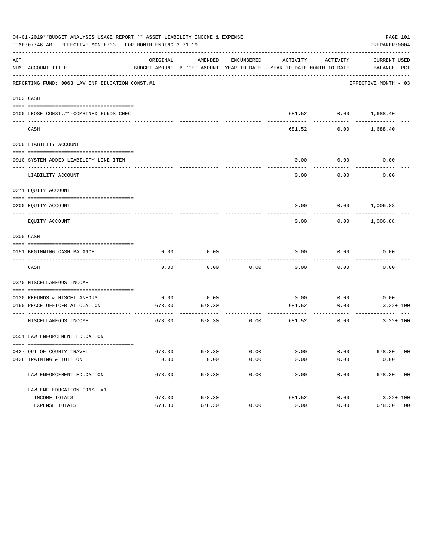|     | 04-01-2019**BUDGET ANALYSIS USAGE REPORT ** ASSET LIABILITY INCOME & EXPENSE<br>PAGE 101<br>TIME: 07:46 AM - EFFECTIVE MONTH: 03 - FOR MONTH ENDING 3-31-19<br>PREPARER: 0004 |          |                                                                                |                      |                       |                              |                             |  |  |  |
|-----|-------------------------------------------------------------------------------------------------------------------------------------------------------------------------------|----------|--------------------------------------------------------------------------------|----------------------|-----------------------|------------------------------|-----------------------------|--|--|--|
| ACT | NUM ACCOUNT-TITLE                                                                                                                                                             | ORIGINAL | AMENDED<br>BUDGET-AMOUNT BUDGET-AMOUNT YEAR-TO-DATE YEAR-TO-DATE MONTH-TO-DATE | ENCUMBERED           |                       | ACTIVITY ACTIVITY            | CURRENT USED<br>BALANCE PCT |  |  |  |
|     | REPORTING FUND: 0063 LAW ENF. EDUCATION CONST.#1                                                                                                                              |          |                                                                                |                      |                       |                              | EFFECTIVE MONTH - 03        |  |  |  |
|     | 0103 CASH                                                                                                                                                                     |          |                                                                                |                      |                       |                              |                             |  |  |  |
|     | 0100 LEOSE CONST.#1-COMBINED FUNDS CHEC                                                                                                                                       |          |                                                                                |                      |                       |                              | 681.52 0.00 1,688.40        |  |  |  |
|     | CASH                                                                                                                                                                          |          |                                                                                |                      | 681.52                | 0.00                         | 1,688.40                    |  |  |  |
|     | 0200 LIABILITY ACCOUNT                                                                                                                                                        |          |                                                                                |                      |                       |                              |                             |  |  |  |
|     | 0910 SYSTEM ADDED LIABILITY LINE ITEM                                                                                                                                         |          |                                                                                |                      | 0.00                  | 0.00<br>.                    | 0.00                        |  |  |  |
|     | LIABILITY ACCOUNT                                                                                                                                                             |          |                                                                                |                      | 0.00                  | 0.00                         | 0.00                        |  |  |  |
|     | 0271 EQUITY ACCOUNT                                                                                                                                                           |          |                                                                                |                      |                       |                              |                             |  |  |  |
|     | 0200 EQUITY ACCOUNT                                                                                                                                                           |          |                                                                                |                      |                       |                              | $0.00$ $0.00$ $1,006.88$    |  |  |  |
|     | EQUITY ACCOUNT                                                                                                                                                                |          |                                                                                |                      | 0.00                  |                              | $0.00$ 1,006.88             |  |  |  |
|     | 0300 CASH                                                                                                                                                                     |          |                                                                                |                      |                       |                              |                             |  |  |  |
|     |                                                                                                                                                                               | 0.00     | 0.00                                                                           |                      | 0.00                  | 0.00                         | 0.00                        |  |  |  |
|     | 0151 BEGINNING CASH BALANCE                                                                                                                                                   |          |                                                                                |                      |                       |                              |                             |  |  |  |
|     | CASH                                                                                                                                                                          | 0.00     | 0.00                                                                           | 0.00                 | 0.00                  | 0.00                         | 0.00                        |  |  |  |
|     | 0370 MISCELLANEOUS INCOME                                                                                                                                                     |          |                                                                                |                      |                       |                              |                             |  |  |  |
|     | 0130 REFUNDS & MISCELLANEOUS                                                                                                                                                  | 0.00     | 0.00                                                                           |                      |                       | $0.00$ 0.00                  | 0.00                        |  |  |  |
|     | 0160 PEACE OFFICER ALLOCATION                                                                                                                                                 |          | 678.30 678.30                                                                  |                      | 681.52                | 0.00                         | $3.22 + 100$                |  |  |  |
|     | ----------------------------------- --<br>MISCELLANEOUS INCOME                                                                                                                | 678.30   | 678.30                                                                         | 0.00                 | ------------          | ----------<br>681.52<br>0.00 | $3.22 + 100$                |  |  |  |
|     | 0551 LAW ENFORCEMENT EDUCATION                                                                                                                                                |          |                                                                                |                      |                       |                              |                             |  |  |  |
|     | 0427 OUT OF COUNTY TRAVEL                                                                                                                                                     |          | 678.30 678.30                                                                  | 0.00                 | 0.00                  |                              | $0.00$ 678.30 00            |  |  |  |
|     | 0428 TRAINING & TUITION                                                                                                                                                       | 0.00     | 0.00<br>-------------                                                          | 0.00<br>------------ | 0.00<br>------------- | 0.00<br>------------         | 0.00<br>-------------       |  |  |  |
|     | LAW ENFORCEMENT EDUCATION                                                                                                                                                     | 678.30   | 678.30                                                                         | 0.00                 | 0.00                  | 0.00                         | 678.30 00                   |  |  |  |
|     | LAW ENF. EDUCATION CONST. #1                                                                                                                                                  |          |                                                                                |                      |                       |                              |                             |  |  |  |
|     | INCOME TOTALS                                                                                                                                                                 | 678.30   | 678.30                                                                         |                      | 681.52                | 0.00                         | $3.22 + 100$                |  |  |  |
|     | EXPENSE TOTALS                                                                                                                                                                | 678.30   | 678.30                                                                         | 0.00                 | 0.00                  | 0.00                         | 678.30 00                   |  |  |  |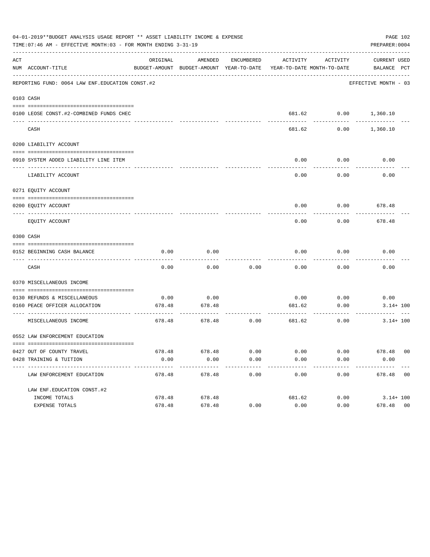|     | 04-01-2019**BUDGET ANALYSIS USAGE REPORT ** ASSET LIABILITY INCOME & EXPENSE<br>TIME: 07:46 AM - EFFECTIVE MONTH: 03 - FOR MONTH ENDING 3-31-19 |          |                                                     |                      |                                        |                      | PAGE 102<br>PREPARER: 0004  |
|-----|-------------------------------------------------------------------------------------------------------------------------------------------------|----------|-----------------------------------------------------|----------------------|----------------------------------------|----------------------|-----------------------------|
| ACT | NUM ACCOUNT-TITLE                                                                                                                               | ORIGINAL | AMENDED<br>BUDGET-AMOUNT BUDGET-AMOUNT YEAR-TO-DATE | ENCUMBERED           | ACTIVITY<br>YEAR-TO-DATE MONTH-TO-DATE | ACTIVITY             | CURRENT USED<br>BALANCE PCT |
|     | REPORTING FUND: 0064 LAW ENF. EDUCATION CONST. #2                                                                                               |          |                                                     |                      |                                        |                      | EFFECTIVE MONTH - 03        |
|     | 0103 CASH                                                                                                                                       |          |                                                     |                      |                                        |                      |                             |
|     | 0100 LEOSE CONST.#2-COMBINED FUNDS CHEC                                                                                                         |          |                                                     |                      |                                        | 681.62 0.00 1,360.10 |                             |
|     | CASH                                                                                                                                            |          |                                                     |                      | 681.62                                 | 0.00                 | 1,360.10                    |
|     | 0200 LIABILITY ACCOUNT                                                                                                                          |          |                                                     |                      |                                        |                      |                             |
|     | 0910 SYSTEM ADDED LIABILITY LINE ITEM                                                                                                           |          |                                                     |                      | 0.00                                   | 0.00<br>--------     | 0.00                        |
|     | LIABILITY ACCOUNT                                                                                                                               |          |                                                     |                      | 0.00                                   | 0.00                 | 0.00                        |
|     | 0271 EQUITY ACCOUNT                                                                                                                             |          |                                                     |                      |                                        |                      |                             |
|     | 0200 EOUITY ACCOUNT                                                                                                                             |          |                                                     |                      | 0.00                                   |                      | $0.00$ 678.48               |
|     | EQUITY ACCOUNT                                                                                                                                  |          |                                                     |                      | 0.00                                   | 0.00                 | 678.48                      |
|     | 0300 CASH                                                                                                                                       |          |                                                     |                      |                                        |                      |                             |
|     | 0152 BEGINNING CASH BALANCE                                                                                                                     | 0.00     | 0.00                                                |                      | 0.00                                   | 0.00                 | 0.00                        |
|     | CASH                                                                                                                                            | 0.00     | 0.00                                                | 0.00                 | 0.00                                   | 0.00                 | 0.00                        |
|     | 0370 MISCELLANEOUS INCOME                                                                                                                       |          |                                                     |                      |                                        |                      |                             |
|     | 0130 REFUNDS & MISCELLANEOUS                                                                                                                    | 0.00     | 0.00                                                |                      |                                        | $0.00$ 0.00          | 0.00                        |
|     | 0160 PEACE OFFICER ALLOCATION<br>-----------------------------------                                                                            | 678.48   | 678.48                                              |                      | 681.62                                 | 0.00<br>---------    | $3.14 + 100$                |
|     | MISCELLANEOUS INCOME                                                                                                                            | 678.48   | 678.48                                              | 0.00                 | 681.62                                 | 0.00                 | $3.14 + 100$                |
|     | 0552 LAW ENFORCEMENT EDUCATION                                                                                                                  |          |                                                     |                      |                                        |                      |                             |
|     | 0427 OUT OF COUNTY TRAVEL                                                                                                                       |          | 678.48 678.48                                       | 0.00                 | 0.00                                   |                      | $0.00$ 678.48 00            |
|     | 0428 TRAINING & TUITION                                                                                                                         | 0.00     | 0.00<br>-------------                               | 0.00<br>------------ | 0.00<br>-------------                  | 0.00<br>------------ | 0.00<br>-------------       |
|     | LAW ENFORCEMENT EDUCATION                                                                                                                       | 678.48   | 678.48                                              | 0.00                 | 0.00                                   |                      | $0.00$ 678.48 00            |
|     | LAW ENF. EDUCATION CONST. #2                                                                                                                    |          |                                                     |                      |                                        |                      |                             |
|     | INCOME TOTALS                                                                                                                                   | 678.48   | 678.48                                              |                      | 681.62                                 |                      | $0.00$ $3.14 + 100$         |
|     | EXPENSE TOTALS                                                                                                                                  | 678.48   | 678.48                                              | 0.00                 | 0.00                                   | 0.00                 | 678.48 00                   |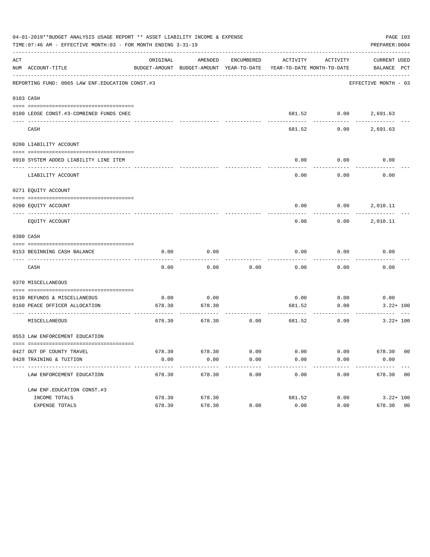|     | 04-01-2019**BUDGET ANALYSIS USAGE REPORT ** ASSET LIABILITY INCOME & EXPENSE<br>TIME: 07:46 AM - EFFECTIVE MONTH: 03 - FOR MONTH ENDING 3-31-19 |          |                                                     |            |                            |                      | PAGE 103<br>PREPARER: 0004         |                |
|-----|-------------------------------------------------------------------------------------------------------------------------------------------------|----------|-----------------------------------------------------|------------|----------------------------|----------------------|------------------------------------|----------------|
| ACT | NUM ACCOUNT-TITLE                                                                                                                               | ORIGINAL | AMENDED<br>BUDGET-AMOUNT BUDGET-AMOUNT YEAR-TO-DATE | ENCUMBERED | YEAR-TO-DATE MONTH-TO-DATE | ACTIVITY ACTIVITY    | <b>CURRENT USED</b><br>BALANCE PCT |                |
|     | REPORTING FUND: 0065 LAW ENF. EDUCATION CONST. #3                                                                                               |          |                                                     |            |                            |                      | EFFECTIVE MONTH - 03               |                |
|     | 0103 CASH                                                                                                                                       |          |                                                     |            |                            |                      |                                    |                |
|     | 0100 LEOSE CONST.#3-COMBINED FUNDS CHEC                                                                                                         |          |                                                     |            |                            | 681.52 0.00 2,691.63 |                                    |                |
|     | CASH                                                                                                                                            |          |                                                     |            | 681.52                     | 0.00                 | 2,691.63                           |                |
|     | 0200 LIABILITY ACCOUNT                                                                                                                          |          |                                                     |            |                            |                      |                                    |                |
|     | 0910 SYSTEM ADDED LIABILITY LINE ITEM                                                                                                           |          |                                                     |            | 0.00                       | 0.00                 | 0.00                               |                |
|     | LIABILITY ACCOUNT                                                                                                                               |          |                                                     |            | 0.00                       | 0.00                 | 0.00                               |                |
|     | 0271 EQUITY ACCOUNT                                                                                                                             |          |                                                     |            |                            |                      |                                    |                |
|     | 0200 EQUITY ACCOUNT                                                                                                                             |          |                                                     |            | 0.00                       |                      | 0.00 2,010.11                      |                |
|     | EOUITY ACCOUNT                                                                                                                                  |          |                                                     |            | 0.00                       |                      | $0.00$ 2,010.11                    |                |
|     | 0300 CASH                                                                                                                                       |          |                                                     |            |                            |                      |                                    |                |
|     | 0153 BEGINNING CASH BALANCE                                                                                                                     | 0.00     | 0.00                                                |            | 0.00                       | 0.00                 | 0.00                               |                |
|     | CASH                                                                                                                                            | 0.00     | 0.00                                                | 0.00       | 0.00                       | 0.00                 | 0.00                               |                |
|     | 0370 MISCELLANEOUS                                                                                                                              |          |                                                     |            |                            |                      |                                    |                |
|     | 0130 REFUNDS & MISCELLANEOUS                                                                                                                    | 0.00     | 0.00                                                |            | 0.00                       | 0.00                 | 0.00                               |                |
|     | 0160 PEACE OFFICER ALLOCATION                                                                                                                   | 678.30   | 678.30                                              |            | 681.52                     | 0.00                 | $3.22 + 100$                       |                |
|     | MISCELLANEOUS                                                                                                                                   | 678.30   | 678.30                                              | 0.00       | 681.52                     | 0.00                 | $3.22 + 100$                       |                |
|     | 0553 LAW ENFORCEMENT EDUCATION                                                                                                                  |          |                                                     |            |                            |                      |                                    |                |
|     | 0427 OUT OF COUNTY TRAVEL                                                                                                                       |          | 678.30 678.30                                       | 0.00       | 0.00                       | 0.00                 | 678.30 00                          |                |
|     | 0428 TRAINING & TUITION                                                                                                                         | 0.00     | 0.00                                                | 0.00       | 0.00                       | 0.00                 | 0.00                               |                |
|     | ------------------------------- -<br>LAW ENFORCEMENT EDUCATION                                                                                  | 678.30   | 678.30                                              | 0.00       | 0.00                       | 0.00                 | 678.30 00                          |                |
|     | LAW ENF. EDUCATION CONST. #3                                                                                                                    |          |                                                     |            |                            |                      |                                    |                |
|     | INCOME TOTALS                                                                                                                                   | 678.30   | 678.30                                              |            | 681.52                     | 0.00                 | $3.22 + 100$                       |                |
|     | EXPENSE TOTALS                                                                                                                                  | 678.30   | 678.30                                              | 0.00       | 0.00                       | 0.00                 | 678.30                             | 0 <sub>0</sub> |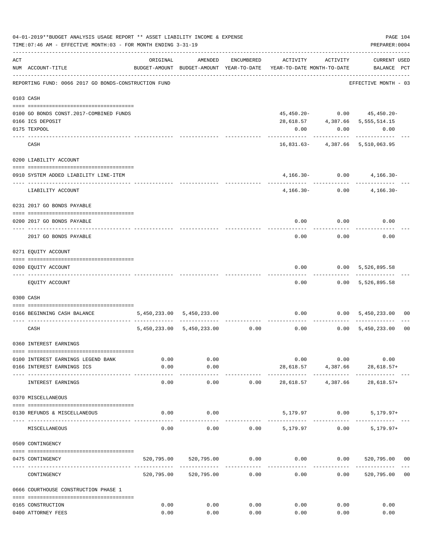|     | 04-01-2019**BUDGET ANALYSIS USAGE REPORT ** ASSET LIABILITY INCOME & EXPENSE<br>TIME: 07:46 AM - EFFECTIVE MONTH: 03 - FOR MONTH ENDING 3-31-19 |                           |                       |            |                                                                                 |                                        | PREPARER: 0004                              | PAGE 104       |
|-----|-------------------------------------------------------------------------------------------------------------------------------------------------|---------------------------|-----------------------|------------|---------------------------------------------------------------------------------|----------------------------------------|---------------------------------------------|----------------|
| ACT | NUM ACCOUNT-TITLE                                                                                                                               | ORIGINAL                  | AMENDED               | ENCUMBERED | ACTIVITY<br>BUDGET-AMOUNT BUDGET-AMOUNT YEAR-TO-DATE YEAR-TO-DATE MONTH-TO-DATE | ACTIVITY                               | CURRENT USED<br>BALANCE PCT                 |                |
|     | REPORTING FUND: 0066 2017 GO BONDS-CONSTRUCTION FUND                                                                                            |                           |                       |            |                                                                                 |                                        | EFFECTIVE MONTH - 03                        |                |
|     | 0103 CASH                                                                                                                                       |                           |                       |            |                                                                                 |                                        |                                             |                |
|     |                                                                                                                                                 |                           |                       |            |                                                                                 |                                        |                                             |                |
|     | 0100 GO BONDS CONST. 2017-COMBINED FUNDS                                                                                                        |                           |                       |            |                                                                                 |                                        | $45,450.20 - 0.00$ $45,450.20 -$            |                |
|     | 0166 ICS DEPOSIT                                                                                                                                |                           |                       |            |                                                                                 |                                        | 28,618.57 4,387.66 5,555,514.15             |                |
|     | 0175 TEXPOOL                                                                                                                                    |                           |                       |            | 0.00                                                                            | 0.00                                   | 0.00                                        |                |
|     | CASH                                                                                                                                            |                           |                       |            |                                                                                 |                                        | .<br>16,831.63- 4,387.66 5,510,063.95       |                |
|     | 0200 LIABILITY ACCOUNT                                                                                                                          |                           |                       |            |                                                                                 |                                        |                                             |                |
|     |                                                                                                                                                 |                           |                       |            |                                                                                 |                                        |                                             |                |
|     | 0910 SYSTEM ADDED LIABILITY LINE-ITEM                                                                                                           |                           |                       |            |                                                                                 | ------------                           | $4,166.30 - 0.00$ $4,166.30 -$<br>--------- |                |
|     | LIABILITY ACCOUNT                                                                                                                               |                           |                       |            |                                                                                 | $4,166.30 - 0.00$                      | $4,166.30-$                                 |                |
|     | 0231 2017 GO BONDS PAYABLE                                                                                                                      |                           |                       |            |                                                                                 |                                        |                                             |                |
|     | 0200 2017 GO BONDS PAYABLE                                                                                                                      |                           |                       |            |                                                                                 | $0.00$ 0.00                            | 0.00                                        |                |
|     | 2017 GO BONDS PAYABLE                                                                                                                           |                           |                       |            | 0.00                                                                            | 0.00                                   | 0.00                                        |                |
|     | 0271 EQUITY ACCOUNT                                                                                                                             |                           |                       |            |                                                                                 |                                        |                                             |                |
|     |                                                                                                                                                 |                           |                       |            |                                                                                 |                                        |                                             |                |
|     | 0200 EQUITY ACCOUNT<br>-------------------- --------                                                                                            |                           |                       |            |                                                                                 |                                        | $0.00$ $0.00$ $5,526,895.58$                |                |
|     | EQUITY ACCOUNT                                                                                                                                  |                           |                       |            | 0.00                                                                            |                                        | $0.00$ 5,526,895.58                         |                |
|     | 0300 CASH                                                                                                                                       |                           |                       |            |                                                                                 |                                        |                                             |                |
|     | 0166 BEGINNING CASH BALANCE                                                                                                                     | 5,450,233.00 5,450,233.00 |                       |            |                                                                                 |                                        | $0.00$ $0.00$ $5,450,233.00$                | 00             |
|     | CASH                                                                                                                                            |                           |                       |            | 5,450,233.00 5,450,233.00 0.00 0.00 0.00 5,450,233.00                           |                                        | ------------                                | 0 <sub>0</sub> |
|     | 0360 INTEREST EARNINGS                                                                                                                          |                           |                       |            |                                                                                 |                                        |                                             |                |
|     |                                                                                                                                                 |                           |                       |            |                                                                                 |                                        |                                             |                |
|     | 0100 INTEREST EARNINGS LEGEND BANK                                                                                                              | 0.00                      | 0.00                  |            | 0.00                                                                            | 0.00                                   | 0.00                                        |                |
|     | 0166 INTEREST EARNINGS ICS                                                                                                                      | 0.00<br>------            | 0.00<br>---------     |            | 28,618.57                                                                       | 4,387.66<br>------------ ------------- | 28,618.57+                                  |                |
|     | INTEREST EARNINGS                                                                                                                               | 0.00                      | 0.00                  | 0.00       | 28,618.57                                                                       | 4,387.66                               | $28,618.57+$                                |                |
|     | 0370 MISCELLANEOUS                                                                                                                              |                           |                       |            |                                                                                 |                                        |                                             |                |
|     | 0130 REFUNDS & MISCELLANEOUS                                                                                                                    | 0.00                      | 0.00                  |            |                                                                                 | 5,179.97 0.00                          | 5,179.97+                                   |                |
|     | MISCELLANEOUS                                                                                                                                   | 0.00                      | 0.00                  |            | $0.00$ 5,179.97                                                                 |                                        | 0.00<br>$5,179.97+$                         |                |
|     | 0509 CONTINGENCY                                                                                                                                |                           |                       |            |                                                                                 |                                        |                                             |                |
|     |                                                                                                                                                 |                           |                       |            |                                                                                 |                                        |                                             |                |
|     | 0475 CONTINGENCY                                                                                                                                |                           | 520,795.00 520,795.00 | 0.00       | 0.00                                                                            | 0.00                                   | 520,795.00 00                               |                |
|     | CONTINGENCY                                                                                                                                     |                           | 520,795.00 520,795.00 | 0.00       | 0.00                                                                            | 0.00                                   | 520,795.00                                  | 0 <sub>0</sub> |
|     | 0666 COURTHOUSE CONSTRUCTION PHASE 1                                                                                                            |                           |                       |            |                                                                                 |                                        |                                             |                |
|     | 0165 CONSTRUCTION                                                                                                                               | 0.00                      | 0.00                  | 0.00       | 0.00                                                                            | 0.00                                   | 0.00                                        |                |
|     | 0400 ATTORNEY FEES                                                                                                                              | 0.00                      | 0.00                  | 0.00       | 0.00                                                                            | 0.00                                   | 0.00                                        |                |
|     |                                                                                                                                                 |                           |                       |            |                                                                                 |                                        |                                             |                |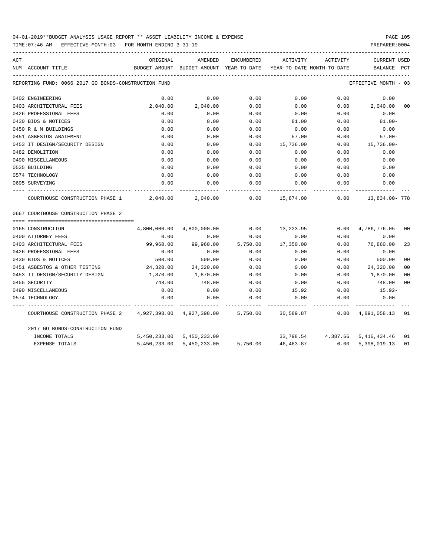TIME:07:46 AM - EFFECTIVE MONTH:03 - FOR MONTH ENDING 3-31-19 PREPARER:0004

| ACT |                                                           | ORIGINAL     | AMENDED                   |          | ENCUMBERED ACTIVITY ACTIVITY                                        |      | <b>CURRENT USED</b>             |                |
|-----|-----------------------------------------------------------|--------------|---------------------------|----------|---------------------------------------------------------------------|------|---------------------------------|----------------|
|     | NUM ACCOUNT-TITLE                                         |              |                           |          | BUDGET-AMOUNT BUDGET-AMOUNT YEAR-TO-DATE YEAR-TO-DATE MONTH-TO-DATE |      | BALANCE PCT                     |                |
|     | REPORTING FUND: 0066 2017 GO BONDS-CONSTRUCTION FUND      |              |                           |          |                                                                     |      | EFFECTIVE MONTH - 03            |                |
|     | 0402 ENGINEERING                                          | 0.00         | 0.00                      | 0.00     | 0.00                                                                | 0.00 | 0.00                            |                |
|     | 0403 ARCHITECTURAL FEES                                   | 2,040.00     | 2,040.00                  | 0.00     | 0.00                                                                | 0.00 | 2,040.00                        | 0 <sub>0</sub> |
|     | 0426 PROFESSIONAL FEES                                    | 0.00         | 0.00                      | 0.00     | 0.00                                                                | 0.00 | 0.00                            |                |
|     | 0430 BIDS & NOTICES                                       | 0.00         | 0.00                      | 0.00     | 81.00                                                               | 0.00 | $81.00 -$                       |                |
|     | 0450 R & M BUILDINGS                                      | 0.00         | 0.00                      | 0.00     | 0.00                                                                | 0.00 | 0.00                            |                |
|     | 0451 ASBESTOS ABATEMENT                                   | 0.00         | 0.00                      | 0.00     | 57.00                                                               | 0.00 | $57.00 -$                       |                |
|     | 0453 IT DESIGN/SECURITY DESIGN                            | 0.00         | 0.00                      | 0.00     | 15,736.00                                                           | 0.00 | 15,736.00-                      |                |
|     | 0482 DEMOLITION                                           | 0.00         | 0.00                      | 0.00     | 0.00                                                                | 0.00 | 0.00                            |                |
|     | 0490 MISCELLANEOUS                                        | 0.00         | 0.00                      | 0.00     | 0.00                                                                | 0.00 | 0.00                            |                |
|     | 0535 BUILDING                                             | 0.00         | 0.00                      | 0.00     | 0.00                                                                | 0.00 | 0.00                            |                |
|     | 0574 TECHNOLOGY                                           | 0.00         | 0.00                      | 0.00     | 0.00                                                                | 0.00 | 0.00                            |                |
|     | 0695 SURVEYING                                            | 0.00         | 0.00                      | 0.00     | 0.00                                                                | 0.00 | 0.00                            |                |
|     | COURTHOUSE CONSTRUCTION PHASE 1                           | 2,040.00     | 2,040.00                  |          | $0.00$ 15,874.00                                                    | 0.00 | 13,834.00- 778                  |                |
|     | 0667 COURTHOUSE CONSTRUCTION PHASE 2                      |              |                           |          |                                                                     |      |                                 |                |
|     | 0165 CONSTRUCTION                                         |              | 4,800,000.00 4,800,000.00 | 0.00     | 13,223.95                                                           |      | $0.00 \quad 4,786,776.05$       | 00             |
|     | 0400 ATTORNEY FEES                                        | 0.00         | 0.00                      | 0.00     | 0.00                                                                | 0.00 | 0.00                            |                |
|     | 0403 ARCHITECTURAL FEES                                   | 99,960.00    | 99,960.00                 | 5,750.00 | 17,350.00                                                           | 0.00 | 76,860.00                       | 23             |
|     | 0426 PROFESSIONAL FEES                                    | 0.00         | 0.00                      | 0.00     | 0.00                                                                | 0.00 | 0.00                            |                |
|     | 0430 BIDS & NOTICES                                       | 500.00       | 500.00                    | 0.00     | 0.00                                                                | 0.00 | 500.00                          | 0 <sub>0</sub> |
|     | 0451 ASBESTOS & OTHER TESTING                             | 24,320.00    | 24,320.00                 | 0.00     | 0.00                                                                | 0.00 | 24,320.00                       | 00             |
|     | 0453 IT DESIGN/SECURITY DESIGN                            | 1,870.00     | 1,870.00                  | 0.00     | 0.00                                                                | 0.00 | 1,870.00                        | 00             |
|     | 0455 SECURITY                                             | 748.00       | 748.00                    | 0.00     | 0.00                                                                | 0.00 | 748.00                          | 0 <sup>0</sup> |
|     | 0490 MISCELLANEOUS                                        | 0.00         | 0.00                      | 0.00     | 15.92                                                               | 0.00 | 15.92-                          |                |
|     | 0574 TECHNOLOGY                                           | 0.00         | 0.00                      | 0.00     | 0.00                                                                | 0.00 | 0.00                            |                |
|     | COURTHOUSE CONSTRUCTION PHASE 2 4,927,398.00 4,927,398.00 |              |                           |          | 5,750.00 30,589.87 0.00                                             |      | 4,891,058.13 01                 |                |
|     | 2017 GO BONDS-CONSTRUCTION FUND                           |              |                           |          |                                                                     |      |                                 |                |
|     | INCOME TOTALS                                             |              | 5,450,233.00 5,450,233.00 |          |                                                                     |      | 33,798.54 4,387.66 5,416,434.46 | 01             |
|     | <b>EXPENSE TOTALS</b>                                     | 5,450,233.00 | 5,450,233.00              | 5,750.00 | 46,463.87                                                           |      | 0.00 5,398,019.13               | 01             |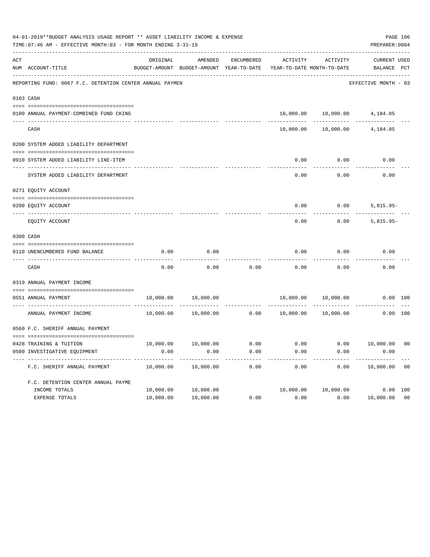| 04-01-2019**BUDGET ANALYSIS USAGE REPORT ** ASSET LIABILITY INCOME & EXPENSE<br>TIME: 07:46 AM - EFFECTIVE MONTH: 03 - FOR MONTH ENDING 3-31-19 |                                                          |           |                                                                 |             |           |                                        |                                    |                |  |
|-------------------------------------------------------------------------------------------------------------------------------------------------|----------------------------------------------------------|-----------|-----------------------------------------------------------------|-------------|-----------|----------------------------------------|------------------------------------|----------------|--|
| ACT                                                                                                                                             | NUM ACCOUNT-TITLE                                        | ORIGINAL  | AMENDED<br>BUDGET-AMOUNT BUDGET-AMOUNT YEAR-TO-DATE             | ENCUMBERED  | ACTIVITY  | ACTIVITY<br>YEAR-TO-DATE MONTH-TO-DATE | <b>CURRENT USED</b><br>BALANCE PCT |                |  |
|                                                                                                                                                 | REPORTING FUND: 0067 F.C. DETENTION CENTER ANNUAL PAYMEN |           |                                                                 |             |           |                                        | EFFECTIVE MONTH - 03               |                |  |
|                                                                                                                                                 | 0103 CASH                                                |           |                                                                 |             |           |                                        |                                    |                |  |
|                                                                                                                                                 | 0100 ANNUAL PAYMENT-COMBINED FUND CKING                  |           | -------------                                                   |             |           | ------------                           | 10,000.00  10,000.00  4,184.05     |                |  |
|                                                                                                                                                 | CASH                                                     |           |                                                                 |             | 10,000.00 |                                        | 10,000.00 4,184.05                 |                |  |
|                                                                                                                                                 | 0200 SYSTEM ADDED LIABILITY DEPARTMENT                   |           |                                                                 |             |           |                                        |                                    |                |  |
|                                                                                                                                                 | 0910 SYSTEM ADDED LIABILITY LINE-ITEM                    |           |                                                                 |             | 0.00      | 0.00                                   | 0.00                               |                |  |
|                                                                                                                                                 | SYSTEM ADDED LIABILITY DEPARTMENT                        |           |                                                                 |             | 0.00      | 0.00                                   | 0.00                               |                |  |
|                                                                                                                                                 | 0271 EQUITY ACCOUNT                                      |           |                                                                 |             |           |                                        |                                    |                |  |
|                                                                                                                                                 | 0200 EQUITY ACCOUNT                                      |           |                                                                 |             | 0.00      | 0.00                                   | $5,815.95-$                        |                |  |
|                                                                                                                                                 | EQUITY ACCOUNT                                           |           |                                                                 |             | 0.00      | 0.00                                   | $5,815.95-$                        |                |  |
|                                                                                                                                                 | 0300 CASH                                                |           |                                                                 |             |           |                                        |                                    |                |  |
|                                                                                                                                                 | 0110 UNENCUMBERED FUND BALANCE                           | 0.00      | 0.00                                                            |             | 0.00      | 0.00                                   | 0.00                               |                |  |
|                                                                                                                                                 | CASH                                                     | 0.00      | 0.00                                                            | 0.00        | 0.00      | 0.00                                   | 0.00                               |                |  |
|                                                                                                                                                 | 0319 ANNUAL PAYMENT INCOME                               |           |                                                                 |             |           |                                        |                                    |                |  |
|                                                                                                                                                 | 0551 ANNUAL PAYMENT<br>-------------------------         | 10,000.00 | 10,000.00                                                       | ----------- |           | 10,000.00 10,000.00                    |                                    | 0.00 100       |  |
|                                                                                                                                                 | ANNUAL PAYMENT INCOME                                    | 10,000.00 | 10,000.00                                                       | 0.00        | 10,000.00 | 10,000.00                              |                                    | 0.00 100       |  |
|                                                                                                                                                 | 0560 F.C. SHERIFF ANNUAL PAYMENT                         |           |                                                                 |             |           |                                        |                                    |                |  |
|                                                                                                                                                 | 0428 TRAINING & TUITION                                  |           | $10,000.00$ $10,000.00$ $0.00$ $0.00$ $0.00$ $0.00$ $10,000.00$ |             |           |                                        |                                    | 0 <sup>0</sup> |  |
|                                                                                                                                                 | 0580 INVESTIGATIVE EQUIPMENT                             | 0.00      | 0.00                                                            | 0.00        | 0.00      | 0.00                                   | 0.00                               |                |  |
|                                                                                                                                                 | F.C. SHERIFF ANNUAL PAYMENT                              | 10,000.00 | 10,000.00                                                       | 0.00        | 0.00      | 0.00                                   | 10,000.00                          | 0 <sub>0</sub> |  |
|                                                                                                                                                 | F.C. DETENTION CENTER ANNUAL PAYME                       |           |                                                                 |             |           |                                        |                                    |                |  |
|                                                                                                                                                 | INCOME TOTALS                                            | 10,000.00 | 10,000.00                                                       |             | 10,000.00 | 10,000.00                              |                                    | 0.00 100       |  |
|                                                                                                                                                 | EXPENSE TOTALS                                           | 10,000.00 | 10,000.00                                                       | 0.00        | 0.00      | 0.00                                   | 10,000.00                          | 0 <sub>0</sub> |  |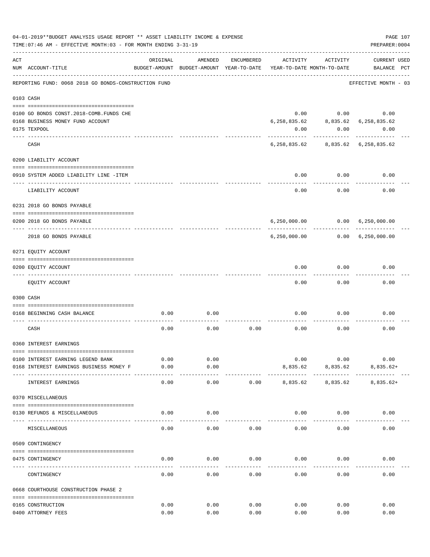|     | 04-01-2019**BUDGET ANALYSIS USAGE REPORT ** ASSET LIABILITY INCOME & EXPENSE<br>TIME: 07:46 AM - EFFECTIVE MONTH: 03 - FOR MONTH ENDING 3-31-19 |              |                                                     |            |                                        |                              | PREPARER: 0004                          | PAGE 107 |
|-----|-------------------------------------------------------------------------------------------------------------------------------------------------|--------------|-----------------------------------------------------|------------|----------------------------------------|------------------------------|-----------------------------------------|----------|
| ACT | NUM ACCOUNT-TITLE                                                                                                                               | ORIGINAL     | AMENDED<br>BUDGET-AMOUNT BUDGET-AMOUNT YEAR-TO-DATE | ENCUMBERED | ACTIVITY<br>YEAR-TO-DATE MONTH-TO-DATE | ACTIVITY                     | <b>CURRENT USED</b><br>BALANCE PCT      |          |
|     | REPORTING FUND: 0068 2018 GO BONDS-CONSTRUCTION FUND                                                                                            |              |                                                     |            |                                        |                              | EFFECTIVE MONTH - 03                    |          |
|     | 0103 CASH                                                                                                                                       |              |                                                     |            |                                        |                              |                                         |          |
|     |                                                                                                                                                 |              |                                                     |            |                                        |                              |                                         |          |
|     | 0100 GO BONDS CONST. 2018-COMB. FUNDS CHE                                                                                                       |              |                                                     |            |                                        |                              | $0.00$ $0.00$ $0.00$                    |          |
|     | 0168 BUSINESS MONEY FUND ACCOUNT                                                                                                                |              |                                                     |            | 6,258,835.62                           |                              | 8,835.62 6,258,835.62                   |          |
|     | 0175 TEXPOOL                                                                                                                                    |              |                                                     |            | 0.00                                   | 0.00                         | 0.00                                    |          |
|     | CASH                                                                                                                                            |              |                                                     |            |                                        | ----------                   | 6, 258, 835.62 8, 835.62 6, 258, 835.62 |          |
|     | 0200 LIABILITY ACCOUNT                                                                                                                          |              |                                                     |            |                                        |                              |                                         |          |
|     |                                                                                                                                                 |              |                                                     |            |                                        |                              |                                         |          |
|     | 0910 SYSTEM ADDED LIABILITY LINE -ITEM                                                                                                          |              |                                                     |            |                                        | $0.00$ $0.00$<br>----------- | 0.00                                    |          |
|     | LIABILITY ACCOUNT                                                                                                                               |              |                                                     |            | 0.00                                   | 0.00                         | 0.00                                    |          |
|     | 0231 2018 GO BONDS PAYABLE                                                                                                                      |              |                                                     |            |                                        |                              |                                         |          |
|     | 0200 2018 GO BONDS PAYABLE                                                                                                                      |              |                                                     |            |                                        |                              | 6,250,000.00   0.00   6,250,000.00      |          |
|     | 2018 GO BONDS PAYABLE                                                                                                                           |              |                                                     |            |                                        | -------------                | 6,250,000.00   0.00   6,250,000.00      |          |
|     | 0271 EQUITY ACCOUNT                                                                                                                             |              |                                                     |            |                                        |                              |                                         |          |
|     | 0200 EQUITY ACCOUNT                                                                                                                             |              |                                                     |            | 0.00                                   | 0.00                         | 0.00                                    |          |
|     |                                                                                                                                                 |              |                                                     |            |                                        |                              |                                         |          |
|     | EQUITY ACCOUNT                                                                                                                                  |              |                                                     |            | 0.00                                   | 0.00                         | 0.00                                    |          |
|     | 0300 CASH                                                                                                                                       |              |                                                     |            |                                        |                              |                                         |          |
|     | 0168 BEGINNING CASH BALANCE                                                                                                                     | 0.00         | 0.00                                                |            | 0.00                                   | 0.00                         | 0.00                                    |          |
|     | CASH                                                                                                                                            | 0.00         | 0.00                                                | 0.00       | 0.00                                   | 0.00                         | 0.00                                    |          |
|     | 0360 INTEREST EARNINGS                                                                                                                          |              |                                                     |            |                                        |                              |                                         |          |
|     |                                                                                                                                                 |              |                                                     |            |                                        |                              |                                         |          |
|     | 0100 INTEREST EARNING LEGEND BANK<br>0168 INTEREST EARNINGS BUSINESS MONEY F                                                                    | 0.00<br>0.00 | 0.00<br>0.00                                        |            | 0.00<br>8,835.62                       | 0.00<br>8,835.62             | 0.00<br>$8,835.62+$                     |          |
|     | INTEREST EARNINGS                                                                                                                               | 0.00         | $- - - -$<br>0.00                                   | 0.00       | 8,835.62                               | 8,835.62                     | $8,835.62+$                             |          |
|     | 0370 MISCELLANEOUS                                                                                                                              |              |                                                     |            |                                        |                              |                                         |          |
|     |                                                                                                                                                 |              |                                                     |            |                                        |                              |                                         |          |
|     | 0130 REFUNDS & MISCELLANEOUS                                                                                                                    | 0.00         | 0.00                                                |            | 0.00                                   | 0.00                         | 0.00                                    |          |
|     | MISCELLANEOUS                                                                                                                                   | 0.00         | 0.00                                                | 0.00       | 0.00                                   | 0.00                         | 0.00                                    |          |
|     | 0509 CONTINGENCY                                                                                                                                |              |                                                     |            |                                        |                              |                                         |          |
|     |                                                                                                                                                 |              |                                                     |            |                                        |                              |                                         |          |
|     | 0475 CONTINGENCY                                                                                                                                | 0.00         | 0.00                                                | 0.00       | 0.00                                   | 0.00                         | 0.00                                    |          |
|     | CONTINGENCY                                                                                                                                     | 0.00         | 0.00                                                | 0.00       | 0.00                                   | 0.00                         | 0.00                                    |          |
|     | 0668 COURTHOUSE CONSTRUCTION PHASE 2                                                                                                            |              |                                                     |            |                                        |                              |                                         |          |
|     | 0165 CONSTRUCTION                                                                                                                               | 0.00         | 0.00                                                | 0.00       | 0.00                                   | 0.00                         | 0.00                                    |          |
|     | 0400 ATTORNEY FEES                                                                                                                              | 0.00         | 0.00                                                | 0.00       | 0.00                                   | 0.00                         | 0.00                                    |          |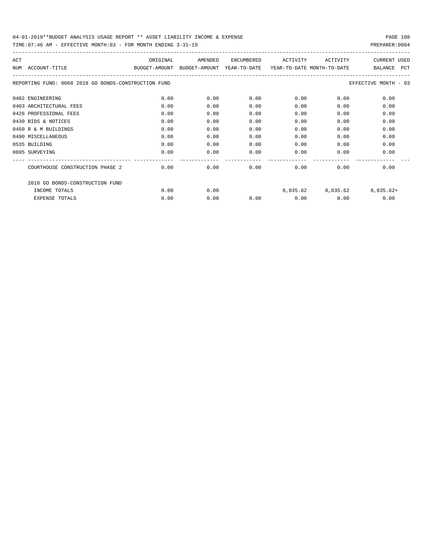| ACT                                                  | ORIGINAL                                 | AMENDED | ENCUMBERED | ACTIVITY                   | ACTIVITY | <b>CURRENT USED</b>         |
|------------------------------------------------------|------------------------------------------|---------|------------|----------------------------|----------|-----------------------------|
| ACCOUNT-TITLE<br>NTJM                                | BUDGET-AMOUNT BUDGET-AMOUNT YEAR-TO-DATE |         |            | YEAR-TO-DATE MONTH-TO-DATE |          | BALANCE<br>PCT              |
| REPORTING FUND: 0068 2018 GO BONDS-CONSTRUCTION FUND |                                          |         |            |                            |          | EFFECTIVE MONTH - 03        |
| 0402 ENGINEERING                                     | 0.00                                     | 0.00    | 0.00       | 0.00                       | 0.00     | 0.00                        |
| 0403 ARCHITECTURAL FEES                              | 0.00                                     | 0.00    | 0.00       | 0.00                       | 0.00     | 0.00                        |
| 0426 PROFESSIONAL FEES                               | 0.00                                     | 0.00    | 0.00       | 0.00                       | 0.00     | 0.00                        |
| 0430 BIDS & NOTICES                                  | 0.00                                     | 0.00    | 0.00       | 0.00                       | 0.00     | 0.00                        |
| 0450 R & M BUILDINGS                                 | 0.00                                     | 0.00    | 0.00       | 0.00                       | 0.00     | 0.00                        |
| 0490 MISCELLANEOUS                                   | 0.00                                     | 0.00    | 0.00       | 0.00                       | 0.00     | 0.00                        |
| 0535 BUILDING                                        | 0.00                                     | 0.00    | 0.00       | 0.00                       | 0.00     | 0.00                        |
| 0695 SURVEYING                                       | 0.00                                     | 0.00    | 0.00       | 0.00                       | 0.00     | 0.00                        |
| COURTHOUSE CONSTRUCTION PHASE 2                      | 0.00                                     | 0.00    | 0.00       | 0.00                       | 0.00     | 0.00                        |
| 2018 GO BONDS-CONSTRUCTION FUND                      |                                          |         |            |                            |          |                             |
| INCOME TOTALS                                        | 0.00                                     | 0.00    |            |                            |          | 8,835.62 8,835.62 8,835.62+ |
| EXPENSE TOTALS                                       | 0.00                                     | 0.00    | 0.00       | 0.00                       | 0.00     | 0.00                        |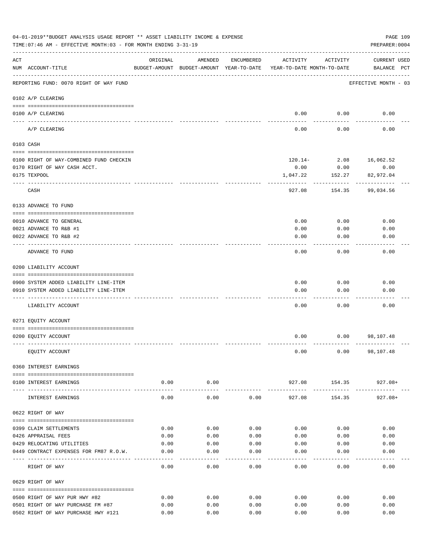|                    | 04-01-2019**BUDGET ANALYSIS USAGE REPORT ** ASSET LIABILITY INCOME & EXPENSE<br>TIME: 07:46 AM - EFFECTIVE MONTH: 03 - FOR MONTH ENDING 3-31-19 |                    |                    |            |                                                                                 |                       | PAGE 109<br>PREPARER: 0004         |
|--------------------|-------------------------------------------------------------------------------------------------------------------------------------------------|--------------------|--------------------|------------|---------------------------------------------------------------------------------|-----------------------|------------------------------------|
| $\mathop{\rm ACT}$ | NUM ACCOUNT-TITLE                                                                                                                               | ORIGINAL           | AMENDED            | ENCUMBERED | ACTIVITY<br>BUDGET-AMOUNT BUDGET-AMOUNT YEAR-TO-DATE YEAR-TO-DATE MONTH-TO-DATE | ACTIVITY              | <b>CURRENT USED</b><br>BALANCE PCT |
|                    | REPORTING FUND: 0070 RIGHT OF WAY FUND                                                                                                          |                    |                    |            |                                                                                 |                       | EFFECTIVE MONTH - 03               |
|                    | 0102 A/P CLEARING                                                                                                                               |                    |                    |            |                                                                                 |                       |                                    |
|                    | 0100 A/P CLEARING<br>---- --------                                                                                                              |                    |                    |            |                                                                                 | $0.00$ 0.00           | 0.00                               |
|                    | A/P CLEARING                                                                                                                                    |                    |                    |            | 0.00                                                                            | 0.00                  | 0.00                               |
|                    | 0103 CASH                                                                                                                                       |                    |                    |            |                                                                                 |                       |                                    |
|                    | 0100 RIGHT OF WAY-COMBINED FUND CHECKIN                                                                                                         |                    |                    |            |                                                                                 |                       | $120.14 - 2.08$ 16,062.52          |
|                    | 0170 RIGHT OF WAY CASH ACCT.                                                                                                                    |                    |                    |            | 0.00                                                                            | 0.00                  | 0.00                               |
|                    | 0175 TEXPOOL                                                                                                                                    |                    |                    |            | 1,047.22                                                                        | 152.27                | 82,972.04                          |
|                    | CASH                                                                                                                                            |                    |                    |            | 927.08                                                                          | 154.35                | 99,034.56                          |
|                    | 0133 ADVANCE TO FUND                                                                                                                            |                    |                    |            |                                                                                 |                       |                                    |
|                    | 0010 ADVANCE TO GENERAL                                                                                                                         |                    |                    |            | 0.00                                                                            | 0.00                  | 0.00                               |
|                    | 0021 ADVANCE TO R&B #1                                                                                                                          |                    |                    |            | 0.00                                                                            | 0.00                  | 0.00                               |
|                    | 0022 ADVANCE TO R&B #2                                                                                                                          |                    |                    |            | 0.00                                                                            | 0.00                  | 0.00                               |
|                    |                                                                                                                                                 |                    |                    |            |                                                                                 |                       |                                    |
|                    | ADVANCE TO FUND                                                                                                                                 |                    |                    |            | 0.00                                                                            | 0.00                  | 0.00                               |
|                    | 0200 LIABILITY ACCOUNT                                                                                                                          |                    |                    |            |                                                                                 |                       |                                    |
|                    | 0900 SYSTEM ADDED LIABILITY LINE-ITEM                                                                                                           |                    |                    |            | 0.00                                                                            | 0.00                  | 0.00                               |
|                    | 0910 SYSTEM ADDED LIABILITY LINE-ITEM                                                                                                           |                    |                    |            | 0.00                                                                            | 0.00                  | 0.00                               |
|                    |                                                                                                                                                 |                    |                    |            |                                                                                 |                       |                                    |
|                    | LIABILITY ACCOUNT                                                                                                                               |                    |                    |            | 0.00                                                                            | 0.00                  | 0.00                               |
|                    | 0271 EQUITY ACCOUNT                                                                                                                             |                    |                    |            |                                                                                 |                       |                                    |
|                    | 0200 EQUITY ACCOUNT                                                                                                                             |                    |                    |            | 0.00                                                                            |                       | $0.00$ 98,107.48                   |
|                    | EQUITY ACCOUNT                                                                                                                                  |                    |                    |            | 0.00                                                                            |                       | $0.00$ 98,107.48                   |
|                    | 0360 INTEREST EARNINGS                                                                                                                          |                    |                    |            |                                                                                 |                       |                                    |
|                    | 0100 INTEREST EARNINGS                                                                                                                          | 0.00               | 0.00               |            |                                                                                 |                       | 927.08 154.35 927.08+              |
|                    | --------------------------------------<br>INTEREST EARNINGS                                                                                     | ----------<br>0.00 | ----------<br>0.00 | 0.00       | -------------<br>927.08                                                         | -----------<br>154.35 | 927.08+                            |
|                    | 0622 RIGHT OF WAY                                                                                                                               |                    |                    |            |                                                                                 |                       |                                    |
|                    |                                                                                                                                                 |                    |                    |            |                                                                                 |                       |                                    |
|                    | 0399 CLAIM SETTLEMENTS                                                                                                                          | 0.00               | 0.00               | 0.00       | 0.00                                                                            | 0.00                  | 0.00                               |
|                    | 0426 APPRAISAL FEES                                                                                                                             | 0.00               | 0.00               | 0.00       | 0.00                                                                            | 0.00                  | 0.00                               |
|                    | 0429 RELOCATING UTILITIES                                                                                                                       | 0.00               | 0.00               | 0.00       | 0.00                                                                            | 0.00                  | 0.00                               |
|                    | 0449 CONTRACT EXPENSES FOR FM87 R.O.W.                                                                                                          | 0.00               | 0.00               | 0.00       | 0.00                                                                            | 0.00                  | 0.00                               |
|                    | RIGHT OF WAY                                                                                                                                    | 0.00               | 0.00               | 0.00       | 0.00                                                                            | 0.00                  | 0.00                               |
|                    | 0629 RIGHT OF WAY                                                                                                                               |                    |                    |            |                                                                                 |                       |                                    |
|                    | 0500 RIGHT OF WAY PUR HWY #82                                                                                                                   | 0.00               | 0.00               | 0.00       | 0.00                                                                            | 0.00                  | 0.00                               |
|                    | 0501 RIGHT OF WAY PURCHASE FM #87                                                                                                               | 0.00               | 0.00               | 0.00       | 0.00                                                                            | 0.00                  | 0.00                               |
|                    | 0502 RIGHT OF WAY PURCHASE HWY #121                                                                                                             | 0.00               | 0.00               | 0.00       | 0.00                                                                            | 0.00                  | 0.00                               |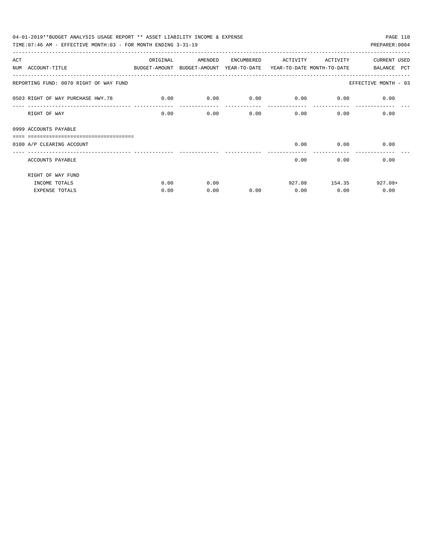|     | 04-01-2019**BUDGET ANALYSIS USAGE REPORT ** ASSET LIABILITY INCOME & EXPENSE             |          |         |            |                             |               | PAGE 110                     |
|-----|------------------------------------------------------------------------------------------|----------|---------|------------|-----------------------------|---------------|------------------------------|
|     | TIME: 07:46 AM - EFFECTIVE MONTH: 03 - FOR MONTH ENDING $3-31-19$                        |          |         |            |                             |               | PREPARER: 0004               |
| ACT |                                                                                          | ORIGINAL | AMENDED | ENCUMBERED | ACTIVITY                    | ACTIVITY      | <b>CURRENT USED</b>          |
|     | NUM ACCOUNT-TITLE<br>BUDGET-AMOUNT BUDGET-AMOUNT YEAR-TO-DATE YEAR-TO-DATE_MONTH-TO-DATE |          |         |            |                             |               | BALANCE PCT                  |
|     | REPORTING FUND: 0070 RIGHT OF WAY FUND                                                   |          |         |            |                             |               | EFFECTIVE MONTH - 03         |
|     | 0503 RIGHT OF WAY PURCHASE HWY.78                                                        | 0.00     | 0.00    |            | $0.00$ $0.00$ $0.00$ $0.00$ |               | 0.00                         |
|     | RIGHT OF WAY                                                                             | 0.00     | 0.00    | 0.00       |                             | 0.00          | 0.00<br>0.00                 |
|     | 0999 ACCOUNTS PAYABLE                                                                    |          |         |            |                             |               |                              |
|     | =================================<br>0100 A/P CLEARING ACCOUNT                           |          |         |            |                             | $0.00$ $0.00$ | 0.00                         |
|     |                                                                                          |          |         |            |                             |               | ---------------------------- |
|     | ACCOUNTS PAYABLE                                                                         |          |         |            | 0.00                        | 0.00          | 0.00                         |
|     | RIGHT OF WAY FUND                                                                        |          |         |            |                             |               |                              |
|     | INCOME TOTALS                                                                            | 0.00     | 0.00    |            |                             | 927.08 154.35 | $927.08+$                    |
|     | <b>EXPENSE TOTALS</b>                                                                    | 0.00     | 0.00    | 0.00       | 0.00                        | 0.00          | 0.00                         |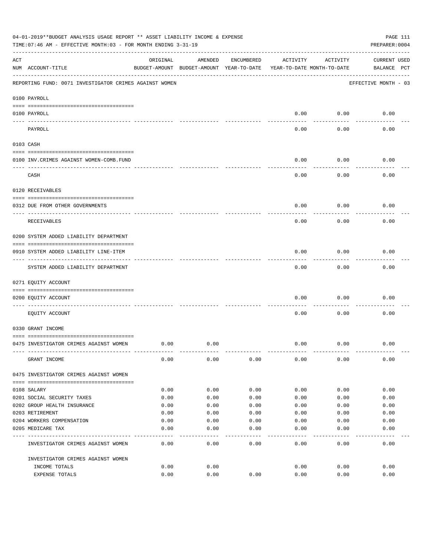|     | 04-01-2019**BUDGET ANALYSIS USAGE REPORT ** ASSET LIABILITY INCOME & EXPENSE<br>TIME: 07:46 AM - EFFECTIVE MONTH: 03 - FOR MONTH ENDING 3-31-19 |          |                                                     |            |          |                                        | PAGE 111<br>PREPARER: 0004         |
|-----|-------------------------------------------------------------------------------------------------------------------------------------------------|----------|-----------------------------------------------------|------------|----------|----------------------------------------|------------------------------------|
| ACT | NUM ACCOUNT-TITLE                                                                                                                               | ORIGINAL | AMENDED<br>BUDGET-AMOUNT BUDGET-AMOUNT YEAR-TO-DATE | ENCUMBERED | ACTIVITY | ACTIVITY<br>YEAR-TO-DATE MONTH-TO-DATE | <b>CURRENT USED</b><br>BALANCE PCT |
|     | REPORTING FUND: 0071 INVESTIGATOR CRIMES AGAINST WOMEN                                                                                          |          |                                                     |            |          |                                        | EFFECTIVE MONTH - 03               |
|     | 0100 PAYROLL                                                                                                                                    |          |                                                     |            |          |                                        |                                    |
|     | 0100 PAYROLL<br>---- ----                                                                                                                       |          |                                                     |            | 0.00     | 0.00                                   | 0.00                               |
|     | PAYROLL                                                                                                                                         |          |                                                     |            | 0.00     | 0.00                                   | 0.00                               |
|     | 0103 CASH                                                                                                                                       |          |                                                     |            |          |                                        |                                    |
|     | 0100 INV. CRIMES AGAINST WOMEN-COMB. FUND                                                                                                       |          |                                                     |            | 0.00     | 0.00                                   | 0.00                               |
|     | CASH                                                                                                                                            |          |                                                     |            | 0.00     | 0.00                                   | 0.00                               |
|     | 0120 RECEIVABLES                                                                                                                                |          |                                                     |            |          |                                        |                                    |
|     | 0312 DUE FROM OTHER GOVERNMENTS                                                                                                                 |          |                                                     |            | 0.00     | 0.00                                   | 0.00                               |
|     | RECEIVABLES                                                                                                                                     |          |                                                     |            | 0.00     | 0.00                                   | 0.00                               |
|     | 0200 SYSTEM ADDED LIABILITY DEPARTMENT                                                                                                          |          |                                                     |            |          |                                        |                                    |
|     | 0910 SYSTEM ADDED LIABILITY LINE-ITEM                                                                                                           |          |                                                     |            | 0.00     | 0.00                                   | 0.00                               |
|     | SYSTEM ADDED LIABILITY DEPARTMENT                                                                                                               |          |                                                     |            | 0.00     | 0.00                                   | 0.00                               |
|     | 0271 EQUITY ACCOUNT                                                                                                                             |          |                                                     |            |          |                                        |                                    |
|     | 0200 EQUITY ACCOUNT                                                                                                                             |          |                                                     |            | 0.00     | 0.00                                   | 0.00                               |
|     | EQUITY ACCOUNT                                                                                                                                  |          |                                                     |            | 0.00     | 0.00                                   | 0.00                               |
|     | 0330 GRANT INCOME                                                                                                                               |          |                                                     |            |          |                                        |                                    |
|     | 0475 INVESTIGATOR CRIMES AGAINST WOMEN                                                                                                          | 0.00     | 0.00                                                |            | 0.00     | 0.00                                   | 0.00                               |
|     | GRANT INCOME                                                                                                                                    | 0.00     | 0.00                                                | 0.00       | 0.00     | 0.00                                   | 0.00                               |
|     | 0475 INVESTIGATOR CRIMES AGAINST WOMEN                                                                                                          |          |                                                     |            |          |                                        |                                    |
|     | 0108 SALARY                                                                                                                                     | 0.00     | 0.00                                                | 0.00       | 0.00     | 0.00                                   | 0.00                               |
|     | 0201 SOCIAL SECURITY TAXES                                                                                                                      | 0.00     | 0.00                                                | 0.00       | 0.00     | 0.00                                   | 0.00                               |
|     | 0202 GROUP HEALTH INSURANCE                                                                                                                     | 0.00     | 0.00                                                | 0.00       | 0.00     | 0.00                                   | 0.00                               |
|     | 0203 RETIREMENT                                                                                                                                 | 0.00     | 0.00                                                | 0.00       | 0.00     | 0.00                                   | 0.00                               |
|     | 0204 WORKERS COMPENSATION                                                                                                                       | 0.00     | 0.00                                                | 0.00       | 0.00     | 0.00                                   | 0.00                               |
|     | 0205 MEDICARE TAX                                                                                                                               | 0.00     | 0.00                                                | 0.00       | 0.00     | 0.00                                   | 0.00                               |
|     | INVESTIGATOR CRIMES AGAINST WOMEN                                                                                                               | 0.00     | 0.00                                                | 0.00       | 0.00     | 0.00                                   | 0.00                               |
|     | INVESTIGATOR CRIMES AGAINST WOMEN                                                                                                               |          |                                                     |            |          |                                        |                                    |
|     | INCOME TOTALS                                                                                                                                   | 0.00     | 0.00                                                |            | 0.00     | 0.00                                   | 0.00                               |
|     | EXPENSE TOTALS                                                                                                                                  | 0.00     | 0.00                                                | 0.00       | 0.00     | 0.00                                   | 0.00                               |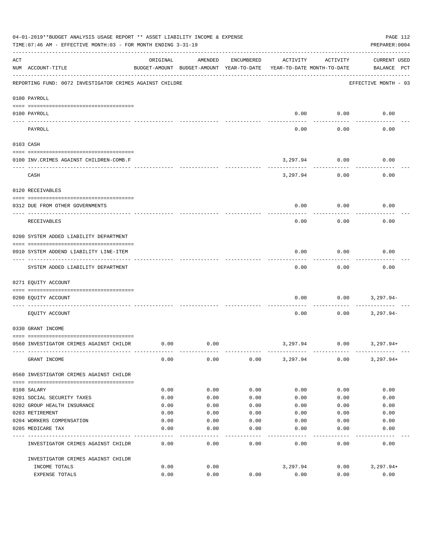|           | 04-01-2019**BUDGET ANALYSIS USAGE REPORT ** ASSET LIABILITY INCOME & EXPENSE<br>TIME: 07:46 AM - EFFECTIVE MONTH: 03 - FOR MONTH ENDING 3-31-19 |          |                                                     |            |          |                                        | PAGE 112<br>PREPARER: 0004         |
|-----------|-------------------------------------------------------------------------------------------------------------------------------------------------|----------|-----------------------------------------------------|------------|----------|----------------------------------------|------------------------------------|
| ACT       | NUM ACCOUNT-TITLE                                                                                                                               | ORIGINAL | AMENDED<br>BUDGET-AMOUNT BUDGET-AMOUNT YEAR-TO-DATE | ENCUMBERED | ACTIVITY | ACTIVITY<br>YEAR-TO-DATE MONTH-TO-DATE | <b>CURRENT USED</b><br>BALANCE PCT |
|           | REPORTING FUND: 0072 INVESTIGATOR CRIMES AGAINST CHILDRE                                                                                        |          |                                                     |            |          |                                        | EFFECTIVE MONTH - 03               |
|           | 0100 PAYROLL                                                                                                                                    |          |                                                     |            |          |                                        |                                    |
| ---- ---- | 0100 PAYROLL                                                                                                                                    |          |                                                     |            | 0.00     | 0.00                                   | 0.00                               |
|           | PAYROLL                                                                                                                                         |          |                                                     |            | 0.00     | 0.00                                   | 0.00                               |
|           | 0103 CASH                                                                                                                                       |          |                                                     |            |          |                                        |                                    |
|           | 0100 INV. CRIMES AGAINST CHILDREN-COMB.F                                                                                                        |          |                                                     |            | 3,297.94 | 0.00                                   | 0.00                               |
|           | CASH                                                                                                                                            |          |                                                     |            | 3,297.94 | 0.00                                   | 0.00                               |
|           | 0120 RECEIVABLES                                                                                                                                |          |                                                     |            |          |                                        |                                    |
|           | 0312 DUE FROM OTHER GOVERNMENTS                                                                                                                 |          |                                                     |            | 0.00     | 0.00                                   | 0.00                               |
|           | RECEIVABLES                                                                                                                                     |          |                                                     |            | 0.00     | 0.00                                   | 0.00                               |
|           | 0200 SYSTEM ADDED LIABILITY DEPARTMENT                                                                                                          |          |                                                     |            |          |                                        |                                    |
|           | 0910 SYSTEM ADDEND LIABILITY LINE-ITEM                                                                                                          |          |                                                     |            | 0.00     | 0.00                                   | 0.00                               |
|           | SYSTEM ADDED LIABILITY DEPARTMENT                                                                                                               |          |                                                     |            | 0.00     | 0.00                                   | 0.00                               |
|           | 0271 EQUITY ACCOUNT                                                                                                                             |          |                                                     |            |          |                                        |                                    |
|           | 0200 EQUITY ACCOUNT                                                                                                                             |          |                                                     |            | 0.00     | 0.00                                   | 3,297.94-                          |
|           | EQUITY ACCOUNT                                                                                                                                  |          |                                                     |            | 0.00     | 0.00                                   | $3,297.94-$                        |
|           | 0330 GRANT INCOME                                                                                                                               |          |                                                     |            |          |                                        |                                    |
|           | 0560 INVESTIGATOR CRIMES AGAINST CHILDR                                                                                                         | 0.00     | 0.00                                                |            | 3,297.94 | 0.00                                   | 3,297.94+                          |
|           | GRANT INCOME                                                                                                                                    | 0.00     | 0.00                                                | 0.00       | 3,297.94 | 0.00                                   | $3,297.94+$                        |
|           | 0560 INVESTIGATOR CRIMES AGAINST CHILDR                                                                                                         |          |                                                     |            |          |                                        |                                    |
|           | 0108 SALARY                                                                                                                                     | 0.00     | 0.00                                                | 0.00       | 0.00     | 0.00                                   | 0.00                               |
|           | 0201 SOCIAL SECURITY TAXES                                                                                                                      | 0.00     | 0.00                                                | 0.00       | 0.00     | 0.00                                   | 0.00                               |
|           | 0202 GROUP HEALTH INSURANCE                                                                                                                     | 0.00     | 0.00                                                | 0.00       | 0.00     | 0.00                                   | 0.00                               |
|           | 0203 RETIREMENT                                                                                                                                 | 0.00     | 0.00                                                | 0.00       | 0.00     | 0.00                                   | 0.00                               |
|           | 0204 WORKERS COMPENSATION                                                                                                                       | 0.00     | 0.00                                                | 0.00       | 0.00     | 0.00                                   | 0.00                               |
|           | 0205 MEDICARE TAX                                                                                                                               | 0.00     | 0.00                                                | 0.00       | 0.00     | 0.00                                   | 0.00                               |
|           | INVESTIGATOR CRIMES AGAINST CHILDR                                                                                                              | 0.00     | 0.00                                                | 0.00       | 0.00     | 0.00                                   | 0.00                               |
|           | INVESTIGATOR CRIMES AGAINST CHILDR                                                                                                              |          |                                                     |            |          |                                        |                                    |
|           | INCOME TOTALS                                                                                                                                   | 0.00     | 0.00                                                |            | 3,297.94 | 0.00                                   | $3,297.94+$                        |
|           | EXPENSE TOTALS                                                                                                                                  | 0.00     | 0.00                                                | 0.00       | 0.00     | 0.00                                   | 0.00                               |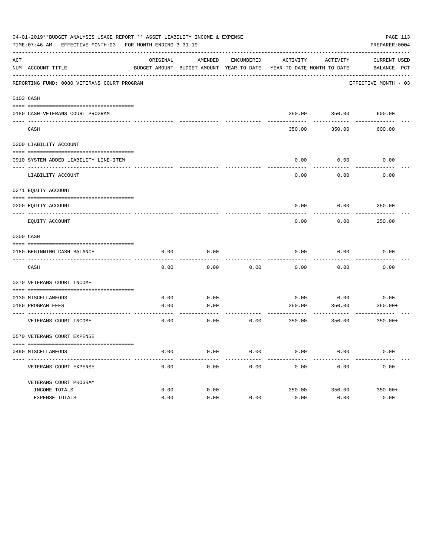|     | 04-01-2019**BUDGET ANALYSIS USAGE REPORT ** ASSET LIABILITY INCOME & EXPENSE<br>TIME: 07:46 AM - EFFECTIVE MONTH: 03 - FOR MONTH ENDING 3-31-19 |          |                                                     |            |          |                                        | PAGE 113<br>PREPARER: 0004  |
|-----|-------------------------------------------------------------------------------------------------------------------------------------------------|----------|-----------------------------------------------------|------------|----------|----------------------------------------|-----------------------------|
| ACT | NUM ACCOUNT-TITLE                                                                                                                               | ORIGINAL | AMENDED<br>BUDGET-AMOUNT BUDGET-AMOUNT YEAR-TO-DATE | ENCUMBERED | ACTIVITY | ACTIVITY<br>YEAR-TO-DATE MONTH-TO-DATE | CURRENT USED<br>BALANCE PCT |
|     | REPORTING FUND: 0080 VETERANS COURT PROGRAM                                                                                                     |          |                                                     |            |          |                                        | EFFECTIVE MONTH - 03        |
|     | 0103 CASH                                                                                                                                       |          |                                                     |            |          |                                        |                             |
|     |                                                                                                                                                 |          |                                                     |            |          |                                        |                             |
|     | 0180 CASH-VETERANS COURT PROGRAM                                                                                                                |          |                                                     |            |          | 350.00 350.00 600.00                   |                             |
|     | CASH                                                                                                                                            |          |                                                     |            | 350.00   | 350.00                                 | 600.00                      |
|     | 0200 LIABILITY ACCOUNT                                                                                                                          |          |                                                     |            |          |                                        |                             |
|     |                                                                                                                                                 |          |                                                     |            |          |                                        |                             |
|     | 0910 SYSTEM ADDED LIABILITY LINE-ITEM                                                                                                           |          |                                                     |            | 0.00     | 0.00                                   | 0.00                        |
|     | LIABILITY ACCOUNT                                                                                                                               |          |                                                     |            | 0.00     | 0.00                                   | 0.00                        |
|     | 0271 EQUITY ACCOUNT                                                                                                                             |          |                                                     |            |          |                                        |                             |
|     | 0200 EOUITY ACCOUNT                                                                                                                             |          |                                                     |            | 0.00     | 0.00                                   | 250.00                      |
|     | EQUITY ACCOUNT                                                                                                                                  |          |                                                     |            | 0.00     | 0.00                                   | 250.00                      |
|     | 0300 CASH                                                                                                                                       |          |                                                     |            |          |                                        |                             |
|     |                                                                                                                                                 |          |                                                     |            |          |                                        |                             |
|     | 0180 BEGINNING CASH BALANCE                                                                                                                     | 0.00     | 0.00                                                |            | 0.00     | 0.00                                   | 0.00                        |
|     | CASH                                                                                                                                            | 0.00     | 0.00                                                | 0.00       | 0.00     | 0.00                                   | 0.00                        |
|     | 0370 VETERANS COURT INCOME                                                                                                                      |          |                                                     |            |          |                                        |                             |
|     | 0130 MISCELLANEOUS                                                                                                                              | 0.00     | 0.00                                                |            | 0.00     | 0.00                                   | 0.00                        |
|     | 0180 PROGRAM FEES                                                                                                                               | 0.00     | 0.00                                                |            | 350.00   | 350.00                                 | 350.00+                     |
|     | ----------------------------- ---<br>VETERANS COURT INCOME                                                                                      | 0.00     | 0.00                                                | 0.00       | 350.00   | 350.00                                 | $350.00+$                   |
|     | 0570 VETERANS COURT EXPENSE                                                                                                                     |          |                                                     |            |          |                                        |                             |
|     | 0490 MISCELLANEOUS                                                                                                                              | 0.00     | 0.00                                                | 0.00       | 0.00     | 0.00                                   | 0.00                        |
|     | VETERANS COURT EXPENSE                                                                                                                          | 0.00     | 0.00                                                | 0.00       | 0.00     | 0.00                                   | 0.00                        |
|     | VETERANS COURT PROGRAM                                                                                                                          |          |                                                     |            |          |                                        |                             |
|     | INCOME TOTALS                                                                                                                                   | 0.00     | 0.00                                                |            | 350.00   | 350.00                                 | $350.00+$                   |
|     | EXPENSE TOTALS                                                                                                                                  | 0.00     | 0.00                                                | 0.00       | 0.00     | 0.00                                   | 0.00                        |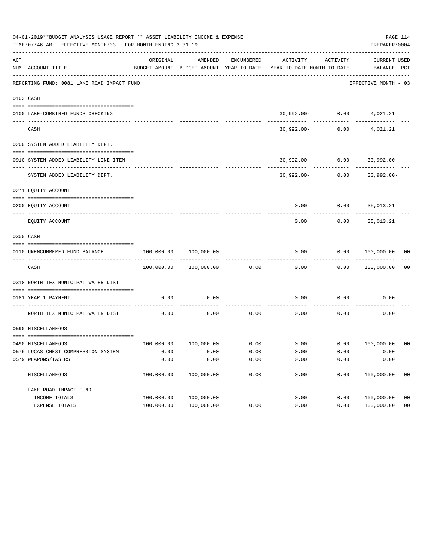|     | 04-01-2019**BUDGET ANALYSIS USAGE REPORT ** ASSET LIABILITY INCOME & EXPENSE<br>TIME: 07:46 AM - EFFECTIVE MONTH: 03 - FOR MONTH ENDING 3-31-19 |                                                      |                       |            |                                                                           |                    | PREPARER: 0004                   | PAGE 114       |
|-----|-------------------------------------------------------------------------------------------------------------------------------------------------|------------------------------------------------------|-----------------------|------------|---------------------------------------------------------------------------|--------------------|----------------------------------|----------------|
| ACT | NUM ACCOUNT-TITLE                                                                                                                               | ORIGINAL<br>BUDGET-AMOUNT BUDGET-AMOUNT YEAR-TO-DATE | AMENDED               | ENCUMBERED | ACTIVITY<br>YEAR-TO-DATE MONTH-TO-DATE                                    | ACTIVITY           | CURRENT USED<br>BALANCE PCT      |                |
|     | REPORTING FUND: 0081 LAKE ROAD IMPACT FUND                                                                                                      |                                                      |                       |            |                                                                           |                    | EFFECTIVE MONTH - 03             |                |
|     | 0103 CASH                                                                                                                                       |                                                      |                       |            |                                                                           |                    |                                  |                |
|     | 0100 LAKE-COMBINED FUNDS CHECKING                                                                                                               |                                                      |                       |            |                                                                           |                    | $30,992.00 - 0.00$ 4,021.21      |                |
|     | CASH                                                                                                                                            |                                                      |                       |            |                                                                           | $30,992.00 - 0.00$ | 4,021.21                         |                |
|     | 0200 SYSTEM ADDED LIABILITY DEPT.                                                                                                               |                                                      |                       |            |                                                                           |                    |                                  |                |
|     | 0910 SYSTEM ADDED LIABILITY LINE ITEM                                                                                                           |                                                      |                       |            |                                                                           |                    | $30,992.00 - 0.00$ 30,992.00-    |                |
|     | SYSTEM ADDED LIABILITY DEPT.                                                                                                                    |                                                      |                       |            |                                                                           |                    | $30,992.00 - 0.00$ $30,992.00 -$ |                |
|     | 0271 EQUITY ACCOUNT                                                                                                                             |                                                      |                       |            |                                                                           |                    |                                  |                |
|     | 0200 EQUITY ACCOUNT                                                                                                                             |                                                      |                       |            |                                                                           |                    | $0.00$ $0.00$ $35,013.21$        |                |
|     | EQUITY ACCOUNT                                                                                                                                  |                                                      |                       |            | 0.00                                                                      | 0.00               | 35,013.21                        |                |
|     | 0300 CASH                                                                                                                                       |                                                      |                       |            |                                                                           |                    |                                  |                |
|     | 0110 UNENCUMBERED FUND BALANCE                                                                                                                  | $100,000.00$ $100,000.00$                            |                       |            | 0.00                                                                      |                    | $0.00$ $100,000.00$ 00           |                |
|     | CASH                                                                                                                                            |                                                      | 100,000.00 100,000.00 | 0.00       | 0.00                                                                      |                    | 0.00 100,000.00                  | 0 <sub>0</sub> |
|     | 0318 NORTH TEX MUNICIPAL WATER DIST                                                                                                             |                                                      |                       |            |                                                                           |                    |                                  |                |
|     | 0181 YEAR 1 PAYMENT                                                                                                                             | 0.00                                                 | 0.00                  |            | 0.00                                                                      |                    | $0.00$ 0.00                      |                |
|     | NORTH TEX MUNICIPAL WATER DIST                                                                                                                  | 0.00                                                 | 0.00                  | 0.00       | 0.00                                                                      | 0.00               | 0.00                             |                |
|     | 0590 MISCELLANEOUS                                                                                                                              |                                                      |                       |            |                                                                           |                    |                                  |                |
|     | 0490 MISCELLANEOUS                                                                                                                              |                                                      |                       |            | $100,000.00$ $100,000.00$ $0.00$ $0.00$ $0.00$ $0.00$ $0.00$ $100,000.00$ |                    |                                  | 00             |
|     | 0576 LUCAS CHEST COMPRESSION SYSTEM                                                                                                             | 0.00                                                 | 0.00                  | 0.00       | 0.00                                                                      | 0.00               | 0.00                             |                |
|     | 0579 WEAPONS/TASERS                                                                                                                             | 0.00                                                 | 0.00                  | 0.00       | 0.00                                                                      | 0.00               | 0.00                             |                |
|     | MISCELLANEOUS                                                                                                                                   | 100,000.00                                           | 100,000.00            | 0.00       | 0.00                                                                      | 0.00               | 100,000.00                       | 0 <sub>0</sub> |
|     | LAKE ROAD IMPACT FUND                                                                                                                           |                                                      |                       |            |                                                                           |                    |                                  |                |
|     | INCOME TOTALS                                                                                                                                   | 100,000.00                                           | 100,000.00            |            | 0.00                                                                      | 0.00               | 100,000.00                       | 0 <sub>0</sub> |
|     | EXPENSE TOTALS                                                                                                                                  | 100,000.00                                           | 100,000.00            | 0.00       | 0.00                                                                      | 0.00               | 100,000.00                       | 0 <sub>0</sub> |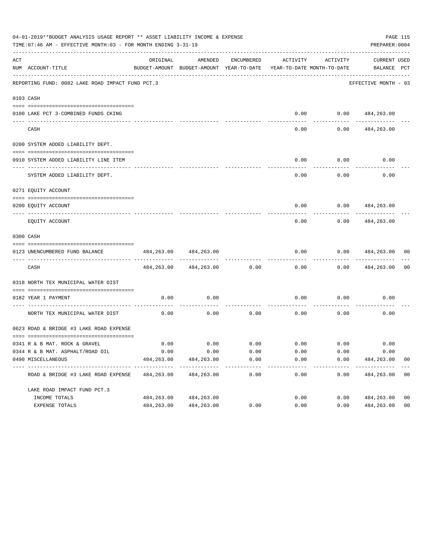|     | 04-01-2019**BUDGET ANALYSIS USAGE REPORT ** ASSET LIABILITY INCOME & EXPENSE<br>PAGE 115<br>TIME: 07:46 AM - EFFECTIVE MONTH: 03 - FOR MONTH ENDING 3-31-19<br>PREPARER: 0004 |            |                                                     |            |                       |                                        |                                |                |  |  |  |
|-----|-------------------------------------------------------------------------------------------------------------------------------------------------------------------------------|------------|-----------------------------------------------------|------------|-----------------------|----------------------------------------|--------------------------------|----------------|--|--|--|
| ACT | NUM ACCOUNT-TITLE                                                                                                                                                             | ORIGINAL   | AMENDED<br>BUDGET-AMOUNT BUDGET-AMOUNT YEAR-TO-DATE | ENCUMBERED | ACTIVITY              | ACTIVITY<br>YEAR-TO-DATE MONTH-TO-DATE | CURRENT USED<br>BALANCE PCT    |                |  |  |  |
|     | REPORTING FUND: 0082 LAKE ROAD IMPACT FUND PCT.3                                                                                                                              |            |                                                     |            |                       |                                        | EFFECTIVE MONTH - 03           |                |  |  |  |
|     | 0103 CASH                                                                                                                                                                     |            |                                                     |            |                       |                                        |                                |                |  |  |  |
|     | 0100 LAKE PCT 3-COMBINED FUNDS CKING                                                                                                                                          |            |                                                     |            |                       | $0.00$ $0.00$ $484,263.00$             |                                |                |  |  |  |
|     | CASH                                                                                                                                                                          |            |                                                     |            | 0.00                  | 0.00                                   | 484,263.00                     |                |  |  |  |
|     | 0200 SYSTEM ADDED LIABILITY DEPT.                                                                                                                                             |            |                                                     |            |                       |                                        |                                |                |  |  |  |
|     | 0910 SYSTEM ADDED LIABILITY LINE ITEM                                                                                                                                         |            |                                                     |            | 0.00                  | 0.00<br>--------                       | 0.00                           |                |  |  |  |
|     | SYSTEM ADDED LIABILITY DEPT.                                                                                                                                                  |            |                                                     |            | 0.00                  | 0.00                                   | 0.00                           |                |  |  |  |
|     | 0271 EQUITY ACCOUNT                                                                                                                                                           |            |                                                     |            |                       |                                        |                                |                |  |  |  |
|     | 0200 EQUITY ACCOUNT                                                                                                                                                           |            |                                                     |            | 0.00                  |                                        | $0.00$ $484,263.00$            |                |  |  |  |
|     | EQUITY ACCOUNT                                                                                                                                                                |            |                                                     |            | 0.00                  | 0.00                                   | 484,263.00                     |                |  |  |  |
|     | 0300 CASH                                                                                                                                                                     |            |                                                     |            |                       |                                        |                                |                |  |  |  |
|     | 0123 UNENCUMBERED FUND BALANCE                                                                                                                                                | 484,263.00 | 484,263.00                                          |            | 0.00                  | 0.00                                   | 484,263.00                     | 00             |  |  |  |
|     | CASH                                                                                                                                                                          |            | 484, 263.00 484, 263.00                             | 0.00       | 0.00                  | 0.00                                   | 484,263.00                     | 0 <sub>0</sub> |  |  |  |
|     | 0318 NORTH TEX MUNICIPAL WATER DIST                                                                                                                                           |            |                                                     |            |                       |                                        |                                |                |  |  |  |
|     | 0182 YEAR 1 PAYMENT                                                                                                                                                           | 0.00       | 0.00                                                |            | 0.00                  | 0.00                                   | 0.00                           |                |  |  |  |
|     | NORTH TEX MUNICIPAL WATER DIST                                                                                                                                                | 0.00       | 0.00                                                | 0.00       | 0.00                  | 0.00                                   | 0.00                           |                |  |  |  |
|     | 0623 ROAD & BRIDGE #3 LAKE ROAD EXPENSE                                                                                                                                       |            |                                                     |            |                       |                                        |                                |                |  |  |  |
|     |                                                                                                                                                                               | 0.00       | 0.00                                                |            |                       | $0.00$ $0.00$ $0.00$ $0.00$            | 0.00                           |                |  |  |  |
|     | 0341 R & B MAT. ROCK & GRAVEL<br>0344 R & B MAT. ASPHALT/ROAD OIL                                                                                                             | 0.00       | 0.00                                                | 0.00       | 0.00                  | 0.00                                   | 0.00                           |                |  |  |  |
|     | 0490 MISCELLANEOUS                                                                                                                                                            | 484,263.00 | 484,263.00                                          | 0.00       | 0.00                  | 0.00                                   | 484,263.00                     | 0 <sub>0</sub> |  |  |  |
|     | ROAD & BRIDGE #3 LAKE ROAD EXPENSE                                                                                                                                            | 484,263.00 | 484,263.00                                          | 0.00       | -------------<br>0.00 | ------------<br>0.00                   | -------------<br>484,263.00 00 | $---$          |  |  |  |
|     | LAKE ROAD IMPACT FUND PCT.3                                                                                                                                                   |            |                                                     |            |                       |                                        |                                |                |  |  |  |
|     | INCOME TOTALS                                                                                                                                                                 | 484,263.00 | 484,263.00                                          |            | 0.00                  | 0.00                                   | 484,263.00                     | 0 <sub>0</sub> |  |  |  |
|     | EXPENSE TOTALS                                                                                                                                                                | 484,263.00 | 484,263.00                                          | 0.00       | 0.00                  | 0.00                                   | 484,263.00                     | 0 <sub>0</sub> |  |  |  |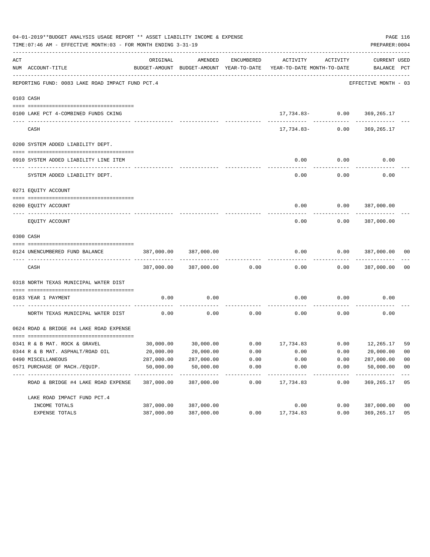|                | 04-01-2019**BUDGET ANALYSIS USAGE REPORT ** ASSET LIABILITY INCOME & EXPENSE<br>TIME: 07:46 AM - EFFECTIVE MONTH: 03 - FOR MONTH ENDING 3-31-19 |                             |                                                     |                     |                                                               |                    | PREPARER: 0004                     | PAGE 116       |
|----------------|-------------------------------------------------------------------------------------------------------------------------------------------------|-----------------------------|-----------------------------------------------------|---------------------|---------------------------------------------------------------|--------------------|------------------------------------|----------------|
| $\mathtt{ACT}$ | NUM ACCOUNT-TITLE                                                                                                                               | ORIGINAL                    | AMENDED<br>BUDGET-AMOUNT BUDGET-AMOUNT YEAR-TO-DATE | ENCUMBERED          | ACTIVITY<br>YEAR-TO-DATE MONTH-TO-DATE                        | ACTIVITY           | <b>CURRENT USED</b><br>BALANCE PCT |                |
|                | REPORTING FUND: 0083 LAKE ROAD IMPACT FUND PCT.4                                                                                                |                             |                                                     |                     |                                                               |                    | EFFECTIVE MONTH - 03               |                |
|                | 0103 CASH                                                                                                                                       |                             |                                                     |                     |                                                               |                    |                                    |                |
|                | 0100 LAKE PCT 4-COMBINED FUNDS CKING                                                                                                            |                             |                                                     |                     |                                                               |                    | 17,734.83- 0.00 369,265.17         |                |
|                | CASH                                                                                                                                            |                             |                                                     |                     |                                                               | $17,734.83-$ 0.00  | 369,265.17                         |                |
|                | 0200 SYSTEM ADDED LIABILITY DEPT.                                                                                                               |                             |                                                     |                     |                                                               |                    |                                    |                |
|                | 0910 SYSTEM ADDED LIABILITY LINE ITEM                                                                                                           |                             |                                                     |                     | 0.00                                                          | 0.00               | 0.00                               |                |
|                | SYSTEM ADDED LIABILITY DEPT.                                                                                                                    |                             |                                                     |                     | 0.00                                                          | 0.00               | 0.00                               |                |
|                | 0271 EQUITY ACCOUNT                                                                                                                             |                             |                                                     |                     |                                                               |                    |                                    |                |
|                | 0200 EQUITY ACCOUNT                                                                                                                             |                             |                                                     |                     |                                                               |                    | $0.00$ $0.00$ $387,000.00$         |                |
|                | EQUITY ACCOUNT                                                                                                                                  |                             |                                                     |                     | 0.00                                                          | 0.00               | 387,000.00                         |                |
|                | 0300 CASH                                                                                                                                       |                             |                                                     |                     |                                                               |                    |                                    |                |
|                | 0124 UNENCUMBERED FUND BALANCE                                                                                                                  | 387,000.00                  | 387,000.00                                          |                     | 0.00                                                          | 0.00               | 387,000.00                         | 0 <sup>0</sup> |
|                | CASH                                                                                                                                            |                             | 387,000.00 387,000.00                               | 0.00                | 0.00                                                          |                    | $0.00$ 387,000.00                  | 0 <sub>0</sub> |
|                | 0318 NORTH TEXAS MUNICIPAL WATER DIST                                                                                                           |                             |                                                     |                     |                                                               |                    |                                    |                |
|                | 0183 YEAR 1 PAYMENT                                                                                                                             | 0.00                        | 0.00                                                |                     | 0.00                                                          | 0.00               | 0.00                               |                |
|                | -------------------------- ------<br>NORTH TEXAS MUNICIPAL WATER DIST                                                                           | 0.00                        | 0.00                                                | 0.00                | 0.00                                                          | 0.00               | 0.00                               |                |
|                | 0624 ROAD & BRIDGE #4 LAKE ROAD EXPENSE                                                                                                         |                             |                                                     |                     |                                                               |                    |                                    |                |
|                | 0341 R & B MAT. ROCK & GRAVEL                                                                                                                   |                             |                                                     |                     | $30,000.00$ $30,000.00$ $0.00$ $17,734.83$ $0.00$ $12,265.17$ |                    |                                    | 59             |
|                | 0344 R & B MAT. ASPHALT/ROAD OIL                                                                                                                | 20,000.00                   | 20,000.00                                           | 0.00                | 0.00                                                          | 0.00               | 20,000.00                          | 0 <sub>0</sub> |
|                | 0490 MISCELLANEOUS                                                                                                                              | 287,000.00                  | 287,000.00                                          | 0.00                | 0.00                                                          | 0.00               | 287,000.00                         | 0 <sub>0</sub> |
|                | 0571 PURCHASE OF MACH./EQUIP.                                                                                                                   | 50,000.00                   | 50,000.00                                           | 0.00                | 0.00                                                          | 0.00               | 50,000.00                          | 0 <sub>0</sub> |
|                | --------------------------------<br>ROAD & BRIDGE #4 LAKE ROAD EXPENSE                                                                          | -------------<br>387,000.00 | -----------<br>387,000.00                           | -----------<br>0.00 | ----------<br>17,734.83                                       | ----------<br>0.00 | 369,265.17                         | $- - -$<br>05  |
|                | LAKE ROAD IMPACT FUND PCT. 4                                                                                                                    |                             |                                                     |                     |                                                               |                    |                                    |                |
|                | INCOME TOTALS                                                                                                                                   | 387,000.00                  | 387,000.00                                          |                     | 0.00                                                          | 0.00               | 387,000.00                         | 0 <sub>0</sub> |
|                | EXPENSE TOTALS                                                                                                                                  | 387,000.00                  | 387,000.00                                          | 0.00                | 17,734.83                                                     | 0.00               | 369,265.17                         | 05             |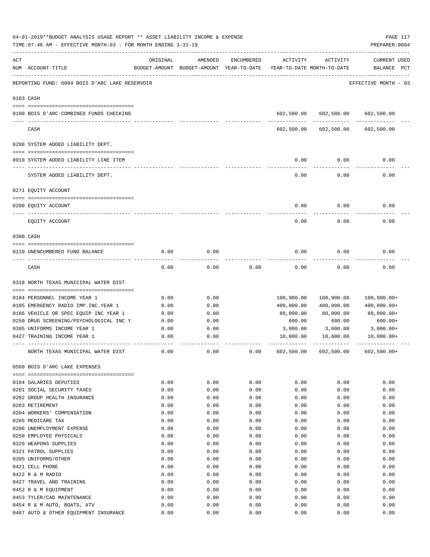|     | 04-01-2019**BUDGET ANALYSIS USAGE REPORT ** ASSET LIABILITY INCOME & EXPENSE<br>PAGE 117<br>TIME: 07:46 AM - EFFECTIVE MONTH: 03 - FOR MONTH ENDING 3-31-19<br>PREPARER: 0004 |              |                                                     |              |                                        |                                  |                                    |  |  |  |  |
|-----|-------------------------------------------------------------------------------------------------------------------------------------------------------------------------------|--------------|-----------------------------------------------------|--------------|----------------------------------------|----------------------------------|------------------------------------|--|--|--|--|
| ACT | NUM ACCOUNT-TITLE                                                                                                                                                             | ORIGINAL     | AMENDED<br>BUDGET-AMOUNT BUDGET-AMOUNT YEAR-TO-DATE | ENCUMBERED   | ACTIVITY<br>YEAR-TO-DATE MONTH-TO-DATE | ACTIVITY                         | <b>CURRENT USED</b><br>BALANCE PCT |  |  |  |  |
|     | REPORTING FUND: 0084 BOIS D'ARC LAKE RESERVOIR                                                                                                                                |              |                                                     |              |                                        |                                  | EFFECTIVE MONTH - 03               |  |  |  |  |
|     | 0103 CASH                                                                                                                                                                     |              |                                                     |              |                                        |                                  |                                    |  |  |  |  |
|     | 0100 BOIS D'ARC-COMBINED FUNDS CHECKING                                                                                                                                       |              |                                                     |              |                                        | 602,500.00 602,500.00 602,500.00 |                                    |  |  |  |  |
|     | CASH                                                                                                                                                                          |              |                                                     |              | 602,500.00                             | 602,500.00                       | 602,500.00                         |  |  |  |  |
|     | 0200 SYSTEM ADDED LIABILITY DEPT.                                                                                                                                             |              |                                                     |              |                                        |                                  |                                    |  |  |  |  |
|     | 0910 SYSTEM ADDED LIABILITY LINE ITEM                                                                                                                                         |              |                                                     |              | 0.00                                   | 0.00                             | 0.00                               |  |  |  |  |
|     | SYSTEM ADDED LIABILITY DEPT.                                                                                                                                                  |              |                                                     |              | 0.00                                   | 0.00                             | 0.00                               |  |  |  |  |
|     | 0271 EQUITY ACCOUNT                                                                                                                                                           |              |                                                     |              |                                        |                                  |                                    |  |  |  |  |
|     | 0200 EQUITY ACCOUNT                                                                                                                                                           |              |                                                     |              | 0.00                                   | 0.00                             | 0.00                               |  |  |  |  |
|     |                                                                                                                                                                               |              |                                                     |              |                                        |                                  |                                    |  |  |  |  |
|     | EQUITY ACCOUNT                                                                                                                                                                |              |                                                     |              | 0.00                                   | 0.00                             | 0.00                               |  |  |  |  |
|     | 0300 CASH                                                                                                                                                                     |              |                                                     |              |                                        |                                  |                                    |  |  |  |  |
|     | 0110 UNENCUMBERED FUND BALANCE                                                                                                                                                | 0.00         | 0.00                                                |              | 0.00                                   | 0.00                             | 0.00                               |  |  |  |  |
|     | CASH                                                                                                                                                                          | 0.00         | 0.00                                                | 0.00         | 0.00                                   | 0.00                             | 0.00                               |  |  |  |  |
|     | 0318 NORTH TEXAS MUNICIPAL WATER DIST                                                                                                                                         |              |                                                     |              |                                        |                                  |                                    |  |  |  |  |
|     | 0184 PERSONNEL INCOME YEAR 1                                                                                                                                                  | 0.00         | 0.00                                                |              | 108,900.00                             | 108,900.00                       | $108,900.00+$                      |  |  |  |  |
|     | 0185 EMERGENCY RADIO IMP. INC. YEAR 1                                                                                                                                         | 0.00         | 0.00                                                |              | 400,000.00                             | 400,000.00                       | $400,000.00+$                      |  |  |  |  |
|     | 0186 VEHICLE OR SPEC EQUIP INC YEAR 1                                                                                                                                         | 0.00         | 0.00                                                |              | 80,000.00                              | 80,000.00                        | $80,000.00+$                       |  |  |  |  |
|     | 0250 DRUG SCREENING/PSYCHOLOGICAL INC Y                                                                                                                                       | 0.00         | 0.00                                                |              | 600.00                                 | 600.00                           | $600.00+$                          |  |  |  |  |
|     | 0395 UNIFORMS INCOME YEAR 1                                                                                                                                                   | 0.00         | 0.00                                                |              | 3,000.00                               | 3,000.00                         | 3,000.00+                          |  |  |  |  |
|     | 0427 TRAINING INCOME YEAR 1                                                                                                                                                   | 0.00         | 0.00                                                |              | 10,000.00                              | 10,000.00                        | $10,000.00+$                       |  |  |  |  |
|     | NORTH TEXAS MUNICIPAL WATER DIST                                                                                                                                              | 0.00         | 0.00                                                | 0.00         | 602,500.00                             | 602,500.00                       | $602,500.00+$                      |  |  |  |  |
|     | 0560 BOIS D'ARC LAKE EXPENSES                                                                                                                                                 |              |                                                     |              |                                        |                                  |                                    |  |  |  |  |
|     |                                                                                                                                                                               |              |                                                     |              |                                        |                                  |                                    |  |  |  |  |
|     | 0104 SALARIES DEPUTIES                                                                                                                                                        | 0.00         | 0.00                                                | 0.00         | 0.00                                   | 0.00                             | 0.00                               |  |  |  |  |
|     | 0201 SOCIAL SECURITY TAXES                                                                                                                                                    | 0.00         | 0.00                                                | 0.00         | 0.00                                   | 0.00                             | 0.00                               |  |  |  |  |
|     | 0202 GROUP HEALTH INSURANCE                                                                                                                                                   | 0.00         | 0.00                                                | 0.00         | 0.00                                   | 0.00                             | 0.00                               |  |  |  |  |
|     | 0203 RETIREMENT                                                                                                                                                               | 0.00         | 0.00                                                | 0.00         | 0.00                                   | 0.00                             | 0.00<br>0.00                       |  |  |  |  |
|     | 0204 WORKERS' COMPENSATION<br>0205 MEDICARE TAX                                                                                                                               | 0.00<br>0.00 | 0.00                                                | 0.00<br>0.00 | 0.00                                   | 0.00<br>0.00                     | 0.00                               |  |  |  |  |
|     | 0206 UNEMPLOYMENT EXPENSE                                                                                                                                                     | 0.00         | 0.00<br>0.00                                        | 0.00         | 0.00<br>0.00                           | 0.00                             | 0.00                               |  |  |  |  |
|     | 0250 EMPLOYEE PHYSICALS                                                                                                                                                       | 0.00         | 0.00                                                | 0.00         | 0.00                                   | 0.00                             | 0.00                               |  |  |  |  |
|     | 0320 WEAPONS SUPPLIES                                                                                                                                                         | 0.00         | 0.00                                                | 0.00         | 0.00                                   | 0.00                             | 0.00                               |  |  |  |  |
|     | 0321 PATROL SUPPLIES                                                                                                                                                          | 0.00         | 0.00                                                | 0.00         | 0.00                                   | 0.00                             | 0.00                               |  |  |  |  |
|     | 0395 UNIFORMS/OTHER                                                                                                                                                           | 0.00         | 0.00                                                | 0.00         | 0.00                                   | 0.00                             | 0.00                               |  |  |  |  |
|     | 0421 CELL PHONE                                                                                                                                                               | 0.00         | 0.00                                                | 0.00         | 0.00                                   | 0.00                             | 0.00                               |  |  |  |  |
|     | 0422 R & M RADIO                                                                                                                                                              | 0.00         | 0.00                                                | 0.00         | 0.00                                   | 0.00                             | 0.00                               |  |  |  |  |
|     | 0427 TRAVEL AND TRAINING                                                                                                                                                      | 0.00         | 0.00                                                | 0.00         | 0.00                                   | 0.00                             | 0.00                               |  |  |  |  |
|     | 0452 R & M EQUIPMENT                                                                                                                                                          | 0.00         | 0.00                                                | 0.00         | 0.00                                   | 0.00                             | 0.00                               |  |  |  |  |
|     | 0453 TYLER/CAD MAINTENANCE                                                                                                                                                    | 0.00         | 0.00                                                | 0.00         | 0.00                                   | 0.00                             | 0.00                               |  |  |  |  |
|     | 0454 R & M AUTO, BOATS, ATV                                                                                                                                                   | 0.00         | 0.00                                                | 0.00         | 0.00                                   | 0.00                             | 0.00                               |  |  |  |  |
|     | 0487 AUTO & OTHER EQUIPMENT INSURANCE                                                                                                                                         | 0.00         | 0.00                                                | 0.00         | 0.00                                   | 0.00                             | 0.00                               |  |  |  |  |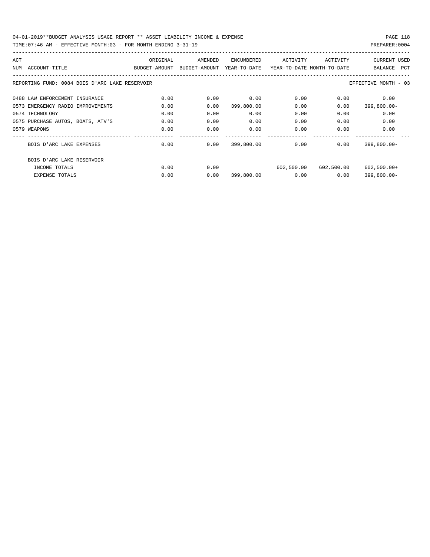| ACT                                            | ORIGINAL      | AMENDED       | ENCUMBERED   | ACTIVITY                   | ACTIVITY   | <b>CURRENT USED</b>  |
|------------------------------------------------|---------------|---------------|--------------|----------------------------|------------|----------------------|
| NUM<br>ACCOUNT-TITLE                           | BUDGET-AMOUNT | BUDGET-AMOUNT | YEAR-TO-DATE | YEAR-TO-DATE MONTH-TO-DATE |            | BALANCE<br>PCT       |
|                                                |               |               |              |                            |            |                      |
| REPORTING FUND: 0084 BOIS D'ARC LAKE RESERVOIR |               |               |              |                            |            | EFFECTIVE MONTH - 03 |
|                                                |               |               |              |                            |            |                      |
| 0488 LAW ENFORCEMENT INSURANCE                 | 0.00          | 0.00          | 0.00         | 0.00                       | 0.00       | 0.00                 |
| 0573 EMERGENCY RADIO IMPROVEMENTS              | 0.00          | 0.00          | 399,800.00   | 0.00                       | 0.00       | $399,800.00 -$       |
| 0574 TECHNOLOGY                                | 0.00          | 0.00          | 0.00         | 0.00                       | 0.00       | 0.00                 |
| 0575 PURCHASE AUTOS, BOATS, ATV'S              | 0.00          | 0.00          | 0.00         | 0.00                       | 0.00       | 0.00                 |
| 0579 WEAPONS                                   | 0.00          | 0.00          | 0.00         | 0.00                       | 0.00       | 0.00                 |
|                                                |               |               |              |                            |            |                      |
| BOIS D'ARC LAKE EXPENSES                       | 0.00          | 0.00          | 399,800.00   | 0.00                       | 0.00       | $399,800.00 -$       |
|                                                |               |               |              |                            |            |                      |
| BOIS D'ARC LAKE RESERVOIR                      |               |               |              |                            |            |                      |
| INCOME TOTALS                                  | 0.00          | 0.00          |              | 602,500.00                 | 602,500.00 | $602,500.00+$        |
| <b>EXPENSE TOTALS</b>                          | 0.00          | 0.00          | 399,800.00   | 0.00                       | 0.00       | $399,800.00 -$       |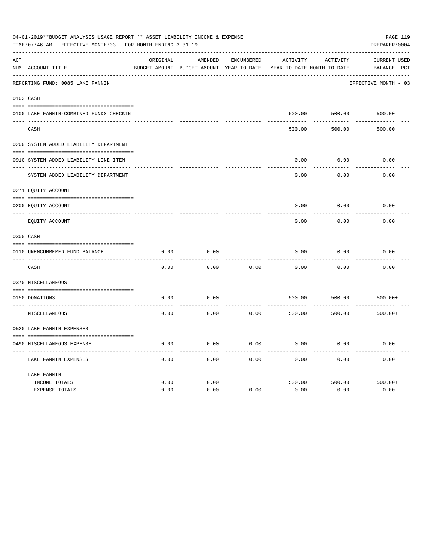|     | 04-01-2019**BUDGET ANALYSIS USAGE REPORT ** ASSET LIABILITY INCOME & EXPENSE<br>PAGE 119<br>TIME: 07:46 AM - EFFECTIVE MONTH: 03 - FOR MONTH ENDING 3-31-19<br>PREPARER: 0004 |              |                                                     |                   |                |                                        |                                    |  |  |  |  |
|-----|-------------------------------------------------------------------------------------------------------------------------------------------------------------------------------|--------------|-----------------------------------------------------|-------------------|----------------|----------------------------------------|------------------------------------|--|--|--|--|
| ACT | NUM ACCOUNT-TITLE                                                                                                                                                             | ORIGINAL     | AMENDED<br>BUDGET-AMOUNT BUDGET-AMOUNT YEAR-TO-DATE | <b>ENCUMBERED</b> | ACTIVITY       | ACTIVITY<br>YEAR-TO-DATE MONTH-TO-DATE | <b>CURRENT USED</b><br>BALANCE PCT |  |  |  |  |
|     | REPORTING FUND: 0085 LAKE FANNIN                                                                                                                                              |              |                                                     |                   |                |                                        | EFFECTIVE MONTH - 03               |  |  |  |  |
|     | 0103 CASH                                                                                                                                                                     |              |                                                     |                   |                |                                        |                                    |  |  |  |  |
|     | 0100 LAKE FANNIN-COMBINED FUNDS CHECKIN                                                                                                                                       |              |                                                     |                   | 500.00         | 500.00                                 | 500.00                             |  |  |  |  |
|     | CASH                                                                                                                                                                          |              |                                                     |                   | 500.00         | 500.00                                 | 500.00                             |  |  |  |  |
|     | 0200 SYSTEM ADDED LIABILITY DEPARTMENT                                                                                                                                        |              |                                                     |                   |                |                                        |                                    |  |  |  |  |
|     | 0910 SYSTEM ADDED LIABILITY LINE-ITEM                                                                                                                                         |              |                                                     |                   | 0.00           | 0.00                                   | 0.00                               |  |  |  |  |
|     | SYSTEM ADDED LIABILITY DEPARTMENT                                                                                                                                             |              |                                                     |                   | 0.00           | 0.00                                   | 0.00                               |  |  |  |  |
|     | 0271 EQUITY ACCOUNT                                                                                                                                                           |              |                                                     |                   |                |                                        |                                    |  |  |  |  |
|     | 0200 EQUITY ACCOUNT                                                                                                                                                           |              |                                                     |                   | 0.00           | 0.00                                   | 0.00                               |  |  |  |  |
|     | EQUITY ACCOUNT                                                                                                                                                                |              |                                                     |                   | 0.00           | 0.00                                   | 0.00                               |  |  |  |  |
|     | 0300 CASH                                                                                                                                                                     |              |                                                     |                   |                |                                        |                                    |  |  |  |  |
|     | 0110 UNENCUMBERED FUND BALANCE                                                                                                                                                | 0.00         | 0.00                                                |                   | 0.00           | 0.00                                   | 0.00                               |  |  |  |  |
|     | CASH                                                                                                                                                                          | 0.00         | 0.00                                                | 0.00              | 0.00           | 0.00                                   | 0.00                               |  |  |  |  |
|     | 0370 MISCELLANEOUS                                                                                                                                                            |              |                                                     |                   |                |                                        |                                    |  |  |  |  |
|     | 0150 DONATIONS                                                                                                                                                                | 0.00         | 0.00                                                |                   | 500.00         | 500.00                                 | $500.00+$                          |  |  |  |  |
|     | MISCELLANEOUS                                                                                                                                                                 | 0.00         | 0.00                                                | 0.00              | 500.00         | 500.00                                 | $500.00+$                          |  |  |  |  |
|     | 0520 LAKE FANNIN EXPENSES                                                                                                                                                     |              |                                                     |                   |                |                                        |                                    |  |  |  |  |
|     | 0490 MISCELLANEOUS EXPENSE                                                                                                                                                    | 0.00         | 0.00                                                | 0.00              | 0.00           | 0.00                                   | 0.00                               |  |  |  |  |
|     | LAKE FANNIN EXPENSES                                                                                                                                                          | 0.00         | 0.00                                                | 0.00              | 0.00           | 0.00                                   | 0.00                               |  |  |  |  |
|     | LAKE FANNIN                                                                                                                                                                   |              |                                                     |                   |                |                                        |                                    |  |  |  |  |
|     | INCOME TOTALS<br><b>EXPENSE TOTALS</b>                                                                                                                                        | 0.00<br>0.00 | 0.00<br>0.00                                        | 0.00              | 500.00<br>0.00 | 500.00<br>0.00                         | $500.00+$<br>0.00                  |  |  |  |  |
|     |                                                                                                                                                                               |              |                                                     |                   |                |                                        |                                    |  |  |  |  |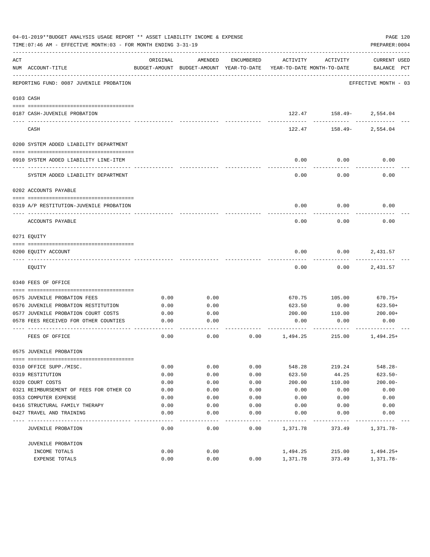|     | 04-01-2019**BUDGET ANALYSIS USAGE REPORT ** ASSET LIABILITY INCOME & EXPENSE<br>TIME: 07:46 AM - EFFECTIVE MONTH: 03 - FOR MONTH ENDING 3-31-19 |          |                                                     |            |                                        |                         | PAGE 120<br>PREPARER: 0004         |
|-----|-------------------------------------------------------------------------------------------------------------------------------------------------|----------|-----------------------------------------------------|------------|----------------------------------------|-------------------------|------------------------------------|
| ACT | NUM ACCOUNT-TITLE                                                                                                                               | ORIGINAL | AMENDED<br>BUDGET-AMOUNT BUDGET-AMOUNT YEAR-TO-DATE | ENCUMBERED | ACTIVITY<br>YEAR-TO-DATE MONTH-TO-DATE | ACTIVITY                | <b>CURRENT USED</b><br>BALANCE PCT |
|     | REPORTING FUND: 0087 JUVENILE PROBATION                                                                                                         |          |                                                     |            |                                        |                         | EFFECTIVE MONTH - 03               |
|     | 0103 CASH                                                                                                                                       |          |                                                     |            |                                        |                         |                                    |
|     | 0187 CASH-JUVENILE PROBATION                                                                                                                    |          |                                                     |            |                                        | 122.47 158.49- 2,554.04 |                                    |
|     | CASH                                                                                                                                            |          |                                                     |            | 122.47                                 | ------------<br>158.49- | 2,554.04                           |
|     | 0200 SYSTEM ADDED LIABILITY DEPARTMENT                                                                                                          |          |                                                     |            |                                        |                         |                                    |
|     | 0910 SYSTEM ADDED LIABILITY LINE-ITEM                                                                                                           |          |                                                     |            | 0.00                                   | 0.00                    | 0.00                               |
|     | SYSTEM ADDED LIABILITY DEPARTMENT                                                                                                               |          |                                                     |            | 0.00                                   | 0.00                    | 0.00                               |
|     | 0202 ACCOUNTS PAYABLE                                                                                                                           |          |                                                     |            |                                        |                         |                                    |
|     | 0319 A/P RESTITUTION-JUVENILE PROBATION                                                                                                         |          |                                                     |            | 0.00                                   | 0.00                    | 0.00                               |
|     | ACCOUNTS PAYABLE                                                                                                                                |          |                                                     |            | 0.00                                   | 0.00                    | 0.00                               |
|     | 0271 EOUITY                                                                                                                                     |          |                                                     |            |                                        |                         |                                    |
|     | 0200 EQUITY ACCOUNT                                                                                                                             |          |                                                     |            | 0.00                                   | 0.00                    | 2,431.57                           |
|     | EQUITY                                                                                                                                          |          |                                                     |            | 0.00                                   | 0.00                    | 2,431.57                           |
|     | 0340 FEES OF OFFICE                                                                                                                             |          |                                                     |            |                                        |                         |                                    |
|     | 0575 JUVENILE PROBATION FEES                                                                                                                    | 0.00     | 0.00                                                |            | 670.75                                 | 105.00                  | 670.75+                            |
|     | 0576 JUVENILE PROBATION RESTITUTION                                                                                                             | 0.00     | 0.00                                                |            | 623.50                                 | 0.00                    | 623.50+                            |
|     | 0577 JUVENILE PROBATION COURT COSTS                                                                                                             | 0.00     | 0.00                                                |            | 200.00                                 | 110.00                  | $200.00+$                          |
|     | 0578 FEES RECEIVED FOR OTHER COUNTIES                                                                                                           | 0.00     | 0.00                                                |            | 0.00                                   | 0.00                    | 0.00                               |
|     | FEES OF OFFICE                                                                                                                                  | 0.00     | 0.00                                                | 0.00       | 1,494.25                               | 215.00                  | $1,494.25+$                        |
|     | 0575 JUVENILE PROBATION                                                                                                                         |          |                                                     |            |                                        |                         |                                    |
|     |                                                                                                                                                 |          |                                                     |            |                                        |                         |                                    |
|     | 0310 OFFICE SUPP./MISC.                                                                                                                         | 0.00     | 0.00                                                | 0.00       | 548.28                                 | 219.24                  | $548.28 -$                         |
|     | 0319 RESTITUTION                                                                                                                                | 0.00     | 0.00                                                | 0.00       | 623.50                                 | 44.25                   | $623.50 -$                         |
|     | 0320 COURT COSTS                                                                                                                                | 0.00     | 0.00                                                | 0.00       | 200.00                                 | 110.00                  | $200.00 -$                         |
|     | 0321 REIMBURSEMENT OF FEES FOR OTHER CO                                                                                                         | 0.00     | 0.00                                                | 0.00       | 0.00                                   | 0.00                    | 0.00                               |
|     | 0353 COMPUTER EXPENSE                                                                                                                           | 0.00     | 0.00                                                | 0.00       | 0.00                                   | 0.00                    | 0.00                               |
|     | 0416 STRUCTURAL FAMILY THERAPY                                                                                                                  | 0.00     | 0.00                                                | 0.00       | 0.00                                   | 0.00                    | 0.00                               |
|     | 0427 TRAVEL AND TRAINING                                                                                                                        | 0.00     | 0.00                                                | 0.00       | 0.00                                   | 0.00                    | 0.00                               |
|     | JUVENILE PROBATION                                                                                                                              | 0.00     | 0.00                                                | 0.00       | 1,371.78                               | 373.49                  | 1,371.78-                          |
|     | JUVENILE PROBATION                                                                                                                              |          |                                                     |            |                                        |                         |                                    |
|     | INCOME TOTALS                                                                                                                                   | 0.00     | 0.00                                                |            | 1,494.25                               | 215.00                  | $1,494.25+$                        |
|     | EXPENSE TOTALS                                                                                                                                  | 0.00     | 0.00                                                | 0.00       | 1,371.78                               | 373.49                  | $1,371.78-$                        |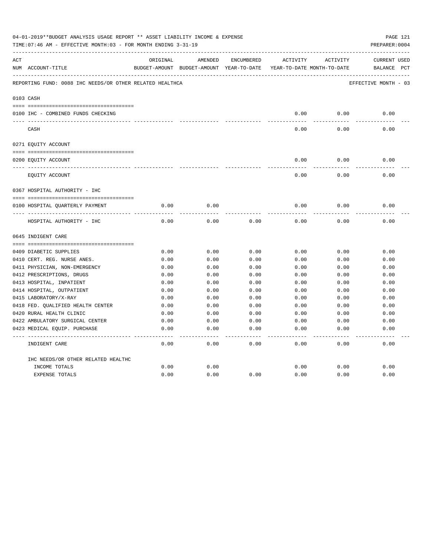|     | 04-01-2019**BUDGET ANALYSIS USAGE REPORT ** ASSET LIABILITY INCOME & EXPENSE<br>PAGE 121<br>TIME: 07:46 AM - EFFECTIVE MONTH: 03 - FOR MONTH ENDING 3-31-19<br>PREPARER: 0004<br>ORIGINAL<br>AMENDED<br>ENCUMBERED<br>ACTIVITY<br>ACTIVITY<br>NUM ACCOUNT-TITLE<br>BUDGET-AMOUNT BUDGET-AMOUNT YEAR-TO-DATE YEAR-TO-DATE MONTH-TO-DATE<br>REPORTING FUND: 0088 IHC NEEDS/OR OTHER RELATED HEALTHCA<br>0103 CASH<br>0.00<br>0.00<br>0.00<br>0100 IHC - COMBINED FUNDS CHECKING<br>0.00<br>0.00<br>0.00<br>CASH<br>0271 EQUITY ACCOUNT<br>0.00<br>0.00<br>0.00<br>0200 EQUITY ACCOUNT<br>0.00<br>0.00<br>0.00<br>EQUITY ACCOUNT<br>0367 HOSPITAL AUTHORITY - IHC<br>0.00<br>0.00<br>0.00<br>0.00<br>0.00<br>0100 HOSPITAL QUARTERLY PAYMENT<br>0.00<br>0.00<br>0.00<br>0.00<br>0.00<br>HOSPITAL AUTHORITY - IHC<br>0.00<br>0645 INDIGENT CARE<br>0.00<br>0.00<br>0.00<br>0.00<br>0.00<br>0.00<br>0409 DIABETIC SUPPLIES<br>0410 CERT. REG. NURSE ANES.<br>0.00<br>0.00<br>0.00<br>0.00<br>0.00<br>0.00<br>0411 PHYSICIAN, NON-EMERGENCY<br>0.00<br>0.00<br>0.00<br>0.00<br>0.00<br>0.00<br>0412 PRESCRIPTIONS, DRUGS<br>0.00<br>0.00<br>0.00<br>0.00<br>0.00<br>0.00<br>0413 HOSPITAL, INPATIENT<br>0.00<br>0.00<br>0.00<br>0.00<br>0.00<br>0.00<br>0414 HOSPITAL, OUTPATIENT<br>0.00<br>0.00<br>0.00<br>0.00<br>0.00<br>0.00<br>0415 LABORATORY/X-RAY<br>0.00<br>0.00<br>0.00<br>0.00<br>0.00<br>0.00<br>0418 FED. OUALIFIED HEALTH CENTER<br>0.00<br>0.00<br>0.00<br>0.00<br>0.00<br>0.00<br>0420 RURAL HEALTH CLINIC<br>0.00<br>0.00<br>0.00<br>0.00<br>0.00<br>0.00<br>0422 AMBULATORY SURGICAL CENTER<br>0.00<br>0.00<br>0.00<br>0.00<br>0.00<br>0.00 |      |      |                   |      |      |                      |  |
|-----|----------------------------------------------------------------------------------------------------------------------------------------------------------------------------------------------------------------------------------------------------------------------------------------------------------------------------------------------------------------------------------------------------------------------------------------------------------------------------------------------------------------------------------------------------------------------------------------------------------------------------------------------------------------------------------------------------------------------------------------------------------------------------------------------------------------------------------------------------------------------------------------------------------------------------------------------------------------------------------------------------------------------------------------------------------------------------------------------------------------------------------------------------------------------------------------------------------------------------------------------------------------------------------------------------------------------------------------------------------------------------------------------------------------------------------------------------------------------------------------------------------------------------------------------------------------------------------------------------------------------------------------------------------|------|------|-------------------|------|------|----------------------|--|
| ACT |                                                                                                                                                                                                                                                                                                                                                                                                                                                                                                                                                                                                                                                                                                                                                                                                                                                                                                                                                                                                                                                                                                                                                                                                                                                                                                                                                                                                                                                                                                                                                                                                                                                          |      |      |                   |      |      | <b>CURRENT USED</b>  |  |
|     |                                                                                                                                                                                                                                                                                                                                                                                                                                                                                                                                                                                                                                                                                                                                                                                                                                                                                                                                                                                                                                                                                                                                                                                                                                                                                                                                                                                                                                                                                                                                                                                                                                                          |      |      |                   |      |      | BALANCE PCT          |  |
|     |                                                                                                                                                                                                                                                                                                                                                                                                                                                                                                                                                                                                                                                                                                                                                                                                                                                                                                                                                                                                                                                                                                                                                                                                                                                                                                                                                                                                                                                                                                                                                                                                                                                          |      |      |                   |      |      | EFFECTIVE MONTH - 03 |  |
|     |                                                                                                                                                                                                                                                                                                                                                                                                                                                                                                                                                                                                                                                                                                                                                                                                                                                                                                                                                                                                                                                                                                                                                                                                                                                                                                                                                                                                                                                                                                                                                                                                                                                          |      |      |                   |      |      |                      |  |
|     |                                                                                                                                                                                                                                                                                                                                                                                                                                                                                                                                                                                                                                                                                                                                                                                                                                                                                                                                                                                                                                                                                                                                                                                                                                                                                                                                                                                                                                                                                                                                                                                                                                                          |      |      |                   |      |      |                      |  |
|     |                                                                                                                                                                                                                                                                                                                                                                                                                                                                                                                                                                                                                                                                                                                                                                                                                                                                                                                                                                                                                                                                                                                                                                                                                                                                                                                                                                                                                                                                                                                                                                                                                                                          |      |      |                   |      |      |                      |  |
|     |                                                                                                                                                                                                                                                                                                                                                                                                                                                                                                                                                                                                                                                                                                                                                                                                                                                                                                                                                                                                                                                                                                                                                                                                                                                                                                                                                                                                                                                                                                                                                                                                                                                          |      |      |                   |      |      |                      |  |
|     |                                                                                                                                                                                                                                                                                                                                                                                                                                                                                                                                                                                                                                                                                                                                                                                                                                                                                                                                                                                                                                                                                                                                                                                                                                                                                                                                                                                                                                                                                                                                                                                                                                                          |      |      |                   |      |      |                      |  |
|     |                                                                                                                                                                                                                                                                                                                                                                                                                                                                                                                                                                                                                                                                                                                                                                                                                                                                                                                                                                                                                                                                                                                                                                                                                                                                                                                                                                                                                                                                                                                                                                                                                                                          |      |      |                   |      |      |                      |  |
|     |                                                                                                                                                                                                                                                                                                                                                                                                                                                                                                                                                                                                                                                                                                                                                                                                                                                                                                                                                                                                                                                                                                                                                                                                                                                                                                                                                                                                                                                                                                                                                                                                                                                          |      |      |                   |      |      |                      |  |
|     |                                                                                                                                                                                                                                                                                                                                                                                                                                                                                                                                                                                                                                                                                                                                                                                                                                                                                                                                                                                                                                                                                                                                                                                                                                                                                                                                                                                                                                                                                                                                                                                                                                                          |      |      |                   |      |      |                      |  |
|     |                                                                                                                                                                                                                                                                                                                                                                                                                                                                                                                                                                                                                                                                                                                                                                                                                                                                                                                                                                                                                                                                                                                                                                                                                                                                                                                                                                                                                                                                                                                                                                                                                                                          |      |      |                   |      |      |                      |  |
|     |                                                                                                                                                                                                                                                                                                                                                                                                                                                                                                                                                                                                                                                                                                                                                                                                                                                                                                                                                                                                                                                                                                                                                                                                                                                                                                                                                                                                                                                                                                                                                                                                                                                          |      |      |                   |      |      |                      |  |
|     |                                                                                                                                                                                                                                                                                                                                                                                                                                                                                                                                                                                                                                                                                                                                                                                                                                                                                                                                                                                                                                                                                                                                                                                                                                                                                                                                                                                                                                                                                                                                                                                                                                                          |      |      |                   |      |      |                      |  |
|     |                                                                                                                                                                                                                                                                                                                                                                                                                                                                                                                                                                                                                                                                                                                                                                                                                                                                                                                                                                                                                                                                                                                                                                                                                                                                                                                                                                                                                                                                                                                                                                                                                                                          |      |      |                   |      |      |                      |  |
|     |                                                                                                                                                                                                                                                                                                                                                                                                                                                                                                                                                                                                                                                                                                                                                                                                                                                                                                                                                                                                                                                                                                                                                                                                                                                                                                                                                                                                                                                                                                                                                                                                                                                          |      |      |                   |      |      |                      |  |
|     |                                                                                                                                                                                                                                                                                                                                                                                                                                                                                                                                                                                                                                                                                                                                                                                                                                                                                                                                                                                                                                                                                                                                                                                                                                                                                                                                                                                                                                                                                                                                                                                                                                                          |      |      |                   |      |      |                      |  |
|     |                                                                                                                                                                                                                                                                                                                                                                                                                                                                                                                                                                                                                                                                                                                                                                                                                                                                                                                                                                                                                                                                                                                                                                                                                                                                                                                                                                                                                                                                                                                                                                                                                                                          |      |      |                   |      |      |                      |  |
|     |                                                                                                                                                                                                                                                                                                                                                                                                                                                                                                                                                                                                                                                                                                                                                                                                                                                                                                                                                                                                                                                                                                                                                                                                                                                                                                                                                                                                                                                                                                                                                                                                                                                          |      |      |                   |      |      |                      |  |
|     |                                                                                                                                                                                                                                                                                                                                                                                                                                                                                                                                                                                                                                                                                                                                                                                                                                                                                                                                                                                                                                                                                                                                                                                                                                                                                                                                                                                                                                                                                                                                                                                                                                                          |      |      |                   |      |      |                      |  |
|     |                                                                                                                                                                                                                                                                                                                                                                                                                                                                                                                                                                                                                                                                                                                                                                                                                                                                                                                                                                                                                                                                                                                                                                                                                                                                                                                                                                                                                                                                                                                                                                                                                                                          |      |      |                   |      |      |                      |  |
|     |                                                                                                                                                                                                                                                                                                                                                                                                                                                                                                                                                                                                                                                                                                                                                                                                                                                                                                                                                                                                                                                                                                                                                                                                                                                                                                                                                                                                                                                                                                                                                                                                                                                          |      |      |                   |      |      |                      |  |
|     |                                                                                                                                                                                                                                                                                                                                                                                                                                                                                                                                                                                                                                                                                                                                                                                                                                                                                                                                                                                                                                                                                                                                                                                                                                                                                                                                                                                                                                                                                                                                                                                                                                                          |      |      |                   |      |      |                      |  |
|     |                                                                                                                                                                                                                                                                                                                                                                                                                                                                                                                                                                                                                                                                                                                                                                                                                                                                                                                                                                                                                                                                                                                                                                                                                                                                                                                                                                                                                                                                                                                                                                                                                                                          |      |      |                   |      |      |                      |  |
|     |                                                                                                                                                                                                                                                                                                                                                                                                                                                                                                                                                                                                                                                                                                                                                                                                                                                                                                                                                                                                                                                                                                                                                                                                                                                                                                                                                                                                                                                                                                                                                                                                                                                          |      |      |                   |      |      |                      |  |
|     |                                                                                                                                                                                                                                                                                                                                                                                                                                                                                                                                                                                                                                                                                                                                                                                                                                                                                                                                                                                                                                                                                                                                                                                                                                                                                                                                                                                                                                                                                                                                                                                                                                                          |      |      |                   |      |      |                      |  |
|     | 0423 MEDICAL EQUIP. PURCHASE                                                                                                                                                                                                                                                                                                                                                                                                                                                                                                                                                                                                                                                                                                                                                                                                                                                                                                                                                                                                                                                                                                                                                                                                                                                                                                                                                                                                                                                                                                                                                                                                                             | 0.00 | 0.00 | 0.00              | 0.00 | 0.00 | 0.00                 |  |
|     | INDIGENT CARE                                                                                                                                                                                                                                                                                                                                                                                                                                                                                                                                                                                                                                                                                                                                                                                                                                                                                                                                                                                                                                                                                                                                                                                                                                                                                                                                                                                                                                                                                                                                                                                                                                            | 0.00 | 0.00 | $- - - -$<br>0.00 | 0.00 | 0.00 | -----<br>0.00        |  |
|     | IHC NEEDS/OR OTHER RELATED HEALTHC                                                                                                                                                                                                                                                                                                                                                                                                                                                                                                                                                                                                                                                                                                                                                                                                                                                                                                                                                                                                                                                                                                                                                                                                                                                                                                                                                                                                                                                                                                                                                                                                                       |      |      |                   |      |      |                      |  |
|     | INCOME TOTALS                                                                                                                                                                                                                                                                                                                                                                                                                                                                                                                                                                                                                                                                                                                                                                                                                                                                                                                                                                                                                                                                                                                                                                                                                                                                                                                                                                                                                                                                                                                                                                                                                                            | 0.00 | 0.00 |                   | 0.00 | 0.00 | 0.00                 |  |
|     | <b>EXPENSE TOTALS</b>                                                                                                                                                                                                                                                                                                                                                                                                                                                                                                                                                                                                                                                                                                                                                                                                                                                                                                                                                                                                                                                                                                                                                                                                                                                                                                                                                                                                                                                                                                                                                                                                                                    | 0.00 | 0.00 | 0.00              | 0.00 | 0.00 | 0.00                 |  |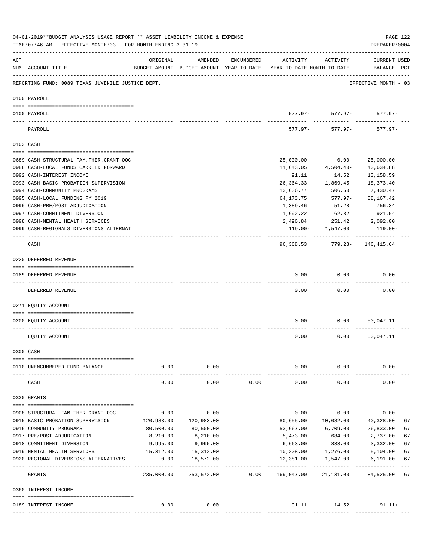|     | 04-01-2019**BUDGET ANALYSIS USAGE REPORT ** ASSET LIABILITY INCOME & EXPENSE<br>TIME: 07:46 AM - EFFECTIVE MONTH: 03 - FOR MONTH ENDING 3-31-19 |            |                 |            |                                                                                 |                              | PAGE 122<br>PREPARER: 0004         |
|-----|-------------------------------------------------------------------------------------------------------------------------------------------------|------------|-----------------|------------|---------------------------------------------------------------------------------|------------------------------|------------------------------------|
| ACT | NUM ACCOUNT-TITLE                                                                                                                               | ORIGINAL   | AMENDED         | ENCUMBERED | ACTIVITY<br>BUDGET-AMOUNT BUDGET-AMOUNT YEAR-TO-DATE YEAR-TO-DATE MONTH-TO-DATE | ACTIVITY                     | <b>CURRENT USED</b><br>BALANCE PCT |
|     | REPORTING FUND: 0089 TEXAS JUVENILE JUSTICE DEPT.                                                                                               |            |                 |            |                                                                                 |                              | EFFECTIVE MONTH - 03               |
|     | 0100 PAYROLL                                                                                                                                    |            |                 |            |                                                                                 |                              |                                    |
|     | 0100 PAYROLL                                                                                                                                    |            |                 |            |                                                                                 | $577.97 - 577.97 - 577.97$   |                                    |
|     | ---- -----<br>PAYROLL                                                                                                                           |            |                 |            | 577.97-                                                                         | ---------<br>577.97-         | $577.97 -$                         |
|     | 0103 CASH                                                                                                                                       |            |                 |            |                                                                                 |                              |                                    |
|     | 0689 CASH-STRUCTURAL FAM.THER.GRANT OOG                                                                                                         |            |                 |            | $25,000.00-$                                                                    | 0.00                         | $25,000.00-$                       |
|     | 0988 CASH-LOCAL FUNDS CARRIED FORWARD                                                                                                           |            |                 |            | 11,643.05                                                                       | 4,504.40-                    | 40,634.88                          |
|     | 0992 CASH-INTEREST INCOME                                                                                                                       |            |                 |            | 91.11                                                                           | 14.52                        | 13, 158.59                         |
|     | 0993 CASH-BASIC PROBATION SUPERVISION                                                                                                           |            |                 |            | 26,364.33                                                                       | 1,869.45                     | 18,373.40                          |
|     | 0994 CASH-COMMUNITY PROGRAMS                                                                                                                    |            |                 |            | 13,636.77                                                                       | 506.60                       | 7,430.47                           |
|     | 0995 CASH-LOCAL FUNDING FY 2019                                                                                                                 |            |                 |            | 64,173.75                                                                       | 577.97-                      | 88,167.42                          |
|     | 0996 CASH-PRE/POST ADJUDICATION                                                                                                                 |            |                 |            | 1,389.46                                                                        | 51.28                        | 756.34                             |
|     | 0997 CASH-COMMITMENT DIVERSION                                                                                                                  |            |                 |            | 1,692.22                                                                        | 62.82                        | 921.54                             |
|     | 0998 CASH-MENTAL HEALTH SERVICES                                                                                                                |            |                 |            | 2,496.84                                                                        | 251.42                       | 2,092.00                           |
|     | 0999 CASH-REGIONALS DIVERSIONS ALTERNAT                                                                                                         |            |                 |            |                                                                                 | 119.00- 1,547.00             | 119.00-                            |
|     | CASH                                                                                                                                            |            |                 |            |                                                                                 | 96,368.53 779.28- 146,415.64 |                                    |
|     | 0220 DEFERRED REVENUE                                                                                                                           |            |                 |            |                                                                                 |                              |                                    |
|     | 0189 DEFERRED REVENUE                                                                                                                           |            |                 |            | 0.00                                                                            | 0.00                         | 0.00                               |
|     | ---- -------------<br>DEFERRED REVENUE                                                                                                          |            |                 |            | 0.00                                                                            | 0.00                         | 0.00                               |
|     | 0271 EOUITY ACCOUNT                                                                                                                             |            |                 |            |                                                                                 |                              |                                    |
|     | 0200 EQUITY ACCOUNT                                                                                                                             |            |                 |            | 0.00                                                                            | 0.00                         | 50,047.11                          |
|     | EQUITY ACCOUNT                                                                                                                                  |            |                 |            | 0.00                                                                            | 0.00                         | 50,047.11                          |
|     | 0300 CASH                                                                                                                                       |            |                 |            |                                                                                 |                              |                                    |
|     |                                                                                                                                                 |            |                 |            |                                                                                 |                              |                                    |
|     | 0110 UNENCUMBERED FUND BALANCE                                                                                                                  | 0.00       | 0.00<br>------- |            | 0.00                                                                            | 0.00                         | 0.00                               |
|     | CASH                                                                                                                                            | 0.00       | 0.00            | 0.00       | 0.00                                                                            | 0.00                         | 0.00                               |
|     | 0330 GRANTS                                                                                                                                     |            |                 |            |                                                                                 |                              |                                    |
|     |                                                                                                                                                 |            |                 |            |                                                                                 |                              |                                    |
|     | 0908 STRUCTURAL FAM.THER.GRANT OOG                                                                                                              | 0.00       | 0.00            |            | 0.00                                                                            | 0.00                         | 0.00                               |
|     | 0915 BASIC PROBATION SUPERVISION                                                                                                                | 120,983.00 | 120,983.00      |            | 80,655.00                                                                       | 10,082.00                    | 40,328.00<br>67                    |
|     | 0916 COMMUNITY PROGRAMS                                                                                                                         | 80,500.00  | 80,500.00       |            | 53,667.00                                                                       | 6,709.00                     | 26,833.00<br>67                    |
|     | 0917 PRE/POST ADJUDICATION                                                                                                                      | 8,210.00   | 8,210.00        |            | 5,473.00                                                                        | 684.00                       | 2,737.00<br>67                     |
|     | 0918 COMMITMENT DIVERSION                                                                                                                       | 9,995.00   | 9,995.00        |            | 6,663.00                                                                        | 833.00                       | 3,332.00<br>67                     |
|     | 0919 MENTAL HEALTH SERVICES                                                                                                                     | 15,312.00  | 15,312.00       |            | 10,208.00                                                                       | 1,276.00                     | 67<br>5,104.00                     |
|     | 0920 REGIONAL DIVERSIONS ALTERNATIVES                                                                                                           | 0.00<br>   | 18,572.00       |            | 12,381.00                                                                       | 1,547.00                     | 67<br>6,191.00                     |
|     | GRANTS                                                                                                                                          | 235,000.00 | 253,572.00      | 0.00       | 169,047.00                                                                      | 21,131.00                    | 84,525.00<br>67                    |
|     | 0360 INTEREST INCOME                                                                                                                            |            |                 |            |                                                                                 |                              |                                    |
|     | 0189 INTEREST INCOME                                                                                                                            | 0.00       | 0.00            |            |                                                                                 | 91.11 14.52                  | $91.11+$                           |
|     |                                                                                                                                                 |            |                 |            |                                                                                 |                              |                                    |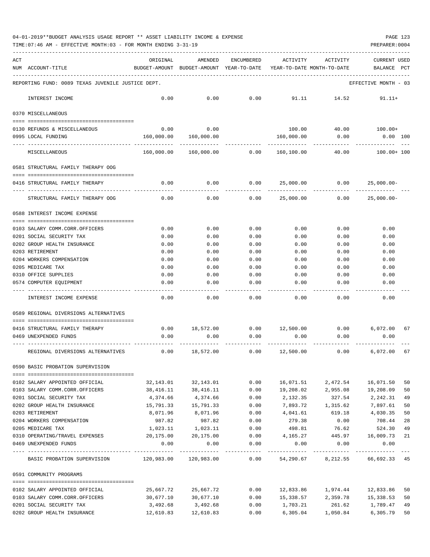| 04-01-2019**BUDGET ANALYSIS USAGE REPORT ** ASSET LIABILITY INCOME & EXPENSE |  |  |  | PAGE 123 |  |
|------------------------------------------------------------------------------|--|--|--|----------|--|
|                                                                              |  |  |  |          |  |

TIME:07:46 AM - EFFECTIVE MONTH:03 - FOR MONTH ENDING 3-31-19 PREPARER:0004

| ACT | NUM ACCOUNT-TITLE                                       | ORIGINAL          | AMENDED<br>BUDGET-AMOUNT BUDGET-AMOUNT YEAR-TO-DATE | ENCUMBERED   | ACTIVITY<br>YEAR-TO-DATE MONTH-TO-DATE | ACTIVITY                           | <b>CURRENT USED</b><br>BALANCE PCT |    |
|-----|---------------------------------------------------------|-------------------|-----------------------------------------------------|--------------|----------------------------------------|------------------------------------|------------------------------------|----|
|     | REPORTING FUND: 0089 TEXAS JUVENILE JUSTICE DEPT.       |                   |                                                     |              |                                        |                                    | EFFECTIVE MONTH - 03               |    |
|     | INTEREST INCOME                                         | 0.00              | 0.00                                                | 0.00         | 91.11                                  | 14.52                              | $91.11+$                           |    |
|     | 0370 MISCELLANEOUS                                      |                   |                                                     |              |                                        |                                    |                                    |    |
|     | 0130 REFUNDS & MISCELLANEOUS                            | 0.00              | 0.00                                                |              | 100.00                                 | 40.00                              | $100.00+$                          |    |
|     | 0995 LOCAL FUNDING                                      | 160,000.00        | 160,000.00                                          |              | 160,000.00                             | 0.00                               | $0.00$ $100$                       |    |
|     | MISCELLANEOUS                                           | 160,000.00        | 160,000.00 0.00                                     |              | 160,100.00                             | 40.00                              | $100.00+100$                       |    |
|     | 0581 STRUCTURAL FAMILY THERAPY OOG                      |                   |                                                     |              |                                        |                                    |                                    |    |
|     | 0416 STRUCTURAL FAMILY THERAPY                          | 0.00              | 0.00                                                | 0.00         | 25,000.00                              | 0.00                               | $25,000.00-$                       |    |
|     | ---------------------<br>STRUCTURAL FAMILY THERAPY OOG  | 0.00              | 0.00                                                | 0.00         | -----------<br>25,000.00               | .<br>0.00                          | $25,000.00 -$                      |    |
|     | 0588 INTEREST INCOME EXPENSE                            |                   |                                                     |              |                                        |                                    |                                    |    |
|     | 0103 SALARY COMM.CORR.OFFICERS                          | 0.00              | 0.00                                                | 0.00         | 0.00                                   | 0.00                               | 0.00                               |    |
|     | 0201 SOCIAL SECURITY TAX                                | 0.00              | 0.00                                                | 0.00         | 0.00                                   | 0.00                               | 0.00                               |    |
|     | 0202 GROUP HEALTH INSURANCE                             | 0.00              | 0.00                                                | 0.00         | 0.00                                   | 0.00                               | 0.00                               |    |
|     | 0203 RETIREMENT                                         | 0.00              | 0.00                                                | 0.00         | 0.00                                   | 0.00                               | 0.00                               |    |
|     | 0204 WORKERS COMPENSATION                               | 0.00              | 0.00                                                | 0.00         | 0.00                                   | 0.00                               | 0.00                               |    |
|     | 0205 MEDICARE TAX                                       | 0.00              | 0.00                                                | 0.00         | 0.00                                   | 0.00                               | 0.00                               |    |
|     | 0310 OFFICE SUPPLIES                                    | 0.00              | 0.00                                                | 0.00         | 0.00                                   | 0.00                               | 0.00                               |    |
|     | 0574 COMPUTER EQUIPMENT                                 | 0.00              | 0.00                                                | 0.00         | 0.00                                   | 0.00                               | 0.00                               |    |
|     | INTEREST INCOME EXPENSE                                 | 0.00              | 0.00                                                | 0.00         | 0.00                                   | 0.00                               | 0.00                               |    |
|     | 0589 REGIONAL DIVERSIONS ALTERNATIVES                   |                   |                                                     |              |                                        |                                    |                                    |    |
|     | 0416 STRUCTURAL FAMILY THERAPY                          | 0.00              | 18,572.00                                           |              | $0.00$ $12,500.00$ $0.00$              |                                    | 6,072.00                           | 67 |
|     | 0469 UNEXPENDED FUNDS                                   | 0.00              | 0.00                                                | 0.00         | 0.00                                   | 0.00                               | 0.00                               |    |
|     |                                                         |                   |                                                     |              |                                        |                                    |                                    |    |
|     | REGIONAL DIVERSIONS ALTERNATIVES                        | 0.00              | 18,572.00                                           | 0.00         | 12,500.00                              | 0.00                               | 6,072.00                           | 67 |
|     | 0590 BASIC PROBATION SUPERVISION                        |                   |                                                     |              |                                        |                                    |                                    |    |
|     | 0102 SALARY APPOINTED OFFICIAL                          | 32,143.01         | 32,143.01                                           | 0.00         | 16,071.51                              | 2,472.54                           | 16,071.50                          | 50 |
|     | 0103 SALARY COMM.CORR.OFFICERS                          | 38,416.11         | 38,416.11                                           | 0.00         | 19,208.02                              | 2,955.08                           | 19,208.09                          | 50 |
|     | 0201 SOCIAL SECURITY TAX                                | 4,374.66          | 4,374.66                                            | 0.00         | 2,132.35                               | 327.54                             | 2,242.31                           | 49 |
|     | 0202 GROUP HEALTH INSURANCE                             | 15,791.33         | 15,791.33                                           | 0.00         |                                        | 7,893.72 1,315.62                  | 7,897.61                           | 50 |
|     | 0203 RETIREMENT                                         | 8,071.96          | 8,071.96                                            | 0.00         | 4,041.61                               | 619.18                             | 4,030.35                           | 50 |
|     | 0204 WORKERS COMPENSATION                               | 987.82            | 987.82                                              | 0.00         | 279.38                                 | 0.00                               | 708.44                             | 28 |
|     | 0205 MEDICARE TAX                                       | 1,023.11          | 1,023.11                                            | 0.00         | 498.81                                 | 76.62                              | 524.30                             | 49 |
|     | 0310 OPERATING/TRAVEL EXPENSES<br>0469 UNEXPENDED FUNDS | 20,175.00<br>0.00 | 20,175.00<br>0.00                                   | 0.00<br>0.00 | 4,165.27<br>0.00                       | 445.97<br>0.00                     | 16,009.73<br>0.00                  | 21 |
|     | BASIC PROBATION SUPERVISION 120,983.00 120,983.00 0.00  |                   |                                                     |              |                                        | 54,290.67 8,212.55 66,692.33 45    | -------------                      |    |
|     | 0591 COMMUNITY PROGRAMS                                 |                   |                                                     |              |                                        |                                    |                                    |    |
|     | 0102 SALARY APPOINTED OFFICIAL                          | 25,667.72         | 25,667.72                                           | 0.00         |                                        | 12,833.86    1,974.44    12,833.86 |                                    | 50 |
|     | 0103 SALARY COMM.CORR.OFFICERS                          | 30,677.10         | 30,677.10                                           | 0.00         |                                        | 15,338.57 2,359.78 15,338.53       |                                    | 50 |
|     | 0201 SOCIAL SECURITY TAX                                | 3,492.68          | 3,492.68                                            | 0.00         | 1,703.21                               | 261.62                             | 1,789.47                           | 49 |

0202 GROUP HEALTH INSURANCE 12,610.83 12,610.83 0.00 6,305.04 1,050.84 6,305.79 50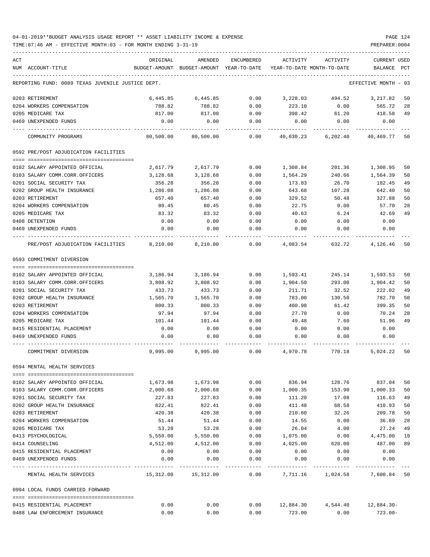| ACT | NUM ACCOUNT-TITLE                                   | ORIGINAL<br>BUDGET-AMOUNT               | AMENDED<br>BUDGET-AMOUNT YEAR-TO-DATE | ENCUMBERED   | ACTIVITY     | ACTIVITY<br>YEAR-TO-DATE MONTH-TO-DATE | CURRENT USED<br>BALANCE | PCT |
|-----|-----------------------------------------------------|-----------------------------------------|---------------------------------------|--------------|--------------|----------------------------------------|-------------------------|-----|
|     |                                                     |                                         |                                       |              |              |                                        |                         |     |
|     | REPORTING FUND: 0089 TEXAS JUVENILE JUSTICE DEPT.   |                                         |                                       |              |              |                                        | EFFECTIVE MONTH - 03    |     |
|     | 0203 RETIREMENT                                     | 6,445.85                                | 6,445.85                              | 0.00         | 3,228.03     | 494.52                                 | 3,217.82                | 50  |
|     | 0204 WORKERS COMPENSATION                           | 788.82                                  | 788.82                                | 0.00         | 223.10       | 0.00                                   | 565.72                  | 28  |
|     | 0205 MEDICARE TAX                                   | 817.00                                  | 817.00                                | 0.00         | 398.42       | 61.20                                  | 418.58                  | 49  |
|     | 0469 UNEXPENDED FUNDS                               | 0.00                                    | 0.00                                  | 0.00         | 0.00         | 0.00                                   | 0.00                    |     |
|     | COMMUNITY PROGRAMS                                  | 80,500.00                               | 80,500.00                             | 0.00         | 40,030.23    | 6,202.40                               | 40,469.77               | 50  |
|     | 0592 PRE/POST ADJUDICATION FACILITIES               |                                         |                                       |              |              |                                        |                         |     |
|     | 0102 SALARY APPOINTED OFFICIAL                      | 2,617.79                                | 2,617.79                              | 0.00         | 1,308.84     | 201.36                                 | 1,308.95                | 50  |
|     | 0103 SALARY COMM.CORR.OFFICERS                      | 3,128.68                                | 3,128.68                              | 0.00         | 1,564.29     | 240.66                                 | 1,564.39                | 50  |
|     | 0201 SOCIAL SECURITY TAX                            | 356.28                                  | 356.28                                | 0.00         | 173.83       | 26.70                                  | 182.45                  | 49  |
|     | 0202 GROUP HEALTH INSURANCE                         | 1,286.08                                | 1,286.08                              | 0.00         | 643.68       | 107.28                                 | 642.40                  | 50  |
|     | 0203 RETIREMENT                                     | 657.40                                  | 657.40                                | 0.00         | 329.52       | 50.48                                  | 327.88                  | 50  |
|     | 0204 WORKERS COMPENSATION                           | 80.45                                   | 80.45                                 | 0.00         | 22.75        | 0.00                                   | 57.70                   | 28  |
|     | 0205 MEDICARE TAX                                   | 83.32                                   | 83.32                                 | 0.00         | 40.63        | 6.24                                   | 42.69                   | 49  |
|     | 0408 DETENTION                                      | 0.00                                    | 0.00                                  | 0.00         | 0.00         | 0.00                                   | 0.00                    |     |
|     | 0469 UNEXPENDED FUNDS                               | 0.00                                    | 0.00                                  | 0.00         | 0.00         | 0.00                                   | 0.00                    |     |
|     | PRE/POST ADJUDICATION FACILITIES                    | 8,210.00                                | 8,210.00                              | 0.00         | 4,083.54     | 632.72                                 | 4,126.46                | 50  |
|     | 0593 COMMITMENT DIVERSION                           |                                         |                                       |              |              |                                        |                         |     |
|     |                                                     |                                         |                                       |              |              |                                        |                         |     |
|     | 0102 SALARY APPOINTED OFFICIAL                      | 3,186.94                                | 3,186.94                              | 0.00         | 1,593.41     | 245.14                                 | 1,593.53                | 50  |
|     | 0103 SALARY COMM.CORR.OFFICERS                      | 3,808.92                                | 3,808.92                              | 0.00         | 1,904.50     | 293.00                                 | 1,904.42                | 50  |
|     | 0201 SOCIAL SECURITY TAX                            | 433.73                                  | 433.73                                | 0.00         | 211.71       | 32.52                                  | 222.02                  | 49  |
|     | 0202 GROUP HEALTH INSURANCE                         | 1,565.70                                | 1,565.70                              | 0.00         | 783.00       | 130.50                                 | 782.70                  | 50  |
|     | 0203 RETIREMENT                                     | 800.33                                  | 800.33                                | 0.00         | 400.98       | 61.42                                  | 399.35                  | 50  |
|     | 0204 WORKERS COMPENSATION                           | 97.94                                   | 97.94                                 | 0.00         | 27.70        | 0.00                                   | 70.24                   | 28  |
|     | 0205 MEDICARE TAX                                   | 101.44                                  | 101.44                                | 0.00         | 49.48        | 7.60                                   | 51.96                   | 49  |
|     | 0415 RESIDENTIAL PLACEMENT                          | 0.00                                    | 0.00                                  | 0.00         | 0.00         | 0.00                                   | 0.00                    |     |
|     | 0469 UNEXPENDED FUNDS                               | 0.00                                    | 0.00                                  | 0.00         | 0.00         | 0.00                                   | 0.00                    |     |
|     | COMMITMENT DIVERSION                                | 9,995.00                                | 9,995.00                              | 0.00         | 4,970.78     | 770.18                                 | 5,024.22                | 50  |
|     |                                                     |                                         |                                       |              |              |                                        |                         |     |
|     | 0594 MENTAL HEALTH SERVICES                         |                                         |                                       |              |              |                                        |                         |     |
|     | 0102 SALARY APPOINTED OFFICIAL                      | 1,673.98                                | 1,673.98                              | 0.00         | 836.94       | 128.76                                 | 837.04                  | 50  |
|     | 0103 SALARY COMM.CORR.OFFICERS                      | 2,000.68                                | 2,000.68                              | 0.00         | 1,000.35     | 153.90                                 | 1,000.33                | 50  |
|     | 0201 SOCIAL SECURITY TAX                            | 227.83                                  | 227.83                                | 0.00         | 111.20       | 17.08                                  | 116.63                  | 49  |
|     | 0202 GROUP HEALTH INSURANCE                         | 822.41                                  | 822.41                                | 0.00         | 411.48       | 68.58                                  | 410.93                  | 50  |
|     | 0203 RETIREMENT                                     | 420.38                                  | 420.38                                | 0.00         | 210.60       | 32.26                                  | 209.78                  | 50  |
|     | 0204 WORKERS COMPENSATION                           | 51.44                                   | 51.44                                 | 0.00         | 14.55        | 0.00                                   | 36.89                   | 28  |
|     | 0205 MEDICARE TAX                                   | 53.28                                   | 53.28                                 | 0.00         | 26.04        | 4.00                                   | 27.24                   | 49  |
|     |                                                     |                                         | 5,550.00                              |              | 1,075.00     |                                        |                         | 19  |
|     | 0413 PSYCHOLOGICAL                                  | 5,550.00                                |                                       | 0.00         |              | 0.00                                   | 4,475.00                |     |
|     | 0414 COUNSELING                                     | 4,512.00                                | 4,512.00                              | 0.00         | 4,025.00     | 620.00                                 | 487.00                  | 89  |
|     | 0415 RESIDENTIAL PLACEMENT<br>0469 UNEXPENDED FUNDS | 0.00<br>0.00                            | 0.00<br>0.00                          | 0.00<br>0.00 | 0.00<br>0.00 | 0.00<br>0.00                           | 0.00<br>0.00            |     |
|     | MENTAL HEALTH SERVICES                              | ----------- --------------<br>15,312.00 | 15,312.00                             | 0.00         | .            | 7,711.16 1,024.58                      | 7,600.84                | 50  |
|     | 0994 LOCAL FUNDS CARRIED FORWARD                    |                                         |                                       |              |              |                                        |                         |     |
|     |                                                     |                                         |                                       |              |              |                                        |                         |     |
|     | 0415 RESIDENTIAL PLACEMENT                          | 0.00                                    | 0.00                                  | 0.00         | 12,884.30    | 4,544.40                               | 12,884.30-              |     |
|     | 0488 LAW ENFORCEMENT INSURANCE                      | 0.00                                    | 0.00                                  | 0.00         | 723.00       | 0.00                                   | $723.00 -$              |     |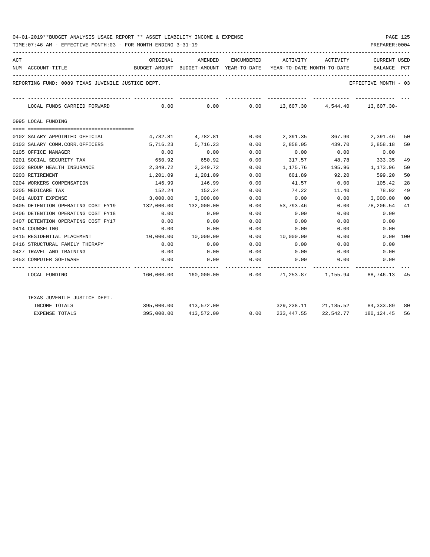| ACT |                                                   | ORIGINAL                | AMENDED               |      |           | ENCUMBERED ACTIVITY ACTIVITY                                        | <b>CURRENT USED</b>  |                |
|-----|---------------------------------------------------|-------------------------|-----------------------|------|-----------|---------------------------------------------------------------------|----------------------|----------------|
|     | NUM ACCOUNT-TITLE                                 |                         |                       |      |           | BUDGET-AMOUNT BUDGET-AMOUNT YEAR-TO-DATE YEAR-TO-DATE MONTH-TO-DATE | BALANCE              | PCT            |
|     | REPORTING FUND: 0089 TEXAS JUVENILE JUSTICE DEPT. |                         |                       |      |           |                                                                     | EFFECTIVE MONTH - 03 |                |
|     | LOCAL FUNDS CARRIED FORWARD                       |                         |                       |      |           | $0.00$ $0.00$ $0.00$ $13,607.30$ $4,544.40$ $13,607.30$             |                      |                |
|     | 0995 LOCAL FUNDING                                |                         |                       |      |           |                                                                     |                      |                |
|     |                                                   |                         |                       |      |           |                                                                     |                      |                |
|     | 0102 SALARY APPOINTED OFFICIAL                    |                         | 4,782.81 4,782.81     |      |           | $0.00$ 2,391.35 367.90                                              | 2,391.46             | 50             |
|     | 0103 SALARY COMM.CORR.OFFICERS                    | 5,716.23                | 5,716.23              | 0.00 | 2,858.05  | 439.70                                                              | 2,858.18             | 50             |
|     | 0105 OFFICE MANAGER                               | 0.00                    | 0.00                  | 0.00 | 0.00      | 0.00                                                                | 0.00                 |                |
|     | 0201 SOCIAL SECURITY TAX                          | 650.92                  | 650.92                | 0.00 | 317.57    | 48.78                                                               | 333.35               | 49             |
|     | 0202 GROUP HEALTH INSURANCE                       | 2,349.72                | 2,349.72              | 0.00 | 1,175.76  | 195.96 1,173.96                                                     |                      | 50             |
|     | 0203 RETIREMENT                                   | 1,201.09                | 1,201.09              | 0.00 | 601.89    | 92.20                                                               | 599.20               | 50             |
|     | 0204 WORKERS COMPENSATION                         | 146.99                  | 146.99                | 0.00 | 41.57     | 0.00                                                                | 105.42               | 28             |
|     | 0205 MEDICARE TAX                                 | 152.24                  | 152.24                | 0.00 | 74.22     | 11.40                                                               | 78.02                | 49             |
|     | 0401 AUDIT EXPENSE                                |                         | 3,000.00 3,000.00     | 0.00 | 0.00      | 0.00                                                                | 3,000.00             | 0 <sup>0</sup> |
|     | 0405 DETENTION OPERATING COST FY19                | 132,000.00              | 132,000.00            | 0.00 | 53,793.46 | 0.00                                                                | 78,206.54            | 41             |
|     | 0406 DETENTION OPERATING COST FY18                | 0.00                    | 0.00                  | 0.00 | 0.00      | 0.00                                                                | 0.00                 |                |
|     | 0407 DETENTION OPERATING COST FY17                | 0.00                    | 0.00                  | 0.00 | 0.00      | 0.00                                                                | 0.00                 |                |
|     | 0414 COUNSELING                                   | 0.00                    | 0.00                  | 0.00 | 0.00      | 0.00                                                                | 0.00                 |                |
|     | 0415 RESIDENTIAL PLACEMENT                        | $10,000.00$ $10,000.00$ |                       | 0.00 | 10,000.00 | 0.00                                                                | 0.00 100             |                |
|     | 0416 STRUCTURAL FAMILY THERAPY                    | 0.00                    | 0.00                  | 0.00 | 0.00      | 0.00                                                                | 0.00                 |                |
|     | 0427 TRAVEL AND TRAINING                          | 0.00                    | 0.00                  | 0.00 |           | $0.00$ 0.00                                                         | 0.00                 |                |
|     | 0453 COMPUTER SOFTWARE                            | 0.00                    | 0.00                  | 0.00 | 0.00      | 0.00                                                                | 0.00                 |                |
|     | LOCAL FUNDING                                     |                         |                       |      |           | $160,000.00$ $160,000.00$ 00.00 $71,253.87$ $1,155.94$ 88,746.13 45 |                      |                |
|     | TEXAS JUVENILE JUSTICE DEPT.                      |                         |                       |      |           |                                                                     |                      |                |
|     | INCOME TOTALS                                     |                         | 395,000.00 413,572.00 |      |           | $329, 238.11$ $21, 185.52$ $84, 333.89$                             |                      | 80             |
|     | <b>EXPENSE TOTALS</b>                             |                         | 395,000.00 413,572.00 | 0.00 |           | 233, 447.55 22, 542.77                                              | 180,124.45           | 56             |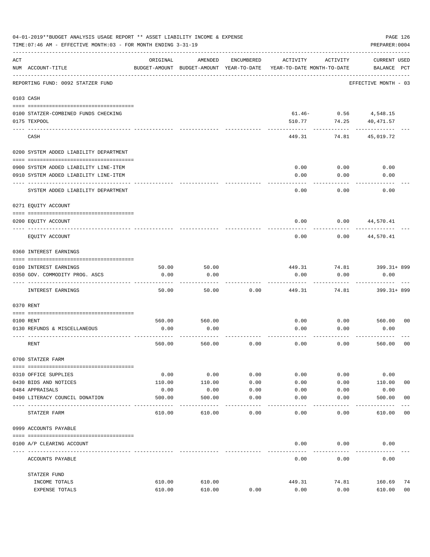|     | 04-01-2019**BUDGET ANALYSIS USAGE REPORT ** ASSET LIABILITY INCOME & EXPENSE<br>TIME: 07:46 AM - EFFECTIVE MONTH: 03 - FOR MONTH ENDING 3-31-19 |          |                                                     |                     |                                        |                | PAGE 126<br>PREPARER: 0004         |                |
|-----|-------------------------------------------------------------------------------------------------------------------------------------------------|----------|-----------------------------------------------------|---------------------|----------------------------------------|----------------|------------------------------------|----------------|
| ACT | NUM ACCOUNT-TITLE                                                                                                                               | ORIGINAL | AMENDED<br>BUDGET-AMOUNT BUDGET-AMOUNT YEAR-TO-DATE | ENCUMBERED          | ACTIVITY<br>YEAR-TO-DATE MONTH-TO-DATE | ACTIVITY       | <b>CURRENT USED</b><br>BALANCE PCT |                |
|     | REPORTING FUND: 0092 STATZER FUND                                                                                                               |          |                                                     |                     |                                        |                | EFFECTIVE MONTH - 03               |                |
|     | 0103 CASH                                                                                                                                       |          |                                                     |                     |                                        |                |                                    |                |
|     | 0100 STATZER-COMBINED FUNDS CHECKING                                                                                                            |          |                                                     |                     |                                        | $61.46 - 0.56$ | 4,548.15                           |                |
|     | 0175 TEXPOOL                                                                                                                                    |          |                                                     |                     | 510.77                                 | 74.25          | 40,471.57                          |                |
|     | CASH                                                                                                                                            |          |                                                     |                     | 449.31                                 | 74.81          | 45,019.72                          |                |
|     | 0200 SYSTEM ADDED LIABILITY DEPARTMENT                                                                                                          |          |                                                     |                     |                                        |                |                                    |                |
|     |                                                                                                                                                 |          |                                                     |                     |                                        |                |                                    |                |
|     | 0900 SYSTEM ADDED LIABILITY LINE-ITEM                                                                                                           |          |                                                     |                     | 0.00                                   | 0.00           | 0.00                               |                |
|     | 0910 SYSTEM ADDED LIABILITY LINE-ITEM                                                                                                           |          |                                                     |                     | 0.00                                   | 0.00           | 0.00                               |                |
|     | SYSTEM ADDED LIABILITY DEPARTMENT                                                                                                               |          |                                                     |                     | 0.00                                   | 0.00           | 0.00                               |                |
|     | 0271 EQUITY ACCOUNT                                                                                                                             |          |                                                     |                     |                                        |                |                                    |                |
|     | 0200 EQUITY ACCOUNT                                                                                                                             |          |                                                     |                     | 0.00                                   | 0.00           | 44,570.41                          |                |
|     | EQUITY ACCOUNT                                                                                                                                  |          |                                                     |                     | 0.00                                   | 0.00           | 44,570.41                          |                |
|     | 0360 INTEREST EARNINGS                                                                                                                          |          |                                                     |                     |                                        |                |                                    |                |
|     | 0100 INTEREST EARNINGS                                                                                                                          | 50.00    | 50.00                                               |                     | 449.31                                 | 74.81          | 399.31+899                         |                |
|     | 0350 GOV. COMMODITY PROG. ASCS                                                                                                                  | 0.00     | 0.00                                                |                     | 0.00                                   | 0.00           | 0.00                               |                |
|     | INTEREST EARNINGS                                                                                                                               | 50.00    | 50.00                                               | 0.00                | 449.31                                 | 74.81          | 399.31+ 899                        |                |
|     | 0370 RENT                                                                                                                                       |          |                                                     |                     |                                        |                |                                    |                |
|     |                                                                                                                                                 |          |                                                     |                     |                                        |                |                                    |                |
|     | 0100 RENT                                                                                                                                       | 560.00   | 560.00                                              |                     | 0.00                                   | 0.00           | 560.00                             | 0 <sub>0</sub> |
|     | 0130 REFUNDS & MISCELLANEOUS                                                                                                                    | 0.00     | 0.00                                                |                     | 0.00                                   | 0.00           | 0.00                               |                |
|     | RENT                                                                                                                                            | 560.00   | 560.00                                              | 0.00                | 0.00                                   | 0.00           | 560.00                             | 0 <sub>0</sub> |
|     | 0700 STATZER FARM                                                                                                                               |          |                                                     |                     |                                        |                |                                    |                |
|     | 0310 OFFICE SUPPLIES                                                                                                                            | 0.00     | 0.00                                                | 0.00                | 0.00                                   | 0.00           | 0.00                               |                |
|     | 0430 BIDS AND NOTICES                                                                                                                           | 110.00   | 110.00                                              | 0.00                | 0.00                                   | 0.00           | 110.00                             | 0 <sub>0</sub> |
|     | 0484 APPRAISALS                                                                                                                                 | 0.00     | 0.00                                                | 0.00                | 0.00                                   | 0.00           | 0.00                               |                |
|     | 0490 LITERACY COUNCIL DONATION<br>---------------------                                                                                         | 500.00   | 500.00                                              | 0.00                | 0.00                                   | 0.00           | 500.00                             | 0 <sub>0</sub> |
|     | STATZER FARM                                                                                                                                    | 610.00   | 610.00                                              | $- - - - -$<br>0.00 | 0.00                                   | 0.00           | 610.00                             | 0 <sub>0</sub> |
|     | 0999 ACCOUNTS PAYABLE                                                                                                                           |          |                                                     |                     |                                        |                |                                    |                |
|     | 0100 A/P CLEARING ACCOUNT                                                                                                                       |          |                                                     |                     | 0.00                                   | 0.00           | 0.00                               |                |
|     | ACCOUNTS PAYABLE                                                                                                                                |          |                                                     |                     | 0.00                                   | 0.00           | 0.00                               |                |
|     | STATZER FUND                                                                                                                                    |          |                                                     |                     |                                        |                |                                    |                |
|     | INCOME TOTALS                                                                                                                                   | 610.00   | 610.00                                              |                     | 449.31                                 | 74.81          | 160.69                             | 74             |
|     | EXPENSE TOTALS                                                                                                                                  | 610.00   | 610.00                                              | 0.00                | 0.00                                   | 0.00           | 610.00                             | 0 <sub>0</sub> |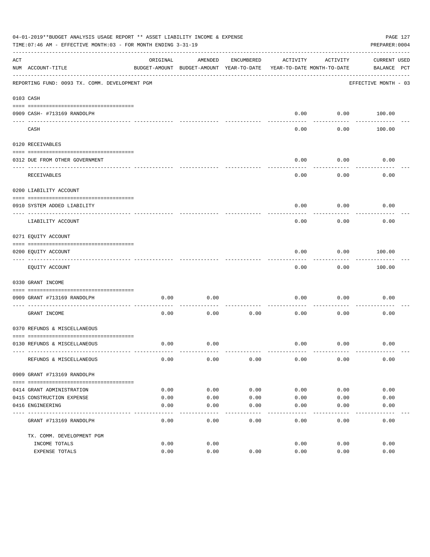|     | 04-01-2019**BUDGET ANALYSIS USAGE REPORT ** ASSET LIABILITY INCOME & EXPENSE<br>TIME: 07:46 AM - EFFECTIVE MONTH: 03 - FOR MONTH ENDING 3-31-19 |              |                                                     |            |                                        |                   | PREPARER: 0004              | PAGE 127 |
|-----|-------------------------------------------------------------------------------------------------------------------------------------------------|--------------|-----------------------------------------------------|------------|----------------------------------------|-------------------|-----------------------------|----------|
| ACT | NUM ACCOUNT-TITLE                                                                                                                               | ORIGINAL     | AMENDED<br>BUDGET-AMOUNT BUDGET-AMOUNT YEAR-TO-DATE | ENCUMBERED | ACTIVITY<br>YEAR-TO-DATE MONTH-TO-DATE | ACTIVITY          | CURRENT USED<br>BALANCE PCT |          |
|     | REPORTING FUND: 0093 TX. COMM. DEVELOPMENT PGM                                                                                                  |              |                                                     |            |                                        |                   | EFFECTIVE MONTH - 03        |          |
|     | 0103 CASH                                                                                                                                       |              |                                                     |            |                                        |                   |                             |          |
|     | 0909 CASH- #713169 RANDOLPH                                                                                                                     |              |                                                     |            | 0.00                                   |                   | $0.00$ 100.00               |          |
|     | CASH                                                                                                                                            |              |                                                     |            | $- - - -$<br>0.00                      | ---------<br>0.00 | 100.00                      |          |
|     | 0120 RECEIVABLES                                                                                                                                |              |                                                     |            |                                        |                   |                             |          |
|     | 0312 DUE FROM OTHER GOVERNMENT                                                                                                                  |              |                                                     |            | 0.00                                   | 0.00              | 0.00                        |          |
|     | RECEIVABLES                                                                                                                                     |              |                                                     |            | 0.00                                   | ---------<br>0.00 | 0.00                        |          |
|     | 0200 LIABILITY ACCOUNT                                                                                                                          |              |                                                     |            |                                        |                   |                             |          |
|     | 0910 SYSTEM ADDED LIABILITY                                                                                                                     |              |                                                     |            | 0.00                                   | 0.00              | 0.00                        |          |
|     | ---- ---------------<br>LIABILITY ACCOUNT                                                                                                       |              |                                                     |            | 0.00                                   | 0.00              | 0.00                        |          |
|     | 0271 EQUITY ACCOUNT                                                                                                                             |              |                                                     |            |                                        |                   |                             |          |
|     | 0200 EQUITY ACCOUNT                                                                                                                             |              |                                                     |            | 0.00                                   | 0.00              | 100.00                      |          |
|     | -------------------------------<br>EQUITY ACCOUNT                                                                                               |              |                                                     |            | 0.00                                   | .<br>0.00         | . <u>.</u> .<br>100.00      |          |
|     | 0330 GRANT INCOME                                                                                                                               |              |                                                     |            |                                        |                   |                             |          |
|     | 0909 GRANT #713169 RANDOLPH                                                                                                                     | 0.00         | 0.00                                                |            | 0.00                                   | 0.00              | 0.00                        |          |
|     | GRANT INCOME                                                                                                                                    | 0.00         | 0.00                                                | 0.00       | 0.00                                   | 0.00              | 0.00                        |          |
|     | 0370 REFUNDS & MISCELLANEOUS                                                                                                                    |              |                                                     |            |                                        |                   |                             |          |
|     |                                                                                                                                                 |              |                                                     |            |                                        |                   |                             |          |
|     | 0130 REFUNDS & MISCELLANEOUS                                                                                                                    | 0.00         | 0.00                                                |            | 0.00                                   | 0.00              | 0.00                        |          |
|     | REFUNDS & MISCELLANEOUS                                                                                                                         | 0.00         | 0.00                                                | 0.00       | 0.00                                   | 0.00              | 0.00                        |          |
|     | 0909 GRANT #713169 RANDOLPH                                                                                                                     |              |                                                     |            |                                        |                   |                             |          |
|     | 0414 GRANT ADMINISTRATION                                                                                                                       | 0.00         | 0.00                                                | 0.00       | 0.00                                   | 0.00              | 0.00                        |          |
|     | 0415 CONSTRUCTION EXPENSE                                                                                                                       | 0.00         | 0.00                                                | 0.00       | 0.00                                   | 0.00              | 0.00                        |          |
|     | 0416 ENGINEERING                                                                                                                                | 0.00         | 0.00                                                | 0.00       | 0.00                                   | 0.00              | 0.00                        |          |
|     | GRANT #713169 RANDOLPH                                                                                                                          | 0.00         | 0.00                                                | 0.00       | -----<br>0.00                          | 0.00              | 0.00                        |          |
|     |                                                                                                                                                 |              |                                                     |            |                                        |                   |                             |          |
|     | TX. COMM. DEVELOPMENT PGM                                                                                                                       |              |                                                     |            |                                        |                   |                             |          |
|     | INCOME TOTALS<br>EXPENSE TOTALS                                                                                                                 | 0.00<br>0.00 | 0.00<br>0.00                                        | 0.00       | 0.00<br>0.00                           | 0.00<br>0.00      | 0.00<br>0.00                |          |
|     |                                                                                                                                                 |              |                                                     |            |                                        |                   |                             |          |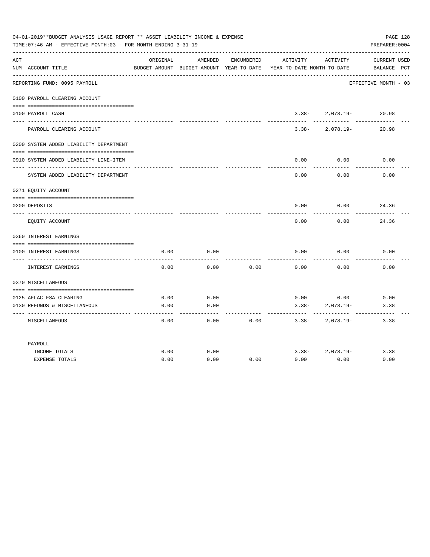|     | 04-01-2019**BUDGET ANALYSIS USAGE REPORT ** ASSET LIABILITY INCOME & EXPENSE<br>TIME: 07:46 AM - EFFECTIVE MONTH: 03 - FOR MONTH ENDING 3-31-19 |          |                                                     |            |                                        |                     | PAGE 128<br>PREPARER: 0004         |
|-----|-------------------------------------------------------------------------------------------------------------------------------------------------|----------|-----------------------------------------------------|------------|----------------------------------------|---------------------|------------------------------------|
| ACT | NUM ACCOUNT-TITLE                                                                                                                               | ORIGINAL | AMENDED<br>BUDGET-AMOUNT BUDGET-AMOUNT YEAR-TO-DATE | ENCUMBERED | ACTIVITY<br>YEAR-TO-DATE MONTH-TO-DATE | ACTIVITY            | <b>CURRENT USED</b><br>BALANCE PCT |
|     | REPORTING FUND: 0095 PAYROLL                                                                                                                    |          |                                                     |            |                                        |                     | EFFECTIVE MONTH - 03               |
|     | 0100 PAYROLL CLEARING ACCOUNT                                                                                                                   |          |                                                     |            |                                        |                     |                                    |
|     | 0100 PAYROLL CASH                                                                                                                               |          |                                                     |            |                                        | $3.38 - 2.078.19 -$ | 20.98                              |
|     | PAYROLL CLEARING ACCOUNT                                                                                                                        |          |                                                     |            | $3.38 -$                               | 2,078.19-           | 20.98                              |
|     | 0200 SYSTEM ADDED LIABILITY DEPARTMENT                                                                                                          |          |                                                     |            |                                        |                     |                                    |
|     | 0910 SYSTEM ADDED LIABILITY LINE-ITEM                                                                                                           |          |                                                     |            | 0.00                                   | 0.00                | 0.00                               |
|     | SYSTEM ADDED LIABILITY DEPARTMENT                                                                                                               |          |                                                     |            | 0.00                                   | 0.00                | 0.00                               |
|     | 0271 EQUITY ACCOUNT                                                                                                                             |          |                                                     |            |                                        |                     |                                    |
|     | 0200 DEPOSITS                                                                                                                                   |          |                                                     |            | 0.00                                   | 0.00                | 24.36                              |
|     | EOUITY ACCOUNT                                                                                                                                  |          |                                                     |            | 0.00                                   | 0.00                | 24.36                              |
|     | 0360 INTEREST EARNINGS                                                                                                                          |          |                                                     |            |                                        |                     |                                    |
|     |                                                                                                                                                 |          |                                                     |            |                                        |                     |                                    |
|     | 0100 INTEREST EARNINGS                                                                                                                          | 0.00     | 0.00                                                |            | 0.00                                   | 0.00                | 0.00                               |
|     | INTEREST EARNINGS                                                                                                                               | 0.00     | 0.00                                                | 0.00       | 0.00                                   | 0.00                | 0.00                               |
|     | 0370 MISCELLANEOUS                                                                                                                              |          |                                                     |            |                                        |                     |                                    |
|     |                                                                                                                                                 |          |                                                     |            |                                        |                     |                                    |
|     | 0125 AFLAC FSA CLEARING                                                                                                                         | 0.00     | 0.00                                                |            | 0.00                                   | 0.00                | 0.00                               |
|     | 0130 REFUNDS & MISCELLANEOUS                                                                                                                    | 0.00     | 0.00                                                |            | $3.38-$                                | $2,078.19-$         | 3.38                               |
|     | MISCELLANEOUS                                                                                                                                   | 0.00     | 0.00                                                | 0.00       | $3.38 -$                               | 2,078.19-           | 3.38                               |
|     | PAYROLL                                                                                                                                         |          |                                                     |            |                                        |                     |                                    |
|     | INCOME TOTALS                                                                                                                                   | 0.00     | 0.00                                                |            |                                        | $3.38 - 2.078.19 -$ | 3.38                               |
|     | <b>EXPENSE TOTALS</b>                                                                                                                           | 0.00     | 0.00                                                | 0.00       | 0.00                                   | 0.00                | 0.00                               |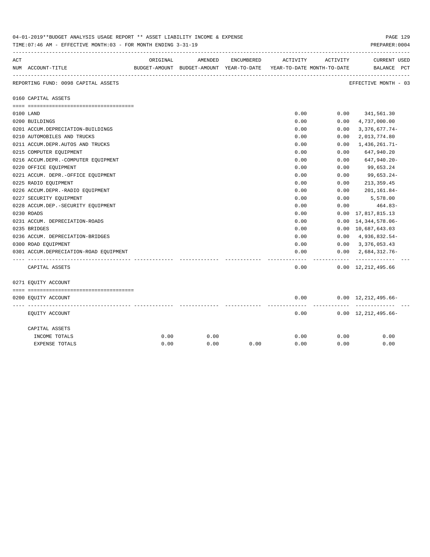|     | 04-01-2019**BUDGET ANALYSIS USAGE REPORT ** ASSET LIABILITY INCOME & EXPENSE<br>TIME: 07:46 AM - EFFECTIVE MONTH: 03 - FOR MONTH ENDING 3-31-19 |          |         |            |                                                                     |           | PAGE 129<br>PREPARER: 0004                  |
|-----|-------------------------------------------------------------------------------------------------------------------------------------------------|----------|---------|------------|---------------------------------------------------------------------|-----------|---------------------------------------------|
| ACT |                                                                                                                                                 | ORIGINAL | AMENDED | ENCUMBERED | ACTIVITY                                                            | ACTIVITY  | <b>CURRENT USED</b>                         |
|     | NUM ACCOUNT-TITLE                                                                                                                               |          |         |            | BUDGET-AMOUNT BUDGET-AMOUNT YEAR-TO-DATE YEAR-TO-DATE MONTH-TO-DATE |           | BALANCE PCT                                 |
|     | REPORTING FUND: 0098 CAPITAL ASSETS                                                                                                             |          |         |            |                                                                     |           | EFFECTIVE MONTH - 03                        |
|     | 0160 CAPITAL ASSETS                                                                                                                             |          |         |            |                                                                     |           |                                             |
|     |                                                                                                                                                 |          |         |            |                                                                     |           |                                             |
|     | 0100 LAND<br>0200 BUILDINGS                                                                                                                     |          |         |            | 0.00<br>0.00                                                        | 0.00      | $0.00$ $341,561.30$<br>4,737,000.00         |
|     | 0201 ACCUM.DEPRECIATION-BUILDINGS                                                                                                               |          |         |            | 0.00                                                                | 0.00      | $3,376,677.74-$                             |
|     | 0210 AUTOMOBILES AND TRUCKS                                                                                                                     |          |         |            | 0.00                                                                | 0.00      | 2,013,774.80                                |
|     | 0211 ACCUM.DEPR.AUTOS AND TRUCKS                                                                                                                |          |         |            | 0.00                                                                | 0.00      | 1,436,261.71-                               |
|     | 0215 COMPUTER EQUIPMENT                                                                                                                         |          |         |            | 0.00                                                                | 0.00      | 647,940.20                                  |
|     | 0216 ACCUM.DEPR.-COMPUTER EQUIPMENT                                                                                                             |          |         |            | 0.00                                                                | 0.00      | 647,940.20-                                 |
|     | 0220 OFFICE EQUIPMENT                                                                                                                           |          |         |            | 0.00                                                                | 0.00      | 99,653.24                                   |
|     | 0221 ACCUM. DEPR. - OFFICE EQUIPMENT                                                                                                            |          |         |            | 0.00                                                                | 0.00      | 99,653.24-                                  |
|     | 0225 RADIO EQUIPMENT                                                                                                                            |          |         |            | 0.00                                                                | 0.00      | 213, 359.45                                 |
|     | 0226 ACCUM.DEPR.-RADIO EQUIPMENT                                                                                                                |          |         |            | 0.00                                                                | 0.00      | 201,161.84-                                 |
|     | 0227 SECURITY EQUIPMENT                                                                                                                         |          |         |            | 0.00                                                                | 0.00      | 5,578.00                                    |
|     | 0228 ACCUM.DEP. - SECURITY EQUIPMENT                                                                                                            |          |         |            | 0.00                                                                | 0.00      | 464.83-                                     |
|     | 0230 ROADS                                                                                                                                      |          |         |            | 0.00                                                                | 0.00      | 17,817,815.13                               |
|     | 0231 ACCUM. DEPRECIATION-ROADS                                                                                                                  |          |         |            | 0.00                                                                | 0.00      | 14,344,578.06-                              |
|     | 0235 BRIDGES                                                                                                                                    |          |         |            | 0.00                                                                |           | 0.00 10,687,643.03                          |
|     | 0236 ACCUM. DEPRECIATION-BRIDGES                                                                                                                |          |         |            | 0.00                                                                |           | $0.00 \quad 4,936,832.54$ -                 |
|     | 0300 ROAD EQUIPMENT                                                                                                                             |          |         |            | 0.00                                                                |           | $0.00 \quad 3,376,053.43$                   |
|     | 0301 ACCUM.DEPRECIATION-ROAD EQUIPMENT                                                                                                          |          |         |            | 0.00                                                                |           | $0.00 \quad 2.684.312.76 -$                 |
|     | CAPITAL ASSETS                                                                                                                                  |          |         |            | 0.00                                                                | --------- | -------------<br>$0.00 \quad 12,212,495.66$ |
|     | 0271 EQUITY ACCOUNT                                                                                                                             |          |         |            |                                                                     |           |                                             |
|     |                                                                                                                                                 |          |         |            |                                                                     |           |                                             |
|     | 0200 EQUITY ACCOUNT                                                                                                                             |          |         |            | 0.00                                                                |           | $0.00 \quad 12,212,495.66 -$                |
|     | EQUITY ACCOUNT                                                                                                                                  |          |         |            | 0.00                                                                |           | $0.00 \quad 12,212,495.66-$                 |
|     | CAPITAL ASSETS                                                                                                                                  |          |         |            |                                                                     |           |                                             |
|     | INCOME TOTALS                                                                                                                                   | 0.00     | 0.00    |            | 0.00                                                                | 0.00      | 0.00                                        |
|     | EXPENSE TOTALS                                                                                                                                  | 0.00     | 0.00    | 0.00       | 0.00                                                                | 0.00      | 0.00                                        |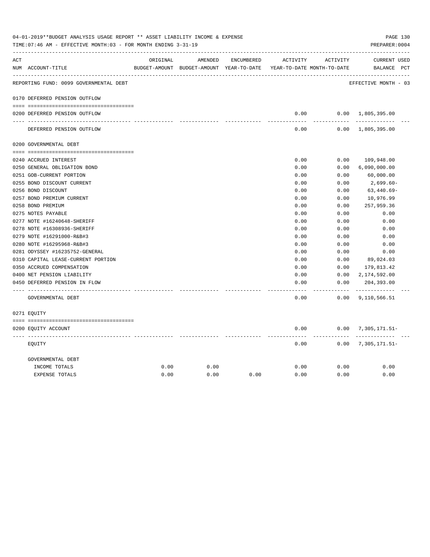|     | 04-01-2019**BUDGET ANALYSIS USAGE REPORT ** ASSET LIABILITY INCOME & EXPENSE<br>TIME: 07:46 AM - EFFECTIVE MONTH: 03 - FOR MONTH ENDING 3-31-19 |          |                                                                     |            |               |                       | PREPARER: 0004              | PAGE 130 |
|-----|-------------------------------------------------------------------------------------------------------------------------------------------------|----------|---------------------------------------------------------------------|------------|---------------|-----------------------|-----------------------------|----------|
| ACT |                                                                                                                                                 | ORIGINAL | AMENDED                                                             | ENCUMBERED | ACTIVITY      | ACTIVITY              | CURRENT USED                |          |
|     | NUM ACCOUNT-TITLE                                                                                                                               |          | BUDGET-AMOUNT BUDGET-AMOUNT YEAR-TO-DATE YEAR-TO-DATE MONTH-TO-DATE |            |               |                       | BALANCE PCT                 |          |
|     | REPORTING FUND: 0099 GOVERNMENTAL DEBT                                                                                                          |          |                                                                     |            |               |                       | EFFECTIVE MONTH - 03        |          |
|     | 0170 DEFERRED PENSION OUTFLOW                                                                                                                   |          |                                                                     |            |               |                       |                             |          |
|     | 0200 DEFERRED PENSION OUTFLOW                                                                                                                   |          |                                                                     |            | 0.00          |                       | $0.00 \quad 1,805,395.00$   |          |
|     | DEFERRED PENSION OUTFLOW                                                                                                                        |          |                                                                     |            | 0.00          |                       | $0.00 \quad 1,805,395.00$   |          |
|     | 0200 GOVERNMENTAL DEBT                                                                                                                          |          |                                                                     |            |               |                       |                             |          |
|     | 0240 ACCRUED INTEREST                                                                                                                           |          |                                                                     |            | 0.00          | 0.00                  | 109,948.00                  |          |
|     | 0250 GENERAL OBLIGATION BOND                                                                                                                    |          |                                                                     |            | 0.00          | 0.00                  | 6,090,000.00                |          |
|     | 0251 GOB-CURRENT PORTION                                                                                                                        |          |                                                                     |            | 0.00          | 0.00                  | 60,000.00                   |          |
|     | 0255 BOND DISCOUNT CURRENT                                                                                                                      |          |                                                                     |            | 0.00          | 0.00                  | 2,699.60-                   |          |
|     | 0256 BOND DISCOUNT                                                                                                                              |          |                                                                     |            | 0.00          | 0.00                  | $63,440.69-$                |          |
|     | 0257 BOND PREMIUM CURRENT                                                                                                                       |          |                                                                     |            | 0.00          | 0.00                  | 10,976.99                   |          |
|     | 0258 BOND PREMIUM                                                                                                                               |          |                                                                     |            | 0.00          | 0.00                  | 257,959.36                  |          |
|     | 0275 NOTES PAYABLE                                                                                                                              |          |                                                                     |            | 0.00          | 0.00                  | 0.00                        |          |
|     | 0277 NOTE #16240648-SHERIFF                                                                                                                     |          |                                                                     |            | 0.00          | 0.00                  | 0.00                        |          |
|     | 0278 NOTE #16308936-SHERIFF                                                                                                                     |          |                                                                     |            | 0.00          | 0.00                  | 0.00                        |          |
|     | 0279 NOTE #16291000-R&B#3                                                                                                                       |          |                                                                     |            | 0.00          | 0.00                  | 0.00                        |          |
|     | 0280 NOTE #16295968-R&B#3                                                                                                                       |          |                                                                     |            | 0.00          | 0.00                  | 0.00                        |          |
|     | 0281 ODYSSEY #16235752-GENERAL                                                                                                                  |          |                                                                     |            | 0.00          | 0.00                  | 0.00                        |          |
|     | 0310 CAPITAL LEASE-CURRENT PORTION                                                                                                              |          |                                                                     |            | 0.00          | 0.00                  | 89,024.03                   |          |
|     | 0350 ACCRUED COMPENSATION                                                                                                                       |          |                                                                     |            | 0.00          | 0.00                  | 179,813.42                  |          |
|     | 0400 NET PENSION LIABILITY                                                                                                                      |          |                                                                     |            | 0.00          | 0.00                  | 2,174,592.00                |          |
|     | 0450 DEFERRED PENSION IN FLOW                                                                                                                   |          |                                                                     |            | 0.00<br>----- | 0.00<br>$- - - - - -$ | 204,393.00<br>------------- |          |
|     | GOVERNMENTAL DEBT                                                                                                                               |          |                                                                     |            | 0.00          |                       | $0.00$ 9, 110, 566.51       |          |
|     | 0271 EQUITY                                                                                                                                     |          |                                                                     |            |               |                       |                             |          |
|     | 0200 EQUITY ACCOUNT                                                                                                                             |          |                                                                     |            | 0.00          |                       | $0.00$ 7, 305, 171.51-      |          |
|     | EOUITY                                                                                                                                          |          |                                                                     |            | 0.00          |                       | $0.00$ 7, 305, 171.51-      |          |
|     | GOVERNMENTAL DEBT                                                                                                                               |          |                                                                     |            |               |                       |                             |          |
|     | INCOME TOTALS                                                                                                                                   | 0.00     | 0.00                                                                |            | 0.00          | 0.00                  | 0.00                        |          |
|     | <b>EXPENSE TOTALS</b>                                                                                                                           | 0.00     | 0.00                                                                | 0.00       | 0.00          | 0.00                  | 0.00                        |          |